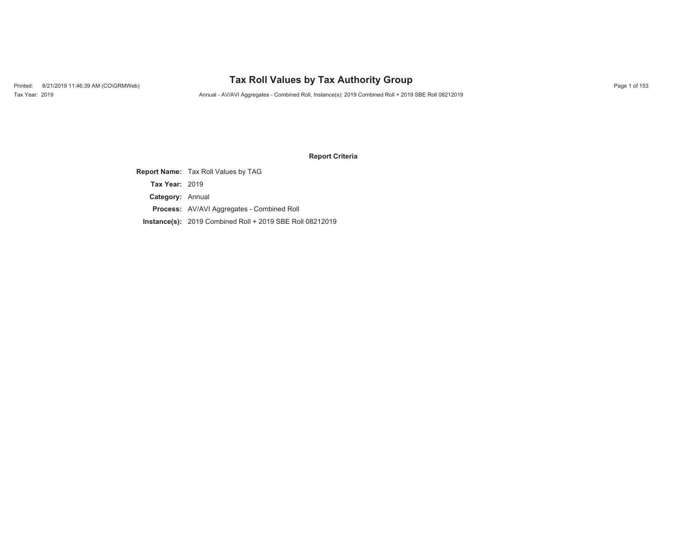## Printed: 8/21/2019 11:46:39 AM (CO\GRMWeb) **Tax Roll Values by Tax Authority Group** Page 1 of 153

Tax Year: 2019 Annual - AV/AVI Aggregates - Combined Roll, Instance(s): 2019 Combined Roll + 2019 SBE Roll 08212019

#### **Report Criteria**

**Report Name:** Tax Roll Values by TAG **Category:** Annual **Tax Year:** 2019

**Process:** AV/AVI Aggregates - Combined Roll

**Instance(s):** 2019 Combined Roll + 2019 SBE Roll 08212019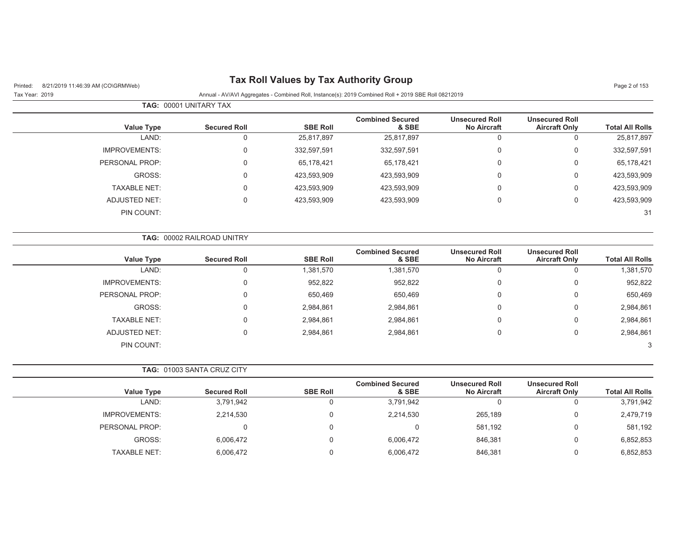|                     |                                                                                    |                                  |                                               |                                                                                                      | Page 2 of 153          |
|---------------------|------------------------------------------------------------------------------------|----------------------------------|-----------------------------------------------|------------------------------------------------------------------------------------------------------|------------------------|
|                     |                                                                                    |                                  |                                               |                                                                                                      |                        |
|                     |                                                                                    |                                  |                                               |                                                                                                      |                        |
| <b>Secured Roll</b> | <b>SBE Roll</b>                                                                    | <b>Combined Secured</b><br>& SBE | <b>Unsecured Roll</b><br><b>No Aircraft</b>   | <b>Unsecured Roll</b><br><b>Aircraft Only</b>                                                        | <b>Total All Rolls</b> |
| $\mathbf 0$         | 25,817,897                                                                         | 25,817,897                       | $\mathbf 0$                                   | $\mathbf 0$                                                                                          | 25,817,897             |
| 0                   | 332,597,591                                                                        | 332,597,591                      | $\mathsf{O}\xspace$                           | 0                                                                                                    | 332,597,591            |
| 0                   | 65,178,421                                                                         | 65,178,421                       | 0                                             | 0                                                                                                    | 65,178,421             |
| $\mathbf 0$         | 423,593,909                                                                        | 423,593,909                      | 0                                             | 0                                                                                                    | 423,593,909            |
| $\Omega$            | 423,593,909                                                                        | 423,593,909                      | 0                                             | 0                                                                                                    | 423,593,909            |
| $\mathbf 0$         | 423,593,909                                                                        | 423,593,909                      | 0                                             | 0                                                                                                    | 423,593,909            |
|                     |                                                                                    |                                  |                                               |                                                                                                      | 31                     |
|                     |                                                                                    |                                  |                                               |                                                                                                      |                        |
| <b>Secured Roll</b> | <b>SBE Roll</b>                                                                    | <b>Combined Secured</b><br>& SBE | <b>Unsecured Roll</b><br><b>No Aircraft</b>   | <b>Unsecured Roll</b><br><b>Aircraft Only</b>                                                        | <b>Total All Rolls</b> |
| $\mathsf 0$         | 1,381,570                                                                          | 1,381,570                        | $\mathbf 0$                                   | $\mathsf 0$                                                                                          | 1,381,570              |
| $\mathbf 0$         | 952,822                                                                            | 952,822                          | 0                                             | 0                                                                                                    | 952,822                |
| $\mathbf 0$         | 650,469                                                                            | 650,469                          | $\mathbf 0$                                   | 0                                                                                                    | 650,469                |
| 0                   | 2,984,861                                                                          | 2,984,861                        | 0                                             | 0                                                                                                    | 2,984,861              |
| 0                   | 2,984,861                                                                          | 2,984,861                        | 0                                             | 0                                                                                                    | 2,984,861              |
| $\mathbf 0$         | 2,984,861                                                                          | 2,984,861                        | $\mathsf 0$                                   | 0                                                                                                    | 2,984,861              |
|                     |                                                                                    |                                  |                                               |                                                                                                      | 3                      |
|                     |                                                                                    |                                  |                                               |                                                                                                      |                        |
| <b>Secured Roll</b> | <b>SBE Roll</b>                                                                    | <b>Combined Secured</b><br>& SBE | <b>Unsecured Roll</b><br><b>No Aircraft</b>   | <b>Unsecured Roll</b><br><b>Aircraft Only</b>                                                        | <b>Total All Rolls</b> |
| 3,791,942           | 0                                                                                  | 3,791,942                        | $\mathbf 0$                                   | $\mathbf 0$                                                                                          | 3,791,942              |
| 2,214,530           | 0                                                                                  | 2,214,530                        | 265,189                                       | 0                                                                                                    | 2,479,719              |
| 0                   | 0                                                                                  | $\mathbf 0$                      | 581,192                                       | 0                                                                                                    | 581,192                |
| 6,006,472           | $\Omega$                                                                           | 6,006,472                        | 846,381                                       | 0                                                                                                    | 6,852,853              |
| 6,006,472           | 0                                                                                  | 6,006,472                        | 846,381                                       | 0                                                                                                    | 6,852,853              |
|                     | TAG: 00001 UNITARY TAX<br>TAG: 00002 RAILROAD UNITRY<br>TAG: 01003 SANTA CRUZ CITY |                                  | <b>Tax Roll Values by Tax Authority Group</b> | Annual - AV/AVI Aggregates - Combined Roll, Instance(s): 2019 Combined Roll + 2019 SBE Roll 08212019 |                        |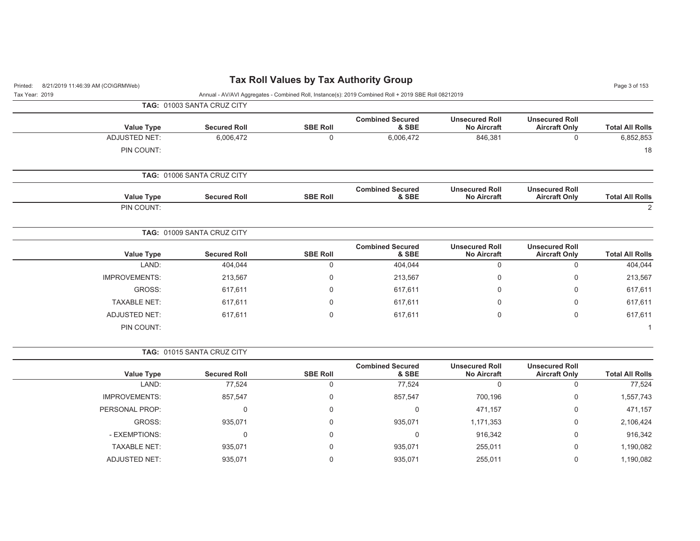| <b>Tax Roll Values by Tax Authority Group</b><br>8/21/2019 11:46:39 AM (CO\GRMWeb)<br>Printed: |                            |                 |                                                                                                      |                                             |                                               |                        |
|------------------------------------------------------------------------------------------------|----------------------------|-----------------|------------------------------------------------------------------------------------------------------|---------------------------------------------|-----------------------------------------------|------------------------|
| Tax Year: 2019                                                                                 |                            |                 | Annual - AV/AVI Aggregates - Combined Roll, Instance(s): 2019 Combined Roll + 2019 SBE Roll 08212019 |                                             |                                               | Page 3 of 153          |
|                                                                                                | TAG: 01003 SANTA CRUZ CITY |                 |                                                                                                      |                                             |                                               |                        |
| <b>Value Type</b>                                                                              | <b>Secured Roll</b>        | <b>SBE Roll</b> | <b>Combined Secured</b><br>& SBE                                                                     | <b>Unsecured Roll</b><br><b>No Aircraft</b> | <b>Unsecured Roll</b><br><b>Aircraft Only</b> | <b>Total All Rolls</b> |
| <b>ADJUSTED NET:</b>                                                                           | 6,006,472                  | 0               | 6,006,472                                                                                            | 846,381                                     | $\mathbf 0$                                   | 6,852,853              |
| PIN COUNT:                                                                                     |                            |                 |                                                                                                      |                                             |                                               | 18                     |
|                                                                                                | TAG: 01006 SANTA CRUZ CITY |                 |                                                                                                      |                                             |                                               |                        |
| <b>Value Type</b>                                                                              | <b>Secured Roll</b>        | <b>SBE Roll</b> | <b>Combined Secured</b><br>& SBE                                                                     | <b>Unsecured Roll</b><br><b>No Aircraft</b> | <b>Unsecured Roll</b><br><b>Aircraft Only</b> | <b>Total All Rolls</b> |
| PIN COUNT:                                                                                     |                            |                 |                                                                                                      |                                             |                                               | 2                      |
|                                                                                                | TAG: 01009 SANTA CRUZ CITY |                 |                                                                                                      |                                             |                                               |                        |
| <b>Value Type</b>                                                                              | <b>Secured Roll</b>        | <b>SBE Roll</b> | <b>Combined Secured</b><br>& SBE                                                                     | <b>Unsecured Roll</b><br><b>No Aircraft</b> | <b>Unsecured Roll</b><br><b>Aircraft Only</b> | <b>Total All Rolls</b> |
| LAND:                                                                                          | 404,044                    | 0               | 404,044                                                                                              | $\mathbf 0$                                 | $\mathbf 0$                                   | 404,044                |
| <b>IMPROVEMENTS:</b>                                                                           | 213,567                    | $\mathbf 0$     | 213,567                                                                                              | 0                                           | $\mathbf 0$                                   | 213,567                |
| GROSS:                                                                                         | 617,611                    | $\Omega$        | 617,611                                                                                              | 0                                           | 0                                             | 617,611                |
| <b>TAXABLE NET:</b>                                                                            | 617,611                    | 0               | 617,611                                                                                              | 0                                           | 0                                             | 617,611                |
| <b>ADJUSTED NET:</b>                                                                           | 617,611                    | $\Omega$        | 617,611                                                                                              | $\Omega$                                    | $\mathbf 0$                                   | 617,611                |
| PIN COUNT:                                                                                     |                            |                 |                                                                                                      |                                             |                                               |                        |
|                                                                                                | TAG: 01015 SANTA CRUZ CITY |                 |                                                                                                      |                                             |                                               |                        |
| <b>Value Type</b>                                                                              | <b>Secured Roll</b>        | <b>SBE Roll</b> | <b>Combined Secured</b><br>& SBE                                                                     | <b>Unsecured Roll</b><br><b>No Aircraft</b> | <b>Unsecured Roll</b><br><b>Aircraft Only</b> | <b>Total All Rolls</b> |
| LAND:                                                                                          | 77,524                     | $\mathbf 0$     | 77,524                                                                                               | $\mathbf 0$                                 | $\mathbf 0$                                   | 77,524                 |
| <b>IMPROVEMENTS:</b>                                                                           | 857,547                    | 0               | 857,547                                                                                              | 700,196                                     | 0                                             | 1,557,743              |
| PERSONAL PROP:                                                                                 | 0                          | 0               | 0                                                                                                    | 471,157                                     | $\mathbf 0$                                   | 471,157                |

GROSS: 935,071 0 935,071 1,171,353 0 2,106,424 - EXEMPTIONS: 0 0 0 916,342 0 916,342 TAXABLE NET: 935,071 0 935,071 255,011 0 1,190,082 ADJUSTED NET: 935,071 0 935,071 255,011 0 1,190,082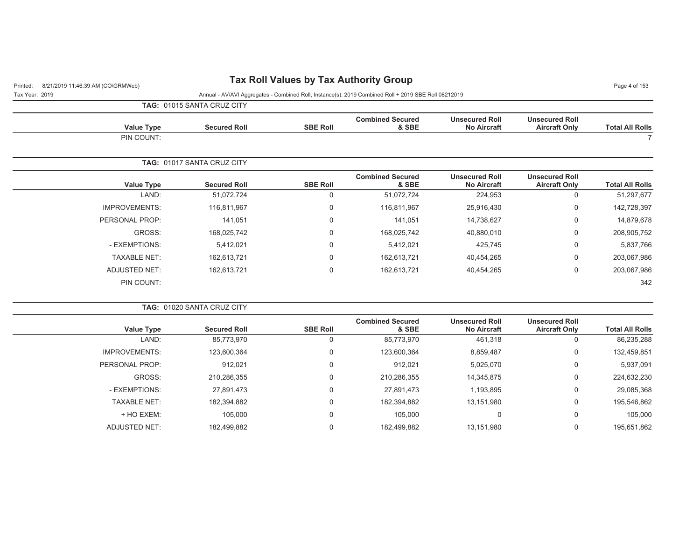## Printed: 8/21/2019 11:46:39 AM (CO\GRMWeb) **Tax Roll Values by Tax Authority Group** Page 4 of 153

Tax Year: 2019 Annual - AV/AVI Aggregates - Combined Roll, Instance(s): 2019 Combined Roll + 2019 SBE Roll 08212019

**TAG:** 01015 SANTA CRUZ CITY

| <b>Total All Rolls</b> | <b>Unsecured Roll</b><br><b>Aircraft Only</b> | <b>Unsecured Roll</b><br><b>No Aircraft</b> | <b>Combined Secured</b><br>& SBE | <b>SBE Roll</b> | <b>Secured Roll</b>        | <b>Value Type</b>    |
|------------------------|-----------------------------------------------|---------------------------------------------|----------------------------------|-----------------|----------------------------|----------------------|
|                        |                                               |                                             |                                  |                 |                            | PIN COUNT:           |
|                        |                                               |                                             |                                  |                 | TAG: 01017 SANTA CRUZ CITY |                      |
| <b>Total All Rolls</b> | <b>Unsecured Roll</b><br><b>Aircraft Only</b> | <b>Unsecured Roll</b><br><b>No Aircraft</b> | <b>Combined Secured</b><br>& SBE | <b>SBE Roll</b> | <b>Secured Roll</b>        | <b>Value Type</b>    |
| 51,297,677             | 0                                             | 224,953                                     | 51,072,724                       | 0               | 51,072,724                 | LAND:                |
| 142,728,397            | $\mathbf 0$                                   | 25,916,430                                  | 116,811,967                      | $\mathbf 0$     | 116,811,967                | <b>IMPROVEMENTS:</b> |
| 14,879,678             | 0                                             | 14,738,627                                  | 141,051                          | $\mathbf 0$     | 141,051                    | PERSONAL PROP:       |
| 208,905,752            | $\mathbf 0$                                   | 40,880,010                                  | 168,025,742                      | $\mathbf 0$     | 168,025,742                | GROSS:               |
| 5,837,766              | 0                                             | 425,745                                     | 5,412,021                        | $\mathbf 0$     | 5,412,021                  | - EXEMPTIONS:        |
| 203,067,986            | 0                                             | 40,454,265                                  | 162,613,721                      | $\mathbf 0$     | 162,613,721                | <b>TAXABLE NET:</b>  |
| 203,067,986            | 0                                             | 40,454,265                                  | 162,613,721                      | $\mathbf 0$     | 162,613,721                | ADJUSTED NET:        |
| 342                    |                                               |                                             |                                  |                 |                            | PIN COUNT:           |
|                        |                                               |                                             |                                  |                 |                            |                      |

| <b>TAG: 01020 SANTA CRUZ CITY</b> |                 |                                  |                                             |                                               |                        |
|-----------------------------------|-----------------|----------------------------------|---------------------------------------------|-----------------------------------------------|------------------------|
| <b>Secured Roll</b>               | <b>SBE Roll</b> | <b>Combined Secured</b><br>& SBE | <b>Unsecured Roll</b><br><b>No Aircraft</b> | <b>Unsecured Roll</b><br><b>Aircraft Only</b> | <b>Total All Rolls</b> |
| 85,773,970                        |                 | 85,773,970                       | 461,318                                     |                                               | 86,235,288             |
| 123,600,364                       |                 | 123,600,364                      | 8,859,487                                   | 0                                             | 132,459,851            |
| 912,021                           |                 | 912.021                          | 5,025,070                                   | 0                                             | 5,937,091              |
| 210,286,355                       |                 | 210,286,355                      | 14,345,875                                  | 0                                             | 224,632,230            |
| 27,891,473                        |                 | 27,891,473                       | 1,193,895                                   | $\Omega$                                      | 29,085,368             |
| 182,394,882                       |                 | 182,394,882                      | 13,151,980                                  | $\Omega$                                      | 195,546,862            |
| 105.000                           |                 | 105.000                          | 0                                           | $\Omega$                                      | 105,000                |
| 182.499.882                       |                 | 182.499.882                      | 13.151.980                                  | 0                                             | 195,651,862            |
|                                   |                 |                                  |                                             |                                               |                        |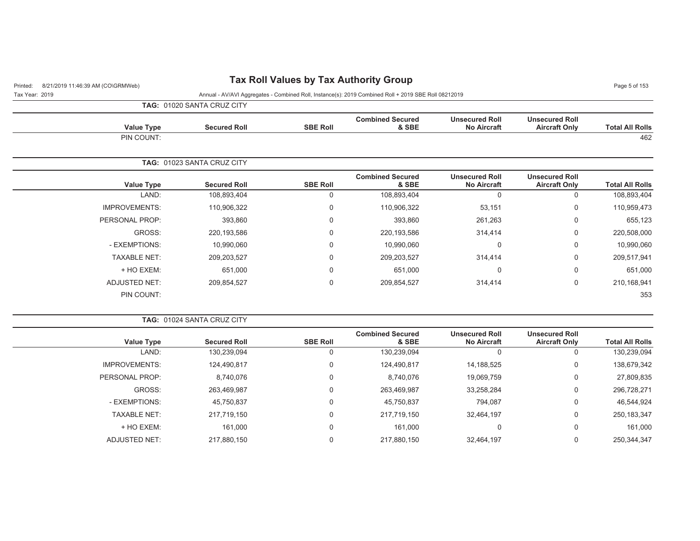## Printed: 8/21/2019 11:46:39 AM (CO\GRMWeb) **Tax Roll Values by Tax Authority Group** Page 5 of 153

Tax Year: 2019 Annual - AV/AVI Aggregates - Combined Roll, Instance(s): 2019 Combined Roll + 2019 SBE Roll 08212019

**TAG:** 01020 SANTA CRUZ CITY

| <b>Total All Rolls</b> | <b>Unsecured Roll</b><br><b>Aircraft Only</b> | <b>Unsecured Roll</b><br><b>No Aircraft</b> | <b>Combined Secured</b><br>& SBE | <b>SBE Roll</b> | <b>Secured Roll</b>               | Value Type           |
|------------------------|-----------------------------------------------|---------------------------------------------|----------------------------------|-----------------|-----------------------------------|----------------------|
| 462                    |                                               |                                             |                                  |                 |                                   | PIN COUNT:           |
|                        |                                               |                                             |                                  |                 |                                   |                      |
|                        |                                               |                                             |                                  |                 | <b>TAG: 01023 SANTA CRUZ CITY</b> |                      |
| <b>Total All Rolls</b> | <b>Unsecured Roll</b><br><b>Aircraft Only</b> | <b>Unsecured Roll</b><br><b>No Aircraft</b> | <b>Combined Secured</b><br>& SBE | <b>SBE Roll</b> | <b>Secured Roll</b>               | Value Type           |
| 108,893,404            | 0                                             |                                             | 108,893,404                      | 0               | 108,893,404                       | LAND:                |
| 110,959,473            | $\mathbf 0$                                   | 53,151                                      | 110,906,322                      | 0               | 110,906,322                       | <b>IMPROVEMENTS:</b> |
| 655,123                | 0                                             | 261,263                                     | 393,860                          | 0               | 393,860                           | PERSONAL PROP:       |
| 220,508,000            | 0                                             | 314,414                                     | 220,193,586                      | 0               | 220,193,586                       | GROSS:               |

| 209,854,527         | 0                                 | 209,854,527                      | 314,414                                     | 0                                             | 210,168,941            |
|---------------------|-----------------------------------|----------------------------------|---------------------------------------------|-----------------------------------------------|------------------------|
|                     |                                   |                                  |                                             |                                               | 353                    |
|                     |                                   |                                  |                                             |                                               |                        |
|                     |                                   |                                  |                                             |                                               |                        |
| <b>Secured Roll</b> | <b>SBE Roll</b>                   | <b>Combined Secured</b><br>& SBE | <b>Unsecured Roll</b><br><b>No Aircraft</b> | <b>Unsecured Roll</b><br><b>Aircraft Only</b> | <b>Total All Rolls</b> |
| 130,239,094         | U                                 | 130,239,094                      |                                             |                                               | 130,239,094            |
| 124,490,817         | 0                                 | 124,490,817                      | 14,188,525                                  | 0                                             | 138,679,342            |
| 8,740,076           | 0                                 | 8,740,076                        | 19,069,759                                  | $\Omega$                                      | 27,809,835             |
|                     | <b>TAG: 01024 SANTA CRUZ CITY</b> |                                  |                                             |                                               |                        |

| _ _ _ _ . _   |            | - -         | - -         |               |
|---------------|------------|-------------|-------------|---------------|
| 296,728,271   | 33,258,284 | 263,469,987 | 263,469,987 | GROSS:        |
| 46,544,924    | 794.087    | 45.750.837  | 45,750,837  | - EXEMPTIONS: |
| 250, 183, 347 | 32,464,197 | 217,719,150 | 217,719,150 | TAXABLE NET:  |
| 161,000       |            | 161.000     | 161.000     | + HO EXEM:    |
| 250,344,347   | 32,464,197 | 217,880,150 | 217,880,150 | ADJUSTED NET: |

- EXEMPTIONS: 10,990,060 0 10,990,060 0 10,990,060 TAXABLE NET: 209,203,527 0 209,203,527 314,414 0 209,517,941 + HO EXEM: 651,000 0 651,000 0 0 651,000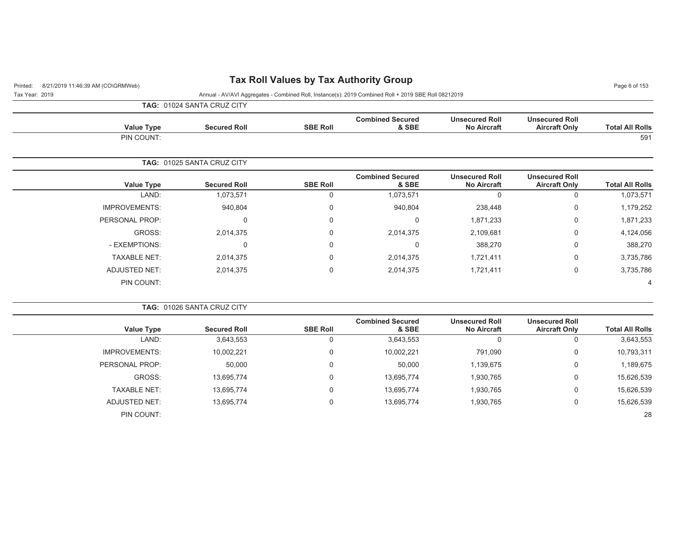## Printed: 8/21/2019 11:46:39 AM (CO\GRMWeb) **Tax Roll Values by Tax Authority Group** Page 6 of 153

Tax Year: 2019 Annual - AV/AVI Aggregates - Combined Roll, Instance(s): 2019 Combined Roll + 2019 SBE Roll 08212019

**TAG:** 01024 SANTA CRUZ CITY

| <b>Value Type</b> | <b>Secured Roll</b>               | <b>SBE Roll</b> | <b>Combined Secured</b><br>& SBE | <b>Unsecured Roll</b><br><b>No Aircraft</b> | <b>Unsecured Roll</b><br><b>Aircraft Only</b> | <b>Total All Rolls</b> |
|-------------------|-----------------------------------|-----------------|----------------------------------|---------------------------------------------|-----------------------------------------------|------------------------|
| PIN COUNT:        |                                   |                 |                                  |                                             |                                               | 591                    |
|                   | <b>TAG: 01025 SANTA CRUZ CITY</b> |                 |                                  |                                             |                                               |                        |

| <b>Total All Rolls</b> | <b>Unsecured Roll</b><br><b>Aircraft Only</b> | <b>Unsecured Roll</b><br><b>No Aircraft</b> | <b>Combined Secured</b><br>& SBE | <b>SBE Roll</b> | <b>Secured Roll</b> | <b>Value Type</b>    |
|------------------------|-----------------------------------------------|---------------------------------------------|----------------------------------|-----------------|---------------------|----------------------|
| 1,073,571              | 0                                             | 0                                           | 1,073,571                        | υ               | 1,073,571           | LAND:                |
| 1,179,252              | 0                                             | 238,448                                     | 940,804                          | 0               | 940,804             | <b>IMPROVEMENTS:</b> |
| 1,871,233              | 0                                             | 1,871,233                                   |                                  | 0               | 0                   | PERSONAL PROP:       |
| 4,124,056              | 0                                             | 2,109,681                                   | 2,014,375                        | 0               | 2,014,375           | GROSS:               |
| 388,270                | 0                                             | 388,270                                     | U                                | 0               | 0                   | - EXEMPTIONS:        |
| 3,735,786              | 0                                             | 1,721,411                                   | 2,014,375                        | 0               | 2,014,375           | <b>TAXABLE NET:</b>  |
| 3,735,786              | 0                                             | 1,721,411                                   | 2,014,375                        | 0               | 2,014,375           | <b>ADJUSTED NET:</b> |
| 4                      |                                               |                                             |                                  |                 |                     | PIN COUNT:           |
|                        |                                               |                                             |                                  |                 |                     |                      |

|                        |                                               |                                             |                                  |                 | <b>TAG: 01026 SANTA CRUZ CITY</b> |                      |
|------------------------|-----------------------------------------------|---------------------------------------------|----------------------------------|-----------------|-----------------------------------|----------------------|
| <b>Total All Rolls</b> | <b>Unsecured Roll</b><br><b>Aircraft Only</b> | <b>Unsecured Roll</b><br><b>No Aircraft</b> | <b>Combined Secured</b><br>& SBE | <b>SBE Roll</b> | <b>Secured Roll</b>               | <b>Value Type</b>    |
| 3,643,553              |                                               |                                             | 3,643,553                        | 0               | 3,643,553                         | LAND:                |
| 10,793,311             | 0                                             | 791,090                                     | 10,002,221                       | 0               | 10,002,221                        | <b>IMPROVEMENTS:</b> |
| 1,189,675              | 0                                             | 1,139,675                                   | 50,000                           | 0               | 50,000                            | PERSONAL PROP:       |
| 15,626,539             | $\mathbf 0$                                   | 1,930,765                                   | 13,695,774                       | 0               | 13,695,774                        | GROSS:               |
| 15,626,539             | $\mathbf 0$                                   | 1,930,765                                   | 13,695,774                       | 0               | 13,695,774                        | <b>TAXABLE NET:</b>  |
| 15,626,539             | 0                                             | 1,930,765                                   | 13,695,774                       | 0               | 13,695,774                        | ADJUSTED NET:        |
| 28                     |                                               |                                             |                                  |                 |                                   | PIN COUNT:           |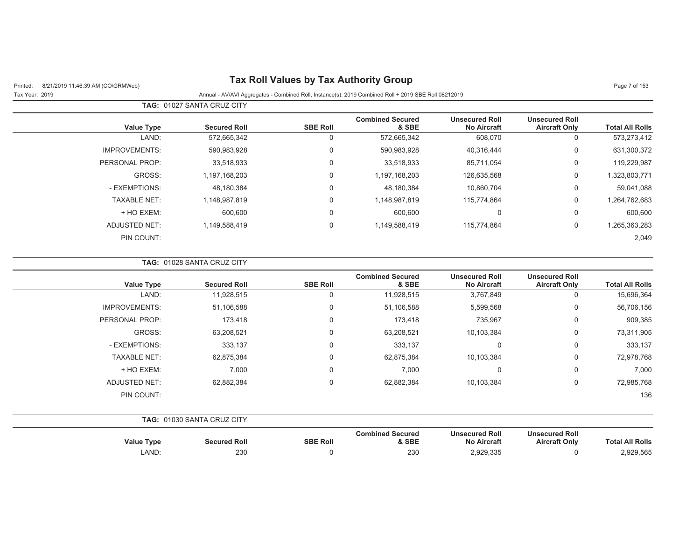Printed: 8/21/2019 11:46:39 AM (CO\GRMWeb) **Tax Roll Values by Tax Authority Group** Page 7 of 153

| Tax Year: 2019 | Annual - AV/AVI Aggregates - Combined Roll, Instance(s): 2019 Combined Roll + 2019 SBE Roll 08212019 |
|----------------|------------------------------------------------------------------------------------------------------|

|                      | TAG: 01027 SANTA CRUZ CITY |                 |                                  |                                             |                                               |                        |
|----------------------|----------------------------|-----------------|----------------------------------|---------------------------------------------|-----------------------------------------------|------------------------|
| <b>Value Type</b>    | <b>Secured Roll</b>        | <b>SBE Roll</b> | <b>Combined Secured</b><br>& SBE | <b>Unsecured Roll</b><br><b>No Aircraft</b> | <b>Unsecured Roll</b><br><b>Aircraft Only</b> | <b>Total All Rolls</b> |
| LAND:                | 572,665,342                | 0               | 572,665,342                      | 608,070                                     | 0                                             | 573,273,412            |
| <b>IMPROVEMENTS:</b> | 590,983,928                | $\mathbf 0$     | 590,983,928                      | 40,316,444                                  | 0                                             | 631,300,372            |
| PERSONAL PROP:       | 33.518.933                 | 0               | 33,518,933                       | 85,711,054                                  | 0                                             | 119,229,987            |
| GROSS:               | 1,197,168,203              | $\Omega$        | 1,197,168,203                    | 126,635,568                                 | 0                                             | 1,323,803,771          |
| - EXEMPTIONS:        | 48,180,384                 | 0               | 48,180,384                       | 10,860,704                                  | 0                                             | 59,041,088             |
| <b>TAXABLE NET:</b>  | 1,148,987,819              | $\Omega$        | 1,148,987,819                    | 115,774,864                                 | 0                                             | 1,264,762,683          |
| + HO EXEM:           | 600,600                    | 0               | 600,600                          | 0                                           | 0                                             | 600,600                |
| <b>ADJUSTED NET:</b> | 1,149,588,419              | $\mathbf 0$     | 1,149,588,419                    | 115,774,864                                 | 0                                             | 1,265,363,283          |
| PIN COUNT:           |                            |                 |                                  |                                             |                                               | 2,049                  |

|                        |                                               |                                             |                                  |                 | <b>TAG: 01028 SANTA CRUZ CITY</b> |                      |
|------------------------|-----------------------------------------------|---------------------------------------------|----------------------------------|-----------------|-----------------------------------|----------------------|
| <b>Total All Rolls</b> | <b>Unsecured Roll</b><br><b>Aircraft Only</b> | <b>Unsecured Roll</b><br><b>No Aircraft</b> | <b>Combined Secured</b><br>& SBE | <b>SBE Roll</b> | <b>Secured Roll</b>               | <b>Value Type</b>    |
| 15,696,364             | 0                                             | 3,767,849                                   | 11,928,515                       |                 | 11,928,515                        | LAND:                |
| 56,706,156             | 0                                             | 5,599,568                                   | 51,106,588                       | $\mathbf 0$     | 51,106,588                        | <b>IMPROVEMENTS:</b> |
| 909,385                | 0                                             | 735,967                                     | 173,418                          | $\Omega$        | 173,418                           | PERSONAL PROP:       |
| 73,311,905             | $\mathbf 0$                                   | 10,103,384                                  | 63,208,521                       | $\mathbf 0$     | 63,208,521                        | GROSS:               |
| 333,137                | 0                                             | 0                                           | 333,137                          | $\mathbf 0$     | 333,137                           | - EXEMPTIONS:        |
| 72,978,768             | 0                                             | 10,103,384                                  | 62,875,384                       | $\mathbf 0$     | 62,875,384                        | <b>TAXABLE NET:</b>  |
| 7,000                  | $\mathbf 0$                                   | $\mathbf 0$                                 | 7,000                            | $\mathbf 0$     | 7,000                             | + HO EXEM:           |
| 72,985,768             | $\mathbf 0$                                   | 10,103,384                                  | 62,882,384                       | $\overline{0}$  | 62,882,384                        | <b>ADJUSTED NET:</b> |
| 136                    |                                               |                                             |                                  |                 |                                   | PIN COUNT:           |

| TAG:              | 01030 SANTA CRUZ CITY |                 |                                  |                                             |                                               |                        |
|-------------------|-----------------------|-----------------|----------------------------------|---------------------------------------------|-----------------------------------------------|------------------------|
| <b>Value Type</b> | <b>Secured Roll</b>   | <b>SBE Roll</b> | <b>Combined Secured</b><br>& SBE | <b>Unsecured Roll</b><br><b>No Aircraft</b> | <b>Unsecured Roll</b><br><b>Aircraft Only</b> | <b>Total All Rolls</b> |
| LAND:             | 230                   |                 | 230                              | 2,929,335                                   |                                               | 2,929,565              |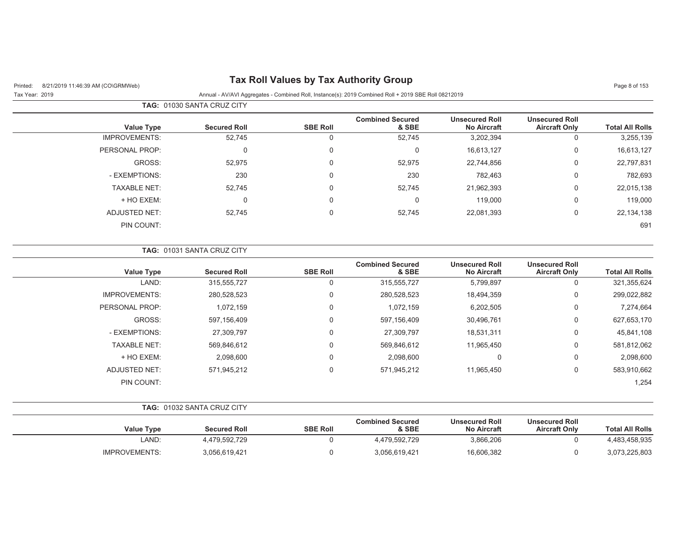## Printed: 8/21/2019 11:46:39 AM (CO\GRMWeb) **Tax Roll Values by Tax Authority Group** Page 8 of 153

| <b>TAG: 01030 SANTA CRUZ CITY</b> |  |
|-----------------------------------|--|

| <b>Total All Rolls</b> | <b>Unsecured Roll</b><br><b>Aircraft Only</b> | <b>Unsecured Roll</b><br><b>No Aircraft</b> | <b>Combined Secured</b><br>& SBE | <b>SBE Roll</b> | <b>Secured Roll</b> | Value Type           |
|------------------------|-----------------------------------------------|---------------------------------------------|----------------------------------|-----------------|---------------------|----------------------|
| 3,255,139              | U                                             | 3,202,394                                   | 52,745                           | 0               | 52,745              | <b>IMPROVEMENTS:</b> |
| 16,613,127             | 0                                             | 16,613,127                                  | 0                                | 0               | 0                   | PERSONAL PROP:       |
| 22,797,831             | 0                                             | 22,744,856                                  | 52,975                           | 0               | 52,975              | GROSS:               |
| 782,693                | 0                                             | 782,463                                     | 230                              | $\mathbf 0$     | 230                 | - EXEMPTIONS:        |
| 22,015,138             | 0                                             | 21,962,393                                  | 52,745                           | 0               | 52,745              | <b>TAXABLE NET:</b>  |
| 119,000                | 0                                             | 119,000                                     | 0                                | 0               | 0                   | + HO EXEM:           |
| 22, 134, 138           | 0                                             | 22,081,393                                  | 52,745                           | $\Omega$        | 52,745              | ADJUSTED NET:        |
| 691                    |                                               |                                             |                                  |                 |                     | PIN COUNT:           |
|                        |                                               |                                             |                                  |                 |                     |                      |

|                      | TAG: 01031 SANTA CRUZ CITY |                 |                                  |                                             |                                               |                        |
|----------------------|----------------------------|-----------------|----------------------------------|---------------------------------------------|-----------------------------------------------|------------------------|
| <b>Value Type</b>    | <b>Secured Roll</b>        | <b>SBE Roll</b> | <b>Combined Secured</b><br>& SBE | <b>Unsecured Roll</b><br><b>No Aircraft</b> | <b>Unsecured Roll</b><br><b>Aircraft Only</b> | <b>Total All Rolls</b> |
| LAND:                | 315,555,727                | 0               | 315,555,727                      | 5,799,897                                   | $\mathbf{0}$                                  | 321,355,624            |
| <b>IMPROVEMENTS:</b> | 280,528,523                | 0               | 280,528,523                      | 18,494,359                                  | 0                                             | 299,022,882            |
| PERSONAL PROP:       | 1,072,159                  | 0               | 1,072,159                        | 6,202,505                                   | 0                                             | 7,274,664              |
| GROSS:               | 597,156,409                | 0               | 597,156,409                      | 30,496,761                                  | 0                                             | 627,653,170            |
| - EXEMPTIONS:        | 27,309,797                 | 0               | 27,309,797                       | 18,531,311                                  | 0                                             | 45,841,108             |
| <b>TAXABLE NET:</b>  | 569,846,612                | 0               | 569,846,612                      | 11,965,450                                  | 0                                             | 581,812,062            |
| + HO EXEM:           | 2,098,600                  | 0               | 2,098,600                        |                                             | 0                                             | 2,098,600              |
| ADJUSTED NET:        | 571,945,212                | 0               | 571,945,212                      | 11,965,450                                  | 0                                             | 583,910,662            |
| PIN COUNT:           |                            |                 |                                  |                                             |                                               | 1,254                  |

|                        |                                               |                                             |                                  |                 | <b>TAG: 01032 SANTA CRUZ CITY</b> |                   |
|------------------------|-----------------------------------------------|---------------------------------------------|----------------------------------|-----------------|-----------------------------------|-------------------|
| <b>Total All Rolls</b> | <b>Unsecured Roll</b><br><b>Aircraft Only</b> | <b>Unsecured Roll</b><br><b>No Aircraft</b> | <b>Combined Secured</b><br>& SBE | <b>SBE Roll</b> | <b>Secured Roll</b>               | <b>Value Type</b> |
| 4,483,458,935          |                                               | 3,866,206                                   | 4,479,592,729                    |                 | 4,479,592,729                     | LAND:             |
| 3,073,225,803          |                                               | 16,606,382                                  | 3,056,619,421                    |                 | 3,056,619,421                     | IMPROVEMENTS:     |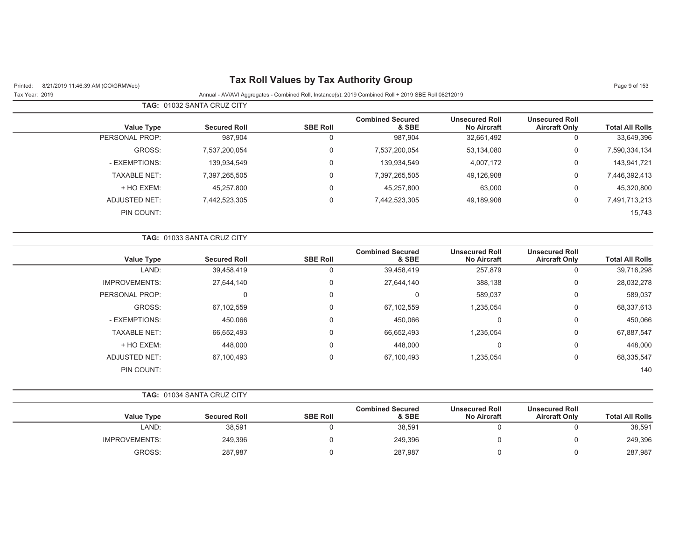## Printed: 8/21/2019 11:46:39 AM (CO\GRMWeb) **Tax Roll Values by Tax Authority Group** Page 9 of 153

 $\overline{\phantom{0}}$ 

| <b>TAG:</b> 01032 SANTA CRUZ CITY |                     |                 |                                  |                                             |                                               |                        |
|-----------------------------------|---------------------|-----------------|----------------------------------|---------------------------------------------|-----------------------------------------------|------------------------|
| <b>Value Type</b>                 | <b>Secured Roll</b> | <b>SBE Roll</b> | <b>Combined Secured</b><br>& SBE | <b>Unsecured Roll</b><br><b>No Aircraft</b> | <b>Unsecured Roll</b><br><b>Aircraft Only</b> | <b>Total All Rolls</b> |
| PERSONAL PROP:                    | 987,904             | U               | 987,904                          | 32,661,492                                  | v                                             | 33,649,396             |
| GROSS:                            | 7,537,200,054       | 0               | 7,537,200,054                    | 53,134,080                                  | 0                                             | 7,590,334,134          |
| - EXEMPTIONS:                     | 139,934,549         | 0               | 139,934,549                      | 4,007,172                                   | 0                                             | 143,941,721            |
| <b>TAXABLE NET:</b>               | 7,397,265,505       | $\Omega$        | 7,397,265,505                    | 49,126,908                                  | 0                                             | 7,446,392,413          |
| + HO EXEM:                        | 45,257,800          | 0               | 45,257,800                       | 63,000                                      | U                                             | 45,320,800             |
| ADJUSTED NET:                     | 7,442,523,305       | 0               | 7,442,523,305                    | 49,189,908                                  | 0                                             | 7,491,713,213          |
| PIN COUNT:                        |                     |                 |                                  |                                             |                                               | 15,743                 |

|                      | <b>TAG:</b> 01033 SANTA CRUZ CITY |                 |                                  |                                             |                                               |                        |
|----------------------|-----------------------------------|-----------------|----------------------------------|---------------------------------------------|-----------------------------------------------|------------------------|
| <b>Value Type</b>    | <b>Secured Roll</b>               | <b>SBE Roll</b> | <b>Combined Secured</b><br>& SBE | <b>Unsecured Roll</b><br><b>No Aircraft</b> | <b>Unsecured Roll</b><br><b>Aircraft Only</b> | <b>Total All Rolls</b> |
| LAND:                | 39,458,419                        | 0               | 39,458,419                       | 257,879                                     | 0                                             | 39,716,298             |
| <b>IMPROVEMENTS:</b> | 27,644,140                        | 0               | 27,644,140                       | 388,138                                     | 0                                             | 28,032,278             |
| PERSONAL PROP:       | 0                                 | 0               | 0                                | 589,037                                     | $\mathbf 0$                                   | 589,037                |
| GROSS:               | 67,102,559                        | 0               | 67,102,559                       | 1,235,054                                   | 0                                             | 68,337,613             |
| - EXEMPTIONS:        | 450,066                           | 0               | 450,066                          | 0                                           | 0                                             | 450,066                |
| <b>TAXABLE NET:</b>  | 66,652,493                        | 0               | 66,652,493                       | 1,235,054                                   | $\mathbf 0$                                   | 67,887,547             |
| + HO EXEM:           | 448,000                           | 0               | 448,000                          | 0                                           | $\Omega$                                      | 448,000                |
| <b>ADJUSTED NET:</b> | 67,100,493                        | 0               | 67,100,493                       | 1,235,054                                   | $\mathbf 0$                                   | 68,335,547             |
| PIN COUNT:           |                                   |                 |                                  |                                             |                                               | 140                    |

|                      | <b>TAG: 01034 SANTA CRUZ CITY</b> |                 |                                  |                                             |                                               |                        |
|----------------------|-----------------------------------|-----------------|----------------------------------|---------------------------------------------|-----------------------------------------------|------------------------|
| <b>Value Type</b>    | <b>Secured Roll</b>               | <b>SBE Roll</b> | <b>Combined Secured</b><br>& SBE | <b>Unsecured Roll</b><br><b>No Aircraft</b> | <b>Unsecured Roll</b><br><b>Aircraft Only</b> | <b>Total All Rolls</b> |
| LAND:                | 38,591                            |                 | 38,591                           |                                             |                                               | 38,591                 |
| <b>IMPROVEMENTS:</b> | 249,396                           |                 | 249,396                          |                                             |                                               | 249,396                |
| GROSS:               | 287,987                           |                 | 287,987                          |                                             |                                               | 287,987                |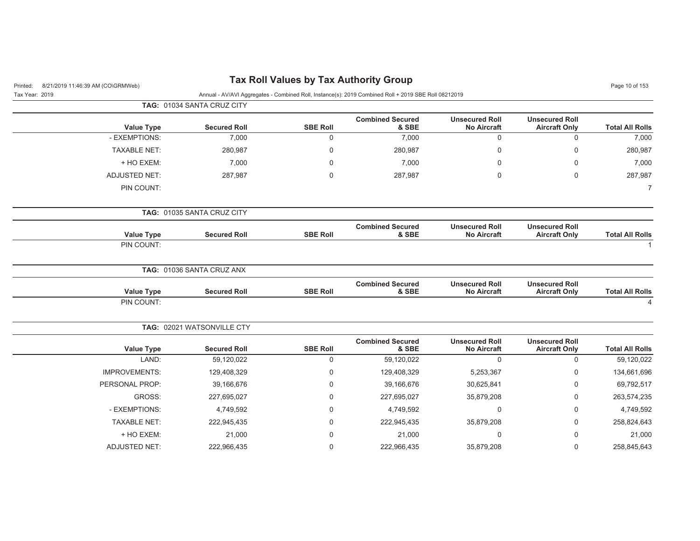| 8/21/2019 11:46:39 AM (CO\GRMWeb)<br>Printed: |                            | <b>Tax Roll Values by Tax Authority Group</b> |                                                                                                      |                                             |                                               | Page 10 of 153         |
|-----------------------------------------------|----------------------------|-----------------------------------------------|------------------------------------------------------------------------------------------------------|---------------------------------------------|-----------------------------------------------|------------------------|
| Tax Year: 2019                                |                            |                                               | Annual - AV/AVI Aggregates - Combined Roll, Instance(s): 2019 Combined Roll + 2019 SBE Roll 08212019 |                                             |                                               |                        |
|                                               | TAG: 01034 SANTA CRUZ CITY |                                               |                                                                                                      |                                             |                                               |                        |
| <b>Value Type</b>                             | <b>Secured Roll</b>        | <b>SBE Roll</b>                               | <b>Combined Secured</b><br>& SBE                                                                     | <b>Unsecured Roll</b><br><b>No Aircraft</b> | <b>Unsecured Roll</b><br><b>Aircraft Only</b> | <b>Total All Rolls</b> |
| - EXEMPTIONS:                                 | 7,000                      | $\mathbf 0$                                   | 7,000                                                                                                | $\mathbf 0$                                 | $\mathbf 0$                                   | 7,000                  |
| <b>TAXABLE NET:</b>                           | 280,987                    | $\Omega$                                      | 280,987                                                                                              | $\Omega$                                    | $\Omega$                                      | 280,987                |
| + HO EXEM:                                    | 7,000                      | $\mathbf 0$                                   | 7,000                                                                                                | $\Omega$                                    | 0                                             | 7,000                  |
| <b>ADJUSTED NET:</b>                          | 287,987                    | 0                                             | 287,987                                                                                              | 0                                           | $\mathbf 0$                                   | 287,987                |
| PIN COUNT:                                    |                            |                                               |                                                                                                      |                                             |                                               | $\overline{7}$         |
|                                               | TAG: 01035 SANTA CRUZ CITY |                                               |                                                                                                      |                                             |                                               |                        |
| <b>Value Type</b>                             | <b>Secured Roll</b>        | <b>SBE Roll</b>                               | <b>Combined Secured</b><br>& SBE                                                                     | <b>Unsecured Roll</b><br><b>No Aircraft</b> | <b>Unsecured Roll</b><br><b>Aircraft Only</b> | <b>Total All Rolls</b> |
| PIN COUNT:                                    |                            |                                               |                                                                                                      |                                             |                                               | $\mathbf 1$            |
|                                               | TAG: 01036 SANTA CRUZ ANX  |                                               |                                                                                                      |                                             |                                               |                        |
| <b>Value Type</b>                             | <b>Secured Roll</b>        | <b>SBE Roll</b>                               | <b>Combined Secured</b><br>& SBE                                                                     | <b>Unsecured Roll</b><br><b>No Aircraft</b> | <b>Unsecured Roll</b><br><b>Aircraft Only</b> | <b>Total All Rolls</b> |
| PIN COUNT:                                    |                            |                                               |                                                                                                      |                                             |                                               | $\Delta$               |
|                                               | TAG: 02021 WATSONVILLE CTY |                                               |                                                                                                      |                                             |                                               |                        |
| <b>Value Type</b>                             | <b>Secured Roll</b>        | <b>SBE Roll</b>                               | <b>Combined Secured</b><br>& SBE                                                                     | <b>Unsecured Roll</b><br><b>No Aircraft</b> | <b>Unsecured Roll</b><br><b>Aircraft Only</b> | <b>Total All Rolls</b> |
| LAND:                                         | 59,120,022                 | $\mathbf 0$                                   | 59,120,022                                                                                           | $\mathbf 0$                                 | $\mathbf 0$                                   | 59,120,022             |
| <b>IMPROVEMENTS:</b>                          | 129,408,329                | $\mathbf 0$                                   | 129,408,329                                                                                          | 5,253,367                                   | $\Omega$                                      | 134,661,696            |
| PERSONAL PROP:                                | 39,166,676                 | $\Omega$                                      | 39,166,676                                                                                           | 30,625,841                                  | $\Omega$                                      | 69,792,517             |
| GROSS:                                        | 227,695,027                | 0                                             | 227,695,027                                                                                          | 35,879,208                                  | 0                                             | 263,574,235            |
| - EXEMPTIONS:                                 | 4,749,592                  | $\mathbf 0$                                   | 4,749,592                                                                                            | $\overline{0}$                              | $\Omega$                                      | 4,749,592              |
| <b>TAXABLE NET:</b>                           | 222,945,435                | 0                                             | 222,945,435                                                                                          | 35,879,208                                  | 0                                             | 258,824,643            |
| + HO EXEM:                                    | 21,000                     | $\Omega$                                      | 21,000                                                                                               | $\Omega$                                    | $\Omega$                                      | 21,000                 |
| <b>ADJUSTED NET:</b>                          | 222,966,435                | 0                                             | 222,966,435                                                                                          | 35,879,208                                  | 0                                             | 258,845,643            |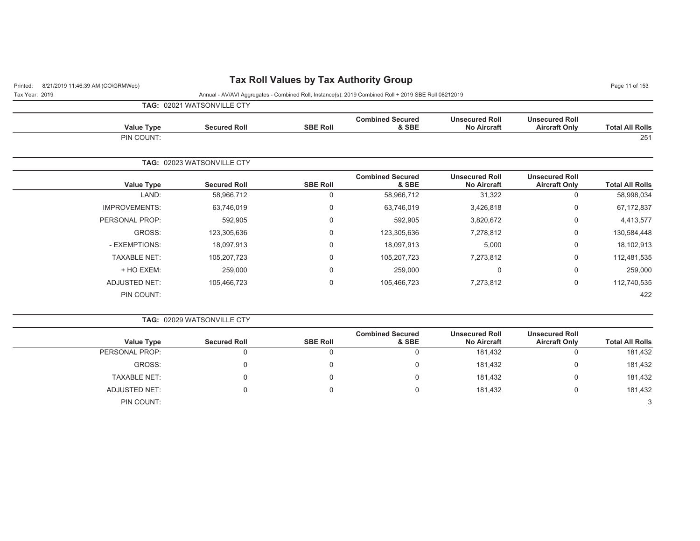## Printed: 8/21/2019 11:46:39 AM (CO\GRMWeb) **Tax Roll Values by Tax Authority Group** Page 11:46:39 AM (CO\GRMWeb)

Tax Year: 2019 Annual - AV/AVI Aggregates - Combined Roll, Instance(s): 2019 Combined Roll + 2019 SBE Roll 08212019

422

422

**TAG:** 02021 WATSONVILLE CTY

|                        |                                               |                                             |                                  |                 | <b>IAG:</b> UZUZ I WATSUNVILLE CTT |                      |
|------------------------|-----------------------------------------------|---------------------------------------------|----------------------------------|-----------------|------------------------------------|----------------------|
| <b>Total All Rolls</b> | <b>Unsecured Roll</b><br><b>Aircraft Only</b> | <b>Unsecured Roll</b><br><b>No Aircraft</b> | <b>Combined Secured</b><br>& SBE | <b>SBE Roll</b> | <b>Secured Roll</b>                | <b>Value Type</b>    |
| 251                    |                                               |                                             |                                  |                 |                                    | PIN COUNT:           |
|                        |                                               |                                             |                                  |                 | TAG: 02023 WATSONVILLE CTY         |                      |
| <b>Total All Rolls</b> | <b>Unsecured Roll</b><br><b>Aircraft Only</b> | <b>Unsecured Roll</b><br><b>No Aircraft</b> | <b>Combined Secured</b><br>& SBE | <b>SBE Roll</b> | <b>Secured Roll</b>                | Value Type           |
| 58,998,034             | $\Omega$                                      | 31,322                                      | 58,966,712                       | 0               | 58,966,712                         | LAND:                |
| 67,172,837             | $\Omega$                                      | 3,426,818                                   | 63,746,019                       | 0               | 63,746,019                         | <b>IMPROVEMENTS:</b> |
| 4,413,577              | $\mathbf 0$                                   | 3,820,672                                   | 592,905                          | 0               | 592,905                            | PERSONAL PROP:       |
| 130,584,448            | $\Omega$                                      | 7,278,812                                   | 123,305,636                      | 0               | 123,305,636                        | GROSS:               |
| 18,102,913             | $\mathbf 0$                                   | 5,000                                       | 18,097,913                       | 0               | 18,097,913                         | - EXEMPTIONS:        |
| 112,481,535            | $\mathbf 0$                                   | 7,273,812                                   | 105,207,723                      | 0               | 105,207,723                        | <b>TAXABLE NET:</b>  |
| 259,000                | $\Omega$                                      | $\Omega$                                    | 259,000                          | 0               | 259,000                            | + HO EXEM:           |
| 112,740,535            | $\Omega$                                      | 7,273,812                                   | 105,466,723                      | 0               | 105,466,723                        | <b>ADJUSTED NET:</b> |

#### **TAG:** 02029 WATSONVILLE CTY

PIN COUNT:

|                     |                     |                 | <b>Combined Secured</b> | <b>Unsecured Roll</b> | <b>Unsecured Roll</b> |                        |
|---------------------|---------------------|-----------------|-------------------------|-----------------------|-----------------------|------------------------|
| <b>Value Type</b>   | <b>Secured Roll</b> | <b>SBE Roll</b> | & SBE                   | <b>No Aircraft</b>    | <b>Aircraft Only</b>  | <b>Total All Rolls</b> |
| PERSONAL PROP:      | 0                   | U               | U                       | 181,432               |                       | 181,432                |
| GROSS:              | 0                   | 0               | 0                       | 181,432               | ∩                     | 181,432                |
| <b>TAXABLE NET:</b> | 0                   | 0               | 0                       | 181,432               | ∩                     | 181,432                |
| ADJUSTED NET:       | 0                   | 0               | υ                       | 181,432               |                       | 181,432                |
| PIN COUNT:          |                     |                 |                         |                       |                       |                        |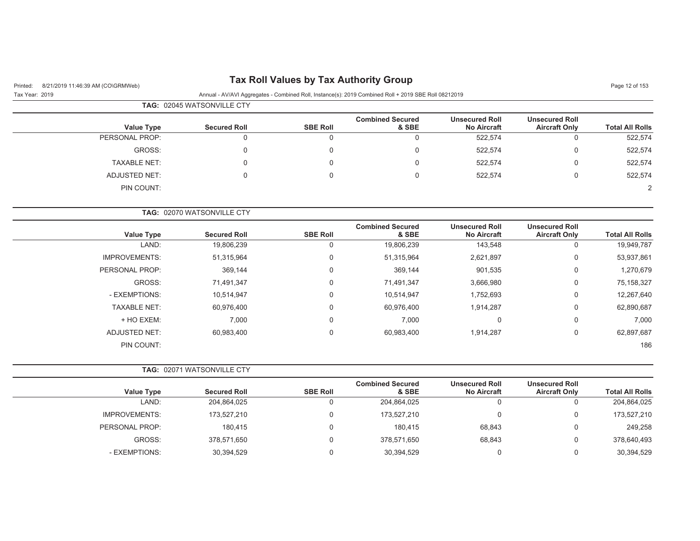## Printed: 8/21/2019 11:46:39 AM (CO\GRMWeb) **Tax Roll Values by Tax Authority Group** Page 12 of 153

|                     | <b>TAG: 02045 WATSONVILLE CTY</b> |                 |                                  |                                             |                                               |                        |
|---------------------|-----------------------------------|-----------------|----------------------------------|---------------------------------------------|-----------------------------------------------|------------------------|
| <b>Value Type</b>   | <b>Secured Roll</b>               | <b>SBE Roll</b> | <b>Combined Secured</b><br>& SBE | <b>Unsecured Roll</b><br><b>No Aircraft</b> | <b>Unsecured Roll</b><br><b>Aircraft Only</b> | <b>Total All Rolls</b> |
| PERSONAL PROP:      |                                   |                 |                                  | 522,574                                     | 0                                             | 522,574                |
| GROSS:              |                                   |                 | $\Omega$                         | 522,574                                     | $\Omega$                                      | 522,574                |
| <b>TAXABLE NET:</b> |                                   |                 | $\Omega$                         | 522.574                                     | $\Omega$                                      | 522,574                |
| ADJUSTED NET:       |                                   |                 |                                  | 522.574                                     | 0                                             | 522,574                |
| PIN COUNT:          |                                   |                 |                                  |                                             |                                               |                        |

|                        |                                               |                                             |                                  |                 | <b>TAG: 02070 WATSONVILLE CTY</b> |                      |
|------------------------|-----------------------------------------------|---------------------------------------------|----------------------------------|-----------------|-----------------------------------|----------------------|
| <b>Total All Rolls</b> | <b>Unsecured Roll</b><br><b>Aircraft Only</b> | <b>Unsecured Roll</b><br><b>No Aircraft</b> | <b>Combined Secured</b><br>& SBE | <b>SBE Roll</b> | <b>Secured Roll</b>               | <b>Value Type</b>    |
| 19,949,787             | 0                                             | 143,548                                     | 19,806,239                       |                 | 19,806,239                        | LAND:                |
| 53,937,861             | 0                                             | 2,621,897                                   | 51,315,964                       | 0               | 51,315,964                        | <b>IMPROVEMENTS:</b> |
| 1,270,679              | 0                                             | 901,535                                     | 369,144                          | $\Omega$        | 369,144                           | PERSONAL PROP:       |
| 75,158,327             | $\Omega$                                      | 3,666,980                                   | 71,491,347                       | $\Omega$        | 71,491,347                        | GROSS:               |
| 12,267,640             | $\Omega$                                      | 1,752,693                                   | 10,514,947                       | $\Omega$        | 10,514,947                        | - EXEMPTIONS:        |
| 62,890,687             | $\mathbf 0$                                   | 1,914,287                                   | 60,976,400                       | $\Omega$        | 60,976,400                        | <b>TAXABLE NET:</b>  |
| 7,000                  | 0                                             | 0                                           | 7,000                            |                 | 7,000                             | + HO EXEM:           |
| 62,897,687             | 0                                             | 1,914,287                                   | 60,983,400                       | $\Omega$        | 60,983,400                        | <b>ADJUSTED NET:</b> |
| 186                    |                                               |                                             |                                  |                 |                                   | PIN COUNT:           |
|                        |                                               |                                             |                                  |                 |                                   |                      |

|                   | <b>TAG: 02071 WATSONVILLE CTY</b> |                 |                                  |                                             |                                               |                        |
|-------------------|-----------------------------------|-----------------|----------------------------------|---------------------------------------------|-----------------------------------------------|------------------------|
| <b>Value Type</b> | <b>Secured Roll</b>               | <b>SBE Roll</b> | <b>Combined Secured</b><br>& SBE | <b>Unsecured Roll</b><br><b>No Aircraft</b> | <b>Unsecured Roll</b><br><b>Aircraft Only</b> | <b>Total All Rolls</b> |
| LAND:             | 204,864,025                       | 0               | 204,864,025                      |                                             | 0                                             | 204,864,025            |
| IMPROVEMENTS:     | 173.527.210                       | 0               | 173.527.210                      |                                             | 0                                             | 173,527,210            |
| PERSONAL PROP:    | 180.415                           | 0               | 180.415                          | 68,843                                      | $\overline{0}$                                | 249,258                |
| GROSS:            | 378,571,650                       | 0               | 378,571,650                      | 68,843                                      | $\overline{0}$                                | 378,640,493            |
| - EXEMPTIONS:     | 30,394,529                        | 0               | 30,394,529                       |                                             | 0                                             | 30,394,529             |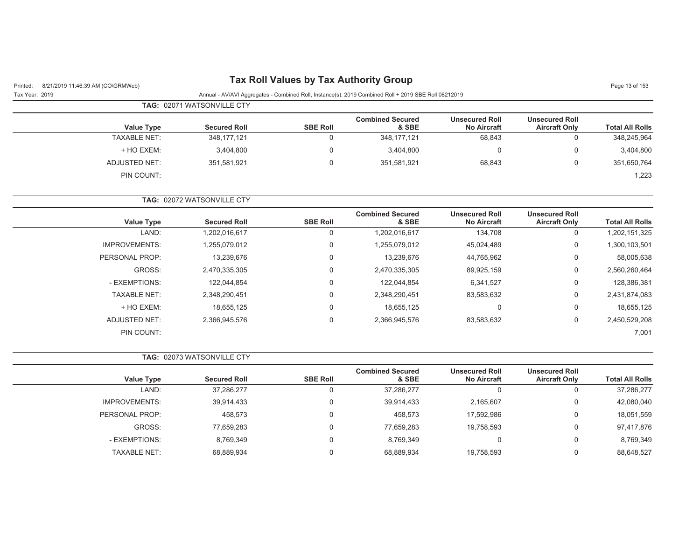| Tax Roll Values by Tax Authority Group |  |  |  |  |
|----------------------------------------|--|--|--|--|
|----------------------------------------|--|--|--|--|

| Page 13 of 1 |  |  |
|--------------|--|--|
|              |  |  |

| Tax Year: 2019 | Annual - AV/AVI Aggregates - Combined Roll, Instance(s): 2019 Combined Roll + 2019 SBE Roll 08212019 |  |
|----------------|------------------------------------------------------------------------------------------------------|--|

| TAG: 02071 WATSONVILLE CTY |
|----------------------------|
|                            |

| <b>Value Type</b>   | <b>Secured Roll</b> | <b>SBE Roll</b> | <b>Combined Secured</b><br>& SBE | <b>Unsecured Roll</b><br><b>No Aircraft</b> | <b>Unsecured Roll</b><br><b>Aircraft Only</b> | <b>Total All Rolls</b> |
|---------------------|---------------------|-----------------|----------------------------------|---------------------------------------------|-----------------------------------------------|------------------------|
| <b>TAXABLE NET:</b> | 348,177,121         |                 | 348,177,121                      | 68,843                                      | υ                                             | 348,245,964            |
| + HO EXEM:          | 3,404,800           |                 | 3,404,800                        |                                             | 0                                             | 3,404,800              |
| ADJUSTED NET:       | 351.581.921         |                 | 351.581.921                      | 68,843                                      |                                               | 351,650,764            |
| PIN COUNT:          |                     |                 |                                  |                                             |                                               | 1,223                  |

**TAG:** 02072 WATSONVILLE CTY

| <b>Value Type</b>    | <b>Secured Roll</b> | <b>SBE Roll</b> | <b>Combined Secured</b><br>& SBE | <b>Unsecured Roll</b><br><b>No Aircraft</b> | <b>Unsecured Roll</b><br><b>Aircraft Only</b> | <b>Total All Rolls</b> |
|----------------------|---------------------|-----------------|----------------------------------|---------------------------------------------|-----------------------------------------------|------------------------|
| LAND:                | 1,202,016,617       | 0               | ,202,016,617                     | 134,708                                     | 0                                             | 1,202,151,325          |
| <b>IMPROVEMENTS:</b> | .255,079,012        | 0               | .255,079,012                     | 45,024,489                                  | 0                                             | 1,300,103,501          |
| PERSONAL PROP:       | 13,239,676          | $\mathbf 0$     | 13,239,676                       | 44,765,962                                  | 0                                             | 58,005,638             |
| GROSS:               | 2,470,335,305       | 0               | 2,470,335,305                    | 89,925,159                                  | 0                                             | 2,560,260,464          |
| - EXEMPTIONS:        | 122.044.854         | $\mathbf 0$     | 122.044.854                      | 6,341,527                                   | 0                                             | 128,386,381            |
| <b>TAXABLE NET:</b>  | 2,348,290,451       | $\Omega$        | 2,348,290,451                    | 83,583,632                                  | 0                                             | 2,431,874,083          |
| + HO EXEM:           | 18.655.125          | $\mathbf 0$     | 18.655.125                       | 0                                           | 0                                             | 18,655,125             |
| <b>ADJUSTED NET:</b> | 2,366,945,576       | $\Omega$        | 2,366,945,576                    | 83,583,632                                  | 0                                             | 2,450,529,208          |
| PIN COUNT:           |                     |                 |                                  |                                             |                                               | 7,001                  |

|  |  | <b>TAG: 02073 WATSONVILLE CTY</b> |
|--|--|-----------------------------------|
|--|--|-----------------------------------|

| <b>Value Type</b>    | <b>Secured Roll</b> | <b>SBE Roll</b> | <b>Combined Secured</b><br>& SBE | <b>Unsecured Roll</b><br><b>No Aircraft</b> | <b>Unsecured Roll</b><br><b>Aircraft Only</b> | <b>Total All Rolls</b> |
|----------------------|---------------------|-----------------|----------------------------------|---------------------------------------------|-----------------------------------------------|------------------------|
| LAND:                | 37,286,277          | υ               | 37,286,277                       | U                                           | 0                                             | 37,286,277             |
| <b>IMPROVEMENTS:</b> | 39,914,433          | 0               | 39,914,433                       | 2,165,607                                   | 0                                             | 42,080,040             |
| PERSONAL PROP:       | 458.573             | 0               | 458.573                          | 17,592,986                                  | 0                                             | 18,051,559             |
| GROSS:               | 77,659,283          |                 | 77,659,283                       | 19,758,593                                  | 0                                             | 97,417,876             |
| - EXEMPTIONS:        | 8,769,349           | $\Omega$        | 8.769.349                        | U                                           | 0                                             | 8,769,349              |
| TAXABLE NET:         | 68,889,934          |                 | 68,889,934                       | 19,758,593                                  | 0                                             | 88,648,527             |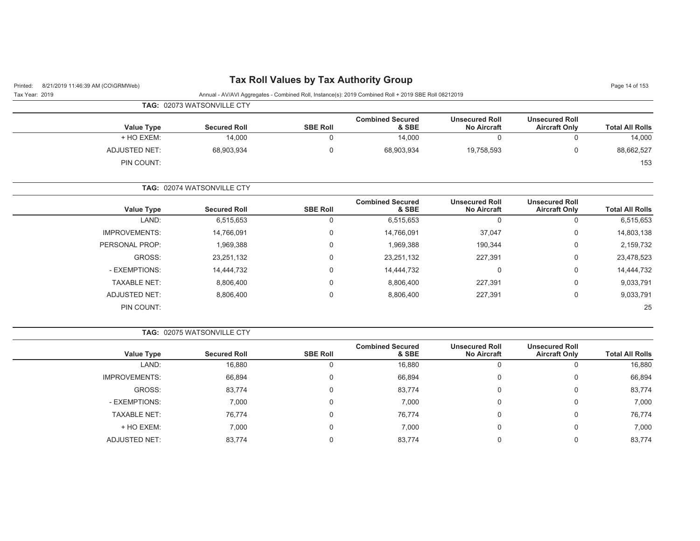PIN COUNT:

| Printed:       | 8/21/2019 11:46:39 AM (CO\GRMWeb) |                                   |                 | <b>Tax Roll Values by Tax Authority Group</b>                                                        |                                             |                                               | Page 14 of 153         |  |  |
|----------------|-----------------------------------|-----------------------------------|-----------------|------------------------------------------------------------------------------------------------------|---------------------------------------------|-----------------------------------------------|------------------------|--|--|
| Tax Year: 2019 |                                   |                                   |                 | Annual - AV/AVI Aggregates - Combined Roll, Instance(s): 2019 Combined Roll + 2019 SBE Roll 08212019 |                                             |                                               |                        |  |  |
|                |                                   | <b>TAG: 02073 WATSONVILLE CTY</b> |                 |                                                                                                      |                                             |                                               |                        |  |  |
|                | <b>Value Type</b>                 | <b>Secured Roll</b>               | <b>SBE Roll</b> | <b>Combined Secured</b><br>& SBE                                                                     | <b>Unsecured Roll</b><br><b>No Aircraft</b> | <b>Unsecured Roll</b><br><b>Aircraft Only</b> | <b>Total All Rolls</b> |  |  |
|                | + HO EXEM:                        | 14,000                            |                 | 14,000                                                                                               | 0                                           | 0                                             | 14,000                 |  |  |
|                | ADJUSTED NET:                     | 68,903,934                        | $\Omega$        | 68,903,934                                                                                           | 19,758,593                                  | 0                                             | 88,662,527             |  |  |
|                | PIN COUNT:                        |                                   |                 |                                                                                                      |                                             |                                               | 153                    |  |  |
|                |                                   | TAG: 02074 WATSONVILLE CTY        |                 |                                                                                                      |                                             |                                               |                        |  |  |
|                | <b>Value Type</b>                 | <b>Secured Roll</b>               | <b>SBE Roll</b> | <b>Combined Secured</b><br>& SBE                                                                     | <b>Unsecured Roll</b><br><b>No Aircraft</b> | <b>Unsecured Roll</b><br><b>Aircraft Only</b> | <b>Total All Rolls</b> |  |  |
|                | LAND:                             | 6,515,653                         |                 | 6,515,653                                                                                            | 0                                           | 0                                             | 6,515,653              |  |  |
|                | <b>IMPROVEMENTS:</b>              | 14,766,091                        | 0               | 14,766,091                                                                                           | 37,047                                      | 0                                             | 14,803,138             |  |  |

PERSONAL PROP: 1,969,388 0 1,969,388 0 1,969,388 190,344 0 2,159,732

GROSS: 23,251,132 0 23,251,132 227,391 0 23,478,523 - EXEMPTIONS: 14,444,732 0 14,444,732 0 0 14,444,732 TAXABLE NET: 8,806,400 0 8,806,400 227,391 0 9,033,791 ADJUSTED NET:  $8,806,400$  0  $8,806,400$  8,806,400 227,391 0 9,033,791

е произведения с произведения с произведения с произведения с произведения с произведения с произведения с про<br>С 1990 году с произведения с произведения с произведения с произведения с произведения с произведения с произв

|                      | <b>TAG: 02075 WATSONVILLE CTY</b> |                 |                                  |                                             |                                               |                        |  |
|----------------------|-----------------------------------|-----------------|----------------------------------|---------------------------------------------|-----------------------------------------------|------------------------|--|
| <b>Value Type</b>    | <b>Secured Roll</b>               | <b>SBE Roll</b> | <b>Combined Secured</b><br>& SBE | <b>Unsecured Roll</b><br><b>No Aircraft</b> | <b>Unsecured Roll</b><br><b>Aircraft Only</b> | <b>Total All Rolls</b> |  |
| LAND:                | 16,880                            |                 | 16,880                           |                                             | 0                                             | 16,880                 |  |
| <b>IMPROVEMENTS:</b> | 66,894                            | 0               | 66,894                           | 0                                           | 0                                             | 66,894                 |  |
| GROSS:               | 83,774                            | 0               | 83,774                           | 0                                           | 0                                             | 83,774                 |  |
| - EXEMPTIONS:        | 7,000                             | 0               | 7,000                            | 0                                           | 0                                             | 7,000                  |  |
| <b>TAXABLE NET:</b>  | 76,774                            | $\overline{0}$  | 76,774                           |                                             | 0                                             | 76,774                 |  |
| + HO EXEM:           | 7,000                             | 0               | 7,000                            | 0                                           | 0                                             | 7,000                  |  |
| ADJUSTED NET:        | 83,774                            |                 | 83,774                           |                                             | 0                                             | 83,774                 |  |

25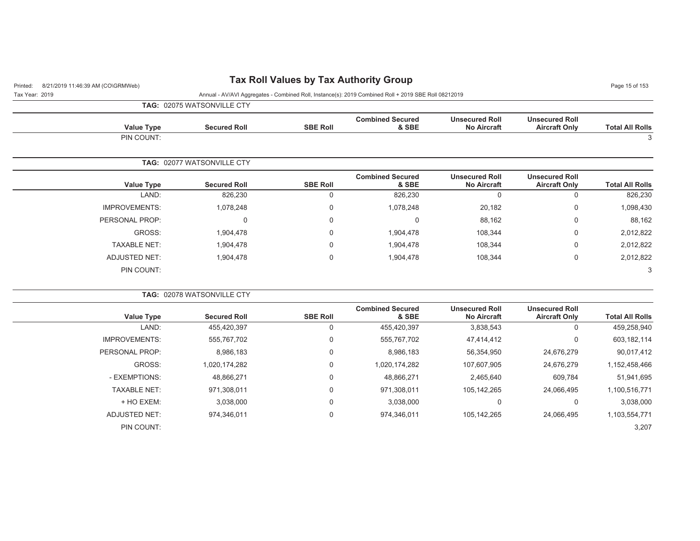## Printed: 8/21/2019 11:46:39 AM (CO\GRMWeb) **Tax Roll Values by Tax Authority Group** Page 15 of 153

Tax Year: 2019 Annual - AV/AVI Aggregates - Combined Roll, Instance(s): 2019 Combined Roll + 2019 SBE Roll 08212019

**TAG:** 02075 WATSONVILLE CTY

| <b>Value Type</b><br>PIN COUNT: | <b>Secured Roll</b>               | <b>SBE Roll</b>             | <b>Combined Secured</b><br>& SBE | <b>Unsecured Roll</b><br><b>No Aircraft</b> | <b>Unsecured Roll</b><br><b>Aircraft Only</b> | <b>Total All Rolls</b><br>3 |
|---------------------------------|-----------------------------------|-----------------------------|----------------------------------|---------------------------------------------|-----------------------------------------------|-----------------------------|
|                                 | <b>TAG: 02077 WATSONVILLE CTY</b> |                             |                                  |                                             |                                               |                             |
| <b>Value Type</b>               | <b>Secured Roll</b>               | <b>SBE Roll</b>             | <b>Combined Secured</b><br>& SBE | <b>Unsecured Roll</b><br><b>No Aircraft</b> | <b>Unsecured Roll</b><br><b>Aircraft Only</b> | <b>Total All Rolls</b>      |
| LAND:                           | 826,230                           | $\Omega$                    | 826,230                          | $\Omega$                                    | 0                                             | 826,230                     |
| <b>IMPROVEMENTS:</b>            | 1,078,248                         | 0                           | 1,078,248                        | 20,182                                      | 0                                             | 1,098,430                   |
| PERSONAL PROP:                  |                                   | $\mathbf 0$<br>$\mathbf{0}$ | $\mathbf{0}$                     | 88,162                                      | 0                                             | 88,162                      |
| GROSS:                          | 1,904,478                         | 0                           | 1,904,478                        | 108,344                                     | $\mathbf 0$                                   | 2,012,822                   |
| <b>TAXABLE NET:</b>             | 1,904,478                         | 0                           | 1,904,478                        | 108,344                                     | 0                                             | 2,012,822                   |
| ADJUSTED NET:                   | 1,904,478                         | 0                           | 1,904,478                        | 108,344                                     | 0                                             | 2,012,822                   |
| PIN COUNT:                      |                                   |                             |                                  |                                             |                                               | 3                           |

| <b>TAG: 02078 WATSONVILLE CTY</b> |  |
|-----------------------------------|--|
|                                   |  |

|                      |                     |                 | <b>Combined Secured</b> | <b>Unsecured Roll</b> | <b>Unsecured Roll</b> |                        |
|----------------------|---------------------|-----------------|-------------------------|-----------------------|-----------------------|------------------------|
| <b>Value Type</b>    | <b>Secured Roll</b> | <b>SBE Roll</b> | & SBE                   | <b>No Aircraft</b>    | <b>Aircraft Only</b>  | <b>Total All Rolls</b> |
| LAND:                | 455,420,397         | 0               | 455,420,397             | 3,838,543             | 0                     | 459,258,940            |
| <b>IMPROVEMENTS:</b> | 555,767,702         | $\mathbf 0$     | 555,767,702             | 47,414,412            | 0                     | 603,182,114            |
| PERSONAL PROP:       | 8,986,183           | 0               | 8,986,183               | 56,354,950            | 24,676,279            | 90,017,412             |
| GROSS:               | 1,020,174,282       | $\mathbf 0$     | 1,020,174,282           | 107,607,905           | 24.676.279            | 1,152,458,466          |
| - EXEMPTIONS:        | 48,866,271          | $\mathbf 0$     | 48.866.271              | 2,465,640             | 609,784               | 51,941,695             |
| <b>TAXABLE NET:</b>  | 971,308,011         | 0               | 971,308,011             | 105,142,265           | 24,066,495            | 1,100,516,771          |
| + HO EXEM:           | 3.038.000           | $\mathbf 0$     | 3,038,000               | 0                     | 0                     | 3,038,000              |
| ADJUSTED NET:        | 974,346,011         | $\mathbf 0$     | 974,346,011             | 105,142,265           | 24.066.495            | 1,103,554,771          |
| PIN COUNT:           |                     |                 |                         |                       |                       | 3,207                  |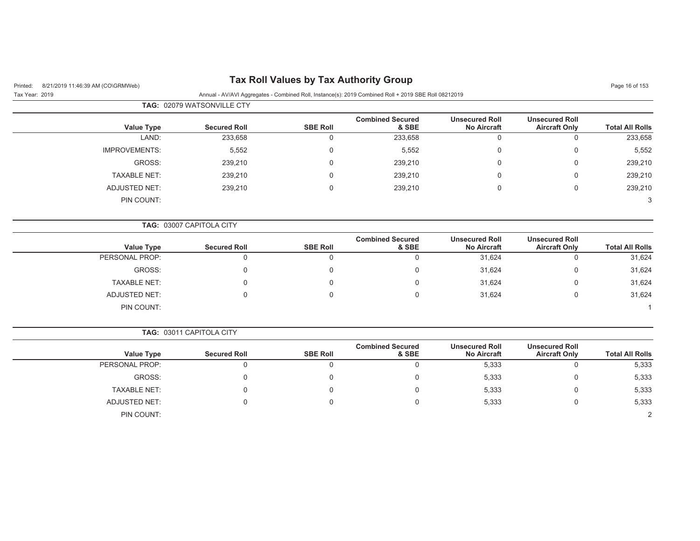| 8/21/2019 11:46:39 AM (CO\GRMWeb)<br>Printed: |                            |                 | <b>Tax Roll Values by Tax Authority Group</b>                                                        |                                             |                                               | Page 16 of 153         |
|-----------------------------------------------|----------------------------|-----------------|------------------------------------------------------------------------------------------------------|---------------------------------------------|-----------------------------------------------|------------------------|
| Tax Year: 2019                                |                            |                 | Annual - AV/AVI Aggregates - Combined Roll, Instance(s): 2019 Combined Roll + 2019 SBE Roll 08212019 |                                             |                                               |                        |
|                                               | TAG: 02079 WATSONVILLE CTY |                 |                                                                                                      |                                             |                                               |                        |
| <b>Value Type</b>                             | <b>Secured Roll</b>        | <b>SBE Roll</b> | <b>Combined Secured</b><br>& SBE                                                                     | <b>Unsecured Roll</b><br><b>No Aircraft</b> | <b>Unsecured Roll</b><br><b>Aircraft Only</b> | <b>Total All Rolls</b> |
| LAND:                                         | 233,658                    | $\mathbf 0$     | 233,658                                                                                              | 0                                           | $\pmb{0}$                                     | 233,658                |
| <b>IMPROVEMENTS:</b>                          | 5,552                      | 0               | 5,552                                                                                                | 0                                           | $\mathbf 0$                                   | 5,552                  |
| GROSS:                                        | 239,210                    | 0               | 239,210                                                                                              | $\mathbf 0$                                 | $\mathbf 0$                                   | 239,210                |
| <b>TAXABLE NET:</b>                           | 239,210                    | $\Omega$        | 239,210                                                                                              | 0                                           | $\mathbf 0$                                   | 239,210                |
| <b>ADJUSTED NET:</b>                          | 239,210                    | $\Omega$        | 239,210                                                                                              | 0                                           | $\mathbf 0$                                   | 239,210                |
| PIN COUNT:                                    |                            |                 |                                                                                                      |                                             |                                               | 3                      |
|                                               | TAG: 03007 CAPITOLA CITY   |                 |                                                                                                      |                                             |                                               |                        |
| <b>Value Type</b>                             | <b>Secured Roll</b>        | <b>SBE Roll</b> | <b>Combined Secured</b><br>& SBE                                                                     | <b>Unsecured Roll</b><br><b>No Aircraft</b> | <b>Unsecured Roll</b><br><b>Aircraft Only</b> | <b>Total All Rolls</b> |
| PERSONAL PROP:                                | $\mathbf 0$                | $\mathbf 0$     | $\mathbf 0$                                                                                          | 31,624                                      | $\mathbf 0$                                   | 31,624                 |
| GROSS:                                        | $\mathbf 0$                | $\Omega$        | $\Omega$                                                                                             | 31,624                                      | $\mathbf 0$                                   | 31,624                 |
| <b>TAXABLE NET:</b>                           | $\Omega$                   | 0               | 0                                                                                                    | 31,624                                      | 0                                             | 31,624                 |
| <b>ADJUSTED NET:</b>                          | $\Omega$                   | 0               | $\mathbf 0$                                                                                          | 31,624                                      | 0                                             | 31,624                 |
| PIN COUNT:                                    |                            |                 |                                                                                                      |                                             |                                               |                        |
|                                               | TAG: 03011 CAPITOLA CITY   |                 |                                                                                                      |                                             |                                               |                        |
| <b>Value Type</b>                             | <b>Secured Roll</b>        | <b>SBE Roll</b> | <b>Combined Secured</b><br>& SBE                                                                     | <b>Unsecured Roll</b><br><b>No Aircraft</b> | <b>Unsecured Roll</b><br><b>Aircraft Only</b> | <b>Total All Rolls</b> |
| PERSONAL PROP:                                | $\mathbf 0$                | $\Omega$        | $\Omega$                                                                                             | 5,333                                       | $\mathbf 0$                                   | 5,333                  |
| GROSS:                                        | $\mathbf 0$                | $\Omega$        | $\Omega$                                                                                             | 5,333                                       | $\mathbf 0$                                   | 5,333                  |
| <b>TAXABLE NET:</b>                           | $\mathbf 0$                | $\Omega$        | 0                                                                                                    | 5,333                                       | 0                                             | 5,333                  |
| <b>ADJUSTED NET:</b>                          | $\mathbf{0}$               | $\Omega$        | 0                                                                                                    | 5,333                                       | $\mathbf 0$                                   | 5,333                  |
| PIN COUNT:                                    |                            |                 |                                                                                                      |                                             |                                               | 2                      |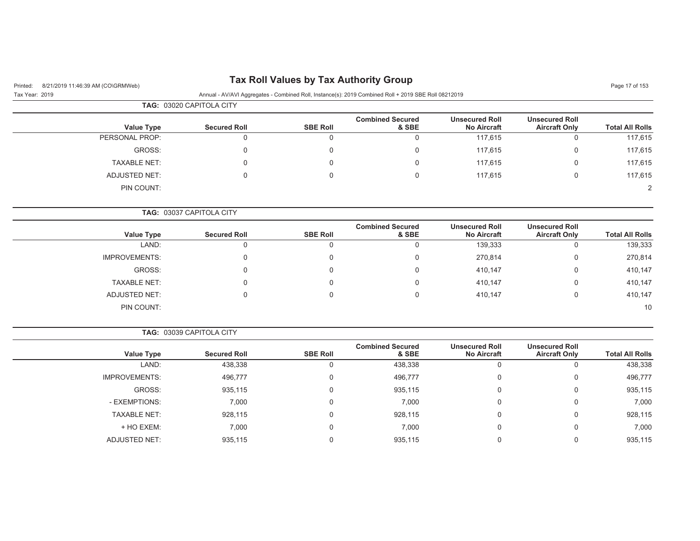## Printed: 8/21/2019 11:46:39 AM (CO\GRMWeb) **Tax Roll Values by Tax Authority Group**

| Page 17 of 153 |  |
|----------------|--|
|----------------|--|

|                     | <b>TAG: 03020 CAPITOLA CITY</b> |                 |                                  |                                             |                                               |                        |  |
|---------------------|---------------------------------|-----------------|----------------------------------|---------------------------------------------|-----------------------------------------------|------------------------|--|
| <b>Value Type</b>   | <b>Secured Roll</b>             | <b>SBE Roll</b> | <b>Combined Secured</b><br>& SBE | <b>Unsecured Roll</b><br><b>No Aircraft</b> | <b>Unsecured Roll</b><br><b>Aircraft Only</b> | <b>Total All Rolls</b> |  |
| PERSONAL PROP:      |                                 |                 |                                  | 117,615                                     |                                               | 117,615                |  |
| GROSS:              |                                 |                 |                                  | 117,615                                     |                                               | 117,615                |  |
| <b>TAXABLE NET:</b> |                                 |                 |                                  | 117,615                                     |                                               | 117,615                |  |
| ADJUSTED NET:       |                                 |                 |                                  | 117,615                                     |                                               | 117,615                |  |
| PIN COUNT:          |                                 |                 |                                  |                                             |                                               | 2                      |  |

|  |  | <b>TAG: 03037 CAPITOLA CITY</b> |  |
|--|--|---------------------------------|--|
|--|--|---------------------------------|--|

| Value Type           | <b>Secured Roll</b> | <b>SBE Roll</b> | <b>Combined Secured</b><br>& SBE | <b>Unsecured Roll</b><br><b>No Aircraft</b> | <b>Unsecured Roll</b><br><b>Aircraft Only</b> | <b>Total All Rolls</b> |
|----------------------|---------------------|-----------------|----------------------------------|---------------------------------------------|-----------------------------------------------|------------------------|
| LAND:                |                     |                 |                                  | 139,333                                     |                                               | 139,333                |
|                      |                     |                 |                                  |                                             |                                               |                        |
| <b>IMPROVEMENTS:</b> | 0                   | 0               |                                  | 270,814                                     | 0                                             | 270,814                |
| GROSS:               |                     | 0               |                                  | 410,147                                     | 0                                             | 410,147                |
| <b>TAXABLE NET:</b>  | 0                   | 0               |                                  | 410,147                                     | 0                                             | 410,147                |
| <b>ADJUSTED NET:</b> |                     | 0               |                                  | 410,147                                     | 0                                             | 410,147                |
| PIN COUNT:           |                     |                 |                                  |                                             |                                               | 10                     |

|                        |                                               |                                             |                                  |                 | <b>TAG: 03039 CAPITOLA CITY</b> |                      |
|------------------------|-----------------------------------------------|---------------------------------------------|----------------------------------|-----------------|---------------------------------|----------------------|
| <b>Total All Rolls</b> | <b>Unsecured Roll</b><br><b>Aircraft Only</b> | <b>Unsecured Roll</b><br><b>No Aircraft</b> | <b>Combined Secured</b><br>& SBE | <b>SBE Roll</b> | <b>Secured Roll</b>             | Value Type           |
| 438,338                |                                               | 0                                           | 438,338                          |                 | 438,338                         | LAND:                |
| 496,777                | 0                                             | 0                                           | 496,777                          | $\Omega$        | 496,777                         | <b>IMPROVEMENTS:</b> |
| 935,115                | 0                                             | 0                                           | 935,115                          | $\Omega$        | 935,115                         | GROSS:               |
| 7,000                  | $\Omega$                                      | 0                                           | 7,000                            |                 | 7,000                           | - EXEMPTIONS:        |
| 928,115                | $\Omega$                                      | 0                                           | 928,115                          | $\Omega$        | 928,115                         | <b>TAXABLE NET:</b>  |
| 7,000                  | $\Omega$                                      | 0                                           | 7,000                            | $\Omega$        | 7,000                           | + HO EXEM:           |
| 935,115                |                                               | 0                                           | 935.115                          |                 | 935,115                         | <b>ADJUSTED NET:</b> |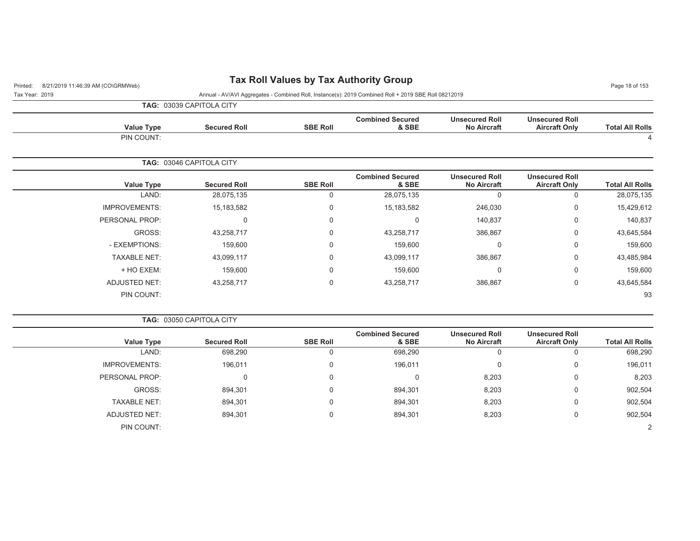## Printed: 8/21/2019 11:46:39 AM (CO\GRMWeb) **Tax Roll Values by Tax Authority Group** Page 18 of 153

Tax Year: 2019 Annual - AV/AVI Aggregates - Combined Roll, Instance(s): 2019 Combined Roll + 2019 SBE Roll 08212019

|                |                      | TAG: 03039 CAPITOLA CITY |                 |                                  |                                             |                                               |                        |
|----------------|----------------------|--------------------------|-----------------|----------------------------------|---------------------------------------------|-----------------------------------------------|------------------------|
|                | <b>Value Type</b>    | <b>Secured Roll</b>      | <b>SBE Roll</b> | <b>Combined Secured</b><br>& SBE | <b>Unsecured Roll</b><br><b>No Aircraft</b> | <b>Unsecured Roll</b><br><b>Aircraft Only</b> | <b>Total All Rolls</b> |
|                | PIN COUNT:           |                          |                 |                                  |                                             |                                               | 4                      |
|                |                      | TAG: 03046 CAPITOLA CITY |                 |                                  |                                             |                                               |                        |
|                | <b>Value Type</b>    | <b>Secured Roll</b>      | <b>SBE Roll</b> | <b>Combined Secured</b><br>& SBE | <b>Unsecured Roll</b><br><b>No Aircraft</b> | <b>Unsecured Roll</b><br><b>Aircraft Only</b> | <b>Total All Rolls</b> |
|                | LAND:                | 28,075,135               | $\Omega$        | 28,075,135                       | $\Omega$                                    | 0                                             | 28,075,135             |
|                | <b>IMPROVEMENTS:</b> | 15,183,582               | $\mathbf 0$     | 15,183,582                       | 246,030                                     | 0                                             | 15,429,612             |
| PERSONAL PROP: |                      | $\Omega$                 | $\mathbf 0$     | $\mathbf 0$                      | 140,837                                     | 0                                             | 140,837                |
|                | GROSS:               | 43,258,717               | $\Omega$        | 43,258,717                       | 386,867                                     | 0                                             | 43,645,584             |
|                | - EXEMPTIONS:        | 159,600                  | $\Omega$        | 159,600                          | $\Omega$                                    | $\mathbf 0$                                   | 159,600                |
|                | <b>TAXABLE NET:</b>  | 43,099,117               | $\Omega$        | 43,099,117                       | 386,867                                     | $\mathbf 0$                                   | 43,485,984             |
|                | + HO EXEM:           | 159,600                  | $\mathbf 0$     | 159,600                          | $\mathbf 0$                                 | 0                                             | 159,600                |
|                | <b>ADJUSTED NET:</b> | 43,258,717               | $\Omega$        | 43,258,717                       | 386,867                                     | 0                                             | 43,645,584             |
|                | PIN COUNT:           |                          |                 |                                  |                                             |                                               | 93                     |

**TAG:** 03050 CAPITOLA CITY

| <b>Value Type</b>    | <b>Secured Roll</b> | <b>SBE Roll</b> | <b>Combined Secured</b><br>& SBE | <b>Unsecured Roll</b><br><b>No Aircraft</b> | <b>Unsecured Roll</b><br><b>Aircraft Only</b> | <b>Total All Rolls</b> |
|----------------------|---------------------|-----------------|----------------------------------|---------------------------------------------|-----------------------------------------------|------------------------|
| LAND:                | 698,290             |                 | 698,290                          | 0                                           | 0                                             | 698,290                |
| <b>IMPROVEMENTS:</b> | 196,011             |                 | 196,011                          | 0                                           | 0                                             | 196,011                |
| PERSONAL PROP:       |                     |                 | 0                                | 8,203                                       | 0                                             | 8,203                  |
| GROSS:               | 894,301             |                 | 894,301                          | 8,203                                       | $\mathbf 0$                                   | 902,504                |
| <b>TAXABLE NET:</b>  | 894,301             |                 | 894,301                          | 8,203                                       | $\mathbf 0$                                   | 902,504                |
| ADJUSTED NET:        | 894,301             |                 | 894,301                          | 8,203                                       | $\mathbf 0$                                   | 902,504                |
| PIN COUNT:           |                     |                 |                                  |                                             |                                               | 2                      |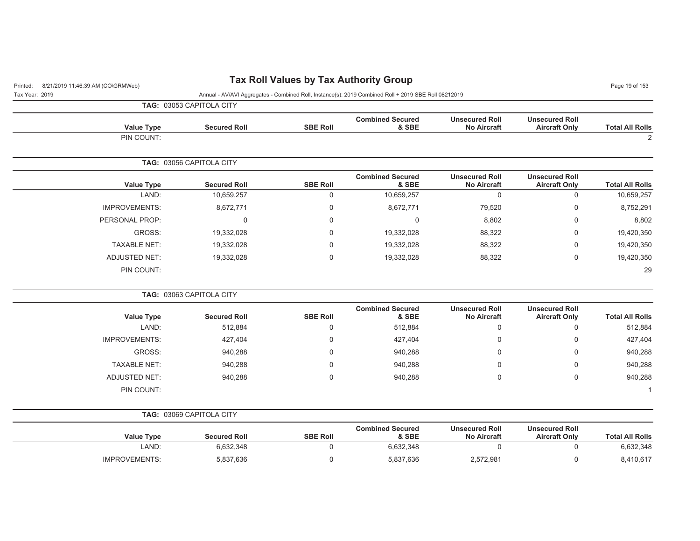| 8/21/2019 11:46:39 AM (CO\GRMWeb)<br>Printed: |                          | Tax Roll Values by Tax Authority Group |                                                                                                      |                                             |                                               | Page 19 of 153         |
|-----------------------------------------------|--------------------------|----------------------------------------|------------------------------------------------------------------------------------------------------|---------------------------------------------|-----------------------------------------------|------------------------|
| Tax Year: 2019                                |                          |                                        | Annual - AV/AVI Aggregates - Combined Roll, Instance(s): 2019 Combined Roll + 2019 SBE Roll 08212019 |                                             |                                               |                        |
|                                               | TAG: 03053 CAPITOLA CITY |                                        |                                                                                                      |                                             |                                               |                        |
| <b>Value Type</b>                             | <b>Secured Roll</b>      | <b>SBE Roll</b>                        | <b>Combined Secured</b><br>& SBE                                                                     | <b>Unsecured Roll</b><br><b>No Aircraft</b> | <b>Unsecured Roll</b><br><b>Aircraft Only</b> | <b>Total All Rolls</b> |
| PIN COUNT:                                    |                          |                                        |                                                                                                      |                                             |                                               | 2                      |
|                                               | TAG: 03056 CAPITOLA CITY |                                        |                                                                                                      |                                             |                                               |                        |
| <b>Value Type</b>                             | <b>Secured Roll</b>      | <b>SBE Roll</b>                        | <b>Combined Secured</b><br>& SBE                                                                     | <b>Unsecured Roll</b><br><b>No Aircraft</b> | <b>Unsecured Roll</b><br><b>Aircraft Only</b> | <b>Total All Rolls</b> |
| LAND:                                         | 10,659,257               | 0                                      | 10,659,257                                                                                           | $\mathbf 0$                                 | 0                                             | 10,659,257             |
| <b>IMPROVEMENTS:</b>                          | 8,672,771                | 0                                      | 8,672,771                                                                                            | 79,520                                      | 0                                             | 8,752,291              |
| PERSONAL PROP:                                | 0                        | 0                                      | 0                                                                                                    | 8,802                                       | 0                                             | 8,802                  |
| GROSS:                                        | 19,332,028               | 0                                      | 19,332,028                                                                                           | 88,322                                      | 0                                             | 19,420,350             |
| <b>TAXABLE NET:</b>                           | 19,332,028               | 0                                      | 19,332,028                                                                                           | 88,322                                      | 0                                             | 19,420,350             |
| <b>ADJUSTED NET:</b>                          | 19,332,028               | 0                                      | 19,332,028                                                                                           | 88,322                                      | $\mathbf 0$                                   | 19,420,350             |
| PIN COUNT:                                    |                          |                                        |                                                                                                      |                                             |                                               | 29                     |
|                                               | TAG: 03063 CAPITOLA CITY |                                        |                                                                                                      |                                             |                                               |                        |
| <b>Value Type</b>                             | <b>Secured Roll</b>      | <b>SBE Roll</b>                        | <b>Combined Secured</b><br>& SBE                                                                     | <b>Unsecured Roll</b><br><b>No Aircraft</b> | <b>Unsecured Roll</b><br><b>Aircraft Only</b> | <b>Total All Rolls</b> |
| LAND:                                         | 512,884                  | 0                                      | 512,884                                                                                              | 0                                           | 0                                             | 512,884                |
| <b>IMPROVEMENTS:</b>                          | 427,404                  | 0                                      | 427,404                                                                                              | 0                                           | 0                                             | 427,404                |
| GROSS:                                        | 940,288                  | 0                                      | 940,288                                                                                              | 0                                           | 0                                             | 940,288                |
| <b>TAXABLE NET:</b>                           | 940,288                  | 0                                      | 940,288                                                                                              | 0                                           | $\mathbf 0$                                   | 940,288                |
| <b>ADJUSTED NET:</b>                          | 940,288                  | 0                                      | 940,288                                                                                              | 0                                           | $\mathbf 0$                                   | 940,288                |
| PIN COUNT:                                    |                          |                                        |                                                                                                      |                                             |                                               | $\mathbf 1$            |
|                                               | TAG: 03069 CAPITOLA CITY |                                        |                                                                                                      |                                             |                                               |                        |
| <b>Value Type</b>                             | <b>Secured Roll</b>      | <b>SBE Roll</b>                        | <b>Combined Secured</b><br>& SBE                                                                     | <b>Unsecured Roll</b><br><b>No Aircraft</b> | <b>Unsecured Roll</b><br><b>Aircraft Only</b> | <b>Total All Rolls</b> |
| LAND:                                         | 6,632,348                | 0                                      | 6,632,348                                                                                            | $\mathbf 0$                                 | $\mathbf 0$                                   | 6,632,348              |
| <b>IMPROVEMENTS:</b>                          | 5,837,636                | 0                                      | 5,837,636                                                                                            | 2,572,981                                   | $\mathbf 0$                                   | 8,410,617              |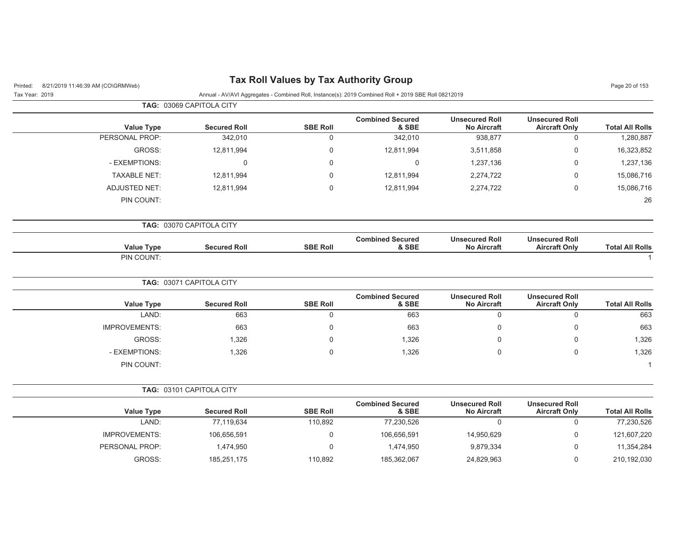|                        |                                               |                                             |                                  |                 | TAG: 03069 CAPITOLA CITY |                      |
|------------------------|-----------------------------------------------|---------------------------------------------|----------------------------------|-----------------|--------------------------|----------------------|
| <b>Total All Rolls</b> | <b>Unsecured Roll</b><br><b>Aircraft Only</b> | <b>Unsecured Roll</b><br><b>No Aircraft</b> | <b>Combined Secured</b><br>& SBE | <b>SBE Roll</b> | <b>Secured Roll</b>      | <b>Value Type</b>    |
| 1,280,887              | $\mathbf 0$                                   | 938,877                                     | 342,010                          | $\mathbf 0$     | 342,010                  | PERSONAL PROP:       |
| 16,323,852             | $\mathbf 0$                                   | 3,511,858                                   | 12,811,994                       | $\mathbf 0$     | 12,811,994               | GROSS:               |
| 1,237,136              | $\mathbf 0$                                   | 1,237,136                                   | 0                                | $\mathbf 0$     | $\mathbf 0$              | - EXEMPTIONS:        |
| 15,086,716             | $\mathbf 0$                                   | 2,274,722                                   | 12,811,994                       | $\mathsf 0$     | 12,811,994               | <b>TAXABLE NET:</b>  |
| 15,086,716             | $\mathbf 0$                                   | 2,274,722                                   | 12,811,994                       | $\mathbf 0$     | 12,811,994               | ADJUSTED NET:        |
| 26                     |                                               |                                             |                                  |                 |                          | PIN COUNT:           |
|                        |                                               |                                             |                                  |                 | TAG: 03070 CAPITOLA CITY |                      |
| <b>Total All Rolls</b> | <b>Unsecured Roll</b><br><b>Aircraft Only</b> | <b>Unsecured Roll</b><br><b>No Aircraft</b> | <b>Combined Secured</b><br>& SBE | <b>SBE Roll</b> | <b>Secured Roll</b>      | <b>Value Type</b>    |
|                        |                                               |                                             |                                  |                 |                          | PIN COUNT:           |
|                        |                                               |                                             |                                  |                 | TAG: 03071 CAPITOLA CITY |                      |
| <b>Total All Rolls</b> | <b>Unsecured Roll</b><br><b>Aircraft Only</b> | <b>Unsecured Roll</b><br><b>No Aircraft</b> | <b>Combined Secured</b><br>& SBE | <b>SBE Roll</b> | <b>Secured Roll</b>      | <b>Value Type</b>    |
| 663                    | $\mathbf 0$                                   | $\mathsf 0$                                 | 663                              | $\mathbf 0$     | 663                      | LAND:                |
| 663                    | $\mathbf 0$                                   | $\Omega$                                    | 663                              | $\mathbf 0$     | 663                      | <b>IMPROVEMENTS:</b> |
| 1,326                  | $\mathbf 0$                                   | $\mathbf{0}$                                | 1,326                            | $\mathbf 0$     | 1,326                    | GROSS:               |
| 1,326                  | $\mathsf{O}\xspace$                           | 0                                           | 1,326                            | $\mathsf 0$     | 1,326                    | - EXEMPTIONS:        |
|                        |                                               |                                             |                                  |                 |                          | PIN COUNT:           |
|                        |                                               |                                             |                                  |                 | TAG: 03101 CAPITOLA CITY |                      |
| <b>Total All Rolls</b> | <b>Unsecured Roll</b><br><b>Aircraft Only</b> | <b>Unsecured Roll</b><br><b>No Aircraft</b> | <b>Combined Secured</b><br>& SBE | <b>SBE Roll</b> | <b>Secured Roll</b>      | <b>Value Type</b>    |
| 77,230,526             | $\mathbf 0$                                   | $\mathbf 0$                                 | 77,230,526                       | 110,892         | 77,119,634               | LAND:                |
| 121,607,220            | $\mathsf 0$                                   | 14,950,629                                  | 106,656,591                      | $\mathsf 0$     | 106,656,591              | <b>IMPROVEMENTS:</b> |
| 11,354,284             | $\mathbf 0$                                   | 9,879,334                                   | 1,474,950                        | $\mathbf 0$     | 1,474,950                | PERSONAL PROP:       |
| 210,192,030            | $\mathbf 0$                                   | 24,829,963                                  | 185,362,067                      | 110,892         | 185,251,175              | GROSS:               |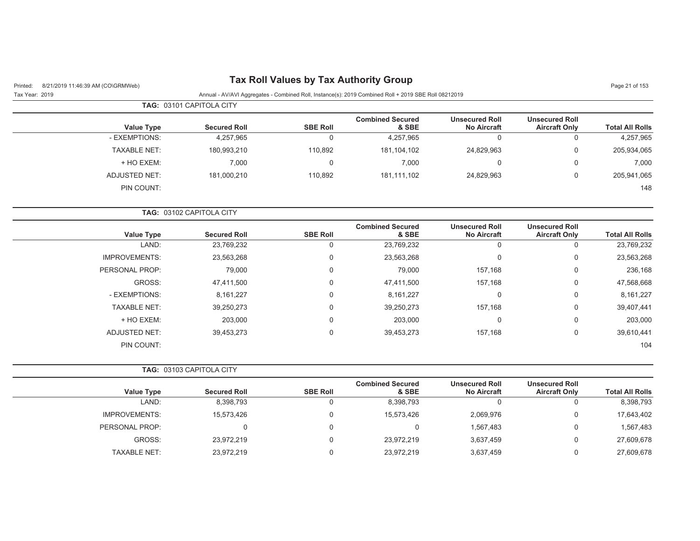| 8/21/2019 11:46:39 AM (CO\GRMWeb)<br>Printed: |                          |                 | <b>Tax Roll Values by Tax Authority Group</b>                                                        |                                             |                                               | Page 21 of 153         |
|-----------------------------------------------|--------------------------|-----------------|------------------------------------------------------------------------------------------------------|---------------------------------------------|-----------------------------------------------|------------------------|
| Tax Year: 2019                                |                          |                 | Annual - AV/AVI Aggregates - Combined Roll, Instance(s): 2019 Combined Roll + 2019 SBE Roll 08212019 |                                             |                                               |                        |
|                                               | TAG: 03101 CAPITOLA CITY |                 |                                                                                                      |                                             |                                               |                        |
| <b>Value Type</b>                             | <b>Secured Roll</b>      | <b>SBE Roll</b> | <b>Combined Secured</b><br>& SBE                                                                     | <b>Unsecured Roll</b><br><b>No Aircraft</b> | <b>Unsecured Roll</b><br><b>Aircraft Only</b> | <b>Total All Rolls</b> |
| - EXEMPTIONS:                                 | 4,257,965                | $\mathbf 0$     | 4,257,965                                                                                            | $\mathbf 0$                                 | $\mathbf 0$                                   | 4,257,965              |
| <b>TAXABLE NET:</b>                           | 180,993,210              | 110,892         | 181,104,102                                                                                          | 24,829,963                                  | $\mathbf 0$                                   | 205,934,065            |
| + HO EXEM:                                    | 7,000                    | 0               | 7,000                                                                                                | 0                                           | $\mathbf 0$                                   | 7,000                  |
| <b>ADJUSTED NET:</b>                          | 181,000,210              | 110,892         | 181,111,102                                                                                          | 24,829,963                                  | $\mathbf 0$                                   | 205,941,065            |
| PIN COUNT:                                    |                          |                 |                                                                                                      |                                             |                                               | 148                    |
|                                               | TAG: 03102 CAPITOLA CITY |                 |                                                                                                      |                                             |                                               |                        |
| <b>Value Type</b>                             | <b>Secured Roll</b>      | <b>SBE Roll</b> | <b>Combined Secured</b><br>& SBE                                                                     | <b>Unsecured Roll</b><br><b>No Aircraft</b> | <b>Unsecured Roll</b><br><b>Aircraft Only</b> | <b>Total All Rolls</b> |
| LAND:                                         | 23,769,232               | $\mathbf 0$     | 23,769,232                                                                                           | $\mathbf 0$                                 | $\mathbf 0$                                   | 23,769,232             |
| <b>IMPROVEMENTS:</b>                          | 23,563,268               | 0               | 23,563,268                                                                                           | 0                                           | $\mathbf 0$                                   | 23,563,268             |
| PERSONAL PROP:                                | 79,000                   | 0               | 79,000                                                                                               | 157,168                                     | $\overline{0}$                                | 236,168                |
| GROSS:                                        | 47,411,500               | 0               | 47,411,500                                                                                           | 157,168                                     | $\mathbf 0$                                   | 47,568,668             |
| - EXEMPTIONS:                                 | 8,161,227                | 0               | 8,161,227                                                                                            | 0                                           | $\overline{0}$                                | 8,161,227              |
| <b>TAXABLE NET:</b>                           | 39,250,273               | 0               | 39,250,273                                                                                           | 157,168                                     | $\mathbf 0$                                   | 39,407,441             |
| + HO EXEM:                                    | 203,000                  | 0               | 203,000                                                                                              | 0                                           | $\mathbf 0$                                   | 203,000                |
| <b>ADJUSTED NET:</b>                          | 39,453,273               | $\Omega$        | 39,453,273                                                                                           | 157,168                                     | $\mathbf 0$                                   | 39,610,441             |
| PIN COUNT:                                    |                          |                 |                                                                                                      |                                             |                                               | 104                    |
|                                               | TAG: 03103 CAPITOLA CITY |                 |                                                                                                      |                                             |                                               |                        |
| <b>Value Type</b>                             | <b>Secured Roll</b>      | <b>SBE Roll</b> | <b>Combined Secured</b><br>& SBE                                                                     | <b>Unsecured Roll</b><br><b>No Aircraft</b> | <b>Unsecured Roll</b><br><b>Aircraft Only</b> | <b>Total All Rolls</b> |
| LAND:                                         | 8,398,793                | 0               | 8,398,793                                                                                            | $\Omega$                                    | $\mathbf 0$                                   | 8,398,793              |
| <b>IMPROVEMENTS:</b>                          | 15,573,426               | 0               | 15,573,426                                                                                           | 2,069,976                                   | $\mathbf 0$                                   | 17,643,402             |
| PERSONAL PROP:                                | 0                        | 0               | $\mathbf 0$                                                                                          | 1,567,483                                   | $\mathbf 0$                                   | 1,567,483              |
| GROSS:                                        | 23,972,219               | 0               | 23,972,219                                                                                           | 3,637,459                                   | $\overline{0}$                                | 27,609,678             |
| <b>TAXABLE NET:</b>                           | 23,972,219               | 0               | 23,972,219                                                                                           | 3,637,459                                   | $\mathbf 0$                                   | 27,609,678             |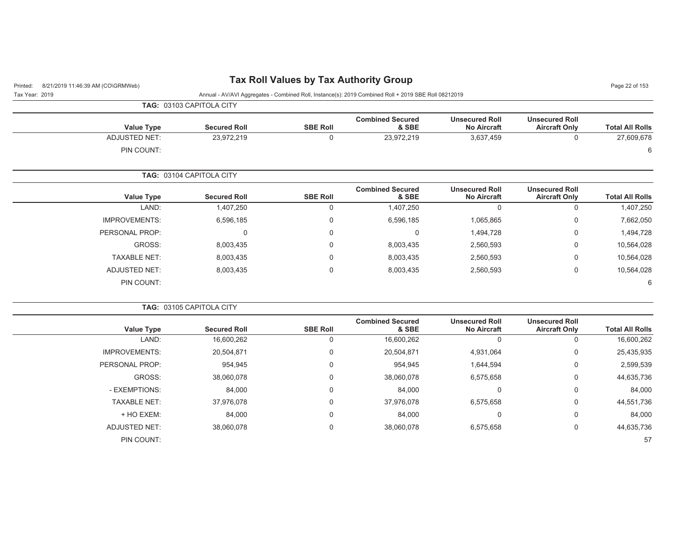| 8/21/2019 11:46:39 AM (CO\GRMWeb)<br>Printed: |                          |                 | <b>Tax Roll Values by Tax Authority Group</b>                                                        |                                             |                                               | Page 22 of 153         |
|-----------------------------------------------|--------------------------|-----------------|------------------------------------------------------------------------------------------------------|---------------------------------------------|-----------------------------------------------|------------------------|
| Tax Year: 2019                                |                          |                 | Annual - AV/AVI Aggregates - Combined Roll, Instance(s): 2019 Combined Roll + 2019 SBE Roll 08212019 |                                             |                                               |                        |
|                                               | TAG: 03103 CAPITOLA CITY |                 |                                                                                                      |                                             |                                               |                        |
| <b>Value Type</b>                             | <b>Secured Roll</b>      | <b>SBE Roll</b> | <b>Combined Secured</b><br>& SBE                                                                     | <b>Unsecured Roll</b><br><b>No Aircraft</b> | <b>Unsecured Roll</b><br><b>Aircraft Only</b> | <b>Total All Rolls</b> |
| <b>ADJUSTED NET:</b>                          | 23,972,219               | $\mathbf 0$     | 23,972,219                                                                                           | 3,637,459                                   | $\mathbf 0$                                   | 27,609,678             |
| PIN COUNT:                                    |                          |                 |                                                                                                      |                                             |                                               | 6                      |
|                                               | TAG: 03104 CAPITOLA CITY |                 |                                                                                                      |                                             |                                               |                        |
| <b>Value Type</b>                             | <b>Secured Roll</b>      | <b>SBE Roll</b> | <b>Combined Secured</b><br>& SBE                                                                     | <b>Unsecured Roll</b><br><b>No Aircraft</b> | <b>Unsecured Roll</b><br><b>Aircraft Only</b> | <b>Total All Rolls</b> |
| LAND:                                         | 1,407,250                | $\mathbf 0$     | 1,407,250                                                                                            | $\mathbf 0$                                 | $\mathbf 0$                                   | 1,407,250              |
| <b>IMPROVEMENTS:</b>                          | 6,596,185                | $\overline{0}$  | 6,596,185                                                                                            | 1,065,865                                   | $\mathbf 0$                                   | 7,662,050              |
| PERSONAL PROP:                                | $\mathbf{0}$             | $\mathbf 0$     | 0                                                                                                    | 1,494,728                                   | $\mathbf 0$                                   | 1,494,728              |
| GROSS:                                        | 8,003,435                | 0               | 8,003,435                                                                                            | 2,560,593                                   | 0                                             | 10,564,028             |
| <b>TAXABLE NET:</b>                           | 8,003,435                | 0               | 8,003,435                                                                                            | 2,560,593                                   | 0                                             | 10,564,028             |
| <b>ADJUSTED NET:</b>                          | 8,003,435                | $\mathbf 0$     | 8,003,435                                                                                            | 2,560,593                                   | $\mathbf 0$                                   | 10,564,028             |
| PIN COUNT:                                    |                          |                 |                                                                                                      |                                             |                                               | 6                      |
|                                               | TAG: 03105 CAPITOLA CITY |                 |                                                                                                      |                                             |                                               |                        |
| <b>Value Type</b>                             | <b>Secured Roll</b>      | <b>SBE Roll</b> | <b>Combined Secured</b><br>& SBE                                                                     | <b>Unsecured Roll</b><br><b>No Aircraft</b> | <b>Unsecured Roll</b><br><b>Aircraft Only</b> | <b>Total All Rolls</b> |
| LAND:                                         | 16,600,262               | $\mathbf 0$     | 16,600,262                                                                                           | $\Omega$                                    | $\mathbf 0$                                   | 16,600,262             |
| <b>IMPROVEMENTS:</b>                          | 20,504,871               | 0               | 20,504,871                                                                                           | 4,931,064                                   | 0                                             | 25,435,935             |
| PERSONAL PROP:                                | 954,945                  | 0               | 954,945                                                                                              | 1,644,594                                   | 0                                             | 2,599,539              |
| GROSS:                                        | 38,060,078               | 0               | 38,060,078                                                                                           | 6,575,658                                   | 0                                             | 44,635,736             |
| - EXEMPTIONS:                                 | 84,000                   | 0               | 84,000                                                                                               | $\mathbf 0$                                 | 0                                             | 84,000                 |
| <b>TAXABLE NET:</b>                           | 37,976,078               | 0               | 37,976,078                                                                                           | 6,575,658                                   | 0                                             | 44,551,736             |
| + HO EXEM:                                    | 84,000                   | 0               | 84,000                                                                                               | $\mathbf 0$                                 | 0                                             | 84,000                 |
| <b>ADJUSTED NET:</b>                          | 38,060,078               | 0               | 38,060,078                                                                                           | 6,575,658                                   | $\mathbf 0$                                   | 44,635,736             |
| PIN COUNT:                                    |                          |                 |                                                                                                      |                                             |                                               | 57                     |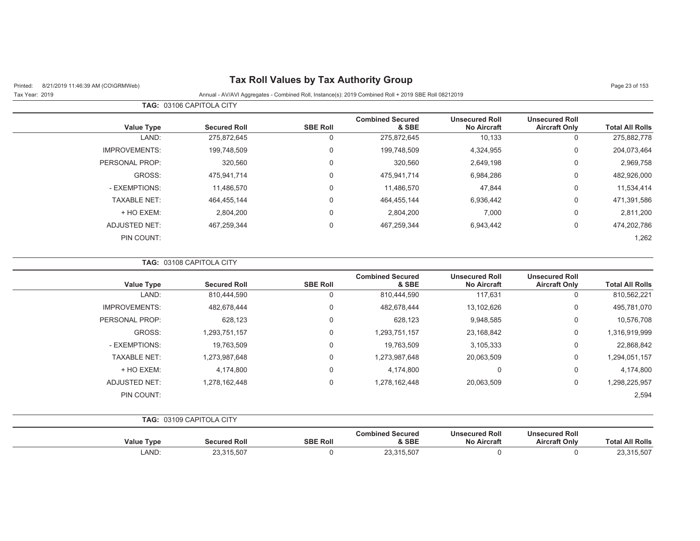| 8/21/2019 11:46:39 AM (CO\GRMWeb)<br>Printed:<br>Tax Year: 2019 | $\frac{1}{2}$<br>Annual - AV/AVI Aggregates - Combined Roll, Instance(s): 2019 Combined Roll + 2019 SBE Roll 08212019 |                 |                                  |                                             |                                               |                        |
|-----------------------------------------------------------------|-----------------------------------------------------------------------------------------------------------------------|-----------------|----------------------------------|---------------------------------------------|-----------------------------------------------|------------------------|
|                                                                 | TAG: 03106 CAPITOLA CITY                                                                                              |                 |                                  |                                             |                                               |                        |
| <b>Value Type</b>                                               | <b>Secured Roll</b>                                                                                                   | <b>SBE Roll</b> | <b>Combined Secured</b><br>& SBE | <b>Unsecured Roll</b><br><b>No Aircraft</b> | <b>Unsecured Roll</b><br><b>Aircraft Only</b> | <b>Total All Rolls</b> |
| LAND:                                                           | 275,872,645                                                                                                           | $\mathbf 0$     | 275,872,645                      | 10,133                                      | $\mathbf 0$                                   | 275,882,778            |
| <b>IMPROVEMENTS:</b>                                            | 199,748,509                                                                                                           | 0               | 199,748,509                      | 4,324,955                                   | $\boldsymbol{0}$                              | 204,073,464            |
| PERSONAL PROP:                                                  | 320,560                                                                                                               | 0               | 320,560                          | 2,649,198                                   | $\mathbf 0$                                   | 2,969,758              |
| GROSS:                                                          | 475,941,714                                                                                                           | 0               | 475,941,714                      | 6,984,286                                   | $\mathbf 0$                                   | 482,926,000            |
| - EXEMPTIONS:                                                   | 11,486,570                                                                                                            | 0               | 11,486,570                       | 47,844                                      | 0                                             | 11,534,414             |
| <b>TAXABLE NET:</b>                                             | 464,455,144                                                                                                           | 0               | 464,455,144                      | 6,936,442                                   | 0                                             | 471,391,586            |
| + HO EXEM:                                                      | 2,804,200                                                                                                             | 0               | 2,804,200                        | 7,000                                       | 0                                             | 2,811,200              |
| <b>ADJUSTED NET:</b>                                            | 467,259,344                                                                                                           | 0               | 467,259,344                      | 6,943,442                                   | $\mathbf 0$                                   | 474,202,786            |
| PIN COUNT:                                                      |                                                                                                                       |                 |                                  |                                             |                                               | 1,262                  |
|                                                                 | TAG: 03108 CAPITOLA CITY                                                                                              |                 |                                  |                                             |                                               |                        |
| <b>Value Type</b>                                               | <b>Secured Roll</b>                                                                                                   | <b>SBE Roll</b> | <b>Combined Secured</b><br>& SBE | <b>Unsecured Roll</b><br><b>No Aircraft</b> | <b>Unsecured Roll</b><br><b>Aircraft Only</b> | <b>Total All Rolls</b> |
| LAND:                                                           | 810,444,590                                                                                                           | 0               | 810,444,590                      | 117,631                                     | 0                                             | 810,562,221            |
| <b>IMPROVEMENTS:</b>                                            | 482,678,444                                                                                                           | 0               | 482,678,444                      | 13,102,626                                  | $\mathbf 0$                                   | 495,781,070            |
| PERSONAL PROP:                                                  | 628,123                                                                                                               | 0               | 628,123                          | 9,948,585                                   | 0                                             | 10,576,708             |
| GROSS:                                                          | 1,293,751,157                                                                                                         | 0               | 1,293,751,157                    | 23,168,842                                  | $\mathbf 0$                                   | 1,316,919,999          |
| - EXEMPTIONS:                                                   | 19,763,509                                                                                                            | 0               | 19,763,509                       | 3,105,333                                   | 0                                             | 22,868,842             |
| <b>TAXABLE NET:</b>                                             | 1,273,987,648                                                                                                         | 0               | 1,273,987,648                    | 20,063,509                                  | 0                                             | 1,294,051,157          |
| + HO EXEM:                                                      | 4,174,800                                                                                                             | 0               | 4,174,800                        | $\mathbf 0$                                 | $\mathbf 0$                                   | 4,174,800              |
| <b>ADJUSTED NET:</b>                                            | 1,278,162,448                                                                                                         | 0               | 1,278,162,448                    | 20,063,509                                  | 0                                             | 1,298,225,957          |
| PIN COUNT:                                                      |                                                                                                                       |                 |                                  |                                             |                                               | 2,594                  |
|                                                                 | TAG: 03109 CAPITOLA CITY                                                                                              |                 |                                  |                                             |                                               |                        |
| <b>Value Type</b>                                               | <b>Secured Roll</b>                                                                                                   | <b>SBE Roll</b> | <b>Combined Secured</b><br>& SBE | <b>Unsecured Roll</b><br><b>No Aircraft</b> | <b>Unsecured Roll</b><br><b>Aircraft Only</b> | <b>Total All Rolls</b> |

LAND: 23,315,507 0 23,315,507 0 0 23,315,507

#### **Tax Roll Values by Tax Authority Group**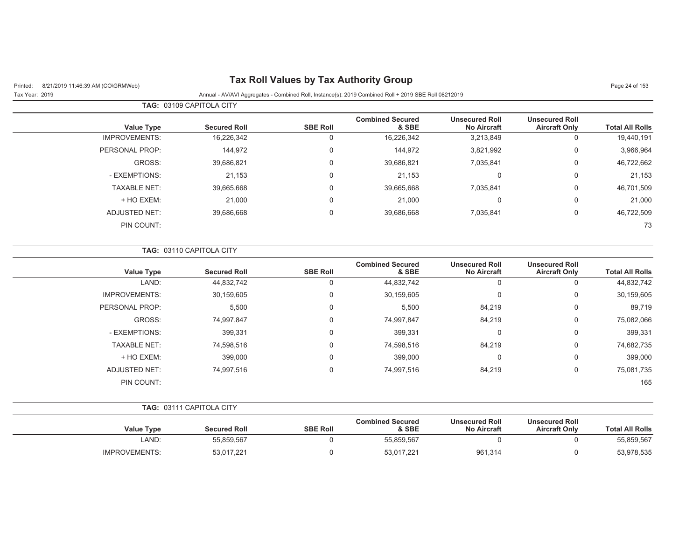## Printed: 8/21/2019 11:46:39 AM (CO\GRMWeb) **Tax Roll Values by Tax Authority Group** Page 24 of 153

|                      | <b>TAG: 03109 CAPITOLA CITY</b> |                 |                                  |                                             |                                               |                        |
|----------------------|---------------------------------|-----------------|----------------------------------|---------------------------------------------|-----------------------------------------------|------------------------|
| Value Type           | <b>Secured Roll</b>             | <b>SBE Roll</b> | <b>Combined Secured</b><br>& SBE | <b>Unsecured Roll</b><br><b>No Aircraft</b> | <b>Unsecured Roll</b><br><b>Aircraft Only</b> | <b>Total All Rolls</b> |
| <b>IMPROVEMENTS:</b> | 16,226,342                      |                 | 16,226,342                       | 3,213,849                                   | 0                                             | 19,440,191             |
| PERSONAL PROP:       | 144,972                         |                 | 144,972                          | 3,821,992                                   | 0                                             | 3,966,964              |
| GROSS:               | 39,686,821                      | $\Omega$        | 39,686,821                       | 7,035,841                                   | $\mathbf 0$                                   | 46,722,662             |
| - EXEMPTIONS:        | 21,153                          |                 | 21,153                           | $\Omega$                                    | 0                                             | 21,153                 |
| <b>TAXABLE NET:</b>  | 39.665.668                      | $\Omega$        | 39.665.668                       | 7,035,841                                   | $\mathbf 0$                                   | 46,701,509             |
| + HO EXEM:           | 21,000                          | 0               | 21,000                           | 0                                           | 0                                             | 21,000                 |
| <b>ADJUSTED NET:</b> | 39,686,668                      | $\Omega$        | 39,686,668                       | 7,035,841                                   | $\mathbf 0$                                   | 46,722,509             |
| PIN COUNT:           |                                 |                 |                                  |                                             |                                               | 73                     |

|                        |                                               |                                             |                                  | <b>TAG: 03110 CAPITOLA CITY</b> |                     |                      |  |  |  |  |
|------------------------|-----------------------------------------------|---------------------------------------------|----------------------------------|---------------------------------|---------------------|----------------------|--|--|--|--|
| <b>Total All Rolls</b> | <b>Unsecured Roll</b><br><b>Aircraft Only</b> | <b>Unsecured Roll</b><br><b>No Aircraft</b> | <b>Combined Secured</b><br>& SBE | <b>SBE Roll</b>                 | <b>Secured Roll</b> | <b>Value Type</b>    |  |  |  |  |
| 44,832,742             | 0                                             | 0                                           | 44,832,742                       | υ                               | 44,832,742          | LAND:                |  |  |  |  |
| 30,159,605             | 0                                             | 0                                           | 30,159,605                       | 0                               | 30,159,605          | <b>IMPROVEMENTS:</b> |  |  |  |  |
| 89,719                 | 0                                             | 84,219                                      | 5,500                            | 0                               | 5,500               | PERSONAL PROP:       |  |  |  |  |
| 75,082,066             | $\mathbf 0$                                   | 84,219                                      | 74,997,847                       | 0                               | 74,997,847          | GROSS:               |  |  |  |  |
| 399,331                | $\mathbf 0$                                   | 0                                           | 399,331                          | 0                               | 399,331             | - EXEMPTIONS:        |  |  |  |  |
| 74,682,735             | $\mathbf 0$                                   | 84,219                                      | 74,598,516                       | 0                               | 74,598,516          | <b>TAXABLE NET:</b>  |  |  |  |  |
| 399,000                | 0                                             | 0                                           | 399,000                          | 0                               | 399,000             | + HO EXEM:           |  |  |  |  |
| 75,081,735             | 0                                             | 84,219                                      | 74,997,516                       | 0                               | 74,997,516          | <b>ADJUSTED NET:</b> |  |  |  |  |
| 165                    |                                               |                                             |                                  |                                 |                     | PIN COUNT:           |  |  |  |  |

|  | <b>TAG: 03111 CAPITOLA CITY</b> |
|--|---------------------------------|
|--|---------------------------------|

| <b>Value Type</b>    | <b>Secured Roll</b> | <b>SBE Roll</b> | <b>Combined Secured</b><br>& SBE | <b>Unsecured Roll</b><br><b>No Aircraft</b> | <b>Unsecured Roll</b><br><b>Aircraft Only</b> | <b>Total All Rolls</b> |
|----------------------|---------------------|-----------------|----------------------------------|---------------------------------------------|-----------------------------------------------|------------------------|
| _AND:                | 55.859.567          |                 | 55,859,567                       |                                             |                                               | 55,859,567             |
| <b>IMPROVEMENTS:</b> | 53,017,221          |                 | 53,017,221                       | 961,314                                     |                                               | 53,978,535             |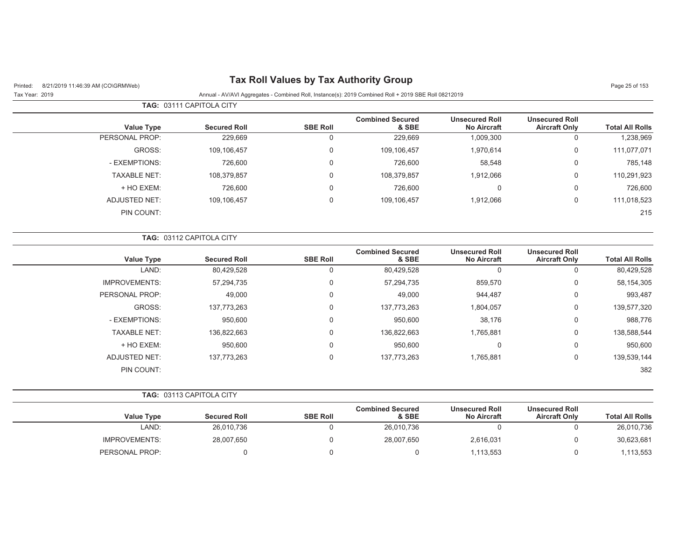| Printed:<br>8/21/2019 11:46:39 AM (CO\GRMWeb) |                          |                 | Tax Roll Values by Tax Authority Group                                                               |                                             |                                               | Page 25 of 153         |
|-----------------------------------------------|--------------------------|-----------------|------------------------------------------------------------------------------------------------------|---------------------------------------------|-----------------------------------------------|------------------------|
| Tax Year: 2019                                |                          |                 | Annual - AV/AVI Aggregates - Combined Roll, Instance(s): 2019 Combined Roll + 2019 SBE Roll 08212019 |                                             |                                               |                        |
|                                               | TAG: 03111 CAPITOLA CITY |                 |                                                                                                      |                                             |                                               |                        |
| <b>Value Type</b>                             | <b>Secured Roll</b>      | <b>SBE Roll</b> | <b>Combined Secured</b><br>& SBE                                                                     | <b>Unsecured Roll</b><br><b>No Aircraft</b> | <b>Unsecured Roll</b><br><b>Aircraft Only</b> | <b>Total All Rolls</b> |
| PERSONAL PROP:                                | 229,669                  | $\mathbf 0$     | 229,669                                                                                              | 1,009,300                                   | $\mathbf 0$                                   | 1,238,969              |
| GROSS:                                        | 109,106,457              | $\Omega$        | 109,106,457                                                                                          | 1,970,614                                   | 0                                             | 111,077,071            |
| - EXEMPTIONS:                                 | 726,600                  | $\Omega$        | 726,600                                                                                              | 58,548                                      | 0                                             | 785,148                |
| <b>TAXABLE NET:</b>                           | 108,379,857              | 0               | 108,379,857                                                                                          | 1,912,066                                   | $\Omega$                                      | 110,291,923            |
| + HO EXEM:                                    | 726,600                  | 0               | 726,600                                                                                              | $\mathbf 0$                                 | $\Omega$                                      | 726,600                |
| <b>ADJUSTED NET:</b>                          | 109,106,457              | 0               | 109,106,457                                                                                          | 1,912,066                                   | 0                                             | 111,018,523            |
| PIN COUNT:                                    |                          |                 |                                                                                                      |                                             |                                               | 215                    |
|                                               | TAG: 03112 CAPITOLA CITY |                 |                                                                                                      |                                             |                                               |                        |
| <b>Value Type</b>                             | <b>Secured Roll</b>      | <b>SBE Roll</b> | <b>Combined Secured</b><br>& SBE                                                                     | <b>Unsecured Roll</b><br><b>No Aircraft</b> | <b>Unsecured Roll</b><br><b>Aircraft Only</b> | <b>Total All Rolls</b> |
| LAND:                                         | 80,429,528               | $\mathbf 0$     | 80,429,528                                                                                           | $\Omega$                                    | 0                                             | 80,429,528             |
| <b>IMPROVEMENTS:</b>                          | 57,294,735               | $\Omega$        | 57,294,735                                                                                           | 859,570                                     | 0                                             | 58,154,305             |
| PERSONAL PROP:                                | 49,000                   | 0               | 49,000                                                                                               | 944,487                                     | $\Omega$                                      | 993,487                |
| GROSS:                                        | 137,773,263              | 0               | 137,773,263                                                                                          | 1,804,057                                   | 0                                             | 139,577,320            |
| - EXEMPTIONS:                                 | 950,600                  | 0               | 950,600                                                                                              | 38,176                                      | 0                                             | 988,776                |
| <b>TAXABLE NET:</b>                           | 136,822,663              | $\Omega$        | 136,822,663                                                                                          | 1,765,881                                   | 0                                             | 138,588,544            |
| + HO EXEM:                                    | 950,600                  | 0               | 950,600                                                                                              | $\mathbf 0$                                 | $\Omega$                                      | 950,600                |
| ADJUSTED NET:                                 | 137,773,263              | $\mathbf 0$     | 137,773,263                                                                                          | 1,765,881                                   | 0                                             | 139,539,144            |
| PIN COUNT:                                    |                          |                 |                                                                                                      |                                             |                                               | 382                    |
|                                               | TAG: 03113 CAPITOLA CITY |                 |                                                                                                      |                                             |                                               |                        |
| Volus Tune                                    | <b>Convert Dell</b>      | <b>CDE DAIL</b> | <b>Combined Secured</b><br>$0$ $CDD$                                                                 | <b>Unsecured Roll</b><br>No Airoraft        | <b>Unsecured Roll</b><br>Airoraft Only        | Total All Dallo        |

|                        | UIISECUIEU KUII      | UIISECUIEU KUII    | <b>COMPREY SECURED</b> |                 |                     |                      |
|------------------------|----------------------|--------------------|------------------------|-----------------|---------------------|----------------------|
| <b>Total All Rolls</b> | <b>Aircraft Only</b> | <b>No Aircraft</b> | & SBE                  | <b>SBE Roll</b> | <b>Secured Roll</b> | <b>Value Type</b>    |
| 26,010,736             |                      |                    | 26,010,736             |                 | 26.010.736          | LAND:                |
| 30,623,681             |                      | 2,616,031          | 28,007,650             |                 | 28,007,650          | <b>IMPROVEMENTS:</b> |
| .113.553               |                      | .113.553           |                        |                 |                     | PERSONAL PROP:       |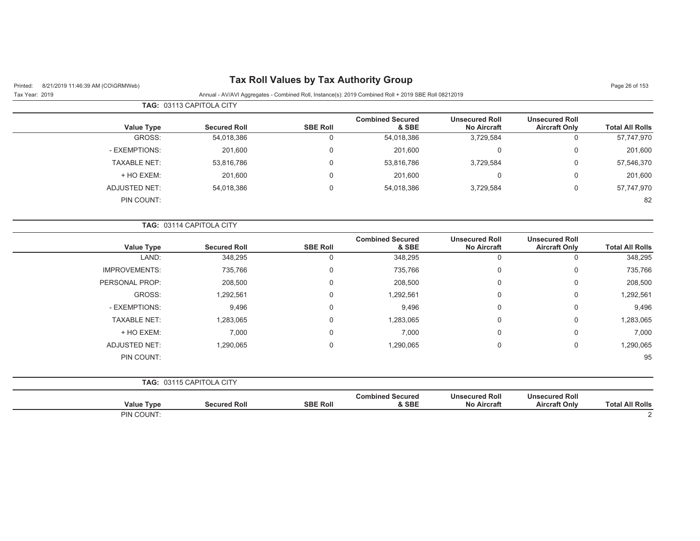| 8/21/2019 11:46:39 AM (CO\GRMWeb)<br>Printed: | <b>I dA INDII VAILLES BY THA AUGHUILLY STOUP</b> |                 |                                                                                                      |                                             |                                               | Page 26 of 153         |
|-----------------------------------------------|--------------------------------------------------|-----------------|------------------------------------------------------------------------------------------------------|---------------------------------------------|-----------------------------------------------|------------------------|
| Tax Year: 2019                                |                                                  |                 | Annual - AV/AVI Aggregates - Combined Roll, Instance(s): 2019 Combined Roll + 2019 SBE Roll 08212019 |                                             |                                               |                        |
|                                               | TAG: 03113 CAPITOLA CITY                         |                 |                                                                                                      |                                             |                                               |                        |
| <b>Value Type</b>                             | <b>Secured Roll</b>                              | <b>SBE Roll</b> | <b>Combined Secured</b><br>& SBE                                                                     | <b>Unsecured Roll</b><br><b>No Aircraft</b> | <b>Unsecured Roll</b><br><b>Aircraft Only</b> | <b>Total All Rolls</b> |
| GROSS:                                        | 54,018,386                                       | 0               | 54,018,386                                                                                           | 3,729,584                                   | $\mathbf 0$                                   | 57,747,970             |
| - EXEMPTIONS:                                 | 201,600                                          | $\Omega$        | 201,600                                                                                              | $\Omega$                                    | 0                                             | 201,600                |
| <b>TAXABLE NET:</b>                           | 53,816,786                                       | 0               | 53,816,786                                                                                           | 3,729,584                                   | 0                                             | 57,546,370             |
| + HO EXEM:                                    | 201,600                                          | $\Omega$        | 201,600                                                                                              | $\mathbf 0$                                 | 0                                             | 201,600                |
| <b>ADJUSTED NET:</b>                          | 54,018,386                                       | 0               | 54,018,386                                                                                           | 3,729,584                                   | 0                                             | 57,747,970             |
| PIN COUNT:                                    |                                                  |                 |                                                                                                      |                                             |                                               | 82                     |
|                                               | TAG: 03114 CAPITOLA CITY                         |                 |                                                                                                      |                                             |                                               |                        |
| <b>Value Type</b>                             | <b>Secured Roll</b>                              | <b>SBE Roll</b> | <b>Combined Secured</b><br>& SBE                                                                     | <b>Unsecured Roll</b><br><b>No Aircraft</b> | <b>Unsecured Roll</b><br><b>Aircraft Only</b> | <b>Total All Rolls</b> |
| LAND:                                         | 348,295                                          | $\Omega$        | 348,295                                                                                              | $\mathbf 0$                                 | $\mathbf 0$                                   | 348,295                |
| IMPROVEMENTS:                                 | 735,766                                          | 0               | 735,766                                                                                              | 0                                           | 0                                             | 735,766                |
| PERSONAL PROP:                                | 208,500                                          | $\Omega$        | 208,500                                                                                              | $\Omega$                                    | 0                                             | 208,500                |
| GROSS:                                        | 1,292,561                                        | 0               | 1,292,561                                                                                            | 0                                           | 0                                             | 1,292,561              |
| - EXEMPTIONS:                                 | 9,496                                            | $\Omega$        | 9,496                                                                                                | $\Omega$                                    | 0                                             | 9,496                  |
| <b>TAXABLE NET:</b>                           | 1,283,065                                        | 0               | 1,283,065                                                                                            | 0                                           | 0                                             | 1,283,065              |
| + HO EXEM:                                    | 7,000                                            | 0               | 7,000                                                                                                | $\mathbf 0$                                 | 0                                             | 7,000                  |
| <b>ADJUSTED NET:</b>                          | 1,290,065                                        | $\Omega$        | 1,290,065                                                                                            | $\mathbf 0$                                 | 0                                             | 1,290,065              |
| PIN COUNT:                                    |                                                  |                 |                                                                                                      |                                             |                                               | 95                     |
|                                               | TAG: 03115 CAPITOLA CITY                         |                 |                                                                                                      |                                             |                                               |                        |
| <b>Value Type</b>                             | <b>Secured Roll</b>                              | <b>SBE Roll</b> | <b>Combined Secured</b><br>& SBE                                                                     | <b>Unsecured Roll</b><br><b>No Aircraft</b> | <b>Unsecured Roll</b><br><b>Aircraft Only</b> | <b>Total All Rolls</b> |
| PIN COUNT:                                    |                                                  |                 |                                                                                                      |                                             |                                               | $\overline{2}$         |

#### **Tax Roll Values by Tax Authority Group**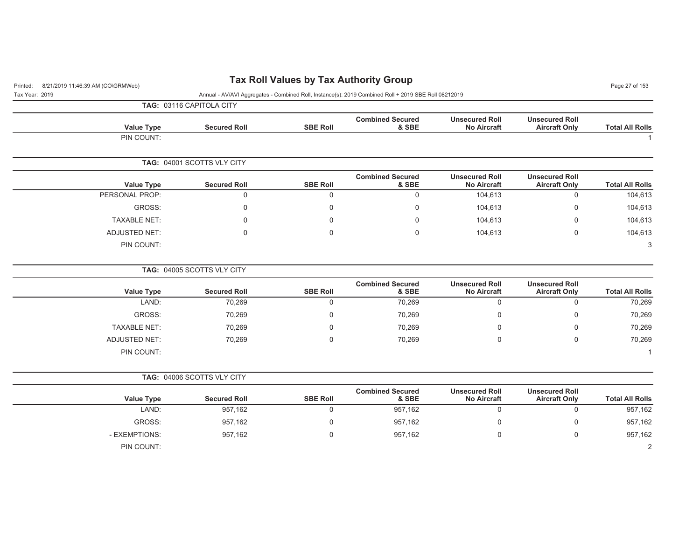| 8/21/2019 11:46:39 AM (CO\GRMWeb)<br>Printed: |                            |                  | <b>Tax Roll Values by Tax Authority Group</b>                                                        |                                             |                                               | Page 27 of 153         |
|-----------------------------------------------|----------------------------|------------------|------------------------------------------------------------------------------------------------------|---------------------------------------------|-----------------------------------------------|------------------------|
| Tax Year: 2019                                |                            |                  | Annual - AV/AVI Aggregates - Combined Roll, Instance(s): 2019 Combined Roll + 2019 SBE Roll 08212019 |                                             |                                               |                        |
|                                               | TAG: 03116 CAPITOLA CITY   |                  |                                                                                                      |                                             |                                               |                        |
| <b>Value Type</b>                             | <b>Secured Roll</b>        | <b>SBE Roll</b>  | <b>Combined Secured</b><br>& SBE                                                                     | <b>Unsecured Roll</b><br><b>No Aircraft</b> | <b>Unsecured Roll</b><br><b>Aircraft Only</b> | <b>Total All Rolls</b> |
| PIN COUNT:                                    |                            |                  |                                                                                                      |                                             |                                               | $\mathbf{1}$           |
|                                               | TAG: 04001 SCOTTS VLY CITY |                  |                                                                                                      |                                             |                                               |                        |
| <b>Value Type</b>                             | <b>Secured Roll</b>        | <b>SBE Roll</b>  | <b>Combined Secured</b><br>& SBE                                                                     | <b>Unsecured Roll</b><br><b>No Aircraft</b> | <b>Unsecured Roll</b><br><b>Aircraft Only</b> | <b>Total All Rolls</b> |
| PERSONAL PROP:                                | $\mathbf 0$                | $\Omega$         | 0                                                                                                    | 104,613                                     | $\mathbf 0$                                   | 104,613                |
| GROSS:                                        | $\mathbf 0$                | $\mathbf 0$      | 0                                                                                                    | 104,613                                     | 0                                             | 104,613                |
| <b>TAXABLE NET:</b>                           | $\Omega$                   | $\Omega$         | $\Omega$                                                                                             | 104,613                                     | $\mathbf 0$                                   | 104,613                |
| <b>ADJUSTED NET:</b>                          | $\mathbf 0$                | $\mathbf 0$      | 0                                                                                                    | 104,613                                     | $\mathbf 0$                                   | 104,613                |
| PIN COUNT:                                    |                            |                  |                                                                                                      |                                             |                                               | 3                      |
|                                               | TAG: 04005 SCOTTS VLY CITY |                  |                                                                                                      |                                             |                                               |                        |
| <b>Value Type</b>                             | <b>Secured Roll</b>        | <b>SBE Roll</b>  | <b>Combined Secured</b><br>& SBE                                                                     | <b>Unsecured Roll</b><br><b>No Aircraft</b> | <b>Unsecured Roll</b><br><b>Aircraft Only</b> | <b>Total All Rolls</b> |
| LAND:                                         | 70,269                     | $\mathsf 0$      | 70,269                                                                                               | $\mathbf 0$                                 | $\mathbf 0$                                   | 70,269                 |
| GROSS:                                        | 70,269                     | $\mathbf 0$      | 70,269                                                                                               | $\mathbf 0$                                 | $\mathbf 0$                                   | 70,269                 |
| <b>TAXABLE NET:</b>                           | 70,269                     | $\mathbf 0$      | 70,269                                                                                               | 0                                           | 0                                             | 70,269                 |
| <b>ADJUSTED NET:</b>                          | 70,269                     | $\Omega$         | 70,269                                                                                               | $\Omega$                                    | $\Omega$                                      | 70,269                 |
| PIN COUNT:                                    |                            |                  |                                                                                                      |                                             |                                               | $\mathbf{1}$           |
|                                               | TAG: 04006 SCOTTS VLY CITY |                  |                                                                                                      |                                             |                                               |                        |
| <b>Value Type</b>                             | <b>Secured Roll</b>        | <b>SBE Roll</b>  | <b>Combined Secured</b><br>& SBE                                                                     | <b>Unsecured Roll</b><br><b>No Aircraft</b> | <b>Unsecured Roll</b><br><b>Aircraft Only</b> | <b>Total All Rolls</b> |
| LAND:                                         | 957,162                    | $\mathbf 0$      | 957,162                                                                                              | $\mathbf 0$                                 | $\mathbf 0$                                   | 957,162                |
| GROSS:                                        | 957,162                    | $\boldsymbol{0}$ | 957,162                                                                                              | $\mathbf 0$                                 | $\mathbf 0$                                   | 957,162                |
| - EXEMPTIONS:                                 | 957,162                    | $\mathbf 0$      | 957,162                                                                                              | 0                                           | $\mathbf 0$                                   | 957,162                |
| PIN COUNT:                                    |                            |                  |                                                                                                      |                                             |                                               | $\overline{2}$         |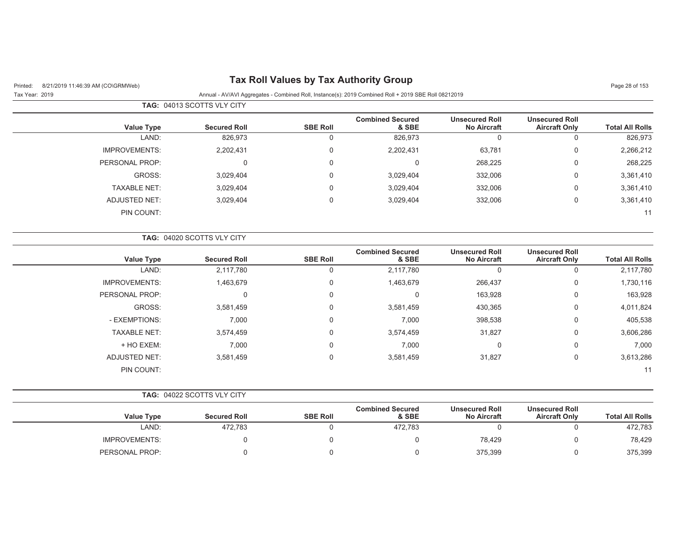| 8/21/2019 11:46:39 AM (CO\GRMWeb)<br>Printed: |                            |                 | <b>Tax Roll Values by Tax Authority Group</b>                                                        |                                             |                                               | Page 28 of 153         |
|-----------------------------------------------|----------------------------|-----------------|------------------------------------------------------------------------------------------------------|---------------------------------------------|-----------------------------------------------|------------------------|
| Tax Year: 2019                                |                            |                 | Annual - AV/AVI Aggregates - Combined Roll, Instance(s): 2019 Combined Roll + 2019 SBE Roll 08212019 |                                             |                                               |                        |
|                                               | TAG: 04013 SCOTTS VLY CITY |                 |                                                                                                      |                                             |                                               |                        |
| <b>Value Type</b>                             | <b>Secured Roll</b>        | <b>SBE Roll</b> | <b>Combined Secured</b><br>& SBE                                                                     | <b>Unsecured Roll</b><br><b>No Aircraft</b> | <b>Unsecured Roll</b><br><b>Aircraft Only</b> | <b>Total All Rolls</b> |
| LAND:                                         | 826,973                    | $\mathbf 0$     | 826,973                                                                                              | $\mathbf 0$                                 | 0                                             | 826,973                |
| <b>IMPROVEMENTS:</b>                          | 2,202,431                  | $\mathbf 0$     | 2,202,431                                                                                            | 63,781                                      | $\boldsymbol{0}$                              | 2,266,212              |
| PERSONAL PROP:                                | $\mathbf 0$                | $\mathbf 0$     | $\mathbf 0$                                                                                          | 268,225                                     | $\mathbf 0$                                   | 268,225                |
| GROSS:                                        | 3,029,404                  | 0               | 3,029,404                                                                                            | 332,006                                     | $\mathbf 0$                                   | 3,361,410              |
| <b>TAXABLE NET:</b>                           | 3,029,404                  | $\Omega$        | 3,029,404                                                                                            | 332,006                                     | $\Omega$                                      | 3,361,410              |
| <b>ADJUSTED NET:</b>                          | 3,029,404                  | 0               | 3,029,404                                                                                            | 332,006                                     | 0                                             | 3,361,410              |
| PIN COUNT:                                    |                            |                 |                                                                                                      |                                             |                                               | 11                     |
|                                               | TAG: 04020 SCOTTS VLY CITY |                 |                                                                                                      |                                             |                                               |                        |
| <b>Value Type</b>                             | <b>Secured Roll</b>        | <b>SBE Roll</b> | <b>Combined Secured</b><br>& SBE                                                                     | <b>Unsecured Roll</b><br><b>No Aircraft</b> | <b>Unsecured Roll</b><br><b>Aircraft Only</b> | <b>Total All Rolls</b> |
| LAND:                                         | 2,117,780                  | $\mathbf 0$     | 2,117,780                                                                                            | $\mathbf 0$                                 | 0                                             | 2,117,780              |
| <b>IMPROVEMENTS:</b>                          | 1,463,679                  | $\mathbf 0$     | 1,463,679                                                                                            | 266,437                                     | $\mathbf 0$                                   | 1,730,116              |
| PERSONAL PROP:                                | 0                          | $\mathbf 0$     | 0                                                                                                    | 163,928                                     | $\boldsymbol{0}$                              | 163,928                |
| GROSS:                                        | 3,581,459                  | $\mathbf 0$     | 3,581,459                                                                                            | 430,365                                     | 0                                             | 4,011,824              |
| - EXEMPTIONS:                                 | 7,000                      | 0               | 7,000                                                                                                | 398,538                                     | 0                                             | 405,538                |
| <b>TAXABLE NET:</b>                           | 3,574,459                  | $\Omega$        | 3,574,459                                                                                            | 31,827                                      | $\mathbf 0$                                   | 3,606,286              |
| + HO EXEM:                                    | 7,000                      | 0               | 7,000                                                                                                | 0                                           | $\Omega$                                      | 7,000                  |
| <b>ADJUSTED NET:</b>                          | 3,581,459                  | $\mathbf 0$     | 3,581,459                                                                                            | 31,827                                      | $\boldsymbol{0}$                              | 3,613,286              |
| PIN COUNT:                                    |                            |                 |                                                                                                      |                                             |                                               | 11                     |
|                                               | TAG: 04022 SCOTTS VLY CITY |                 |                                                                                                      |                                             |                                               |                        |
| <b>Value Type</b>                             | <b>Secured Roll</b>        | <b>SBE Roll</b> | <b>Combined Secured</b><br>& SBE                                                                     | <b>Unsecured Roll</b><br><b>No Aircraft</b> | <b>Unsecured Roll</b><br><b>Aircraft Only</b> | <b>Total All Rolls</b> |
| LAND:                                         | 472,783                    | $\mathbf 0$     | 472,783                                                                                              | $\mathbf 0$                                 | $\mathbf 0$                                   | 472,783                |
| <b>IMPROVEMENTS:</b>                          | 0                          | 0               | 0                                                                                                    | 78,429                                      | 0                                             | 78,429                 |
| PERSONAL PROP:                                | $\mathbf 0$                | $\mathbf 0$     | $\mathbf 0$                                                                                          | 375,399                                     | $\boldsymbol{0}$                              | 375,399                |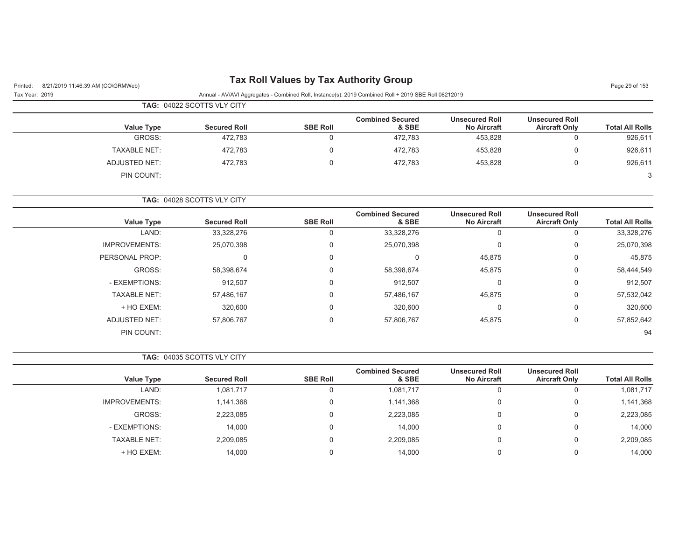| <b>Tax Roll Values by Tax Authority Group</b><br>8/21/2019 11:46:39 AM (CO\GRMWeb)<br>Printed:                         |                     |                            |                 |                                  |                                             |                                               | Page 29 of 153         |
|------------------------------------------------------------------------------------------------------------------------|---------------------|----------------------------|-----------------|----------------------------------|---------------------------------------------|-----------------------------------------------|------------------------|
| Annual - AV/AVI Aggregates - Combined Roll, Instance(s): 2019 Combined Roll + 2019 SBE Roll 08212019<br>Tax Year: 2019 |                     |                            |                 |                                  |                                             |                                               |                        |
|                                                                                                                        |                     | TAG: 04022 SCOTTS VLY CITY |                 |                                  |                                             |                                               |                        |
|                                                                                                                        | <b>Value Type</b>   | <b>Secured Roll</b>        | <b>SBE Roll</b> | <b>Combined Secured</b><br>& SBE | <b>Unsecured Roll</b><br><b>No Aircraft</b> | <b>Unsecured Roll</b><br><b>Aircraft Only</b> | <b>Total All Rolls</b> |
|                                                                                                                        | GROSS:              | 472,783                    |                 | 472.783                          | 453,828                                     |                                               | 926,611                |
|                                                                                                                        | <b>TAXABLE NET:</b> | 472.783                    |                 | 472.783                          | 453.828                                     | $\Omega$                                      | 926.611                |
|                                                                                                                        | ADJUSTED NET:       | 472.783                    |                 | 472.783                          | 453.828                                     | $\Omega$                                      | 926,611                |
|                                                                                                                        | PIN COUNT:          |                            |                 |                                  |                                             |                                               |                        |

**TAG:** 04028 SCOTTS VLY CITY

| <b>Value Type</b>    | <b>Secured Roll</b> | <b>SBE Roll</b> | <b>Combined Secured</b><br>& SBE | <b>Unsecured Roll</b><br><b>No Aircraft</b> | <b>Unsecured Roll</b><br><b>Aircraft Only</b> | <b>Total All Rolls</b> |
|----------------------|---------------------|-----------------|----------------------------------|---------------------------------------------|-----------------------------------------------|------------------------|
| LAND:                | 33,328,276          | 0               | 33,328,276                       | U                                           | 0                                             | 33,328,276             |
| <b>IMPROVEMENTS:</b> | 25,070,398          | $\Omega$        | 25,070,398                       | 0                                           | 0                                             | 25,070,398             |
| PERSONAL PROP:       |                     | $\Omega$        | 0                                | 45,875                                      | 0                                             | 45,875                 |
| GROSS:               | 58,398,674          | $\Omega$        | 58,398,674                       | 45,875                                      | 0                                             | 58,444,549             |
| - EXEMPTIONS:        | 912,507             | $\Omega$        | 912,507                          | C                                           | 0                                             | 912,507                |
| <b>TAXABLE NET:</b>  | 57,486,167          | $\Omega$        | 57,486,167                       | 45,875                                      | 0                                             | 57,532,042             |
| + HO EXEM:           | 320,600             | $\Omega$        | 320,600                          | $\Omega$                                    | 0                                             | 320,600                |
| <b>ADJUSTED NET:</b> | 57,806,767          | $\Omega$        | 57,806,767                       | 45,875                                      | 0                                             | 57,852,642             |
| PIN COUNT:           |                     |                 |                                  |                                             |                                               | 94                     |

**TAG:** 04035 SCOTTS VLY CITY

| <b>Value Type</b>    | <b>Secured Roll</b> | <b>SBE Roll</b> | <b>Combined Secured</b><br>& SBE | <b>Unsecured Roll</b><br><b>No Aircraft</b> | <b>Unsecured Roll</b><br><b>Aircraft Only</b> | <b>Total All Rolls</b> |
|----------------------|---------------------|-----------------|----------------------------------|---------------------------------------------|-----------------------------------------------|------------------------|
| LAND:                | 1,081,717           | 0               | 1,081,717                        | u                                           | υ                                             | 1,081,717              |
| <b>IMPROVEMENTS:</b> | 1,141,368           | $\Omega$        | 1,141,368                        | 0                                           | 0                                             | 1,141,368              |
| GROSS:               | 2,223,085           | 0               | 2,223,085                        | 0                                           | 0                                             | 2,223,085              |
| - EXEMPTIONS:        | 14,000              | 0               | 14,000                           |                                             | 0                                             | 14,000                 |
| <b>TAXABLE NET:</b>  | 2,209,085           | 0               | 2,209,085                        |                                             | 0                                             | 2,209,085              |
| + HO EXEM:           | 14.000              |                 | 14.000                           |                                             | 0                                             | 14,000                 |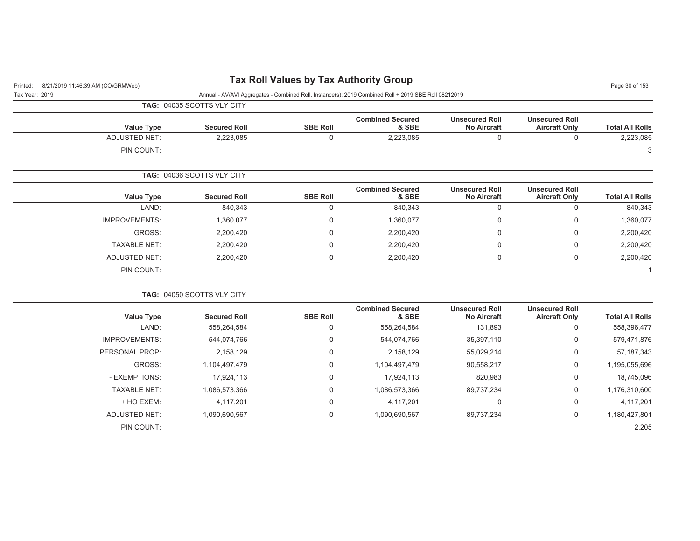| 8/21/2019 11:46:39 AM (CO\GRMWeb)<br>Printed: |                            |                 | <b>Tax Roll Values by Tax Authority Group</b>                                                        |                                             |                                               | Page 30 of 153         |
|-----------------------------------------------|----------------------------|-----------------|------------------------------------------------------------------------------------------------------|---------------------------------------------|-----------------------------------------------|------------------------|
| Tax Year: 2019                                |                            |                 | Annual - AV/AVI Aggregates - Combined Roll, Instance(s): 2019 Combined Roll + 2019 SBE Roll 08212019 |                                             |                                               |                        |
|                                               | TAG: 04035 SCOTTS VLY CITY |                 |                                                                                                      |                                             |                                               |                        |
| <b>Value Type</b>                             | <b>Secured Roll</b>        | <b>SBE Roll</b> | <b>Combined Secured</b><br>& SBE                                                                     | <b>Unsecured Roll</b><br><b>No Aircraft</b> | <b>Unsecured Roll</b><br><b>Aircraft Only</b> | <b>Total All Rolls</b> |
| <b>ADJUSTED NET:</b>                          | 2,223,085                  | $\Omega$        | 2,223,085                                                                                            | $\Omega$                                    | $\Omega$                                      | 2,223,085              |
| PIN COUNT:                                    |                            |                 |                                                                                                      |                                             |                                               | 3                      |
|                                               | TAG: 04036 SCOTTS VLY CITY |                 |                                                                                                      |                                             |                                               |                        |
| <b>Value Type</b>                             | <b>Secured Roll</b>        | <b>SBE Roll</b> | <b>Combined Secured</b><br>& SBE                                                                     | <b>Unsecured Roll</b><br><b>No Aircraft</b> | <b>Unsecured Roll</b><br><b>Aircraft Only</b> | <b>Total All Rolls</b> |
| LAND:                                         | 840,343                    | 0               | 840,343                                                                                              | 0                                           | $\mathbf 0$                                   | 840,343                |
| <b>IMPROVEMENTS:</b>                          | 1,360,077                  | 0               | 1,360,077                                                                                            | 0                                           | $\overline{0}$                                | 1,360,077              |
| GROSS:                                        | 2,200,420                  | 0               | 2,200,420                                                                                            | 0                                           | 0                                             | 2,200,420              |
| <b>TAXABLE NET:</b>                           | 2,200,420                  | 0               | 2,200,420                                                                                            | 0                                           | $\mathbf 0$                                   | 2,200,420              |
| <b>ADJUSTED NET:</b>                          | 2,200,420                  | 0               | 2,200,420                                                                                            | 0                                           | $\mathbf 0$                                   | 2,200,420              |
| PIN COUNT:                                    |                            |                 |                                                                                                      |                                             |                                               |                        |
|                                               | TAG: 04050 SCOTTS VLY CITY |                 |                                                                                                      |                                             |                                               |                        |
| <b>Value Type</b>                             | <b>Secured Roll</b>        | <b>SBE Roll</b> | <b>Combined Secured</b><br>& SBE                                                                     | <b>Unsecured Roll</b><br><b>No Aircraft</b> | <b>Unsecured Roll</b><br><b>Aircraft Only</b> | <b>Total All Rolls</b> |
| LAND:                                         | 558,264,584                | 0               | 558,264,584                                                                                          | 131,893                                     | $\mathbf 0$                                   | 558,396,477            |
| <b>IMPROVEMENTS:</b>                          | 544,074,766                | 0               | 544,074,766                                                                                          | 35,397,110                                  | $\Omega$                                      | 579,471,876            |
| PERSONAL PROP:                                | 2,158,129                  | 0               | 2,158,129                                                                                            | 55,029,214                                  | 0                                             | 57, 187, 343           |
| GROSS:                                        | 1,104,497,479              | 0               | 1,104,497,479                                                                                        | 90,558,217                                  | 0                                             | 1,195,055,696          |
| - EXEMPTIONS:                                 | 17,924,113                 | 0               | 17,924,113                                                                                           | 820,983                                     | $\mathsf 0$                                   | 18,745,096             |
| <b>TAXABLE NET:</b>                           | 1,086,573,366              | 0               | 1,086,573,366                                                                                        | 89,737,234                                  | $\mathsf 0$                                   | 1,176,310,600          |
| + HO EXEM:                                    | 4,117,201                  | 0               | 4,117,201                                                                                            | 0                                           | $\mathbf 0$                                   | 4,117,201              |
| <b>ADJUSTED NET:</b>                          | 1,090,690,567              | $\Omega$        | 1,090,690,567                                                                                        | 89,737,234                                  | $\mathbf 0$                                   | 1,180,427,801          |
| PIN COUNT:                                    |                            |                 |                                                                                                      |                                             |                                               | 2,205                  |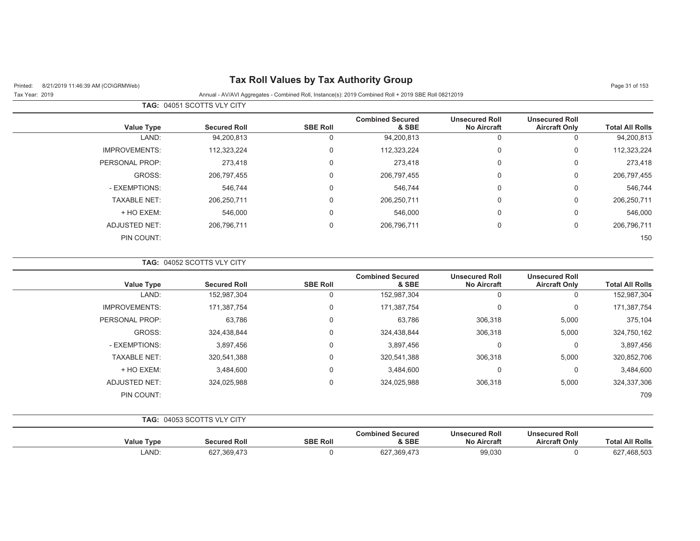| 8/21/2019 11:46:39 AM (CO\GRMWeb)<br>Printed: |                            |                 | <b>Tax Roll Values by Tax Authority Group</b>                                                        |                                             |                                               | Page 31 of 153         |
|-----------------------------------------------|----------------------------|-----------------|------------------------------------------------------------------------------------------------------|---------------------------------------------|-----------------------------------------------|------------------------|
| Tax Year: 2019                                |                            |                 | Annual - AV/AVI Aggregates - Combined Roll, Instance(s): 2019 Combined Roll + 2019 SBE Roll 08212019 |                                             |                                               |                        |
|                                               | TAG: 04051 SCOTTS VLY CITY |                 |                                                                                                      |                                             |                                               |                        |
| <b>Value Type</b>                             | <b>Secured Roll</b>        | <b>SBE Roll</b> | <b>Combined Secured</b><br>& SBE                                                                     | <b>Unsecured Roll</b><br><b>No Aircraft</b> | <b>Unsecured Roll</b><br><b>Aircraft Only</b> | <b>Total All Rolls</b> |
| LAND:                                         | 94,200,813                 | 0               | 94,200,813                                                                                           | $\mathbf 0$                                 | $\mathbf 0$                                   | 94,200,813             |
| <b>IMPROVEMENTS:</b>                          | 112,323,224                | 0               | 112,323,224                                                                                          | $\mathbf 0$                                 | $\mathbf 0$                                   | 112,323,224            |
| PERSONAL PROP:                                | 273,418                    | $\Omega$        | 273,418                                                                                              | $\Omega$                                    | $\mathbf 0$                                   | 273,418                |
| GROSS:                                        | 206,797,455                | 0               | 206,797,455                                                                                          | $\mathbf 0$                                 | $\mathbf 0$                                   | 206,797,455            |
| - EXEMPTIONS:                                 | 546,744                    | $\mathbf 0$     | 546,744                                                                                              | $\mathbf 0$                                 | $\mathbf 0$                                   | 546,744                |
| <b>TAXABLE NET:</b>                           | 206,250,711                | 0               | 206,250,711                                                                                          | 0                                           | 0                                             | 206,250,711            |
| + HO EXEM:                                    | 546,000                    | $\Omega$        | 546,000                                                                                              | $\Omega$                                    | 0                                             | 546,000                |
| <b>ADJUSTED NET:</b>                          | 206,796,711                | $\mathbf 0$     | 206,796,711                                                                                          | 0                                           | $\mathbf 0$                                   | 206,796,711            |
| PIN COUNT:                                    |                            |                 |                                                                                                      |                                             |                                               | 150                    |
|                                               | TAG: 04052 SCOTTS VLY CITY |                 |                                                                                                      |                                             |                                               |                        |
| <b>Value Type</b>                             | <b>Secured Roll</b>        | <b>SBE Roll</b> | <b>Combined Secured</b><br>& SBE                                                                     | <b>Unsecured Roll</b><br>No Aircraft        | <b>Unsecured Roll</b><br><b>Aircraft Only</b> | <b>Total All Rolls</b> |
| LAND:                                         | 152,987,304                | $\mathbf 0$     | 152,987,304                                                                                          | $\mathbf 0$                                 | $\mathbf 0$                                   | 152,987,304            |
| <b>IMPROVEMENTS:</b>                          | 171,387,754                | 0               | 171,387,754                                                                                          | $\mathbf 0$                                 | $\mathbf 0$                                   | 171,387,754            |
| PERSONAL PROP:                                | 63,786                     | $\mathbf 0$     | 63,786                                                                                               | 306,318                                     | 5,000                                         | 375,104                |
| GROSS:                                        | 324,438,844                | 0               | 324,438,844                                                                                          | 306,318                                     | 5,000                                         | 324,750,162            |
| - EXEMPTIONS:                                 | 3,897,456                  | 0               | 3,897,456                                                                                            | $\Omega$                                    | $\overline{0}$                                | 3,897,456              |
| <b>TAXABLE NET:</b>                           | 320,541,388                | $\mathbf 0$     | 320,541,388                                                                                          | 306,318                                     | 5,000                                         | 320,852,706            |
| + HO EXEM:                                    | 3,484,600                  | 0               | 3,484,600                                                                                            | $\mathbf 0$                                 | $\mathbf 0$                                   | 3,484,600              |
| <b>ADJUSTED NET:</b>                          | 324,025,988                | 0               | 324,025,988                                                                                          | 306,318                                     | 5,000                                         | 324,337,306            |
| PIN COUNT:                                    |                            |                 |                                                                                                      |                                             |                                               | 709                    |
|                                               | TAG: 04053 SCOTTS VLY CITY |                 |                                                                                                      |                                             |                                               |                        |
| <b>Value Type</b>                             | <b>Secured Roll</b>        | <b>SBE Roll</b> | <b>Combined Secured</b><br>& SBE                                                                     | <b>Unsecured Roll</b><br><b>No Aircraft</b> | <b>Unsecured Roll</b><br><b>Aircraft Only</b> | <b>Total All Rolls</b> |
| LAND:                                         | 627,369,473                | $\mathbf 0$     | 627,369,473                                                                                          | 99,030                                      | $\mathbf 0$                                   | 627,468,503            |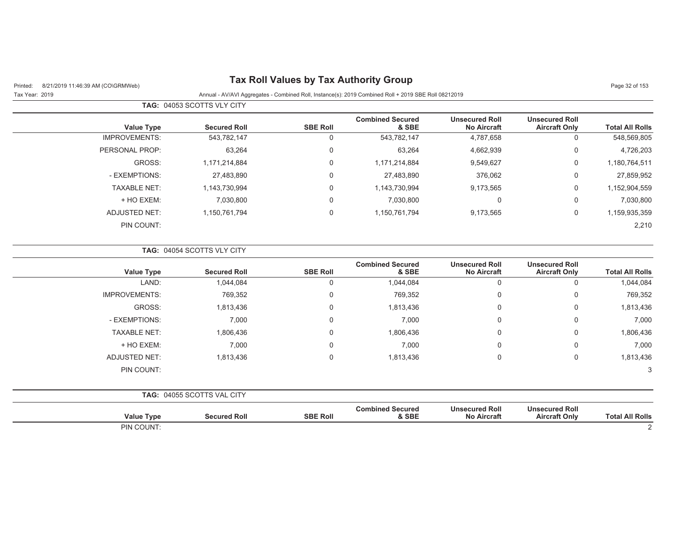## Printed: 8/21/2019 11:46:39 AM (CO\GRMWeb) **Tax Roll Values by Tax Authority Group** Page 32 of 153

Tax Year: 2019 Annual - AV/AVI Aggregates - Combined Roll, Instance(s): 2019 Combined Roll + 2019 SBE Roll 08212019

**TAG:** 04053 SCOTTS VLY CITY

| <b>Total All Rolls</b> | <b>Unsecured Roll</b><br><b>Aircraft Only</b> | <b>Unsecured Roll</b><br><b>No Aircraft</b> | <b>Combined Secured</b><br>& SBE | <b>SBE Roll</b> | <b>Secured Roll</b> | <b>Value Type</b>    |
|------------------------|-----------------------------------------------|---------------------------------------------|----------------------------------|-----------------|---------------------|----------------------|
| 548,569,805            | 0                                             | 4,787,658                                   | 543,782,147                      | 0               | 543.782.147         | <b>IMPROVEMENTS:</b> |
| 4,726,203              | 0                                             | 4,662,939                                   | 63,264                           | 0               | 63,264              | PERSONAL PROP:       |
| 1,180,764,511          | 0                                             | 9,549,627                                   | 1,171,214,884                    | $\mathbf 0$     | 1,171,214,884       | GROSS:               |
| 27,859,952             | 0                                             | 376,062                                     | 27,483,890                       | $\mathbf 0$     | 27,483,890          | - EXEMPTIONS:        |
| 1,152,904,559          | 0                                             | 9,173,565                                   | 1,143,730,994                    | $\mathbf 0$     | 1,143,730,994       | <b>TAXABLE NET:</b>  |
| 7,030,800              | $\mathbf 0$                                   | 0                                           | 7,030,800                        | 0               | 7,030,800           | + HO EXEM:           |
| 1,159,935,359          | 0                                             | 9,173,565                                   | 1,150,761,794                    | $\mathbf 0$     | 1,150,761,794       | ADJUSTED NET:        |
| 2,210                  |                                               |                                             |                                  |                 |                     | PIN COUNT:           |
|                        |                                               |                                             |                                  |                 |                     |                      |

|                        |                                               |                                             |                                  |                 | <b>TAG: 04054 SCOTTS VLY CITY</b> |                      |
|------------------------|-----------------------------------------------|---------------------------------------------|----------------------------------|-----------------|-----------------------------------|----------------------|
| <b>Total All Rolls</b> | <b>Unsecured Roll</b><br><b>Aircraft Only</b> | <b>Unsecured Roll</b><br><b>No Aircraft</b> | <b>Combined Secured</b><br>& SBE | <b>SBE Roll</b> | <b>Secured Roll</b>               | <b>Value Type</b>    |
| 1,044,084              | $\mathbf 0$                                   | 0                                           | 1,044,084                        | 0               | 1,044,084                         | LAND:                |
| 769,352                | $\mathbf 0$                                   | 0                                           | 769,352                          | 0               | 769,352                           | <b>IMPROVEMENTS:</b> |
| 1,813,436              | $\mathbf 0$                                   | 0                                           | 1,813,436                        | 0               | 1,813,436                         | GROSS:               |
| 7,000                  | $\mathbf 0$                                   | 0                                           | 7,000                            | $\Omega$        | 7,000                             | - EXEMPTIONS:        |
| 1,806,436              | $\mathbf 0$                                   | 0                                           | 1,806,436                        | $\mathbf 0$     | 1,806,436                         | <b>TAXABLE NET:</b>  |
| 7,000                  | $\mathbf 0$                                   | 0                                           | 7,000                            | $\Omega$        | 7,000                             | + HO EXEM:           |
| 1,813,436              | $\mathbf 0$                                   | 0                                           | 1,813,436                        | $\mathbf 0$     | 1,813,436                         | ADJUSTED NET:        |
| 3                      |                                               |                                             |                                  |                 |                                   | PIN COUNT:           |
|                        |                                               |                                             |                                  |                 | TAG: 04055 SCOTTS VAL CITY        |                      |
| <b>Total All Rolls</b> | <b>Unsecured Roll</b><br><b>Aircraft Only</b> | <b>Unsecured Roll</b><br><b>No Aircraft</b> | <b>Combined Secured</b><br>& SBE | <b>SBE Roll</b> | <b>Secured Roll</b>               | <b>Value Type</b>    |
| 2                      |                                               |                                             |                                  |                 |                                   | PIN COUNT:           |

**PIN COUNT:** е последници последници по последници по селото на селото на селото на 1922 година, кои се од 2014 година, кои<br>Селото селото на селото на 1920 година, кои селото на 1920 година, кои селото на 1920 година, кои селото на 19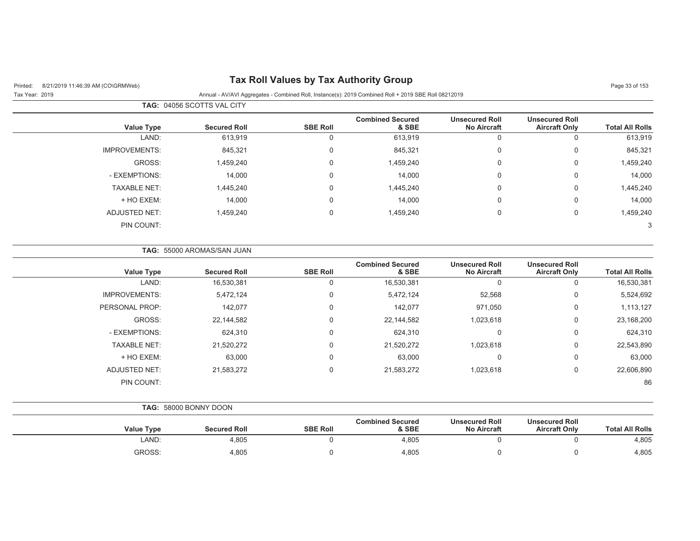## Printed: 8/21/2019 11:46:39 AM (CO\GRMWeb) **Tax Roll Values by Tax Authority Group** Page 33 of 153

|                      | <b>TAG: 04056 SCOTTS VAL CITY</b> |                 |                                  |                                             |                                               |                        |
|----------------------|-----------------------------------|-----------------|----------------------------------|---------------------------------------------|-----------------------------------------------|------------------------|
| Value Type           | <b>Secured Roll</b>               | <b>SBE Roll</b> | <b>Combined Secured</b><br>& SBE | <b>Unsecured Roll</b><br><b>No Aircraft</b> | <b>Unsecured Roll</b><br><b>Aircraft Only</b> | <b>Total All Rolls</b> |
| LAND:                | 613,919                           | 0               | 613,919                          |                                             | 0                                             | 613,919                |
| <b>IMPROVEMENTS:</b> | 845,321                           | 0               | 845,321                          | $\Omega$                                    | 0                                             | 845,321                |
| GROSS:               | 1,459,240                         | 0               | 1,459,240                        | 0                                           | 0                                             | 1,459,240              |
| - EXEMPTIONS:        | 14,000                            | 0               | 14,000                           | $\mathbf{0}$                                | 0                                             | 14,000                 |
| <b>TAXABLE NET:</b>  | 1,445,240                         | 0               | 1,445,240                        | $\Omega$                                    | 0                                             | 1,445,240              |
| + HO EXEM:           | 14,000                            | 0               | 14,000                           | 0                                           | 0                                             | 14,000                 |
| ADJUSTED NET:        | 1,459,240                         | 0               | 1,459,240                        | 0                                           | 0                                             | 1,459,240              |
| PIN COUNT:           |                                   |                 |                                  |                                             |                                               | 3                      |

|                        |                                               |                                             |                                  |                 | <b>TAG: 55000 AROMAS/SAN JUAN</b> |                      |
|------------------------|-----------------------------------------------|---------------------------------------------|----------------------------------|-----------------|-----------------------------------|----------------------|
| <b>Total All Rolls</b> | <b>Unsecured Roll</b><br><b>Aircraft Only</b> | <b>Unsecured Roll</b><br><b>No Aircraft</b> | <b>Combined Secured</b><br>& SBE | <b>SBE Roll</b> | <b>Secured Roll</b>               | <b>Value Type</b>    |
| 16,530,381             | 0                                             |                                             | 16,530,381                       | $\Omega$        | 16,530,381                        | LAND:                |
| 5,524,692              | 0                                             | 52,568                                      | 5,472,124                        | $\mathbf 0$     | 5,472,124                         | <b>IMPROVEMENTS:</b> |
| 1,113,127              | 0                                             | 971,050                                     | 142,077                          | $\mathbf 0$     | 142,077                           | PERSONAL PROP:       |
| 23,168,200             | 0                                             | 1,023,618                                   | 22,144,582                       | $\mathbf 0$     | 22,144,582                        | GROSS:               |
| 624,310                | 0                                             | $\Omega$                                    | 624,310                          | $\Omega$        | 624,310                           | - EXEMPTIONS:        |
| 22,543,890             | 0                                             | 1,023,618                                   | 21,520,272                       | $\Omega$        | 21,520,272                        | <b>TAXABLE NET:</b>  |
| 63,000                 | 0                                             | $\Omega$                                    | 63,000                           | $\mathbf 0$     | 63,000                            | + HO EXEM:           |
| 22,606,890             | 0                                             | 1,023,618                                   | 21,583,272                       | $\mathbf 0$     | 21,583,272                        | <b>ADJUSTED NET:</b> |
| 86                     |                                               |                                             |                                  |                 |                                   | PIN COUNT:           |

|  | <b>TAG: 58000 BONNY DOON</b> |
|--|------------------------------|
|  |                              |

| <b>Value Type</b> | <b>Secured Roll</b> | <b>SBE Roll</b> | <b>Combined Secured</b><br>& SBE | <b>Unsecured Roll</b><br><b>No Aircraft</b> | <b>Unsecured Roll</b><br><b>Aircraft Only</b> | <b>Total All Rolls</b> |
|-------------------|---------------------|-----------------|----------------------------------|---------------------------------------------|-----------------------------------------------|------------------------|
| LAND:             | 4.805               |                 | 4.805                            |                                             |                                               | 4,805                  |
| GROSS:            | 4,805               |                 | 4,805                            |                                             |                                               | 4,805                  |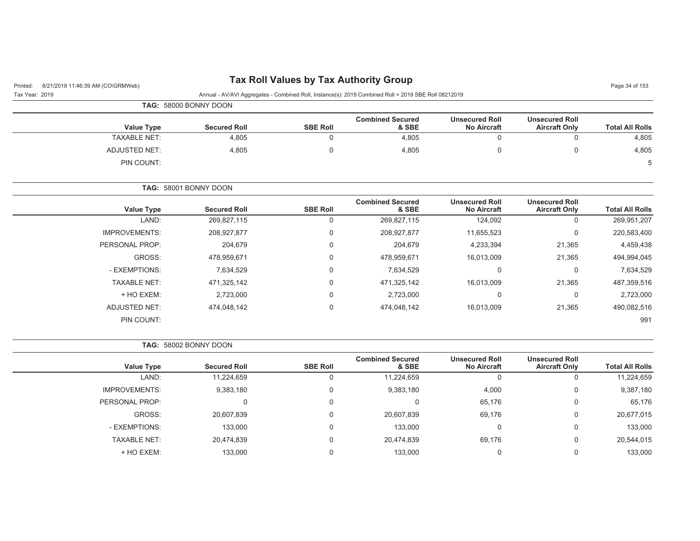# Printed: 8/21/2019 11:46:39 AM (CO\GRMWeb) **Tax Roll Values by Tax Authority Group** Page 34 of 153

| Tax Year: 2019 |  | Annual - AV/AVI Aggregates - Combined Roll, Instance(s): 2019 Combined Roll + 2019 SBE Roll 08212019 |  |  |
|----------------|--|------------------------------------------------------------------------------------------------------|--|--|

| TAG: 58000 BONNY DOON |
|-----------------------|

| <b>Value Type</b>   | <b>Secured Roll</b> | <b>SBE Roll</b> | <b>Combined Secured</b><br>& SBE | <b>Unsecured Roll</b><br><b>No Aircraft</b> | <b>Unsecured Roll</b><br><b>Aircraft Only</b> | <b>Total All Rolls</b> |
|---------------------|---------------------|-----------------|----------------------------------|---------------------------------------------|-----------------------------------------------|------------------------|
| <b>TAXABLE NET:</b> | 4,805               |                 | 4,805                            |                                             |                                               | 4,805                  |
| ADJUSTED NET:       | 4,805               |                 | 4,805                            |                                             |                                               | 4,805                  |
| PIN COUNT:          |                     |                 |                                  |                                             |                                               | 5                      |

**TAG:** 58001 BONNY DOON

| <b>Value Type</b>    | <b>Secured Roll</b> | <b>SBE Roll</b> | <b>Combined Secured</b><br>& SBE | <b>Unsecured Roll</b><br><b>No Aircraft</b> | <b>Unsecured Roll</b><br><b>Aircraft Only</b> | <b>Total All Rolls</b> |
|----------------------|---------------------|-----------------|----------------------------------|---------------------------------------------|-----------------------------------------------|------------------------|
| LAND:                | 269,827,115         | 0               | 269,827,115                      | 124,092                                     | 0                                             | 269,951,207            |
| <b>IMPROVEMENTS:</b> | 208,927,877         | $\mathbf 0$     | 208,927,877                      | 11,655,523                                  | 0                                             | 220,583,400            |
| PERSONAL PROP:       | 204,679             | $\mathbf 0$     | 204,679                          | 4,233,394                                   | 21,365                                        | 4,459,438              |
| GROSS:               | 478.959.671         | $\mathbf 0$     | 478.959.671                      | 16,013,009                                  | 21,365                                        | 494,994,045            |
| - EXEMPTIONS:        | 7,634,529           | $\mathbf 0$     | 7,634,529                        | 0                                           | 0                                             | 7,634,529              |
| <b>TAXABLE NET:</b>  | 471.325.142         | $\mathbf 0$     | 471.325.142                      | 16,013,009                                  | 21,365                                        | 487,359,516            |
| + HO EXEM:           | 2,723,000           | $\mathbf 0$     | 2,723,000                        | $\mathbf 0$                                 | 0                                             | 2,723,000              |
| <b>ADJUSTED NET:</b> | 474.048.142         | $\mathbf 0$     | 474,048,142                      | 16,013,009                                  | 21,365                                        | 490,082,516            |
| PIN COUNT:           |                     |                 |                                  |                                             |                                               | 991                    |

**TAG:** 58002 BONNY DOON

| <b>Value Type</b>   | <b>Secured Roll</b> | <b>SBE Roll</b> | <b>Combined Secured</b><br>& SBE | <b>Unsecured Roll</b><br><b>No Aircraft</b> | <b>Unsecured Roll</b><br><b>Aircraft Only</b> | <b>Total All Rolls</b> |
|---------------------|---------------------|-----------------|----------------------------------|---------------------------------------------|-----------------------------------------------|------------------------|
| LAND:               | 11,224,659          |                 | 11,224,659                       | 0                                           | 0                                             | 11,224,659             |
| IMPROVEMENTS:       | 9,383,180           |                 | 9,383,180                        | 4,000                                       | 0                                             | 9,387,180              |
| PERSONAL PROP:      |                     |                 |                                  | 65,176                                      | 0                                             | 65,176                 |
| GROSS:              | 20,607,839          | 0               | 20,607,839                       | 69,176                                      | 0                                             | 20,677,015             |
| - EXEMPTIONS:       | 133,000             |                 | 133,000                          | $\Omega$                                    | 0                                             | 133,000                |
| <b>TAXABLE NET:</b> | 20,474,839          |                 | 20,474,839                       | 69,176                                      | 0                                             | 20,544,015             |
| + HO EXEM:          | 133,000             |                 | 133.000                          |                                             | 0                                             | 133,000                |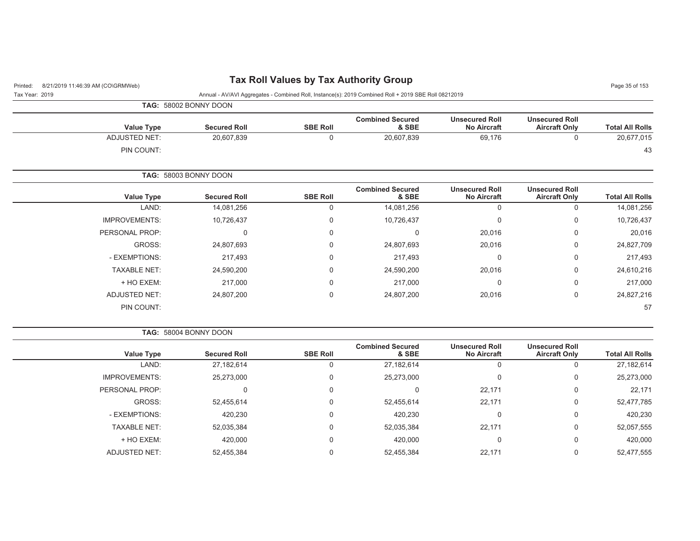# Printed: 8/21/2019 11:46:39 AM (CO\GRMWeb) **Tax Roll Values by Tax Authority Group** Page 35 of 153

| $T$ in the $Q$ , $Q$ is $Q$ is $T$ . $\rightarrow Q$ , $Q$ in the $Q$ is $Q$ is $Q$ is $Q$ is $Q$ is $Q$ is $Q$ is $Q$ is $Q$ is $Q$ is $Q$ is $Q$ is $Q$ is $Q$ is $Q$ is $Q$ is $Q$ is $Q$ is $Q$ is $Q$ is $Q$ is $Q$ is $Q$ is $Q$ is |                      |                       |                 |                                                                                                      |                                             |                                               | <b>Faye JJ UL 1JJ</b>  |
|-------------------------------------------------------------------------------------------------------------------------------------------------------------------------------------------------------------------------------------------|----------------------|-----------------------|-----------------|------------------------------------------------------------------------------------------------------|---------------------------------------------|-----------------------------------------------|------------------------|
| Tax Year: 2019                                                                                                                                                                                                                            |                      |                       |                 | Annual - AV/AVI Aggregates - Combined Roll, Instance(s): 2019 Combined Roll + 2019 SBE Roll 08212019 |                                             |                                               |                        |
|                                                                                                                                                                                                                                           |                      | TAG: 58002 BONNY DOON |                 |                                                                                                      |                                             |                                               |                        |
|                                                                                                                                                                                                                                           |                      |                       |                 | <b>Combined Secured</b>                                                                              | <b>Unsecured Roll</b>                       | <b>Unsecured Roll</b>                         |                        |
|                                                                                                                                                                                                                                           | <b>Value Type</b>    | <b>Secured Roll</b>   | <b>SBE Roll</b> | & SBE                                                                                                | <b>No Aircraft</b>                          | <b>Aircraft Only</b>                          | <b>Total All Rolls</b> |
|                                                                                                                                                                                                                                           | <b>ADJUSTED NET:</b> | 20,607,839            | 0               | 20,607,839                                                                                           | 69,176                                      | 0                                             | 20,677,015             |
|                                                                                                                                                                                                                                           | PIN COUNT:           |                       |                 |                                                                                                      |                                             |                                               | 43                     |
|                                                                                                                                                                                                                                           |                      | TAG: 58003 BONNY DOON |                 |                                                                                                      |                                             |                                               |                        |
|                                                                                                                                                                                                                                           | <b>Value Type</b>    | <b>Secured Roll</b>   | <b>SBE Roll</b> | <b>Combined Secured</b><br>& SBE                                                                     | <b>Unsecured Roll</b><br><b>No Aircraft</b> | <b>Unsecured Roll</b><br><b>Aircraft Only</b> | <b>Total All Rolls</b> |
|                                                                                                                                                                                                                                           | LAND:                | 14,081,256            | 0               | 14,081,256                                                                                           | 0                                           | $\Omega$                                      | 14,081,256             |
|                                                                                                                                                                                                                                           | <b>IMPROVEMENTS:</b> | 10,726,437            | 0               | 10,726,437                                                                                           | $\Omega$                                    | $\Omega$                                      | 10,726,437             |
|                                                                                                                                                                                                                                           | PERSONAL PROP:       | $\Omega$              | $\Omega$        | $\Omega$                                                                                             | 20,016                                      | $\Omega$                                      | 20,016                 |
|                                                                                                                                                                                                                                           | GROSS:               | 24,807,693            | 0               | 24,807,693                                                                                           | 20,016                                      | $\mathbf 0$                                   | 24,827,709             |
|                                                                                                                                                                                                                                           | - EXEMPTIONS:        | 217,493               | 0               | 217,493                                                                                              | 0                                           | 0                                             | 217,493                |
|                                                                                                                                                                                                                                           | <b>TAXABLE NET:</b>  | 24,590,200            | $\Omega$        | 24,590,200                                                                                           | 20,016                                      | $\mathbf 0$                                   | 24,610,216             |
|                                                                                                                                                                                                                                           | + HO EXEM:           | 217,000               | $\Omega$        | 217,000                                                                                              | 0                                           | $\mathbf 0$                                   | 217,000                |
|                                                                                                                                                                                                                                           | <b>ADJUSTED NET:</b> | 24,807,200            | 0               | 24,807,200                                                                                           | 20,016                                      | 0                                             | 24,827,216             |
|                                                                                                                                                                                                                                           | PIN COUNT:           |                       |                 |                                                                                                      |                                             |                                               | 57                     |

| TAG: 58004 BONNY DOON |  |  |  |  |
|-----------------------|--|--|--|--|
|-----------------------|--|--|--|--|

|                      |                     |                 | <b>Combined Secured</b> | <b>Unsecured Roll</b> | <b>Unsecured Roll</b> |                        |
|----------------------|---------------------|-----------------|-------------------------|-----------------------|-----------------------|------------------------|
| <b>Value Type</b>    | <b>Secured Roll</b> | <b>SBE Roll</b> | & SBE                   | <b>No Aircraft</b>    | <b>Aircraft Only</b>  | <b>Total All Rolls</b> |
| LAND:                | 27,182,614          |                 | 27,182,614              |                       |                       | 27,182,614             |
| <b>IMPROVEMENTS:</b> | 25,273,000          | 0               | 25,273,000              | 0                     |                       | 25,273,000             |
| PERSONAL PROP:       | 0                   | 0               |                         | 22,171                | 0                     | 22,171                 |
| GROSS:               | 52,455,614          | 0               | 52,455,614              | 22,171                | 0                     | 52,477,785             |
| - EXEMPTIONS:        | 420,230             | $\Omega$        | 420,230                 | $\Omega$              |                       | 420,230                |
| <b>TAXABLE NET:</b>  | 52,035,384          | $\Omega$        | 52,035,384              | 22,171                |                       | 52,057,555             |
| + HO EXEM:           | 420,000             | $\Omega$        | 420,000                 | $\Omega$              | 0                     | 420,000                |
| ADJUSTED NET:        | 52,455,384          |                 | 52,455,384              | 22,171                |                       | 52,477,555             |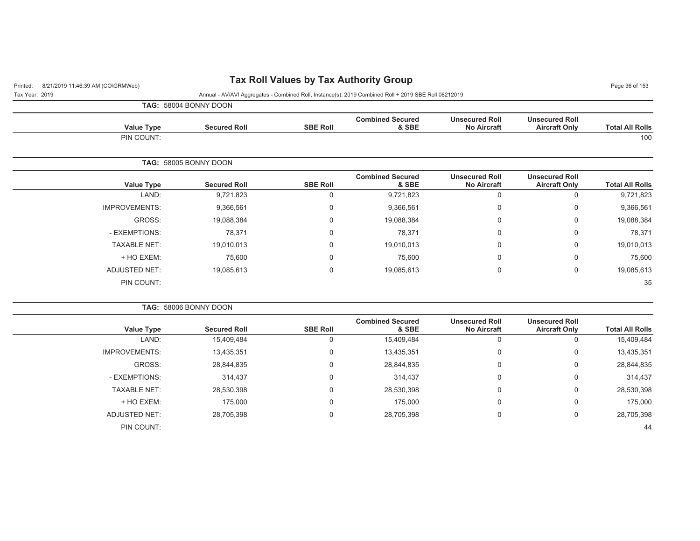## Printed: 8/21/2019 11:46:39 AM (CO\GRMWeb) **Tax Roll Values by Tax Authority Group** Page 36 of 153

| Tax Year: 2019 |                   |                              |                 | Annual - AV/AVI Aggregates - Combined Roll, Instance(s): 2019 Combined Roll + 2019 SBE Roll 08212019 |                                             |                                               |                        |
|----------------|-------------------|------------------------------|-----------------|------------------------------------------------------------------------------------------------------|---------------------------------------------|-----------------------------------------------|------------------------|
|                |                   | <b>TAG: 58004 BONNY DOON</b> |                 |                                                                                                      |                                             |                                               |                        |
|                | <b>Value Type</b> | <b>Secured Roll</b>          | <b>SBE Roll</b> | <b>Combined Secured</b><br>& SBE                                                                     | <b>Unsecured Roll</b><br><b>No Aircraft</b> | <b>Unsecured Roll</b><br><b>Aircraft Only</b> | <b>Total All Rolls</b> |
|                | PIN COUNT:        |                              |                 |                                                                                                      |                                             |                                               | 100                    |
|                |                   | <b>TAG: 58005 BONNY DOON</b> |                 |                                                                                                      |                                             |                                               |                        |

| <b>Total All Rolls</b> | <b>Unsecured Roll</b><br><b>Aircraft Only</b> | <b>Unsecured Roll</b><br><b>No Aircraft</b> | <b>Combined Secured</b><br>& SBE | <b>SBE Roll</b> | <b>Secured Roll</b> | <b>Value Type</b>    |
|------------------------|-----------------------------------------------|---------------------------------------------|----------------------------------|-----------------|---------------------|----------------------|
| 9,721,823              | 0                                             | 0                                           | 9,721,823                        | 0               | 9,721,823           | LAND:                |
| 9,366,561              | 0                                             | 0                                           | 9,366,561                        | 0               | 9,366,561           | <b>IMPROVEMENTS:</b> |
| 19,088,384             | 0                                             | 0                                           | 19,088,384                       | 0               | 19,088,384          | GROSS:               |
| 78,371                 | 0                                             | 0                                           | 78,371                           | 0               | 78,371              | - EXEMPTIONS:        |
| 19,010,013             | 0                                             | 0                                           | 19,010,013                       | 0               | 19,010,013          | <b>TAXABLE NET:</b>  |
| 75,600                 | 0                                             | 0                                           | 75,600                           | 0               | 75,600              | + HO EXEM:           |
| 19,085,613             | 0                                             | 0                                           | 19,085,613                       | 0               | 19,085,613          | ADJUSTED NET:        |
| 35                     |                                               |                                             |                                  |                 |                     | PIN COUNT:           |
|                        |                                               |                                             |                                  |                 |                     |                      |

|                      | <b>TAG: 58006 BONNY DOON</b> |                 |                                  |                                             |                                               |                        |
|----------------------|------------------------------|-----------------|----------------------------------|---------------------------------------------|-----------------------------------------------|------------------------|
| Value Type           | <b>Secured Roll</b>          | <b>SBE Roll</b> | <b>Combined Secured</b><br>& SBE | <b>Unsecured Roll</b><br><b>No Aircraft</b> | <b>Unsecured Roll</b><br><b>Aircraft Only</b> | <b>Total All Rolls</b> |
| LAND:                | 15,409,484                   |                 | 15,409,484                       |                                             | 0                                             | 15,409,484             |
| <b>IMPROVEMENTS:</b> | 13,435,351                   |                 | 13,435,351                       | 0                                           | 0                                             | 13,435,351             |
| GROSS:               | 28,844,835                   |                 | 28,844,835                       | 0                                           | 0                                             | 28,844,835             |
| - EXEMPTIONS:        | 314,437                      | $\Omega$        | 314,437                          | $\mathbf 0$                                 | 0                                             | 314,437                |
| <b>TAXABLE NET:</b>  | 28,530,398                   | $\Omega$        | 28,530,398                       | $\Omega$                                    | 0                                             | 28,530,398             |
| + HO EXEM:           | 175,000                      | $\Omega$        | 175,000                          | 0                                           | 0                                             | 175,000                |
| ADJUSTED NET:        | 28,705,398                   |                 | 28,705,398                       | 0                                           | 0                                             | 28,705,398             |
| PIN COUNT:           |                              |                 |                                  |                                             |                                               | 44                     |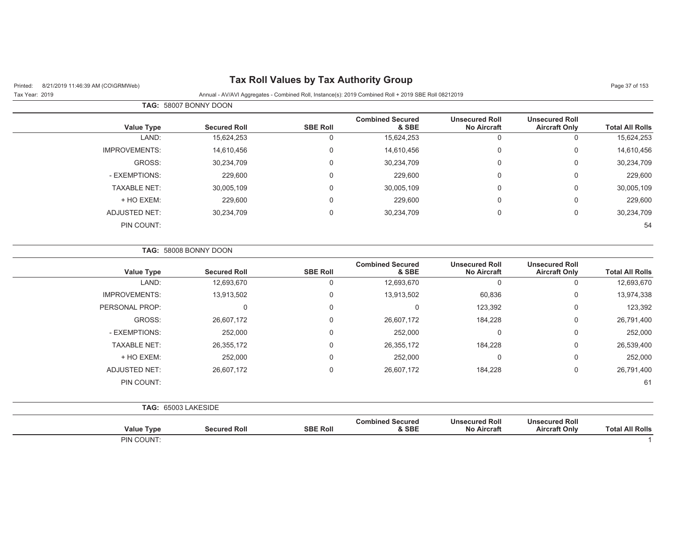# Printed: 8/21/2019 11:46:39 AM (CO\GRMWeb) **Tax Roll Values by Tax Authority Group** Page 37 of 153

| Tax Year: 2019 | Annual - AV/AVI Aggregates - Combined Roll, Instance(s): 2019 Combined Roll + 2019 SBE Roll 08212019 |  |
|----------------|------------------------------------------------------------------------------------------------------|--|

|                      | <b>TAG: 58007 BONNY DOON</b> |                 |                                  |                                             |                                               |                        |
|----------------------|------------------------------|-----------------|----------------------------------|---------------------------------------------|-----------------------------------------------|------------------------|
| <b>Value Type</b>    | <b>Secured Roll</b>          | <b>SBE Roll</b> | <b>Combined Secured</b><br>& SBE | <b>Unsecured Roll</b><br><b>No Aircraft</b> | <b>Unsecured Roll</b><br><b>Aircraft Only</b> | <b>Total All Rolls</b> |
| LAND:                | 15,624,253                   | 0               | 15,624,253                       | 0                                           | 0                                             | 15,624,253             |
| <b>IMPROVEMENTS:</b> | 14,610,456                   | 0               | 14,610,456                       | 0                                           | 0                                             | 14,610,456             |
| GROSS:               | 30,234,709                   | 0               | 30,234,709                       | 0                                           | 0                                             | 30,234,709             |
| - EXEMPTIONS:        | 229,600                      | 0               | 229,600                          | 0                                           | 0                                             | 229,600                |
| <b>TAXABLE NET:</b>  | 30,005,109                   | 0               | 30,005,109                       | 0                                           | $\mathbf 0$                                   | 30,005,109             |
| + HO EXEM:           | 229,600                      | 0               | 229,600                          | 0                                           | 0                                             | 229,600                |
| ADJUSTED NET:        | 30,234,709                   | 0               | 30,234,709                       | 0                                           | 0                                             | 30,234,709             |
| PIN COUNT:           |                              |                 |                                  |                                             |                                               | 54                     |

|                        |                                               |                                             |                                  |                 | <b>TAG: 58008 BONNY DOON</b> |                      |
|------------------------|-----------------------------------------------|---------------------------------------------|----------------------------------|-----------------|------------------------------|----------------------|
| <b>Total All Rolls</b> | <b>Unsecured Roll</b><br><b>Aircraft Only</b> | <b>Unsecured Roll</b><br><b>No Aircraft</b> | <b>Combined Secured</b><br>& SBE | <b>SBE Roll</b> | <b>Secured Roll</b>          | Value Type           |
| 12,693,670             | 0                                             | 0                                           | 12,693,670                       | 0               | 12,693,670                   | LAND:                |
| 13,974,338             | 0                                             | 60,836                                      | 13,913,502                       | 0               | 13,913,502                   | <b>IMPROVEMENTS:</b> |
| 123,392                | $\mathbf 0$                                   | 123,392                                     | $\Omega$                         | 0               | 0                            | PERSONAL PROP:       |
| 26,791,400             | 0                                             | 184,228                                     | 26,607,172                       | 0               | 26,607,172                   | GROSS:               |
| 252,000                | $\mathbf 0$                                   | 0                                           | 252,000                          | 0               | 252,000                      | - EXEMPTIONS:        |
| 26,539,400             | 0                                             | 184,228                                     | 26,355,172                       | 0               | 26,355,172                   | <b>TAXABLE NET:</b>  |
| 252,000                | $\mathbf 0$                                   | 0                                           | 252,000                          | 0               | 252,000                      | + HO EXEM:           |
| 26,791,400             | $\mathbf 0$                                   | 184,228                                     | 26,607,172                       | 0               | 26,607,172                   | ADJUSTED NET:        |
| 61                     |                                               |                                             |                                  |                 |                              | PIN COUNT:           |
|                        |                                               |                                             |                                  |                 |                              | TAG: 65003 LAKESIDE  |
| <b>Total All Rolls</b> | <b>Unsecured Roll</b><br><b>Aircraft Only</b> | <b>Unsecured Roll</b><br><b>No Aircraft</b> | <b>Combined Secured</b><br>& SBE | <b>SBE Roll</b> | <b>Secured Roll</b>          | Value Type           |
|                        |                                               |                                             |                                  |                 |                              | PIN COUNT:           |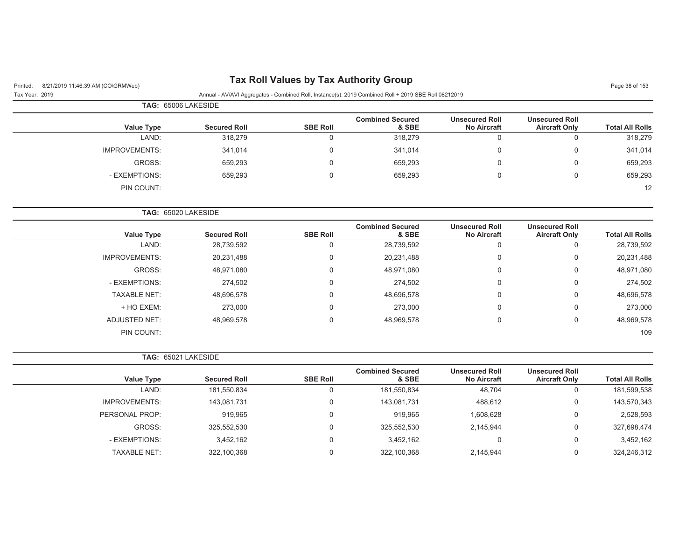# Printed: 8/21/2019 11:46:39 AM (CO\GRMWeb) **Tax Roll Values by Tax Authority Group** Page 38 of 153

Tax Year: 2019 Annual - AV/AVI Aggregates - Combined Roll, Instance(s): 2019 Combined Roll + 2019 SBE Roll 08212019

|                      | <b>TAG: 65006 LAKESIDE</b> |                 |                                  |                                             |                                               |                        |
|----------------------|----------------------------|-----------------|----------------------------------|---------------------------------------------|-----------------------------------------------|------------------------|
| Value Type           | <b>Secured Roll</b>        | <b>SBE Roll</b> | <b>Combined Secured</b><br>& SBE | <b>Unsecured Roll</b><br><b>No Aircraft</b> | <b>Unsecured Roll</b><br><b>Aircraft Only</b> | <b>Total All Rolls</b> |
| LAND:                | 318,279                    | υ               | 318,279                          |                                             |                                               | 318,279                |
| <b>IMPROVEMENTS:</b> | 341,014                    | 0               | 341,014                          |                                             | 0                                             | 341,014                |
| GROSS:               | 659,293                    | 0               | 659,293                          |                                             | 0                                             | 659,293                |
| - EXEMPTIONS:        | 659,293                    | 0               | 659,293                          |                                             | 0                                             | 659,293                |
| PIN COUNT:           |                            |                 |                                  |                                             |                                               | 12                     |

|  |  | <b>TAG: 65020 LAKESIDE</b> |
|--|--|----------------------------|
|--|--|----------------------------|

| <b>Total All Rolls</b> | <b>Unsecured Roll</b><br><b>Aircraft Only</b> | <b>Unsecured Roll</b><br><b>No Aircraft</b> | <b>Combined Secured</b><br>& SBE | <b>SBE Roll</b> | <b>Secured Roll</b> | <b>Value Type</b>    |
|------------------------|-----------------------------------------------|---------------------------------------------|----------------------------------|-----------------|---------------------|----------------------|
| 28,739,592             | υ                                             | 0                                           | 28,739,592                       | υ               | 28,739,592          | LAND:                |
| 20,231,488             | 0                                             | 0                                           | 20,231,488                       | 0               | 20,231,488          | <b>IMPROVEMENTS:</b> |
| 48,971,080             | 0                                             | 0                                           | 48,971,080                       | 0               | 48,971,080          | GROSS:               |
| 274,502                | 0                                             | 0                                           | 274,502                          | 0               | 274,502             | - EXEMPTIONS:        |
| 48,696,578             | 0                                             | 0                                           | 48,696,578                       | 0               | 48,696,578          | <b>TAXABLE NET:</b>  |
| 273,000                | 0                                             | 0                                           | 273,000                          | 0               | 273,000             | + HO EXEM:           |
| 48,969,578             | 0                                             | $\mathbf 0$                                 | 48,969,578                       | 0               | 48,969,578          | <b>ADJUSTED NET:</b> |
| 109                    |                                               |                                             |                                  |                 |                     | PIN COUNT:           |
|                        |                                               |                                             |                                  |                 |                     |                      |

**TAG:** 65021 LAKESIDE

| <b>Value Type</b>    | <b>Secured Roll</b> | <b>SBE Roll</b> | <b>Combined Secured</b><br>& SBE | <b>Unsecured Roll</b><br><b>No Aircraft</b> | <b>Unsecured Roll</b><br><b>Aircraft Only</b> | <b>Total All Rolls</b> |
|----------------------|---------------------|-----------------|----------------------------------|---------------------------------------------|-----------------------------------------------|------------------------|
| LAND:                | 181,550,834         |                 | 181,550,834                      | 48,704                                      | v                                             | 181,599,538            |
| <b>IMPROVEMENTS:</b> | 143,081,731         |                 | 143.081.731                      | 488.612                                     | v                                             | 143,570,343            |
| PERSONAL PROP:       | 919.965             |                 | 919.965                          | 1,608,628                                   | v                                             | 2,528,593              |
| GROSS:               | 325,552,530         |                 | 325,552,530                      | 2,145,944                                   | v                                             | 327,698,474            |
| - EXEMPTIONS:        | 3.452.162           |                 | 3.452.162                        |                                             | v                                             | 3,452,162              |
| <b>TAXABLE NET:</b>  | 322,100,368         |                 | 322,100,368                      | 2,145,944                                   |                                               | 324,246,312            |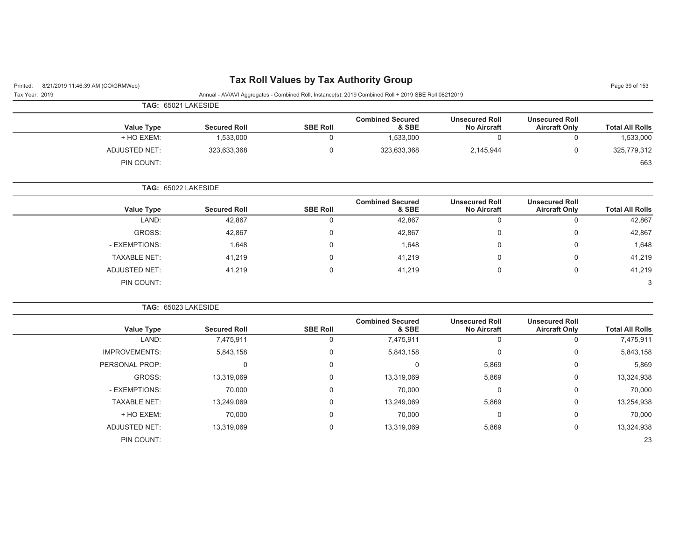Tax Year: 2019 Annual - AV/AVI Aggregates - Combined Roll, Instance(s): 2019 Combined Roll + 2019 SBE Roll 08212019

| <b>TAG: 65021 LAKESIDE</b> |                     |                 |                                  |                                             |                                               |                        |
|----------------------------|---------------------|-----------------|----------------------------------|---------------------------------------------|-----------------------------------------------|------------------------|
| <b>Value Type</b>          | <b>Secured Roll</b> | <b>SBE Roll</b> | <b>Combined Secured</b><br>& SBE | <b>Unsecured Roll</b><br><b>No Aircraft</b> | <b>Unsecured Roll</b><br><b>Aircraft Only</b> | <b>Total All Rolls</b> |
| + HO EXEM:                 | 1,533,000           |                 | 1,533,000                        |                                             | 0                                             | 1,533,000              |
| ADJUSTED NET:              | 323,633,368         | 0               | 323,633,368                      | 2,145,944                                   | 0                                             | 325,779,312            |
| PIN COUNT:                 |                     |                 |                                  |                                             |                                               | 663                    |
| TAG: 65022 LAKESIDE        |                     |                 |                                  |                                             |                                               |                        |

|                     |                     |                 | <b>Combined Secured</b> | <b>Unsecured Roll</b> | <b>Unsecured Roll</b> |                        |
|---------------------|---------------------|-----------------|-------------------------|-----------------------|-----------------------|------------------------|
| Value Type          | <b>Secured Roll</b> | <b>SBE Roll</b> | & SBE                   | <b>No Aircraft</b>    | <b>Aircraft Only</b>  | <b>Total All Rolls</b> |
| LAND:               | 42,867              | 0               | 42,867                  |                       |                       | 42,867                 |
| GROSS:              | 42,867              | $\Omega$        | 42,867                  |                       | 0                     | 42,867                 |
| - EXEMPTIONS:       | 1,648               | $\Omega$        | 1,648                   |                       | 0                     | 1,648                  |
| <b>TAXABLE NET:</b> | 41,219              | 0               | 41,219                  |                       |                       | 41,219                 |
| ADJUSTED NET:       | 41,219              | $\Omega$        | 41,219                  |                       |                       | 41,219                 |
| PIN COUNT:          |                     |                 |                         |                       |                       | $\mathbf{3}$           |

|                      | TAG: 65023 LAKESIDE |                 |                                  |                                             |                                               |                        |
|----------------------|---------------------|-----------------|----------------------------------|---------------------------------------------|-----------------------------------------------|------------------------|
| <b>Value Type</b>    | <b>Secured Roll</b> | <b>SBE Roll</b> | <b>Combined Secured</b><br>& SBE | <b>Unsecured Roll</b><br><b>No Aircraft</b> | <b>Unsecured Roll</b><br><b>Aircraft Only</b> | <b>Total All Rolls</b> |
| LAND:                | 7,475,911           |                 | 7,475,911                        | $\Omega$                                    | 0                                             | 7,475,911              |
| <b>IMPROVEMENTS:</b> | 5,843,158           | $\mathbf{0}$    | 5,843,158                        | 0                                           | 0                                             | 5,843,158              |
| PERSONAL PROP:       | 0                   | $\Omega$        | 0                                | 5,869                                       | 0                                             | 5,869                  |
| GROSS:               | 13,319,069          | $\Omega$        | 13,319,069                       | 5,869                                       | 0                                             | 13,324,938             |
| - EXEMPTIONS:        | 70,000              | $\mathbf{0}$    | 70,000                           | 0                                           | 0                                             | 70,000                 |
| <b>TAXABLE NET:</b>  | 13,249,069          | $\mathbf{0}$    | 13,249,069                       | 5,869                                       | 0                                             | 13,254,938             |
| + HO EXEM:           | 70,000              | $\Omega$        | 70,000                           | $\mathbf{0}$                                | 0                                             | 70,000                 |
| <b>ADJUSTED NET:</b> | 13,319,069          | $\mathbf{0}$    | 13,319,069                       | 5,869                                       | 0                                             | 13,324,938             |
| PIN COUNT:           |                     |                 |                                  |                                             |                                               | 23                     |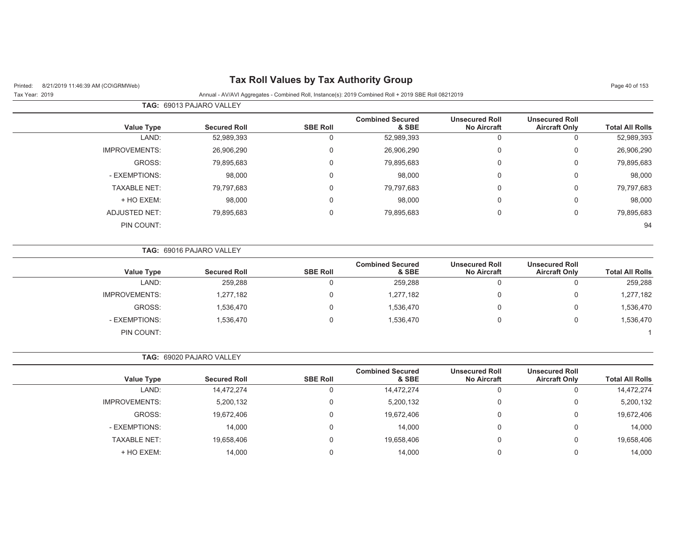# Printed: 8/21/2019 11:46:39 AM (CO\GRMWeb) **Tax Roll Values by Tax Authority Group** Page 40 of 153

## **TAG:** 69013 PAJARO VALLEYTax Year: 2019 Annual - AV/AVI Aggregates - Combined Roll, Instance(s): 2019 Combined Roll + 2019 SBE Roll 08212019

| <b>Total All Rolls</b> | <b>Unsecured Roll</b><br><b>Aircraft Only</b> | <b>Unsecured Roll</b><br><b>No Aircraft</b> | <b>Combined Secured</b><br>& SBE | <b>SBE Roll</b> | <b>Secured Roll</b> | Value Type           |
|------------------------|-----------------------------------------------|---------------------------------------------|----------------------------------|-----------------|---------------------|----------------------|
| 52,989,393             |                                               | 0                                           | 52,989,393                       |                 | 52,989,393          | LAND:                |
| 26,906,290             | 0                                             | 0                                           | 26,906,290                       | $\Omega$        | 26,906,290          | <b>IMPROVEMENTS:</b> |
| 79,895,683             | 0                                             | $\mathbf 0$                                 | 79,895,683                       | $\Omega$        | 79,895,683          | GROSS:               |
| 98,000                 | 0                                             | $\mathbf 0$                                 | 98,000                           | $\Omega$        | 98,000              | - EXEMPTIONS:        |
| 79,797,683             | 0                                             | $\mathbf 0$                                 | 79,797,683                       | $\mathbf{0}$    | 79,797,683          | <b>TAXABLE NET:</b>  |
| 98,000                 | 0                                             | 0                                           | 98,000                           |                 | 98,000              | + HO EXEM:           |
| 79,895,683             | 0                                             | 0                                           | 79,895,683                       |                 | 79,895,683          | <b>ADJUSTED NET:</b> |
| 94                     |                                               |                                             |                                  |                 |                     | PIN COUNT:           |
|                        |                                               |                                             |                                  |                 |                     |                      |

|                        |                                               |                                             |                                  |                 | <b>TAG: 69016 PAJARO VALLEY</b> |                      |
|------------------------|-----------------------------------------------|---------------------------------------------|----------------------------------|-----------------|---------------------------------|----------------------|
| <b>Total All Rolls</b> | <b>Unsecured Roll</b><br><b>Aircraft Only</b> | <b>Unsecured Roll</b><br><b>No Aircraft</b> | <b>Combined Secured</b><br>& SBE | <b>SBE Roll</b> | <b>Secured Roll</b>             | <b>Value Type</b>    |
| 259,288                | 0                                             | 0                                           | 259,288                          |                 | 259,288                         | LAND:                |
| 1,277,182              | 0                                             | 0                                           | 1,277,182                        |                 | 1,277,182                       | <b>IMPROVEMENTS:</b> |
| 1,536,470              | 0                                             | 0                                           | 1,536,470                        |                 | 1,536,470                       | GROSS:               |
| 1,536,470              | 0                                             | 0                                           | 1,536,470                        |                 | 1,536,470                       | - EXEMPTIONS:        |
|                        |                                               |                                             |                                  |                 |                                 | PIN COUNT:           |

**TAG:** 69020 PAJARO VALLEY

| <b>Value Type</b>   | <b>Secured Roll</b> | <b>SBE Roll</b> | <b>Combined Secured</b><br>& SBE | <b>Unsecured Roll</b><br><b>No Aircraft</b> | <b>Unsecured Roll</b><br><b>Aircraft Only</b> | <b>Total All Rolls</b> |
|---------------------|---------------------|-----------------|----------------------------------|---------------------------------------------|-----------------------------------------------|------------------------|
| LAND:               | 14,472,274          | $\Omega$        | 14,472,274                       |                                             | 0                                             | 14,472,274             |
| IMPROVEMENTS:       | 5,200,132           | 0               | 5,200,132                        |                                             | 0                                             | 5,200,132              |
| GROSS:              | 19,672,406          | 0               | 19,672,406                       |                                             | 0                                             | 19,672,406             |
| - EXEMPTIONS:       | 14,000              | $\Omega$        | 14,000                           |                                             | 0                                             | 14,000                 |
| <b>TAXABLE NET:</b> | 19,658,406          | 0               | 19,658,406                       |                                             | 0                                             | 19,658,406             |
| + HO EXEM:          | 14.000              |                 | 14.000                           |                                             | 0                                             | 14,000                 |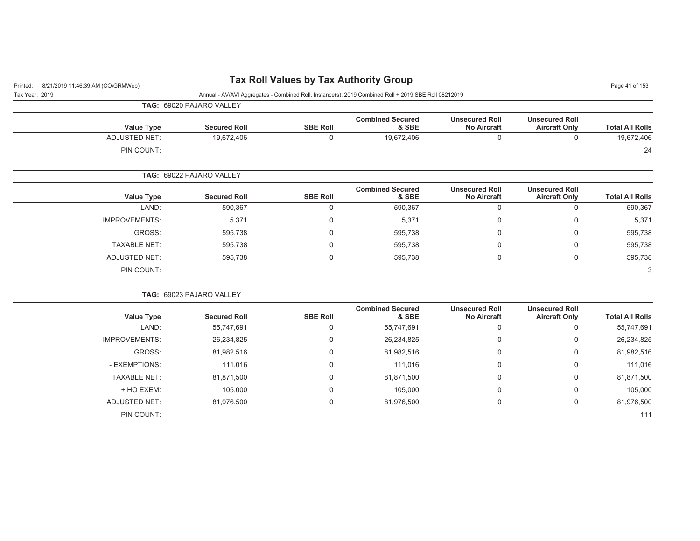| 8/21/2019 11:46:39 AM (CO\GRMWeb)<br>Printed: |                          |                 | <b>Tax Roll Values by Tax Authority Group</b>                                                        |                                             |                                               | Page 41 of 153         |
|-----------------------------------------------|--------------------------|-----------------|------------------------------------------------------------------------------------------------------|---------------------------------------------|-----------------------------------------------|------------------------|
| Tax Year: 2019                                |                          |                 | Annual - AV/AVI Aggregates - Combined Roll, Instance(s): 2019 Combined Roll + 2019 SBE Roll 08212019 |                                             |                                               |                        |
|                                               | TAG: 69020 PAJARO VALLEY |                 |                                                                                                      |                                             |                                               |                        |
| <b>Value Type</b>                             | <b>Secured Roll</b>      | <b>SBE Roll</b> | <b>Combined Secured</b><br>& SBE                                                                     | <b>Unsecured Roll</b><br><b>No Aircraft</b> | <b>Unsecured Roll</b><br><b>Aircraft Only</b> | <b>Total All Rolls</b> |
| <b>ADJUSTED NET:</b>                          | 19,672,406               | $\mathbf 0$     | 19,672,406                                                                                           | $\mathbf 0$                                 | $\mathbf 0$                                   | 19,672,406             |
| PIN COUNT:                                    |                          |                 |                                                                                                      |                                             |                                               | 24                     |
|                                               | TAG: 69022 PAJARO VALLEY |                 |                                                                                                      |                                             |                                               |                        |
| <b>Value Type</b>                             | <b>Secured Roll</b>      | <b>SBE Roll</b> | <b>Combined Secured</b><br>& SBE                                                                     | <b>Unsecured Roll</b><br><b>No Aircraft</b> | <b>Unsecured Roll</b><br><b>Aircraft Only</b> | <b>Total All Rolls</b> |
| LAND:                                         | 590,367                  | $\mathbf 0$     | 590,367                                                                                              | $\mathbf 0$                                 | $\mathbf 0$                                   | 590,367                |
| <b>IMPROVEMENTS:</b>                          | 5,371                    | 0               | 5,371                                                                                                | $\mathbf 0$                                 | 0                                             | 5,371                  |
| GROSS:                                        | 595,738                  | 0               | 595,738                                                                                              | 0                                           | 0                                             | 595,738                |
| <b>TAXABLE NET:</b>                           | 595,738                  | $\Omega$        | 595,738                                                                                              | $\mathbf 0$                                 | 0                                             | 595,738                |
| <b>ADJUSTED NET:</b>                          | 595,738                  | 0               | 595,738                                                                                              | 0                                           | 0                                             | 595,738                |
| PIN COUNT:                                    |                          |                 |                                                                                                      |                                             |                                               | 3                      |
|                                               | TAG: 69023 PAJARO VALLEY |                 |                                                                                                      |                                             |                                               |                        |
| <b>Value Type</b>                             | <b>Secured Roll</b>      | <b>SBE Roll</b> | <b>Combined Secured</b><br>& SBE                                                                     | <b>Unsecured Roll</b><br><b>No Aircraft</b> | <b>Unsecured Roll</b><br><b>Aircraft Only</b> | <b>Total All Rolls</b> |
| LAND:                                         | 55,747,691               | 0               | 55,747,691                                                                                           | $\mathbf 0$                                 | $\mathbf 0$                                   | 55,747,691             |
| <b>IMPROVEMENTS:</b>                          | 26,234,825               | 0               | 26,234,825                                                                                           | 0                                           | 0                                             | 26,234,825             |
| GROSS:                                        | 81,982,516               | 0               | 81,982,516                                                                                           | 0                                           | 0                                             | 81,982,516             |
| - EXEMPTIONS:                                 | 111,016                  | 0               | 111,016                                                                                              | $\mathbf{0}$                                | 0                                             | 111,016                |
| <b>TAXABLE NET:</b>                           | 81,871,500               | $\mathbf 0$     | 81,871,500                                                                                           | 0                                           | 0                                             | 81,871,500             |
| + HO EXEM:                                    | 105,000                  | 0               | 105,000                                                                                              | 0                                           | 0                                             | 105,000                |
| <b>ADJUSTED NET:</b>                          | 81,976,500               | 0               | 81,976,500                                                                                           | $\mathbf 0$                                 | 0                                             | 81,976,500             |
| PIN COUNT:                                    |                          |                 |                                                                                                      |                                             |                                               | 111                    |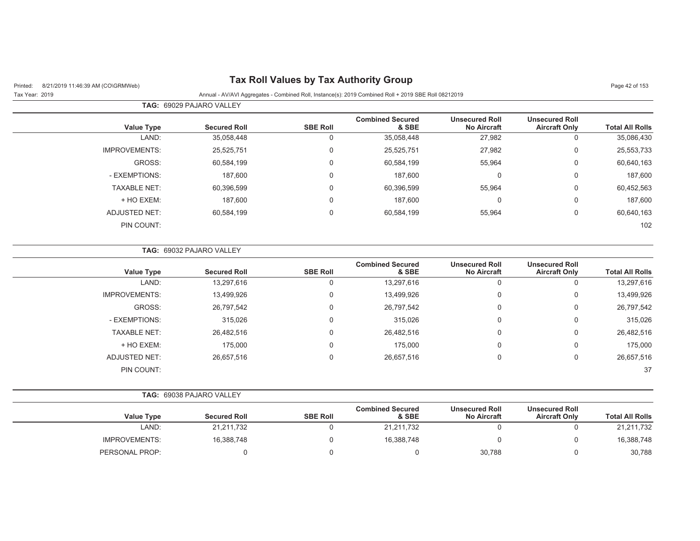# Printed: 8/21/2019 11:46:39 AM (CO\GRMWeb) **Tax Roll Values by Tax Authority Group** Page 42 of 153

## **TAG:** 69029 PAJARO VALLEYTax Year: 2019 Annual - AV/AVI Aggregates - Combined Roll, Instance(s): 2019 Combined Roll + 2019 SBE Roll 08212019

| <b>Total All Rolls</b> | <b>Unsecured Roll</b><br><b>Aircraft Only</b> | <b>Unsecured Roll</b><br><b>No Aircraft</b> | <b>Combined Secured</b><br>& SBE | <b>SBE Roll</b> | <b>Secured Roll</b> | <b>Value Type</b>    |
|------------------------|-----------------------------------------------|---------------------------------------------|----------------------------------|-----------------|---------------------|----------------------|
| 35,086,430             | 0                                             | 27,982                                      | 35,058,448                       | 0               | 35,058,448          | LAND:                |
| 25,553,733             | 0                                             | 27,982                                      | 25,525,751                       | 0               | 25,525,751          | <b>IMPROVEMENTS:</b> |
| 60,640,163             | 0                                             | 55,964                                      | 60,584,199                       | 0               | 60,584,199          | GROSS:               |
| 187,600                | 0                                             | $\Omega$                                    | 187,600                          | 0               | 187,600             | - EXEMPTIONS:        |
| 60,452,563             | 0                                             | 55,964                                      | 60,396,599                       | 0               | 60,396,599          | <b>TAXABLE NET:</b>  |
| 187,600                | 0                                             | 0                                           | 187,600                          | 0               | 187,600             | + HO EXEM:           |
| 60,640,163             | 0                                             | 55,964                                      | 60,584,199                       | $\mathbf 0$     | 60,584,199          | ADJUSTED NET:        |
| 102                    |                                               |                                             |                                  |                 |                     | PIN COUNT:           |

|                      | <b>TAG:   69032 PAJARO VALLEY</b> |                 |                                  |                                             |                                               |                        |
|----------------------|-----------------------------------|-----------------|----------------------------------|---------------------------------------------|-----------------------------------------------|------------------------|
| <b>Value Type</b>    | <b>Secured Roll</b>               | <b>SBE Roll</b> | <b>Combined Secured</b><br>& SBE | <b>Unsecured Roll</b><br><b>No Aircraft</b> | <b>Unsecured Roll</b><br><b>Aircraft Only</b> | <b>Total All Rolls</b> |
| LAND:                | 13,297,616                        | U               | 13,297,616                       | 0                                           | 0                                             | 13,297,616             |
| <b>IMPROVEMENTS:</b> | 13,499,926                        | 0               | 13,499,926                       | 0                                           | 0                                             | 13,499,926             |
| GROSS:               | 26,797,542                        | 0               | 26,797,542                       | 0                                           | 0                                             | 26,797,542             |
| - EXEMPTIONS:        | 315,026                           | 0               | 315,026                          | 0                                           | 0                                             | 315,026                |
| <b>TAXABLE NET:</b>  | 26,482,516                        | 0               | 26,482,516                       | 0                                           | $\mathbf 0$                                   | 26,482,516             |
| + HO EXEM:           | 175,000                           | 0               | 175,000                          | 0                                           | $\mathbf 0$                                   | 175,000                |
| ADJUSTED NET:        | 26,657,516                        | 0               | 26,657,516                       | 0                                           | 0                                             | 26,657,516             |
| PIN COUNT:           |                                   |                 |                                  |                                             |                                               | 37                     |

**TAG:** 69038 PAJARO VALLEY

|                        | <b>Unsecured Roll</b> | <b>Unsecured Roll</b> | <b>Combined Secured</b> |                 |                     |                      |
|------------------------|-----------------------|-----------------------|-------------------------|-----------------|---------------------|----------------------|
| <b>Total All Rolls</b> | <b>Aircraft Only</b>  | <b>No Aircraft</b>    | & SBE                   | <b>SBE Roll</b> | <b>Secured Roll</b> | <b>Value Type</b>    |
| 21,211,732             |                       |                       | 21,211,732              |                 | 21,211,732          | LAND:                |
| 16,388,748             |                       |                       | 16.388.748              |                 | 16,388,748          | <b>IMPROVEMENTS:</b> |
| 30,788                 |                       | 30,788                |                         |                 |                     | PERSONAL PROP:       |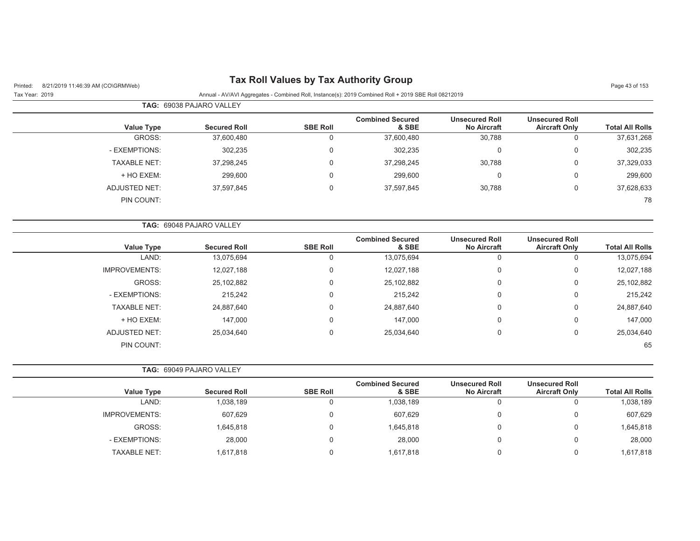| 8/21/2019 11:46:39 AM (CO\GRMWeb)<br>Printed: |                          |                 | <b>Tax Roll Values by Tax Authority Group</b>                                                        |                                             |                                               | Page 43 of 153         |
|-----------------------------------------------|--------------------------|-----------------|------------------------------------------------------------------------------------------------------|---------------------------------------------|-----------------------------------------------|------------------------|
| Tax Year: 2019                                |                          |                 | Annual - AV/AVI Aggregates - Combined Roll, Instance(s): 2019 Combined Roll + 2019 SBE Roll 08212019 |                                             |                                               |                        |
|                                               | TAG: 69038 PAJARO VALLEY |                 |                                                                                                      |                                             |                                               |                        |
| <b>Value Type</b>                             | <b>Secured Roll</b>      | <b>SBE Roll</b> | <b>Combined Secured</b><br>& SBE                                                                     | <b>Unsecured Roll</b><br><b>No Aircraft</b> | <b>Unsecured Roll</b><br><b>Aircraft Only</b> | <b>Total All Rolls</b> |
| GROSS:                                        | 37,600,480               | 0               | 37,600,480                                                                                           | 30,788                                      | $\mathbf 0$                                   | 37,631,268             |
| - EXEMPTIONS:                                 | 302,235                  | 0               | 302,235                                                                                              | 0                                           | $\mathbf 0$                                   | 302,235                |
| <b>TAXABLE NET:</b>                           | 37,298,245               | 0               | 37,298,245                                                                                           | 30,788                                      | $\mathbf 0$                                   | 37,329,033             |
| + HO EXEM:                                    | 299,600                  | 0               | 299,600                                                                                              | 0                                           | $\overline{0}$                                | 299,600                |
| <b>ADJUSTED NET:</b>                          | 37,597,845               | 0               | 37,597,845                                                                                           | 30,788                                      | $\mathbf 0$                                   | 37,628,633             |
| PIN COUNT:                                    |                          |                 |                                                                                                      |                                             |                                               | 78                     |
|                                               | TAG: 69048 PAJARO VALLEY |                 |                                                                                                      |                                             |                                               |                        |
| <b>Value Type</b>                             | <b>Secured Roll</b>      | <b>SBE Roll</b> | <b>Combined Secured</b><br>& SBE                                                                     | <b>Unsecured Roll</b><br><b>No Aircraft</b> | <b>Unsecured Roll</b><br><b>Aircraft Only</b> | <b>Total All Rolls</b> |
| LAND:                                         | 13,075,694               | 0               | 13,075,694                                                                                           | $\mathsf 0$                                 | $\mathsf 0$                                   | 13,075,694             |
| <b>IMPROVEMENTS:</b>                          | 12,027,188               | 0               | 12,027,188                                                                                           | $\mathbf 0$                                 | $\mathbf 0$                                   | 12,027,188             |
| GROSS:                                        | 25,102,882               | 0               | 25,102,882                                                                                           | 0                                           | $\mathsf 0$                                   | 25,102,882             |
| - EXEMPTIONS:                                 | 215,242                  | 0               | 215,242                                                                                              | 0                                           | $\mathbf 0$                                   | 215,242                |
| <b>TAXABLE NET:</b>                           | 24,887,640               | 0               | 24,887,640                                                                                           | 0                                           | $\mathbf 0$                                   | 24,887,640             |
| + HO EXEM:                                    | 147,000                  | 0               | 147,000                                                                                              | 0                                           | $\overline{0}$                                | 147,000                |
| <b>ADJUSTED NET:</b>                          | 25,034,640               | 0               | 25,034,640                                                                                           | $\mathbf 0$                                 | $\mathbf 0$                                   | 25,034,640             |
| PIN COUNT:                                    |                          |                 |                                                                                                      |                                             |                                               | 65                     |
|                                               | TAG: 69049 PAJARO VALLEY |                 |                                                                                                      |                                             |                                               |                        |
| <b>Value Type</b>                             | <b>Secured Roll</b>      | <b>SBE Roll</b> | <b>Combined Secured</b><br>& SBE                                                                     | <b>Unsecured Roll</b><br><b>No Aircraft</b> | <b>Unsecured Roll</b><br><b>Aircraft Only</b> | <b>Total All Rolls</b> |
| LAND:                                         | 1,038,189                | 0               | 1,038,189                                                                                            | 0                                           | $\mathbf 0$                                   | 1,038,189              |
| <b>IMPROVEMENTS:</b>                          | 607,629                  | 0               | 607,629                                                                                              | 0                                           | $\mathbf 0$                                   | 607,629                |
| GROSS:                                        | 1,645,818                | 0               | 1,645,818                                                                                            | 0                                           | $\mathsf 0$                                   | 1,645,818              |
| - EXEMPTIONS:                                 | 28,000                   | 0               | 28,000                                                                                               | 0                                           | $\mathbf 0$                                   | 28,000                 |
| <b>TAXABLE NET:</b>                           | 1,617,818                | 0               | 1,617,818                                                                                            | 0                                           | $\mathbf 0$                                   | 1,617,818              |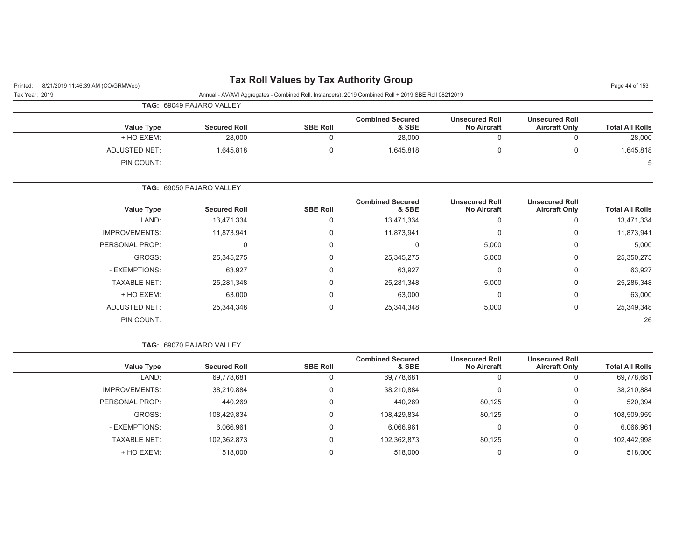# Printed: 8/21/2019 11:46:39 AM (CO\GRMWeb) **Tax Roll Values by Tax Authority Group** Page 44 of 153

| Tax Year: 2019 | Annual - AV/AVI Aggregates - Combined Roll, Instance(s): 2019 Combined Roll + 2019 SBE Roll 08212019 |
|----------------|------------------------------------------------------------------------------------------------------|

|                   | <b>TAG: 69049 PAJARO VALLEY</b> |                 |                                  |                                             |                                               |                        |
|-------------------|---------------------------------|-----------------|----------------------------------|---------------------------------------------|-----------------------------------------------|------------------------|
| <b>Value Type</b> | <b>Secured Roll</b>             | <b>SBE Roll</b> | <b>Combined Secured</b><br>& SBE | <b>Unsecured Roll</b><br><b>No Aircraft</b> | <b>Unsecured Roll</b><br><b>Aircraft Only</b> | <b>Total All Rolls</b> |
| + HO EXEM:        | 28,000                          |                 | 28,000                           |                                             | 0                                             | 28,000                 |
| ADJUSTED NET:     | 1,645,818                       |                 | 1,645,818                        |                                             | 0                                             | 1,645,818              |
| PIN COUNT:        |                                 |                 |                                  |                                             |                                               | 5                      |

**TAG:** 69050 PAJARO VALLEY

| <b>Value Type</b>    | <b>Secured Roll</b> | <b>SBE Roll</b> | <b>Combined Secured</b><br>& SBE | <b>Unsecured Roll</b><br><b>No Aircraft</b> | <b>Unsecured Roll</b><br><b>Aircraft Only</b> | <b>Total All Rolls</b> |
|----------------------|---------------------|-----------------|----------------------------------|---------------------------------------------|-----------------------------------------------|------------------------|
| LAND:                | 13,471,334          | υ               | 13,471,334                       | 0                                           | υ                                             | 13,471,334             |
| <b>IMPROVEMENTS:</b> | 11,873,941          | 0               | 11,873,941                       | 0                                           | 0                                             | 11,873,941             |
| PERSONAL PROP:       | 0                   | 0               |                                  | 5,000                                       | 0                                             | 5,000                  |
| GROSS:               | 25,345,275          | 0               | 25,345,275                       | 5,000                                       | 0                                             | 25,350,275             |
| - EXEMPTIONS:        | 63,927              | 0               | 63,927                           | 0                                           | 0                                             | 63,927                 |
| <b>TAXABLE NET:</b>  | 25,281,348          | 0               | 25,281,348                       | 5,000                                       | 0                                             | 25,286,348             |
| + HO EXEM:           | 63,000              | 0               | 63,000                           | 0                                           | 0                                             | 63,000                 |
| <b>ADJUSTED NET:</b> | 25,344,348          | 0               | 25,344,348                       | 5,000                                       | 0                                             | 25,349,348             |
| PIN COUNT:           |                     |                 |                                  |                                             |                                               | 26                     |

**TAG:** 69070 PAJARO VALLEY

|                      |                     |                 | <b>Combined Secured</b> | <b>Unsecured Roll</b> | <b>Unsecured Roll</b> |                        |
|----------------------|---------------------|-----------------|-------------------------|-----------------------|-----------------------|------------------------|
| <b>Value Type</b>    | <b>Secured Roll</b> | <b>SBE Roll</b> | & SBE                   | <b>No Aircraft</b>    | <b>Aircraft Only</b>  | <b>Total All Rolls</b> |
| LAND:                | 69,778,681          | υ               | 69,778,681              |                       |                       | 69,778,681             |
| <b>IMPROVEMENTS:</b> | 38,210,884          | 0               | 38,210,884              |                       | U                     | 38,210,884             |
| PERSONAL PROP:       | 440,269             | 0               | 440,269                 | 80,125                |                       | 520,394                |
| GROSS:               | 108,429,834         | 0               | 108,429,834             | 80,125                | U                     | 108,509,959            |
| - EXEMPTIONS:        | 6,066,961           | 0               | 6,066,961               |                       | 0                     | 6,066,961              |
| <b>TAXABLE NET:</b>  | 102,362,873         | 0               | 102,362,873             | 80,125                | U                     | 102,442,998            |
| + HO EXEM:           | 518,000             |                 | 518,000                 |                       |                       | 518,000                |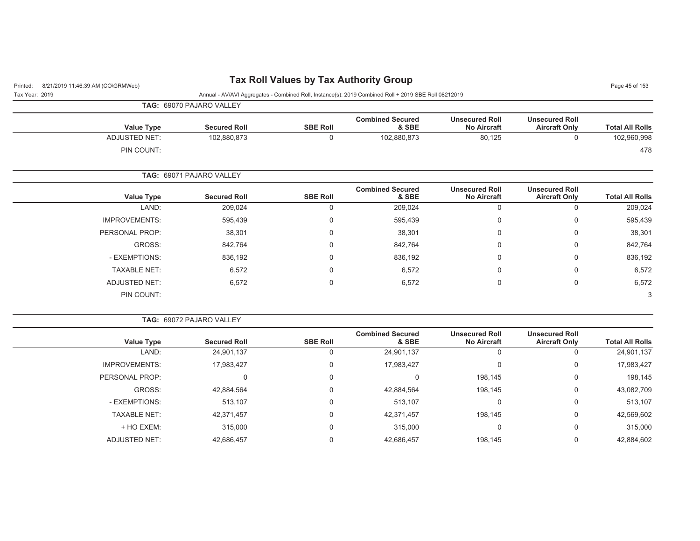# Printed: 8/21/2019 11:46:39 AM (CO\GRMWeb) **Tax Roll Values by Tax Authority Group** Page 45 of 153

| Tax Year: 2019 | Annual - AV/AVI Aggregates - Combined Roll, Instance(s): 2019 Combined Roll + 2019 SBE Roll 08212019 |
|----------------|------------------------------------------------------------------------------------------------------|
|                | <b>TAG: 69070 PAJARO VALLEY</b>                                                                      |

| <b>Value Type</b>    | <b>Secured Roll</b> | <b>SBE Roll</b> | <b>Combined Secured</b><br>& SBE | <b>Unsecured Roll</b><br><b>No Aircraft</b> | <b>Unsecured Roll</b><br><b>Aircraft Only</b> | <b>Total All Rolls</b> |
|----------------------|---------------------|-----------------|----------------------------------|---------------------------------------------|-----------------------------------------------|------------------------|
| <b>ADJUSTED NET:</b> | 102,880,873         |                 | 102,880,873                      | 80,125                                      |                                               | 102,960,998            |
| PIN COUNT:           |                     |                 |                                  |                                             |                                               | 478                    |

## **TAG:** 69071 PAJARO VALLEY

| Value Type           | <b>Secured Roll</b> | <b>SBE Roll</b> | <b>Combined Secured</b><br>& SBE | <b>Unsecured Roll</b><br><b>No Aircraft</b> | <b>Unsecured Roll</b><br><b>Aircraft Only</b> | <b>Total All Rolls</b> |
|----------------------|---------------------|-----------------|----------------------------------|---------------------------------------------|-----------------------------------------------|------------------------|
| LAND:                | 209,024             | 0               | 209,024                          | 0                                           | O                                             | 209,024                |
| <b>IMPROVEMENTS:</b> | 595,439             | $\mathbf 0$     | 595,439                          | 0                                           | 0                                             | 595,439                |
| PERSONAL PROP:       | 38,301              | 0               | 38,301                           | 0                                           | 0                                             | 38,301                 |
| GROSS:               | 842,764             | 0               | 842,764                          | 0                                           | 0                                             | 842,764                |
| - EXEMPTIONS:        | 836,192             | 0               | 836,192                          | 0                                           | 0                                             | 836,192                |
| <b>TAXABLE NET:</b>  | 6,572               | 0               | 6,572                            | 0                                           | 0                                             | 6,572                  |
| <b>ADJUSTED NET:</b> | 6,572               | 0               | 6,572                            | 0                                           | 0                                             | 6,572                  |
| PIN COUNT:           |                     |                 |                                  |                                             |                                               | 3                      |

### **TAG:** 69072 PAJARO VALLEY

| <b>Value Type</b>    | <b>Secured Roll</b> | <b>SBE Roll</b> | <b>Combined Secured</b><br>& SBE | <b>Unsecured Roll</b><br><b>No Aircraft</b> | <b>Unsecured Roll</b><br><b>Aircraft Only</b> | <b>Total All Rolls</b> |
|----------------------|---------------------|-----------------|----------------------------------|---------------------------------------------|-----------------------------------------------|------------------------|
| LAND:                | 24,901,137          | u               | 24,901,137                       |                                             |                                               | 24,901,137             |
| <b>IMPROVEMENTS:</b> | 17,983,427          | 0               | 17,983,427                       | 0                                           | 0                                             | 17,983,427             |
| PERSONAL PROP:       |                     | 0               |                                  | 198,145                                     | 0                                             | 198,145                |
| GROSS:               | 42,884,564          | 0               | 42,884,564                       | 198,145                                     | $\mathbf 0$                                   | 43,082,709             |
| - EXEMPTIONS:        | 513.107             | 0               | 513,107                          | 0                                           | $\mathbf 0$                                   | 513,107                |
| <b>TAXABLE NET:</b>  | 42,371,457          | 0               | 42,371,457                       | 198,145                                     | $\mathbf 0$                                   | 42,569,602             |
| + HO EXEM:           | 315,000             | 0               | 315,000                          |                                             | 0                                             | 315,000                |
| ADJUSTED NET:        | 42,686,457          | 0               | 42,686,457                       | 198,145                                     | 0                                             | 42,884,602             |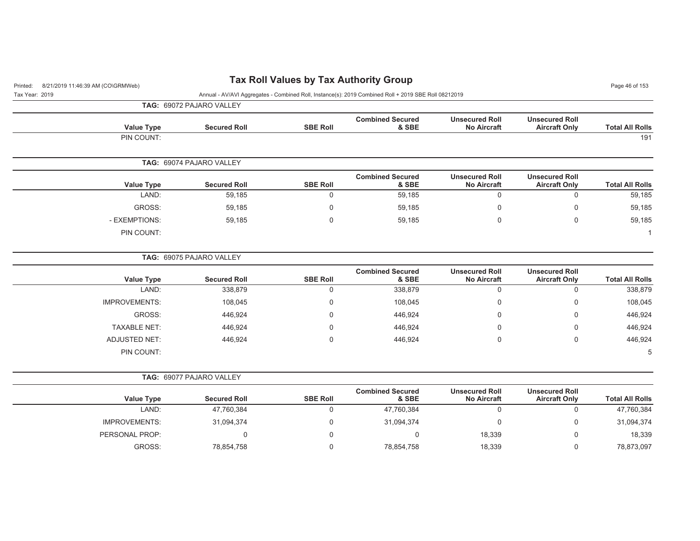| 8/21/2019 11:46:39 AM (CO\GRMWeb)<br>Printed:<br>Tax Year: 2019<br>Annual - AV/AVI Aggregates - Combined Roll, Instance(s): 2019 Combined Roll + 2019 SBE Roll 08212019<br>TAG: 69072 PAJARO VALLEY<br><b>Unsecured Roll</b><br><b>Unsecured Roll</b><br><b>Combined Secured</b><br><b>SBE Roll</b><br>& SBE<br><b>Value Type</b><br><b>Secured Roll</b><br><b>No Aircraft</b><br><b>Aircraft Only</b><br>PIN COUNT:<br>TAG: 69074 PAJARO VALLEY<br><b>Combined Secured</b><br><b>Unsecured Roll</b><br><b>Unsecured Roll</b><br><b>Secured Roll</b><br><b>SBE Roll</b><br>& SBE<br><b>Value Type</b><br><b>No Aircraft</b><br><b>Aircraft Only</b><br>LAND:<br>59,185<br>$\mathbf 0$<br>59,185<br>$\mathbf 0$<br>$\mathbf 0$<br>GROSS:<br>$\mathbf 0$<br>59,185<br>0<br>59,185<br>0<br>- EXEMPTIONS:<br>59,185<br>$\mathbf 0$<br>59,185<br>$\Omega$<br>$\mathbf 0$<br>PIN COUNT:<br>TAG: 69075 PAJARO VALLEY<br><b>Combined Secured</b><br><b>Unsecured Roll</b><br><b>Unsecured Roll</b><br><b>Secured Roll</b><br><b>SBE Roll</b><br>& SBE<br><b>Value Type</b><br><b>No Aircraft</b><br><b>Aircraft Only</b><br>LAND:<br>338,879<br>$\mathbf 0$<br>338,879<br>0<br>0<br><b>IMPROVEMENTS:</b><br>108,045<br>$\mathbf 0$<br>108,045<br>0<br>$\Omega$<br>GROSS:<br>446,924<br>$\Omega$<br>446,924<br>0<br>$\Omega$ | Page 46 of 153<br><b>Total All Rolls</b><br>191<br><b>Total All Rolls</b> |  |  |  |
|---------------------------------------------------------------------------------------------------------------------------------------------------------------------------------------------------------------------------------------------------------------------------------------------------------------------------------------------------------------------------------------------------------------------------------------------------------------------------------------------------------------------------------------------------------------------------------------------------------------------------------------------------------------------------------------------------------------------------------------------------------------------------------------------------------------------------------------------------------------------------------------------------------------------------------------------------------------------------------------------------------------------------------------------------------------------------------------------------------------------------------------------------------------------------------------------------------------------------------------------------------------------------------------------------------------------|---------------------------------------------------------------------------|--|--|--|
|                                                                                                                                                                                                                                                                                                                                                                                                                                                                                                                                                                                                                                                                                                                                                                                                                                                                                                                                                                                                                                                                                                                                                                                                                                                                                                                     |                                                                           |  |  |  |
|                                                                                                                                                                                                                                                                                                                                                                                                                                                                                                                                                                                                                                                                                                                                                                                                                                                                                                                                                                                                                                                                                                                                                                                                                                                                                                                     |                                                                           |  |  |  |
|                                                                                                                                                                                                                                                                                                                                                                                                                                                                                                                                                                                                                                                                                                                                                                                                                                                                                                                                                                                                                                                                                                                                                                                                                                                                                                                     |                                                                           |  |  |  |
|                                                                                                                                                                                                                                                                                                                                                                                                                                                                                                                                                                                                                                                                                                                                                                                                                                                                                                                                                                                                                                                                                                                                                                                                                                                                                                                     |                                                                           |  |  |  |
|                                                                                                                                                                                                                                                                                                                                                                                                                                                                                                                                                                                                                                                                                                                                                                                                                                                                                                                                                                                                                                                                                                                                                                                                                                                                                                                     |                                                                           |  |  |  |
|                                                                                                                                                                                                                                                                                                                                                                                                                                                                                                                                                                                                                                                                                                                                                                                                                                                                                                                                                                                                                                                                                                                                                                                                                                                                                                                     | 59,185                                                                    |  |  |  |
|                                                                                                                                                                                                                                                                                                                                                                                                                                                                                                                                                                                                                                                                                                                                                                                                                                                                                                                                                                                                                                                                                                                                                                                                                                                                                                                     | 59,185                                                                    |  |  |  |
|                                                                                                                                                                                                                                                                                                                                                                                                                                                                                                                                                                                                                                                                                                                                                                                                                                                                                                                                                                                                                                                                                                                                                                                                                                                                                                                     | 59,185<br>-1                                                              |  |  |  |
|                                                                                                                                                                                                                                                                                                                                                                                                                                                                                                                                                                                                                                                                                                                                                                                                                                                                                                                                                                                                                                                                                                                                                                                                                                                                                                                     |                                                                           |  |  |  |
|                                                                                                                                                                                                                                                                                                                                                                                                                                                                                                                                                                                                                                                                                                                                                                                                                                                                                                                                                                                                                                                                                                                                                                                                                                                                                                                     |                                                                           |  |  |  |
|                                                                                                                                                                                                                                                                                                                                                                                                                                                                                                                                                                                                                                                                                                                                                                                                                                                                                                                                                                                                                                                                                                                                                                                                                                                                                                                     |                                                                           |  |  |  |
|                                                                                                                                                                                                                                                                                                                                                                                                                                                                                                                                                                                                                                                                                                                                                                                                                                                                                                                                                                                                                                                                                                                                                                                                                                                                                                                     | <b>Total All Rolls</b>                                                    |  |  |  |
|                                                                                                                                                                                                                                                                                                                                                                                                                                                                                                                                                                                                                                                                                                                                                                                                                                                                                                                                                                                                                                                                                                                                                                                                                                                                                                                     | 338,879                                                                   |  |  |  |
|                                                                                                                                                                                                                                                                                                                                                                                                                                                                                                                                                                                                                                                                                                                                                                                                                                                                                                                                                                                                                                                                                                                                                                                                                                                                                                                     | 108,045                                                                   |  |  |  |
|                                                                                                                                                                                                                                                                                                                                                                                                                                                                                                                                                                                                                                                                                                                                                                                                                                                                                                                                                                                                                                                                                                                                                                                                                                                                                                                     | 446,924                                                                   |  |  |  |
| <b>TAXABLE NET:</b><br>446,924<br>446,924<br>$\Omega$<br>0<br>$\Omega$                                                                                                                                                                                                                                                                                                                                                                                                                                                                                                                                                                                                                                                                                                                                                                                                                                                                                                                                                                                                                                                                                                                                                                                                                                              | 446,924                                                                   |  |  |  |
| 0<br><b>ADJUSTED NET:</b><br>$\Omega$<br>$\mathbf 0$<br>446,924<br>446,924                                                                                                                                                                                                                                                                                                                                                                                                                                                                                                                                                                                                                                                                                                                                                                                                                                                                                                                                                                                                                                                                                                                                                                                                                                          | 446,924                                                                   |  |  |  |
| PIN COUNT:                                                                                                                                                                                                                                                                                                                                                                                                                                                                                                                                                                                                                                                                                                                                                                                                                                                                                                                                                                                                                                                                                                                                                                                                                                                                                                          | 5                                                                         |  |  |  |
| TAG: 69077 PAJARO VALLEY                                                                                                                                                                                                                                                                                                                                                                                                                                                                                                                                                                                                                                                                                                                                                                                                                                                                                                                                                                                                                                                                                                                                                                                                                                                                                            |                                                                           |  |  |  |
| <b>Combined Secured</b><br><b>Unsecured Roll</b><br><b>Unsecured Roll</b><br>& SBE<br><b>Value Type</b><br><b>Secured Roll</b><br><b>SBE Roll</b><br><b>No Aircraft</b><br><b>Aircraft Only</b>                                                                                                                                                                                                                                                                                                                                                                                                                                                                                                                                                                                                                                                                                                                                                                                                                                                                                                                                                                                                                                                                                                                     | <b>Total All Rolls</b>                                                    |  |  |  |
| LAND:<br>47,760,384<br>$\mathbf 0$<br>47,760,384<br>$\Omega$<br>$\mathbf 0$                                                                                                                                                                                                                                                                                                                                                                                                                                                                                                                                                                                                                                                                                                                                                                                                                                                                                                                                                                                                                                                                                                                                                                                                                                         | 47,760,384                                                                |  |  |  |
| <b>IMPROVEMENTS:</b><br>$\mathbf 0$<br>31,094,374<br>$\mathbf 0$<br>0<br>31,094,374                                                                                                                                                                                                                                                                                                                                                                                                                                                                                                                                                                                                                                                                                                                                                                                                                                                                                                                                                                                                                                                                                                                                                                                                                                 | 31,094,374                                                                |  |  |  |
| PERSONAL PROP:<br>$\mathbf 0$<br>0<br>$\Omega$<br>$\mathbf{0}$<br>18,339                                                                                                                                                                                                                                                                                                                                                                                                                                                                                                                                                                                                                                                                                                                                                                                                                                                                                                                                                                                                                                                                                                                                                                                                                                            |                                                                           |  |  |  |
| GROSS:<br>$\Omega$<br>0<br>78,854,758<br>78,854,758<br>18,339                                                                                                                                                                                                                                                                                                                                                                                                                                                                                                                                                                                                                                                                                                                                                                                                                                                                                                                                                                                                                                                                                                                                                                                                                                                       | 18,339                                                                    |  |  |  |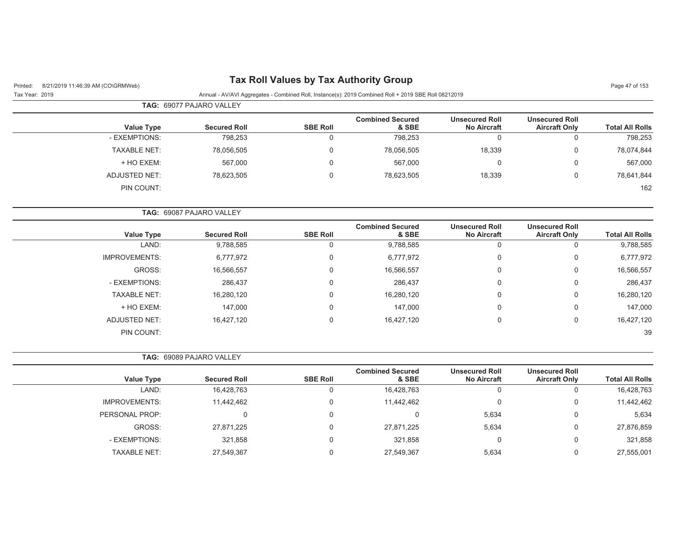# Printed: 8/21/2019 11:46:39 AM (CO\GRMWeb) **Tax Roll Values by Tax Authority Group** Page 47 of 153

Tax Year: 2019 Annual - AV/AVI Aggregates - Combined Roll, Instance(s): 2019 Combined Roll + 2019 SBE Roll 08212019

|                     | <b>TAG: 69077 PAJARO VALLEY</b> |                 |                                  |                                             |                                               |                        |
|---------------------|---------------------------------|-----------------|----------------------------------|---------------------------------------------|-----------------------------------------------|------------------------|
| <b>Value Type</b>   | <b>Secured Roll</b>             | <b>SBE Roll</b> | <b>Combined Secured</b><br>& SBE | <b>Unsecured Roll</b><br><b>No Aircraft</b> | <b>Unsecured Roll</b><br><b>Aircraft Only</b> | <b>Total All Rolls</b> |
| - EXEMPTIONS:       | 798,253                         |                 | 798,253                          | 0                                           |                                               | 798,253                |
| <b>TAXABLE NET:</b> | 78,056,505                      |                 | 78,056,505                       | 18,339                                      | 0                                             | 78,074,844             |
| + HO EXEM:          | 567,000                         |                 | 567,000                          | 0                                           |                                               | 567,000                |
| ADJUSTED NET:       | 78,623,505                      |                 | 78,623,505                       | 18,339                                      |                                               | 78,641,844             |
| PIN COUNT:          |                                 |                 |                                  |                                             |                                               | 162                    |

|                        |                                               |                                             | <b>TAG: 69087 PAJARO VALLEY</b>  |                 |                     |                      |  |  |
|------------------------|-----------------------------------------------|---------------------------------------------|----------------------------------|-----------------|---------------------|----------------------|--|--|
| <b>Total All Rolls</b> | <b>Unsecured Roll</b><br><b>Aircraft Only</b> | <b>Unsecured Roll</b><br><b>No Aircraft</b> | <b>Combined Secured</b><br>& SBE | <b>SBE Roll</b> | <b>Secured Roll</b> | Value Type           |  |  |
| 9,788,585              |                                               | 0                                           | 9,788,585                        | 0               | 9,788,585           | LAND:                |  |  |
| 6,777,972              | 0                                             | $\Omega$                                    | 6,777,972                        | $\mathbf 0$     | 6,777,972           | <b>IMPROVEMENTS:</b> |  |  |
| 16,566,557             | 0                                             | $\mathbf{0}$                                | 16,566,557                       | 0               | 16,566,557          | GROSS:               |  |  |
| 286,437                | 0                                             | $\mathbf{0}$                                | 286,437                          | 0               | 286,437             | - EXEMPTIONS:        |  |  |
| 16,280,120             | $\mathbf 0$                                   | $\mathbf{0}$                                | 16,280,120                       | 0               | 16,280,120          | <b>TAXABLE NET:</b>  |  |  |
| 147,000                | $\Omega$                                      | $\mathbf{0}$                                | 147,000                          | 0               | 147,000             | + HO EXEM:           |  |  |
| 16,427,120             | 0                                             | $\mathbf{0}$                                | 16,427,120                       | 0               | 16,427,120          | <b>ADJUSTED NET:</b> |  |  |
| 39                     |                                               |                                             |                                  |                 |                     | PIN COUNT:           |  |  |

**TAG:** 69089 PAJARO VALLEY

| <b>Value Type</b>    | <b>Secured Roll</b> | <b>SBE Roll</b> | <b>Combined Secured</b><br>& SBE | <b>Unsecured Roll</b><br><b>No Aircraft</b> | <b>Unsecured Roll</b><br><b>Aircraft Only</b> | <b>Total All Rolls</b> |
|----------------------|---------------------|-----------------|----------------------------------|---------------------------------------------|-----------------------------------------------|------------------------|
| LAND:                | 16,428,763          | U               | 16,428,763                       | u                                           |                                               | 16,428,763             |
|                      |                     |                 |                                  |                                             |                                               |                        |
| <b>IMPROVEMENTS:</b> | 11.442.462          |                 | 11,442,462                       |                                             |                                               | 11,442,462             |
| PERSONAL PROP:       | 0                   | $\Omega$        |                                  | 5,634                                       |                                               | 5,634                  |
| GROSS:               | 27,871,225          | $\Omega$        | 27,871,225                       | 5,634                                       |                                               | 27,876,859             |
| - EXEMPTIONS:        | 321.858             |                 | 321,858                          | 0                                           |                                               | 321,858                |
| <b>TAXABLE NET:</b>  | 27,549,367          |                 | 27,549,367                       | 5,634                                       |                                               | 27,555,001             |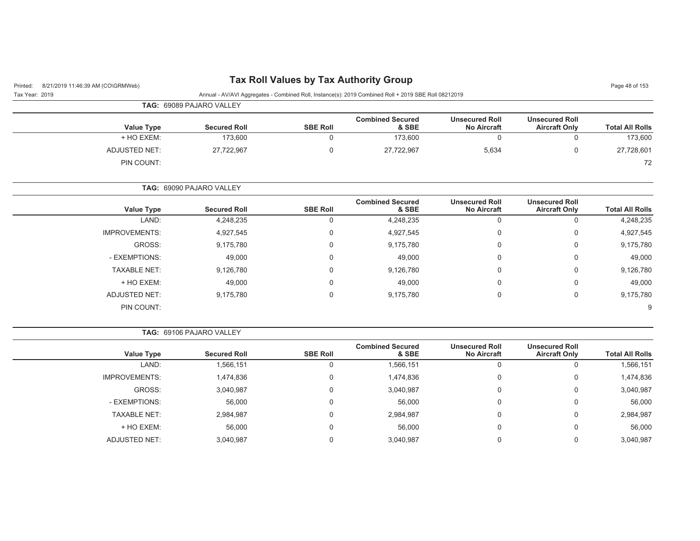| Printed:<br>8/21/2019 11:46:39 AM (CO\GRMWeb) |                                 |                                 | <b>Tax Roll Values by Tax Authority Group</b> |                                                                                                      |                                             |                                               | Page 48 of 153         |
|-----------------------------------------------|---------------------------------|---------------------------------|-----------------------------------------------|------------------------------------------------------------------------------------------------------|---------------------------------------------|-----------------------------------------------|------------------------|
| Tax Year: 2019                                |                                 |                                 |                                               | Annual - AV/AVI Aggregates - Combined Roll, Instance(s): 2019 Combined Roll + 2019 SBE Roll 08212019 |                                             |                                               |                        |
|                                               | <b>TAG: 69089 PAJARO VALLEY</b> |                                 |                                               |                                                                                                      |                                             |                                               |                        |
|                                               | <b>Value Type</b>               | <b>Secured Roll</b>             | <b>SBE Roll</b>                               | <b>Combined Secured</b><br>& SBE                                                                     | <b>Unsecured Roll</b><br><b>No Aircraft</b> | <b>Unsecured Roll</b><br><b>Aircraft Only</b> | <b>Total All Rolls</b> |
|                                               | + HO EXEM:                      | 173.600                         |                                               | 173,600                                                                                              | 0                                           |                                               | 173,600                |
|                                               | ADJUSTED NET:                   | 27,722,967                      | 0                                             | 27,722,967                                                                                           | 5,634                                       | 0                                             | 27,728,601             |
|                                               | PIN COUNT:                      |                                 |                                               |                                                                                                      |                                             |                                               | 72                     |
|                                               |                                 | <b>TAG: 69090 PAJARO VALLEY</b> |                                               |                                                                                                      |                                             |                                               |                        |

| <b>Value Type</b>    | <b>Secured Roll</b> | <b>SBE Roll</b> | <b>Combined Secured</b><br>& SBE | <b>Unsecured Roll</b><br><b>No Aircraft</b> | <b>Unsecured Roll</b><br><b>Aircraft Only</b> | <b>Total All Rolls</b> |
|----------------------|---------------------|-----------------|----------------------------------|---------------------------------------------|-----------------------------------------------|------------------------|
| LAND:                | 4,248,235           | 0               | 4,248,235                        | 0                                           | υ                                             | 4,248,235              |
| <b>IMPROVEMENTS:</b> | 4,927,545           | 0               | 4,927,545                        | 0                                           | U                                             | 4,927,545              |
| GROSS:               | 9,175,780           | 0               | 9,175,780                        | 0                                           | 0                                             | 9,175,780              |
| - EXEMPTIONS:        | 49,000              | 0               | 49,000                           | 0                                           | 0                                             | 49,000                 |
| <b>TAXABLE NET:</b>  | 9,126,780           | 0               | 9,126,780                        | 0                                           | 0                                             | 9,126,780              |
| + HO EXEM:           | 49,000              | 0               | 49,000                           | 0                                           | 0                                             | 49,000                 |
| ADJUSTED NET:        | 9,175,780           | 0               | 9,175,780                        | 0                                           | U                                             | 9,175,780              |
| PIN COUNT:           |                     |                 |                                  |                                             |                                               | 9                      |

| <b>TAG: 69106 PAJARO VALLEY</b> |                                               |                                             |                                  |                 |                     |                      |
|---------------------------------|-----------------------------------------------|---------------------------------------------|----------------------------------|-----------------|---------------------|----------------------|
| <b>Total All Rolls</b>          | <b>Unsecured Roll</b><br><b>Aircraft Only</b> | <b>Unsecured Roll</b><br><b>No Aircraft</b> | <b>Combined Secured</b><br>& SBE | <b>SBE Roll</b> | <b>Secured Roll</b> | Value Type           |
| 1,566,151                       |                                               | U                                           | 1,566,151                        |                 | 1,566,151           | LAND:                |
| 1,474,836                       | 0                                             | 0                                           | 1,474,836                        |                 | 1,474,836           | <b>IMPROVEMENTS:</b> |
| 3,040,987                       | 0                                             | $\mathbf{0}$                                | 3,040,987                        |                 | 3,040,987           | GROSS:               |
| 56,000                          | 0                                             | 0                                           | 56,000                           |                 | 56,000              | - EXEMPTIONS:        |
| 2,984,987                       | 0                                             | 0                                           | 2,984,987                        |                 | 2,984,987           | <b>TAXABLE NET:</b>  |
| 56,000                          | 0                                             | 0                                           | 56,000                           |                 | 56,000              | + HO EXEM:           |
| 3,040,987                       |                                               | 0                                           | 3,040,987                        |                 | 3,040,987           | <b>ADJUSTED NET:</b> |
|                                 |                                               |                                             |                                  |                 |                     |                      |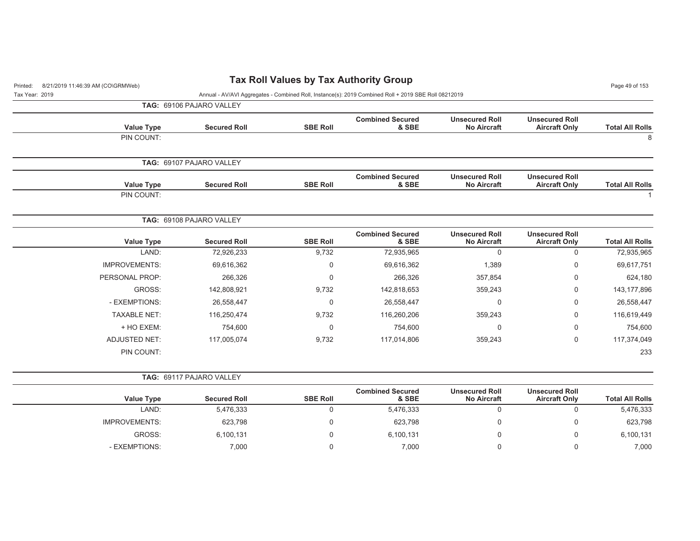| 8/21/2019 11:46:39 AM (CO\GRMWeb)<br>Printed: |                          |                 | <b>Tax Roll Values by Tax Authority Group</b>                                                        |                                             |                                               | Page 49 of 153         |
|-----------------------------------------------|--------------------------|-----------------|------------------------------------------------------------------------------------------------------|---------------------------------------------|-----------------------------------------------|------------------------|
| Tax Year: 2019                                |                          |                 | Annual - AV/AVI Aggregates - Combined Roll, Instance(s): 2019 Combined Roll + 2019 SBE Roll 08212019 |                                             |                                               |                        |
|                                               | TAG: 69106 PAJARO VALLEY |                 |                                                                                                      |                                             |                                               |                        |
| <b>Value Type</b>                             | <b>Secured Roll</b>      | <b>SBE Roll</b> | <b>Combined Secured</b><br>& SBE                                                                     | <b>Unsecured Roll</b><br><b>No Aircraft</b> | <b>Unsecured Roll</b><br><b>Aircraft Only</b> | <b>Total All Rolls</b> |
| PIN COUNT:                                    |                          |                 |                                                                                                      |                                             |                                               | $\,8\,$                |
|                                               | TAG: 69107 PAJARO VALLEY |                 |                                                                                                      |                                             |                                               |                        |
| <b>Value Type</b>                             | <b>Secured Roll</b>      | <b>SBE Roll</b> | <b>Combined Secured</b><br>& SBE                                                                     | <b>Unsecured Roll</b><br><b>No Aircraft</b> | <b>Unsecured Roll</b><br><b>Aircraft Only</b> | <b>Total All Rolls</b> |
| PIN COUNT:                                    |                          |                 |                                                                                                      |                                             |                                               |                        |
|                                               | TAG: 69108 PAJARO VALLEY |                 |                                                                                                      |                                             |                                               |                        |
| <b>Value Type</b>                             | <b>Secured Roll</b>      | <b>SBE Roll</b> | <b>Combined Secured</b><br>& SBE                                                                     | <b>Unsecured Roll</b><br>No Aircraft        | <b>Unsecured Roll</b><br><b>Aircraft Only</b> | <b>Total All Rolls</b> |
| LAND:                                         | 72,926,233               | 9,732           | 72,935,965                                                                                           | $\mathbf 0$                                 | $\mathbf 0$                                   | 72,935,965             |
| <b>IMPROVEMENTS:</b>                          | 69,616,362               | 0               | 69,616,362                                                                                           | 1,389                                       | $\boldsymbol{0}$                              | 69,617,751             |
| PERSONAL PROP:                                | 266,326                  | $\mathbf 0$     | 266,326                                                                                              | 357,854                                     | $\mathbf 0$                                   | 624,180                |
| GROSS:                                        | 142,808,921              | 9,732           | 142,818,653                                                                                          | 359,243                                     | $\mathbf 0$                                   | 143, 177, 896          |
| - EXEMPTIONS:                                 | 26,558,447               | 0               | 26,558,447                                                                                           | 0                                           | $\boldsymbol{0}$                              | 26,558,447             |
| <b>TAXABLE NET:</b>                           | 116,250,474              | 9,732           | 116,260,206                                                                                          | 359,243                                     | $\mathbf 0$                                   | 116,619,449            |
| + HO EXEM:                                    | 754,600                  | $\mathbf 0$     | 754,600                                                                                              | 0                                           | $\mathbf 0$                                   | 754,600                |
| <b>ADJUSTED NET:</b>                          | 117,005,074              | 9,732           | 117,014,806                                                                                          | 359,243                                     | $\mathbf 0$                                   | 117,374,049            |
| PIN COUNT:                                    |                          |                 |                                                                                                      |                                             |                                               | 233                    |
|                                               | TAG: 69117 PAJARO VALLEY |                 |                                                                                                      |                                             |                                               |                        |
| <b>Value Type</b>                             | <b>Secured Roll</b>      | <b>SBE Roll</b> | <b>Combined Secured</b><br>& SBE                                                                     | <b>Unsecured Roll</b><br><b>No Aircraft</b> | <b>Unsecured Roll</b><br><b>Aircraft Only</b> | <b>Total All Rolls</b> |
| LAND:                                         | 5,476,333                | $\mathbf 0$     | 5,476,333                                                                                            | $\mathbf 0$                                 | $\mathbf 0$                                   | 5,476,333              |
| <b>IMPROVEMENTS:</b>                          | 623,798                  | 0               | 623,798                                                                                              | 0                                           | $\mathbf 0$                                   | 623,798                |
| GROSS:                                        | 6,100,131                | $\mathbf 0$     | 6,100,131                                                                                            | 0                                           | $\mathbf 0$                                   | 6,100,131              |
| - EXEMPTIONS:                                 | 7,000                    | $\mathbf 0$     | 7,000                                                                                                | $\mathbf 0$                                 | $\mathbf 0$                                   | 7,000                  |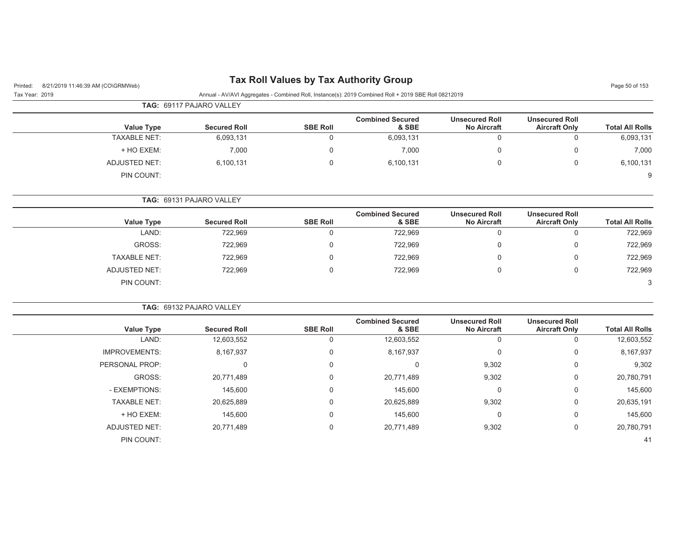| 8/21/2019 11:46:39 AM (CO\GRMWeb)<br>Printed: |                          |                 | <b>Tax Roll Values by Tax Authority Group</b>                                                        |                                             |                                               | Page 50 of 153         |
|-----------------------------------------------|--------------------------|-----------------|------------------------------------------------------------------------------------------------------|---------------------------------------------|-----------------------------------------------|------------------------|
| Tax Year: 2019                                |                          |                 | Annual - AV/AVI Aggregates - Combined Roll, Instance(s): 2019 Combined Roll + 2019 SBE Roll 08212019 |                                             |                                               |                        |
|                                               | TAG: 69117 PAJARO VALLEY |                 |                                                                                                      |                                             |                                               |                        |
| <b>Value Type</b>                             | <b>Secured Roll</b>      | <b>SBE Roll</b> | <b>Combined Secured</b><br>& SBE                                                                     | <b>Unsecured Roll</b><br><b>No Aircraft</b> | <b>Unsecured Roll</b><br><b>Aircraft Only</b> | <b>Total All Rolls</b> |
| <b>TAXABLE NET:</b>                           | 6,093,131                | $\mathbf 0$     | 6,093,131                                                                                            | 0                                           | $\mathbf 0$                                   | 6,093,131              |
| + HO EXEM:                                    | 7,000                    | $\Omega$        | 7,000                                                                                                | 0                                           | $\mathbf 0$                                   | 7,000                  |
| <b>ADJUSTED NET:</b>                          | 6,100,131                | $\Omega$        | 6,100,131                                                                                            | 0                                           | $\mathbf 0$                                   | 6,100,131              |
| PIN COUNT:                                    |                          |                 |                                                                                                      |                                             |                                               | 9                      |
|                                               | TAG: 69131 PAJARO VALLEY |                 |                                                                                                      |                                             |                                               |                        |
| <b>Value Type</b>                             | <b>Secured Roll</b>      | <b>SBE Roll</b> | <b>Combined Secured</b><br>& SBE                                                                     | <b>Unsecured Roll</b><br><b>No Aircraft</b> | <b>Unsecured Roll</b><br><b>Aircraft Only</b> | <b>Total All Rolls</b> |
| LAND:                                         | 722,969                  | $\Omega$        | 722,969                                                                                              | $\mathbf 0$                                 | $\mathbf 0$                                   | 722,969                |
| GROSS:                                        | 722,969                  | $\mathbf 0$     | 722,969                                                                                              | 0                                           | 0                                             | 722,969                |
| <b>TAXABLE NET:</b>                           | 722,969                  | $\Omega$        | 722,969                                                                                              | $\mathbf 0$                                 | $\Omega$                                      | 722,969                |
| <b>ADJUSTED NET:</b>                          | 722,969                  | $\mathbf 0$     | 722,969                                                                                              | 0                                           | $\mathbf 0$                                   | 722,969                |
| PIN COUNT:                                    |                          |                 |                                                                                                      |                                             |                                               | 3                      |
|                                               | TAG: 69132 PAJARO VALLEY |                 |                                                                                                      |                                             |                                               |                        |
| <b>Value Type</b>                             | <b>Secured Roll</b>      | <b>SBE Roll</b> | <b>Combined Secured</b><br>& SBE                                                                     | <b>Unsecured Roll</b><br><b>No Aircraft</b> | <b>Unsecured Roll</b><br><b>Aircraft Only</b> | <b>Total All Rolls</b> |
| LAND:                                         | 12,603,552               | $\mathbf 0$     | 12,603,552                                                                                           | $\mathbf 0$                                 | $\mathbf 0$                                   | 12,603,552             |
| <b>IMPROVEMENTS:</b>                          | 8,167,937                | $\mathbf 0$     | 8,167,937                                                                                            | $\mathbf 0$                                 | $\boldsymbol{0}$                              | 8,167,937              |
| PERSONAL PROP:                                | $\mathbf 0$              | $\mathbf 0$     | $\mathbf 0$                                                                                          | 9,302                                       | $\mathbf 0$                                   | 9,302                  |
| GROSS:                                        | 20,771,489               | 0               | 20,771,489                                                                                           | 9,302                                       | 0                                             | 20,780,791             |
| - EXEMPTIONS:                                 | 145,600                  | 0               | 145,600                                                                                              | $\mathbf 0$                                 | 0                                             | 145,600                |
| <b>TAXABLE NET:</b>                           | 20,625,889               | $\Omega$        | 20,625,889                                                                                           | 9,302                                       | $\mathbf 0$                                   | 20,635,191             |
| + HO EXEM:                                    | 145,600                  | 0               | 145,600                                                                                              | 0                                           | $\boldsymbol{0}$                              | 145,600                |
| ADJUSTED NET:                                 | 20,771,489               | $\mathbf 0$     | 20,771,489                                                                                           | 9,302                                       | $\pmb{0}$                                     | 20,780,791             |
| PIN COUNT:                                    |                          |                 |                                                                                                      |                                             |                                               | 41                     |
|                                               |                          |                 |                                                                                                      |                                             |                                               |                        |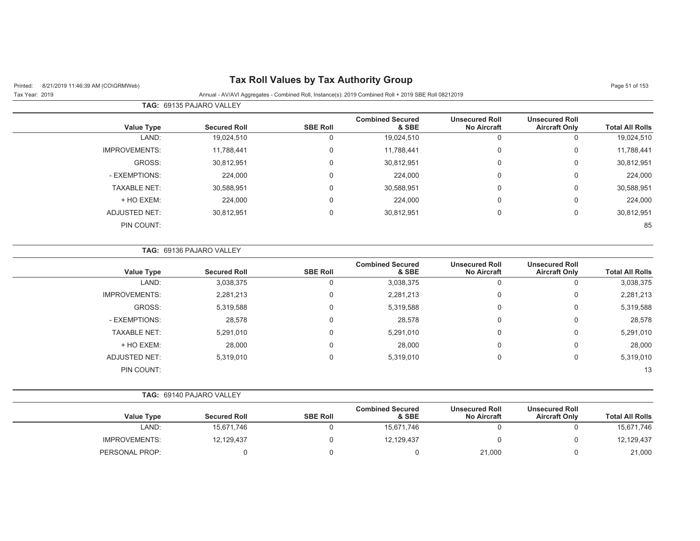# Printed: 8/21/2019 11:46:39 AM (CO\GRMWeb) **Tax Roll Values by Tax Authority Group**

Tax Year: 2019 **Annual - AV/AVI Aggregates - Combined Roll**, Instance(s): 2019 Combined Roll + 2019 SBE Roll 08212019

| Page 51 of 153 |  |  |  |
|----------------|--|--|--|
|----------------|--|--|--|

|                        | <u>Hilliam - AviAvi Agglegates - Obtibility Roll, libitatice(3). 2013 Obtibility Roll - 2013 ODE Roll 00212013</u> |                                             |                                  |                 |                                 |                      | 10011001.2010 |
|------------------------|--------------------------------------------------------------------------------------------------------------------|---------------------------------------------|----------------------------------|-----------------|---------------------------------|----------------------|---------------|
|                        |                                                                                                                    |                                             |                                  |                 | <b>TAG: 69135 PAJARO VALLEY</b> |                      |               |
| <b>Total All Rolls</b> | <b>Unsecured Roll</b><br><b>Aircraft Only</b>                                                                      | <b>Unsecured Roll</b><br><b>No Aircraft</b> | <b>Combined Secured</b><br>& SBE | <b>SBE Roll</b> | <b>Secured Roll</b>             | <b>Value Type</b>    |               |
| 19,024,510             | $\Omega$                                                                                                           | 0                                           | 19,024,510                       | 0               | 19,024,510                      | LAND:                |               |
| 11,788,441             | $\overline{0}$                                                                                                     | 0                                           | 11,788,441                       | 0               | 11,788,441                      | <b>IMPROVEMENTS:</b> |               |
| 30,812,951             | 0                                                                                                                  | 0                                           | 30,812,951                       | 0               | 30,812,951                      | GROSS:               |               |
| 224,000                | 0                                                                                                                  | 0                                           | 224,000                          | $\mathbf 0$     | 224,000                         | - EXEMPTIONS:        |               |
| 30,588,951             | 0                                                                                                                  | 0                                           | 30,588,951                       | $\mathbf 0$     | 30,588,951                      | <b>TAXABLE NET:</b>  |               |
| 224,000                | $\mathbf 0$                                                                                                        | 0                                           | 224,000                          | $\mathbf 0$     | 224,000                         | + HO EXEM:           |               |
| 30,812,951             | 0                                                                                                                  | 0                                           | 30,812,951                       | $\mathbf 0$     | 30,812,951                      | ADJUSTED NET:        |               |
| 85                     |                                                                                                                    |                                             |                                  |                 |                                 | PIN COUNT:           |               |
|                        |                                                                                                                    |                                             |                                  |                 |                                 |                      |               |

|                      | TAG: 69136 PAJARO VALLEY |                 |                                  |                                             |                                               |                        |
|----------------------|--------------------------|-----------------|----------------------------------|---------------------------------------------|-----------------------------------------------|------------------------|
| <b>Value Type</b>    | <b>Secured Roll</b>      | <b>SBE Roll</b> | <b>Combined Secured</b><br>& SBE | <b>Unsecured Roll</b><br><b>No Aircraft</b> | <b>Unsecured Roll</b><br><b>Aircraft Only</b> | <b>Total All Rolls</b> |
| LAND:                | 3,038,375                | 0               | 3,038,375                        | 0                                           |                                               | 3,038,375              |
| <b>IMPROVEMENTS:</b> | 2,281,213                | 0               | 2,281,213                        | 0                                           | 0                                             | 2,281,213              |
| GROSS:               | 5,319,588                | 0               | 5,319,588                        | 0                                           | 0                                             | 5,319,588              |
| - EXEMPTIONS:        | 28,578                   | 0               | 28,578                           | $\Omega$                                    | 0                                             | 28,578                 |
| <b>TAXABLE NET:</b>  | 5,291,010                | 0               | 5,291,010                        | 0                                           | $\mathbf 0$                                   | 5,291,010              |
| + HO EXEM:           | 28,000                   | 0               | 28,000                           | $\Omega$                                    | $\Omega$                                      | 28,000                 |
| ADJUSTED NET:        | 5,319,010                | 0               | 5,319,010                        | 0                                           | $\mathbf 0$                                   | 5,319,010              |
| PIN COUNT:           |                          |                 |                                  |                                             |                                               | 13                     |

|  | <b>TAG: 69140 PAJARO VALLEY</b> |  |
|--|---------------------------------|--|
|--|---------------------------------|--|

| <b>Value Type</b>    | <b>Secured Roll</b> | <b>SBE Roll</b> | <b>Combined Secured</b><br>& SBE | <b>Unsecured Roll</b><br><b>No Aircraft</b> | <b>Unsecured Roll</b><br><b>Aircraft Only</b> | <b>Total All Rolls</b> |
|----------------------|---------------------|-----------------|----------------------------------|---------------------------------------------|-----------------------------------------------|------------------------|
| LAND:                | 15.671.746          |                 | 15.671.746                       |                                             |                                               | 15,671,746             |
| <b>IMPROVEMENTS:</b> | 12,129,437          |                 | 12,129,437                       |                                             |                                               | 12,129,437             |
| PERSONAL PROP:       |                     |                 |                                  | 21,000                                      |                                               | 21,000                 |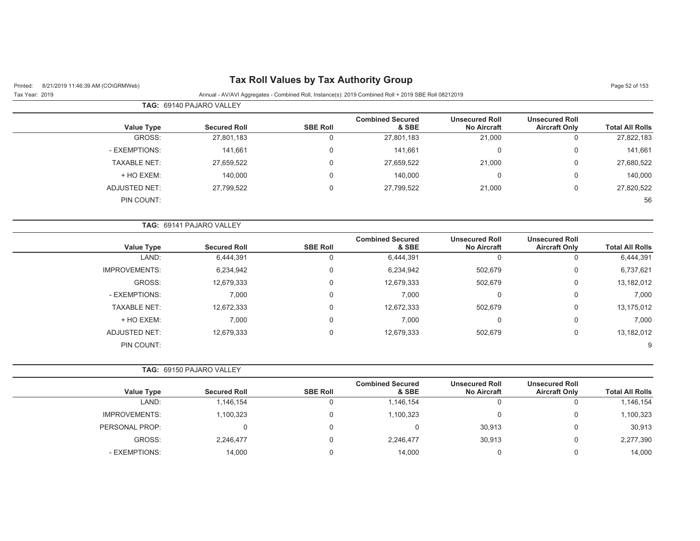| <b>Tax Roll Values by Tax Authority Group</b><br>8/21/2019 11:46:39 AM (CO\GRMWeb)<br>Printed: |                          |                 |                                                                                                      |                                             |                                               |                        |
|------------------------------------------------------------------------------------------------|--------------------------|-----------------|------------------------------------------------------------------------------------------------------|---------------------------------------------|-----------------------------------------------|------------------------|
| Tax Year: 2019                                                                                 |                          |                 | Annual - AV/AVI Aggregates - Combined Roll, Instance(s): 2019 Combined Roll + 2019 SBE Roll 08212019 |                                             |                                               | Page 52 of 153         |
|                                                                                                | TAG: 69140 PAJARO VALLEY |                 |                                                                                                      |                                             |                                               |                        |
| <b>Value Type</b>                                                                              | <b>Secured Roll</b>      | <b>SBE Roll</b> | <b>Combined Secured</b><br>& SBE                                                                     | <b>Unsecured Roll</b><br><b>No Aircraft</b> | <b>Unsecured Roll</b><br><b>Aircraft Only</b> | <b>Total All Rolls</b> |
| GROSS:                                                                                         | 27,801,183               | 0               | 27,801,183                                                                                           | 21,000                                      | $\mathbf 0$                                   | 27,822,183             |
| - EXEMPTIONS:                                                                                  | 141,661                  | 0               | 141,661                                                                                              | $\mathsf 0$                                 | $\boldsymbol{0}$                              | 141,661                |
| <b>TAXABLE NET:</b>                                                                            | 27,659,522               | 0               | 27,659,522                                                                                           | 21,000                                      | $\mathbf 0$                                   | 27,680,522             |
| + HO EXEM:                                                                                     | 140,000                  | 0               | 140,000                                                                                              | 0                                           | $\Omega$                                      | 140,000                |
| ADJUSTED NET:                                                                                  | 27,799,522               | 0               | 27,799,522                                                                                           | 21,000                                      | $\mathsf 0$                                   | 27,820,522             |
| PIN COUNT:                                                                                     |                          |                 |                                                                                                      |                                             |                                               | 56                     |
|                                                                                                | TAG: 69141 PAJARO VALLEY |                 |                                                                                                      |                                             |                                               |                        |
| <b>Value Type</b>                                                                              | <b>Secured Roll</b>      | <b>SBE Roll</b> | <b>Combined Secured</b><br>& SBE                                                                     | <b>Unsecured Roll</b><br><b>No Aircraft</b> | <b>Unsecured Roll</b><br><b>Aircraft Only</b> | <b>Total All Rolls</b> |
| LAND:                                                                                          | 6,444,391                | 0               | 6,444,391                                                                                            | $\mathbf 0$                                 | $\mathbf 0$                                   | 6,444,391              |
| <b>IMPROVEMENTS:</b>                                                                           | 6,234,942                | 0               | 6,234,942                                                                                            | 502,679                                     | $\mathbf 0$                                   | 6,737,621              |
| GROSS:                                                                                         | 12,679,333               | 0               | 12,679,333                                                                                           | 502,679                                     | $\mathsf 0$                                   | 13,182,012             |
| - EXEMPTIONS:                                                                                  | 7,000                    | 0               | 7,000                                                                                                | 0                                           | $\overline{0}$                                | 7,000                  |
| <b>TAXABLE NET:</b>                                                                            | 12,672,333               | 0               | 12,672,333                                                                                           | 502,679                                     | $\mathbf 0$                                   | 13,175,012             |
| + HO EXEM:                                                                                     | 7,000                    | 0               | 7,000                                                                                                | 0                                           | $\mathbf 0$                                   | 7,000                  |
| <b>ADJUSTED NET:</b>                                                                           | 12,679,333               | $\Omega$        | 12,679,333                                                                                           | 502,679                                     | $\mathbf 0$                                   | 13,182,012             |
| PIN COUNT:                                                                                     |                          |                 |                                                                                                      |                                             |                                               | 9                      |
|                                                                                                | TAG: 69150 PAJARO VALLEY |                 |                                                                                                      |                                             |                                               |                        |
| <b>Value Type</b>                                                                              | <b>Secured Roll</b>      | <b>SBE Roll</b> | <b>Combined Secured</b><br>& SBE                                                                     | <b>Unsecured Roll</b><br><b>No Aircraft</b> | <b>Unsecured Roll</b><br><b>Aircraft Only</b> | <b>Total All Rolls</b> |
| LAND:                                                                                          | 1,146,154                | $\mathbf 0$     | 1,146,154                                                                                            | $\mathbf 0$                                 | $\mathbf 0$                                   | 1,146,154              |
| <b>IMPROVEMENTS:</b>                                                                           | 1,100,323                | 0               | 1,100,323                                                                                            | 0                                           | $\overline{0}$                                | 1,100,323              |
| PERSONAL PROP:                                                                                 | 0                        | 0               | $\mathbf 0$                                                                                          | 30,913                                      | $\mathbf 0$                                   | 30,913                 |
| GROSS:                                                                                         | 2,246,477                | 0               | 2,246,477                                                                                            | 30,913                                      | $\mathbf 0$                                   | 2,277,390              |
| - EXEMPTIONS:                                                                                  | 14,000                   | $\Omega$        | 14,000                                                                                               | 0                                           | $\mathbf 0$                                   | 14,000                 |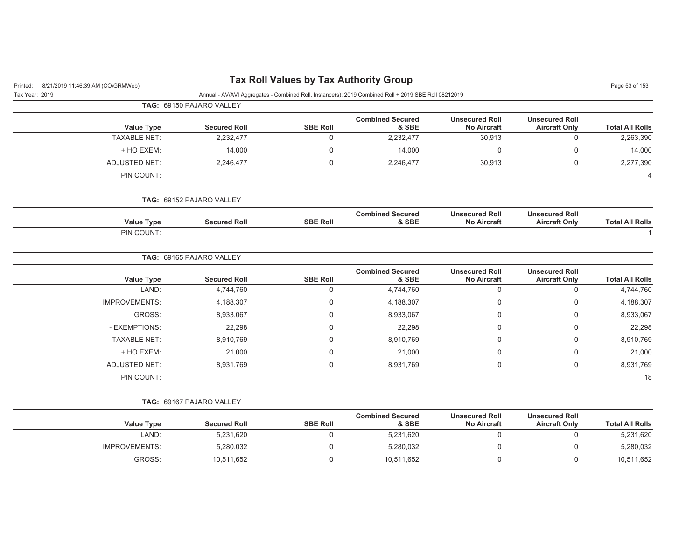| 8/21/2019 11:46:39 AM (CO\GRMWeb)<br>Printed: |                          |                 | <b>Tax Roll Values by Tax Authority Group</b>                                                        |                                             |                                               | Page 53 of 153         |
|-----------------------------------------------|--------------------------|-----------------|------------------------------------------------------------------------------------------------------|---------------------------------------------|-----------------------------------------------|------------------------|
| Tax Year: 2019                                |                          |                 | Annual - AV/AVI Aggregates - Combined Roll, Instance(s): 2019 Combined Roll + 2019 SBE Roll 08212019 |                                             |                                               |                        |
|                                               | TAG: 69150 PAJARO VALLEY |                 |                                                                                                      |                                             |                                               |                        |
| <b>Value Type</b>                             | <b>Secured Roll</b>      | <b>SBE Roll</b> | <b>Combined Secured</b><br>& SBE                                                                     | <b>Unsecured Roll</b><br><b>No Aircraft</b> | <b>Unsecured Roll</b><br><b>Aircraft Only</b> | <b>Total All Rolls</b> |
| <b>TAXABLE NET:</b>                           | 2,232,477                | 0               | 2,232,477                                                                                            | 30,913                                      | $\mathsf 0$                                   | 2,263,390              |
| + HO EXEM:                                    | 14,000                   | 0               | 14,000                                                                                               | 0                                           | $\mathbf 0$                                   | 14,000                 |
| <b>ADJUSTED NET:</b>                          | 2,246,477                | 0               | 2,246,477                                                                                            | 30,913                                      | $\mathbf 0$                                   | 2,277,390              |
| PIN COUNT:                                    |                          |                 |                                                                                                      |                                             |                                               | 4                      |
|                                               | TAG: 69152 PAJARO VALLEY |                 |                                                                                                      |                                             |                                               |                        |
| <b>Value Type</b>                             | <b>Secured Roll</b>      | <b>SBE Roll</b> | <b>Combined Secured</b><br>& SBE                                                                     | <b>Unsecured Roll</b><br><b>No Aircraft</b> | <b>Unsecured Roll</b><br><b>Aircraft Only</b> | <b>Total All Rolls</b> |
| PIN COUNT:                                    |                          |                 |                                                                                                      |                                             |                                               |                        |
|                                               | TAG: 69165 PAJARO VALLEY |                 |                                                                                                      |                                             |                                               |                        |
| <b>Value Type</b>                             | <b>Secured Roll</b>      | <b>SBE Roll</b> | <b>Combined Secured</b><br>& SBE                                                                     | <b>Unsecured Roll</b><br><b>No Aircraft</b> | <b>Unsecured Roll</b><br><b>Aircraft Only</b> | <b>Total All Rolls</b> |
| LAND:                                         | 4,744,760                | 0               | 4,744,760                                                                                            | $\mathbf 0$                                 | $\mathbf 0$                                   | 4,744,760              |
| <b>IMPROVEMENTS:</b>                          | 4,188,307                | 0               | 4,188,307                                                                                            | 0                                           | $\mathbf 0$                                   | 4,188,307              |
| GROSS:                                        | 8,933,067                | 0               | 8,933,067                                                                                            | 0                                           | $\mathbf 0$                                   | 8,933,067              |
| - EXEMPTIONS:                                 | 22,298                   | 0               | 22,298                                                                                               | 0                                           | $\mathbf 0$                                   | 22,298                 |
| <b>TAXABLE NET:</b>                           | 8,910,769                | 0               | 8,910,769                                                                                            | 0                                           | $\mathbf 0$                                   | 8,910,769              |
| + HO EXEM:                                    | 21,000                   | 0               | 21,000                                                                                               | 0                                           | $\mathbf 0$                                   | 21,000                 |
| <b>ADJUSTED NET:</b>                          | 8,931,769                | 0               | 8,931,769                                                                                            | 0                                           | $\mathbf 0$                                   | 8,931,769              |
| PIN COUNT:                                    |                          |                 |                                                                                                      |                                             |                                               | 18                     |
|                                               | TAG: 69167 PAJARO VALLEY |                 |                                                                                                      |                                             |                                               |                        |
| <b>Value Type</b>                             | <b>Secured Roll</b>      | <b>SBE Roll</b> | <b>Combined Secured</b><br>& SBE                                                                     | <b>Unsecured Roll</b><br><b>No Aircraft</b> | <b>Unsecured Roll</b><br><b>Aircraft Only</b> | <b>Total All Rolls</b> |
| LAND:                                         | 5,231,620                | 0               | 5,231,620                                                                                            | 0                                           | $\mathbf 0$                                   | 5,231,620              |
| IMPROVEMENTS:                                 | 5,280,032                | 0               | 5,280,032                                                                                            | 0                                           | $\mathbf 0$                                   | 5,280,032              |
| GROSS:                                        | 10,511,652               | 0               | 10,511,652                                                                                           | 0                                           | $\mathbf 0$                                   | 10,511,652             |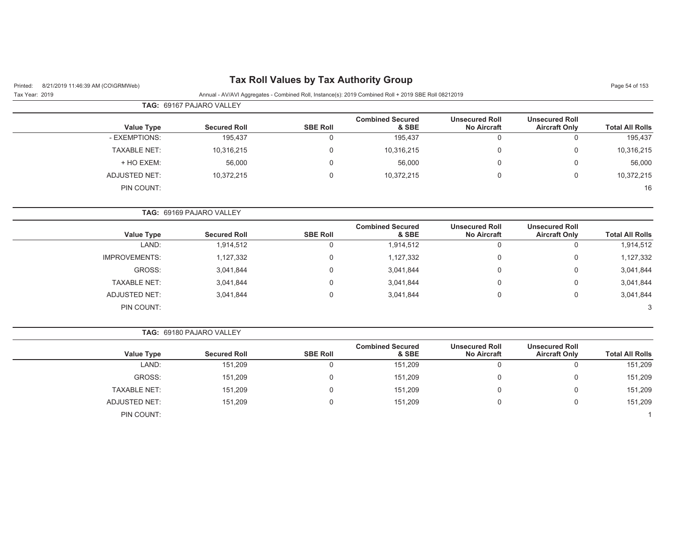# Printed: 8/21/2019 11:46:39 AM (CO\GRMWeb) **Tax Roll Values by Tax Authority Group** Page 54 of 153

Tax Year: 2019 Annual - AV/AVI Aggregates - Combined Roll, Instance(s): 2019 Combined Roll + 2019 SBE Roll 08212019

|                     | <b>TAG: 69167 PAJARO VALLEY</b> |                 |                                  |                                             |                                               |                        |  |  |  |
|---------------------|---------------------------------|-----------------|----------------------------------|---------------------------------------------|-----------------------------------------------|------------------------|--|--|--|
| <b>Value Type</b>   | <b>Secured Roll</b>             | <b>SBE Roll</b> | <b>Combined Secured</b><br>& SBE | <b>Unsecured Roll</b><br><b>No Aircraft</b> | <b>Unsecured Roll</b><br><b>Aircraft Only</b> | <b>Total All Rolls</b> |  |  |  |
| - EXEMPTIONS:       | 195.437                         |                 | 195,437                          |                                             |                                               | 195,437                |  |  |  |
| <b>TAXABLE NET:</b> | 10,316,215                      |                 | 10,316,215                       |                                             |                                               | 10,316,215             |  |  |  |
| + HO EXEM:          | 56,000                          |                 | 56,000                           |                                             |                                               | 56,000                 |  |  |  |
| ADJUSTED NET:       | 10,372,215                      |                 | 10,372,215                       |                                             |                                               | 10,372,215             |  |  |  |
| PIN COUNT:          |                                 |                 |                                  |                                             |                                               | 16                     |  |  |  |

|                      |                     |                 | <b>Combined Secured</b> | <b>Unsecured Roll</b> | <b>Unsecured Roll</b> |                        |
|----------------------|---------------------|-----------------|-------------------------|-----------------------|-----------------------|------------------------|
| <b>Value Type</b>    | <b>Secured Roll</b> | <b>SBE Roll</b> | & SBE                   | <b>No Aircraft</b>    | <b>Aircraft Only</b>  | <b>Total All Rolls</b> |
| LAND:                | 1,914,512           |                 | 1,914,512               | v                     |                       | 1,914,512              |
| <b>IMPROVEMENTS:</b> | 1,127,332           |                 | 1,127,332               | U                     | 0                     | 1,127,332              |
| GROSS:               | 3,041,844           |                 | 3,041,844               | υ                     | 0                     | 3,041,844              |
| <b>TAXABLE NET:</b>  | 3,041,844           |                 | 3,041,844               | U                     | 0                     | 3,041,844              |
| ADJUSTED NET:        | 3,041,844           |                 | 3,041,844               | υ                     | 0                     | 3,041,844              |
| PIN COUNT:           |                     |                 |                         |                       |                       | 3                      |

|                      | <b>TAG: 69180 PAJARO VALLEY</b> |                 |                                  |                                             |                                               |                        |
|----------------------|---------------------------------|-----------------|----------------------------------|---------------------------------------------|-----------------------------------------------|------------------------|
| <b>Value Type</b>    | <b>Secured Roll</b>             | <b>SBE Roll</b> | <b>Combined Secured</b><br>& SBE | <b>Unsecured Roll</b><br><b>No Aircraft</b> | <b>Unsecured Roll</b><br><b>Aircraft Only</b> | <b>Total All Rolls</b> |
| LAND:                | 151,209                         |                 | 151,209                          | 0                                           | u                                             | 151,209                |
| GROSS:               | 151,209                         |                 | 151,209                          | 0                                           | 0                                             | 151,209                |
| <b>TAXABLE NET:</b>  | 151,209                         |                 | 151,209                          | 0                                           | 0                                             | 151,209                |
| <b>ADJUSTED NET:</b> | 151.209                         |                 | 151,209                          | 0                                           | 0                                             | 151,209                |
| PIN COUNT:           |                                 |                 |                                  |                                             |                                               |                        |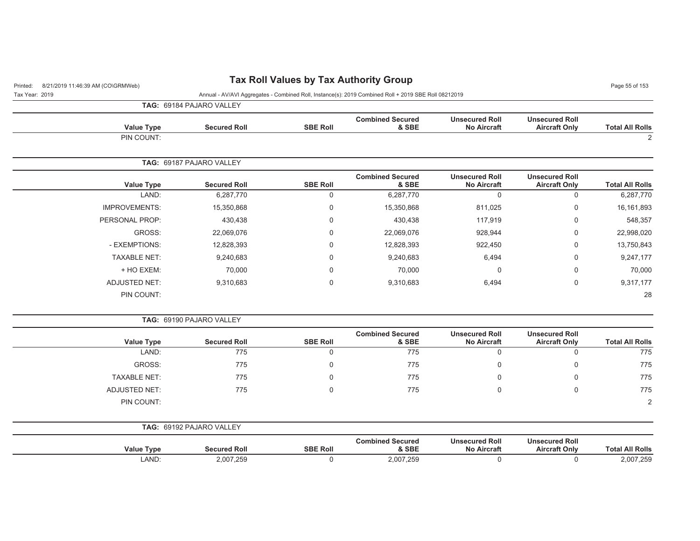# Printed: 8/21/2019 11:46:39 AM (CO\GRMWeb) **Tax Roll Values by Tax Authority Group** Page 55 of 153

Tax Year: 2019 Annual - AV/AVI Aggregates - Combined Roll, Instance(s): 2019 Combined Roll + 2019 SBE Roll 08212019

**TAG:** 69184 PAJARO VALLEY

| <b>Total All Rolls</b> | <b>Unsecured Roll</b><br><b>Aircraft Only</b> | <b>Unsecured Roll</b><br><b>No Aircraft</b> | <b>Combined Secured</b><br>& SBE | <b>SBE Roll</b> | <b>Secured Roll</b>      | Value Type           |
|------------------------|-----------------------------------------------|---------------------------------------------|----------------------------------|-----------------|--------------------------|----------------------|
| 2                      |                                               |                                             |                                  |                 |                          | PIN COUNT:           |
|                        |                                               |                                             |                                  |                 | TAG: 69187 PAJARO VALLEY |                      |
| <b>Total All Rolls</b> | <b>Unsecured Roll</b><br><b>Aircraft Only</b> | <b>Unsecured Roll</b><br><b>No Aircraft</b> | <b>Combined Secured</b><br>& SBE | <b>SBE Roll</b> | <b>Secured Roll</b>      | <b>Value Type</b>    |
| 6,287,770              | 0                                             | 0                                           | 6,287,770                        | 0               | 6,287,770                | LAND:                |
| 16, 161, 893           | 0                                             | 811,025                                     | 15,350,868                       | 0               | 15,350,868               | <b>IMPROVEMENTS:</b> |
| 548,357                | 0                                             | 117,919                                     | 430,438                          | 0               | 430,438                  | PERSONAL PROP:       |
| 22,998,020             | $\mathbf 0$                                   | 928,944                                     | 22,069,076                       | $\mathbf 0$     | 22,069,076               | GROSS:               |
| 13,750,843             | 0                                             | 922,450                                     | 12,828,393                       | $\Omega$        | 12,828,393               | - EXEMPTIONS:        |
| 9,247,177              | 0                                             | 6,494                                       | 9,240,683                        | $\mathbf 0$     | 9,240,683                | <b>TAXABLE NET:</b>  |
| 70,000                 | 0                                             | 0                                           | 70,000                           | 0               | 70,000                   | + HO EXEM:           |
| 9,317,177              | $\mathbf 0$                                   | 6,494                                       | 9,310,683                        | $\mathbf 0$     | 9,310,683                | <b>ADJUSTED NET:</b> |
| 28                     |                                               |                                             |                                  |                 |                          | PIN COUNT:           |

**TAG:** 69190 PAJARO VALLEY

| <b>Value Type</b>   | <b>Secured Roll</b> | <b>SBE Roll</b> | <b>Combined Secured</b><br>& SBE | <b>Unsecured Roll</b><br><b>No Aircraft</b> | <b>Unsecured Roll</b><br><b>Aircraft Only</b> | <b>Total All Rolls</b> |
|---------------------|---------------------|-----------------|----------------------------------|---------------------------------------------|-----------------------------------------------|------------------------|
| LAND:               | 775                 |                 | 775                              | U                                           |                                               | 775                    |
| GROSS:              | 775                 |                 | 775                              | $\Omega$                                    |                                               | 775                    |
| <b>TAXABLE NET:</b> | 775                 |                 | 775                              | u                                           |                                               | 775                    |
| ADJUSTED NET:       | 775                 |                 | 775                              | $\Omega$                                    |                                               | 775                    |
| PIN COUNT:          |                     |                 |                                  |                                             |                                               | 2                      |

| TAG:              | 69192 PAJARO VALLEY |                 |                                  |                                             |                                               |                        |
|-------------------|---------------------|-----------------|----------------------------------|---------------------------------------------|-----------------------------------------------|------------------------|
| <b>Value Type</b> | <b>Secured Roll</b> | <b>SBE Roll</b> | <b>Combined Secured</b><br>& SBE | <b>Unsecured Roll</b><br><b>No Aircraft</b> | <b>Unsecured Roll</b><br><b>Aircraft Only</b> | <b>Total All Rolls</b> |
| LAND:             | 2,007,259           |                 | 2,007,259                        |                                             |                                               | 2,007,259              |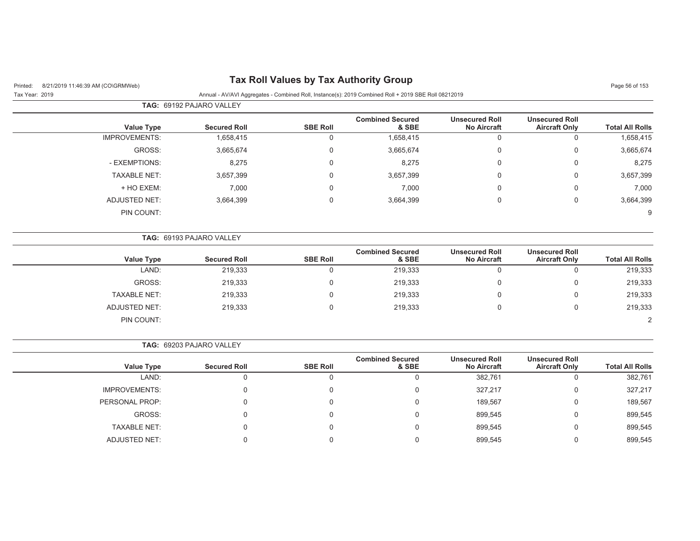| Printed:       | 8/21/2019 11:46:39 AM (CO\GRMWeb) |                          |                 | <b>Tax Roll Values by Tax Authority Group</b>                                                        |                                             |                                               | Page 56 of 153         |
|----------------|-----------------------------------|--------------------------|-----------------|------------------------------------------------------------------------------------------------------|---------------------------------------------|-----------------------------------------------|------------------------|
| Tax Year: 2019 |                                   |                          |                 | Annual - AV/AVI Aggregates - Combined Roll, Instance(s): 2019 Combined Roll + 2019 SBE Roll 08212019 |                                             |                                               |                        |
|                |                                   | TAG: 69192 PAJARO VALLEY |                 |                                                                                                      |                                             |                                               |                        |
|                | <b>Value Type</b>                 | <b>Secured Roll</b>      | <b>SBE Roll</b> | <b>Combined Secured</b><br>& SBE                                                                     | <b>Unsecured Roll</b><br><b>No Aircraft</b> | <b>Unsecured Roll</b><br><b>Aircraft Only</b> | <b>Total All Rolls</b> |
|                | <b>IMPROVEMENTS:</b>              | 1,658,415                | 0               | 1,658,415                                                                                            | 0                                           | $\mathbf 0$                                   | 1,658,415              |
|                | GROSS:                            | 3,665,674                | $\Omega$        | 3,665,674                                                                                            | 0                                           | 0                                             | 3,665,674              |
|                | - EXEMPTIONS:                     | 8,275                    | 0               | 8,275                                                                                                | $\mathbf 0$                                 | 0                                             | 8,275                  |
|                | <b>TAXABLE NET:</b>               | 3,657,399                | $\Omega$        | 3,657,399                                                                                            | $\mathbf 0$                                 | 0                                             | 3,657,399              |
|                | + HO EXEM:                        | 7,000                    | $\Omega$        | 7,000                                                                                                | 0                                           | $\Omega$                                      | 7,000                  |
|                | <b>ADJUSTED NET:</b>              | 3,664,399                | $\Omega$        | 3,664,399                                                                                            | $\mathbf 0$                                 | $\mathbf 0$                                   | 3,664,399              |
|                | PIN COUNT:                        |                          |                 |                                                                                                      |                                             |                                               | 9                      |
|                |                                   | TAG: 69193 PAJARO VALLEY |                 |                                                                                                      |                                             |                                               |                        |
|                | <b>Value Type</b>                 | <b>Secured Roll</b>      | <b>SBE Roll</b> | <b>Combined Secured</b><br>& SBE                                                                     | <b>Unsecured Roll</b><br><b>No Aircraft</b> | <b>Unsecured Roll</b><br><b>Aircraft Only</b> | <b>Total All Rolls</b> |
|                | LAND:                             | 219,333                  | $\mathbf 0$     | 219,333                                                                                              | 0                                           | $\Omega$                                      | 219,333                |
|                | GROSS:                            | 219,333                  | $\Omega$        | 219,333                                                                                              | 0                                           | $\Omega$                                      | 219,333                |
|                | <b>TAXABLE NET:</b>               | 219,333                  | $\Omega$        | 219,333                                                                                              | 0                                           | $\Omega$                                      | 219,333                |
|                | <b>ADJUSTED NET:</b>              | 219,333                  | $\mathbf 0$     | 219,333                                                                                              | 0                                           | $\mathbf 0$                                   | 219,333                |
|                | PIN COUNT:                        |                          |                 |                                                                                                      |                                             |                                               | 2                      |
|                |                                   | TAG: 69203 PAJARO VALLEY |                 |                                                                                                      |                                             |                                               |                        |
|                | <b>Value Type</b>                 | <b>Secured Roll</b>      | <b>SBE Roll</b> | <b>Combined Secured</b><br>& SBE                                                                     | <b>Unsecured Roll</b><br><b>No Aircraft</b> | <b>Unsecured Roll</b><br><b>Aircraft Only</b> | <b>Total All Rolls</b> |
|                | LAND:                             | $\mathsf{O}\xspace$      | 0               | $\mathbf 0$                                                                                          | 382,761                                     | $\mathbf 0$                                   | 382,761                |
|                | <b>IMPROVEMENTS:</b>              | $\mathbf 0$              | $\Omega$        | $\mathbf 0$                                                                                          | 327,217                                     | $\Omega$                                      | 327,217                |
|                | PERSONAL PROP:                    | $\Omega$                 |                 | $\Omega$                                                                                             | 189,567                                     | $\Omega$                                      | 189,567                |
|                | GROSS:                            | $\Omega$                 |                 | $\Omega$                                                                                             | 899,545                                     | $\Omega$                                      | 899,545                |
|                | <b>TAXABLE NET:</b>               | $\Omega$                 |                 | $\mathbf 0$                                                                                          | 899,545                                     | $\Omega$                                      | 899,545                |
|                | <b>ADJUSTED NET:</b>              | $\Omega$                 | $\Omega$        | 0                                                                                                    | 899,545                                     | $\Omega$                                      | 899,545                |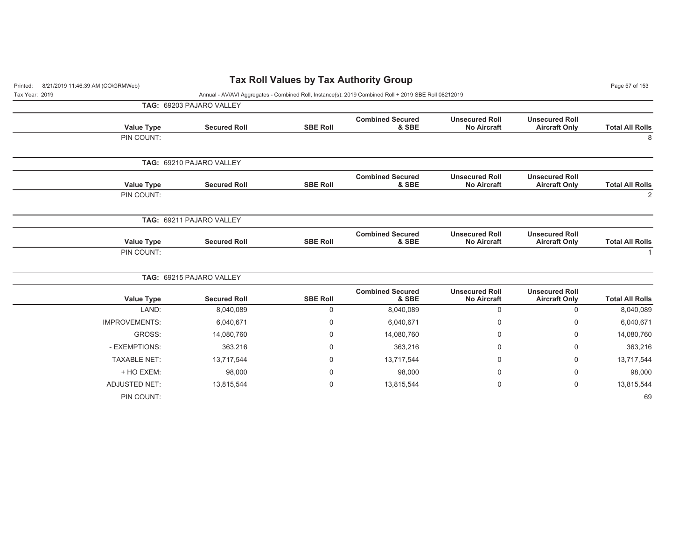| 8/21/2019 11:46:39 AM (CO\GRMWeb)<br>Printed: | $\frac{1}{2}$            |                 |                                                                                                      |                                             |                                               |                        |
|-----------------------------------------------|--------------------------|-----------------|------------------------------------------------------------------------------------------------------|---------------------------------------------|-----------------------------------------------|------------------------|
| Tax Year: 2019                                |                          |                 | Annual - AV/AVI Aggregates - Combined Roll, Instance(s): 2019 Combined Roll + 2019 SBE Roll 08212019 |                                             |                                               |                        |
|                                               | TAG: 69203 PAJARO VALLEY |                 |                                                                                                      |                                             |                                               |                        |
| <b>Value Type</b>                             | <b>Secured Roll</b>      | <b>SBE Roll</b> | <b>Combined Secured</b><br>& SBE                                                                     | <b>Unsecured Roll</b><br><b>No Aircraft</b> | <b>Unsecured Roll</b><br><b>Aircraft Only</b> | <b>Total All Rolls</b> |
| PIN COUNT:                                    |                          |                 |                                                                                                      |                                             |                                               | 8                      |
|                                               | TAG: 69210 PAJARO VALLEY |                 |                                                                                                      |                                             |                                               |                        |
| <b>Value Type</b>                             | <b>Secured Roll</b>      | <b>SBE Roll</b> | <b>Combined Secured</b><br>& SBE                                                                     | <b>Unsecured Roll</b><br><b>No Aircraft</b> | <b>Unsecured Roll</b><br><b>Aircraft Only</b> | <b>Total All Rolls</b> |
| PIN COUNT:                                    |                          |                 |                                                                                                      |                                             |                                               | 2                      |
|                                               | TAG: 69211 PAJARO VALLEY |                 |                                                                                                      |                                             |                                               |                        |
| <b>Value Type</b>                             | <b>Secured Roll</b>      | <b>SBE Roll</b> | <b>Combined Secured</b><br>& SBE                                                                     | <b>Unsecured Roll</b><br><b>No Aircraft</b> | <b>Unsecured Roll</b><br><b>Aircraft Only</b> | <b>Total All Rolls</b> |
| PIN COUNT:                                    |                          |                 |                                                                                                      |                                             |                                               |                        |
|                                               | TAG: 69215 PAJARO VALLEY |                 |                                                                                                      |                                             |                                               |                        |
| <b>Value Type</b>                             | <b>Secured Roll</b>      | <b>SBE Roll</b> | <b>Combined Secured</b><br>& SBE                                                                     | <b>Unsecured Roll</b><br><b>No Aircraft</b> | <b>Unsecured Roll</b><br><b>Aircraft Only</b> | <b>Total All Rolls</b> |
| LAND:                                         | 8,040,089                | $\mathbf 0$     | 8,040,089                                                                                            | $\mathbf 0$                                 | $\mathbf 0$                                   | 8,040,089              |
| <b>IMPROVEMENTS:</b>                          | 6,040,671                | 0               | 6,040,671                                                                                            | 0                                           | 0                                             | 6,040,671              |
| GROSS:                                        | 14,080,760               | 0               | 14,080,760                                                                                           | 0                                           | 0                                             | 14,080,760             |
| - EXEMPTIONS:                                 | 363,216                  | $\Omega$        | 363,216                                                                                              | $\mathbf 0$                                 | 0                                             | 363,216                |
| <b>TAXABLE NET:</b>                           | 13,717,544               | $\Omega$        | 13,717,544                                                                                           | 0                                           | 0                                             | 13,717,544             |
| + HO EXEM:                                    | 98,000                   | 0               | 98,000                                                                                               | 0                                           | 0                                             | 98,000                 |
| <b>ADJUSTED NET:</b>                          | 13,815,544               | 0               | 13,815,544                                                                                           | 0                                           | 0                                             | 13,815,544             |
| PIN COUNT:                                    |                          |                 |                                                                                                      |                                             |                                               | 69                     |

## **Tax Roll Values by Tax Authority Group**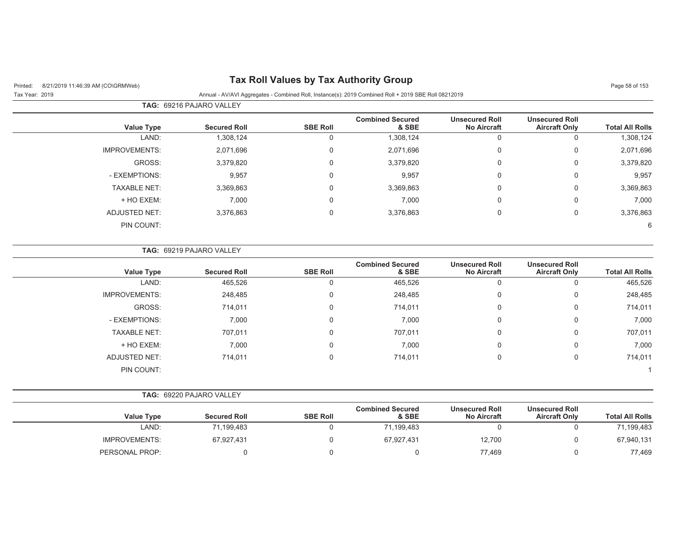# Printed: 8/21/2019 11:46:39 AM (CO\GRMWeb) **Tax Roll Values by Tax Authority Group** Page 58 of 153

## Tax Year: 2019 Annual - AV/AVI Aggregates - Combined Roll, Instance(s): 2019 Combined Roll + 2019 SBE Roll 08212019

|                      | TAG: 69216 PAJARO VALLEY |                 |                                  |                                             |                                               |                        |
|----------------------|--------------------------|-----------------|----------------------------------|---------------------------------------------|-----------------------------------------------|------------------------|
| <b>Value Type</b>    | <b>Secured Roll</b>      | <b>SBE Roll</b> | <b>Combined Secured</b><br>& SBE | <b>Unsecured Roll</b><br><b>No Aircraft</b> | <b>Unsecured Roll</b><br><b>Aircraft Only</b> | <b>Total All Rolls</b> |
| LAND:                | 1,308,124                | U               | 1,308,124                        | 0                                           | $\Omega$                                      | 1,308,124              |
| <b>IMPROVEMENTS:</b> | 2,071,696                | 0               | 2,071,696                        | 0                                           | 0                                             | 2,071,696              |
| GROSS:               | 3,379,820                | 0               | 3,379,820                        | 0                                           | $\mathbf 0$                                   | 3,379,820              |
| - EXEMPTIONS:        | 9,957                    | 0               | 9,957                            | 0                                           | 0                                             | 9,957                  |
| <b>TAXABLE NET:</b>  | 3,369,863                | 0               | 3,369,863                        | 0                                           | $\overline{0}$                                | 3,369,863              |
| + HO EXEM:           | 7,000                    | $\Omega$        | 7,000                            | 0                                           | $\overline{0}$                                | 7,000                  |
| ADJUSTED NET:        | 3,376,863                | 0               | 3,376,863                        | 0                                           | 0                                             | 3,376,863              |
| PIN COUNT:           |                          |                 |                                  |                                             |                                               | 6                      |

|                      | <b>TAG: 69219 PAJARO VALLEY</b> |                 |                                  |                                             |                                               |                        |
|----------------------|---------------------------------|-----------------|----------------------------------|---------------------------------------------|-----------------------------------------------|------------------------|
| Value Type           | <b>Secured Roll</b>             | <b>SBE Roll</b> | <b>Combined Secured</b><br>& SBE | <b>Unsecured Roll</b><br><b>No Aircraft</b> | <b>Unsecured Roll</b><br><b>Aircraft Only</b> | <b>Total All Rolls</b> |
| LAND:                | 465,526                         | O               | 465,526                          | $\Omega$                                    |                                               | 465,526                |
| <b>IMPROVEMENTS:</b> | 248,485                         | 0               | 248,485                          | 0                                           | 0                                             | 248,485                |
| GROSS:               | 714,011                         | 0               | 714,011                          | 0                                           | $\mathbf 0$                                   | 714,011                |
| - EXEMPTIONS:        | 7,000                           | 0               | 7,000                            | 0                                           | $\mathbf 0$                                   | 7,000                  |
| <b>TAXABLE NET:</b>  | 707,011                         | 0               | 707,011                          | 0                                           | $\mathbf 0$                                   | 707,011                |
| + HO EXEM:           | 7,000                           | 0               | 7,000                            | 0                                           | $\Omega$                                      | 7,000                  |
| ADJUSTED NET:        | 714,011                         | 0               | 714,011                          | 0                                           | $\Omega$                                      | 714,011                |
| PIN COUNT:           |                                 |                 |                                  |                                             |                                               |                        |

**TAG:** 69220 PAJARO VALLEY

|                      |                     |                 | <b>Combined Secured</b> | <b>Unsecured Roll</b> | <b>Unsecured Roll</b> |                        |
|----------------------|---------------------|-----------------|-------------------------|-----------------------|-----------------------|------------------------|
| <b>Value Type</b>    | <b>Secured Roll</b> | <b>SBE Roll</b> | & SBE                   | <b>No Aircraft</b>    | <b>Aircraft Only</b>  | <b>Total All Rolls</b> |
| LAND:                | 71,199,483          |                 | 71,199,483              |                       |                       | 71,199,483             |
| <b>IMPROVEMENTS:</b> | 67,927,431          |                 | 67.927.431              | 12,700                |                       | 67,940,131             |
| PERSONAL PROP:       |                     |                 |                         | 77,469                |                       | 77,469                 |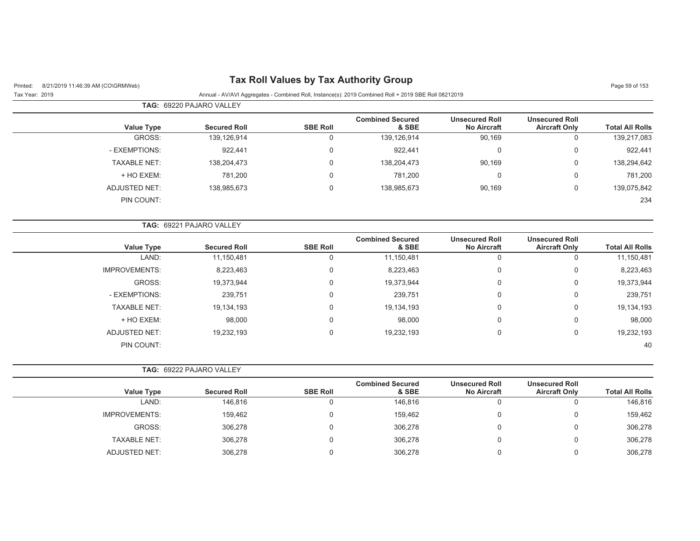| 8/21/2019 11:46:39 AM (CO\GRMWeb)<br>Printed: |                          |                 | <b>Tax Roll Values by Tax Authority Group</b>                                                        |                                             |                                               | Page 59 of 153         |
|-----------------------------------------------|--------------------------|-----------------|------------------------------------------------------------------------------------------------------|---------------------------------------------|-----------------------------------------------|------------------------|
| Tax Year: 2019                                |                          |                 | Annual - AV/AVI Aggregates - Combined Roll, Instance(s): 2019 Combined Roll + 2019 SBE Roll 08212019 |                                             |                                               |                        |
|                                               | TAG: 69220 PAJARO VALLEY |                 |                                                                                                      |                                             |                                               |                        |
| <b>Value Type</b>                             | <b>Secured Roll</b>      | <b>SBE Roll</b> | <b>Combined Secured</b><br>& SBE                                                                     | <b>Unsecured Roll</b><br><b>No Aircraft</b> | <b>Unsecured Roll</b><br><b>Aircraft Only</b> | <b>Total All Rolls</b> |
| GROSS:                                        | 139,126,914              | $\mathbf 0$     | 139,126,914                                                                                          | 90,169                                      | $\mathbf 0$                                   | 139,217,083            |
| - EXEMPTIONS:                                 | 922,441                  | 0               | 922,441                                                                                              | 0                                           | $\pmb{0}$                                     | 922,441                |
| <b>TAXABLE NET:</b>                           | 138,204,473              | $\mathbf 0$     | 138,204,473                                                                                          | 90,169                                      | $\boldsymbol{0}$                              | 138,294,642            |
| + HO EXEM:                                    | 781,200                  | 0               | 781,200                                                                                              | 0                                           | $\mathbf 0$                                   | 781,200                |
| <b>ADJUSTED NET:</b>                          | 138,985,673              | $\mathbf 0$     | 138,985,673                                                                                          | 90,169                                      | $\boldsymbol{0}$                              | 139,075,842            |
| PIN COUNT:                                    |                          |                 |                                                                                                      |                                             |                                               | 234                    |
|                                               | TAG: 69221 PAJARO VALLEY |                 |                                                                                                      |                                             |                                               |                        |
| <b>Value Type</b>                             | <b>Secured Roll</b>      | <b>SBE Roll</b> | <b>Combined Secured</b><br>& SBE                                                                     | <b>Unsecured Roll</b><br><b>No Aircraft</b> | <b>Unsecured Roll</b><br><b>Aircraft Only</b> | <b>Total All Rolls</b> |
| LAND:                                         | 11,150,481               | 0               | 11,150,481                                                                                           | $\mathbf 0$                                 | $\mathbf 0$                                   | 11,150,481             |
| <b>IMPROVEMENTS:</b>                          | 8,223,463                | 0               | 8,223,463                                                                                            | 0                                           | $\boldsymbol{0}$                              | 8,223,463              |
| GROSS:                                        | 19,373,944               | 0               | 19,373,944                                                                                           | 0                                           | $\boldsymbol{0}$                              | 19,373,944             |
| - EXEMPTIONS:                                 | 239,751                  | 0               | 239,751                                                                                              | 0                                           | $\boldsymbol{0}$                              | 239,751                |
| <b>TAXABLE NET:</b>                           | 19,134,193               | $\mathbf 0$     | 19,134,193                                                                                           | 0                                           | $\mathbf 0$                                   | 19,134,193             |
| + HO EXEM:                                    | 98,000                   | 0               | 98,000                                                                                               | 0                                           | $\mathbf 0$                                   | 98,000                 |
| <b>ADJUSTED NET:</b>                          | 19,232,193               | 0               | 19,232,193                                                                                           | 0                                           | $\mathbf 0$                                   | 19,232,193             |
| PIN COUNT:                                    |                          |                 |                                                                                                      |                                             |                                               | 40                     |
|                                               | TAG: 69222 PAJARO VALLEY |                 |                                                                                                      |                                             |                                               |                        |
| <b>Value Type</b>                             | <b>Secured Roll</b>      | <b>SBE Roll</b> | <b>Combined Secured</b><br>& SBE                                                                     | <b>Unsecured Roll</b><br><b>No Aircraft</b> | <b>Unsecured Roll</b><br><b>Aircraft Only</b> | <b>Total All Rolls</b> |
| LAND:                                         | 146,816                  | $\mathbf 0$     | 146,816                                                                                              | $\mathbf 0$                                 | $\mathbf 0$                                   | 146,816                |
| IMPROVEMENTS:                                 | 159,462                  | 0               | 159,462                                                                                              | $\mathbf 0$                                 | $\mathbf 0$                                   | 159,462                |
| GROSS:                                        | 306,278                  | $\mathbf 0$     | 306,278                                                                                              | $\mathbf 0$                                 | $\boldsymbol{0}$                              | 306,278                |
| <b>TAXABLE NET:</b>                           | 306,278                  | $\mathbf 0$     | 306,278                                                                                              | 0                                           | 0                                             | 306,278                |
| <b>ADJUSTED NET:</b>                          | 306,278                  | $\mathbf 0$     | 306,278                                                                                              | 0                                           | $\mathbf 0$                                   | 306,278                |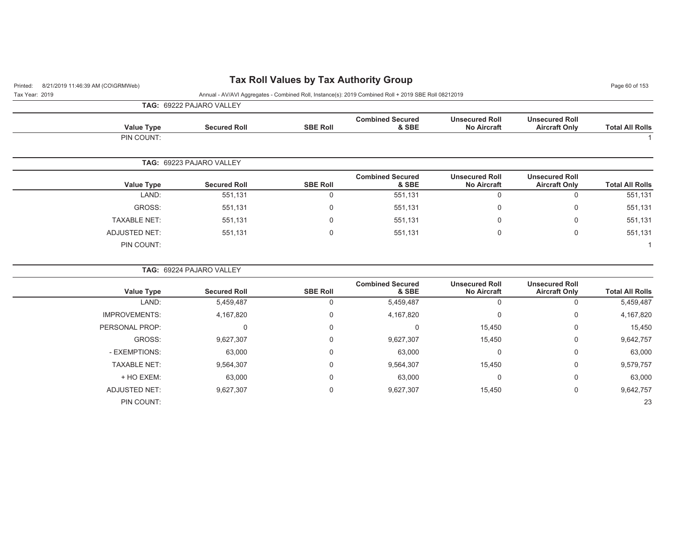# Printed: 8/21/2019 11:46:39 AM (CO\GRMWeb) **Tax Roll Values by Tax Authority Group** Page 60 of 153

| Tax Year: 2019 | Annual - AV/AVI Aggregates - Combined Roll, Instance(s): 2019 Combined Roll + 2019 SBE Roll 08212019 |
|----------------|------------------------------------------------------------------------------------------------------|

23

**TAG:** 69222 PAJARO VALLEY

PIN COUNT:

|                      | <b>IAG:</b> 09222 PAJARU VALLET |                 |                                  |                                             |                                               |                        |
|----------------------|---------------------------------|-----------------|----------------------------------|---------------------------------------------|-----------------------------------------------|------------------------|
| <b>Value Type</b>    | <b>Secured Roll</b>             | <b>SBE Roll</b> | <b>Combined Secured</b><br>& SBE | <b>Unsecured Roll</b><br><b>No Aircraft</b> | <b>Unsecured Roll</b><br><b>Aircraft Only</b> | <b>Total All Rolls</b> |
| PIN COUNT:           |                                 |                 |                                  |                                             |                                               |                        |
|                      | TAG: 69223 PAJARO VALLEY        |                 |                                  |                                             |                                               |                        |
| <b>Value Type</b>    | <b>Secured Roll</b>             | <b>SBE Roll</b> | <b>Combined Secured</b><br>& SBE | <b>Unsecured Roll</b><br><b>No Aircraft</b> | <b>Unsecured Roll</b><br><b>Aircraft Only</b> | <b>Total All Rolls</b> |
| LAND:                | 551,131                         | 0               | 551,131                          | 0                                           | $\mathbf 0$                                   | 551,131                |
| GROSS:               | 551,131                         | 0               | 551,131                          | 0                                           | 0                                             | 551,131                |
| <b>TAXABLE NET:</b>  | 551,131                         | 0               | 551,131                          | 0                                           | $\mathbf 0$                                   | 551,131                |
| <b>ADJUSTED NET:</b> | 551,131                         | 0               | 551,131                          | 0                                           | $\mathbf 0$                                   | 551,131                |
| PIN COUNT:           |                                 |                 |                                  |                                             |                                               |                        |
|                      | TAG: 69224 PAJARO VALLEY        |                 |                                  |                                             |                                               |                        |
| <b>Value Type</b>    | <b>Secured Roll</b>             | <b>SBE Roll</b> | <b>Combined Secured</b><br>& SBE | <b>Unsecured Roll</b><br><b>No Aircraft</b> | <b>Unsecured Roll</b><br><b>Aircraft Only</b> | <b>Total All Rolls</b> |
| LAND:                | 5,459,487                       | 0               | 5,459,487                        | 0                                           | $\mathbf 0$                                   | 5,459,487              |
| <b>IMPROVEMENTS:</b> | 4,167,820                       | 0               | 4,167,820                        | 0                                           | 0                                             | 4,167,820              |
| PERSONAL PROP:       | 0                               | $\Omega$        | $\mathbf{0}$                     | 15,450                                      | $\mathbf 0$                                   | 15,450                 |
| GROSS:               | 9,627,307                       | 0               | 9,627,307                        | 15,450                                      | $\mathbf 0$                                   | 9,642,757              |

- EXEMPTIONS: 63,000 0 63,000 0 0 63,000 TAXABLE NET: 9,564,307 0 9,564,307 15,450 0 9,579,757 + HO EXEM: 63,000 0 63,000 0 0 63,000 ADJUSTED NET:  $9,627,307$  0 9,627,307 9,642,757 15,450 0 9,642,757

.<br>23 a - Ann an t-Òireann an t-Òirean an t-Òirean an t-Òirean an t-Òirean an t-Òirean an t-Òirean an t-Òirean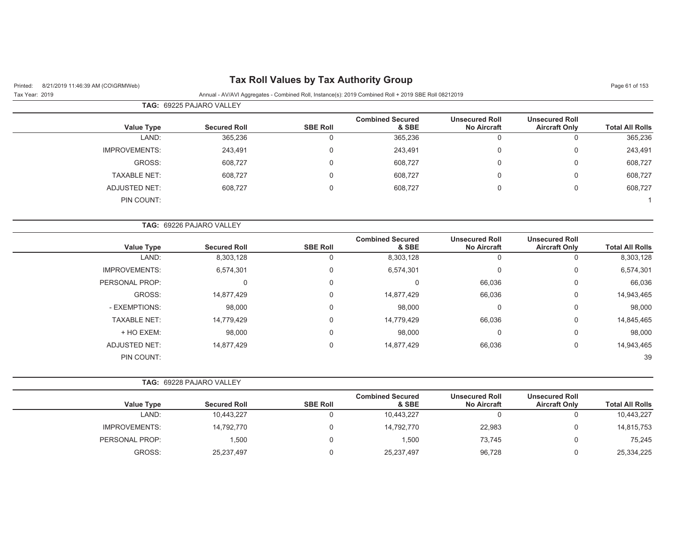| Printed:<br>8/21/2019 11:46:39 AM (CO\GRMWeb)<br>Tax Year: 2019 |                          |                 | Annual - AV/AVI Aggregates - Combined Roll, Instance(s): 2019 Combined Roll + 2019 SBE Roll 08212019 |                                             |                                               | Page 61 of 153         |
|-----------------------------------------------------------------|--------------------------|-----------------|------------------------------------------------------------------------------------------------------|---------------------------------------------|-----------------------------------------------|------------------------|
|                                                                 | TAG: 69225 PAJARO VALLEY |                 |                                                                                                      |                                             |                                               |                        |
| <b>Value Type</b>                                               | <b>Secured Roll</b>      | <b>SBE Roll</b> | <b>Combined Secured</b><br>& SBE                                                                     | <b>Unsecured Roll</b><br><b>No Aircraft</b> | <b>Unsecured Roll</b><br><b>Aircraft Only</b> | <b>Total All Rolls</b> |
| LAND:                                                           | 365,236                  | $\mathbf 0$     | 365,236                                                                                              | 0                                           | $\mathbf 0$                                   | 365,236                |
| <b>IMPROVEMENTS:</b>                                            | 243,491                  | 0               | 243,491                                                                                              | $\mathbf 0$                                 | 0                                             | 243,491                |
| GROSS:                                                          | 608,727                  | $\Omega$        | 608,727                                                                                              | $\mathbf 0$                                 | $\mathbf 0$                                   | 608,727                |
| <b>TAXABLE NET:</b>                                             | 608,727                  | 0               | 608,727                                                                                              | $\mathbf 0$                                 | $\mathbf 0$                                   | 608,727                |
| <b>ADJUSTED NET:</b>                                            | 608,727                  | 0               | 608,727                                                                                              | 0                                           | $\mathbf 0$                                   | 608,727                |
| PIN COUNT:                                                      |                          |                 |                                                                                                      |                                             |                                               | -1                     |
|                                                                 | TAG: 69226 PAJARO VALLEY |                 |                                                                                                      |                                             |                                               |                        |
| <b>Value Type</b>                                               | <b>Secured Roll</b>      | <b>SBE Roll</b> | <b>Combined Secured</b><br>& SBE                                                                     | <b>Unsecured Roll</b><br><b>No Aircraft</b> | <b>Unsecured Roll</b><br><b>Aircraft Only</b> | <b>Total All Rolls</b> |
| LAND:                                                           | 8,303,128                | $\mathbf 0$     | 8,303,128                                                                                            | $\mathbf 0$                                 | 0                                             | 8,303,128              |
| <b>IMPROVEMENTS:</b>                                            | 6,574,301                | $\mathbf 0$     | 6,574,301                                                                                            | $\mathbf 0$                                 | 0                                             | 6,574,301              |
| PERSONAL PROP:                                                  | $\Omega$                 | 0               | $\mathbf 0$                                                                                          | 66,036                                      | 0                                             | 66,036                 |
| GROSS:                                                          | 14,877,429               | 0               | 14,877,429                                                                                           | 66,036                                      | 0                                             | 14,943,465             |
| - EXEMPTIONS:                                                   | 98,000                   | 0               | 98,000                                                                                               | $\mathbf 0$                                 | 0                                             | 98,000                 |
| <b>TAXABLE NET:</b>                                             | 14,779,429               | 0               | 14,779,429                                                                                           | 66,036                                      | 0                                             | 14,845,465             |
| + HO EXEM:                                                      | 98,000                   | $\Omega$        | 98,000                                                                                               | $\mathbf 0$                                 | 0                                             | 98,000                 |
| <b>ADJUSTED NET:</b>                                            | 14,877,429               | $\mathbf 0$     | 14,877,429                                                                                           | 66,036                                      | 0                                             | 14,943,465             |
| PIN COUNT:                                                      |                          |                 |                                                                                                      |                                             |                                               | 39                     |
|                                                                 | TAG: 69228 PAJARO VALLEY |                 |                                                                                                      |                                             |                                               |                        |
| <b>Value Type</b>                                               | <b>Secured Roll</b>      | <b>SBE Roll</b> | <b>Combined Secured</b><br>& SBE                                                                     | <b>Unsecured Roll</b><br><b>No Aircraft</b> | <b>Unsecured Roll</b><br><b>Aircraft Only</b> | <b>Total All Rolls</b> |
| LAND:                                                           | 10,443,227               | $\Omega$        | 10,443,227                                                                                           | $\mathbf 0$                                 | $\mathbf 0$                                   | 10,443,227             |
| <b>IMPROVEMENTS:</b>                                            | 14,792,770               | $\Omega$        | 14,792,770                                                                                           | 22,983                                      | 0                                             | 14,815,753             |
| PERSONAL PROP:                                                  | 1,500                    | 0               | 1,500                                                                                                | 73,745                                      | 0                                             | 75,245                 |

GROSS: 25,237,497 0 25,237,497 96,728 0 25,334,225

## **Tax Roll Values by Tax Authority Group**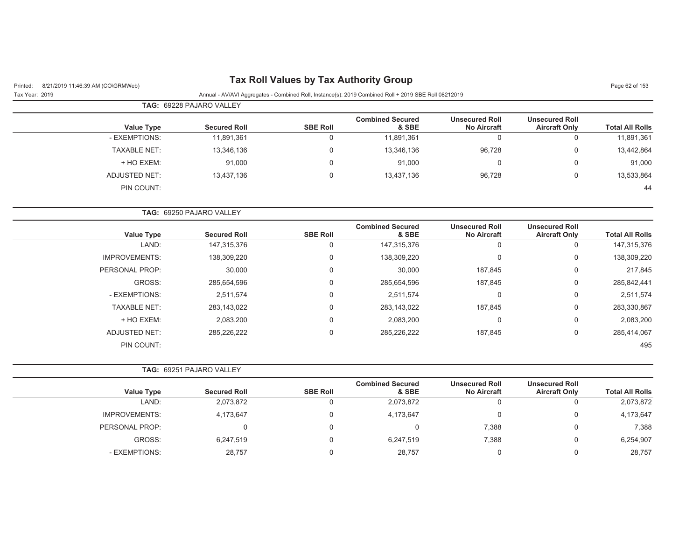Tax Year: 2019 Annual - AV/AVI Aggregates - Combined Roll, Instance(s): 2019 Combined Roll + 2019 SBE Roll 08212019

|                     | <b>TAG: 69228 PAJARO VALLEY</b> |                 |                                  |                                             |                                               |                        |
|---------------------|---------------------------------|-----------------|----------------------------------|---------------------------------------------|-----------------------------------------------|------------------------|
| <b>Value Type</b>   | <b>Secured Roll</b>             | <b>SBE Roll</b> | <b>Combined Secured</b><br>& SBE | <b>Unsecured Roll</b><br><b>No Aircraft</b> | <b>Unsecured Roll</b><br><b>Aircraft Only</b> | <b>Total All Rolls</b> |
| - EXEMPTIONS:       | 11,891,361                      | 0               | 11,891,361                       |                                             | 0                                             | 11,891,361             |
| <b>TAXABLE NET:</b> | 13,346,136                      | 0               | 13,346,136                       | 96,728                                      | 0                                             | 13,442,864             |
| + HO EXEM:          | 91,000                          | $\mathbf 0$     | 91,000                           |                                             | 0                                             | 91,000                 |
| ADJUSTED NET:       | 13,437,136                      | $\mathbf 0$     | 13,437,136                       | 96,728                                      | 0                                             | 13,533,864             |
| PIN COUNT:          |                                 |                 |                                  |                                             |                                               | 44                     |

| <b>TAG: 69250 PAJARO VALLEY</b> |                 |                                  |                                             |                                               |                        |
|---------------------------------|-----------------|----------------------------------|---------------------------------------------|-----------------------------------------------|------------------------|
| <b>Secured Roll</b>             | <b>SBE Roll</b> | <b>Combined Secured</b><br>& SBE | <b>Unsecured Roll</b><br><b>No Aircraft</b> | <b>Unsecured Roll</b><br><b>Aircraft Only</b> | <b>Total All Rolls</b> |
| 147,315,376                     | $\Omega$        | 147,315,376                      | 0                                           | 0                                             | 147,315,376            |
| 138,309,220                     | $\Omega$        | 138,309,220                      | 0                                           | 0                                             | 138,309,220            |
| 30,000                          | $\Omega$        | 30,000                           | 187,845                                     | 0                                             | 217,845                |
| 285,654,596                     | $\Omega$        | 285,654,596                      | 187,845                                     | 0                                             | 285,842,441            |
| 2,511,574                       | $\Omega$        | 2,511,574                        | 0                                           | 0                                             | 2,511,574              |
| 283,143,022                     | $\Omega$        | 283,143,022                      | 187,845                                     | 0                                             | 283,330,867            |
| 2,083,200                       | 0               | 2,083,200                        | 0                                           | 0                                             | 2,083,200              |
| 285,226,222                     | 0               | 285,226,222                      | 187,845                                     | 0                                             | 285,414,067            |
|                                 |                 |                                  |                                             |                                               | 495                    |
|                                 |                 |                                  |                                             |                                               |                        |

|                   | <b>TAG: 69251 PAJARO VALLEY</b> |                 |                                  |                                             |                                               |                        |
|-------------------|---------------------------------|-----------------|----------------------------------|---------------------------------------------|-----------------------------------------------|------------------------|
| <b>Value Type</b> | <b>Secured Roll</b>             | <b>SBE Roll</b> | <b>Combined Secured</b><br>& SBE | <b>Unsecured Roll</b><br><b>No Aircraft</b> | <b>Unsecured Roll</b><br><b>Aircraft Only</b> | <b>Total All Rolls</b> |
| LAND:             | 2,073,872                       |                 | 2,073,872                        |                                             | υ                                             | 2,073,872              |
| IMPROVEMENTS:     | 4,173,647                       |                 | 4,173,647                        |                                             | 0                                             | 4,173,647              |
| PERSONAL PROP:    |                                 |                 |                                  | 7,388                                       | 0                                             | 7,388                  |
| GROSS:            | 6,247,519                       |                 | 6,247,519                        | 7,388                                       | 0                                             | 6,254,907              |
| - EXEMPTIONS:     | 28,757                          |                 | 28,757                           |                                             | 0                                             | 28,757                 |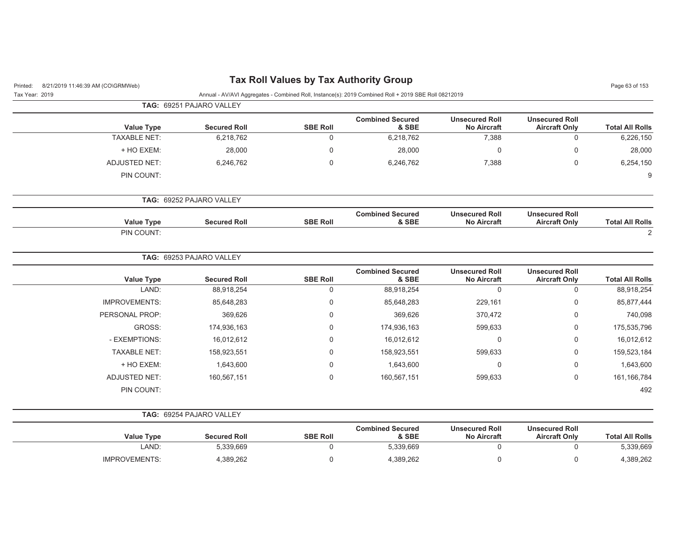| 8/21/2019 11:46:39 AM (CO\GRMWeb)<br>Printed: |                          |                 | <b>Tax Roll Values by Tax Authority Group</b>                                                        |                                             |                                               | Page 63 of 153         |
|-----------------------------------------------|--------------------------|-----------------|------------------------------------------------------------------------------------------------------|---------------------------------------------|-----------------------------------------------|------------------------|
| Tax Year: 2019                                |                          |                 | Annual - AV/AVI Aggregates - Combined Roll, Instance(s): 2019 Combined Roll + 2019 SBE Roll 08212019 |                                             |                                               |                        |
|                                               | TAG: 69251 PAJARO VALLEY |                 |                                                                                                      |                                             |                                               |                        |
| <b>Value Type</b>                             | <b>Secured Roll</b>      | <b>SBE Roll</b> | <b>Combined Secured</b><br>& SBE                                                                     | <b>Unsecured Roll</b><br><b>No Aircraft</b> | <b>Unsecured Roll</b><br><b>Aircraft Only</b> | <b>Total All Rolls</b> |
| <b>TAXABLE NET:</b>                           | 6,218,762                | 0               | 6,218,762                                                                                            | 7,388                                       | 0                                             | 6,226,150              |
| + HO EXEM:                                    | 28,000                   | 0               | 28,000                                                                                               | 0                                           | $\mathbf 0$                                   | 28,000                 |
| <b>ADJUSTED NET:</b>                          | 6,246,762                | 0               | 6,246,762                                                                                            | 7,388                                       | $\mathbf 0$                                   | 6,254,150              |
| PIN COUNT:                                    |                          |                 |                                                                                                      |                                             |                                               | 9                      |
|                                               | TAG: 69252 PAJARO VALLEY |                 |                                                                                                      |                                             |                                               |                        |
| <b>Value Type</b>                             | <b>Secured Roll</b>      | <b>SBE Roll</b> | <b>Combined Secured</b><br>& SBE                                                                     | <b>Unsecured Roll</b><br><b>No Aircraft</b> | <b>Unsecured Roll</b><br><b>Aircraft Only</b> | <b>Total All Rolls</b> |
| PIN COUNT:                                    |                          |                 |                                                                                                      |                                             |                                               | 2                      |
|                                               | TAG: 69253 PAJARO VALLEY |                 |                                                                                                      |                                             |                                               |                        |
| <b>Value Type</b>                             | <b>Secured Roll</b>      | <b>SBE Roll</b> | <b>Combined Secured</b><br>& SBE                                                                     | <b>Unsecured Roll</b><br><b>No Aircraft</b> | <b>Unsecured Roll</b><br><b>Aircraft Only</b> | <b>Total All Rolls</b> |
| LAND:                                         | 88,918,254               | 0               | 88,918,254                                                                                           | $\mathbf 0$                                 | $\mathbf 0$                                   | 88,918,254             |
| <b>IMPROVEMENTS:</b>                          | 85,648,283               | 0               | 85,648,283                                                                                           | 229,161                                     | $\mathbf 0$                                   | 85,877,444             |
| PERSONAL PROP:                                | 369,626                  | 0               | 369,626                                                                                              | 370,472                                     | $\mathbf 0$                                   | 740,098                |
| GROSS:                                        | 174,936,163              | 0               | 174,936,163                                                                                          | 599,633                                     | 0                                             | 175,535,796            |
| - EXEMPTIONS:                                 | 16,012,612               | 0               | 16,012,612                                                                                           | $\mathbf 0$                                 | $\mathbf 0$                                   | 16,012,612             |
| <b>TAXABLE NET:</b>                           | 158,923,551              | 0               | 158,923,551                                                                                          | 599,633                                     | $\mathbf 0$                                   | 159,523,184            |
| + HO EXEM:                                    | 1,643,600                | 0               | 1,643,600                                                                                            | 0                                           | 0                                             | 1,643,600              |
| <b>ADJUSTED NET:</b>                          | 160,567,151              | 0               | 160,567,151                                                                                          | 599,633                                     | $\mathbf 0$                                   | 161, 166, 784          |
| PIN COUNT:                                    |                          |                 |                                                                                                      |                                             |                                               | 492                    |
|                                               | TAG: 69254 PAJARO VALLEY |                 |                                                                                                      |                                             |                                               |                        |
| <b>Value Type</b>                             | <b>Secured Roll</b>      | <b>SBE Roll</b> | <b>Combined Secured</b><br>& SBE                                                                     | <b>Unsecured Roll</b><br><b>No Aircraft</b> | <b>Unsecured Roll</b><br><b>Aircraft Only</b> | <b>Total All Rolls</b> |
| LAND:                                         | 5,339,669                | 0               | 5,339,669                                                                                            | 0                                           | 0                                             | 5,339,669              |

IMPROVEMENTS: 4,389,262 0 4,389,262 0 0 4,389,262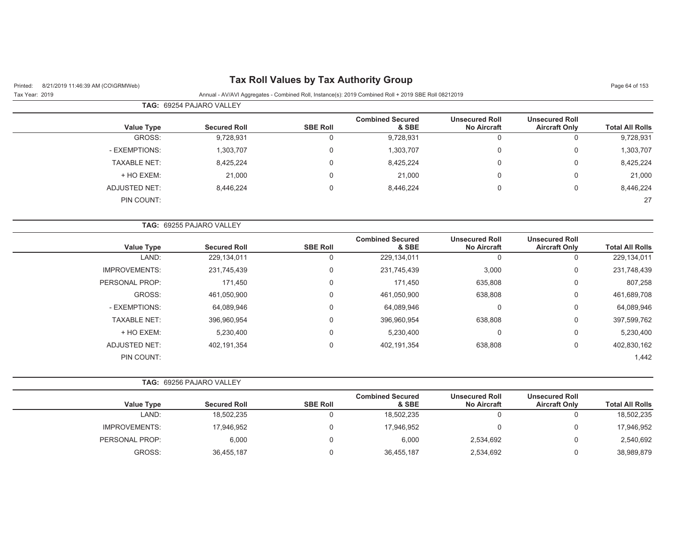| 8/21/2019 11:46:39 AM (CO\GRMWeb)<br>Printed: |                          | <b>Tax Roll Values by Tax Authority Group</b> |                                                                                                      |                                             |                                               | Page 64 of 153         |
|-----------------------------------------------|--------------------------|-----------------------------------------------|------------------------------------------------------------------------------------------------------|---------------------------------------------|-----------------------------------------------|------------------------|
| Tax Year: 2019                                |                          |                                               | Annual - AV/AVI Aggregates - Combined Roll, Instance(s): 2019 Combined Roll + 2019 SBE Roll 08212019 |                                             |                                               |                        |
|                                               | TAG: 69254 PAJARO VALLEY |                                               |                                                                                                      |                                             |                                               |                        |
| <b>Value Type</b>                             | <b>Secured Roll</b>      | <b>SBE Roll</b>                               | <b>Combined Secured</b><br>& SBE                                                                     | <b>Unsecured Roll</b><br><b>No Aircraft</b> | <b>Unsecured Roll</b><br><b>Aircraft Only</b> | <b>Total All Rolls</b> |
| GROSS:                                        | 9,728,931                | $\mathbf 0$                                   | 9,728,931                                                                                            | $\mathbf 0$                                 | 0                                             | 9,728,931              |
| - EXEMPTIONS:                                 | 1,303,707                | $\mathbf 0$                                   | 1,303,707                                                                                            | $\mathbf 0$                                 | 0                                             | 1,303,707              |
| <b>TAXABLE NET:</b>                           | 8,425,224                | 0                                             | 8,425,224                                                                                            | 0                                           | $\mathbf 0$                                   | 8,425,224              |
| + HO EXEM:                                    | 21,000                   | $\Omega$                                      | 21,000                                                                                               | $\Omega$                                    | $\Omega$                                      | 21,000                 |
| <b>ADJUSTED NET:</b>                          | 8,446,224                | 0                                             | 8,446,224                                                                                            | $\pmb{0}$                                   | $\boldsymbol{0}$                              | 8,446,224              |
| PIN COUNT:                                    |                          |                                               |                                                                                                      |                                             |                                               | 27                     |
|                                               | TAG: 69255 PAJARO VALLEY |                                               |                                                                                                      |                                             |                                               |                        |
| <b>Value Type</b>                             | <b>Secured Roll</b>      | <b>SBE Roll</b>                               | <b>Combined Secured</b><br>& SBE                                                                     | <b>Unsecured Roll</b><br><b>No Aircraft</b> | <b>Unsecured Roll</b><br><b>Aircraft Only</b> | <b>Total All Rolls</b> |
| LAND:                                         | 229,134,011              | $\mathbf 0$                                   | 229,134,011                                                                                          | $\mathbf 0$                                 | 0                                             | 229,134,011            |
| <b>IMPROVEMENTS:</b>                          | 231,745,439              | $\mathbf 0$                                   | 231,745,439                                                                                          | 3,000                                       | 0                                             | 231,748,439            |
| PERSONAL PROP:                                | 171,450                  | $\mathbf 0$                                   | 171,450                                                                                              | 635,808                                     | 0                                             | 807,258                |
| GROSS:                                        | 461,050,900              | 0                                             | 461,050,900                                                                                          | 638,808                                     | 0                                             | 461,689,708            |
| - EXEMPTIONS:                                 | 64,089,946               | 0                                             | 64,089,946                                                                                           | $\Omega$                                    | $\mathbf 0$                                   | 64,089,946             |
| <b>TAXABLE NET:</b>                           | 396,960,954              | $\mathbf 0$                                   | 396,960,954                                                                                          | 638,808                                     | $\boldsymbol{0}$                              | 397,599,762            |
| + HO EXEM:                                    | 5,230,400                | $\mathbf 0$                                   | 5,230,400                                                                                            | $\mathbf 0$                                 | $\mathbf 0$                                   | 5,230,400              |
| <b>ADJUSTED NET:</b>                          | 402,191,354              | $\mathbf 0$                                   | 402,191,354                                                                                          | 638,808                                     | 0                                             | 402,830,162            |
| PIN COUNT:                                    |                          |                                               |                                                                                                      |                                             |                                               | 1,442                  |
|                                               | TAG: 69256 PAJARO VALLEY |                                               |                                                                                                      |                                             |                                               |                        |
| <b>Value Type</b>                             | <b>Secured Roll</b>      | <b>SBE Roll</b>                               | <b>Combined Secured</b><br>& SBE                                                                     | <b>Unsecured Roll</b><br><b>No Aircraft</b> | <b>Unsecured Roll</b><br><b>Aircraft Only</b> | <b>Total All Rolls</b> |
| LAND:                                         | 18,502,235               | $\mathbf 0$                                   | 18,502,235                                                                                           | $\mathbf 0$                                 | $\mathbf 0$                                   | 18,502,235             |
| <b>IMPROVEMENTS:</b>                          | 17,946,952               | 0                                             | 17,946,952                                                                                           | 0                                           | $\mathbf 0$                                   | 17,946,952             |
| PERSONAL PROP:                                | 6,000                    | $\mathbf 0$                                   | 6,000                                                                                                | 2,534,692                                   | $\mathbf 0$                                   | 2,540,692              |
| GROSS:                                        | 36,455,187               | $\mathbf 0$                                   | 36,455,187                                                                                           | 2,534,692                                   | $\mathbf 0$                                   | 38,989,879             |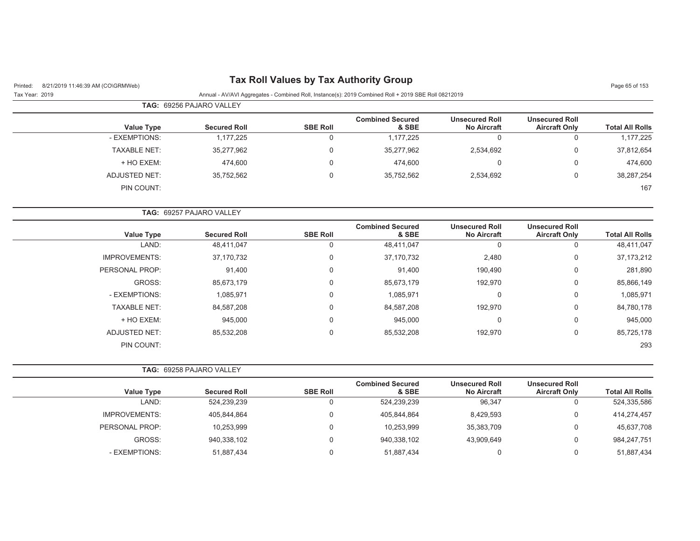# Printed: 8/21/2019 11:46:39 AM (CO\GRMWeb) **Tax Roll Values by Tax Authority Group** Page 65 of 153

Tax Year: 2019 Annual - AV/AVI Aggregates - Combined Roll, Instance(s): 2019 Combined Roll + 2019 SBE Roll 08212019

|                   | <b>TAG: 69256 PAJARO VALLEY</b> |                 |                                  |                                             |                                               |                        |
|-------------------|---------------------------------|-----------------|----------------------------------|---------------------------------------------|-----------------------------------------------|------------------------|
| <b>Value Type</b> | <b>Secured Roll</b>             | <b>SBE Roll</b> | <b>Combined Secured</b><br>& SBE | <b>Unsecured Roll</b><br><b>No Aircraft</b> | <b>Unsecured Roll</b><br><b>Aircraft Only</b> | <b>Total All Rolls</b> |
| - EXEMPTIONS:     | 1,177,225                       | 0               | 1,177,225                        |                                             |                                               | 1,177,225              |
| TAXABLE NET:      | 35,277,962                      | 0               | 35,277,962                       | 2,534,692                                   |                                               | 37,812,654             |
| + HO EXEM:        | 474.600                         | 0               | 474.600                          | 0                                           |                                               | 474,600                |
| ADJUSTED NET:     | 35,752,562                      | 0               | 35,752,562                       | 2,534,692                                   |                                               | 38,287,254             |
| PIN COUNT:        |                                 |                 |                                  |                                             |                                               | 167                    |

|                      | <b>TAG:   69257 PAJARO VALLEY</b> |                 |                                  |                                             |                                               |                        |
|----------------------|-----------------------------------|-----------------|----------------------------------|---------------------------------------------|-----------------------------------------------|------------------------|
| <b>Value Type</b>    | <b>Secured Roll</b>               | <b>SBE Roll</b> | <b>Combined Secured</b><br>& SBE | <b>Unsecured Roll</b><br><b>No Aircraft</b> | <b>Unsecured Roll</b><br><b>Aircraft Only</b> | <b>Total All Rolls</b> |
| LAND:                | 48,411,047                        | 0               | 48,411,047                       | 0                                           | 0                                             | 48,411,047             |
| <b>IMPROVEMENTS:</b> | 37,170,732                        | $\mathbf 0$     | 37,170,732                       | 2,480                                       | 0                                             | 37, 173, 212           |
| PERSONAL PROP:       | 91,400                            | $\mathbf 0$     | 91,400                           | 190,490                                     | 0                                             | 281,890                |
| GROSS:               | 85,673,179                        | $\mathbf 0$     | 85,673,179                       | 192,970                                     | 0                                             | 85,866,149             |
| - EXEMPTIONS:        | 1,085,971                         | $\mathbf 0$     | 1,085,971                        | 0                                           | 0                                             | 1,085,971              |
| <b>TAXABLE NET:</b>  | 84,587,208                        | $\mathbf 0$     | 84,587,208                       | 192,970                                     | 0                                             | 84,780,178             |
| + HO EXEM:           | 945,000                           | $\mathbf 0$     | 945,000                          | 0                                           | 0                                             | 945,000                |
| <b>ADJUSTED NET:</b> | 85,532,208                        | $\mathbf 0$     | 85,532,208                       | 192,970                                     | 0                                             | 85,725,178             |
| PIN COUNT:           |                                   |                 |                                  |                                             |                                               | 293                    |

|                   | <b>TAG: 69258 PAJARO VALLEY</b> |                 |                                  |                                             |                                               |                        |
|-------------------|---------------------------------|-----------------|----------------------------------|---------------------------------------------|-----------------------------------------------|------------------------|
| <b>Value Type</b> | <b>Secured Roll</b>             | <b>SBE Roll</b> | <b>Combined Secured</b><br>& SBE | <b>Unsecured Roll</b><br><b>No Aircraft</b> | <b>Unsecured Roll</b><br><b>Aircraft Only</b> | <b>Total All Rolls</b> |
| LAND:             | 524,239,239                     |                 | 524,239,239                      | 96,347                                      | U                                             | 524,335,586            |
| IMPROVEMENTS:     | 405,844,864                     |                 | 405,844,864                      | 8,429,593                                   | 0                                             | 414,274,457            |
| PERSONAL PROP:    | 10,253,999                      |                 | 10,253,999                       | 35,383,709                                  | $\Omega$                                      | 45,637,708             |
| GROSS:            | 940,338,102                     |                 | 940,338,102                      | 43,909,649                                  | 0                                             | 984,247,751            |
| - EXEMPTIONS:     | 51,887,434                      |                 | 51,887,434                       |                                             | 0                                             | 51,887,434             |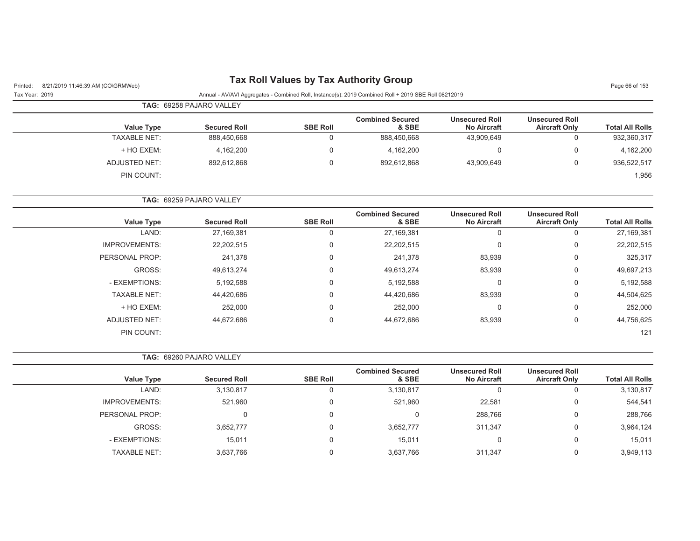# Printed: 8/21/2019 11:46:39 AM (CO\GRMWeb) **Tax Roll Values by Tax Authority Group** Page 66 of 153

Tax Year: 2019 Annual - AV/AVI Aggregates - Combined Roll, Instance(s): 2019 Combined Roll + 2019 SBE Roll 08212019

|                     | <b>TAG: 69258 PAJARO VALLEY</b> |                 |                                  |                                             |                                               |                        |
|---------------------|---------------------------------|-----------------|----------------------------------|---------------------------------------------|-----------------------------------------------|------------------------|
| <b>Value Type</b>   | <b>Secured Roll</b>             | <b>SBE Roll</b> | <b>Combined Secured</b><br>& SBE | <b>Unsecured Roll</b><br><b>No Aircraft</b> | <b>Unsecured Roll</b><br><b>Aircraft Only</b> | <b>Total All Rolls</b> |
| <b>TAXABLE NET:</b> | 888,450,668                     |                 | 888,450,668                      | 43,909,649                                  |                                               | 932,360,317            |
| + HO EXEM:          | 4,162,200                       |                 | 4,162,200                        | 0                                           |                                               | 4,162,200              |
| ADJUSTED NET:       | 892,612,868                     |                 | 892,612,868                      | 43,909,649                                  |                                               | 936,522,517            |
| PIN COUNT:          |                                 |                 |                                  |                                             |                                               | 1,956                  |

**TAG:** 69259 PAJARO VALLEY

| <b>Value Type</b>    | <b>Secured Roll</b> | <b>SBE Roll</b> | <b>Combined Secured</b><br>& SBE | <b>Unsecured Roll</b><br><b>No Aircraft</b> | <b>Unsecured Roll</b><br><b>Aircraft Only</b> | <b>Total All Rolls</b> |
|----------------------|---------------------|-----------------|----------------------------------|---------------------------------------------|-----------------------------------------------|------------------------|
| LAND:                | 27,169,381          | 0               | 27,169,381                       | 0                                           | 0                                             | 27,169,381             |
| <b>IMPROVEMENTS:</b> | 22,202,515          | $\Omega$        | 22,202,515                       | 0                                           | 0                                             | 22,202,515             |
| PERSONAL PROP:       | 241,378             | $\mathbf 0$     | 241,378                          | 83,939                                      | 0                                             | 325,317                |
| GROSS:               | 49,613,274          | $\Omega$        | 49,613,274                       | 83,939                                      | 0                                             | 49,697,213             |
| - EXEMPTIONS:        | 5,192,588           | $\Omega$        | 5,192,588                        | 0                                           | 0                                             | 5,192,588              |
| <b>TAXABLE NET:</b>  | 44.420.686          | $\Omega$        | 44,420,686                       | 83,939                                      | 0                                             | 44,504,625             |
| + HO EXEM:           | 252,000             | $\Omega$        | 252,000                          | $\mathbf 0$                                 | 0                                             | 252,000                |
| <b>ADJUSTED NET:</b> | 44.672.686          | $\Omega$        | 44.672.686                       | 83,939                                      | 0                                             | 44,756,625             |
| PIN COUNT:           |                     |                 |                                  |                                             |                                               | 121                    |

**TAG:** 69260 PAJARO VALLEY

| <b>Value Type</b> | <b>Secured Roll</b> | <b>SBE Roll</b> | <b>Combined Secured</b><br>& SBE | <b>Unsecured Roll</b><br><b>No Aircraft</b> | <b>Unsecured Roll</b><br><b>Aircraft Only</b> | <b>Total All Rolls</b> |
|-------------------|---------------------|-----------------|----------------------------------|---------------------------------------------|-----------------------------------------------|------------------------|
| LAND:             | 3,130,817           |                 | 3,130,817                        |                                             | υ                                             | 3,130,817              |
| IMPROVEMENTS:     | 521,960             |                 | 521,960                          | 22,581                                      | 0                                             | 544,541                |
| PERSONAL PROP:    |                     |                 |                                  | 288,766                                     | 0                                             | 288,766                |
| GROSS:            | 3,652,777           |                 | 3,652,777                        | 311.347                                     | 0                                             | 3,964,124              |
| - EXEMPTIONS:     | 15.011              |                 | 15.011                           |                                             | 0                                             | 15,011                 |
| TAXABLE NET:      | 3,637,766           |                 | 3,637,766                        | 311.347                                     | 0                                             | 3,949,113              |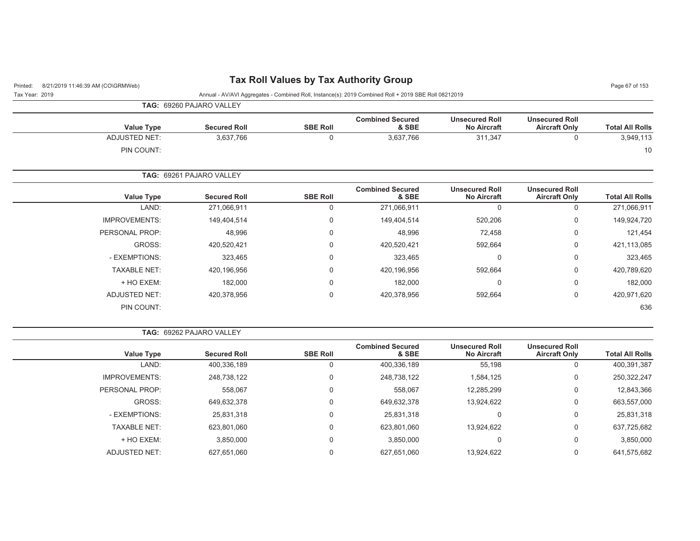# Printed: 8/21/2019 11:46:39 AM (CO\GRMWeb) **Tax Roll Values by Tax Authority Group** Page 67 of 153

| Tax Year: 2019 |                      |                          |                 | Annual - AV/AVI Aggregates - Combined Roll, Instance(s): 2019 Combined Roll + 2019 SBE Roll 08212019 |                                             |                                               |                        |
|----------------|----------------------|--------------------------|-----------------|------------------------------------------------------------------------------------------------------|---------------------------------------------|-----------------------------------------------|------------------------|
|                |                      | TAG: 69260 PAJARO VALLEY |                 |                                                                                                      |                                             |                                               |                        |
|                | <b>Value Type</b>    | <b>Secured Roll</b>      | <b>SBE Roll</b> | <b>Combined Secured</b><br>& SBE                                                                     | <b>Unsecured Roll</b><br><b>No Aircraft</b> | <b>Unsecured Roll</b><br><b>Aircraft Only</b> | <b>Total All Rolls</b> |
|                | <b>ADJUSTED NET:</b> | 3,637,766                | $\mathbf 0$     | 3,637,766                                                                                            | 311,347                                     | 0                                             | 3,949,113              |
|                | PIN COUNT:           |                          |                 |                                                                                                      |                                             |                                               | 10                     |
|                |                      | TAG: 69261 PAJARO VALLEY |                 |                                                                                                      |                                             |                                               |                        |
|                | <b>Value Type</b>    | <b>Secured Roll</b>      | <b>SBE Roll</b> | <b>Combined Secured</b><br>& SBE                                                                     | <b>Unsecured Roll</b><br><b>No Aircraft</b> | <b>Unsecured Roll</b><br><b>Aircraft Only</b> | <b>Total All Rolls</b> |
|                | LAND:                | 271,066,911              | $\mathbf 0$     | 271,066,911                                                                                          | $\Omega$                                    | 0                                             | 271,066,911            |
|                | <b>IMPROVEMENTS:</b> | 149,404,514              | 0               | 149,404,514                                                                                          | 520,206                                     | 0                                             | 149,924,720            |
|                | PERSONAL PROP:       | 48,996                   | $\mathbf 0$     | 48,996                                                                                               | 72,458                                      | 0                                             | 121,454                |
|                | GROSS:               | 420,520,421              | 0               | 420,520,421                                                                                          | 592,664                                     | 0                                             | 421,113,085            |
|                | - EXEMPTIONS:        | 323,465                  | 0               | 323,465                                                                                              | $\mathbf 0$                                 | 0                                             | 323,465                |
|                | <b>TAXABLE NET:</b>  | 420,196,956              | 0               | 420,196,956                                                                                          | 592,664                                     | 0                                             | 420,789,620            |
|                | + HO EXEM:           | 182,000                  | $\mathbf 0$     | 182,000                                                                                              | $\Omega$                                    | 0                                             | 182,000                |
|                | <b>ADJUSTED NET:</b> | 420,378,956              | $\mathbf 0$     | 420,378,956                                                                                          | 592,664                                     | 0                                             | 420,971,620            |
|                | PIN COUNT:           |                          |                 |                                                                                                      |                                             |                                               | 636                    |

|                      | <b>TAG:   69262 PAJARO VALLEY</b> |                 |                                  |                                             |                                               |                        |
|----------------------|-----------------------------------|-----------------|----------------------------------|---------------------------------------------|-----------------------------------------------|------------------------|
| <b>Value Type</b>    | <b>Secured Roll</b>               | <b>SBE Roll</b> | <b>Combined Secured</b><br>& SBE | <b>Unsecured Roll</b><br><b>No Aircraft</b> | <b>Unsecured Roll</b><br><b>Aircraft Only</b> | <b>Total All Rolls</b> |
| LAND:                | 400,336,189                       | 0               | 400,336,189                      | 55,198                                      | 0                                             | 400,391,387            |
| <b>IMPROVEMENTS:</b> | 248,738,122                       | $\Omega$        | 248,738,122                      | 1,584,125                                   | 0                                             | 250,322,247            |
| PERSONAL PROP:       | 558,067                           | 0               | 558,067                          | 12,285,299                                  | 0                                             | 12,843,366             |
| GROSS:               | 649,632,378                       | $\Omega$        | 649,632,378                      | 13,924,622                                  | 0                                             | 663,557,000            |
| - EXEMPTIONS:        | 25,831,318                        | $\Omega$        | 25,831,318                       | 0                                           | 0                                             | 25,831,318             |
| <b>TAXABLE NET:</b>  | 623,801,060                       | 0               | 623,801,060                      | 13,924,622                                  | 0                                             | 637,725,682            |
| + HO EXEM:           | 3,850,000                         | 0               | 3,850,000                        | 0                                           | 0                                             | 3,850,000              |
| <b>ADJUSTED NET:</b> | 627.651.060                       | $\Omega$        | 627.651.060                      | 13.924.622                                  | 0                                             | 641,575,682            |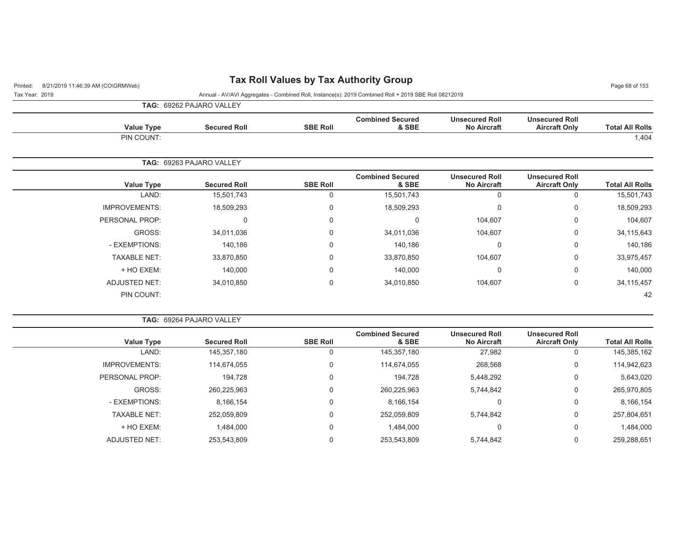# Printed: 8/21/2019 11:46:39 AM (CO\GRMWeb) **Tax Roll Values by Tax Authority Group** Page 68 of 153

Tax Year: 2019 Annual - AV/AVI Aggregates - Combined Roll, Instance(s): 2019 Combined Roll + 2019 SBE Roll 08212019

**TAG:** 69262 PAJARO VALLEY

| <b>Value Type</b> | <b>Secured Roll</b>      | <b>SBE Roll</b> | <b>Combined Secured</b><br>& SBE | <b>Unsecured Roll</b><br><b>No Aircraft</b> | <b>Unsecured Roll</b><br><b>Aircraft Only</b> | <b>Total All Rolls</b> |
|-------------------|--------------------------|-----------------|----------------------------------|---------------------------------------------|-----------------------------------------------|------------------------|
| PIN COUNT:        |                          |                 |                                  |                                             |                                               | 1,404                  |
|                   | TAG: 69263 PAJARO VALLEY |                 |                                  |                                             |                                               |                        |

| <b>Value Type</b>    | <b>Secured Roll</b> | <b>SBE Roll</b> | <b>Combined Secured</b><br>& SBE | <b>Unsecured Roll</b><br><b>No Aircraft</b> | <b>Unsecured Roll</b><br><b>Aircraft Only</b> | <b>Total All Rolls</b> |
|----------------------|---------------------|-----------------|----------------------------------|---------------------------------------------|-----------------------------------------------|------------------------|
| LAND:                | 15,501,743          | 0               | 15,501,743                       | 0                                           | U                                             | 15,501,743             |
| <b>IMPROVEMENTS:</b> | 18,509,293          | 0               | 18,509,293                       | 0                                           | 0                                             | 18,509,293             |
| PERSONAL PROP:       | $\mathbf 0$         | $\mathbf 0$     | 0                                | 104,607                                     | 0                                             | 104,607                |
| GROSS:               | 34,011,036          | 0               | 34,011,036                       | 104,607                                     | 0                                             | 34,115,643             |
| - EXEMPTIONS:        | 140,186             | $\mathbf 0$     | 140,186                          | 0                                           | 0                                             | 140,186                |
| <b>TAXABLE NET:</b>  | 33,870,850          | 0               | 33,870,850                       | 104,607                                     | 0                                             | 33,975,457             |
| + HO EXEM:           | 140,000             | $\mathbf 0$     | 140,000                          | 0                                           | $\Omega$                                      | 140,000                |
| <b>ADJUSTED NET:</b> | 34,010,850          | 0               | 34,010,850                       | 104,607                                     | 0                                             | 34, 115, 457           |
| PIN COUNT:           |                     |                 |                                  |                                             |                                               | 42                     |

| <b>TAG: 69264 PAJARO VALLEY</b> |  |  |  |  |  |
|---------------------------------|--|--|--|--|--|
|---------------------------------|--|--|--|--|--|

| Value Type           | <b>Secured Roll</b> | <b>SBE Roll</b> | <b>Combined Secured</b><br>& SBE | <b>Unsecured Roll</b><br><b>No Aircraft</b> | <b>Unsecured Roll</b><br><b>Aircraft Only</b> | <b>Total All Rolls</b> |
|----------------------|---------------------|-----------------|----------------------------------|---------------------------------------------|-----------------------------------------------|------------------------|
| LAND:                | 145,357,180         | 0               | 145,357,180                      | 27,982                                      |                                               | 145,385,162            |
| <b>IMPROVEMENTS:</b> | 114,674,055         | 0               | 114,674,055                      | 268,568                                     | 0                                             | 114,942,623            |
| PERSONAL PROP:       | 194.728             | 0               | 194,728                          | 5,448,292                                   | 0                                             | 5,643,020              |
| GROSS:               | 260,225,963         | 0               | 260,225,963                      | 5,744,842                                   | 0                                             | 265,970,805            |
| - EXEMPTIONS:        | 8,166,154           | 0               | 8,166,154                        | 0                                           | 0                                             | 8,166,154              |
| <b>TAXABLE NET:</b>  | 252,059,809         | 0               | 252,059,809                      | 5,744,842                                   | 0                                             | 257,804,651            |
| + HO EXEM:           | .484,000            | 0               | 1,484,000                        | 0                                           | 0                                             | 1,484,000              |
| ADJUSTED NET:        | 253,543,809         | 0               | 253,543,809                      | 5,744,842                                   |                                               | 259,288,651            |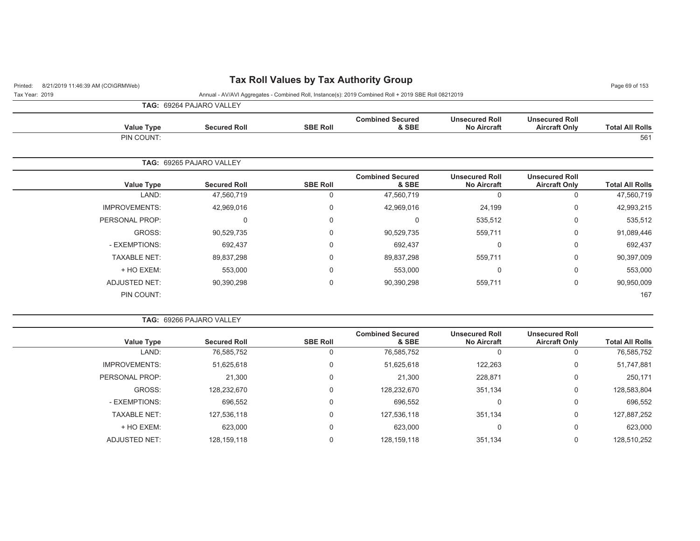# Printed: 8/21/2019 11:46:39 AM (CO\GRMWeb) **Tax Roll Values by Tax Authority Group** Page 69 of 153

Tax Year: 2019 Annual - AV/AVI Aggregates - Combined Roll, Instance(s): 2019 Combined Roll + 2019 SBE Roll 08212019

**TAG:** 69264 PAJARO VALLEY

| <b>Value Type</b>               | <b>Secured Roll</b> | <b>SBE Roll</b> | <b>Combined Secured</b><br>& SBE | <b>Unsecured Roll</b><br><b>No Aircraft</b> | <b>Unsecured Roll</b><br><b>Aircraft Only</b> | <b>Total All Rolls</b> |
|---------------------------------|---------------------|-----------------|----------------------------------|---------------------------------------------|-----------------------------------------------|------------------------|
| PIN COUNT:                      |                     |                 |                                  |                                             |                                               | 561                    |
| <b>TAG: 69265 PAJARO VALLEY</b> |                     |                 |                                  |                                             |                                               |                        |

| <b>Total All Rolls</b> | <b>Unsecured Roll</b><br><b>Aircraft Only</b> | <b>Unsecured Roll</b><br><b>No Aircraft</b> | <b>Combined Secured</b><br>& SBE | <b>SBE Roll</b> | <b>Secured Roll</b> | <b>Value Type</b>    |
|------------------------|-----------------------------------------------|---------------------------------------------|----------------------------------|-----------------|---------------------|----------------------|
| 47,560,719             | 0                                             | 0                                           | 47.560.719                       | 0               | 47,560,719          | LAND:                |
| 42,993,215             | 0                                             | 24,199                                      | 42,969,016                       | 0               | 42,969,016          | <b>IMPROVEMENTS:</b> |
| 535,512                | 0                                             | 535,512                                     | $\Omega$                         | 0               | 0                   | PERSONAL PROP:       |
| 91,089,446             | 0                                             | 559,711                                     | 90,529,735                       | 0               | 90,529,735          | GROSS:               |
| 692,437                | 0                                             | 0                                           | 692,437                          | 0               | 692,437             | - EXEMPTIONS:        |
| 90,397,009             | 0                                             | 559,711                                     | 89,837,298                       | 0               | 89,837,298          | <b>TAXABLE NET:</b>  |
| 553,000                | 0                                             | 0                                           | 553,000                          | 0               | 553,000             | + HO EXEM:           |
| 90,950,009             | 0                                             | 559,711                                     | 90,390,298                       | 0               | 90.390.298          | <b>ADJUSTED NET:</b> |
| 167                    |                                               |                                             |                                  |                 |                     | PIN COUNT:           |
|                        |                                               |                                             |                                  |                 |                     |                      |

| <b>TAG: 69266 PAJARO VALLEY</b> |  |
|---------------------------------|--|
|---------------------------------|--|

| <b>Value Type</b>    | <b>Secured Roll</b> | <b>SBE Roll</b> | <b>Combined Secured</b><br>& SBE | <b>Unsecured Roll</b><br><b>No Aircraft</b> | <b>Unsecured Roll</b><br><b>Aircraft Only</b> | <b>Total All Rolls</b> |
|----------------------|---------------------|-----------------|----------------------------------|---------------------------------------------|-----------------------------------------------|------------------------|
| LAND:                | 76,585,752          |                 | 76,585,752                       |                                             |                                               | 76,585,752             |
| <b>IMPROVEMENTS:</b> | 51,625,618          |                 | 51,625,618                       | 122,263                                     | 0                                             | 51,747,881             |
| PERSONAL PROP:       | 21,300              |                 | 21,300                           | 228,871                                     | 0                                             | 250,171                |
| GROSS:               | 128,232,670         |                 | 128,232,670                      | 351,134                                     | $\Omega$                                      | 128,583,804            |
| - EXEMPTIONS:        | 696,552             |                 | 696,552                          |                                             |                                               | 696,552                |
| <b>TAXABLE NET:</b>  | 127,536,118         |                 | 127,536,118                      | 351,134                                     | $\Omega$                                      | 127,887,252            |
| + HO EXEM:           | 623,000             |                 | 623,000                          |                                             |                                               | 623,000                |
| ADJUSTED NET:        | 128,159,118         |                 | 128,159,118                      | 351.134                                     |                                               | 128,510,252            |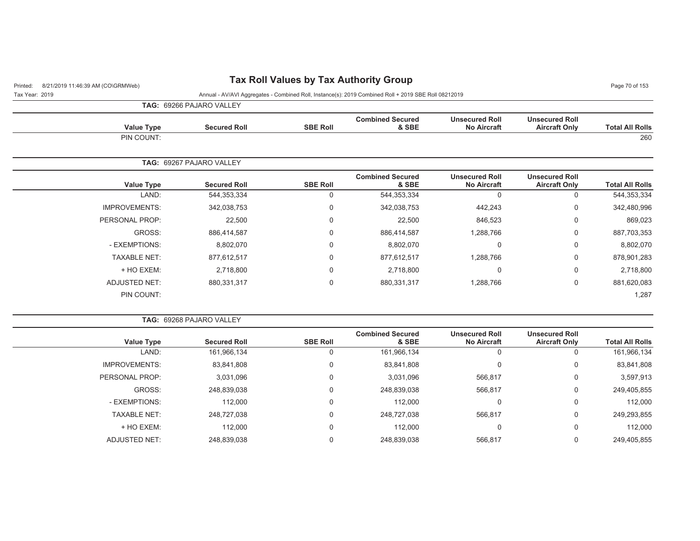# Printed: 8/21/2019 11:46:39 AM (CO\GRMWeb) **Tax Roll Values by Tax Authority Group** Page 70 of 153

Tax Year: 2019 Annual - AV/AVI Aggregates - Combined Roll, Instance(s): 2019 Combined Roll + 2019 SBE Roll 08212019

**TAG:** 69266 PAJARO VALLEY

**TAG:** 69268 PAJARO VALLEY

PIN COUNT:

| <b>Total All Rolls</b> | <b>Unsecured Roll</b><br><b>Aircraft Only</b> | <b>Unsecured Roll</b><br><b>No Aircraft</b> | <b>Combined Secured</b><br>& SBE | <b>SBE Roll</b> | <b>Secured Roll</b>      | <b>Value Type</b>    |
|------------------------|-----------------------------------------------|---------------------------------------------|----------------------------------|-----------------|--------------------------|----------------------|
| 260                    |                                               |                                             |                                  |                 |                          | PIN COUNT:           |
|                        |                                               |                                             |                                  |                 | TAG: 69267 PAJARO VALLEY |                      |
| <b>Total All Rolls</b> | <b>Unsecured Roll</b><br><b>Aircraft Only</b> | <b>Unsecured Roll</b><br><b>No Aircraft</b> | <b>Combined Secured</b><br>& SBE | <b>SBE Roll</b> | <b>Secured Roll</b>      | <b>Value Type</b>    |
| 544, 353, 334          | $\Omega$                                      | $\Omega$                                    | 544,353,334                      | $\Omega$        | 544,353,334              | LAND:                |
| 342,480,996            | 0                                             | 442,243                                     | 342,038,753                      | 0               | 342,038,753              | <b>IMPROVEMENTS:</b> |
| 869,023                | 0                                             | 846,523                                     | 22,500                           | 0               | 22,500                   | PERSONAL PROP:       |
| 887,703,353            | 0                                             | 1,288,766                                   | 886,414,587                      | 0               | 886,414,587              | GROSS:               |
| 8,802,070              | 0                                             | 0                                           | 8,802,070                        | 0               | 8,802,070                | - EXEMPTIONS:        |
| 878,901,283            | 0                                             | 1,288,766                                   | 877,612,517                      | 0               | 877,612,517              | <b>TAXABLE NET:</b>  |

|        | <b>Secured Roll</b>                                                                                                                       | <b>SBE Roll</b> | <b>Combined Secured</b><br>& SBE | <b>Unsecured Roll</b><br><b>No Aircraft</b> | <b>Unsecured Roll</b><br><b>Aircraft Only</b> | <b>Total All Rolls</b> |
|--------|-------------------------------------------------------------------------------------------------------------------------------------------|-----------------|----------------------------------|---------------------------------------------|-----------------------------------------------|------------------------|
| LAND:  | 161,966,134                                                                                                                               |                 | 161,966,134                      | 0                                           |                                               | 161,966,134            |
|        | 83,841,808                                                                                                                                | 0               | 83,841,808                       | 0                                           |                                               | 83,841,808             |
|        | 3,031,096                                                                                                                                 | $\Omega$        | 3,031,096                        | 566,817                                     | 0                                             | 3,597,913              |
| GROSS: | 248,839,038                                                                                                                               | $\Omega$        | 248,839,038                      | 566,817                                     | 0                                             | 249,405,855            |
|        | 112,000                                                                                                                                   | $\Omega$        | 112,000                          | 0                                           |                                               | 112,000                |
|        | 248,727,038                                                                                                                               | 0               | 248,727,038                      | 566,817                                     |                                               | 249,293,855            |
|        | 112,000                                                                                                                                   | $\Omega$        | 112,000                          | 0                                           | $\Omega$                                      | 112,000                |
|        | 248,839,038                                                                                                                               | $\Omega$        | 248,839,038                      | 566,817                                     | 0                                             | 249,405,855            |
|        | <b>Value Type</b><br><b>IMPROVEMENTS:</b><br>PERSONAL PROP:<br>- EXEMPTIONS:<br><b>TAXABLE NET:</b><br>+ HO EXEM:<br><b>ADJUSTED NET:</b> |                 |                                  |                                             |                                               |                        |

+ HO EXEM: 2,718,800 0 2,718,800 0 0 2,718,800 ADJUSTED NET: 880,331,317 0 880,331,317 1,288,766 0 881,620,083

. The contract of the contract of the contract of the contract of the contract of the contract of the contract of the contract of the contract of the contract of the contract of the contract of the contract of the contrac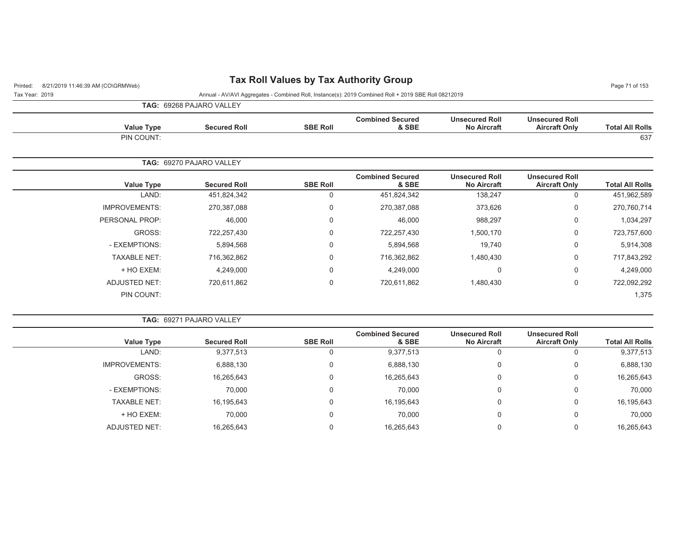# Printed: 8/21/2019 11:46:39 AM (CO\GRMWeb) **Tax Roll Values by Tax Authority Group** Page 71 of 153

Tax Year: 2019 Annual - AV/AVI Aggregates - Combined Roll, Instance(s): 2019 Combined Roll + 2019 SBE Roll 08212019

**TAG:** 69268 PAJARO VALLEY

|                        |                                               |                                             |                                  |                 | <b>IAG.</b> USZUO I AJAINO VALLET |                      |
|------------------------|-----------------------------------------------|---------------------------------------------|----------------------------------|-----------------|-----------------------------------|----------------------|
| <b>Total All Rolls</b> | <b>Unsecured Roll</b><br><b>Aircraft Only</b> | <b>Unsecured Roll</b><br><b>No Aircraft</b> | <b>Combined Secured</b><br>& SBE | <b>SBE Roll</b> | <b>Secured Roll</b>               | <b>Value Type</b>    |
| 637                    |                                               |                                             |                                  |                 |                                   | PIN COUNT:           |
|                        |                                               |                                             |                                  |                 | TAG: 69270 PAJARO VALLEY          |                      |
| <b>Total All Rolls</b> | <b>Unsecured Roll</b><br><b>Aircraft Only</b> | <b>Unsecured Roll</b><br><b>No Aircraft</b> | <b>Combined Secured</b><br>& SBE | <b>SBE Roll</b> | <b>Secured Roll</b>               | <b>Value Type</b>    |
| 451,962,589            | $\mathbf 0$                                   | 138,247                                     | 451,824,342                      | 0               | 451,824,342                       | LAND:                |
| 270,760,714            | $\mathbf 0$                                   | 373,626                                     | 270,387,088                      | 0               | 270,387,088                       | <b>IMPROVEMENTS:</b> |
| 1,034,297              | 0                                             | 988,297                                     | 46,000                           | 0               | 46,000                            | PERSONAL PROP:       |
| 723,757,600            | 0                                             | 1,500,170                                   | 722,257,430                      | 0               | 722,257,430                       | GROSS:               |
| 5,914,308              | $\mathbf 0$                                   | 19,740                                      | 5,894,568                        | 0               | 5,894,568                         | - EXEMPTIONS:        |
| 717,843,292            | $\mathbf 0$                                   | 1,480,430                                   | 716,362,862                      | 0               | 716,362,862                       | <b>TAXABLE NET:</b>  |
| 4,249,000              | $\mathbf 0$                                   | $\Omega$                                    | 4,249,000                        | 0               | 4,249,000                         | + HO EXEM:           |
| 722,092,292            | 0                                             | 1,480,430                                   | 720,611,862                      | 0               | 720,611,862                       | <b>ADJUSTED NET:</b> |
| 1,375                  |                                               |                                             |                                  |                 |                                   | PIN COUNT:           |
|                        |                                               |                                             |                                  |                 |                                   |                      |

### **TAG:** 69271 PAJARO VALLEY

|                      |                     |                 | <b>Combined Secured</b> | <b>Unsecured Roll</b> | <b>Unsecured Roll</b> |                        |
|----------------------|---------------------|-----------------|-------------------------|-----------------------|-----------------------|------------------------|
| <b>Value Type</b>    | <b>Secured Roll</b> | <b>SBE Roll</b> | & SBE                   | <b>No Aircraft</b>    | <b>Aircraft Only</b>  | <b>Total All Rolls</b> |
| LAND:                | 9,377,513           | 0               | 9,377,513               |                       |                       | 9,377,513              |
| <b>IMPROVEMENTS:</b> | 6,888,130           | 0               | 6,888,130               |                       | 0                     | 6,888,130              |
| GROSS:               | 16,265,643          | 0               | 16,265,643              |                       | 0                     | 16,265,643             |
| - EXEMPTIONS:        | 70,000              | 0               | 70,000                  |                       | 0                     | 70,000                 |
| <b>TAXABLE NET:</b>  | 16,195,643          | 0               | 16,195,643              |                       | 0                     | 16,195,643             |
| + HO EXEM:           | 70,000              | 0               | 70,000                  |                       | 0                     | 70,000                 |
| <b>ADJUSTED NET:</b> | 16,265,643          |                 | 16,265,643              |                       |                       | 16,265,643             |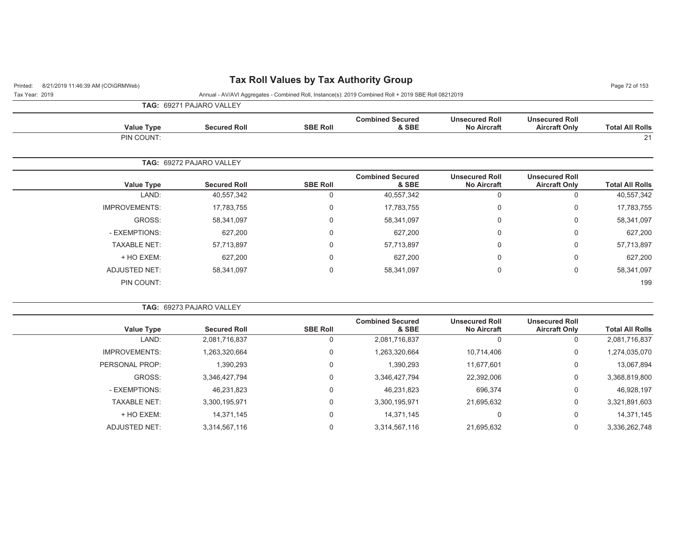# Printed: 8/21/2019 11:46:39 AM (CO\GRMWeb) **Tax Roll Values by Tax Authority Group** Page 72 of 153

Tax Year: 2019 Annual - AV/AVI Aggregates - Combined Roll, Instance(s): 2019 Combined Roll + 2019 SBE Roll 08212019

**TAG:** 69271 PAJARO VALLEY

| <b>Value Type</b> | <b>Secured Roll</b> | <b>SBE Roll</b> | <b>Combined Secured</b><br>& SBE | <b>Unsecured Roll</b><br><b>No Aircraft</b> | <b>Unsecured Roll</b><br><b>Aircraft Only</b> | <b>Total All Rolls</b> |
|-------------------|---------------------|-----------------|----------------------------------|---------------------------------------------|-----------------------------------------------|------------------------|
| PIN COUNT:        |                     |                 |                                  |                                             |                                               | $\bigcap$              |

|                      | <b>TAG: 69272 PAJARO VALLEY</b> |                 |                                  |                                             |                                               |                        |
|----------------------|---------------------------------|-----------------|----------------------------------|---------------------------------------------|-----------------------------------------------|------------------------|
| <b>Value Type</b>    | <b>Secured Roll</b>             | <b>SBE Roll</b> | <b>Combined Secured</b><br>& SBE | <b>Unsecured Roll</b><br><b>No Aircraft</b> | <b>Unsecured Roll</b><br><b>Aircraft Only</b> | <b>Total All Rolls</b> |
| LAND:                | 40,557,342                      | 0               | 40,557,342                       | 0                                           | 0                                             | 40,557,342             |
| <b>IMPROVEMENTS:</b> | 17,783,755                      | 0               | 17,783,755                       | 0                                           | 0                                             | 17,783,755             |
| GROSS:               | 58.341.097                      | 0               | 58,341,097                       | $\Omega$                                    | 0                                             | 58,341,097             |
| - EXEMPTIONS:        | 627,200                         | 0               | 627,200                          | $\Omega$                                    | 0                                             | 627,200                |
| <b>TAXABLE NET:</b>  | 57,713,897                      | 0               | 57,713,897                       | $\Omega$                                    | 0                                             | 57,713,897             |
| + HO EXEM:           | 627,200                         | 0               | 627,200                          | $\Omega$                                    | 0                                             | 627,200                |
| <b>ADJUSTED NET:</b> | 58,341,097                      | 0               | 58,341,097                       | 0                                           | 0                                             | 58,341,097             |
| PIN COUNT:           |                                 |                 |                                  |                                             |                                               | 199                    |

|                      | <b>TAG: 69273 PAJARO VALLEY</b> |                 |                                  |                                             |                                               |                        |
|----------------------|---------------------------------|-----------------|----------------------------------|---------------------------------------------|-----------------------------------------------|------------------------|
| <b>Value Type</b>    | <b>Secured Roll</b>             | <b>SBE Roll</b> | <b>Combined Secured</b><br>& SBE | <b>Unsecured Roll</b><br><b>No Aircraft</b> | <b>Unsecured Roll</b><br><b>Aircraft Only</b> | <b>Total All Rolls</b> |
| LAND:                | 2,081,716,837                   | O               | 2,081,716,837                    | 0                                           |                                               | 2,081,716,837          |
| <b>IMPROVEMENTS:</b> | 1,263,320,664                   | 0               | 1,263,320,664                    | 10,714,406                                  | 0                                             | 1,274,035,070          |
| PERSONAL PROP:       | 1,390,293                       | 0               | 1,390,293                        | 11,677,601                                  | 0                                             | 13,067,894             |
| GROSS:               | 3,346,427,794                   | 0               | 3,346,427,794                    | 22,392,006                                  | $\mathbf 0$                                   | 3,368,819,800          |
| - EXEMPTIONS:        | 46,231,823                      | 0               | 46,231,823                       | 696,374                                     | $\Omega$                                      | 46,928,197             |
| <b>TAXABLE NET:</b>  | 3,300,195,971                   | 0               | 3,300,195,971                    | 21,695,632                                  | 0                                             | 3,321,891,603          |
| + HO EXEM:           | 14.371.145                      | 0               | 14,371,145                       | 0                                           | 0                                             | 14,371,145             |
| ADJUSTED NET:        | 3.314.567.116                   | 0               | 3,314,567,116                    | 21.695.632                                  | $\Omega$                                      | 3,336,262,748          |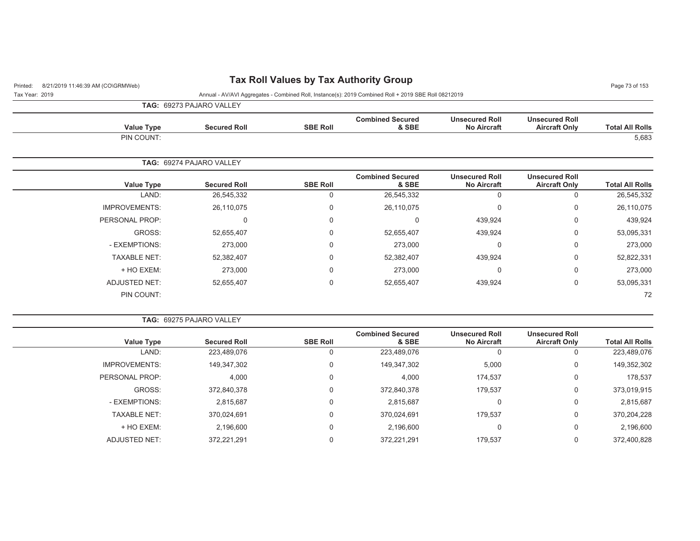## Printed: 8/21/2019 11:46:39 AM (CO\GRMWeb) **Tax Roll Values by Tax Authority Group** Page 73 of 153

Tax Year: 2019 Annual - AV/AVI Aggregates - Combined Roll, Instance(s): 2019 Combined Roll + 2019 SBE Roll 08212019

**TAG:** 69273 PAJARO VALLEY

| <b>Value Type</b> | <b>Secured Roll</b> | <b>SBE Roll</b> | <b>Combined Secured</b><br>& SBE | <b>Unsecured Roll</b><br><b>No Aircraft</b> | <b>Unsecured Roll</b><br><b>Aircraft Only</b> | <b>Total All Rolls</b> |
|-------------------|---------------------|-----------------|----------------------------------|---------------------------------------------|-----------------------------------------------|------------------------|
| PIN COUNT:        |                     |                 |                                  |                                             |                                               | 5,683                  |

|                      | <b>TAG:   69274 PAJARO VALLEY</b> |                 |                                  |                                             |                                               |                        |
|----------------------|-----------------------------------|-----------------|----------------------------------|---------------------------------------------|-----------------------------------------------|------------------------|
| <b>Value Type</b>    | <b>Secured Roll</b>               | <b>SBE Roll</b> | <b>Combined Secured</b><br>& SBE | <b>Unsecured Roll</b><br><b>No Aircraft</b> | <b>Unsecured Roll</b><br><b>Aircraft Only</b> | <b>Total All Rolls</b> |
| LAND:                | 26,545,332                        | 0               | 26,545,332                       |                                             | 0                                             | 26,545,332             |
| <b>IMPROVEMENTS:</b> | 26,110,075                        | 0               | 26,110,075                       | 0                                           | 0                                             | 26,110,075             |
| PERSONAL PROP:       |                                   | 0               | 0                                | 439,924                                     | 0                                             | 439,924                |
| GROSS:               | 52,655,407                        | 0               | 52,655,407                       | 439,924                                     | 0                                             | 53,095,331             |
| - EXEMPTIONS:        | 273,000                           | 0               | 273,000                          | 0                                           | 0                                             | 273,000                |
| <b>TAXABLE NET:</b>  | 52,382,407                        | 0               | 52,382,407                       | 439,924                                     | 0                                             | 52,822,331             |
| + HO EXEM:           | 273,000                           | 0               | 273,000                          | 0                                           | 0                                             | 273,000                |
| <b>ADJUSTED NET:</b> | 52,655,407                        | $\Omega$        | 52,655,407                       | 439,924                                     | 0                                             | 53,095,331             |
| PIN COUNT:           |                                   |                 |                                  |                                             |                                               | 72                     |

| <b>TAG: 69275 PAJARO VALLEY</b> |
|---------------------------------|
|---------------------------------|

| <b>Value Type</b>    | <b>Secured Roll</b> | <b>SBE Roll</b> | <b>Combined Secured</b><br>& SBE | <b>Unsecured Roll</b><br><b>No Aircraft</b> | <b>Unsecured Roll</b><br><b>Aircraft Only</b> | <b>Total All Rolls</b> |
|----------------------|---------------------|-----------------|----------------------------------|---------------------------------------------|-----------------------------------------------|------------------------|
| LAND:                | 223,489,076         |                 | 223,489,076                      | u                                           |                                               | 223,489,076            |
| <b>IMPROVEMENTS:</b> | 149,347,302         | $\Omega$        | 149,347,302                      | 5,000                                       | 0                                             | 149,352,302            |
| PERSONAL PROP:       | 4,000               | 0               | 4,000                            | 174.537                                     |                                               | 178,537                |
| GROSS:               | 372,840,378         | $\mathbf 0$     | 372,840,378                      | 179,537                                     | 0                                             | 373,019,915            |
| - EXEMPTIONS:        | 2,815,687           | 0               | 2,815,687                        | 0                                           |                                               | 2,815,687              |
| <b>TAXABLE NET:</b>  | 370,024,691         | 0               | 370,024,691                      | 179,537                                     | 0                                             | 370,204,228            |
| + HO EXEM:           | 2,196,600           | 0               | 2,196,600                        | 0                                           |                                               | 2,196,600              |
| <b>ADJUSTED NET:</b> | 372,221,291         |                 | 372,221,291                      | 179.537                                     |                                               | 372,400,828            |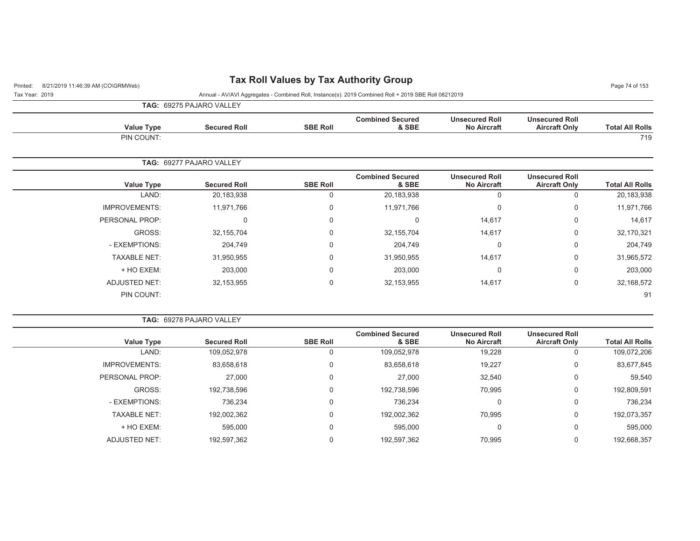## Printed: 8/21/2019 11:46:39 AM (CO\GRMWeb) **Tax Roll Values by Tax Authority Group** Page 74 of 153

Tax Year: 2019 Annual - AV/AVI Aggregates - Combined Roll, Instance(s): 2019 Combined Roll + 2019 SBE Roll 08212019

**TAG:** 69275 PAJARO VALLEY

| <b>Value Type</b> | <b>Secured Roll</b> | <b>SBE Roll</b> | <b>Combined Secured</b><br>& SBE | <b>Unsecured Roll</b><br><b>No Aircraft</b> | <b>Unsecured Roll</b><br><b>Aircraft Only</b> | <b>Total All Rolls</b> |
|-------------------|---------------------|-----------------|----------------------------------|---------------------------------------------|-----------------------------------------------|------------------------|
| PIN COUNT:        |                     |                 |                                  |                                             |                                               | 719                    |

|                      | <b>TAG: 69277 PAJARO VALLEY</b> |                 |                                  |                                             |                                               |                        |
|----------------------|---------------------------------|-----------------|----------------------------------|---------------------------------------------|-----------------------------------------------|------------------------|
| <b>Value Type</b>    | <b>Secured Roll</b>             | <b>SBE Roll</b> | <b>Combined Secured</b><br>& SBE | <b>Unsecured Roll</b><br><b>No Aircraft</b> | <b>Unsecured Roll</b><br><b>Aircraft Only</b> | <b>Total All Rolls</b> |
| LAND:                | 20,183,938                      | 0               | 20,183,938                       | 0                                           | υ                                             | 20,183,938             |
| <b>IMPROVEMENTS:</b> | 11,971,766                      | 0               | 11,971,766                       | 0                                           | 0                                             | 11,971,766             |
| PERSONAL PROP:       | 0                               | 0               |                                  | 14,617                                      | 0                                             | 14,617                 |
| GROSS:               | 32,155,704                      | 0               | 32,155,704                       | 14,617                                      | 0                                             | 32,170,321             |
| - EXEMPTIONS:        | 204,749                         | 0               | 204,749                          | 0                                           | 0                                             | 204,749                |
| <b>TAXABLE NET:</b>  | 31,950,955                      | 0               | 31,950,955                       | 14,617                                      | 0                                             | 31,965,572             |
| + HO EXEM:           | 203,000                         | 0               | 203,000                          | 0                                           | 0                                             | 203,000                |
| <b>ADJUSTED NET:</b> | 32,153,955                      | 0               | 32,153,955                       | 14,617                                      | 0                                             | 32,168,572             |
| PIN COUNT:           |                                 |                 |                                  |                                             |                                               | 91                     |

|  | <b>TAG: 69278 PAJARO VALLEY</b> |  |
|--|---------------------------------|--|
|  |                                 |  |

| Value Type           | <b>Secured Roll</b> | <b>SBE Roll</b> | <b>Combined Secured</b><br>& SBE | <b>Unsecured Roll</b><br><b>No Aircraft</b> | <b>Unsecured Roll</b><br><b>Aircraft Only</b> | <b>Total All Rolls</b> |
|----------------------|---------------------|-----------------|----------------------------------|---------------------------------------------|-----------------------------------------------|------------------------|
| LAND:                | 109,052,978         |                 | 109,052,978                      | 19,228                                      |                                               | 109,072,206            |
| <b>IMPROVEMENTS:</b> | 83,658,618          |                 | 83,658,618                       | 19,227                                      | 0                                             | 83,677,845             |
| PERSONAL PROP:       | 27,000              | 0               | 27,000                           | 32,540                                      | $\Omega$                                      | 59,540                 |
| GROSS:               | 192,738,596         |                 | 192,738,596                      | 70,995                                      | 0                                             | 192,809,591            |
| - EXEMPTIONS:        | 736,234             |                 | 736,234                          | 0                                           | 0                                             | 736,234                |
| <b>TAXABLE NET:</b>  | 192,002,362         |                 | 192,002,362                      | 70,995                                      | $\Omega$                                      | 192,073,357            |
| + HO EXEM:           | 595,000             | 0               | 595,000                          | 0                                           | 0                                             | 595,000                |
| ADJUSTED NET:        | 192,597,362         |                 | 192,597,362                      | 70,995                                      |                                               | 192,668,357            |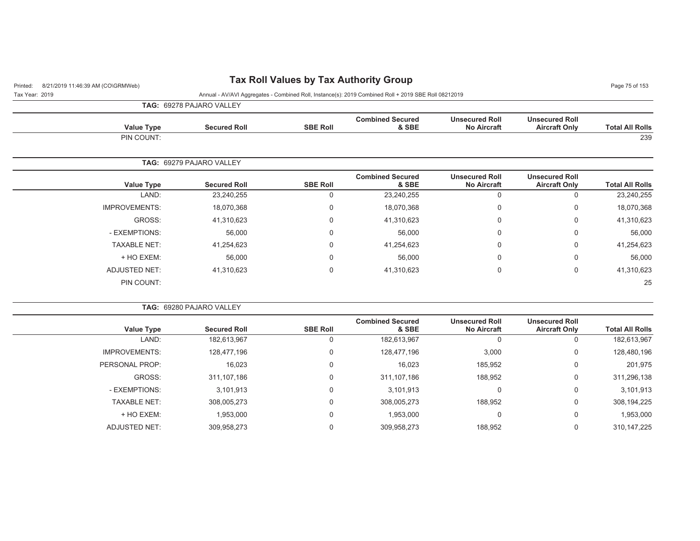## Printed: 8/21/2019 11:46:39 AM (CO\GRMWeb) **Tax Roll Values by Tax Authority Group** Page 75 of 153

Tax Year: 2019 Annual - AV/AVI Aggregates - Combined Roll, Instance(s): 2019 Combined Roll + 2019 SBE Roll 08212019

**TAG:** 69278 PAJARO VALLEY

| <b>Value Type</b> | <b>Secured Roll</b> | <b>SBE Roll</b> | <b>Combined Secured</b><br>& SBE | <b>Unsecured Roll</b><br><b>No Aircraft</b> | <b>Unsecured Roll</b><br><b>Aircraft Only</b> | <b>Total All Rolls</b> |
|-------------------|---------------------|-----------------|----------------------------------|---------------------------------------------|-----------------------------------------------|------------------------|
| PIN COUNT:        |                     |                 |                                  |                                             |                                               | 239                    |

|                      | <b>TAG: 69279 PAJARO VALLEY</b> |                 |                                  |                                             |                                               |                        |
|----------------------|---------------------------------|-----------------|----------------------------------|---------------------------------------------|-----------------------------------------------|------------------------|
| <b>Value Type</b>    | <b>Secured Roll</b>             | <b>SBE Roll</b> | <b>Combined Secured</b><br>& SBE | <b>Unsecured Roll</b><br><b>No Aircraft</b> | <b>Unsecured Roll</b><br><b>Aircraft Only</b> | <b>Total All Rolls</b> |
| LAND:                | 23,240,255                      | Ü               | 23,240,255                       | U                                           | 0                                             | 23,240,255             |
| <b>IMPROVEMENTS:</b> | 18,070,368                      | 0               | 18,070,368                       | 0                                           | 0                                             | 18,070,368             |
| GROSS:               | 41,310,623                      | 0               | 41,310,623                       | $\Omega$                                    | 0                                             | 41,310,623             |
| - EXEMPTIONS:        | 56,000                          | 0               | 56,000                           | $\mathbf 0$                                 | 0                                             | 56,000                 |
| <b>TAXABLE NET:</b>  | 41,254,623                      | 0               | 41,254,623                       | $\mathbf 0$                                 | 0                                             | 41,254,623             |
| + HO EXEM:           | 56,000                          | 0               | 56,000                           | $\Omega$                                    | 0                                             | 56,000                 |
| ADJUSTED NET:        | 41,310,623                      | 0               | 41,310,623                       | $\Omega$                                    | 0                                             | 41,310,623             |
| PIN COUNT:           |                                 |                 |                                  |                                             |                                               | 25                     |

| <b>Secured Roll</b> | <b>SBE Roll</b> | <b>Combined Secured</b><br>& SBE | <b>Unsecured Roll</b><br><b>No Aircraft</b> | <b>Unsecured Roll</b><br><b>Aircraft Only</b> | <b>Total All Rolls</b> |
|---------------------|-----------------|----------------------------------|---------------------------------------------|-----------------------------------------------|------------------------|
| 182,613,967         | 0               | 182,613,967                      | 0                                           |                                               | 182,613,967            |
| 128.477.196         | $\Omega$        | 128.477.196                      | 3,000                                       | 0                                             | 128,480,196            |
| 16,023              | $\Omega$        | 16,023                           | 185,952                                     | $\mathbf 0$                                   | 201,975                |
| 311.107.186         | $\Omega$        | 311, 107, 186                    | 188,952                                     | 0                                             | 311,296,138            |
| 3,101,913           | $\Omega$        | 3,101,913                        | $\Omega$                                    | 0                                             | 3,101,913              |
| 308.005.273         | $\Omega$        | 308.005.273                      | 188,952                                     | 0                                             | 308,194,225            |
| 1,953,000           | $\mathbf 0$     | 1,953,000                        | $\mathbf 0$                                 | 0                                             | 1,953,000              |
| 309.958.273         | $\Omega$        | 309.958.273                      | 188,952                                     | 0                                             | 310.147.225            |
|                     |                 |                                  |                                             | <b>TAG: 69280 PAJARO VALLEY</b>               |                        |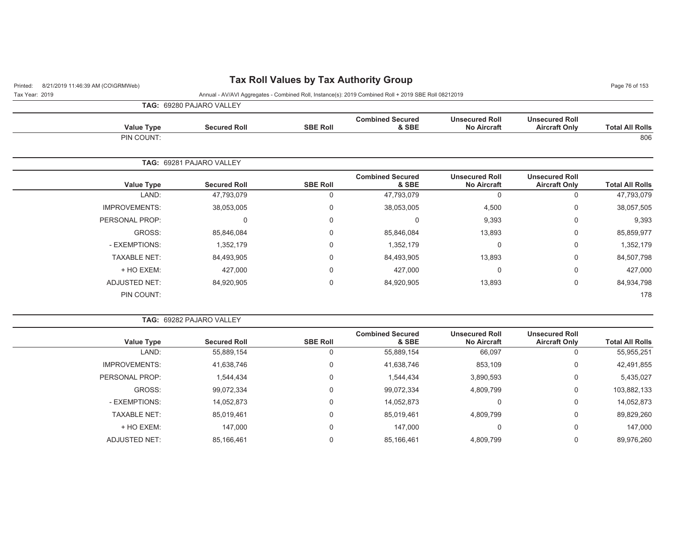## Printed: 8/21/2019 11:46:39 AM (CO\GRMWeb) **Tax Roll Values by Tax Authority Group** Page 76 of 153

Tax Year: 2019 Annual - AV/AVI Aggregates - Combined Roll, Instance(s): 2019 Combined Roll + 2019 SBE Roll 08212019

**TAG:** 69280 PAJARO VALLEY

| <b>Value Type</b> | <b>Secured Roll</b> | <b>SBE Roll</b> | <b>Combined Secured</b><br>& SBE | <b>Unsecured Roll</b><br><b>No Aircraft</b> | <b>Unsecured Roll</b><br><b>Aircraft Only</b> | <b>Total All Rolls</b> |
|-------------------|---------------------|-----------------|----------------------------------|---------------------------------------------|-----------------------------------------------|------------------------|
| PIN COUNT:        |                     |                 |                                  |                                             |                                               | 806                    |

| <b>TAG: 69281 PAJARO VALLEY</b> |                 |                                  |                                             |                                               |                        |
|---------------------------------|-----------------|----------------------------------|---------------------------------------------|-----------------------------------------------|------------------------|
| <b>Secured Roll</b>             | <b>SBE Roll</b> | <b>Combined Secured</b><br>& SBE | <b>Unsecured Roll</b><br><b>No Aircraft</b> | <b>Unsecured Roll</b><br><b>Aircraft Only</b> | <b>Total All Rolls</b> |
| 47,793,079                      | 0               | 47,793,079                       | 0                                           | 0                                             | 47,793,079             |
| 38,053,005                      | 0               | 38,053,005                       | 4,500                                       | 0                                             | 38,057,505             |
|                                 | 0               |                                  | 9,393                                       | 0                                             | 9,393                  |
| 85,846,084                      | 0               | 85,846,084                       | 13,893                                      | 0                                             | 85,859,977             |
| 1,352,179                       | 0               | 1,352,179                        | 0                                           | 0                                             | 1,352,179              |
| 84,493,905                      | 0               | 84,493,905                       | 13,893                                      | 0                                             | 84,507,798             |
| 427,000                         | 0               | 427,000                          | 0                                           | 0                                             | 427,000                |
| 84,920,905                      | 0               | 84,920,905                       | 13,893                                      | 0                                             | 84,934,798             |
|                                 |                 |                                  |                                             |                                               | 178                    |
|                                 |                 |                                  |                                             |                                               |                        |

|  |  | <b>TAG: 69282 PAJARO VALLEY</b> |  |
|--|--|---------------------------------|--|
|--|--|---------------------------------|--|

| <b>Value Type</b>    | <b>Secured Roll</b> | <b>SBE Roll</b> | <b>Combined Secured</b><br>& SBE | <b>Unsecured Roll</b><br><b>No Aircraft</b> | <b>Unsecured Roll</b><br><b>Aircraft Only</b> | <b>Total All Rolls</b> |
|----------------------|---------------------|-----------------|----------------------------------|---------------------------------------------|-----------------------------------------------|------------------------|
| LAND:                | 55,889,154          | 0               | 55,889,154                       | 66,097                                      |                                               | 55,955,251             |
| <b>IMPROVEMENTS:</b> | 41,638,746          | $\Omega$        | 41,638,746                       | 853,109                                     | 0                                             | 42,491,855             |
| PERSONAL PROP:       | 1,544,434           | $\Omega$        | 1,544,434                        | 3,890,593                                   | 0                                             | 5,435,027              |
| GROSS:               | 99,072,334          | $\Omega$        | 99,072,334                       | 4,809,799                                   | 0                                             | 103,882,133            |
| - EXEMPTIONS:        | 14,052,873          | $\Omega$        | 14,052,873                       |                                             | 0                                             | 14,052,873             |
| <b>TAXABLE NET:</b>  | 85,019,461          | 0               | 85,019,461                       | 4,809,799                                   | 0                                             | 89,829,260             |
| + HO EXEM:           | 147.000             | $\Omega$        | 147.000                          | $\Omega$                                    | 0                                             | 147.000                |
| ADJUSTED NET:        | 85,166,461          | 0               | 85,166,461                       | 4,809,799                                   |                                               | 89,976,260             |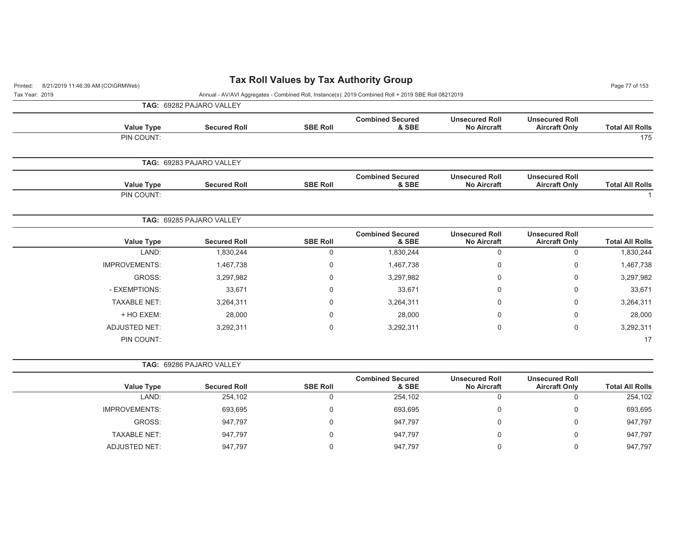| 8/21/2019 11:46:39 AM (CO\GRMWeb)<br>Printed: |                                                                                                      |                 | <b>Tax Roll Values by Tax Authority Group</b> |                                             |                                               | Page 77 of 153         |  |
|-----------------------------------------------|------------------------------------------------------------------------------------------------------|-----------------|-----------------------------------------------|---------------------------------------------|-----------------------------------------------|------------------------|--|
| Tax Year: 2019                                | Annual - AV/AVI Aggregates - Combined Roll, Instance(s): 2019 Combined Roll + 2019 SBE Roll 08212019 |                 |                                               |                                             |                                               |                        |  |
|                                               | TAG: 69282 PAJARO VALLEY                                                                             |                 |                                               |                                             |                                               |                        |  |
| <b>Value Type</b>                             | <b>Secured Roll</b>                                                                                  | <b>SBE Roll</b> | <b>Combined Secured</b><br>& SBE              | <b>Unsecured Roll</b><br><b>No Aircraft</b> | <b>Unsecured Roll</b><br><b>Aircraft Only</b> | <b>Total All Rolls</b> |  |
| PIN COUNT:                                    |                                                                                                      |                 |                                               |                                             |                                               | 175                    |  |
|                                               | TAG: 69283 PAJARO VALLEY                                                                             |                 |                                               |                                             |                                               |                        |  |
| <b>Value Type</b>                             | <b>Secured Roll</b>                                                                                  | <b>SBE Roll</b> | <b>Combined Secured</b><br>& SBE              | <b>Unsecured Roll</b><br><b>No Aircraft</b> | <b>Unsecured Roll</b><br><b>Aircraft Only</b> | <b>Total All Rolls</b> |  |
| PIN COUNT:                                    |                                                                                                      |                 |                                               |                                             |                                               |                        |  |
|                                               | TAG: 69285 PAJARO VALLEY                                                                             |                 |                                               |                                             |                                               |                        |  |
| <b>Value Type</b>                             | <b>Secured Roll</b>                                                                                  | <b>SBE Roll</b> | <b>Combined Secured</b><br>& SBE              | <b>Unsecured Roll</b><br><b>No Aircraft</b> | <b>Unsecured Roll</b><br><b>Aircraft Only</b> | <b>Total All Rolls</b> |  |
| LAND:                                         | 1,830,244                                                                                            | $\mathbf 0$     | 1,830,244                                     | $\mathbf 0$                                 | $\mathbf 0$                                   | 1,830,244              |  |
| <b>IMPROVEMENTS:</b>                          | 1,467,738                                                                                            | $\mathbf 0$     | 1,467,738                                     | $\mathbf{0}$                                | 0                                             | 1,467,738              |  |
| GROSS:                                        | 3,297,982                                                                                            | 0               | 3,297,982                                     | $\Omega$                                    | 0                                             | 3,297,982              |  |
| - EXEMPTIONS:                                 | 33,671                                                                                               | 0               | 33,671                                        | $\mathbf{0}$                                | 0                                             | 33,671                 |  |
| <b>TAXABLE NET:</b>                           | 3,264,311                                                                                            | $\mathbf 0$     | 3,264,311                                     | $\Omega$                                    | $\mathbf 0$                                   | 3,264,311              |  |
| + HO EXEM:                                    | 28,000                                                                                               | $\mathbf 0$     | 28,000                                        | $\Omega$                                    | $\mathbf 0$                                   | 28,000                 |  |
| <b>ADJUSTED NET:</b>                          | 3,292,311                                                                                            | $\mathbf 0$     | 3,292,311                                     | $\mathbf 0$                                 | $\pmb{0}$                                     | 3,292,311              |  |
| PIN COUNT:                                    |                                                                                                      |                 |                                               |                                             |                                               | 17                     |  |
|                                               | TAG: 69286 PAJARO VALLEY                                                                             |                 |                                               |                                             |                                               |                        |  |
| <b>Value Type</b>                             | <b>Secured Roll</b>                                                                                  | <b>SBE Roll</b> | <b>Combined Secured</b><br>& SBE              | <b>Unsecured Roll</b><br><b>No Aircraft</b> | <b>Unsecured Roll</b><br><b>Aircraft Only</b> | <b>Total All Rolls</b> |  |
| LAND:                                         | 254,102                                                                                              | $\mathbf 0$     | 254,102                                       | $\mathbf 0$                                 | $\mathbf 0$                                   | 254,102                |  |
| <b>IMPROVEMENTS:</b>                          | 693,695                                                                                              | $\mathbf 0$     | 693,695                                       | $\mathbf{0}$                                | $\mathbf 0$                                   | 693,695                |  |
| GROSS:                                        | 947,797                                                                                              | $\mathbf 0$     | 947,797                                       | $\mathbf 0$                                 | $\mathbf 0$                                   | 947,797                |  |

TAXABLE NET: 947,797 0 947,797 0 0 947,797 ADJUSTED NET: 347,797 947,797 0 947,797 96 947,797 0 947,797 0 947,797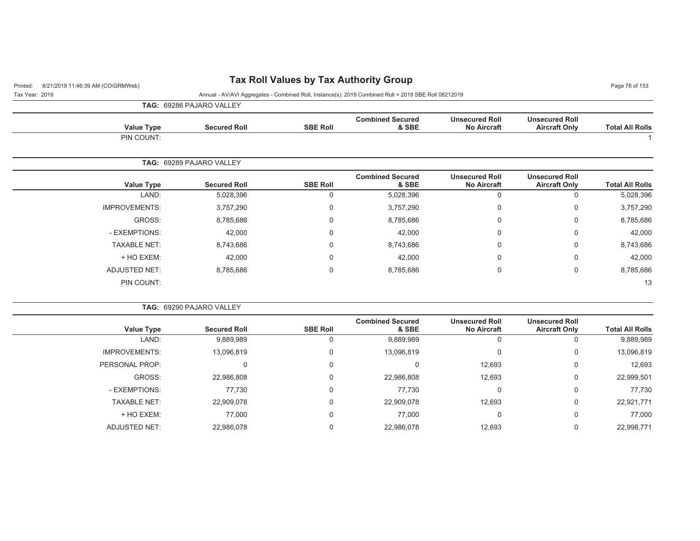## Printed: 8/21/2019 11:46:39 AM (CO\GRMWeb) **Tax Roll Values by Tax Authority Group** Page 78 of 153

Tax Year: 2019 Annual - AV/AVI Aggregates - Combined Roll, Instance(s): 2019 Combined Roll + 2019 SBE Roll 08212019

**TAG:** 69286 PAJARO VALLEY

| <b>Value Type</b> | <b>Secured Roll</b> | <b>SBE Roll</b> | <b>Combined Secured</b><br>& SBE | <b>Unsecured Roll</b><br><b>No Aircraft</b> | <b>Unsecured Roll</b><br><b>Aircraft Only</b> | <b>Total All Rolls</b> |
|-------------------|---------------------|-----------------|----------------------------------|---------------------------------------------|-----------------------------------------------|------------------------|
| PIN COUNT:        |                     |                 |                                  |                                             |                                               |                        |

|                      | <b>TAG: 69289 PAJARO VALLEY</b> |                 |                                  |                                             |                                               |                        |
|----------------------|---------------------------------|-----------------|----------------------------------|---------------------------------------------|-----------------------------------------------|------------------------|
| Value Type           | <b>Secured Roll</b>             | <b>SBE Roll</b> | <b>Combined Secured</b><br>& SBE | <b>Unsecured Roll</b><br><b>No Aircraft</b> | <b>Unsecured Roll</b><br><b>Aircraft Only</b> | <b>Total All Rolls</b> |
| LAND:                | 5,028,396                       | 0               | 5,028,396                        | 0                                           | O                                             | 5,028,396              |
| <b>IMPROVEMENTS:</b> | 3,757,290                       | 0               | 3,757,290                        | 0                                           | 0                                             | 3,757,290              |
| GROSS:               | 8,785,686                       | 0               | 8,785,686                        | 0                                           | 0                                             | 8,785,686              |
| - EXEMPTIONS:        | 42,000                          | 0               | 42,000                           | 0                                           | 0                                             | 42,000                 |
| <b>TAXABLE NET:</b>  | 8,743,686                       | 0               | 8,743,686                        | 0                                           | 0                                             | 8,743,686              |
| + HO EXEM:           | 42,000                          | 0               | 42,000                           | 0                                           | 0                                             | 42,000                 |
| ADJUSTED NET:        | 8,785,686                       | $\mathbf 0$     | 8,785,686                        | 0                                           | 0                                             | 8,785,686              |
| PIN COUNT:           |                                 |                 |                                  |                                             |                                               | 13                     |

| <b>TAG: 69290 PAJARO VALLEY</b> |                 |                                  |                                             |                                               |                        |
|---------------------------------|-----------------|----------------------------------|---------------------------------------------|-----------------------------------------------|------------------------|
| <b>Secured Roll</b>             | <b>SBE Roll</b> | <b>Combined Secured</b><br>& SBE | <b>Unsecured Roll</b><br><b>No Aircraft</b> | <b>Unsecured Roll</b><br><b>Aircraft Only</b> | <b>Total All Rolls</b> |
| 9,889,989                       |                 | 9,889,989                        | 0                                           |                                               | 9,889,989              |
| 13,096,819                      |                 | 13,096,819                       | $\Omega$                                    | 0                                             | 13,096,819             |
|                                 |                 |                                  | 12,693                                      | 0                                             | 12,693                 |
| 22,986,808                      |                 | 22,986,808                       | 12,693                                      | $\Omega$                                      | 22,999,501             |
| 77,730                          |                 | 77,730                           | $\Omega$                                    | 0                                             | 77,730                 |
| 22,909,078                      |                 | 22,909,078                       | 12,693                                      | $\Omega$                                      | 22,921,771             |
| 77,000                          |                 | 77,000                           | 0                                           | $\Omega$                                      | 77,000                 |
| 22,986,078                      |                 | 22,986,078                       | 12.693                                      | 0                                             | 22,998,771             |
|                                 |                 |                                  |                                             |                                               |                        |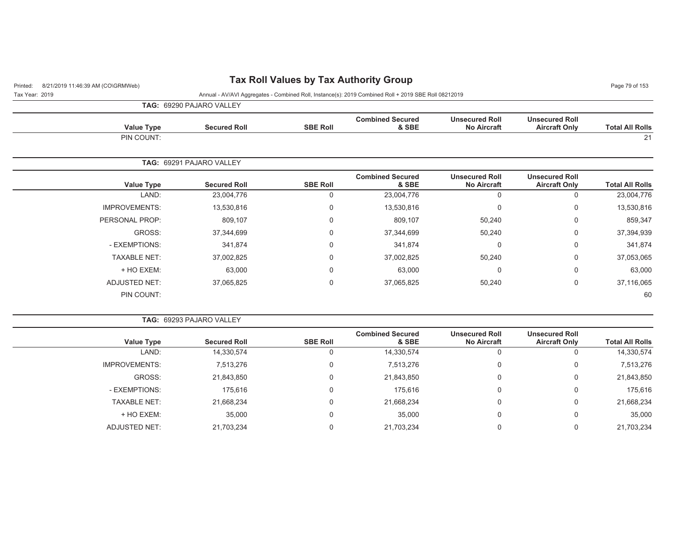## Printed: 8/21/2019 11:46:39 AM (CO\GRMWeb) **Tax Roll Values by Tax Authority Group** Page 79 of 153

Tax Year: 2019 Annual - AV/AVI Aggregates - Combined Roll, Instance(s): 2019 Combined Roll + 2019 SBE Roll 08212019

**TAG:** 69290 PAJARO VALLEY

| <b>Value Type</b> | <b>Secured Roll</b> | <b>SBE Roll</b> | <b>Combined Secured</b><br>& SBE | <b>Unsecured Roll</b><br><b>No Aircraft</b> | <b>Unsecured Roll</b><br><b>Aircraft Only</b> | <b>Total All Rolls</b> |
|-------------------|---------------------|-----------------|----------------------------------|---------------------------------------------|-----------------------------------------------|------------------------|
| PIN COUNT:        |                     |                 |                                  |                                             |                                               | 21<br><u>_</u>         |

|                      | <b>TAG: 69291 PAJARO VALLEY</b> |                 |                                  |                                             |                                               |                        |
|----------------------|---------------------------------|-----------------|----------------------------------|---------------------------------------------|-----------------------------------------------|------------------------|
| <b>Value Type</b>    | <b>Secured Roll</b>             | <b>SBE Roll</b> | <b>Combined Secured</b><br>& SBE | <b>Unsecured Roll</b><br><b>No Aircraft</b> | <b>Unsecured Roll</b><br><b>Aircraft Only</b> | <b>Total All Rolls</b> |
| LAND:                | 23,004,776                      |                 | 23,004,776                       | 0                                           | 0                                             | 23,004,776             |
| <b>IMPROVEMENTS:</b> | 13,530,816                      | 0               | 13,530,816                       | 0                                           | 0                                             | 13,530,816             |
| PERSONAL PROP:       | 809,107                         | $\Omega$        | 809,107                          | 50,240                                      | 0                                             | 859,347                |
| GROSS:               | 37,344,699                      | $\Omega$        | 37,344,699                       | 50,240                                      | 0                                             | 37,394,939             |
| - EXEMPTIONS:        | 341,874                         | $\Omega$        | 341,874                          | 0                                           | 0                                             | 341,874                |
| <b>TAXABLE NET:</b>  | 37,002,825                      | $\Omega$        | 37,002,825                       | 50,240                                      | 0                                             | 37,053,065             |
| + HO EXEM:           | 63,000                          | $\mathbf 0$     | 63,000                           | 0                                           | 0                                             | 63,000                 |
| <b>ADJUSTED NET:</b> | 37,065,825                      | $\Omega$        | 37,065,825                       | 50,240                                      | 0                                             | 37,116,065             |
| PIN COUNT:           |                                 |                 |                                  |                                             |                                               | 60                     |

| <b>TAG: 69293 PAJARO VALLEY</b> |  |  |  |  |
|---------------------------------|--|--|--|--|
|---------------------------------|--|--|--|--|

| Value Type           | <b>Secured Roll</b> | <b>SBE Roll</b> | <b>Combined Secured</b><br>& SBE | <b>Unsecured Roll</b><br><b>No Aircraft</b> | <b>Unsecured Roll</b><br><b>Aircraft Only</b> | <b>Total All Rolls</b> |
|----------------------|---------------------|-----------------|----------------------------------|---------------------------------------------|-----------------------------------------------|------------------------|
| LAND:                | 14,330,574          | U               | 14,330,574                       | v                                           | 0                                             | 14,330,574             |
| <b>IMPROVEMENTS:</b> | 7,513,276           | 0               | 7,513,276                        | υ                                           | 0                                             | 7,513,276              |
| GROSS:               | 21,843,850          | 0               | 21,843,850                       | 0                                           | 0                                             | 21,843,850             |
| - EXEMPTIONS:        | 175,616             | 0               | 175,616                          | υ                                           | 0                                             | 175,616                |
| <b>TAXABLE NET:</b>  | 21,668,234          | 0               | 21,668,234                       | 0                                           | 0                                             | 21,668,234             |
| + HO EXEM:           | 35,000              | 0               | 35,000                           | υ                                           | 0                                             | 35,000                 |
| ADJUSTED NET:        | 21,703,234          |                 | 21,703,234                       |                                             | 0                                             | 21,703,234             |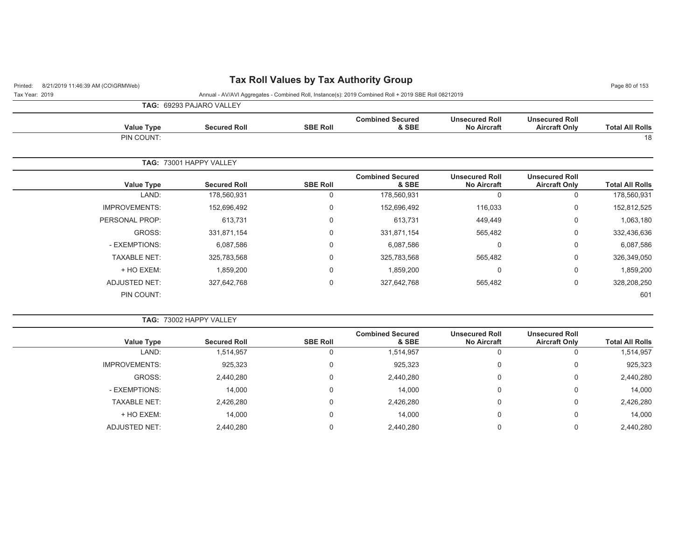## Printed: 8/21/2019 11:46:39 AM (CO\GRMWeb) **Tax Roll Values by Tax Authority Group** Page 80 of 153

| Tax Year: 2019 | Annual - AV/AVI Aggregates - Combined Roll, Instance(s): 2019 Combined Roll + 2019 SBE Roll 08212019 |
|----------------|------------------------------------------------------------------------------------------------------|

**TAG:** 69293 PAJARO VALLEY

| <b>Total All Rolls</b> | <b>Unsecured Roll</b><br><b>Aircraft Only</b> | <b>Unsecured Roll</b><br><b>No Aircraft</b> | <b>Combined Secured</b><br>& SBE | <b>SBE Roll</b> | <b>Secured Roll</b>     | Value Type           |
|------------------------|-----------------------------------------------|---------------------------------------------|----------------------------------|-----------------|-------------------------|----------------------|
| 18                     |                                               |                                             |                                  |                 |                         | PIN COUNT:           |
|                        |                                               |                                             |                                  |                 | TAG: 73001 HAPPY VALLEY |                      |
| <b>Total All Rolls</b> | <b>Unsecured Roll</b><br><b>Aircraft Only</b> | <b>Unsecured Roll</b><br><b>No Aircraft</b> | <b>Combined Secured</b><br>& SBE | <b>SBE Roll</b> | <b>Secured Roll</b>     | <b>Value Type</b>    |
| 178,560,931            | $\mathbf 0$                                   | $\mathbf 0$                                 | 178,560,931                      | 0               | 178,560,931             | LAND:                |
| 152,812,525            | $\mathbf 0$                                   | 116,033                                     | 152,696,492                      | 0               | 152,696,492             | <b>IMPROVEMENTS:</b> |
| 1,063,180              | 0                                             | 449,449                                     | 613,731                          | 0               | 613,731                 | PERSONAL PROP:       |
| 332,436,636            | 0                                             | 565,482                                     | 331,871,154                      | 0               | 331,871,154             | GROSS:               |
| 6,087,586              | $\mathbf 0$                                   | $\Omega$                                    | 6,087,586                        | 0               | 6,087,586               | - EXEMPTIONS:        |
| 326,349,050            | 0                                             | 565,482                                     | 325,783,568                      | $\mathbf 0$     | 325,783,568             | <b>TAXABLE NET:</b>  |
| 1,859,200              | 0                                             | 0                                           | 1,859,200                        | 0               | 1,859,200               | + HO EXEM:           |
| 328,208,250            | 0                                             | 565,482                                     | 327,642,768                      | 0               | 327,642,768             | <b>ADJUSTED NET:</b> |
| 601                    |                                               |                                             |                                  |                 |                         | PIN COUNT:           |

| TAG: 73002 HAPPY VALLEY |  |  |  |  |  |
|-------------------------|--|--|--|--|--|
|-------------------------|--|--|--|--|--|

| <b>Value Type</b>    | <b>Secured Roll</b> | <b>SBE Roll</b> | <b>Combined Secured</b><br>& SBE | <b>Unsecured Roll</b><br><b>No Aircraft</b> | <b>Unsecured Roll</b><br><b>Aircraft Only</b> | <b>Total All Rolls</b> |
|----------------------|---------------------|-----------------|----------------------------------|---------------------------------------------|-----------------------------------------------|------------------------|
| LAND:                | 1,514,957           |                 | 1,514,957                        |                                             |                                               | 1,514,957              |
| <b>IMPROVEMENTS:</b> | 925,323             |                 | 925,323                          | 0                                           | 0                                             | 925,323                |
| GROSS:               | 2,440,280           |                 | 2,440,280                        | 0                                           | 0                                             | 2,440,280              |
| - EXEMPTIONS:        | 14,000              |                 | 14,000                           | 0                                           |                                               | 14,000                 |
| <b>TAXABLE NET:</b>  | 2,426,280           |                 | 2,426,280                        | 0                                           |                                               | 2,426,280              |
| + HO EXEM:           | 14,000              |                 | 14,000                           | 0                                           |                                               | 14,000                 |
| ADJUSTED NET:        | 2,440,280           |                 | 2,440,280                        |                                             |                                               | 2,440,280              |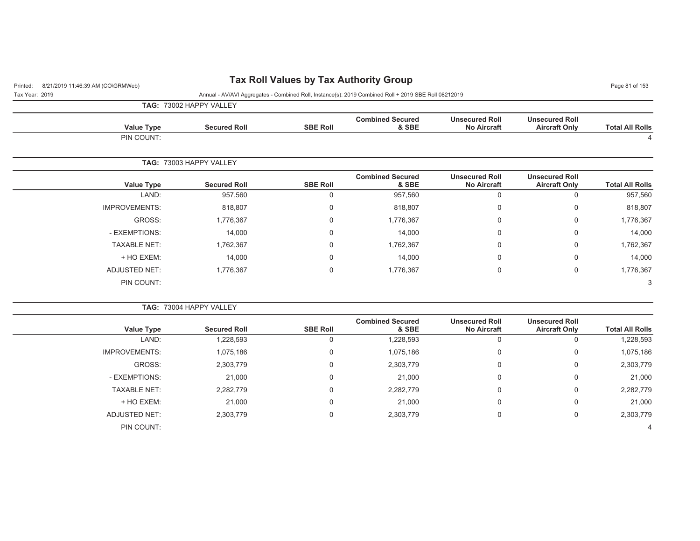## Printed: 8/21/2019 11:46:39 AM (CO\GRMWeb) **Tax Roll Values by Tax Authority Group** Page 81 of 153

Tax Year: 2019 Annual - AV/AVI Aggregates - Combined Roll, Instance(s): 2019 Combined Roll + 2019 SBE Roll 08212019

**TAG:** 73002 HAPPY VALLEY

|                        |                                               |                                             |                                  |                 | <b>IAG.</b> IJOUZ IM I I VALLET |                      |
|------------------------|-----------------------------------------------|---------------------------------------------|----------------------------------|-----------------|---------------------------------|----------------------|
| <b>Total All Rolls</b> | <b>Unsecured Roll</b><br><b>Aircraft Only</b> | <b>Unsecured Roll</b><br><b>No Aircraft</b> | <b>Combined Secured</b><br>& SBE | <b>SBE Roll</b> | <b>Secured Roll</b>             | <b>Value Type</b>    |
| 4                      |                                               |                                             |                                  |                 |                                 | PIN COUNT:           |
|                        |                                               |                                             |                                  |                 | TAG: 73003 HAPPY VALLEY         |                      |
| <b>Total All Rolls</b> | <b>Unsecured Roll</b><br><b>Aircraft Only</b> | <b>Unsecured Roll</b><br><b>No Aircraft</b> | <b>Combined Secured</b><br>& SBE | <b>SBE Roll</b> | <b>Secured Roll</b>             | Value Type           |
| 957,560                | 0                                             |                                             | 957,560                          |                 | 957,560                         | LAND:                |
| 818,807                | 0                                             | $\Omega$                                    | 818,807                          | $\Omega$        | 818,807                         | <b>IMPROVEMENTS:</b> |
| 1,776,367              | 0                                             | $\Omega$                                    | 1,776,367                        | 0               | 1,776,367                       | GROSS:               |
| 14,000                 | 0                                             | $\Omega$                                    | 14,000                           | 0               | 14,000                          | - EXEMPTIONS:        |
| 1,762,367              | 0                                             | $\Omega$                                    | 1,762,367                        | 0               | 1,762,367                       | <b>TAXABLE NET:</b>  |
| 14,000                 | 0                                             | $\Omega$                                    | 14,000                           | 0               | 14,000                          | + HO EXEM:           |

ADJUSTED NET: 1,776,367 0 1,776,367 0 1,776,367 PIN COUNT:e and the second contract of the second contract of the second contract of the second contract of the second contract of the second contract of the second contract of the second contract of the second contract of the secon

**TAG:** 73004 HAPPY VALLEY **Value Type Secured Roll SBE Roll Combined Secured & SBEUnsecured Roll No Aircraft Unsecured RollAircraft Only Aircraft Only Total All Rolls** LAND: 1,228,593 0 1,228,593 0 0 1,228,593 IMPROVEMENTS: 1,075,186 0 0 1,075,186 0 1,075,186 0 1,075,186 0 1,075,186 0 1,075,186 GROSS: 2,303,779 0 2,303,779 0 0 2,303,779 - EXEMPTIONS: 21,000 0 21,000 0 0 21,000 TAXABLE NET: 2,282,779 0 2,282,779 0 0 2,282,779 + HO EXEM: 21,000 0 21,000 0 0 21,000 ADJUSTED NET: 2,303,779 0 2,303,779 0 0 2,303,779 PIN COUNT: $\sim$  4  $\overline{4}$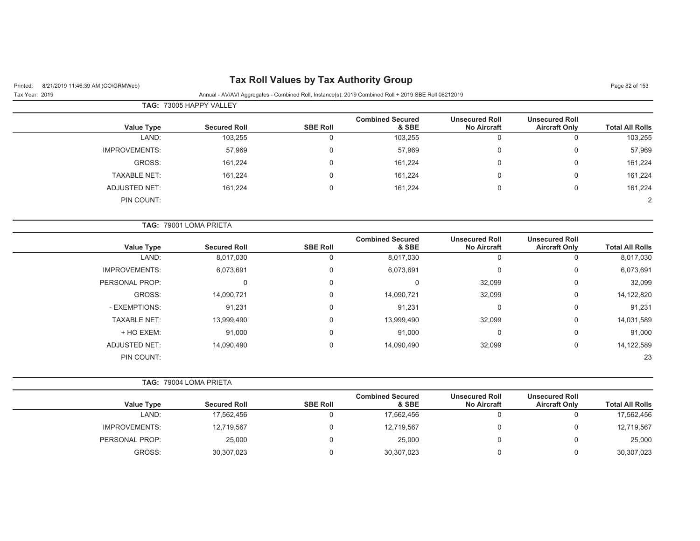# Printed: 8/21/2019 11:46:39 AM (CO\GRMWeb) **Tax Roll Values by Tax Authority Group** Page 82 of 153

#### Tax Year: 2019 Annual - AV/AVI Aggregates - Combined Roll, Instance(s): 2019 Combined Roll + 2019 SBE Roll 08212019

|                      | <b>TAG: 73005 HAPPY VALLEY</b> |                 |                                  |                                             |                                               |                        |  |  |  |  |
|----------------------|--------------------------------|-----------------|----------------------------------|---------------------------------------------|-----------------------------------------------|------------------------|--|--|--|--|
| <b>Value Type</b>    | <b>Secured Roll</b>            | <b>SBE Roll</b> | <b>Combined Secured</b><br>& SBE | <b>Unsecured Roll</b><br><b>No Aircraft</b> | <b>Unsecured Roll</b><br><b>Aircraft Only</b> | <b>Total All Rolls</b> |  |  |  |  |
| LAND:                | 103,255                        | 0               | 103,255                          | 0                                           | v                                             | 103,255                |  |  |  |  |
| <b>IMPROVEMENTS:</b> | 57,969                         | 0               | 57,969                           | $\Omega$                                    | 0                                             | 57,969                 |  |  |  |  |
| GROSS:               | 161,224                        | 0               | 161,224                          | $\Omega$                                    | 0                                             | 161,224                |  |  |  |  |
| <b>TAXABLE NET:</b>  | 161,224                        | 0               | 161,224                          | $\Omega$                                    | 0                                             | 161,224                |  |  |  |  |
| ADJUSTED NET:        | 161,224                        | 0               | 161,224                          | $\Omega$                                    | 0                                             | 161,224                |  |  |  |  |
| PIN COUNT:           |                                |                 |                                  |                                             |                                               | 2                      |  |  |  |  |

|                      | TAG: 79001 LOMA PRIETA |                 |                                  |                                             |                                               |                        |
|----------------------|------------------------|-----------------|----------------------------------|---------------------------------------------|-----------------------------------------------|------------------------|
| Value Type           | <b>Secured Roll</b>    | <b>SBE Roll</b> | <b>Combined Secured</b><br>& SBE | <b>Unsecured Roll</b><br><b>No Aircraft</b> | <b>Unsecured Roll</b><br><b>Aircraft Only</b> | <b>Total All Rolls</b> |
| LAND:                | 8,017,030              | 0               | 8,017,030                        | $\Omega$                                    | 0                                             | 8,017,030              |
| <b>IMPROVEMENTS:</b> | 6,073,691              | 0               | 6,073,691                        | $\mathbf 0$                                 | 0                                             | 6,073,691              |
| PERSONAL PROP:       | 0                      | 0               | $\Omega$                         | 32,099                                      | $\mathbf 0$                                   | 32,099                 |
| GROSS:               | 14,090,721             | 0               | 14,090,721                       | 32,099                                      | 0                                             | 14,122,820             |
| - EXEMPTIONS:        | 91,231                 | 0               | 91,231                           | $\Omega$                                    | 0                                             | 91,231                 |
| <b>TAXABLE NET:</b>  | 13,999,490             | 0               | 13,999,490                       | 32,099                                      | 0                                             | 14,031,589             |
| + HO EXEM:           | 91,000                 | 0               | 91,000                           | $\Omega$                                    | $\mathbf 0$                                   | 91,000                 |
| <b>ADJUSTED NET:</b> | 14,090,490             | 0               | 14,090,490                       | 32,099                                      | 0                                             | 14,122,589             |
| PIN COUNT:           |                        |                 |                                  |                                             |                                               | 23                     |

|                      | <b>TAG: 79004 LOMA PRIETA</b> |                 |                                  |                                             |                                               |                        |
|----------------------|-------------------------------|-----------------|----------------------------------|---------------------------------------------|-----------------------------------------------|------------------------|
| <b>Value Type</b>    | <b>Secured Roll</b>           | <b>SBE Roll</b> | <b>Combined Secured</b><br>& SBE | <b>Unsecured Roll</b><br><b>No Aircraft</b> | <b>Unsecured Roll</b><br><b>Aircraft Only</b> | <b>Total All Rolls</b> |
| LAND:                | 17,562,456                    |                 | 17,562,456                       |                                             |                                               | 17,562,456             |
| <b>IMPROVEMENTS:</b> | 12,719,567                    |                 | 12,719,567                       |                                             |                                               | 12,719,567             |
| PERSONAL PROP:       | 25,000                        |                 | 25,000                           |                                             |                                               | 25,000                 |
| GROSS:               | 30,307,023                    |                 | 30,307,023                       |                                             |                                               | 30,307,023             |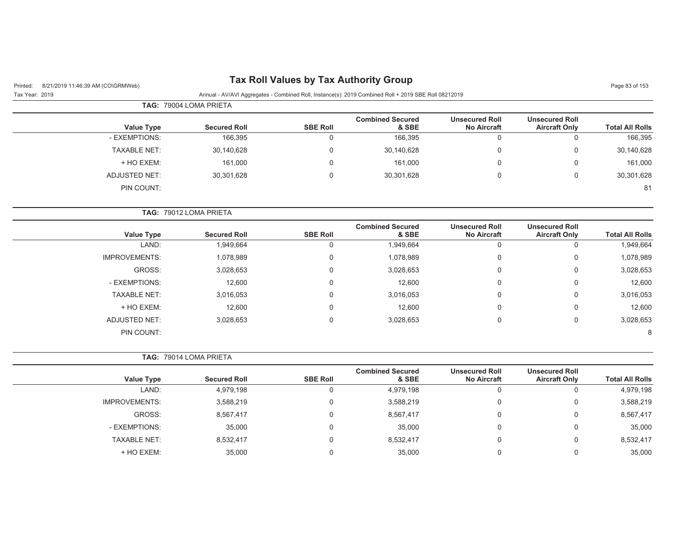## Printed: 8/21/2019 11:46:39 AM (CO\GRMWeb) **Tax Roll Values by Tax Authority Group** Page 83 of 153

Tax Year: 2019 Annual - AV/AVI Aggregates - Combined Roll, Instance(s): 2019 Combined Roll + 2019 SBE Roll 08212019

|                     | <b>TAG: 79004 LOMA PRIETA</b> |                 |                                  |                                             |                                               |                        |
|---------------------|-------------------------------|-----------------|----------------------------------|---------------------------------------------|-----------------------------------------------|------------------------|
| Value Type          | <b>Secured Roll</b>           | <b>SBE Roll</b> | <b>Combined Secured</b><br>& SBE | <b>Unsecured Roll</b><br><b>No Aircraft</b> | <b>Unsecured Roll</b><br><b>Aircraft Only</b> | <b>Total All Rolls</b> |
| - EXEMPTIONS:       | 166,395                       |                 | 166,395                          | 0                                           |                                               | 166,395                |
| <b>TAXABLE NET:</b> | 30,140,628                    | 0               | 30,140,628                       | 0                                           | 0                                             | 30,140,628             |
| + HO EXEM:          | 161,000                       | 0               | 161,000                          | 0                                           | 0                                             | 161,000                |
| ADJUSTED NET:       | 30,301,628                    | 0               | 30,301,628                       | 0                                           |                                               | 30,301,628             |
| PIN COUNT:          |                               |                 |                                  |                                             |                                               | 81                     |

|                        |                                               |                                             |                                  | <b>TAG: 79012 LOMA PRIETA</b> |                     |                      |  |  |  |
|------------------------|-----------------------------------------------|---------------------------------------------|----------------------------------|-------------------------------|---------------------|----------------------|--|--|--|
| <b>Total All Rolls</b> | <b>Unsecured Roll</b><br><b>Aircraft Only</b> | <b>Unsecured Roll</b><br><b>No Aircraft</b> | <b>Combined Secured</b><br>& SBE | <b>SBE Roll</b>               | <b>Secured Roll</b> | <b>Value Type</b>    |  |  |  |
| 1,949,664              |                                               | U                                           | 1,949,664                        | 0                             | 1,949,664           | LAND:                |  |  |  |
| 1,078,989              | 0                                             | 0                                           | 1,078,989                        | $\Omega$                      | 1,078,989           | <b>IMPROVEMENTS:</b> |  |  |  |
| 3,028,653              | 0                                             | 0                                           | 3,028,653                        | $\Omega$                      | 3,028,653           | GROSS:               |  |  |  |
| 12,600                 | 0                                             | 0                                           | 12,600                           | $\Omega$                      | 12,600              | - EXEMPTIONS:        |  |  |  |
| 3,016,053              | 0                                             | 0                                           | 3,016,053                        | $\Omega$                      | 3,016,053           | <b>TAXABLE NET:</b>  |  |  |  |
| 12,600                 | 0                                             | 0                                           | 12,600                           | $\Omega$                      | 12,600              | + HO EXEM:           |  |  |  |
| 3,028,653              | 0                                             | 0                                           | 3,028,653                        | $\mathbf 0$                   | 3,028,653           | <b>ADJUSTED NET:</b> |  |  |  |
| 8                      |                                               |                                             |                                  |                               |                     | PIN COUNT:           |  |  |  |

**TAG:** 79014 LOMA PRIETA

| <b>Value Type</b>    | <b>Secured Roll</b> | <b>SBE Roll</b> | <b>Combined Secured</b><br>& SBE | <b>Unsecured Roll</b><br><b>No Aircraft</b> | <b>Unsecured Roll</b><br><b>Aircraft Only</b> | <b>Total All Rolls</b> |
|----------------------|---------------------|-----------------|----------------------------------|---------------------------------------------|-----------------------------------------------|------------------------|
| LAND:                | 4,979,198           | U               | 4,979,198                        |                                             | υ                                             | 4,979,198              |
| <b>IMPROVEMENTS:</b> | 3,588,219           | 0               | 3,588,219                        |                                             | 0                                             | 3,588,219              |
| GROSS:               | 8,567,417           | $\Omega$        | 8,567,417                        | u                                           | 0                                             | 8,567,417              |
| - EXEMPTIONS:        | 35,000              | 0               | 35.000                           |                                             | 0                                             | 35,000                 |
| <b>TAXABLE NET:</b>  | 8,532,417           | $\Omega$        | 8,532,417                        |                                             | 0                                             | 8,532,417              |
| + HO EXEM:           | 35,000              |                 | 35.000                           |                                             | 0                                             | 35,000                 |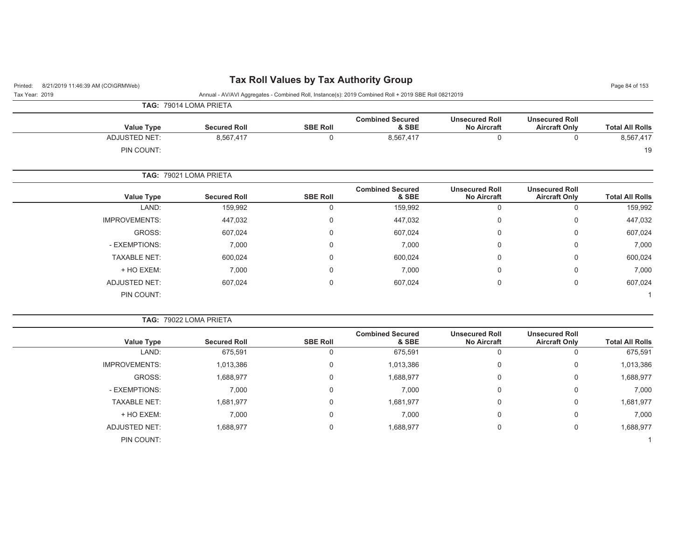## Printed: 8/21/2019 11:46:39 AM (CO\GRMWeb) **Tax Roll Values by Tax Authority Group** Page 84 of 153

|                        |                                               |                                             | Annual - AV/AVI Aggregates - Combined Roll, Instance(s): 2019 Combined Roll + 2019 SBE Roll 08212019 |                 |                        |                      | Tax Year: 2019 |
|------------------------|-----------------------------------------------|---------------------------------------------|------------------------------------------------------------------------------------------------------|-----------------|------------------------|----------------------|----------------|
|                        |                                               |                                             |                                                                                                      |                 | TAG: 79014 LOMA PRIETA |                      |                |
| <b>Total All Rolls</b> | <b>Unsecured Roll</b><br><b>Aircraft Only</b> | <b>Unsecured Roll</b><br><b>No Aircraft</b> | <b>Combined Secured</b><br>& SBE                                                                     | <b>SBE Roll</b> | <b>Secured Roll</b>    | <b>Value Type</b>    |                |
| 8,567,417              | 0                                             | 0                                           | 8,567,417                                                                                            | 0               | 8,567,417              | ADJUSTED NET:        |                |
| 19                     |                                               |                                             |                                                                                                      |                 |                        | PIN COUNT:           |                |
|                        |                                               |                                             |                                                                                                      |                 | TAG: 79021 LOMA PRIETA |                      |                |
| <b>Total All Rolls</b> | <b>Unsecured Roll</b><br><b>Aircraft Only</b> | <b>Unsecured Roll</b><br><b>No Aircraft</b> | <b>Combined Secured</b><br>& SBE                                                                     | <b>SBE Roll</b> | <b>Secured Roll</b>    | <b>Value Type</b>    |                |
| 159,992                | $\Omega$                                      | $\mathbf 0$                                 | 159,992                                                                                              | $\Omega$        | 159,992                | LAND:                |                |
| 447,032                | $\Omega$                                      | 0                                           | 447,032                                                                                              | 0               | 447,032                | <b>IMPROVEMENTS:</b> |                |
| 607,024                | $\mathbf 0$                                   | $\mathbf 0$                                 | 607,024                                                                                              | 0               | 607,024                | GROSS:               |                |
| 7,000                  | $\Omega$                                      | $\mathbf 0$                                 | 7,000                                                                                                | $\Omega$        | 7,000                  | - EXEMPTIONS:        |                |
| 600,024                | 0                                             | 0                                           | 600,024                                                                                              | 0               | 600,024                | <b>TAXABLE NET:</b>  |                |
| 7,000                  | $\mathbf 0$                                   | 0                                           | 7,000                                                                                                | 0               | 7,000                  | + HO EXEM:           |                |
| 607,024                | $\mathbf 0$                                   | 0                                           | 607,024                                                                                              | 0               | 607,024                | ADJUSTED NET:        |                |
|                        |                                               |                                             |                                                                                                      |                 |                        | PIN COUNT:           |                |
|                        |                                               |                                             |                                                                                                      |                 |                        |                      |                |

|  | <b>TAG: 79022 LOMA PRIETA</b> |  |  |  |
|--|-------------------------------|--|--|--|
|--|-------------------------------|--|--|--|

| <b>Value Type</b>    | <b>Secured Roll</b> | <b>SBE Roll</b> | <b>Combined Secured</b><br>& SBE | <b>Unsecured Roll</b><br><b>No Aircraft</b> | <b>Unsecured Roll</b><br><b>Aircraft Only</b> | <b>Total All Rolls</b> |
|----------------------|---------------------|-----------------|----------------------------------|---------------------------------------------|-----------------------------------------------|------------------------|
| LAND:                | 675,591             |                 | 675,591                          |                                             |                                               | 675,591                |
| <b>IMPROVEMENTS:</b> | 1,013,386           | 0               | 1,013,386                        | 0                                           | $\Omega$                                      | 1,013,386              |
| GROSS:               | 1,688,977           |                 | 1,688,977                        | 0                                           | $\Omega$                                      | 1,688,977              |
| - EXEMPTIONS:        | 7,000               |                 | 7,000                            | 0                                           | $\Omega$                                      | 7,000                  |
| <b>TAXABLE NET:</b>  | 1,681,977           |                 | 1,681,977                        | 0                                           | $\Omega$                                      | 1,681,977              |
| + HO EXEM:           | 7,000               |                 | 7,000                            | 0                                           | 0                                             | 7,000                  |
| ADJUSTED NET:        | 1,688,977           |                 | 1,688,977                        | $\mathbf 0$                                 | $\Omega$                                      | 1,688,977              |
| PIN COUNT:           |                     |                 |                                  |                                             |                                               |                        |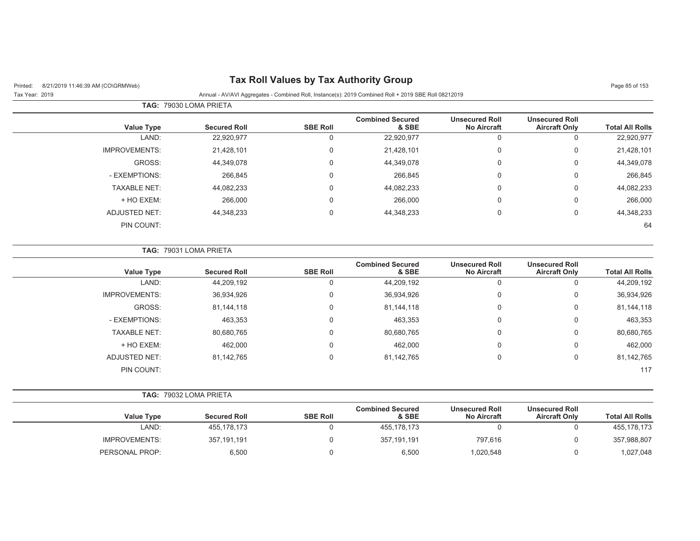## Printed: 8/21/2019 11:46:39 AM (CO\GRMWeb) **Tax Roll Values by Tax Authority Group** Page 85 of 153

#### Tax Year: 2019 Annual - AV/AVI Aggregates - Combined Roll, Instance(s): 2019 Combined Roll + 2019 SBE Roll 08212019

|                      | TAG: 79030 LOMA PRIETA |                 |                                  |                                             |                                               |                        |
|----------------------|------------------------|-----------------|----------------------------------|---------------------------------------------|-----------------------------------------------|------------------------|
| <b>Value Type</b>    | <b>Secured Roll</b>    | <b>SBE Roll</b> | <b>Combined Secured</b><br>& SBE | <b>Unsecured Roll</b><br><b>No Aircraft</b> | <b>Unsecured Roll</b><br><b>Aircraft Only</b> | <b>Total All Rolls</b> |
| LAND:                | 22,920,977             | 0               | 22,920,977                       |                                             | $\mathbf{0}$                                  | 22,920,977             |
| <b>IMPROVEMENTS:</b> | 21,428,101             | 0               | 21,428,101                       | 0                                           | $\mathbf{0}$                                  | 21,428,101             |
| GROSS:               | 44,349,078             | 0               | 44,349,078                       | 0                                           | 0                                             | 44,349,078             |
| - EXEMPTIONS:        | 266,845                | 0               | 266,845                          | 0                                           | 0                                             | 266,845                |
| <b>TAXABLE NET:</b>  | 44,082,233             | 0               | 44,082,233                       | 0                                           | 0                                             | 44,082,233             |
| + HO EXEM:           | 266,000                | 0               | 266,000                          | 0                                           | 0                                             | 266,000                |
| <b>ADJUSTED NET:</b> | 44,348,233             | 0               | 44,348,233                       | 0                                           | 0                                             | 44,348,233             |
| PIN COUNT:           |                        |                 |                                  |                                             |                                               | 64                     |

|                      | <b>TAG: 79031 LOMA PRIETA</b> |                 |                                  |                                             |                                               |                        |
|----------------------|-------------------------------|-----------------|----------------------------------|---------------------------------------------|-----------------------------------------------|------------------------|
| Value Type           | <b>Secured Roll</b>           | <b>SBE Roll</b> | <b>Combined Secured</b><br>& SBE | <b>Unsecured Roll</b><br><b>No Aircraft</b> | <b>Unsecured Roll</b><br><b>Aircraft Only</b> | <b>Total All Rolls</b> |
| LAND:                | 44,209,192                    | U               | 44,209,192                       | 0                                           |                                               | 44,209,192             |
| <b>IMPROVEMENTS:</b> | 36,934,926                    | 0               | 36,934,926                       | 0                                           | 0                                             | 36,934,926             |
| GROSS:               | 81,144,118                    | $\mathbf 0$     | 81,144,118                       | 0                                           | 0                                             | 81,144,118             |
| - EXEMPTIONS:        | 463,353                       | $\Omega$        | 463,353                          | 0                                           | 0                                             | 463,353                |
| <b>TAXABLE NET:</b>  | 80,680,765                    | 0               | 80,680,765                       | $\mathbf 0$                                 | $\mathbf 0$                                   | 80,680,765             |
| + HO EXEM:           | 462,000                       | $\mathbf 0$     | 462,000                          | 0                                           | 0                                             | 462,000                |
| <b>ADJUSTED NET:</b> | 81,142,765                    | $\Omega$        | 81,142,765                       | $\mathbf 0$                                 | 0                                             | 81,142,765             |
| PIN COUNT:           |                               |                 |                                  |                                             |                                               | 117                    |

|                      |                     |                 | <b>Combined Secured</b> | <b>Unsecured Roll</b> | <b>Unsecured Roll</b> |                        |
|----------------------|---------------------|-----------------|-------------------------|-----------------------|-----------------------|------------------------|
| Value Type           | <b>Secured Roll</b> | <b>SBE Roll</b> | & SBE                   | <b>No Aircraft</b>    | <b>Aircraft Only</b>  | <b>Total All Rolls</b> |
| LAND:                | 455,178,173         |                 | 455,178,173             |                       |                       | 455, 178, 173          |
| <b>IMPROVEMENTS:</b> | 357,191,191         |                 | 357.191.191             | 797.616               |                       | 357,988,807            |
| PERSONAL PROP:       | 6,500               |                 | 6,500                   | 020,548               |                       | 027,048                |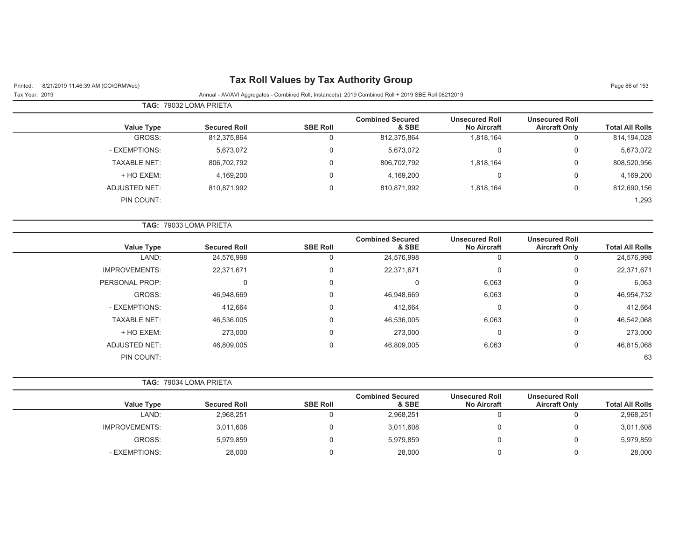| 8/21/2019 11:46:39 AM (CO\GRMWeb)<br>Printed: | <b>TWA NOTE VANDOO BY TWA AUGHOTICY OF OUP</b> |                 |                                                                                                      |                                             |                                               | Page 86 of 153         |
|-----------------------------------------------|------------------------------------------------|-----------------|------------------------------------------------------------------------------------------------------|---------------------------------------------|-----------------------------------------------|------------------------|
| Tax Year: 2019                                |                                                |                 | Annual - AV/AVI Aggregates - Combined Roll, Instance(s): 2019 Combined Roll + 2019 SBE Roll 08212019 |                                             |                                               |                        |
|                                               | TAG: 79032 LOMA PRIETA                         |                 |                                                                                                      |                                             |                                               |                        |
| <b>Value Type</b>                             | <b>Secured Roll</b>                            | <b>SBE Roll</b> | <b>Combined Secured</b><br>& SBE                                                                     | <b>Unsecured Roll</b><br><b>No Aircraft</b> | <b>Unsecured Roll</b><br><b>Aircraft Only</b> | <b>Total All Rolls</b> |
| GROSS:                                        | 812,375,864                                    | $\mathbf 0$     | 812,375,864                                                                                          | 1,818,164                                   | $\mathsf 0$                                   | 814,194,028            |
| - EXEMPTIONS:                                 | 5,673,072                                      | 0               | 5,673,072                                                                                            | 0                                           | $\mathbf 0$                                   | 5,673,072              |
| <b>TAXABLE NET:</b>                           | 806,702,792                                    | 0               | 806,702,792                                                                                          | 1,818,164                                   | 0                                             | 808,520,956            |
| + HO EXEM:                                    | 4,169,200                                      | 0               | 4,169,200                                                                                            | $\mathbf 0$                                 | $\boldsymbol{0}$                              | 4,169,200              |
| <b>ADJUSTED NET:</b>                          | 810,871,992                                    | 0               | 810,871,992                                                                                          | 1,818,164                                   | $\boldsymbol{0}$                              | 812,690,156            |
| PIN COUNT:                                    |                                                |                 |                                                                                                      |                                             |                                               | 1,293                  |
|                                               | TAG: 79033 LOMA PRIETA                         |                 |                                                                                                      |                                             |                                               |                        |
| <b>Value Type</b>                             | <b>Secured Roll</b>                            | <b>SBE Roll</b> | <b>Combined Secured</b><br>& SBE                                                                     | <b>Unsecured Roll</b><br><b>No Aircraft</b> | <b>Unsecured Roll</b><br><b>Aircraft Only</b> | <b>Total All Rolls</b> |
| LAND:                                         | 24,576,998                                     | $\mathbf 0$     | 24,576,998                                                                                           | $\mathbf 0$                                 | $\mathbf 0$                                   | 24,576,998             |
| <b>IMPROVEMENTS:</b>                          | 22,371,671                                     | 0               | 22,371,671                                                                                           | 0                                           | $\mathbf 0$                                   | 22,371,671             |
| PERSONAL PROP:                                | 0                                              | 0               | $\mathbf 0$                                                                                          | 6,063                                       | $\mathbf 0$                                   | 6,063                  |
| GROSS:                                        | 46,948,669                                     | 0               | 46,948,669                                                                                           | 6,063                                       | 0                                             | 46,954,732             |
| - EXEMPTIONS:                                 | 412,664                                        | 0               | 412,664                                                                                              | $\mathbf 0$                                 | $\mathbf 0$                                   | 412,664                |
| <b>TAXABLE NET:</b>                           | 46,536,005                                     | 0               | 46,536,005                                                                                           | 6,063                                       | 0                                             | 46,542,068             |
| + HO EXEM:                                    | 273,000                                        | 0               | 273,000                                                                                              | 0                                           | 0                                             | 273,000                |
| <b>ADJUSTED NET:</b>                          | 46,809,005                                     | $\mathbf 0$     | 46,809,005                                                                                           | 6,063                                       | $\mathbf 0$                                   | 46,815,068             |
| PIN COUNT:                                    |                                                |                 |                                                                                                      |                                             |                                               | 63                     |
|                                               | TAG: 79034 LOMA PRIETA                         |                 |                                                                                                      |                                             |                                               |                        |
| <b>Value Type</b>                             | <b>Secured Roll</b>                            | <b>SBE Roll</b> | <b>Combined Secured</b><br>& SBE                                                                     | <b>Unsecured Roll</b><br><b>No Aircraft</b> | <b>Unsecured Roll</b><br><b>Aircraft Only</b> | <b>Total All Rolls</b> |
| LAND:                                         | 2,968,251                                      | $\mathbf 0$     | 2,968,251                                                                                            | $\mathbf 0$                                 | $\Omega$                                      | 2,968,251              |
| <b>IMPROVEMENTS:</b>                          | 3,011,608                                      | 0               | 3,011,608                                                                                            | 0                                           | 0                                             | 3,011,608              |

GROSS: 5,979,859 0 5,979,859 0 0 5,979,859 - EXEMPTIONS: 28,000 0 28,000 0 0 28,000

#### **Tax Roll Values by Tax Authority Group**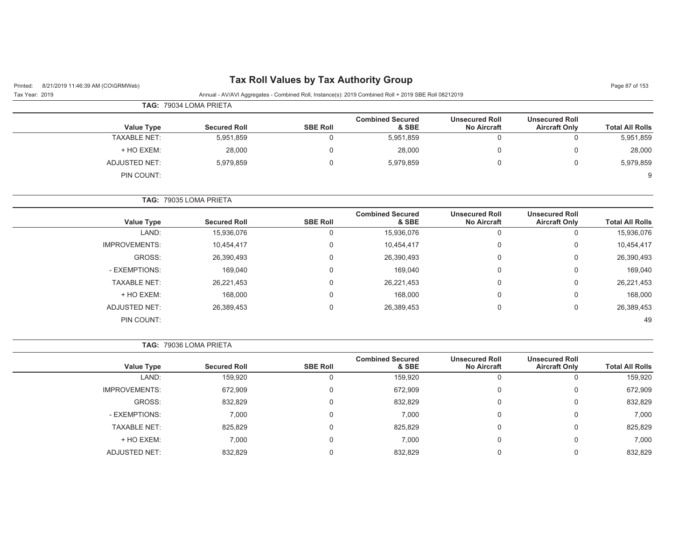## Printed: 8/21/2019 11:46:39 AM (CO\GRMWeb) **Tax Roll Values by Tax Authority Group** Page 87 of 153

Tax Year: 2019 Annual - AV/AVI Aggregates - Combined Roll, Instance(s): 2019 Combined Roll + 2019 SBE Roll 08212019

|                     | <b>TAG: 79034 LOMA PRIETA</b> |                 |                                  |                                             |                                               |                        |
|---------------------|-------------------------------|-----------------|----------------------------------|---------------------------------------------|-----------------------------------------------|------------------------|
| <b>Value Type</b>   | <b>Secured Roll</b>           | <b>SBE Roll</b> | <b>Combined Secured</b><br>& SBE | <b>Unsecured Roll</b><br><b>No Aircraft</b> | <b>Unsecured Roll</b><br><b>Aircraft Only</b> | <b>Total All Rolls</b> |
| <b>TAXABLE NET:</b> | 5,951,859                     |                 | 5,951,859                        |                                             |                                               | 5,951,859              |
| + HO EXEM:          | 28,000                        | 0               | 28,000                           |                                             |                                               | 28,000                 |
| ADJUSTED NET:       | 5,979,859                     | 0               | 5,979,859                        |                                             |                                               | 5,979,859              |
| PIN COUNT:          |                               |                 |                                  |                                             |                                               | 9                      |

**TAG:** 79035 LOMA PRIETA

| <b>Value Type</b>    | <b>Secured Roll</b> | <b>SBE Roll</b> | <b>Combined Secured</b><br>& SBE | <b>Unsecured Roll</b><br><b>No Aircraft</b> | <b>Unsecured Roll</b><br><b>Aircraft Only</b> | <b>Total All Rolls</b> |
|----------------------|---------------------|-----------------|----------------------------------|---------------------------------------------|-----------------------------------------------|------------------------|
| LAND:                | 15,936,076          | O               | 15,936,076                       | 0                                           | υ                                             | 15,936,076             |
| <b>IMPROVEMENTS:</b> | 10,454,417          | 0               | 10,454,417                       | 0                                           | 0                                             | 10,454,417             |
| GROSS:               | 26,390,493          | 0               | 26,390,493                       | 0                                           | 0                                             | 26,390,493             |
| - EXEMPTIONS:        | 169,040             | 0               | 169,040                          | 0                                           | 0                                             | 169,040                |
| <b>TAXABLE NET:</b>  | 26,221,453          | 0               | 26,221,453                       | 0                                           | 0                                             | 26,221,453             |
| + HO EXEM:           | 168,000             | 0               | 168,000                          | 0                                           | $\mathbf 0$                                   | 168,000                |
| ADJUSTED NET:        | 26,389,453          | 0               | 26,389,453                       | 0                                           | 0                                             | 26,389,453             |
| PIN COUNT:           |                     |                 |                                  |                                             |                                               | 49                     |

**TAG:** 79036 LOMA PRIETA

| <b>Value Type</b>    | <b>Secured Roll</b> | <b>SBE Roll</b> | <b>Combined Secured</b><br>& SBE | <b>Unsecured Roll</b><br><b>No Aircraft</b> | <b>Unsecured Roll</b><br><b>Aircraft Only</b> | <b>Total All Rolls</b> |
|----------------------|---------------------|-----------------|----------------------------------|---------------------------------------------|-----------------------------------------------|------------------------|
| LAND:                | 159,920             | 0               | 159,920                          | 0                                           |                                               | 159,920                |
| <b>IMPROVEMENTS:</b> | 672,909             | 0               | 672,909                          | 0                                           | 0                                             | 672,909                |
| GROSS:               | 832,829             | $\mathbf 0$     | 832,829                          | $\mathbf 0$                                 | 0                                             | 832,829                |
| - EXEMPTIONS:        | 7,000               | 0               | 7,000                            | 0                                           |                                               | 7,000                  |
| <b>TAXABLE NET:</b>  | 825,829             | $\Omega$        | 825,829                          | $\mathbf 0$                                 | 0                                             | 825,829                |
| + HO EXEM:           | 7,000               | $\mathbf 0$     | 7,000                            | $\mathbf 0$                                 | 0                                             | 7,000                  |
| ADJUSTED NET:        | 832.829             | $\Omega$        | 832,829                          | $\Omega$                                    |                                               | 832,829                |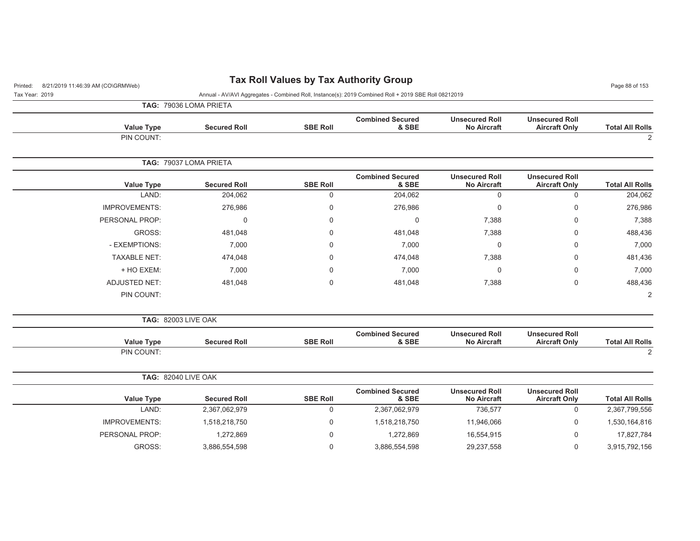| <b>Tax Roll Values by Tax Authority Group</b><br>8/21/2019 11:46:39 AM (CO\GRMWeb)<br>Printed: |                        |                 |                                                                                                      |                                             |                                               |                        |
|------------------------------------------------------------------------------------------------|------------------------|-----------------|------------------------------------------------------------------------------------------------------|---------------------------------------------|-----------------------------------------------|------------------------|
| Tax Year: 2019                                                                                 |                        |                 | Annual - AV/AVI Aggregates - Combined Roll, Instance(s): 2019 Combined Roll + 2019 SBE Roll 08212019 |                                             |                                               |                        |
|                                                                                                | TAG: 79036 LOMA PRIETA |                 |                                                                                                      |                                             |                                               |                        |
| <b>Value Type</b>                                                                              | <b>Secured Roll</b>    | <b>SBE Roll</b> | <b>Combined Secured</b><br>& SBE                                                                     | <b>Unsecured Roll</b><br><b>No Aircraft</b> | <b>Unsecured Roll</b><br><b>Aircraft Only</b> | <b>Total All Rolls</b> |
| PIN COUNT:                                                                                     |                        |                 |                                                                                                      |                                             |                                               | 2                      |
|                                                                                                |                        |                 |                                                                                                      |                                             |                                               |                        |
|                                                                                                | TAG: 79037 LOMA PRIETA |                 |                                                                                                      |                                             |                                               |                        |
| <b>Value Type</b>                                                                              | <b>Secured Roll</b>    | <b>SBE Roll</b> | <b>Combined Secured</b><br>& SBE                                                                     | <b>Unsecured Roll</b><br><b>No Aircraft</b> | <b>Unsecured Roll</b><br><b>Aircraft Only</b> | <b>Total All Rolls</b> |
| LAND:                                                                                          | 204,062                | $\mathsf 0$     | 204,062                                                                                              | $\mathbf 0$                                 | $\mathsf{O}\xspace$                           | 204,062                |
| <b>IMPROVEMENTS:</b>                                                                           | 276,986                | 0               | 276,986                                                                                              | 0                                           | $\mathbf 0$                                   | 276,986                |
| PERSONAL PROP:                                                                                 | $\Omega$               | $\Omega$        | $\mathbf 0$                                                                                          | 7,388                                       | $\mathbf 0$                                   | 7,388                  |
| GROSS:                                                                                         | 481,048                | $\Omega$        | 481,048                                                                                              | 7,388                                       | 0                                             | 488,436                |
| - EXEMPTIONS:                                                                                  | 7,000                  | 0               | 7,000                                                                                                | $\mathbf 0$                                 | $\mathbf 0$                                   | 7,000                  |
| <b>TAXABLE NET:</b>                                                                            | 474,048                | 0               | 474,048                                                                                              | 7,388                                       | $\mathbf 0$                                   | 481,436                |
| + HO EXEM:                                                                                     | 7,000                  | $\Omega$        | 7,000                                                                                                | $\overline{0}$                              | $\mathbf 0$                                   | 7,000                  |
| <b>ADJUSTED NET:</b>                                                                           | 481,048                | $\Omega$        | 481,048                                                                                              | 7,388                                       | $\mathbf 0$                                   | 488,436                |
| PIN COUNT:                                                                                     |                        |                 |                                                                                                      |                                             |                                               | 2                      |
| <b>TAG: 82003 LIVE OAK</b>                                                                     |                        |                 |                                                                                                      |                                             |                                               |                        |
| <b>Value Type</b>                                                                              | <b>Secured Roll</b>    | <b>SBE Roll</b> | <b>Combined Secured</b><br>& SBE                                                                     | <b>Unsecured Roll</b><br><b>No Aircraft</b> | <b>Unsecured Roll</b><br><b>Aircraft Only</b> | <b>Total All Rolls</b> |
| PIN COUNT:                                                                                     |                        |                 |                                                                                                      |                                             |                                               | 2                      |
| <b>TAG: 82040 LIVE OAK</b>                                                                     |                        |                 |                                                                                                      |                                             |                                               |                        |
| <b>Value Type</b>                                                                              | <b>Secured Roll</b>    | <b>SBE Roll</b> | <b>Combined Secured</b><br>& SBE                                                                     | <b>Unsecured Roll</b><br><b>No Aircraft</b> | <b>Unsecured Roll</b><br><b>Aircraft Only</b> | <b>Total All Rolls</b> |
| LAND:                                                                                          | 2,367,062,979          | $\mathbf 0$     | 2,367,062,979                                                                                        | 736,577                                     | $\mathbf 0$                                   | 2,367,799,556          |
| <b>IMPROVEMENTS:</b>                                                                           | 1,518,218,750          | 0               | 1,518,218,750                                                                                        | 11,946,066                                  | 0                                             | 1,530,164,816          |
| PERSONAL PROP:                                                                                 | 1,272,869              | 0               | 1,272,869                                                                                            | 16,554,915                                  | $\mathbf 0$                                   | 17,827,784             |
| GROSS:                                                                                         | 3,886,554,598          | $\mathbf 0$     | 3,886,554,598                                                                                        | 29,237,558                                  | 0                                             | 3,915,792,156          |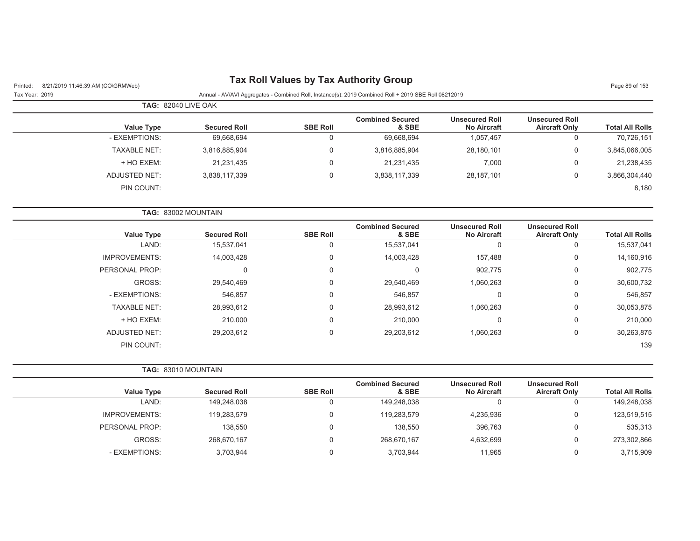| Tax Roll Values by Tax Authority Group |  |  |  |
|----------------------------------------|--|--|--|
|----------------------------------------|--|--|--|

Tax Year: 2019 Annual - AV/AVI Aggregates - Combined Roll, Instance(s): 2019 Combined Roll + 2019 SBE Roll 08212019

|                     | <b>TAG: 82040 LIVE OAK</b> |                 |                                  |                                             |                                               |                        |
|---------------------|----------------------------|-----------------|----------------------------------|---------------------------------------------|-----------------------------------------------|------------------------|
| <b>Value Type</b>   | <b>Secured Roll</b>        | <b>SBE Roll</b> | <b>Combined Secured</b><br>& SBE | <b>Unsecured Roll</b><br><b>No Aircraft</b> | <b>Unsecured Roll</b><br><b>Aircraft Only</b> | <b>Total All Rolls</b> |
| - EXEMPTIONS:       | 69,668,694                 |                 | 69,668,694                       | 1,057,457                                   |                                               | 70,726,151             |
| <b>TAXABLE NET:</b> | 3,816,885,904              |                 | 3,816,885,904                    | 28,180,101                                  | 0                                             | 3,845,066,005          |
| + HO EXEM:          | 21,231,435                 |                 | 21,231,435                       | 7,000                                       | 0                                             | 21,238,435             |
| ADJUSTED NET:       | 3,838,117,339              |                 | 3,838,117,339                    | 28,187,101                                  |                                               | 3,866,304,440          |
| PIN COUNT:          |                            |                 |                                  |                                             |                                               | 8,180                  |

|                      | <b>TAG: 83002 MOUNTAIN</b> |                 |                                  |                                             |                                               |                        |
|----------------------|----------------------------|-----------------|----------------------------------|---------------------------------------------|-----------------------------------------------|------------------------|
| <b>Value Type</b>    | <b>Secured Roll</b>        | <b>SBE Roll</b> | <b>Combined Secured</b><br>& SBE | <b>Unsecured Roll</b><br><b>No Aircraft</b> | <b>Unsecured Roll</b><br><b>Aircraft Only</b> | <b>Total All Rolls</b> |
| LAND:                | 15,537,041                 |                 | 15,537,041                       |                                             | O                                             | 15,537,041             |
| <b>IMPROVEMENTS:</b> | 14,003,428                 | 0               | 14,003,428                       | 157,488                                     | 0                                             | 14,160,916             |
| PERSONAL PROP:       |                            | 0               |                                  | 902,775                                     | 0                                             | 902,775                |
| GROSS:               | 29,540,469                 | 0               | 29,540,469                       | 1,060,263                                   | 0                                             | 30,600,732             |
| - EXEMPTIONS:        | 546,857                    |                 | 546,857                          |                                             | $\Omega$                                      | 546,857                |
| <b>TAXABLE NET:</b>  | 28,993,612                 | 0               | 28,993,612                       | 1,060,263                                   | 0                                             | 30,053,875             |
| + HO EXEM:           | 210.000                    | 0               | 210.000                          |                                             | $\Omega$                                      | 210,000                |
| <b>ADJUSTED NET:</b> | 29,203,612                 | 0               | 29,203,612                       | 1,060,263                                   | $\Omega$                                      | 30,263,875             |
| PIN COUNT:           |                            |                 |                                  |                                             |                                               | 139                    |

|                   | <b>TAG: 83010 MOUNTAIN</b> |                 |                                  |                                             |                                               |                        |
|-------------------|----------------------------|-----------------|----------------------------------|---------------------------------------------|-----------------------------------------------|------------------------|
| <b>Value Type</b> | <b>Secured Roll</b>        | <b>SBE Roll</b> | <b>Combined Secured</b><br>& SBE | <b>Unsecured Roll</b><br><b>No Aircraft</b> | <b>Unsecured Roll</b><br><b>Aircraft Only</b> | <b>Total All Rolls</b> |
| LAND:             | 149,248,038                |                 | 149,248,038                      |                                             | 0                                             | 149,248,038            |
| IMPROVEMENTS:     | 119,283,579                |                 | 119.283.579                      | 4,235,936                                   | 0                                             | 123,519,515            |
| PERSONAL PROP:    | 138,550                    |                 | 138,550                          | 396,763                                     | 0                                             | 535,313                |
| GROSS:            | 268,670,167                | $\Omega$        | 268,670,167                      | 4,632,699                                   | 0                                             | 273,302,866            |
| - EXEMPTIONS:     | 3,703,944                  |                 | 3,703,944                        | 11.965                                      | 0                                             | 3,715,909              |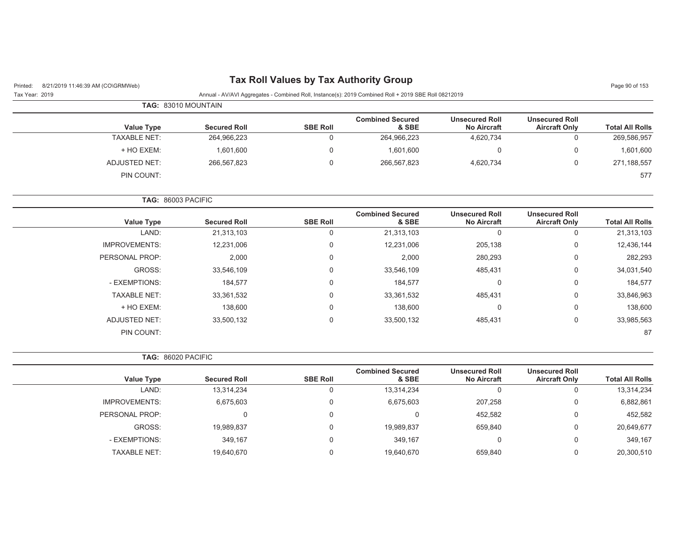## Printed: 8/21/2019 11:46:39 AM (CO\GRMWeb) **Tax Roll Values by Tax Authority Group** Page 90 of 153

Tax Year: 2019 Annual - AV/AVI Aggregates - Combined Roll, Instance(s): 2019 Combined Roll + 2019 SBE Roll 08212019

|                        |                                               |                                             |                                  |                 | <b>TAG: 83010 MOUNTAIN</b> |                     |
|------------------------|-----------------------------------------------|---------------------------------------------|----------------------------------|-----------------|----------------------------|---------------------|
| <b>Total All Rolls</b> | <b>Unsecured Roll</b><br><b>Aircraft Only</b> | <b>Unsecured Roll</b><br><b>No Aircraft</b> | <b>Combined Secured</b><br>& SBE | <b>SBE Roll</b> | <b>Secured Roll</b>        | <b>Value Type</b>   |
| 269,586,957            |                                               | 4,620,734                                   | 264,966,223                      |                 | 264,966,223                | <b>TAXABLE NET:</b> |
| 1,601,600              |                                               | 0                                           | 1,601,600                        |                 | 1,601,600                  | + HO EXEM:          |
| 271,188,557            |                                               | 4,620,734                                   | 266,567,823                      |                 | 266.567.823                | ADJUSTED NET:       |
| 577                    |                                               |                                             |                                  |                 |                            | PIN COUNT:          |

**TAG:** 86003 PACIFIC

| <b>Value Type</b>    | <b>Secured Roll</b> | <b>SBE Roll</b> | <b>Combined Secured</b><br>& SBE | <b>Unsecured Roll</b><br><b>No Aircraft</b> | <b>Unsecured Roll</b><br><b>Aircraft Only</b> | <b>Total All Rolls</b> |
|----------------------|---------------------|-----------------|----------------------------------|---------------------------------------------|-----------------------------------------------|------------------------|
| LAND:                | 21,313,103          | 0               | 21,313,103                       | 0                                           | O                                             | 21,313,103             |
| <b>IMPROVEMENTS:</b> | 12,231,006          | 0               | 12,231,006                       | 205,138                                     | 0                                             | 12,436,144             |
| PERSONAL PROP:       | 2,000               | $\mathbf 0$     | 2,000                            | 280,293                                     | 0                                             | 282,293                |
| GROSS:               | 33,546,109          | 0               | 33,546,109                       | 485,431                                     | 0                                             | 34,031,540             |
| - EXEMPTIONS:        | 184,577             | 0               | 184,577                          | 0                                           | 0                                             | 184,577                |
| <b>TAXABLE NET:</b>  | 33,361,532          | 0               | 33,361,532                       | 485,431                                     | 0                                             | 33,846,963             |
| + HO EXEM:           | 138,600             | 0               | 138,600                          | 0                                           | 0                                             | 138,600                |
| <b>ADJUSTED NET:</b> | 33,500,132          | 0               | 33,500,132                       | 485,431                                     | 0                                             | 33,985,563             |
| PIN COUNT:           |                     |                 |                                  |                                             |                                               | 87                     |

**TAG:** 86020 PACIFIC

| <b>Value Type</b>    | <b>Secured Roll</b> | <b>SBE Roll</b> | <b>Combined Secured</b><br>& SBE | <b>Unsecured Roll</b><br><b>No Aircraft</b> | <b>Unsecured Roll</b><br><b>Aircraft Only</b> | <b>Total All Rolls</b> |
|----------------------|---------------------|-----------------|----------------------------------|---------------------------------------------|-----------------------------------------------|------------------------|
|                      |                     |                 |                                  |                                             |                                               |                        |
| LAND:                | 13,314,234          |                 | 13,314,234                       |                                             |                                               | 13,314,234             |
| <b>IMPROVEMENTS:</b> | 6,675,603           |                 | 6,675,603                        | 207.258                                     | 0                                             | 6,882,861              |
| PERSONAL PROP:       |                     |                 |                                  | 452.582                                     | 0                                             | 452,582                |
| GROSS:               | 19,989,837          |                 | 19,989,837                       | 659,840                                     | U                                             | 20,649,677             |
| - EXEMPTIONS:        | 349.167             |                 | 349.167                          |                                             | 0                                             | 349,167                |
| <b>TAXABLE NET:</b>  | 19,640,670          |                 | 19,640,670                       | 659,840                                     |                                               | 20,300,510             |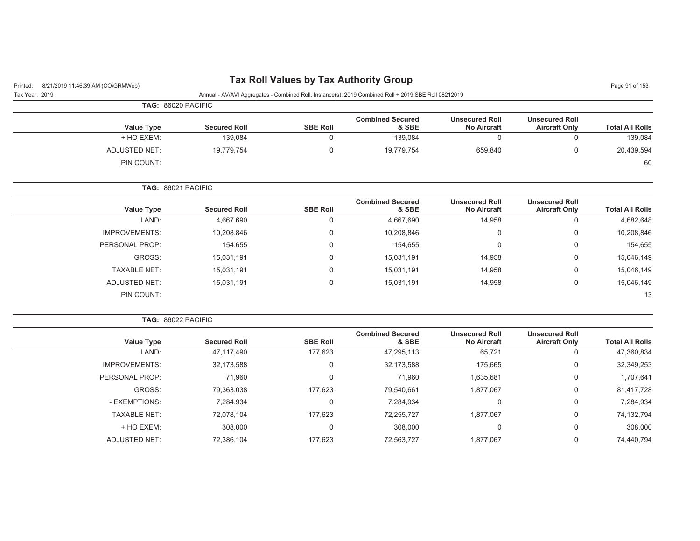## Printed: 8/21/2019 11:46:39 AM (CO\GRMWeb) **Tax Roll Values by Tax Authority Group** Page 91 of 153

| Tax Year: 2019 | Annual - AV/AVI Aggregates - Combined Roll, Instance(s): 2019 Combined Roll + 2019 SBE Roll 08212019 |
|----------------|------------------------------------------------------------------------------------------------------|

|                        |                                               |                                             |                                  |                 |                     | <b>TAG: 86020 PACIFIC</b> |
|------------------------|-----------------------------------------------|---------------------------------------------|----------------------------------|-----------------|---------------------|---------------------------|
| <b>Total All Rolls</b> | <b>Unsecured Roll</b><br><b>Aircraft Only</b> | <b>Unsecured Roll</b><br><b>No Aircraft</b> | <b>Combined Secured</b><br>& SBE | <b>SBE Roll</b> | <b>Secured Roll</b> | Value Type                |
| 139,084                |                                               |                                             | 139,084                          |                 | 139,084             | + HO EXEM:                |
| 20,439,594             |                                               | 659,840                                     | 19,779,754                       |                 | 19,779,754          | ADJUSTED NET:             |
| 60                     |                                               |                                             |                                  |                 |                     | PIN COUNT:                |

**TAG:** 86021 PACIFIC

|                      |                     |                 | <b>Combined Secured</b> | <b>Unsecured Roll</b> | <b>Unsecured Roll</b> |                        |
|----------------------|---------------------|-----------------|-------------------------|-----------------------|-----------------------|------------------------|
| <b>Value Type</b>    | <b>Secured Roll</b> | <b>SBE Roll</b> | & SBE                   | <b>No Aircraft</b>    | <b>Aircraft Only</b>  | <b>Total All Rolls</b> |
| LAND:                | 4,667,690           | u               | 4,667,690               | 14,958                |                       | 4,682,648              |
| <b>IMPROVEMENTS:</b> | 10,208,846          | υ               | 10,208,846              | 0                     | 0                     | 10,208,846             |
| PERSONAL PROP:       | 154,655             | υ               | 154,655                 | $\mathbf 0$           | $\Omega$              | 154,655                |
| GROSS:               | 15,031,191          | 0               | 15,031,191              | 14,958                | 0                     | 15,046,149             |
| <b>TAXABLE NET:</b>  | 15,031,191          | 0               | 15,031,191              | 14,958                | 0                     | 15,046,149             |
| ADJUSTED NET:        | 15,031,191          |                 | 15,031,191              | 14,958                | O                     | 15,046,149             |
| PIN COUNT:           |                     |                 |                         |                       |                       | 13                     |

**TAG:** 86022 PACIFIC

| <b>Secured Roll</b> | <b>SBE Roll</b> | <b>Combined Secured</b><br>& SBE | <b>Unsecured Roll</b><br><b>No Aircraft</b> | <b>Unsecured Roll</b><br><b>Aircraft Only</b> | <b>Total All Rolls</b> |
|---------------------|-----------------|----------------------------------|---------------------------------------------|-----------------------------------------------|------------------------|
| 47,117,490          | 177,623         | 47,295,113                       | 65,721                                      |                                               | 47,360,834             |
| 32,173,588          |                 | 32,173,588                       | 175,665                                     | 0                                             | 32,349,253             |
| 71,960              |                 | 71,960                           | 1,635,681                                   | 0                                             | 1,707,641              |
| 79,363,038          | 177.623         | 79,540,661                       | 1,877,067                                   |                                               | 81,417,728             |
| 7,284,934           |                 | 7,284,934                        |                                             | 0                                             | 7,284,934              |
| 72,078,104          | 177.623         | 72,255,727                       | 1,877,067                                   | $\Omega$                                      | 74,132,794             |
| 308,000             |                 | 308,000                          |                                             | 0                                             | 308,000                |
| 72,386,104          | 177.623         | 72,563,727                       | 1,877,067                                   | 0                                             | 74,440,794             |
|                     |                 |                                  |                                             |                                               |                        |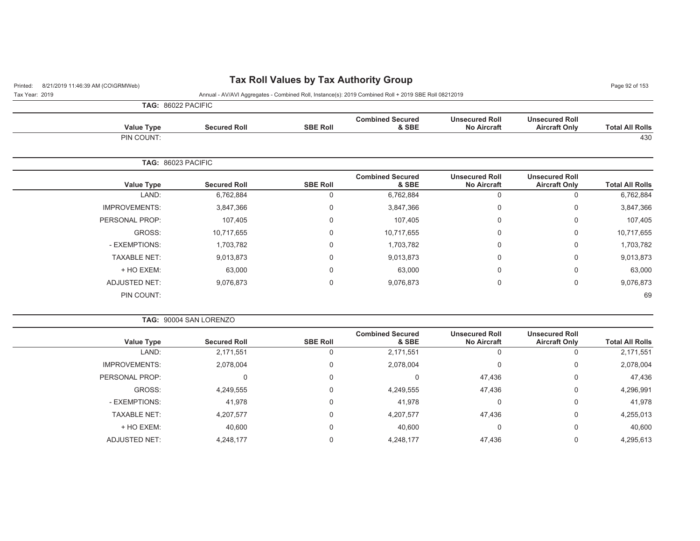## Printed: 8/21/2019 11:46:39 AM (CO\GRMWeb) **Tax Roll Values by Tax Authority Group** Page 92 of 153

Tax Year: 2019 Annual - AV/AVI Aggregates - Combined Roll, Instance(s): 2019 Combined Roll + 2019 SBE Roll 08212019

**TAG:** 86022 PACIFIC

| <b>Value Type</b> | <b>Secured Roll</b> | <b>SBE Roll</b> | <b>Combined Secured</b><br>& SBE | <b>Unsecured Roll</b><br><b>No Aircraft</b> | <b>Unsecured Roll</b><br><b>Aircraft Only</b> | <b>Total All Rolls</b> |
|-------------------|---------------------|-----------------|----------------------------------|---------------------------------------------|-----------------------------------------------|------------------------|
| PIN COUNT:        |                     |                 |                                  |                                             |                                               | 430                    |
|                   | TAG: 86023 PACIFIC  |                 |                                  |                                             |                                               |                        |

| <b>Value Type</b>    | <b>Secured Roll</b> | <b>SBE Roll</b> | <b>Combined Secured</b><br>& SBE | <b>Unsecured Roll</b><br><b>No Aircraft</b> | <b>Unsecured Roll</b><br><b>Aircraft Only</b> | <b>Total All Rolls</b> |
|----------------------|---------------------|-----------------|----------------------------------|---------------------------------------------|-----------------------------------------------|------------------------|
| LAND:                | 6,762,884           | U               | 6,762,884                        | 0                                           | 0                                             | 6,762,884              |
| <b>IMPROVEMENTS:</b> | 3,847,366           | 0               | 3,847,366                        | 0                                           | 0                                             | 3,847,366              |
| PERSONAL PROP:       | 107,405             | 0               | 107,405                          | 0                                           | 0                                             | 107,405                |
| GROSS:               | 10,717,655          | 0               | 10,717,655                       | 0                                           | 0                                             | 10,717,655             |
| - EXEMPTIONS:        | 1,703,782           | 0               | 1,703,782                        | 0                                           | 0                                             | 1,703,782              |
| <b>TAXABLE NET:</b>  | 9,013,873           | 0               | 9,013,873                        | 0                                           | 0                                             | 9,013,873              |
| + HO EXEM:           | 63,000              | 0               | 63,000                           | 0                                           | 0                                             | 63,000                 |
| <b>ADJUSTED NET:</b> | 9,076,873           | 0               | 9,076,873                        | 0                                           | 0                                             | 9,076,873              |
| PIN COUNT:           |                     |                 |                                  |                                             |                                               | 69                     |

**TAG:** 90004 SAN LORENZO

|                      |                     |                 | <b>Combined Secured</b> | <b>Unsecured Roll</b> | <b>Unsecured Roll</b> |                        |
|----------------------|---------------------|-----------------|-------------------------|-----------------------|-----------------------|------------------------|
| <b>Value Type</b>    | <b>Secured Roll</b> | <b>SBE Roll</b> | & SBE                   | <b>No Aircraft</b>    | <b>Aircraft Only</b>  | <b>Total All Rolls</b> |
| LAND:                | 2,171,551           | 0               | 2,171,551               | υ                     |                       | 2,171,551              |
| <b>IMPROVEMENTS:</b> | 2,078,004           | 0               | 2,078,004               | 0                     | 0                     | 2,078,004              |
| PERSONAL PROP:       |                     | $\mathbf 0$     | 0                       | 47.436                | 0                     | 47,436                 |
| GROSS:               | 4,249,555           | $\overline{0}$  | 4,249,555               | 47,436                | $\mathbf 0$           | 4,296,991              |
| - EXEMPTIONS:        | 41,978              | 0               | 41,978                  | 0                     | $\mathbf 0$           | 41,978                 |
| <b>TAXABLE NET:</b>  | 4,207,577           | 0               | 4,207,577               | 47,436                | 0                     | 4,255,013              |
| + HO EXEM:           | 40,600              | 0               | 40,600                  | 0                     | $\mathbf 0$           | 40,600                 |
| ADJUSTED NET:        | 4,248,177           | 0               | 4,248,177               | 47,436                | 0                     | 4,295,613              |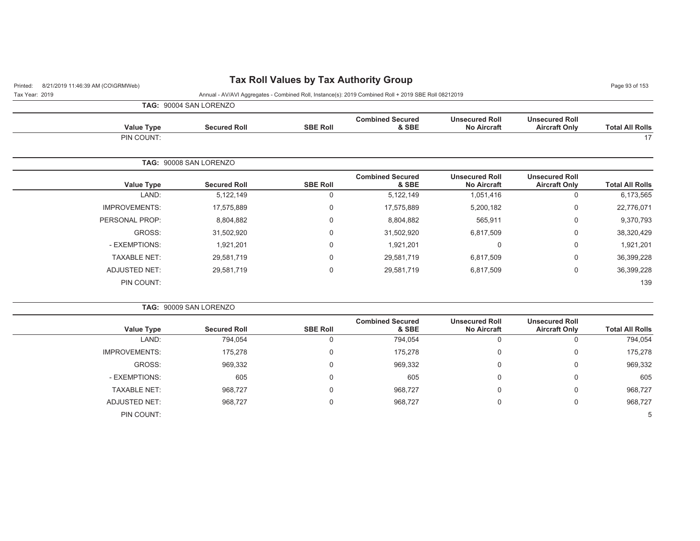## Printed: 8/21/2019 11:46:39 AM (CO\GRMWeb) **Tax Roll Values by Tax Authority Group** Page 93 of 153

**TAG:** 90004 SAN LORENZOTax Year: 2019 Annual - AV/AVI Aggregates - Combined Roll, Instance(s): 2019 Combined Roll + 2019 SBE Roll 08212019

| <b>Total All Rolls</b> | <b>Unsecured Roll</b><br><b>Aircraft Only</b> | <b>Unsecured Roll</b><br><b>No Aircraft</b> | <b>Combined Secured</b><br>& SBE | <b>SBE Roll</b> | <b>Secured Roll</b>    | <b>Value Type</b>    |
|------------------------|-----------------------------------------------|---------------------------------------------|----------------------------------|-----------------|------------------------|----------------------|
| 17                     |                                               |                                             |                                  |                 |                        | PIN COUNT:           |
|                        |                                               |                                             |                                  |                 | TAG: 90008 SAN LORENZO |                      |
|                        | <b>Unsecured Roll</b>                         | <b>Unsecured Roll</b>                       | <b>Combined Secured</b>          |                 |                        |                      |
| <b>Total All Rolls</b> | <b>Aircraft Only</b>                          | <b>No Aircraft</b>                          | & SBE                            | <b>SBE Roll</b> | <b>Secured Roll</b>    | <b>Value Type</b>    |
| 6,173,565              | $\Omega$                                      | 1,051,416                                   | 5,122,149                        | 0               | 5,122,149              | LAND:                |
| 22,776,071             | $\mathbf 0$                                   | 5,200,182                                   | 17,575,889                       | 0               | 17,575,889             | <b>IMPROVEMENTS:</b> |
| 9,370,793              | $\mathbf 0$                                   | 565,911                                     | 8,804,882                        | 0               | 8,804,882              | PERSONAL PROP:       |
| 38,320,429             | 0                                             | 6,817,509                                   | 31,502,920                       | 0               | 31,502,920             | GROSS:               |
| 1,921,201              | 0                                             | 0                                           | 1,921,201                        | 0               | 1,921,201              | - EXEMPTIONS:        |

| 38,320,429 | 6,817,509 | 31,502,920 | 31,502,920 | GROSS:              |
|------------|-----------|------------|------------|---------------------|
| 1,921,201  |           | 1,921,201  | 1,921,201  | - EXEMPTIONS:       |
| 36,399,228 | 6,817,509 | 29,581,719 | 29,581,719 | <b>TAXABLE NET:</b> |
| 36,399,228 | 6,817,509 | 29,581,719 | 29,581,719 | ADJUSTED NET:       |
| 139        |           |            |            | PIN COUNT:          |
|            |           |            |            |                     |

|                      | <b>TAG: 90009 SAN LORENZO</b> |                 |                                  |                                             |                                               |                        |
|----------------------|-------------------------------|-----------------|----------------------------------|---------------------------------------------|-----------------------------------------------|------------------------|
| <b>Value Type</b>    | <b>Secured Roll</b>           | <b>SBE Roll</b> | <b>Combined Secured</b><br>& SBE | <b>Unsecured Roll</b><br><b>No Aircraft</b> | <b>Unsecured Roll</b><br><b>Aircraft Only</b> | <b>Total All Rolls</b> |
| LAND:                | 794,054                       |                 | 794,054                          |                                             |                                               | 794,054                |
| <b>IMPROVEMENTS:</b> | 175,278                       | 0               | 175,278                          | 0                                           | 0                                             | 175,278                |
| GROSS:               | 969,332                       | $\Omega$        | 969,332                          | 0                                           | 0                                             | 969,332                |
| - EXEMPTIONS:        | 605                           | $\Omega$        | 605                              | 0                                           | 0                                             | 605                    |
| <b>TAXABLE NET:</b>  | 968,727                       | 0               | 968,727                          | 0                                           | 0                                             | 968,727                |
| <b>ADJUSTED NET:</b> | 968,727                       | 0               | 968,727                          | 0                                           | $\Omega$                                      | 968,727                |
| PIN COUNT:           |                               |                 |                                  |                                             |                                               |                        |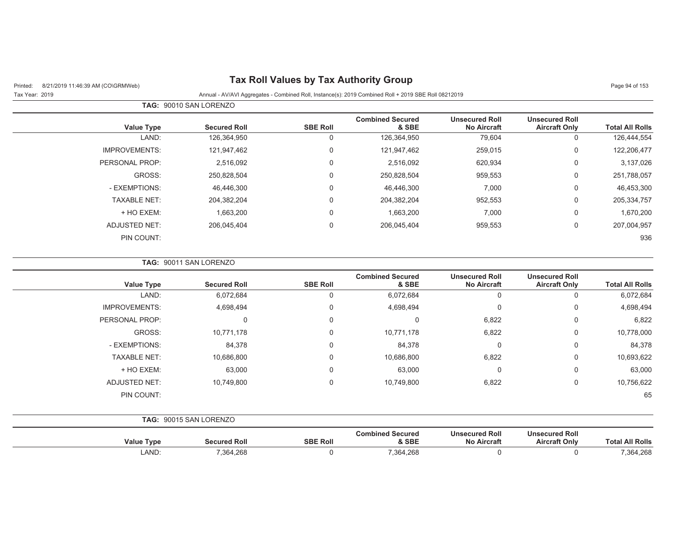# Printed: 8/21/2019 11:46:39 AM (CO\GRMWeb) **Tax Roll Values by Tax Authority Group** Page 94 of 153

| Tax Year: 2019 | Annual - AV/AVI Aggregates - Combined Roll, Instance(s): 2019 Combined Roll + 2019 SBE Roll 08212019 |
|----------------|------------------------------------------------------------------------------------------------------|
|                |                                                                                                      |

|                        |                                               |                                             |                                  |                 | <b>TAG: 90010 SAN LORENZO</b> |                      |
|------------------------|-----------------------------------------------|---------------------------------------------|----------------------------------|-----------------|-------------------------------|----------------------|
| <b>Total All Rolls</b> | <b>Unsecured Roll</b><br><b>Aircraft Only</b> | <b>Unsecured Roll</b><br><b>No Aircraft</b> | <b>Combined Secured</b><br>& SBE | <b>SBE Roll</b> | <b>Secured Roll</b>           | <b>Value Type</b>    |
| 126,444,554            | $\overline{0}$                                | 79,604                                      | 126,364,950                      | 0               | 126,364,950                   | LAND:                |
| 122,206,477            | $\mathbf 0$                                   | 259,015                                     | 121,947,462                      | 0               | 121,947,462                   | <b>IMPROVEMENTS:</b> |
| 3,137,026              | 0                                             | 620,934                                     | 2,516,092                        | 0               | 2,516,092                     | PERSONAL PROP:       |
| 251,788,057            | $\mathbf 0$                                   | 959,553                                     | 250,828,504                      | $\mathbf 0$     | 250,828,504                   | GROSS:               |
| 46,453,300             | $\mathbf 0$                                   | 7,000                                       | 46,446,300                       | $\Omega$        | 46,446,300                    | - EXEMPTIONS:        |
| 205,334,757            | $\mathbf 0$                                   | 952,553                                     | 204.382.204                      | $\mathbf 0$     | 204.382.204                   | <b>TAXABLE NET:</b>  |
| 1,670,200              | $\mathbf 0$                                   | 7,000                                       | 1,663,200                        | $\mathbf 0$     | 1,663,200                     | + HO EXEM:           |
| 207,004,957            | $\mathbf 0$                                   | 959,553                                     | 206,045,404                      | $\mathbf 0$     | 206,045,404                   | <b>ADJUSTED NET:</b> |
| 936                    |                                               |                                             |                                  |                 |                               | PIN COUNT:           |

#### **TAG:** 90011 SAN LORENZO

|                      |                     |                 | <b>Combined Secured</b> | <b>Unsecured Roll</b> | <b>Unsecured Roll</b> |                        |
|----------------------|---------------------|-----------------|-------------------------|-----------------------|-----------------------|------------------------|
| <b>Value Type</b>    | <b>Secured Roll</b> | <b>SBE Roll</b> | & SBE                   | <b>No Aircraft</b>    | <b>Aircraft Only</b>  | <b>Total All Rolls</b> |
| LAND:                | 6,072,684           | 0               | 6,072,684               | 0                     | 0                     | 6,072,684              |
| <b>IMPROVEMENTS:</b> | 4,698,494           | 0               | 4,698,494               | 0                     | 0                     | 4,698,494              |
| PERSONAL PROP:       | 0                   | 0               | 0                       | 6,822                 | 0                     | 6,822                  |
| GROSS:               | 10,771,178          | 0               | 10,771,178              | 6,822                 | 0                     | 10,778,000             |
| - EXEMPTIONS:        | 84,378              | 0               | 84,378                  | 0                     | 0                     | 84,378                 |
| <b>TAXABLE NET:</b>  | 10,686,800          | 0               | 10,686,800              | 6,822                 | 0                     | 10,693,622             |
| + HO EXEM:           | 63,000              | 0               | 63,000                  | $\mathbf 0$           | 0                     | 63,000                 |
| <b>ADJUSTED NET:</b> | 10,749,800          | 0               | 10,749,800              | 6,822                 | 0                     | 10,756,622             |
| PIN COUNT:           |                     |                 |                         |                       |                       | 65                     |

| <b>TAG: 90015 SAN LORENZO</b> |  |
|-------------------------------|--|
|-------------------------------|--|

| Value<br>Tvpe | <b>Secured Roll</b> | <b>SBE Roll</b> | <b>Combined Secured</b><br><b>&amp; SBF</b> | <b>Unsecured Roll</b><br><b>No Aircraft</b> | <b>Unsecured Roll</b><br><b>Aircraft Only</b> | $\tau$ ota.<br><b>All Rolls</b> |
|---------------|---------------------|-----------------|---------------------------------------------|---------------------------------------------|-----------------------------------------------|---------------------------------|
| LAND          | 7,364,268           |                 | 7,364,268                                   |                                             |                                               | 7,364,268                       |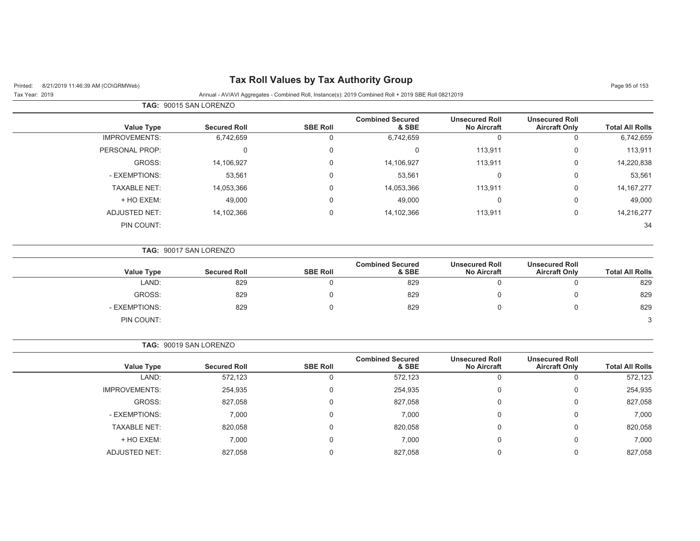#### Printed: 8/21/2019 11:46:39 AM (CO\GRMWeb) **Tax Roll Values by Tax Authority Group**

Tax Year: 2019 Annual - AV/AVI Aggregates - Combined Roll, Instance(s): 2019 Combined Roll + 2019 SBE Roll 08212019

| Page 95 of 153 |  |  |  |
|----------------|--|--|--|
|----------------|--|--|--|

|                      | <b>TAG: 90015 SAN LORENZO</b> |                 |                                  |                                             |                                               |                        |
|----------------------|-------------------------------|-----------------|----------------------------------|---------------------------------------------|-----------------------------------------------|------------------------|
| <b>Value Type</b>    | <b>Secured Roll</b>           | <b>SBE Roll</b> | <b>Combined Secured</b><br>& SBE | <b>Unsecured Roll</b><br><b>No Aircraft</b> | <b>Unsecured Roll</b><br><b>Aircraft Only</b> | <b>Total All Rolls</b> |
| <b>IMPROVEMENTS:</b> | 6,742,659                     | 0               | 6,742,659                        | 0                                           | 0                                             | 6,742,659              |
| PERSONAL PROP:       |                               | 0               | 0                                | 113,911                                     | 0                                             | 113,911                |
| GROSS:               | 14,106,927                    | $\mathbf 0$     | 14,106,927                       | 113,911                                     | 0                                             | 14,220,838             |
| - EXEMPTIONS:        | 53,561                        | $\mathbf 0$     | 53,561                           | 0                                           | $\mathbf 0$                                   | 53,561                 |
| <b>TAXABLE NET:</b>  | 14,053,366                    | $\mathbf 0$     | 14,053,366                       | 113,911                                     | $\mathbf 0$                                   | 14, 167, 277           |
| + HO EXEM:           | 49,000                        | $\mathbf 0$     | 49,000                           | 0                                           | $\mathbf 0$                                   | 49,000                 |
| <b>ADJUSTED NET:</b> | 14,102,366                    | $\mathbf 0$     | 14,102,366                       | 113,911                                     | 0                                             | 14,216,277             |
| PIN COUNT:           |                               |                 |                                  |                                             |                                               | 34                     |

**TAG:** 90017 SAN LORENZO

| Value Type    | <b>Secured Roll</b> | <b>SBE Roll</b> | <b>Combined Secured</b><br>& SBE | <b>Unsecured Roll</b><br><b>No Aircraft</b> | <b>Unsecured Roll</b><br><b>Aircraft Only</b> | <b>Total All Rolls</b> |
|---------------|---------------------|-----------------|----------------------------------|---------------------------------------------|-----------------------------------------------|------------------------|
| LAND:         | 829                 |                 | 829                              |                                             |                                               | 829                    |
| GROSS:        | 829                 |                 | 829                              |                                             |                                               | 829                    |
| - EXEMPTIONS: | 829                 |                 | 829                              |                                             |                                               | 829                    |
| PIN COUNT:    |                     |                 |                                  |                                             |                                               | 3                      |

**TAG:** 90019 SAN LORENZO **Value Type Secured Roll SBE Roll Combined Secured & SBEUnsecured Roll No Aircraft Unsecured Roll Aircraft Only Total All Rolls** LAND: 572,123 0 572,123 0 0 572,123 IMPROVEMENTS: 254,935 254,935 0 254,935 0 254,935 0 254,935 0 254,935 GROSS: 827,058 0 827,058 0 0 827,058 - EXEMPTIONS: 7,000 0 7,000 0 0 7,000 TAXABLE NET: 820,058 0 820,058 0 0 820,058 + HO EXEM: 7,000 0 7,000 0 0 7,000 ADJUSTED NET: 827,058 0 827,058 0 0 827,058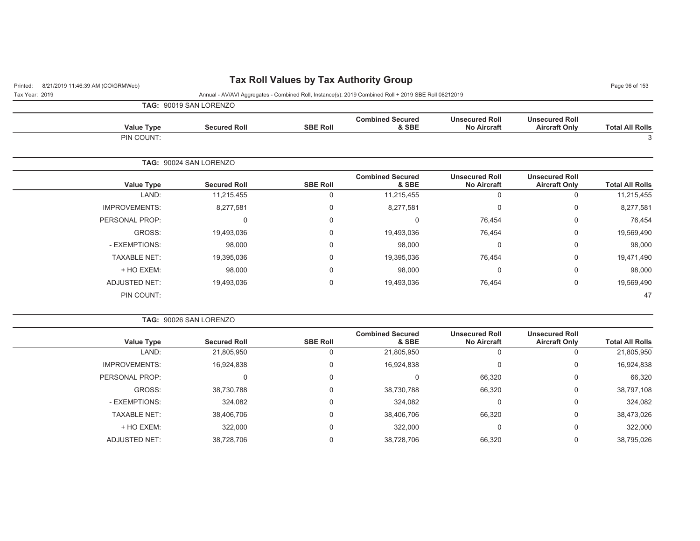## Printed: 8/21/2019 11:46:39 AM (CO\GRMWeb) **Tax Roll Values by Tax Authority Group** Page 96 of 153

Tax Year: 2019 Annual - AV/AVI Aggregates - Combined Roll, Instance(s): 2019 Combined Roll + 2019 SBE Roll 08212019

| <b>TAG: 90019 SAN LC</b> |
|--------------------------|
|--------------------------|

|                        |                                               |                                             |                                  |                 | TAG: 90019 SAN LORENZO |                      |
|------------------------|-----------------------------------------------|---------------------------------------------|----------------------------------|-----------------|------------------------|----------------------|
| <b>Total All Rolls</b> | <b>Unsecured Roll</b><br><b>Aircraft Only</b> | <b>Unsecured Roll</b><br><b>No Aircraft</b> | <b>Combined Secured</b><br>& SBE | <b>SBE Roll</b> | <b>Secured Roll</b>    | <b>Value Type</b>    |
| 3                      |                                               |                                             |                                  |                 |                        | PIN COUNT:           |
|                        |                                               |                                             |                                  |                 | TAG: 90024 SAN LORENZO |                      |
| <b>Total All Rolls</b> | <b>Unsecured Roll</b><br><b>Aircraft Only</b> | <b>Unsecured Roll</b><br><b>No Aircraft</b> | <b>Combined Secured</b><br>& SBE | <b>SBE Roll</b> | <b>Secured Roll</b>    | <b>Value Type</b>    |
| 11,215,455             | 0                                             | $\overline{0}$                              | 11,215,455                       | 0               | 11,215,455             | LAND:                |
| 8,277,581              | 0                                             | $\overline{0}$                              | 8,277,581                        | 0               | 8,277,581              | <b>IMPROVEMENTS:</b> |
| 76,454                 | $\mathbf 0$                                   | 76,454                                      | $\mathbf 0$                      | 0               | 0                      | PERSONAL PROP:       |
| 19,569,490             | $\mathbf 0$                                   | 76,454                                      | 19,493,036                       | 0               | 19,493,036             | GROSS:               |
| 98,000                 | $\mathbf 0$                                   | $\Omega$                                    | 98,000                           | 0               | 98,000                 | - EXEMPTIONS:        |
| 19,471,490             | $\mathbf 0$                                   | 76,454                                      | 19,395,036                       | 0               | 19,395,036             | <b>TAXABLE NET:</b>  |
| 98,000                 | $\mathbf 0$                                   | 0                                           | 98,000                           | 0               | 98,000                 | + HO EXEM:           |

|  | <b>TAG: 90026 SAN LORENZO</b> |
|--|-------------------------------|
|  |                               |

PIN COUNT:

| <b>Value Type</b>    | <b>Secured Roll</b> | <b>SBE Roll</b> | <b>Combined Secured</b><br>& SBE | <b>Unsecured Roll</b><br><b>No Aircraft</b> | <b>Unsecured Roll</b><br><b>Aircraft Only</b> | <b>Total All Rolls</b> |
|----------------------|---------------------|-----------------|----------------------------------|---------------------------------------------|-----------------------------------------------|------------------------|
| LAND:                | 21,805,950          | O               | 21,805,950                       | υ                                           |                                               | 21,805,950             |
| <b>IMPROVEMENTS:</b> | 16,924,838          | 0               | 16,924,838                       | 0                                           | 0                                             | 16,924,838             |
| PERSONAL PROP:       | C                   |                 | 0                                | 66,320                                      | 0                                             | 66,320                 |
| GROSS:               | 38,730,788          | 0               | 38,730,788                       | 66,320                                      | 0                                             | 38,797,108             |
| - EXEMPTIONS:        | 324,082             | 0               | 324,082                          | υ                                           | $\Omega$                                      | 324,082                |
| <b>TAXABLE NET:</b>  | 38,406,706          | 0               | 38,406,706                       | 66,320                                      | $\Omega$                                      | 38,473,026             |
| + HO EXEM:           | 322,000             |                 | 322,000                          | U                                           | 0                                             | 322,000                |
| ADJUSTED NET:        | 38,728,706          |                 | 38,728,706                       | 66,320                                      |                                               | 38,795,026             |

ADJUSTED NET: 19,493,036 0 19,493,036 76,454 0 19,569,490

 $\sim$  47  $\sim$  47  $\sim$  47  $\sim$  47  $\sim$  47  $\sim$  47  $\sim$  47  $\sim$  47  $\sim$  47  $\sim$  47  $\sim$  47  $\sim$  47  $\sim$  47  $\sim$  47  $\sim$  47  $\sim$  47  $\sim$  47  $\sim$  47  $\sim$  47  $\sim$  47  $\sim$  47  $\sim$  47  $\sim$  47  $\sim$  47  $\sim$  47  $\sim$  47  $\sim$  47  $\sim$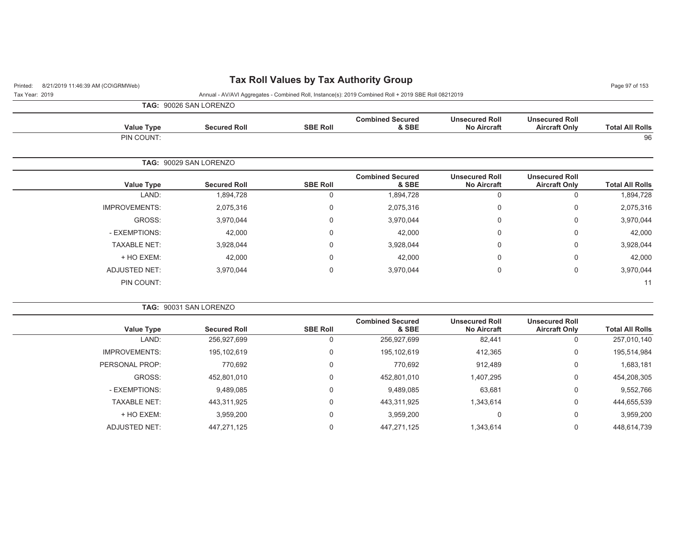# Printed: 8/21/2019 11:46:39 AM (CO\GRMWeb) **Tax Roll Values by Tax Authority Group** Page 97 of 153

| Tax Year: 2019 | Annual - AV/AVI Aggregates - Combined Roll, Instance(s): 2019 Combined Roll + 2019 SBE Roll 08212019 |
|----------------|------------------------------------------------------------------------------------------------------|

**TAG:** 90026 SAN LORENZO

| Value Type | <b>Secured Roll</b>    | <b>SBE Roll</b> | <b>Combined Secured</b><br>& SBE | <b>Unsecured Roll</b><br><b>No Aircraft</b> | <b>Unsecured Roll</b><br><b>Aircraft Only</b> | <b>Total All Rolls</b> |
|------------|------------------------|-----------------|----------------------------------|---------------------------------------------|-----------------------------------------------|------------------------|
| PIN COUNT: |                        |                 |                                  |                                             |                                               | 96                     |
|            | TAG: 90029 SAN LORENZO |                 |                                  |                                             |                                               |                        |

| <b>Value Type</b>    | <b>Secured Roll</b> | <b>SBE Roll</b> | <b>Combined Secured</b><br>& SBE | <b>Unsecured Roll</b><br><b>No Aircraft</b> | <b>Unsecured Roll</b><br><b>Aircraft Only</b> | <b>Total All Rolls</b> |
|----------------------|---------------------|-----------------|----------------------------------|---------------------------------------------|-----------------------------------------------|------------------------|
| LAND:                | 1,894,728           | 0               | 1,894,728                        | 0                                           | 0                                             | 1,894,728              |
| <b>IMPROVEMENTS:</b> | 2,075,316           | 0               | 2,075,316                        | 0                                           | 0                                             | 2,075,316              |
| GROSS:               | 3,970,044           | 0               | 3,970,044                        | 0                                           | 0                                             | 3,970,044              |
| - EXEMPTIONS:        | 42,000              | 0               | 42,000                           | 0                                           | 0                                             | 42,000                 |
| <b>TAXABLE NET:</b>  | 3,928,044           | 0               | 3,928,044                        | 0                                           | 0                                             | 3,928,044              |
| + HO EXEM:           | 42,000              | 0               | 42,000                           | 0                                           | 0                                             | 42,000                 |
| ADJUSTED NET:        | 3,970,044           | 0               | 3,970,044                        | 0                                           | $\mathbf 0$                                   | 3,970,044              |
| PIN COUNT:           |                     |                 |                                  |                                             |                                               | 11                     |
|                      |                     |                 |                                  |                                             |                                               |                        |

|                      | <b>TAG: 90031 SAN LORENZO</b> |                 |                                  |                                             |                                               |                        |
|----------------------|-------------------------------|-----------------|----------------------------------|---------------------------------------------|-----------------------------------------------|------------------------|
| <b>Value Type</b>    | <b>Secured Roll</b>           | <b>SBE Roll</b> | <b>Combined Secured</b><br>& SBE | <b>Unsecured Roll</b><br><b>No Aircraft</b> | <b>Unsecured Roll</b><br><b>Aircraft Only</b> | <b>Total All Rolls</b> |
| LAND:                | 256,927,699                   | U               | 256,927,699                      | 82,441                                      | 0                                             | 257,010,140            |
| <b>IMPROVEMENTS:</b> | 195,102,619                   | $\Omega$        | 195,102,619                      | 412,365                                     | 0                                             | 195,514,984            |
| PERSONAL PROP:       | 770.692                       | $\Omega$        | 770.692                          | 912,489                                     | 0                                             | 1,683,181              |
| GROSS:               | 452.801.010                   | $\Omega$        | 452.801.010                      | 1,407,295                                   | 0                                             | 454,208,305            |
| - EXEMPTIONS:        | 9,489,085                     | $\Omega$        | 9,489,085                        | 63,681                                      | 0                                             | 9,552,766              |
| <b>TAXABLE NET:</b>  | 443.311.925                   | $\Omega$        | 443.311.925                      | 1,343,614                                   | $\mathbf 0$                                   | 444,655,539            |
| + HO EXEM:           | 3,959,200                     | $\Omega$        | 3,959,200                        | 0                                           | 0                                             | 3,959,200              |
| ADJUSTED NET:        | 447.271.125                   | 0               | 447.271.125                      | 1.343.614                                   | 0                                             | 448,614,739            |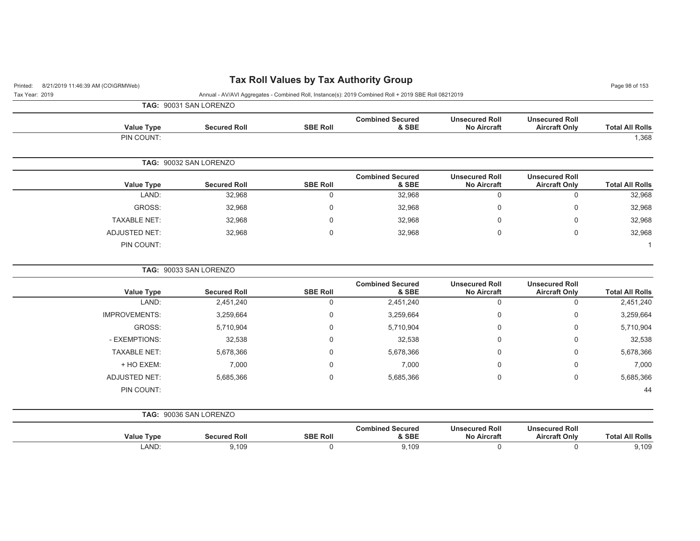| 8/21/2019 11:46:39 AM (CO\GRMWeb)<br>Printed: |                                                                                                      |                 | <b>Tax Roll Values by Tax Authority Group</b> |                                             |                                               | Page 98 of 153         |  |  |
|-----------------------------------------------|------------------------------------------------------------------------------------------------------|-----------------|-----------------------------------------------|---------------------------------------------|-----------------------------------------------|------------------------|--|--|
| Tax Year: 2019                                | Annual - AV/AVI Aggregates - Combined Roll, Instance(s): 2019 Combined Roll + 2019 SBE Roll 08212019 |                 |                                               |                                             |                                               |                        |  |  |
|                                               | TAG: 90031 SAN LORENZO                                                                               |                 |                                               |                                             |                                               |                        |  |  |
| <b>Value Type</b>                             | <b>Secured Roll</b>                                                                                  | <b>SBE Roll</b> | <b>Combined Secured</b><br>& SBE              | <b>Unsecured Roll</b><br><b>No Aircraft</b> | <b>Unsecured Roll</b><br><b>Aircraft Only</b> | <b>Total All Rolls</b> |  |  |
| PIN COUNT:                                    |                                                                                                      |                 |                                               |                                             |                                               | 1,368                  |  |  |
|                                               | TAG: 90032 SAN LORENZO                                                                               |                 |                                               |                                             |                                               |                        |  |  |
| <b>Value Type</b>                             | <b>Secured Roll</b>                                                                                  | <b>SBE Roll</b> | <b>Combined Secured</b><br>& SBE              | <b>Unsecured Roll</b><br><b>No Aircraft</b> | <b>Unsecured Roll</b><br><b>Aircraft Only</b> | <b>Total All Rolls</b> |  |  |
| LAND:                                         | 32,968                                                                                               | $\pmb{0}$       | 32,968                                        | $\mathbf 0$                                 | $\mathsf 0$                                   | 32,968                 |  |  |
| GROSS:                                        | 32,968                                                                                               | 0               | 32,968                                        | $\mathbf 0$                                 | 0                                             | 32,968                 |  |  |
| <b>TAXABLE NET:</b>                           | 32,968                                                                                               | $\mathbf{0}$    | 32,968                                        | $\mathbf{0}$                                | 0                                             | 32,968                 |  |  |
| <b>ADJUSTED NET:</b>                          | 32,968                                                                                               | $\Omega$        | 32,968                                        | $\Omega$                                    | $\Omega$                                      | 32,968                 |  |  |
| PIN COUNT:                                    |                                                                                                      |                 |                                               |                                             |                                               | $\mathbf 1$            |  |  |
|                                               | TAG: 90033 SAN LORENZO                                                                               |                 |                                               |                                             |                                               |                        |  |  |
| <b>Value Type</b>                             | <b>Secured Roll</b>                                                                                  | <b>SBE Roll</b> | <b>Combined Secured</b><br>& SBE              | <b>Unsecured Roll</b><br><b>No Aircraft</b> | <b>Unsecured Roll</b><br><b>Aircraft Only</b> | <b>Total All Rolls</b> |  |  |
| LAND:                                         | 2,451,240                                                                                            | $\mathbf 0$     | 2,451,240                                     | $\mathbf 0$                                 | $\mathbf 0$                                   | 2,451,240              |  |  |
| <b>IMPROVEMENTS:</b>                          | 3,259,664                                                                                            | 0               | 3,259,664                                     | $\mathbf 0$                                 | 0                                             | 3,259,664              |  |  |
| GROSS:                                        | 5,710,904                                                                                            | 0               | 5,710,904                                     | $\Omega$                                    | 0                                             | 5,710,904              |  |  |
| - EXEMPTIONS:                                 | 32,538                                                                                               | $\Omega$        | 32,538                                        | $\Omega$                                    | 0                                             | 32,538                 |  |  |
| <b>TAXABLE NET:</b>                           | 5,678,366                                                                                            | $\Omega$        | 5,678,366                                     | <sup>0</sup>                                | 0                                             | 5,678,366              |  |  |
| + HO EXEM:                                    | 7,000                                                                                                | $\Omega$        | 7,000                                         | $\Omega$                                    | 0                                             | 7,000                  |  |  |
| <b>ADJUSTED NET:</b>                          | 5,685,366                                                                                            | $\mathbf 0$     | 5,685,366                                     | $\mathbf 0$                                 | 0                                             | 5,685,366              |  |  |
| PIN COUNT:                                    |                                                                                                      |                 |                                               |                                             |                                               | 44                     |  |  |
|                                               | TAG: 90036 SAN LORENZO                                                                               |                 |                                               |                                             |                                               |                        |  |  |
| <b>Value Type</b>                             | <b>Secured Roll</b>                                                                                  | <b>SBE Roll</b> | <b>Combined Secured</b><br>& SBE              | <b>Unsecured Roll</b><br><b>No Aircraft</b> | <b>Unsecured Roll</b><br><b>Aircraft Only</b> | <b>Total All Rolls</b> |  |  |
| LAND:                                         | 9,109                                                                                                | $\mathbf 0$     | 9,109                                         | $\mathbf 0$                                 | 0                                             | 9,109                  |  |  |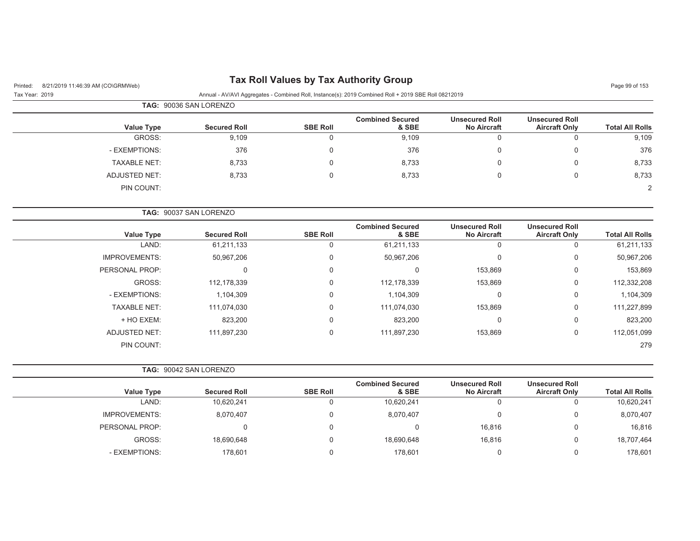## Printed: 8/21/2019 11:46:39 AM (CO\GRMWeb) **Tax Roll Values by Tax Authority Group** Page 99 of 153

Tax Year: 2019 Annual - AV/AVI Aggregates - Combined Roll, Instance(s): 2019 Combined Roll + 2019 SBE Roll 08212019

|                     | <b>TAG: 90036 SAN LORENZO</b> |                     |                 |                                  |                                             |                                               |                        |
|---------------------|-------------------------------|---------------------|-----------------|----------------------------------|---------------------------------------------|-----------------------------------------------|------------------------|
| Value Type          |                               | <b>Secured Roll</b> | <b>SBE Roll</b> | <b>Combined Secured</b><br>& SBE | <b>Unsecured Roll</b><br><b>No Aircraft</b> | <b>Unsecured Roll</b><br><b>Aircraft Only</b> | <b>Total All Rolls</b> |
| GROSS:              |                               | 9,109               | 0               | 9,109                            | 0                                           |                                               | 9,109                  |
| - EXEMPTIONS:       |                               | 376                 | 0               | 376                              | 0                                           |                                               | 376                    |
| <b>TAXABLE NET:</b> |                               | 8,733               | 0               | 8,733                            | 0                                           |                                               | 8,733                  |
| ADJUSTED NET:       |                               | 8,733               | 0               | 8,733                            | 0                                           |                                               | 8,733                  |
| PIN COUNT:          |                               |                     |                 |                                  |                                             |                                               | 2                      |

|                        |                                               |                                             |                                  |                 | <b>TAG: 90037 SAN LORENZO</b> |                      |
|------------------------|-----------------------------------------------|---------------------------------------------|----------------------------------|-----------------|-------------------------------|----------------------|
| <b>Total All Rolls</b> | <b>Unsecured Roll</b><br><b>Aircraft Only</b> | <b>Unsecured Roll</b><br><b>No Aircraft</b> | <b>Combined Secured</b><br>& SBE | <b>SBE Roll</b> | <b>Secured Roll</b>           | <b>Value Type</b>    |
| 61,211,133             | 0                                             | 0                                           | 61,211,133                       | $\Omega$        | 61,211,133                    | LAND:                |
| 50,967,206             | 0                                             | 0                                           | 50,967,206                       | 0               | 50,967,206                    | <b>IMPROVEMENTS:</b> |
| 153,869                | 0                                             | 153,869                                     |                                  | 0               | 0                             | PERSONAL PROP:       |
| 112,332,208            | 0                                             | 153,869                                     | 112,178,339                      | $\Omega$        | 112.178.339                   | GROSS:               |
| 1,104,309              | 0                                             | 0                                           | 1,104,309                        | 0               | 1,104,309                     | - EXEMPTIONS:        |
| 111,227,899            | 0                                             | 153,869                                     | 111,074,030                      | $\Omega$        | 111,074,030                   | <b>TAXABLE NET:</b>  |
| 823,200                | 0                                             | $\mathbf 0$                                 | 823,200                          | $\mathbf 0$     | 823,200                       | + HO EXEM:           |
| 112,051,099            | 0                                             | 153,869                                     | 111,897,230                      | $\mathbf 0$     | 111,897,230                   | <b>ADJUSTED NET:</b> |
| 279                    |                                               |                                             |                                  |                 |                               | PIN COUNT:           |
|                        |                                               |                                             |                                  |                 |                               |                      |

|                      | <b>TAG: 90042 SAN LORENZO</b> |                 |                                  |                                             |                                               |                        |
|----------------------|-------------------------------|-----------------|----------------------------------|---------------------------------------------|-----------------------------------------------|------------------------|
| <b>Value Type</b>    | <b>Secured Roll</b>           | <b>SBE Roll</b> | <b>Combined Secured</b><br>& SBE | <b>Unsecured Roll</b><br><b>No Aircraft</b> | <b>Unsecured Roll</b><br><b>Aircraft Only</b> | <b>Total All Rolls</b> |
| LAND:                | 10,620,241                    |                 | 10,620,241                       | $\Omega$                                    | 0                                             | 10,620,241             |
| <b>IMPROVEMENTS:</b> | 8,070,407                     |                 | 8,070,407                        | $\Omega$                                    | 0                                             | 8,070,407              |
| PERSONAL PROP:       |                               |                 |                                  | 16,816                                      | 0                                             | 16,816                 |
| GROSS:               | 18,690,648                    |                 | 18,690,648                       | 16,816                                      | 0                                             | 18,707,464             |
| - EXEMPTIONS:        | 178,601                       |                 | 178.601                          | 0                                           | 0                                             | 178,601                |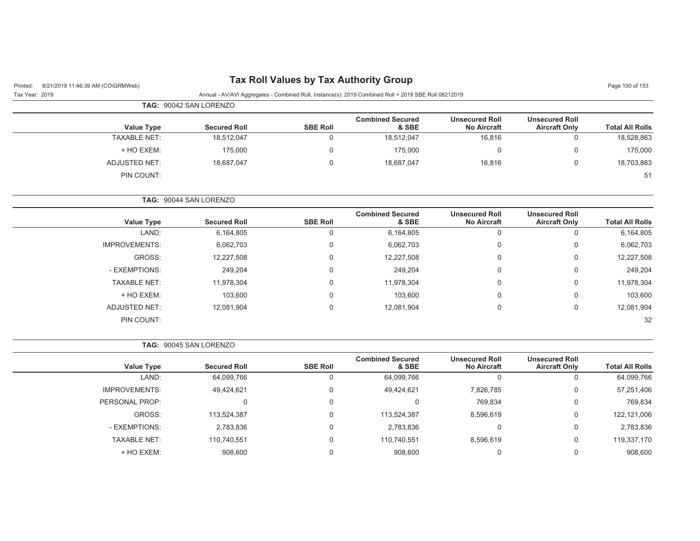# Printed: 8/21/2019 11:46:39 AM (CO\GRMWeb) **Tax Roll Values by Tax Authority Group** Page 100 of 153

| Tax Year: 2019 |  | Annual - AV/AVI Aggregates - Combined Roll, Instance(s): 2019 Combined Roll + 2019 SBE Roll 08212019 |  |  |
|----------------|--|------------------------------------------------------------------------------------------------------|--|--|

|                     | TAG: 90042 SAN LORENZO |                 |                                  |                                             |                                               |                        |
|---------------------|------------------------|-----------------|----------------------------------|---------------------------------------------|-----------------------------------------------|------------------------|
| <b>Value Type</b>   | <b>Secured Roll</b>    | <b>SBE Roll</b> | <b>Combined Secured</b><br>& SBE | <b>Unsecured Roll</b><br><b>No Aircraft</b> | <b>Unsecured Roll</b><br><b>Aircraft Only</b> | <b>Total All Rolls</b> |
| <b>TAXABLE NET:</b> | 18,512,047             | 0               | 18,512,047                       | 16,816                                      | 0                                             | 18,528,863             |
| + HO EXEM:          | 175,000                | 0               | 175.000                          |                                             | $\Omega$                                      | 175,000                |
| ADJUSTED NET:       | 18,687,047             | 0               | 18,687,047                       | 16,816                                      | 0                                             | 18,703,863             |
| PIN COUNT:          |                        |                 |                                  |                                             |                                               | 51                     |

**TAG:** 90044 SAN LORENZO

| Value Type           | <b>Secured Roll</b> | <b>SBE Roll</b> | <b>Combined Secured</b><br>& SBE | <b>Unsecured Roll</b><br><b>No Aircraft</b> | <b>Unsecured Roll</b><br><b>Aircraft Only</b> | <b>Total All Rolls</b> |
|----------------------|---------------------|-----------------|----------------------------------|---------------------------------------------|-----------------------------------------------|------------------------|
| LAND:                | 6,164,805           |                 | 6,164,805                        | 0                                           |                                               | 6,164,805              |
| <b>IMPROVEMENTS:</b> | 6,062,703           | 0               | 6,062,703                        | 0                                           | 0                                             | 6,062,703              |
| GROSS:               | 12,227,508          | 0               | 12,227,508                       | 0                                           | 0                                             | 12,227,508             |
| - EXEMPTIONS:        | 249,204             | 0               | 249,204                          | 0                                           | $\mathbf 0$                                   | 249,204                |
| <b>TAXABLE NET:</b>  | 11,978,304          | 0               | 11,978,304                       | 0                                           | $\mathbf 0$                                   | 11,978,304             |
| + HO EXEM:           | 103,600             | 0               | 103,600                          | 0                                           | $\mathbf 0$                                   | 103,600                |
| <b>ADJUSTED NET:</b> | 12,081,904          | 0               | 12,081,904                       | 0                                           | $\mathbf 0$                                   | 12,081,904             |
| PIN COUNT:           |                     |                 |                                  |                                             |                                               | 32                     |

|  | <b>TAG: 90045 SAN LORENZO</b> |
|--|-------------------------------|
|--|-------------------------------|

| <b>Value Type</b>    | <b>Secured Roll</b> | <b>SBE Roll</b> | <b>Combined Secured</b><br>& SBE | <b>Unsecured Roll</b><br><b>No Aircraft</b> | <b>Unsecured Roll</b><br><b>Aircraft Only</b> | <b>Total All Rolls</b> |
|----------------------|---------------------|-----------------|----------------------------------|---------------------------------------------|-----------------------------------------------|------------------------|
| LAND:                | 64,099,766          |                 | 64,099,766                       |                                             |                                               | 64,099,766             |
| <b>IMPROVEMENTS:</b> | 49,424,621          | 0               | 49,424,621                       | 7,826,785                                   | u                                             | 57,251,406             |
| PERSONAL PROP:       | 0                   | 0               | 0                                | 769.834                                     |                                               | 769,834                |
| GROSS:               | 113,524,387         |                 | 113,524,387                      | 8,596,619                                   |                                               | 122,121,006            |
| - EXEMPTIONS:        | 2,783,836           | 0               | 2,783,836                        |                                             |                                               | 2,783,836              |
| <b>TAXABLE NET:</b>  | 110,740,551         |                 | 110,740,551                      | 8,596,619                                   | 0                                             | 119,337,170            |
| + HO EXEM:           | 908,600             |                 | 908,600                          |                                             |                                               | 908,600                |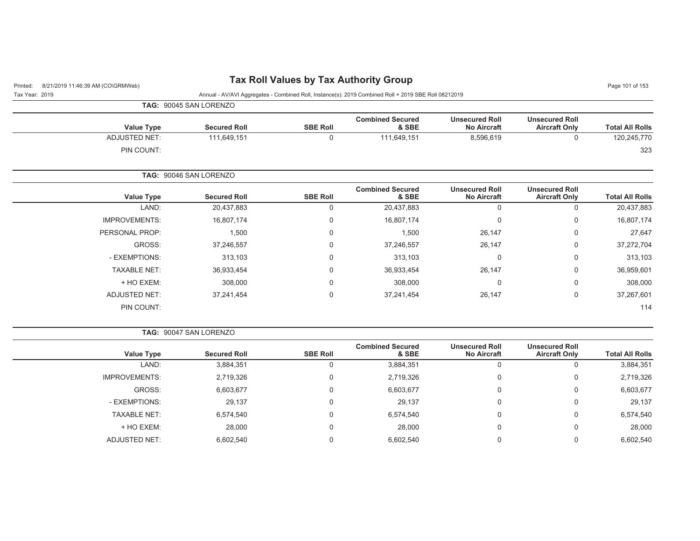| Page 101 of 153 |  |  |  |
|-----------------|--|--|--|
|-----------------|--|--|--|

| Printed: 8/21/2019 11:46:39 AM (CO\GRMWeb) | <b>Tax is the values by Tax Authority Shoup</b>                                             |
|--------------------------------------------|---------------------------------------------------------------------------------------------|
| Tax Year: 2019                             | Annual - AV/AVI Aggregates - Combined Roll, Instance(s): 2019 Combined Roll + 2019 SBE Roll |

| Tax Year: 2019 |                      | Annual - AV/AVI Aggregates - Combined Roll, Instance(s): 2019 Combined Roll + 2019 SBE Roll 08212019 |                 |                                  |                                             |                                               |                        |
|----------------|----------------------|------------------------------------------------------------------------------------------------------|-----------------|----------------------------------|---------------------------------------------|-----------------------------------------------|------------------------|
|                |                      | TAG: 90045 SAN LORENZO                                                                               |                 |                                  |                                             |                                               |                        |
|                | <b>Value Type</b>    | <b>Secured Roll</b>                                                                                  | <b>SBE Roll</b> | <b>Combined Secured</b><br>& SBE | <b>Unsecured Roll</b><br><b>No Aircraft</b> | <b>Unsecured Roll</b><br><b>Aircraft Only</b> | <b>Total All Rolls</b> |
|                | ADJUSTED NET:        | 111,649,151                                                                                          | $\Omega$        | 111,649,151                      | 8,596,619                                   | $\mathbf 0$                                   | 120,245,770            |
|                | PIN COUNT:           |                                                                                                      |                 |                                  |                                             |                                               | 323                    |
|                |                      | TAG: 90046 SAN LORENZO                                                                               |                 |                                  |                                             |                                               |                        |
|                | <b>Value Type</b>    | <b>Secured Roll</b>                                                                                  | <b>SBE Roll</b> | <b>Combined Secured</b><br>& SBE | <b>Unsecured Roll</b><br><b>No Aircraft</b> | <b>Unsecured Roll</b><br><b>Aircraft Only</b> | <b>Total All Rolls</b> |
|                | LAND:                | 20,437,883                                                                                           | $\Omega$        | 20,437,883                       | 0                                           | 0                                             | 20,437,883             |
|                | <b>IMPROVEMENTS:</b> | 16,807,174                                                                                           | 0               | 16,807,174                       | 0                                           | 0                                             | 16,807,174             |
|                | PERSONAL PROP:       | 1,500                                                                                                | $\Omega$        | 1,500                            | 26,147                                      | 0                                             | 27,647                 |
|                | GROSS:               | 37,246,557                                                                                           | 0               | 37,246,557                       | 26,147                                      | $\mathbf 0$                                   | 37,272,704             |
|                | - EXEMPTIONS:        | 313,103                                                                                              | 0               | 313,103                          | 0                                           | 0                                             | 313,103                |
|                | <b>TAXABLE NET:</b>  | 36,933,454                                                                                           | $\Omega$        | 36,933,454                       | 26,147                                      | 0                                             | 36,959,601             |
|                | + HO EXEM:           | 308,000                                                                                              | 0               | 308,000                          | $\mathbf 0$                                 | $\mathbf 0$                                   | 308,000                |
|                | ADJUSTED NET:        | 37,241,454                                                                                           | 0               | 37,241,454                       | 26,147                                      | 0                                             | 37,267,601             |
|                | PIN COUNT:           |                                                                                                      |                 |                                  |                                             |                                               | 114                    |

|                      | <b>TAG: 90047 SAN LORENZO</b> |                 |                                  |                                             |                                               |                        |
|----------------------|-------------------------------|-----------------|----------------------------------|---------------------------------------------|-----------------------------------------------|------------------------|
| Value Type           | <b>Secured Roll</b>           | <b>SBE Roll</b> | <b>Combined Secured</b><br>& SBE | <b>Unsecured Roll</b><br><b>No Aircraft</b> | <b>Unsecured Roll</b><br><b>Aircraft Only</b> | <b>Total All Rolls</b> |
| LAND:                | 3,884,351                     |                 | 3,884,351                        | υ                                           |                                               | 3,884,351              |
| <b>IMPROVEMENTS:</b> | 2,719,326                     |                 | 2,719,326                        | 0                                           | 0                                             | 2,719,326              |
| GROSS:               | 6,603,677                     |                 | 6,603,677                        | 0                                           | 0                                             | 6,603,677              |
| - EXEMPTIONS:        | 29,137                        |                 | 29,137                           | 0                                           | 0                                             | 29,137                 |
| <b>TAXABLE NET:</b>  | 6,574,540                     |                 | 6,574,540                        | 0                                           | 0                                             | 6,574,540              |
| + HO EXEM:           | 28,000                        |                 | 28,000                           | 0                                           | 0                                             | 28,000                 |
| <b>ADJUSTED NET:</b> | 6,602,540                     |                 | 6,602,540                        | υ                                           | 0                                             | 6,602,540              |
|                      |                               |                 |                                  |                                             |                                               |                        |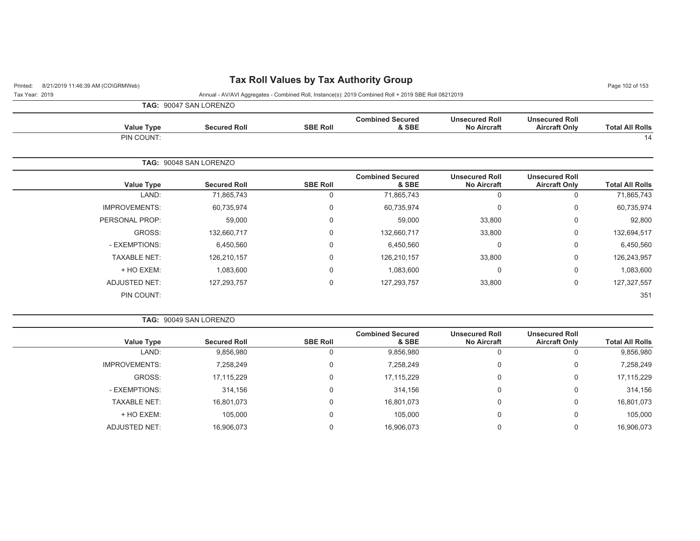## Printed: 8/21/2019 11:46:39 AM (CO\GRMWeb) **Tax Roll Values by Tax Authority Group** Page 102 of 153

Tax Year: 2019 Annual - AV/AVI Aggregates - Combined Roll, Instance(s): 2019 Combined Roll + 2019 SBE Roll 08212019

|  |  | TAG: 90047 SAN LORENZO |
|--|--|------------------------|
|--|--|------------------------|

PIN COUNT:

**TAG:** 90049 SAN LORENZO

| <b>Total All Rolls</b> | <b>Unsecured Roll</b><br><b>Aircraft Only</b> | <b>Unsecured Roll</b><br><b>No Aircraft</b> | <b>Combined Secured</b><br>& SBE | <b>SBE Roll</b> | <b>Secured Roll</b>    | <b>Value Type</b>    |
|------------------------|-----------------------------------------------|---------------------------------------------|----------------------------------|-----------------|------------------------|----------------------|
| 14                     |                                               |                                             |                                  |                 |                        | PIN COUNT:           |
|                        |                                               |                                             |                                  |                 |                        |                      |
|                        |                                               |                                             |                                  |                 | TAG: 90048 SAN LORENZO |                      |
| <b>Total All Rolls</b> | <b>Unsecured Roll</b><br><b>Aircraft Only</b> | <b>Unsecured Roll</b><br><b>No Aircraft</b> | <b>Combined Secured</b><br>& SBE | <b>SBE Roll</b> | <b>Secured Roll</b>    | <b>Value Type</b>    |
| 71,865,743             | 0                                             |                                             | 71,865,743                       | 0               | 71,865,743             | LAND:                |
| 60,735,974             | $\Omega$                                      | $\mathbf{0}$                                | 60,735,974                       | 0               | 60,735,974             | <b>IMPROVEMENTS:</b> |
| 92,800                 | $\Omega$                                      | 33,800                                      | 59,000                           | 0               | 59,000                 | PERSONAL PROP:       |
|                        |                                               |                                             |                                  |                 |                        |                      |

GROSS: 132,660,717 0 132,660,717 33,800 0 132,694,517 - EXEMPTIONS: 6,450,560 0 6,450,560 0 0 6,450,560 TAXABLE NET: 126,210,157 0 126,210,157 33,800 0 126,243,957 + HO EXEM: 1,083,600 0 1,083,600 0 0 1,083,600 ADJUSTED NET: 127,293,757 0 127,293,757 33,800 0 127,327,557

.<br>В 1951 году в 1952 году в 1953 году в 1953 году в 1953 году в 1953 году в 1953 году в 1953 году в 1953 году в

| <b>Total All Rolls</b> | <b>Unsecured Roll</b><br><b>Aircraft Only</b> | <b>Unsecured Roll</b><br><b>No Aircraft</b> | <b>Combined Secured</b><br>& SBE | <b>SBE Roll</b> | <b>Secured Roll</b> | <b>Value Type</b>    |
|------------------------|-----------------------------------------------|---------------------------------------------|----------------------------------|-----------------|---------------------|----------------------|
| 9,856,980              |                                               |                                             | 9,856,980                        | 0               | 9,856,980           | LAND:                |
| 7,258,249              | 0                                             | 0                                           | 7,258,249                        | 0               | 7,258,249           | <b>IMPROVEMENTS:</b> |
| 17,115,229             | 0                                             | $\Omega$                                    | 17,115,229                       | 0               | 17,115,229          | GROSS:               |
| 314,156                | 0                                             | 0                                           | 314,156                          | 0               | 314,156             | - EXEMPTIONS:        |
| 16,801,073             | 0                                             | $\Omega$                                    | 16,801,073                       | 0               | 16,801,073          | <b>TAXABLE NET:</b>  |
| 105,000                | 0                                             | $\Omega$                                    | 105,000                          | 0               | 105,000             | + HO EXEM:           |
| 16,906,073             |                                               |                                             | 16,906,073                       | 0               | 16,906,073          | <b>ADJUSTED NET:</b> |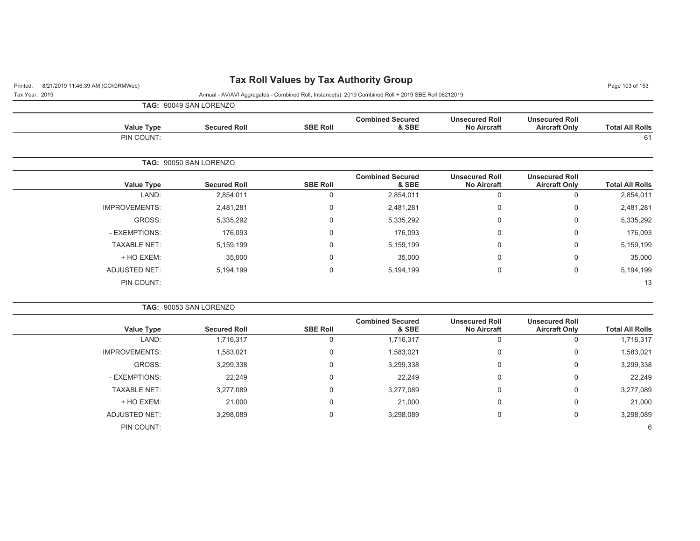## Printed: 8/21/2019 11:46:39 AM (CO\GRMWeb) **Tax Roll Values by Tax Authority Group** Page 103 of 153 Page 103 of 153

Tax Year: 2019 Annual - AV/AVI Aggregates - Combined Roll, Instance(s): 2019 Combined Roll + 2019 SBE Roll 08212019

| <b>TAG: 90049 SAN LORENZO</b> |  |
|-------------------------------|--|
|-------------------------------|--|

| <b>Value Type</b> | <b>Secured Roll</b> | <b>SBE Roll</b> | <b>Combined Secured</b><br>& SBE | <b>Unsecured Roll</b><br><b>No Aircraft</b> | <b>Unsecured Roll</b><br><b>Aircraft Only</b> | <b>Total All Rolls</b> |
|-------------------|---------------------|-----------------|----------------------------------|---------------------------------------------|-----------------------------------------------|------------------------|
| PIN COUNT:        |                     |                 |                                  |                                             |                                               | 61                     |

|                      | <b>TAG: 90050 SAN LORENZO</b> |                 |                                  |                                             |                                               |                        |
|----------------------|-------------------------------|-----------------|----------------------------------|---------------------------------------------|-----------------------------------------------|------------------------|
| Value Type           | <b>Secured Roll</b>           | <b>SBE Roll</b> | <b>Combined Secured</b><br>& SBE | <b>Unsecured Roll</b><br><b>No Aircraft</b> | <b>Unsecured Roll</b><br><b>Aircraft Only</b> | <b>Total All Rolls</b> |
| LAND:                | 2,854,011                     | 0               | 2,854,011                        | U                                           | 0                                             | 2,854,011              |
| <b>IMPROVEMENTS:</b> | 2,481,281                     | 0               | 2,481,281                        | 0                                           | 0                                             | 2,481,281              |
| GROSS:               | 5,335,292                     | $\Omega$        | 5,335,292                        | 0                                           | 0                                             | 5,335,292              |
| - EXEMPTIONS:        | 176,093                       | $\Omega$        | 176,093                          | 0                                           | 0                                             | 176,093                |
| <b>TAXABLE NET:</b>  | 5,159,199                     | 0               | 5,159,199                        | 0                                           | 0                                             | 5,159,199              |
| + HO EXEM:           | 35,000                        | $\Omega$        | 35,000                           | 0                                           | 0                                             | 35,000                 |
| ADJUSTED NET:        | 5,194,199                     | $\mathbf 0$     | 5,194,199                        | 0                                           | 0                                             | 5,194,199              |
| PIN COUNT:           |                               |                 |                                  |                                             |                                               | 13                     |

|                        |                                               |                                             |                                  |                 | <b>TAG: 90053 SAN LORENZO</b> |                      |  |  |
|------------------------|-----------------------------------------------|---------------------------------------------|----------------------------------|-----------------|-------------------------------|----------------------|--|--|
| <b>Total All Rolls</b> | <b>Unsecured Roll</b><br><b>Aircraft Only</b> | <b>Unsecured Roll</b><br><b>No Aircraft</b> | <b>Combined Secured</b><br>& SBE | <b>SBE Roll</b> | <b>Secured Roll</b>           | Value Type           |  |  |
| 1,716,317              |                                               | 0                                           | 1,716,317                        | 0               | 1,716,317                     | LAND:                |  |  |
| 1,583,021              | 0                                             | 0                                           | 1,583,021                        | 0               | 1,583,021                     | <b>IMPROVEMENTS:</b> |  |  |
| 3,299,338              | 0                                             | 0                                           | 3,299,338                        | 0               | 3,299,338                     | GROSS:               |  |  |
| 22,249                 | 0                                             | 0                                           | 22,249                           | 0               | 22,249                        | - EXEMPTIONS:        |  |  |
| 3,277,089              | 0                                             | 0                                           | 3,277,089                        | 0               | 3,277,089                     | <b>TAXABLE NET:</b>  |  |  |
| 21,000                 | 0                                             | 0                                           | 21,000                           | 0               | 21,000                        | + HO EXEM:           |  |  |
| 3,298,089              | 0                                             | 0                                           | 3,298,089                        | 0               | 3,298,089                     | <b>ADJUSTED NET:</b> |  |  |
| 6                      |                                               |                                             |                                  |                 |                               | PIN COUNT:           |  |  |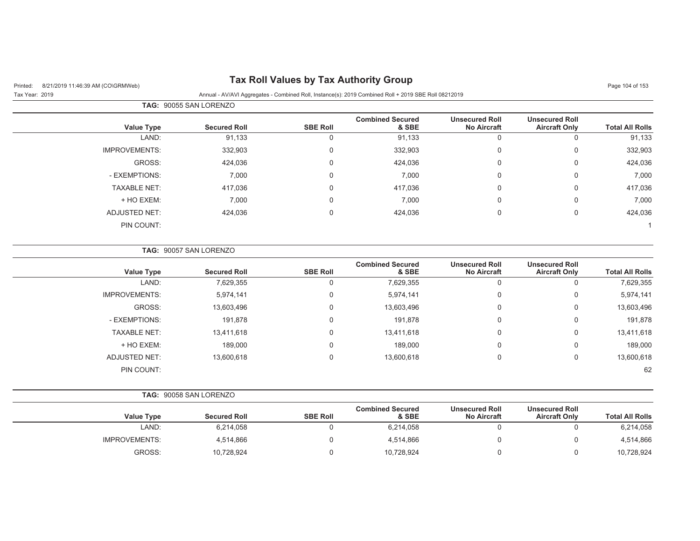## Printed: 8/21/2019 11:46:39 AM (CO\GRMWeb) **Tax Roll Values by Tax Authority Group** Page 104 of 153

#### Tax Year: 2019 Annual - AV/AVI Aggregates - Combined Roll, Instance(s): 2019 Combined Roll + 2019 SBE Roll 08212019

| <b>TAG: 90055 SAN LORENZO</b> |                     |                 |                                  |                                             |                                               |                        |
|-------------------------------|---------------------|-----------------|----------------------------------|---------------------------------------------|-----------------------------------------------|------------------------|
| <b>Value Type</b>             | <b>Secured Roll</b> | <b>SBE Roll</b> | <b>Combined Secured</b><br>& SBE | <b>Unsecured Roll</b><br><b>No Aircraft</b> | <b>Unsecured Roll</b><br><b>Aircraft Only</b> | <b>Total All Rolls</b> |
| LAND:                         | 91,133              | 0               | 91,133                           | 0                                           | 0                                             | 91,133                 |
| <b>IMPROVEMENTS:</b>          | 332,903             | $\mathbf 0$     | 332,903                          | $\mathbf 0$                                 | 0                                             | 332,903                |
| GROSS:                        | 424,036             | $\Omega$        | 424,036                          | $\mathbf 0$                                 | 0                                             | 424,036                |
| - EXEMPTIONS:                 | 7,000               | $\mathbf 0$     | 7,000                            | $\mathbf 0$                                 | 0                                             | 7,000                  |
| <b>TAXABLE NET:</b>           | 417,036             | $\Omega$        | 417,036                          | $\mathbf 0$                                 | 0                                             | 417,036                |
| + HO EXEM:                    | 7,000               | $\Omega$        | 7,000                            | 0                                           | 0                                             | 7,000                  |
| ADJUSTED NET:                 | 424,036             | $\Omega$        | 424,036                          | $\mathbf 0$                                 | 0                                             | 424,036                |
| PIN COUNT:                    |                     |                 |                                  |                                             |                                               |                        |

|                      | <b>TAG: 90057 SAN LORENZO</b> |                 |                                  |                                             |                                               |                        |
|----------------------|-------------------------------|-----------------|----------------------------------|---------------------------------------------|-----------------------------------------------|------------------------|
| <b>Value Type</b>    | <b>Secured Roll</b>           | <b>SBE Roll</b> | <b>Combined Secured</b><br>& SBE | <b>Unsecured Roll</b><br><b>No Aircraft</b> | <b>Unsecured Roll</b><br><b>Aircraft Only</b> | <b>Total All Rolls</b> |
| LAND:                | 7,629,355                     | U               | 7,629,355                        | 0                                           | 0                                             | 7,629,355              |
| <b>IMPROVEMENTS:</b> | 5,974,141                     | 0               | 5,974,141                        | 0                                           | 0                                             | 5,974,141              |
| GROSS:               | 13,603,496                    | $\mathbf 0$     | 13,603,496                       | 0                                           | 0                                             | 13,603,496             |
| - EXEMPTIONS:        | 191,878                       | 0               | 191,878                          | $\Omega$                                    | 0                                             | 191,878                |
| <b>TAXABLE NET:</b>  | 13,411,618                    | $\mathbf 0$     | 13,411,618                       | 0                                           | 0                                             | 13,411,618             |
| + HO EXEM:           | 189,000                       | $\Omega$        | 189,000                          | 0                                           | 0                                             | 189,000                |
| ADJUSTED NET:        | 13,600,618                    | 0               | 13,600,618                       | 0                                           | 0                                             | 13,600,618             |
| PIN COUNT:           |                               |                 |                                  |                                             |                                               | 62                     |

**TAG:** 90058 SAN LORENZO

|                      |                     |                 | <b>Combined Secured</b> | <b>Unsecured Roll</b> | <b>Unsecured Roll</b> |                        |
|----------------------|---------------------|-----------------|-------------------------|-----------------------|-----------------------|------------------------|
| Value Type           | <b>Secured Roll</b> | <b>SBE Roll</b> | & SBE                   | <b>No Aircraft</b>    | <b>Aircraft Only</b>  | <b>Total All Rolls</b> |
| LAND:                | 6,214,058           |                 | 6,214,058               |                       |                       | 6,214,058              |
| <b>IMPROVEMENTS:</b> | 4,514,866           |                 | 4,514,866               |                       |                       | 4,514,866              |
| GROSS:               | 10,728,924          |                 | 10,728,924              |                       |                       | 10,728,924             |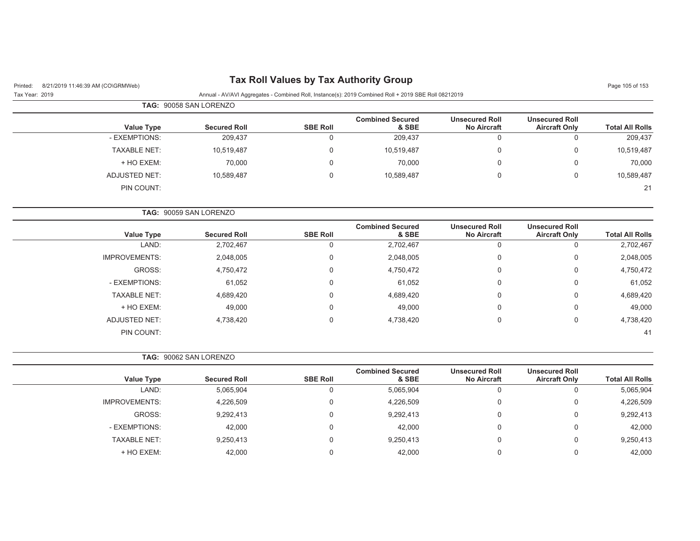## Printed: 8/21/2019 11:46:39 AM (CO\GRMWeb) **Tax Roll Values by Tax Authority Group** Page 105 of 153

Tax Year: 2019 Annual - AV/AVI Aggregates - Combined Roll, Instance(s): 2019 Combined Roll + 2019 SBE Roll 08212019

|                     | <b>TAG: 90058 SAN LORENZO</b> |                 |                                  |                                             |                                               |                        |
|---------------------|-------------------------------|-----------------|----------------------------------|---------------------------------------------|-----------------------------------------------|------------------------|
| Value Type          | <b>Secured Roll</b>           | <b>SBE Roll</b> | <b>Combined Secured</b><br>& SBE | <b>Unsecured Roll</b><br><b>No Aircraft</b> | <b>Unsecured Roll</b><br><b>Aircraft Only</b> | <b>Total All Rolls</b> |
| - EXEMPTIONS:       | 209,437                       |                 | 209,437                          | 0                                           |                                               | 209,437                |
| <b>TAXABLE NET:</b> | 10,519,487                    | 0               | 10,519,487                       | 0                                           | ι.                                            | 10,519,487             |
| + HO EXEM:          | 70,000                        | 0               | 70,000                           | 0                                           | 0                                             | 70,000                 |
| ADJUSTED NET:       | 10,589,487                    | 0               | 10,589,487                       | 0                                           | ι.                                            | 10,589,487             |
| PIN COUNT:          |                               |                 |                                  |                                             |                                               | 21                     |

| <b>TAG: 90059 SAN LORENZO</b> |                     |                 |                                  |                                             |                                               |                        |
|-------------------------------|---------------------|-----------------|----------------------------------|---------------------------------------------|-----------------------------------------------|------------------------|
| <b>Value Type</b>             | <b>Secured Roll</b> | <b>SBE Roll</b> | <b>Combined Secured</b><br>& SBE | <b>Unsecured Roll</b><br><b>No Aircraft</b> | <b>Unsecured Roll</b><br><b>Aircraft Only</b> | <b>Total All Rolls</b> |
| LAND:                         | 2,702,467           | 0               | 2,702,467                        | 0                                           | U                                             | 2,702,467              |
| <b>IMPROVEMENTS:</b>          | 2,048,005           | $\mathbf 0$     | 2,048,005                        | 0                                           | 0                                             | 2,048,005              |
| GROSS:                        | 4,750,472           | $\mathbf 0$     | 4,750,472                        | 0                                           | 0                                             | 4,750,472              |
| - EXEMPTIONS:                 | 61,052              | $\mathbf 0$     | 61,052                           | 0                                           | 0                                             | 61,052                 |
| <b>TAXABLE NET:</b>           | 4,689,420           | $\mathbf 0$     | 4,689,420                        | 0                                           | 0                                             | 4,689,420              |
| + HO EXEM:                    | 49,000              | $\mathbf 0$     | 49,000                           | 0                                           | 0                                             | 49,000                 |
| ADJUSTED NET:                 | 4,738,420           | $\mathbf 0$     | 4,738,420                        | 0                                           | 0                                             | 4,738,420              |
| PIN COUNT:                    |                     |                 |                                  |                                             |                                               | 41                     |

#### **TAG:** 90062 SAN LORENZO

| <b>Value Type</b>    | <b>Secured Roll</b> | <b>SBE Roll</b> | <b>Combined Secured</b><br>& SBE | <b>Unsecured Roll</b><br><b>No Aircraft</b> | <b>Unsecured Roll</b><br><b>Aircraft Only</b> | <b>Total All Rolls</b> |
|----------------------|---------------------|-----------------|----------------------------------|---------------------------------------------|-----------------------------------------------|------------------------|
| LAND:                | 5,065,904           | υ               | 5,065,904                        | U                                           | υ                                             | 5,065,904              |
| <b>IMPROVEMENTS:</b> | 4,226,509           | 0               | 4,226,509                        | $\Omega$                                    | 0                                             | 4,226,509              |
| GROSS:               | 9,292,413           | $\Omega$        | 9,292,413                        | $\Omega$                                    | 0                                             | 9,292,413              |
| - EXEMPTIONS:        | 42,000              | 0               | 42,000                           | U                                           | 0                                             | 42,000                 |
| <b>TAXABLE NET:</b>  | 9,250,413           | $\Omega$        | 9,250,413                        | 0                                           | 0                                             | 9,250,413              |
| + HO EXEM:           | 42.000              |                 | 42.000                           |                                             | 0                                             | 42,000                 |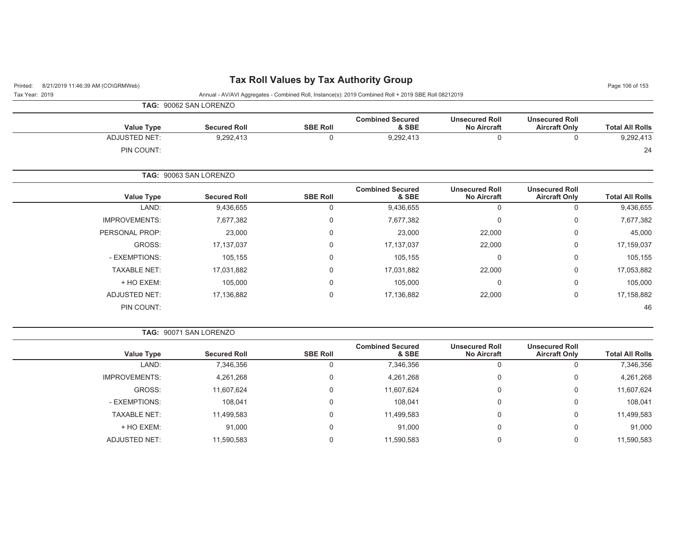| Tax Year: 2019 | Annual - AV/AVI Aggregates - Combined Roll, Instance(s): 2019 Combined Roll + 2019 SBE Roll 08212019 |
|----------------|------------------------------------------------------------------------------------------------------|

| TAG: 90062 SAN LORENZO |
|------------------------|

| <b>Value Type</b> | <b>Secured Roll</b>           | <b>SBE Roll</b> | <b>Combined Secured</b><br>& SBE | <b>Unsecured Roll</b><br><b>No Aircraft</b> | <b>Unsecured Roll</b><br><b>Aircraft Only</b> | <b>Total All Rolls</b> |
|-------------------|-------------------------------|-----------------|----------------------------------|---------------------------------------------|-----------------------------------------------|------------------------|
| ADJUSTED NET:     | 9,292,413                     |                 | 9,292,413                        | v                                           |                                               | 9,292,413              |
| PIN COUNT:        |                               |                 |                                  |                                             |                                               | 24                     |
|                   | <b>TAG: 90063 SAN LORENZO</b> |                 |                                  |                                             |                                               |                        |

|                        | <b>Unsecured Roll</b> | <b>Unsecured Roll</b> | <b>Combined Secured</b> |                 |                     |                      |
|------------------------|-----------------------|-----------------------|-------------------------|-----------------|---------------------|----------------------|
| <b>Total All Rolls</b> | <b>Aircraft Only</b>  | <b>No Aircraft</b>    | & SBE                   | <b>SBE Roll</b> | <b>Secured Roll</b> | <b>Value Type</b>    |
| 9,436,655              | Ü                     | O                     | 9,436,655               | υ               | 9,436,655           | LAND:                |
| 7,677,382              | 0                     | 0                     | 7,677,382               | $\Omega$        | 7,677,382           | <b>IMPROVEMENTS:</b> |
| 45,000                 | 0                     | 22,000                | 23,000                  |                 | 23,000              | PERSONAL PROP:       |
| 17,159,037             | 0                     | 22,000                | 17, 137, 037            |                 | 17,137,037          | GROSS:               |
| 105,155                | 0                     | 0                     | 105,155                 |                 | 105,155             | - EXEMPTIONS:        |
| 17,053,882             | 0                     | 22,000                | 17,031,882              | $\Omega$        | 17,031,882          | <b>TAXABLE NET:</b>  |
| 105,000                | 0                     | 0                     | 105,000                 |                 | 105,000             | + HO EXEM:           |
| 17,158,882             | 0                     | 22,000                | 17,136,882              | $\Omega$        | 17,136,882          | <b>ADJUSTED NET:</b> |
| 46                     |                       |                       |                         |                 |                     | PIN COUNT:           |
|                        |                       |                       |                         |                 |                     |                      |

|                      | <b>TAG: 90071 SAN LORENZO</b> |                 |                                  |                                             |                                               |                        |
|----------------------|-------------------------------|-----------------|----------------------------------|---------------------------------------------|-----------------------------------------------|------------------------|
| <b>Value Type</b>    | <b>Secured Roll</b>           | <b>SBE Roll</b> | <b>Combined Secured</b><br>& SBE | <b>Unsecured Roll</b><br><b>No Aircraft</b> | <b>Unsecured Roll</b><br><b>Aircraft Only</b> | <b>Total All Rolls</b> |
| LAND:                | 7,346,356                     | 0               | 7,346,356                        | U                                           |                                               | 7,346,356              |
| <b>IMPROVEMENTS:</b> | 4,261,268                     | 0               | 4,261,268                        | U                                           | 0                                             | 4,261,268              |
| GROSS:               | 11,607,624                    | 0               | 11,607,624                       | 0                                           | 0                                             | 11,607,624             |
| - EXEMPTIONS:        | 108.041                       | 0               | 108,041                          | 0                                           | 0                                             | 108,041                |
| TAXABLE NET:         | 11,499,583                    | 0               | 11,499,583                       | υ                                           | $\mathbf 0$                                   | 11,499,583             |
| + HO EXEM:           | 91,000                        | 0               | 91,000                           | 0                                           | 0                                             | 91,000                 |
| ADJUSTED NET:        | 11,590,583                    | 0               | 11,590,583                       | υ                                           | 0                                             | 11,590,583             |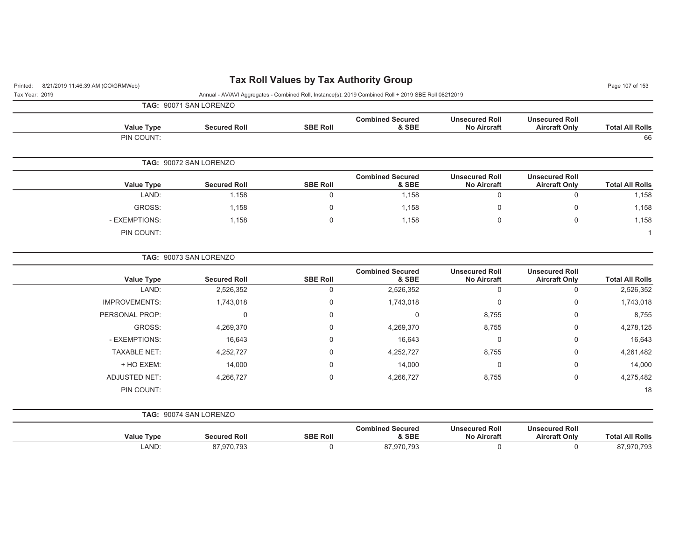# Printed: 8/21/2019 11:46:39 AM (CO\GRMWeb) **Tax Roll Values by Tax Authority Group** Page 107 of 153

| Tax Year: 2019 | Annual - AV/AVI Aggregates - Combined Roll, Instance(s): 2019 Combined Roll + 2019 SBE Roll 08212019 |
|----------------|------------------------------------------------------------------------------------------------------|

 $18$ 

|                        |                                               |                                             |                                  |                 | TAG: 90071 SAN LORENZO |                      |
|------------------------|-----------------------------------------------|---------------------------------------------|----------------------------------|-----------------|------------------------|----------------------|
| <b>Total All Rolls</b> | <b>Unsecured Roll</b><br><b>Aircraft Only</b> | <b>Unsecured Roll</b><br><b>No Aircraft</b> | <b>Combined Secured</b><br>& SBE | <b>SBE Roll</b> | <b>Secured Roll</b>    | <b>Value Type</b>    |
| 66                     |                                               |                                             |                                  |                 |                        | PIN COUNT:           |
|                        |                                               |                                             |                                  |                 | TAG: 90072 SAN LORENZO |                      |
| <b>Total All Rolls</b> | <b>Unsecured Roll</b><br><b>Aircraft Only</b> | <b>Unsecured Roll</b><br><b>No Aircraft</b> | <b>Combined Secured</b><br>& SBE | <b>SBE Roll</b> | <b>Secured Roll</b>    | <b>Value Type</b>    |
| 1,158                  | $\mathbf 0$                                   | $\mathbf 0$                                 | 1,158                            | $\mathbf 0$     | 1,158                  | LAND:                |
| 1,158                  | 0                                             | 0                                           | 1,158                            | 0               | 1,158                  | GROSS:               |
| 1,158                  | $\mathbf 0$                                   | 0                                           | 1,158                            | $\mathbf 0$     | 1,158                  | - EXEMPTIONS:        |
|                        |                                               |                                             |                                  |                 |                        | PIN COUNT:           |
|                        |                                               |                                             |                                  |                 | TAG: 90073 SAN LORENZO |                      |
| <b>Total All Rolls</b> | <b>Unsecured Roll</b><br><b>Aircraft Only</b> | <b>Unsecured Roll</b><br><b>No Aircraft</b> | <b>Combined Secured</b><br>& SBE | <b>SBE Roll</b> | <b>Secured Roll</b>    | <b>Value Type</b>    |
| 2,526,352              | 0                                             | $\mathbf 0$                                 | 2,526,352                        | $\mathbf 0$     | 2,526,352              | LAND:                |
| 1,743,018              | 0                                             | 0                                           | 1,743,018                        | $\mathbf 0$     | 1,743,018              | <b>IMPROVEMENTS:</b> |
| 8,755                  | 0                                             | 8,755                                       | 0                                | 0               | 0                      | PERSONAL PROP:       |
| 4,278,125              | 0                                             | 8,755                                       | 4,269,370                        | $\Omega$        | 4,269,370              | GROSS:               |
| 16,643                 | 0                                             | 0                                           | 16,643                           | $\Omega$        | 16,643                 | - EXEMPTIONS:        |
| 4,261,482              | 0                                             | 8,755                                       | 4,252,727                        | $\Omega$        | 4,252,727              | <b>TAXABLE NET:</b>  |
| 14,000                 | 0                                             | 0                                           | 14,000                           | $\Omega$        | 14,000                 | + HO EXEM:           |
| 4,275,482              | 0                                             | 8,755                                       | 4,266,727                        | $\mathbf 0$     | 4,266,727              | <b>ADJUSTED NET:</b> |

**TAG:** 90074 SAN LORENZO

PIN COUNT:

| <b>Value Type</b> | Secured Roll | <b>SBE Roll</b> | <b>Combined Secured</b><br><b>&amp; SBF</b>   | <b>Unsecured Roll</b><br><b>No Aircraft</b> | <b>Unsecured Roll</b><br><b>Aircraft Only</b> | <b>All Rolls</b><br>™ota⊾ |
|-------------------|--------------|-----------------|-----------------------------------------------|---------------------------------------------|-----------------------------------------------|---------------------------|
| LAND              | בחד חדה '    |                 | <b>703</b><br>7.07 <sub>1</sub><br>0.130<br>. |                                             |                                               | 70 702<br><u>v. 1 JJ</u>  |

е произведения произведения с произведения с произведения с произведения с произведения с произведения и на пр<br>В 18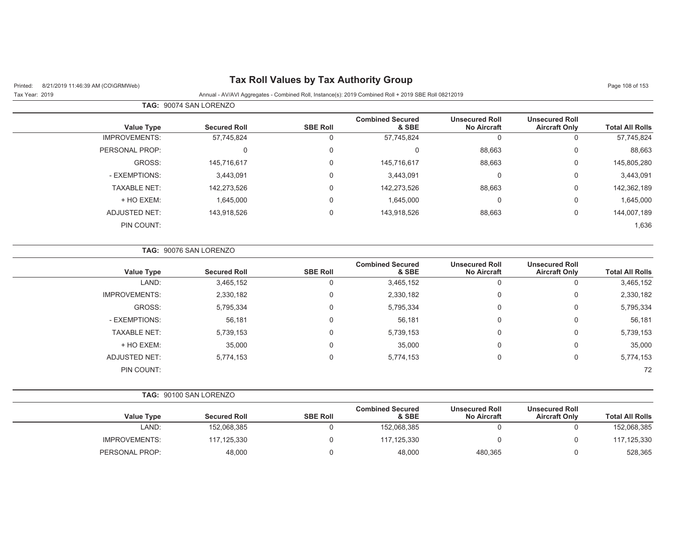## Printed: 8/21/2019 11:46:39 AM (CO\GRMWeb) **Tax Roll Values by Tax Authority Group**

Tax Year: 2019 Annual - AV/AVI Aggregates - Combined Roll, Instance(s): 2019 Combined Roll + 2019 SBE Roll 08212019

| Page 108 of 153 |  |  |  |
|-----------------|--|--|--|
|-----------------|--|--|--|

|                      | <b>TAG: 90074 SAN LORENZO</b> |                     |                 |                                  |                                             |                                               |                        |
|----------------------|-------------------------------|---------------------|-----------------|----------------------------------|---------------------------------------------|-----------------------------------------------|------------------------|
| <b>Value Type</b>    |                               | <b>Secured Roll</b> | <b>SBE Roll</b> | <b>Combined Secured</b><br>& SBE | <b>Unsecured Roll</b><br><b>No Aircraft</b> | <b>Unsecured Roll</b><br><b>Aircraft Only</b> | <b>Total All Rolls</b> |
| <b>IMPROVEMENTS:</b> |                               | 57,745,824          | 0               | 57,745,824                       | 0                                           | 0                                             | 57,745,824             |
| PERSONAL PROP:       |                               |                     | 0               | 0                                | 88,663                                      | 0                                             | 88,663                 |
|                      | GROSS:                        | 145,716,617         | 0               | 145,716,617                      | 88,663                                      | 0                                             | 145,805,280            |
| - EXEMPTIONS:        |                               | 3,443,091           | 0               | 3,443,091                        | $\Omega$                                    | $\mathbf{0}$                                  | 3,443,091              |
| <b>TAXABLE NET:</b>  |                               | 142,273,526         | 0               | 142,273,526                      | 88,663                                      | 0                                             | 142,362,189            |
| + HO EXEM:           |                               | 1,645,000           | 0               | 1,645,000                        | 0                                           | 0                                             | 1,645,000              |
| ADJUSTED NET:        |                               | 143,918,526         | 0               | 143,918,526                      | 88,663                                      | 0                                             | 144,007,189            |
| PIN COUNT:           |                               |                     |                 |                                  |                                             |                                               | 1,636                  |

|                      | <b>TAG: 90076 SAN LORENZO</b> |                 |                                  |                                             |                                               |                        |
|----------------------|-------------------------------|-----------------|----------------------------------|---------------------------------------------|-----------------------------------------------|------------------------|
| Value Type           | <b>Secured Roll</b>           | <b>SBE Roll</b> | <b>Combined Secured</b><br>& SBE | <b>Unsecured Roll</b><br><b>No Aircraft</b> | <b>Unsecured Roll</b><br><b>Aircraft Only</b> | <b>Total All Rolls</b> |
| LAND:                | 3,465,152                     | 0               | 3,465,152                        | 0                                           | 0                                             | 3,465,152              |
| <b>IMPROVEMENTS:</b> | 2,330,182                     | 0               | 2,330,182                        | 0                                           | 0                                             | 2,330,182              |
| GROSS:               | 5,795,334                     | 0               | 5,795,334                        | 0                                           | 0                                             | 5,795,334              |
| - EXEMPTIONS:        | 56,181                        | 0               | 56,181                           | 0                                           | 0                                             | 56,181                 |
| <b>TAXABLE NET:</b>  | 5,739,153                     | $\mathbf 0$     | 5,739,153                        | 0                                           | $\mathbf 0$                                   | 5,739,153              |
| + HO EXEM:           | 35,000                        | 0               | 35,000                           | 0                                           | 0                                             | 35,000                 |
| ADJUSTED NET:        | 5,774,153                     | 0               | 5,774,153                        | 0                                           | 0                                             | 5,774,153              |
| PIN COUNT:           |                               |                 |                                  |                                             |                                               | 72                     |

|  |  |  | TAG: 90100 SAN LORENZO |
|--|--|--|------------------------|
|--|--|--|------------------------|

|                   |                     |                 | <b>Combined Secured</b> | <b>Unsecured Roll</b> | <b>Unsecured Roll</b> |                        |
|-------------------|---------------------|-----------------|-------------------------|-----------------------|-----------------------|------------------------|
| <b>Value Type</b> | <b>Secured Roll</b> | <b>SBE Roll</b> | & SBE                   | <b>No Aircraft</b>    | <b>Aircraft Only</b>  | <b>Total All Rolls</b> |
| LAND:             | 152,068,385         |                 | 152,068,385             |                       |                       | 152,068,385            |
| IMPROVEMENTS:     | 117,125,330         |                 | 117.125.330             |                       |                       | 117,125,330            |
| PERSONAL PROP:    | 48,000              |                 | 48,000                  | 480,365               |                       | 528,365                |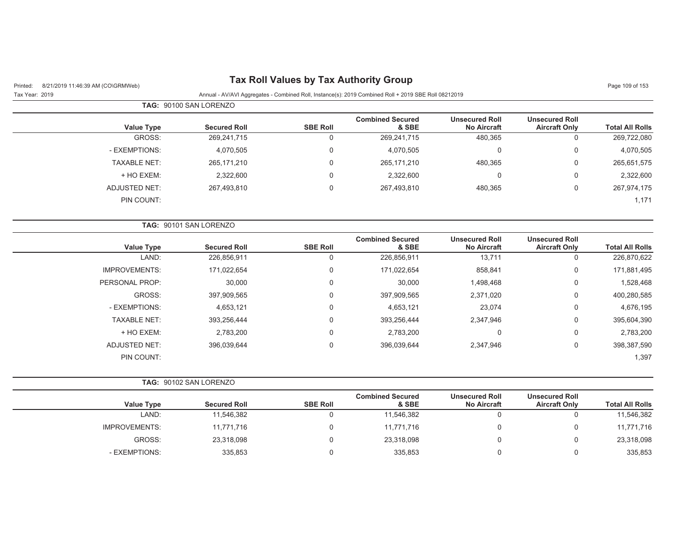| 8/21/2019 11:46:39 AM (CO\GRMWeb)<br>Printed: |                        | <b>Tax Roll Values by Tax Authority Group</b> |                                                                                                      |                                             |                                               | Page 109 of 153        |
|-----------------------------------------------|------------------------|-----------------------------------------------|------------------------------------------------------------------------------------------------------|---------------------------------------------|-----------------------------------------------|------------------------|
| Tax Year: 2019                                |                        |                                               | Annual - AV/AVI Aggregates - Combined Roll, Instance(s): 2019 Combined Roll + 2019 SBE Roll 08212019 |                                             |                                               |                        |
|                                               | TAG: 90100 SAN LORENZO |                                               |                                                                                                      |                                             |                                               |                        |
| <b>Value Type</b>                             | <b>Secured Roll</b>    | <b>SBE Roll</b>                               | <b>Combined Secured</b><br>& SBE                                                                     | <b>Unsecured Roll</b><br><b>No Aircraft</b> | <b>Unsecured Roll</b><br><b>Aircraft Only</b> | <b>Total All Rolls</b> |
| GROSS:                                        | 269,241,715            | $\mathbf 0$                                   | 269,241,715                                                                                          | 480,365                                     | $\mathbf 0$                                   | 269,722,080            |
| - EXEMPTIONS:                                 | 4,070,505              | 0                                             | 4,070,505                                                                                            | 0                                           | 0                                             | 4,070,505              |
| <b>TAXABLE NET:</b>                           | 265, 171, 210          | 0                                             | 265, 171, 210                                                                                        | 480,365                                     | 0                                             | 265,651,575            |
| + HO EXEM:                                    | 2,322,600              | $\Omega$                                      | 2,322,600                                                                                            | $\Omega$                                    | $\mathbf 0$                                   | 2,322,600              |
| <b>ADJUSTED NET:</b>                          | 267,493,810            | $\mathbf 0$                                   | 267,493,810                                                                                          | 480,365                                     | $\boldsymbol{0}$                              | 267,974,175            |
| PIN COUNT:                                    |                        |                                               |                                                                                                      |                                             |                                               | 1,171                  |
|                                               | TAG: 90101 SAN LORENZO |                                               |                                                                                                      |                                             |                                               |                        |
| <b>Value Type</b>                             | <b>Secured Roll</b>    | <b>SBE Roll</b>                               | <b>Combined Secured</b><br>& SBE                                                                     | <b>Unsecured Roll</b><br><b>No Aircraft</b> | <b>Unsecured Roll</b><br><b>Aircraft Only</b> | <b>Total All Rolls</b> |
| LAND:                                         | 226,856,911            | $\mathbf 0$                                   | 226,856,911                                                                                          | 13,711                                      | $\boldsymbol{0}$                              | 226,870,622            |
| <b>IMPROVEMENTS:</b>                          | 171,022,654            | 0                                             | 171,022,654                                                                                          | 858,841                                     | 0                                             | 171,881,495            |
| PERSONAL PROP:                                | 30,000                 | 0                                             | 30,000                                                                                               | 1,498,468                                   | $\mathbf 0$                                   | 1,528,468              |
| GROSS:                                        | 397,909,565            | 0                                             | 397,909,565                                                                                          | 2,371,020                                   | 0                                             | 400,280,585            |
| - EXEMPTIONS:                                 | 4,653,121              | 0                                             | 4,653,121                                                                                            | 23,074                                      | 0                                             | 4,676,195              |
| <b>TAXABLE NET:</b>                           | 393,256,444            | 0                                             | 393,256,444                                                                                          | 2,347,946                                   | 0                                             | 395,604,390            |
| + HO EXEM:                                    | 2,783,200              | $\mathbf 0$                                   | 2,783,200                                                                                            | $\mathbf 0$                                 | $\boldsymbol{0}$                              | 2,783,200              |
| <b>ADJUSTED NET:</b>                          | 396,039,644            | $\mathbf 0$                                   | 396,039,644                                                                                          | 2,347,946                                   | $\boldsymbol{0}$                              | 398,387,590            |
| PIN COUNT:                                    |                        |                                               |                                                                                                      |                                             |                                               | 1,397                  |
|                                               | TAG: 90102 SAN LORENZO |                                               |                                                                                                      |                                             |                                               |                        |
| <b>Value Type</b>                             | <b>Secured Roll</b>    | <b>SBE Roll</b>                               | <b>Combined Secured</b><br>& SBE                                                                     | <b>Unsecured Roll</b><br><b>No Aircraft</b> | <b>Unsecured Roll</b><br><b>Aircraft Only</b> | <b>Total All Rolls</b> |
| LAND:                                         | 11,546,382             | $\mathbf 0$                                   | 11,546,382                                                                                           | $\mathbf 0$                                 | $\boldsymbol{0}$                              | 11,546,382             |
| <b>IMPROVEMENTS:</b>                          | 11,771,716             | 0                                             | 11,771,716                                                                                           | 0                                           | $\Omega$                                      | 11,771,716             |
| GROSS:                                        | 23,318,098             | $\mathbf 0$                                   | 23,318,098                                                                                           | $\mathbf 0$                                 | $\Omega$                                      | 23,318,098             |
| - EXEMPTIONS:                                 | 335,853                | $\mathbf 0$                                   | 335,853                                                                                              | 0                                           | $\mathbf 0$                                   | 335,853                |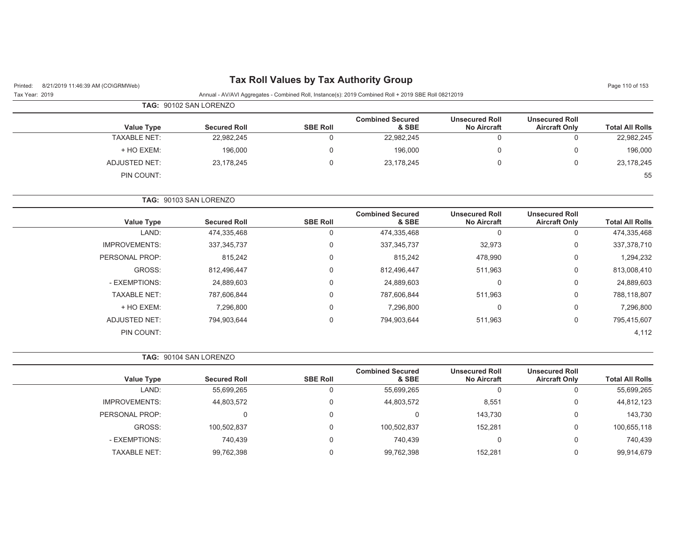|                                            | Tax Roll Values by Tax Authority Group |                 |
|--------------------------------------------|----------------------------------------|-----------------|
| Printed: 8/21/2019 11:46:39 AM (CO\GRMWeb) |                                        | Page 110 of 153 |

| Tax Year: 2019 |  | Annual - AV/AVI Aggregates - Combined Roll, Instance(s): 2019 Combined Roll + 2019 SBE Roll 08212019 |  |
|----------------|--|------------------------------------------------------------------------------------------------------|--|

|                        |                                               |                                             |                                  | <b>TAG: 90102 SAN LORENZO</b> |                     |                     |  |  |  |  |
|------------------------|-----------------------------------------------|---------------------------------------------|----------------------------------|-------------------------------|---------------------|---------------------|--|--|--|--|
| <b>Total All Rolls</b> | <b>Unsecured Roll</b><br><b>Aircraft Only</b> | <b>Unsecured Roll</b><br><b>No Aircraft</b> | <b>Combined Secured</b><br>& SBE | <b>SBE Roll</b>               | <b>Secured Roll</b> | <b>Value Type</b>   |  |  |  |  |
| 22,982,245             | 0                                             |                                             | 22,982,245                       | 0                             | 22,982,245          | <b>TAXABLE NET:</b> |  |  |  |  |
| 196,000                | $\Omega$                                      |                                             | 196,000                          | 0                             | 196,000             | + HO EXEM:          |  |  |  |  |
| 23,178,245             | 0                                             |                                             | 23,178,245                       | 0                             | 23,178,245          | ADJUSTED NET:       |  |  |  |  |
| 55                     |                                               |                                             |                                  |                               |                     | PIN COUNT:          |  |  |  |  |

#### **TAG:** 90103 SAN LORENZO

| <b>Value Type</b>    | <b>Secured Roll</b> | <b>SBE Roll</b> | <b>Combined Secured</b><br>& SBE | <b>Unsecured Roll</b><br><b>No Aircraft</b> | <b>Unsecured Roll</b><br><b>Aircraft Only</b> | <b>Total All Rolls</b> |
|----------------------|---------------------|-----------------|----------------------------------|---------------------------------------------|-----------------------------------------------|------------------------|
| LAND:                | 474,335,468         | $\Omega$        | 474,335,468                      | 0                                           | Ü                                             | 474,335,468            |
| <b>IMPROVEMENTS:</b> | 337, 345, 737       | $\Omega$        | 337, 345, 737                    | 32,973                                      | 0                                             | 337,378,710            |
| PERSONAL PROP:       | 815,242             | $\Omega$        | 815,242                          | 478,990                                     | 0                                             | 1,294,232              |
| GROSS:               | 812.496.447         | $\Omega$        | 812.496.447                      | 511,963                                     | 0                                             | 813,008,410            |
| - EXEMPTIONS:        | 24,889,603          | $\Omega$        | 24,889,603                       | 0                                           | 0                                             | 24,889,603             |
| <b>TAXABLE NET:</b>  | 787,606,844         | $\Omega$        | 787,606,844                      | 511,963                                     | 0                                             | 788,118,807            |
| + HO EXEM:           | 7,296,800           | $\Omega$        | 7,296,800                        | $\mathbf 0$                                 | 0                                             | 7,296,800              |
| <b>ADJUSTED NET:</b> | 794.903.644         | $\Omega$        | 794,903,644                      | 511,963                                     | 0                                             | 795,415,607            |
| PIN COUNT:           |                     |                 |                                  |                                             |                                               | 4,112                  |

#### **TAG:** 90104 SAN LORENZO

| <b>Value Type</b>    | <b>Secured Roll</b> | <b>SBE Roll</b> | <b>Combined Secured</b><br>& SBE | <b>Unsecured Roll</b><br><b>No Aircraft</b> | <b>Unsecured Roll</b><br><b>Aircraft Only</b> | <b>Total All Rolls</b> |
|----------------------|---------------------|-----------------|----------------------------------|---------------------------------------------|-----------------------------------------------|------------------------|
| LAND:                | 55,699,265          |                 | 55,699,265                       |                                             |                                               | 55,699,265             |
| <b>IMPROVEMENTS:</b> | 44,803,572          |                 | 44,803,572                       | 8,551                                       |                                               | 44,812,123             |
| PERSONAL PROP:       | 0                   |                 | $\Omega$                         | 143.730                                     |                                               | 143,730                |
| GROSS:               | 100,502,837         |                 | 100,502,837                      | 152,281                                     |                                               | 100,655,118            |
| - EXEMPTIONS:        | 740.439             |                 | 740.439                          |                                             |                                               | 740,439                |
| <b>TAXABLE NET:</b>  | 99,762,398          |                 | 99,762,398                       | 152.281                                     |                                               | 99,914,679             |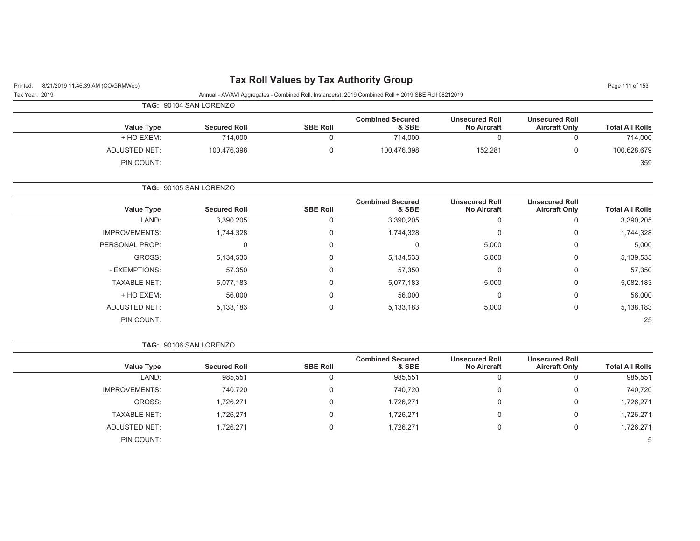#### Printed: 8/21/2019 11:46:39 AM (CO\GRMWeb) **Tax Roll Values by Tax Authority Group** Page 111:46:39 AM (CO\GRMWeb)

| Printed: 8/21/2019 11:46:39 AM (CO\GRMWeb) |                   |                               |                 |                                                                                                      |                                      |                                               | Page 111 or 153        |
|--------------------------------------------|-------------------|-------------------------------|-----------------|------------------------------------------------------------------------------------------------------|--------------------------------------|-----------------------------------------------|------------------------|
| Tax Year: 2019                             |                   |                               |                 | Annual - AV/AVI Aggregates - Combined Roll, Instance(s): 2019 Combined Roll + 2019 SBE Roll 08212019 |                                      |                                               |                        |
|                                            |                   | <b>TAG: 90104 SAN LORENZO</b> |                 |                                                                                                      |                                      |                                               |                        |
|                                            | <b>Value Type</b> | <b>Secured Roll</b>           | <b>SBE Roll</b> | <b>Combined Secured</b><br>& SBE                                                                     | <b>Unsecured Roll</b><br>No Aircraft | <b>Unsecured Roll</b><br><b>Aircraft Only</b> | <b>Total All Rolls</b> |
|                                            | + HO EXEM:        | 714.000                       |                 | 714.000                                                                                              |                                      |                                               | 714.000                |

**TAG:** 90105 SAN LORENZO

PIN COUNT:

**Value Type Secured Roll SBE Roll Combined Secured & SBEUnsecured Roll No AircraftUnsecured RollAircraft Only Total All Rolls** LAND: 3,390,205 0 3,390,205 0 0 3,390,205 IMPROVEMENTS: 1,744,328 0 0 1,744,328 0 1,744,328 0 1,744,328 PERSONAL PROP: 0 0 0 5,000 0 5,000 GROSS: 5,134,533 0 5,134,533 5,000 0 5,139,533 - EXEMPTIONS: 57,350 0 57,350 0 0 57,350 TAXABLE NET: 5,077,183 0 5,077,183 5,000 0 5,082,183 + HO EXEM: 56,000 0 56,000 0 0 56,000 ADJUSTED NET: 5,133,183 0 5,133,183 5,000 0 5,138,183 PIN COUNT:е произведения с произведения с произведения с произведения с произведения с произведения с произведения с про<br>С 1990 году с произведения с произведения с произведения с произведения с произведения с произведения с произв 25

ADJUSTED NET: 100,476,398 0 100,476,398 152,281 0 100,628,679

.<br>В 1992 — после применени при применении при применении при применении при применении при применении при приме

**TAG:** 90106 SAN LORENZO **Value Type Secured Roll SBE Roll Combined Secured & SBEUnsecured Roll No AircraftUnsecured RollAircraft Only Total All Rolls** LAND: 985,551 0 985,551 0 0 985,551 IMPROVEMENTS: 740,720 0 740,720 0 0 740,720 GROSS: 1,726,271 0 1,726,271 0 0 1,726,271 TAXABLE NET: 1,726,271 0 1,726,271 0 0 1,726,271 ADJUSTED NET: 1,726,271 0 1,726,271 0 1,726,271 0 1,726,271 0 1,726,271 PIN COUNT:.<br>В 1990 году в 1990 году в 1990 году в 1990 году в 1990 году в 1990 году в 1990 году в 1990 году в 1990 году в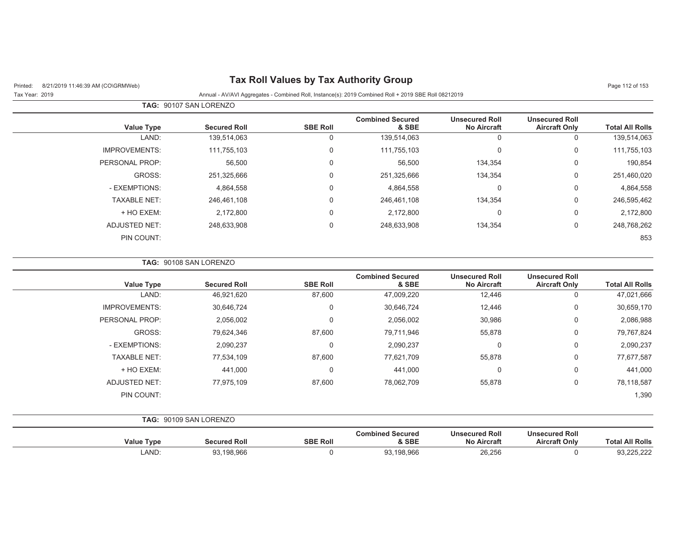| Printed: |  | 8/21/2019 11:46:39 AM (CO\GRMWeb) |
|----------|--|-----------------------------------|
|          |  |                                   |

# **Pax Roll Values by Tax Authority Group Page 112 of 153** Page 112 of 153

| Tax Year: 2019 | Annual - AV/AVI Aggregates - Combined Roll, Instance(s): 2019 Combined Roll + 2019 SBE Roll 08212019 |  |
|----------------|------------------------------------------------------------------------------------------------------|--|

|                        |                                               |                                             |                                  |                 | <b>TAG: 90107 SAN LORENZO</b> |                      |
|------------------------|-----------------------------------------------|---------------------------------------------|----------------------------------|-----------------|-------------------------------|----------------------|
| <b>Total All Rolls</b> | <b>Unsecured Roll</b><br><b>Aircraft Only</b> | <b>Unsecured Roll</b><br><b>No Aircraft</b> | <b>Combined Secured</b><br>& SBE | <b>SBE Roll</b> | <b>Secured Roll</b>           | <b>Value Type</b>    |
| 139,514,063            | 0                                             | 0                                           | 139,514,063                      | 0               | 139,514,063                   | LAND:                |
| 111,755,103            | 0                                             | 0                                           | 111,755,103                      | $\Omega$        | 111,755,103                   | <b>IMPROVEMENTS:</b> |
| 190,854                | $\mathbf 0$                                   | 134,354                                     | 56,500                           | $\Omega$        | 56,500                        | PERSONAL PROP:       |
| 251,460,020            | 0                                             | 134,354                                     | 251,325,666                      | $\Omega$        | 251,325,666                   | GROSS:               |
| 4,864,558              | $\mathbf 0$                                   | $\overline{0}$                              | 4,864,558                        | $\Omega$        | 4,864,558                     | - EXEMPTIONS:        |
| 246,595,462            | $\mathbf 0$                                   | 134,354                                     | 246.461.108                      | $\Omega$        | 246,461,108                   | <b>TAXABLE NET:</b>  |
| 2,172,800              | 0                                             | 0                                           | 2,172,800                        | $\Omega$        | 2,172,800                     | + HO EXEM:           |
| 248,768,262            | $\mathbf 0$                                   | 134,354                                     | 248,633,908                      | $\Omega$        | 248,633,908                   | <b>ADJUSTED NET:</b> |
| 853                    |                                               |                                             |                                  |                 |                               | PIN COUNT:           |

#### **TAG:** 90108 SAN LORENZO

| <b>Value Type</b>    | <b>Secured Roll</b> | <b>SBE Roll</b> | <b>Combined Secured</b><br>& SBE | <b>Unsecured Roll</b><br><b>No Aircraft</b> | <b>Unsecured Roll</b><br><b>Aircraft Only</b> | <b>Total All Rolls</b> |
|----------------------|---------------------|-----------------|----------------------------------|---------------------------------------------|-----------------------------------------------|------------------------|
| LAND:                | 46,921,620          | 87,600          | 47,009,220                       | 12,446                                      | 0                                             | 47,021,666             |
| <b>IMPROVEMENTS:</b> | 30,646,724          | 0               | 30,646,724                       | 12,446                                      | 0                                             | 30,659,170             |
| PERSONAL PROP:       | 2,056,002           | 0               | 2,056,002                        | 30,986                                      | 0                                             | 2,086,988              |
| GROSS:               | 79,624,346          | 87,600          | 79,711,946                       | 55,878                                      | 0                                             | 79,767,824             |
| - EXEMPTIONS:        | 2,090,237           | 0               | 2,090,237                        | 0                                           | 0                                             | 2,090,237              |
| <b>TAXABLE NET:</b>  | 77,534,109          | 87,600          | 77,621,709                       | 55,878                                      | 0                                             | 77,677,587             |
| + HO EXEM:           | 441,000             | 0               | 441,000                          | 0                                           | 0                                             | 441,000                |
| ADJUSTED NET:        | 77,975,109          | 87,600          | 78,062,709                       | 55,878                                      | 0                                             | 78,118,587             |
| PIN COUNT:           |                     |                 |                                  |                                             |                                               | 1,390                  |

|  | TAG: 90109 SAN LORENZO |
|--|------------------------|
|--|------------------------|

| Value Type | <b>Secured Roll</b> | <b>SBE Roll</b> | <b>Combined Secured</b><br>& SBE | <b>Unsecured Roll</b><br><b>No Aircraft</b> | <b>Unsecured Roll</b><br><b>Aircraft Only</b> | <b>All Rolls</b><br>⊺otai |
|------------|---------------------|-----------------|----------------------------------|---------------------------------------------|-----------------------------------------------|---------------------------|
| LAND       | 93,198,966          |                 | .198.966                         | ne nee<br>20,ZJC                            |                                               | $F \cap D$<br>SU.ZZZ      |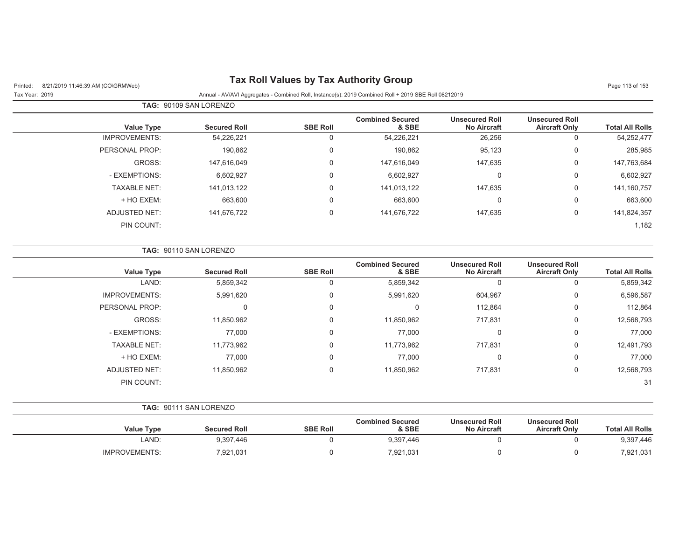## Printed: 8/21/2019 11:46:39 AM (CO\GRMWeb) **Tax Roll Values by Tax Authority Group** Page 11:46:39 AM (CO\GRMWeb)

|                      | <b>TAG: 90109 SAN LORENZO</b> |                 |                                  |                                             |                                               |                        |
|----------------------|-------------------------------|-----------------|----------------------------------|---------------------------------------------|-----------------------------------------------|------------------------|
| <b>Value Type</b>    | <b>Secured Roll</b>           | <b>SBE Roll</b> | <b>Combined Secured</b><br>& SBE | <b>Unsecured Roll</b><br><b>No Aircraft</b> | <b>Unsecured Roll</b><br><b>Aircraft Only</b> | <b>Total All Rolls</b> |
| <b>IMPROVEMENTS:</b> | 54,226,221                    | U               | 54,226,221                       | 26,256                                      | 0                                             | 54,252,477             |
| PERSONAL PROP:       | 190,862                       | $\mathbf 0$     | 190,862                          | 95,123                                      | 0                                             | 285,985                |
| GROSS:               | 147,616,049                   | $\Omega$        | 147,616,049                      | 147,635                                     | 0                                             | 147,763,684            |
| - EXEMPTIONS:        | 6,602,927                     | 0               | 6,602,927                        | 0                                           | 0                                             | 6,602,927              |
| <b>TAXABLE NET:</b>  | 141,013,122                   | $\Omega$        | 141,013,122                      | 147,635                                     | 0                                             | 141,160,757            |
| + HO EXEM:           | 663,600                       | $\mathbf 0$     | 663,600                          | 0                                           | 0                                             | 663,600                |
| <b>ADJUSTED NET:</b> | 141,676,722                   | $\Omega$        | 141,676,722                      | 147,635                                     | 0                                             | 141,824,357            |
| PIN COUNT:           |                               |                 |                                  |                                             |                                               | 1,182                  |

|                        |                                               |                                             | TAG: 90110 SAN LORENZO           |                 |                     |                      |  |  |  |
|------------------------|-----------------------------------------------|---------------------------------------------|----------------------------------|-----------------|---------------------|----------------------|--|--|--|
| <b>Total All Rolls</b> | <b>Unsecured Roll</b><br><b>Aircraft Only</b> | <b>Unsecured Roll</b><br><b>No Aircraft</b> | <b>Combined Secured</b><br>& SBE | <b>SBE Roll</b> | <b>Secured Roll</b> | <b>Value Type</b>    |  |  |  |
| 5,859,342              | $\Omega$                                      | $\Omega$                                    | 5,859,342                        | 0               | 5,859,342           | LAND:                |  |  |  |
| 6,596,587              | 0                                             | 604,967                                     | 5,991,620                        | 0               | 5,991,620           | <b>IMPROVEMENTS:</b> |  |  |  |
| 112,864                | $\mathbf 0$                                   | 112,864                                     | 0                                | 0               | $\Omega$            | PERSONAL PROP:       |  |  |  |
| 12,568,793             | 0                                             | 717,831                                     | 11,850,962                       | 0               | 11,850,962          | GROSS:               |  |  |  |
| 77,000                 | 0                                             | 0                                           | 77,000                           | 0               | 77,000              | - EXEMPTIONS:        |  |  |  |
| 12,491,793             | 0                                             | 717,831                                     | 11,773,962                       | 0               | 11,773,962          | <b>TAXABLE NET:</b>  |  |  |  |
| 77,000                 | $\mathbf 0$                                   | $\Omega$                                    | 77,000                           | 0               | 77,000              | + HO EXEM:           |  |  |  |
| 12,568,793             | $\mathbf 0$                                   | 717,831                                     | 11,850,962                       | 0               | 11,850,962          | <b>ADJUSTED NET:</b> |  |  |  |
| 31                     |                                               |                                             |                                  |                 |                     | PIN COUNT:           |  |  |  |

|                        |                                               |                                             |                                  | <b>TAG: 90111 SAN LORENZO</b> |                     |                   |  |  |  |
|------------------------|-----------------------------------------------|---------------------------------------------|----------------------------------|-------------------------------|---------------------|-------------------|--|--|--|
| <b>Total All Rolls</b> | <b>Unsecured Roll</b><br><b>Aircraft Only</b> | <b>Unsecured Roll</b><br><b>No Aircraft</b> | <b>Combined Secured</b><br>& SBE | <b>SBE Roll</b>               | <b>Secured Roll</b> | <b>Value Type</b> |  |  |  |
| 9,397,446              |                                               |                                             | 9,397,446                        |                               | 9,397,446           | LAND:             |  |  |  |
| 7,921,031              |                                               |                                             | 7,921,031                        |                               | 7,921,031           | IMPROVEMENTS:     |  |  |  |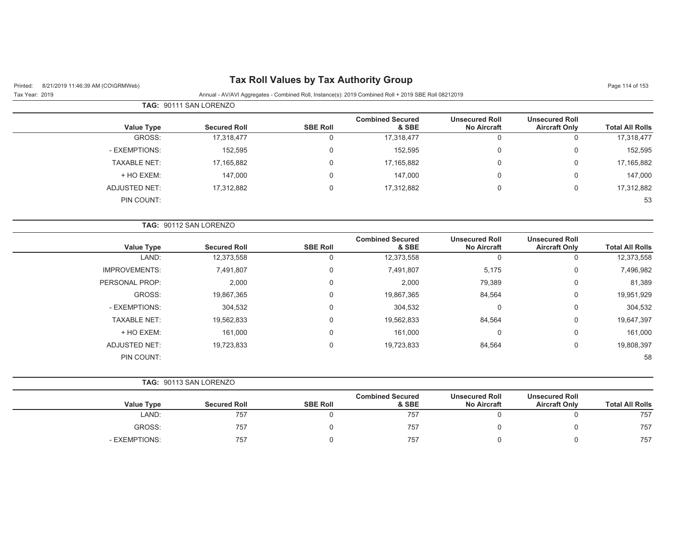| <b>Tax Roll Values by Tax Authority Group</b><br>8/21/2019 11:46:39 AM (CO\GRMWeb)<br>Printed: |                        |                 |                                                                                                      |                                             |                                               |                        |  |  |
|------------------------------------------------------------------------------------------------|------------------------|-----------------|------------------------------------------------------------------------------------------------------|---------------------------------------------|-----------------------------------------------|------------------------|--|--|
| Tax Year: 2019                                                                                 |                        |                 | Annual - AV/AVI Aggregates - Combined Roll, Instance(s): 2019 Combined Roll + 2019 SBE Roll 08212019 |                                             |                                               |                        |  |  |
|                                                                                                | TAG: 90111 SAN LORENZO |                 |                                                                                                      |                                             |                                               |                        |  |  |
| <b>Value Type</b>                                                                              | <b>Secured Roll</b>    | <b>SBE Roll</b> | <b>Combined Secured</b><br>& SBE                                                                     | <b>Unsecured Roll</b><br><b>No Aircraft</b> | <b>Unsecured Roll</b><br><b>Aircraft Only</b> | <b>Total All Rolls</b> |  |  |
| GROSS:                                                                                         | 17,318,477             | 0               | 17,318,477                                                                                           | $\mathbf 0$                                 | $\mathbf 0$                                   | 17,318,477             |  |  |
| - EXEMPTIONS:                                                                                  | 152,595                | 0               | 152,595                                                                                              | $\mathbf 0$                                 | $\mathbf 0$                                   | 152,595                |  |  |
| <b>TAXABLE NET:</b>                                                                            | 17,165,882             | 0               | 17,165,882                                                                                           | 0                                           | $\mathbf 0$                                   | 17,165,882             |  |  |
| + HO EXEM:                                                                                     | 147,000                | 0               | 147,000                                                                                              | 0                                           | 0                                             | 147,000                |  |  |
| <b>ADJUSTED NET:</b>                                                                           | 17,312,882             | 0               | 17,312,882                                                                                           | 0                                           | $\mathbf 0$                                   | 17,312,882             |  |  |
| PIN COUNT:                                                                                     |                        |                 |                                                                                                      |                                             |                                               | 53                     |  |  |
|                                                                                                | TAG: 90112 SAN LORENZO |                 |                                                                                                      |                                             |                                               |                        |  |  |
| <b>Value Type</b>                                                                              | <b>Secured Roll</b>    | <b>SBE Roll</b> | <b>Combined Secured</b><br>& SBE                                                                     | <b>Unsecured Roll</b><br><b>No Aircraft</b> | <b>Unsecured Roll</b><br><b>Aircraft Only</b> | <b>Total All Rolls</b> |  |  |
| LAND:                                                                                          | 12,373,558             | $\mathbf 0$     | 12,373,558                                                                                           | 0                                           | $\mathbf 0$                                   | 12,373,558             |  |  |
| <b>IMPROVEMENTS:</b>                                                                           | 7,491,807              | 0               | 7,491,807                                                                                            | 5,175                                       | $\mathbf 0$                                   | 7,496,982              |  |  |
| PERSONAL PROP:                                                                                 | 2,000                  | 0               | 2,000                                                                                                | 79,389                                      | 0                                             | 81,389                 |  |  |
| GROSS:                                                                                         | 19,867,365             | $\mathbf 0$     | 19,867,365                                                                                           | 84,564                                      | $\mathbf 0$                                   | 19,951,929             |  |  |
| - EXEMPTIONS:                                                                                  | 304,532                | 0               | 304,532                                                                                              | 0                                           | $\mathbf 0$                                   | 304,532                |  |  |
| <b>TAXABLE NET:</b>                                                                            | 19,562,833             | 0               | 19,562,833                                                                                           | 84,564                                      | 0                                             | 19,647,397             |  |  |
| + HO EXEM:                                                                                     | 161,000                | 0               | 161,000                                                                                              | 0                                           | 0                                             | 161,000                |  |  |
| <b>ADJUSTED NET:</b>                                                                           | 19,723,833             | 0               | 19,723,833                                                                                           | 84,564                                      | $\mathbf 0$                                   | 19,808,397             |  |  |
| PIN COUNT:                                                                                     |                        |                 |                                                                                                      |                                             |                                               | 58                     |  |  |
|                                                                                                | TAG: 90113 SAN LORENZO |                 |                                                                                                      |                                             |                                               |                        |  |  |
| <b>Value Type</b>                                                                              | <b>Secured Roll</b>    | <b>SBE Roll</b> | <b>Combined Secured</b><br>& SBE                                                                     | <b>Unsecured Roll</b><br><b>No Aircraft</b> | <b>Unsecured Roll</b><br><b>Aircraft Only</b> | <b>Total All Rolls</b> |  |  |
| LAND:                                                                                          | 757                    | $\mathbf 0$     | 757                                                                                                  | 0                                           | $\mathbf 0$                                   | 757                    |  |  |
| GROSS:                                                                                         | 757                    | 0               | 757                                                                                                  | 0                                           | $\mathbf 0$                                   | 757                    |  |  |

- EXEMPTIONS: 757 0 757 0 0 757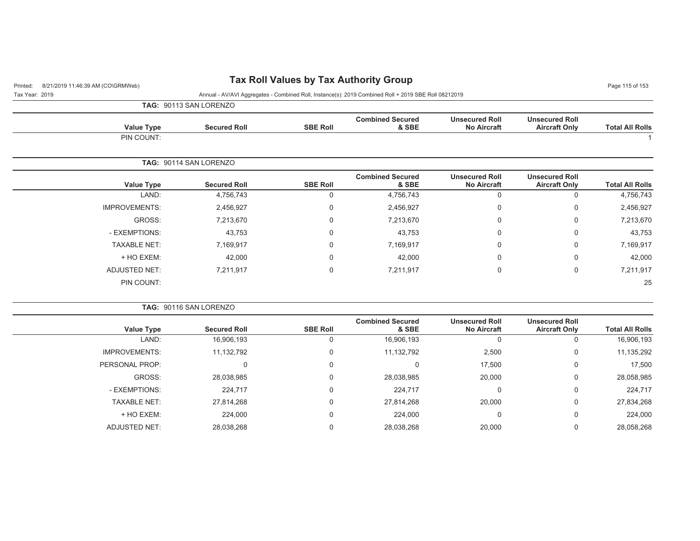## Printed: 8/21/2019 11:46:39 AM (CO\GRMWeb) **Tax Roll Values by Tax Authority Group** Page 115 of 153

Tax Year: 2019 Annual - AV/AVI Aggregates - Combined Roll, Instance(s): 2019 Combined Roll + 2019 SBE Roll 08212019

**TAG:** 90113 SAN LORENZO

| <b>Value Type</b> | <b>Secured Roll</b>           | <b>SBE Roll</b> | <b>Combined Secured</b><br>& SBE                       | <b>Unsecured Roll</b><br><b>No Aircraft</b> | <b>Unsecured Roll</b><br><b>Aircraft Only</b> | <b>Total All Rolls</b> |
|-------------------|-------------------------------|-----------------|--------------------------------------------------------|---------------------------------------------|-----------------------------------------------|------------------------|
| PIN COUNT:        |                               |                 |                                                        |                                             |                                               |                        |
|                   | <b>TAG: 90114 SAN LORENZO</b> |                 |                                                        |                                             |                                               |                        |
| .                 | .<br>$\sim$                   | $\cdots$        | <b>Combined Secured</b><br>$\sim$ $\sim$ $\sim$ $\sim$ | <b>Unsecured Roll</b>                       | <b>Unsecured Roll</b><br>.                    | _ _ _ _ _ _ _ _        |

| <b>Total All Rolls</b> | <b>Aircraft Only</b> | <b>No Aircraft</b> | & SBE     | <b>SBE Roll</b> | <b>Secured Roll</b> | Value Type           |
|------------------------|----------------------|--------------------|-----------|-----------------|---------------------|----------------------|
| 4,756,743              |                      | v                  | 4,756,743 |                 | 4,756,743           | LAND:                |
| 2,456,927              | 0                    | U                  | 2,456,927 |                 | 2,456,927           | <b>IMPROVEMENTS:</b> |
| 7,213,670              | 0                    | υ                  | 7,213,670 |                 | 7,213,670           | GROSS:               |
| 43,753                 | 0                    | υ                  | 43,753    |                 | 43,753              | - EXEMPTIONS:        |
| 7,169,917              | 0                    | υ                  | 7,169,917 |                 | 7,169,917           | <b>TAXABLE NET:</b>  |
| 42,000                 | 0                    | υ                  | 42,000    |                 | 42,000              | + HO EXEM:           |
| 7,211,917              | 0                    | U                  | 7,211,917 |                 | 7,211,917           | <b>ADJUSTED NET:</b> |
| 25                     |                      |                    |           |                 |                     | PIN COUNT:           |
|                        |                      |                    |           |                 |                     |                      |

| <b>TAG: 90116 SAN LORENZO</b> |                 |                                  |                                             |                                               |                        |
|-------------------------------|-----------------|----------------------------------|---------------------------------------------|-----------------------------------------------|------------------------|
| <b>Secured Roll</b>           | <b>SBE Roll</b> | <b>Combined Secured</b><br>& SBE | <b>Unsecured Roll</b><br><b>No Aircraft</b> | <b>Unsecured Roll</b><br><b>Aircraft Only</b> | <b>Total All Rolls</b> |
| 16,906,193                    | U               | 16,906,193                       | 0                                           |                                               | 16,906,193             |
| 11,132,792                    | $\Omega$        | 11,132,792                       | 2,500                                       | 0                                             | 11,135,292             |
| 0                             | $\mathbf 0$     | 0                                | 17.500                                      | 0                                             | 17,500                 |
| 28,038,985                    | $\Omega$        | 28,038,985                       | 20,000                                      | 0                                             | 28,058,985             |
| 224,717                       | $\Omega$        | 224,717                          | $\Omega$                                    | 0                                             | 224,717                |
| 27,814,268                    | $\Omega$        | 27,814,268                       | 20,000                                      | 0                                             | 27,834,268             |
| 224,000                       | $\Omega$        | 224,000                          | $\Omega$                                    | 0                                             | 224,000                |
| 28,038,268                    | 0               | 28,038,268                       | 20,000                                      | 0                                             | 28,058,268             |
|                               |                 |                                  |                                             |                                               |                        |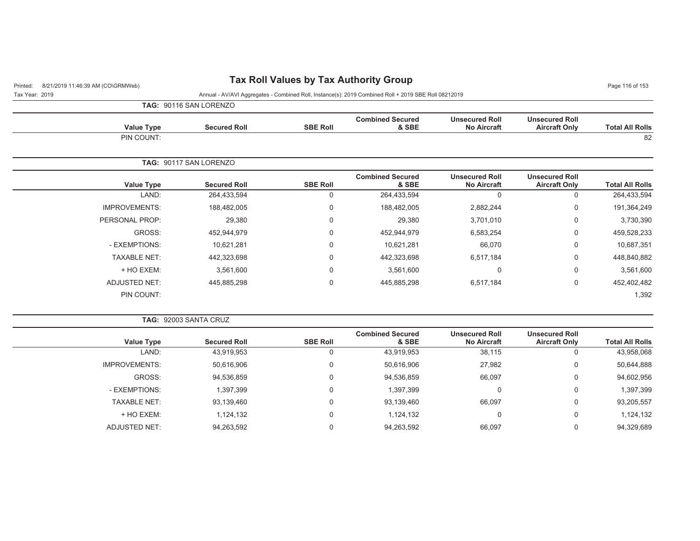## Printed: 8/21/2019 11:46:39 AM (CO\GRMWeb) **Tax Roll Values by Tax Authority Group** Page 11:46:39 AM (CO\GRMWeb)

| TAG: 90116 SAN LORENZO |
|------------------------|

|                        | <b>Unsecured Roll</b>                         | <b>Unsecured Roll</b>                       | <b>Combined Secured</b>          |                 |                        |                      |
|------------------------|-----------------------------------------------|---------------------------------------------|----------------------------------|-----------------|------------------------|----------------------|
| <b>Total All Rolls</b> | <b>Aircraft Only</b>                          | <b>No Aircraft</b>                          | & SBE                            | <b>SBE Roll</b> | <b>Secured Roll</b>    | <b>Value Type</b>    |
| 82                     |                                               |                                             |                                  |                 |                        | PIN COUNT:           |
|                        |                                               |                                             |                                  |                 | TAG: 90117 SAN LORENZO |                      |
| <b>Total All Rolls</b> | <b>Unsecured Roll</b><br><b>Aircraft Only</b> | <b>Unsecured Roll</b><br><b>No Aircraft</b> | <b>Combined Secured</b><br>& SBE | <b>SBE Roll</b> | <b>Secured Roll</b>    | <b>Value Type</b>    |
| 264,433,594            | 0                                             | $\Omega$                                    | 264,433,594                      | 0               | 264,433,594            | LAND:                |
| 191,364,249            | $\mathbf 0$                                   | 2,882,244                                   | 188,482,005                      | $\mathbf 0$     | 188,482,005            | <b>IMPROVEMENTS:</b> |
| 3,730,390              | $\mathbf 0$                                   | 3,701,010                                   | 29,380                           | 0               | 29,380                 | PERSONAL PROP:       |
| 459,528,233            | 0                                             | 6,583,254                                   | 452,944,979                      | 0               | 452,944,979            | GROSS:               |
| 10,687,351             | 0                                             | 66,070                                      | 10,621,281                       | 0               | 10,621,281             | - EXEMPTIONS:        |
| 448,840,882            | 0                                             | 6,517,184                                   | 442,323,698                      | 0               | 442,323,698            | <b>TAXABLE NET:</b>  |
| 3,561,600              | 0                                             | $\Omega$                                    | 3,561,600                        | 0               | 3,561,600              | + HO EXEM:           |
| 452,402,482            | 0                                             | 6,517,184                                   | 445,885,298                      | 0               | 445,885,298            | <b>ADJUSTED NET:</b> |
| 1,392                  |                                               |                                             |                                  |                 |                        | PIN COUNT:           |

| <b>TAG: 92003 SANTA CRUZ</b> |
|------------------------------|
|                              |

| <b>Value Type</b>    | <b>Secured Roll</b> | <b>SBE Roll</b> | <b>Combined Secured</b><br>& SBE | <b>Unsecured Roll</b><br><b>No Aircraft</b> | <b>Unsecured Roll</b><br><b>Aircraft Only</b> | <b>Total All Rolls</b> |
|----------------------|---------------------|-----------------|----------------------------------|---------------------------------------------|-----------------------------------------------|------------------------|
| LAND:                | 43,919,953          | υ               | 43,919,953                       | 38,115                                      | 0                                             | 43,958,068             |
| <b>IMPROVEMENTS:</b> | 50,616,906          | 0               | 50,616,906                       | 27,982                                      | 0                                             | 50,644,888             |
| GROSS:               | 94.536.859          | 0               | 94,536,859                       | 66.097                                      | 0                                             | 94,602,956             |
| - EXEMPTIONS:        | 1,397,399           | 0               | 1,397,399                        | U                                           | 0                                             | 1,397,399              |
| <b>TAXABLE NET:</b>  | 93,139,460          | 0               | 93,139,460                       | 66,097                                      | 0                                             | 93,205,557             |
| + HO EXEM:           | 1,124,132           | 0               | 1,124,132                        | 0                                           | 0                                             | 1,124,132              |
| <b>ADJUSTED NET:</b> | 94,263,592          | υ               | 94,263,592                       | 66,097                                      | 0                                             | 94,329,689             |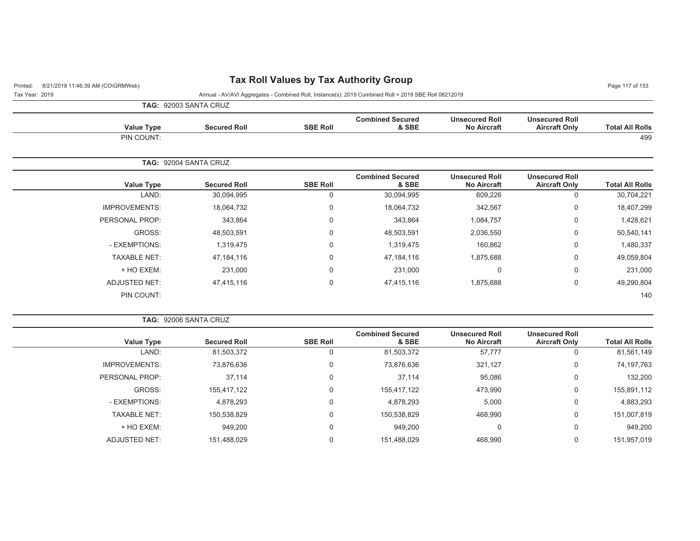## Printed: 8/21/2019 11:46:39 AM (CO\GRMWeb) **Tax Roll Values by Tax Authority Group** Page 117 of 153

Tax Year: 2019 Annual - AV/AVI Aggregates - Combined Roll, Instance(s): 2019 Combined Roll + 2019 SBE Roll 08212019

**TAG:** 92003 SANTA CRUZ

|                        |                                               |                                             |                                  |                 | <b>IAG.</b> <i>J</i> ZUUJ UAN IA UNUZ |                      |
|------------------------|-----------------------------------------------|---------------------------------------------|----------------------------------|-----------------|---------------------------------------|----------------------|
| <b>Total All Rolls</b> | <b>Unsecured Roll</b><br><b>Aircraft Only</b> | <b>Unsecured Roll</b><br><b>No Aircraft</b> | <b>Combined Secured</b><br>& SBE | <b>SBE Roll</b> | <b>Secured Roll</b>                   | <b>Value Type</b>    |
| 499                    |                                               |                                             |                                  |                 |                                       | PIN COUNT:           |
|                        |                                               |                                             |                                  |                 | TAG: 92004 SANTA CRUZ                 |                      |
| <b>Total All Rolls</b> | <b>Unsecured Roll</b><br><b>Aircraft Only</b> | <b>Unsecured Roll</b><br><b>No Aircraft</b> | <b>Combined Secured</b><br>& SBE | <b>SBE Roll</b> | <b>Secured Roll</b>                   | Value Type           |
| 30,704,221             | 0                                             | 609,226                                     | 30,094,995                       | 0               | 30,094,995                            | LAND:                |
| 18,407,299             | 0                                             | 342,567                                     | 18,064,732                       | 0               | 18,064,732                            | <b>IMPROVEMENTS:</b> |
| 1,428,621              | 0                                             | 1,084,757                                   | 343,864                          | $\mathbf 0$     | 343,864                               | PERSONAL PROP:       |
| 50,540,141             | 0                                             | 2,036,550                                   | 48,503,591                       | 0               | 48,503,591                            | GROSS:               |
| 1,480,337              | 0                                             | 160,862                                     | 1,319,475                        | $\mathbf 0$     | 1,319,475                             | - EXEMPTIONS:        |
| 49,059,804             | 0                                             | 1,875,688                                   | 47,184,116                       | 0               | 47,184,116                            | <b>TAXABLE NET:</b>  |
| 231,000                | 0                                             | 0                                           | 231,000                          | $\mathbf 0$     | 231,000                               | + HO EXEM:           |
| 49,290,804             | 0                                             | 1,875,688                                   | 47,415,116                       | 0               | 47,415,116                            | <b>ADJUSTED NET:</b> |
| 140                    |                                               |                                             |                                  |                 |                                       | PIN COUNT:           |

|  | <b>TAG: 92006 SANTA CRUZ</b> |  |
|--|------------------------------|--|
|  |                              |  |

| <b>Value Type</b>    | <b>Secured Roll</b> | <b>SBE Roll</b> | <b>Combined Secured</b><br>& SBE | <b>Unsecured Roll</b><br><b>No Aircraft</b> | <b>Unsecured Roll</b><br><b>Aircraft Only</b> | <b>Total All Rolls</b> |
|----------------------|---------------------|-----------------|----------------------------------|---------------------------------------------|-----------------------------------------------|------------------------|
| LAND:                | 81,503,372          | O               | 81,503,372                       | 57,777                                      |                                               | 81,561,149             |
| <b>IMPROVEMENTS:</b> | 73,876,636          | 0               | 73,876,636                       | 321,127                                     | 0                                             | 74,197,763             |
| PERSONAL PROP:       | 37,114              | 0               | 37,114                           | 95,086                                      | 0                                             | 132,200                |
| GROSS:               | 155,417,122         | 0               | 155,417,122                      | 473,990                                     | 0                                             | 155,891,112            |
| - EXEMPTIONS:        | 4,878,293           | 0               | 4,878,293                        | 5,000                                       | $\Omega$                                      | 4,883,293              |
| <b>TAXABLE NET:</b>  | 150,538,829         |                 | 150,538,829                      | 468,990                                     | $\Omega$                                      | 151,007,819            |
| + HO EXEM:           | 949,200             | 0               | 949,200                          | 0                                           | 0                                             | 949,200                |
| ADJUSTED NET:        | 151,488,029         |                 | 151,488,029                      | 468,990                                     |                                               | 151,957,019            |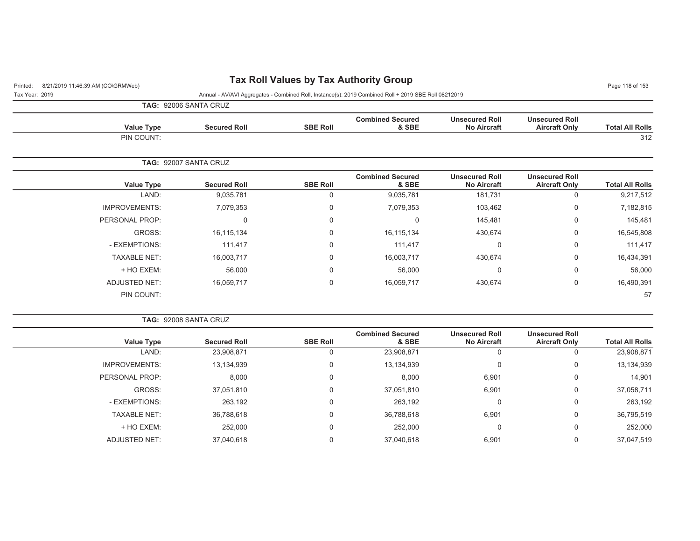## Printed: 8/21/2019 11:46:39 AM (CO\GRMWeb) **Tax Roll Values by Tax Authority Group** Page 11:46:39 AM (CO\GRMWeb)

|                        |                                               |                                             |                                  |                 | <b>TAG: 92006 SANTA CRUZ</b> |                   |
|------------------------|-----------------------------------------------|---------------------------------------------|----------------------------------|-----------------|------------------------------|-------------------|
| <b>Total All Rolls</b> | <b>Unsecured Roll</b><br><b>Aircraft Only</b> | <b>Unsecured Roll</b><br><b>No Aircraft</b> | <b>Combined Secured</b><br>& SBE | <b>SBE Roll</b> | <b>Secured Roll</b>          | <b>Value Type</b> |
| 312                    |                                               |                                             |                                  |                 |                              | PIN COUNT:        |
|                        |                                               |                                             |                                  |                 | <b>TAG: 92007 SANTA CRUZ</b> |                   |
| <b>Total All Rolls</b> | <b>Unsecured Roll</b><br><b>Aircraft Only</b> | <b>Unsecured Roll</b><br><b>No Aircraft</b> | <b>Combined Secured</b><br>& SBE | <b>SBE Roll</b> | <b>Secured Roll</b>          | <b>Value Type</b> |
| 9,217,512              |                                               | 181.731                                     | 9,035,781                        | 0               | 9,035,781                    | LAND:             |

| 9,217,512  | 0 | 181, 731 | 9,035,781  |   | 9,035,781  | LAND:                |
|------------|---|----------|------------|---|------------|----------------------|
| 7,182,815  | 0 | 103,462  | 7,079,353  | U | 7,079,353  | <b>IMPROVEMENTS:</b> |
| 145,481    | 0 | 145,481  |            | 0 | 0          | PERSONAL PROP:       |
| 16,545,808 | 0 | 430,674  | 16,115,134 | U | 16,115,134 | GROSS:               |
| 111,417    | 0 | 0        | 111,417    | 0 | 111,417    | - EXEMPTIONS:        |
| 16,434,391 | 0 | 430,674  | 16,003,717 |   | 16,003,717 | <b>TAXABLE NET:</b>  |
| 56,000     | 0 | 0        | 56,000     | 0 | 56,000     | + HO EXEM:           |
| 16,490,391 | 0 | 430,674  | 16,059,717 | 0 | 16,059,717 | <b>ADJUSTED NET:</b> |
| 57         |   |          |            |   |            | PIN COUNT:           |
|            |   |          |            |   |            |                      |

|  | <b>TAG: 92008 SANTA CRUZ</b> |  |
|--|------------------------------|--|
|  |                              |  |

| <b>Value Type</b>    | <b>Secured Roll</b> | <b>SBE Roll</b> | <b>Combined Secured</b><br>& SBE | <b>Unsecured Roll</b><br><b>No Aircraft</b> | <b>Unsecured Roll</b><br><b>Aircraft Only</b> | <b>Total All Rolls</b> |
|----------------------|---------------------|-----------------|----------------------------------|---------------------------------------------|-----------------------------------------------|------------------------|
| LAND:                | 23,908,871          | 0               | 23,908,871                       |                                             |                                               | 23,908,871             |
| <b>IMPROVEMENTS:</b> | 13,134,939          | 0               | 13,134,939                       | 0                                           | 0                                             | 13,134,939             |
| PERSONAL PROP:       | 8,000               | 0               | 8,000                            | 6,901                                       | $\Omega$                                      | 14,901                 |
| GROSS:               | 37,051,810          | 0               | 37,051,810                       | 6,901                                       | $\Omega$                                      | 37,058,711             |
| - EXEMPTIONS:        | 263,192             | 0               | 263,192                          | υ                                           | $\mathbf 0$                                   | 263,192                |
| <b>TAXABLE NET:</b>  | 36,788,618          | 0               | 36,788,618                       | 6,901                                       | $\mathbf 0$                                   | 36,795,519             |
| + HO EXEM:           | 252,000             | 0               | 252,000                          |                                             | $\Omega$                                      | 252,000                |
| <b>ADJUSTED NET:</b> | 37,040,618          | 0               | 37,040,618                       | 6,901                                       | $\Omega$                                      | 37,047,519             |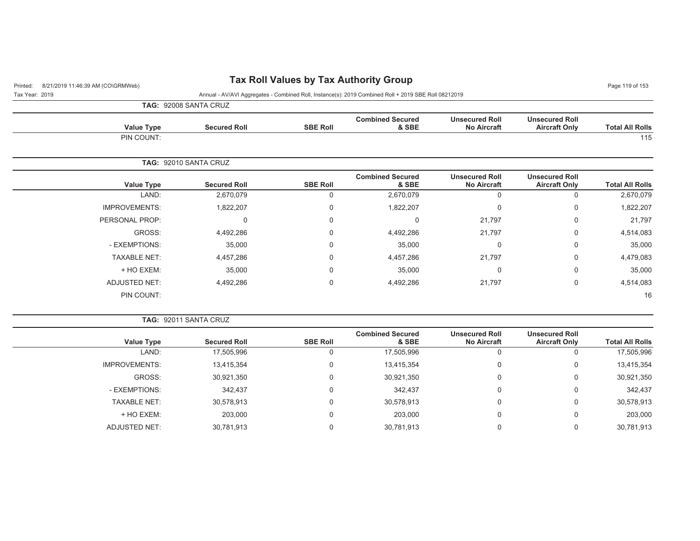## Printed: 8/21/2019 11:46:39 AM (CO\GRMWeb) **Tax Roll Values by Tax Authority Group** Page 11:46:39 AM (CO\GRMWeb)

| <b>Value Type</b> | <b>Secured Roll</b> | <b>SBE Roll</b> | <b>Combined Secured</b><br>& SBE | <b>Unsecured Roll</b><br><b>No Aircraft</b> | <b>Unsecured Roll</b><br><b>Aircraft Only</b> | <b>Total All Rolls</b> |
|-------------------|---------------------|-----------------|----------------------------------|---------------------------------------------|-----------------------------------------------|------------------------|
| PIN COUNT:        |                     |                 |                                  |                                             |                                               | 115                    |

|                        |                                               |                                             |                                  |                 | <b>TAG: 92010 SANTA CRUZ</b> |                      |
|------------------------|-----------------------------------------------|---------------------------------------------|----------------------------------|-----------------|------------------------------|----------------------|
| <b>Total All Rolls</b> | <b>Unsecured Roll</b><br><b>Aircraft Only</b> | <b>Unsecured Roll</b><br><b>No Aircraft</b> | <b>Combined Secured</b><br>& SBE | <b>SBE Roll</b> | <b>Secured Roll</b>          | <b>Value Type</b>    |
| 2,670,079              | 0                                             | 0                                           | 2,670,079                        |                 | 2,670,079                    | LAND:                |
| 1,822,207              | 0                                             | 0                                           | 1,822,207                        | 0               | 1,822,207                    | <b>IMPROVEMENTS:</b> |
| 21,797                 | 0                                             | 21,797                                      |                                  |                 | 0                            | PERSONAL PROP:       |
| 4,514,083              | 0                                             | 21,797                                      | 4,492,286                        | $\Omega$        | 4,492,286                    | GROSS:               |
| 35,000                 | 0                                             | 0                                           | 35,000                           |                 | 35,000                       | - EXEMPTIONS:        |
| 4,479,083              | 0                                             | 21,797                                      | 4,457,286                        |                 | 4,457,286                    | <b>TAXABLE NET:</b>  |
| 35,000                 | 0                                             | 0                                           | 35,000                           | $\Omega$        | 35,000                       | + HO EXEM:           |
| 4,514,083              | 0                                             | 21,797                                      | 4,492,286                        |                 | 4,492,286                    | <b>ADJUSTED NET:</b> |
| 16                     |                                               |                                             |                                  |                 |                              | PIN COUNT:           |
|                        |                                               |                                             |                                  |                 |                              |                      |

|  |  |  | <b>TAG: 92011 SANTA CRUZ</b> |  |
|--|--|--|------------------------------|--|
|--|--|--|------------------------------|--|

| <b>Value Type</b>    | <b>Secured Roll</b> | <b>SBE Roll</b> | <b>Combined Secured</b><br>& SBE | <b>Unsecured Roll</b><br><b>No Aircraft</b> | <b>Unsecured Roll</b><br><b>Aircraft Only</b> | <b>Total All Rolls</b> |
|----------------------|---------------------|-----------------|----------------------------------|---------------------------------------------|-----------------------------------------------|------------------------|
| LAND:                | 17,505,996          |                 | 17,505,996                       | 0                                           |                                               | 17,505,996             |
| <b>IMPROVEMENTS:</b> | 13,415,354          |                 | 13,415,354                       | 0                                           | 0                                             | 13,415,354             |
| GROSS:               | 30,921,350          | 0               | 30,921,350                       | 0                                           | 0                                             | 30,921,350             |
| - EXEMPTIONS:        | 342,437             |                 | 342,437                          | 0                                           | 0                                             | 342,437                |
| <b>TAXABLE NET:</b>  | 30,578,913          | $\Omega$        | 30,578,913                       | 0                                           | 0                                             | 30,578,913             |
| + HO EXEM:           | 203,000             |                 | 203,000                          | 0                                           | 0                                             | 203,000                |
| ADJUSTED NET:        | 30,781,913          |                 | 30,781,913                       | 0                                           |                                               | 30,781,913             |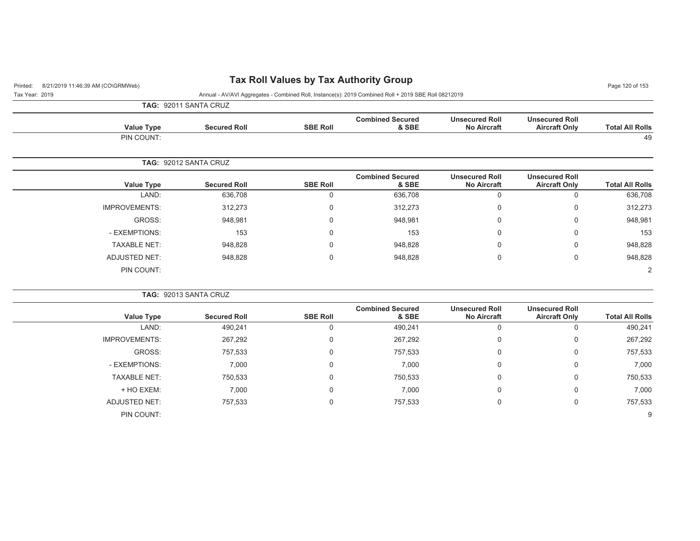## Printed: 8/21/2019 11:46:39 AM (CO\GRMWeb) **Tax Roll Values by Tax Authority Group** Page 120 of 153

Tax Year: 2019 Annual - AV/AVI Aggregates - Combined Roll, Instance(s): 2019 Combined Roll + 2019 SBE Roll 08212019

**TAG:** 92011 SANTA CRUZ

|                        |                                               |                                             |                                  |                 | 179.32011971179102    |                      |
|------------------------|-----------------------------------------------|---------------------------------------------|----------------------------------|-----------------|-----------------------|----------------------|
| <b>Total All Rolls</b> | <b>Unsecured Roll</b><br><b>Aircraft Only</b> | <b>Unsecured Roll</b><br><b>No Aircraft</b> | <b>Combined Secured</b><br>& SBE | <b>SBE Roll</b> | <b>Secured Roll</b>   | <b>Value Type</b>    |
| 49                     |                                               |                                             |                                  |                 |                       | PIN COUNT:           |
|                        |                                               |                                             |                                  |                 | TAG: 92012 SANTA CRUZ |                      |
| <b>Total All Rolls</b> | <b>Unsecured Roll</b><br><b>Aircraft Only</b> | <b>Unsecured Roll</b><br><b>No Aircraft</b> | <b>Combined Secured</b><br>& SBE | <b>SBE Roll</b> | <b>Secured Roll</b>   | <b>Value Type</b>    |
| 636,708                | 0                                             |                                             | 636,708                          | $\Omega$        | 636,708               | LAND:                |
| 312,273                | 0                                             | $\Omega$                                    | 312,273                          | 0               | 312,273               | <b>IMPROVEMENTS:</b> |
| 948,981                | 0                                             | 0                                           | 948,981                          | 0               | 948,981               | GROSS:               |
| 153                    | 0                                             | 0                                           | 153                              | 0               | 153                   | - EXEMPTIONS:        |
| 948,828                | 0                                             | 0                                           | 948,828                          | 0               | 948,828               | <b>TAXABLE NET:</b>  |
| 948,828                | 0                                             |                                             | 948,828                          | $\Omega$        | 948,828               | <b>ADJUSTED NET:</b> |

**TAG:** 92013 SANTA CRUZ

PIN COUNT:

|                      |                     |                 | <b>Combined Secured</b> | <b>Unsecured Roll</b> | <b>Unsecured Roll</b> |                        |
|----------------------|---------------------|-----------------|-------------------------|-----------------------|-----------------------|------------------------|
| Value Type           | <b>Secured Roll</b> | <b>SBE Roll</b> | & SBE                   | <b>No Aircraft</b>    | <b>Aircraft Only</b>  | <b>Total All Rolls</b> |
| LAND:                | 490,241             | υ               | 490,241                 | U                     | U                     | 490,241                |
| <b>IMPROVEMENTS:</b> | 267,292             | 0               | 267,292                 | 0                     | $\mathbf 0$           | 267,292                |
| GROSS:               | 757,533             | $\mathbf 0$     | 757,533                 | 0                     | $\mathbf 0$           | 757,533                |
| - EXEMPTIONS:        | 7,000               | 0               | 7,000                   | 0                     | $\Omega$              | 7,000                  |
| <b>TAXABLE NET:</b>  | 750,533             | $\mathbf 0$     | 750,533                 | 0                     | $\mathbf 0$           | 750,533                |
| + HO EXEM:           | 7,000               | $\mathbf 0$     | 7,000                   | $\mathbf 0$           | $\mathbf 0$           | 7,000                  |
| ADJUSTED NET:        | 757,533             | $\mathbf 0$     | 757,533                 | 0                     | $\mathbf 0$           | 757,533                |
| PIN COUNT:           |                     |                 |                         |                       |                       | 9                      |

 $\sim$  2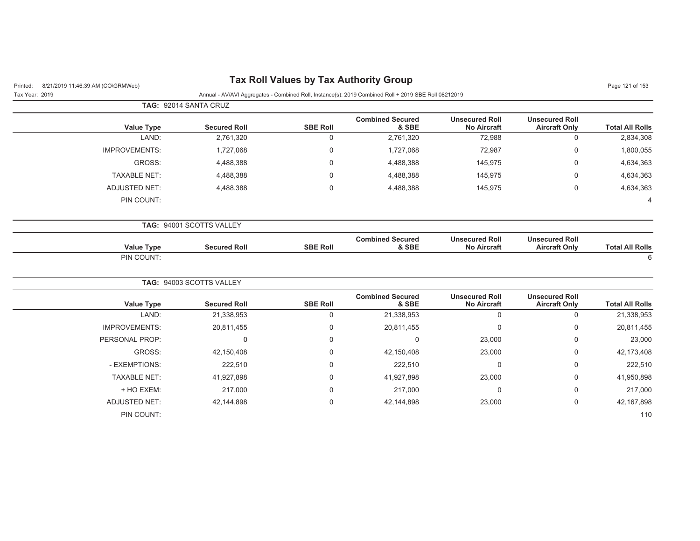| 8/21/2019 11:46:39 AM (CO\GRMWeb)<br>Printed: |                          |                 | Tax Roll Values by Tax Authority Group                                                               |                                             |                                               | Page 121 of 153        |
|-----------------------------------------------|--------------------------|-----------------|------------------------------------------------------------------------------------------------------|---------------------------------------------|-----------------------------------------------|------------------------|
| Tax Year: 2019                                |                          |                 | Annual - AV/AVI Aggregates - Combined Roll, Instance(s): 2019 Combined Roll + 2019 SBE Roll 08212019 |                                             |                                               |                        |
|                                               | TAG: 92014 SANTA CRUZ    |                 |                                                                                                      |                                             |                                               |                        |
| <b>Value Type</b>                             | <b>Secured Roll</b>      | <b>SBE Roll</b> | <b>Combined Secured</b><br>& SBE                                                                     | <b>Unsecured Roll</b><br><b>No Aircraft</b> | <b>Unsecured Roll</b><br><b>Aircraft Only</b> | <b>Total All Rolls</b> |
| LAND:                                         | 2,761,320                | 0               | 2,761,320                                                                                            | 72,988                                      | $\mathbf 0$                                   | 2,834,308              |
| <b>IMPROVEMENTS:</b>                          | 1,727,068                | $\Omega$        | 1,727,068                                                                                            | 72,987                                      | $\Omega$                                      | 1,800,055              |
| GROSS:                                        | 4,488,388                | $\Omega$        | 4,488,388                                                                                            | 145,975                                     | $\Omega$                                      | 4,634,363              |
| <b>TAXABLE NET:</b>                           | 4,488,388                | $\Omega$        | 4,488,388                                                                                            | 145,975                                     | 0                                             | 4,634,363              |
| <b>ADJUSTED NET:</b>                          | 4,488,388                | 0               | 4,488,388                                                                                            | 145,975                                     | $\mathbf 0$                                   | 4,634,363              |
| PIN COUNT:                                    |                          |                 |                                                                                                      |                                             |                                               | $\Delta$               |
|                                               | TAG: 94001 SCOTTS VALLEY |                 |                                                                                                      |                                             |                                               |                        |
| <b>Value Type</b>                             | <b>Secured Roll</b>      | <b>SBE Roll</b> | <b>Combined Secured</b><br>& SBE                                                                     | <b>Unsecured Roll</b><br><b>No Aircraft</b> | <b>Unsecured Roll</b><br><b>Aircraft Only</b> | <b>Total All Rolls</b> |
| PIN COUNT:                                    |                          |                 |                                                                                                      |                                             |                                               | 6                      |
|                                               | TAG: 94003 SCOTTS VALLEY |                 |                                                                                                      |                                             |                                               |                        |
| <b>Value Type</b>                             | <b>Secured Roll</b>      | <b>SBE Roll</b> | <b>Combined Secured</b><br>& SBE                                                                     | <b>Unsecured Roll</b><br><b>No Aircraft</b> | <b>Unsecured Roll</b><br><b>Aircraft Only</b> | <b>Total All Rolls</b> |
| LAND:                                         | 21,338,953               | 0               | 21,338,953                                                                                           | $\mathbf 0$                                 | $\mathbf 0$                                   | 21,338,953             |
| <b>IMPROVEMENTS:</b>                          | 20,811,455               | 0               | 20,811,455                                                                                           | $\Omega$                                    | $\Omega$                                      | 20,811,455             |
| PERSONAL PROP:                                | $\Omega$                 | 0               | $\mathbf{0}$                                                                                         | 23,000                                      | $\Omega$                                      | 23,000                 |
| GROSS:                                        | 42,150,408               | 0               | 42,150,408                                                                                           | 23,000                                      | 0                                             | 42,173,408             |
| - EXEMPTIONS:                                 | 222,510                  | $\Omega$        | 222,510                                                                                              | $\mathbf 0$                                 | 0                                             | 222,510                |
| <b>TAXABLE NET:</b>                           | 41,927,898               | 0               | 41,927,898                                                                                           | 23,000                                      | 0                                             | 41,950,898             |
| + HO EXEM:                                    | 217,000                  | 0               | 217,000                                                                                              | $\Omega$                                    | $\Omega$                                      | 217,000                |
| <b>ADJUSTED NET:</b>                          | 42,144,898               | 0               | 42,144,898                                                                                           | 23,000                                      | $\mathbf 0$                                   | 42, 167, 898           |
| PIN COUNT:                                    |                          |                 |                                                                                                      |                                             |                                               | 110                    |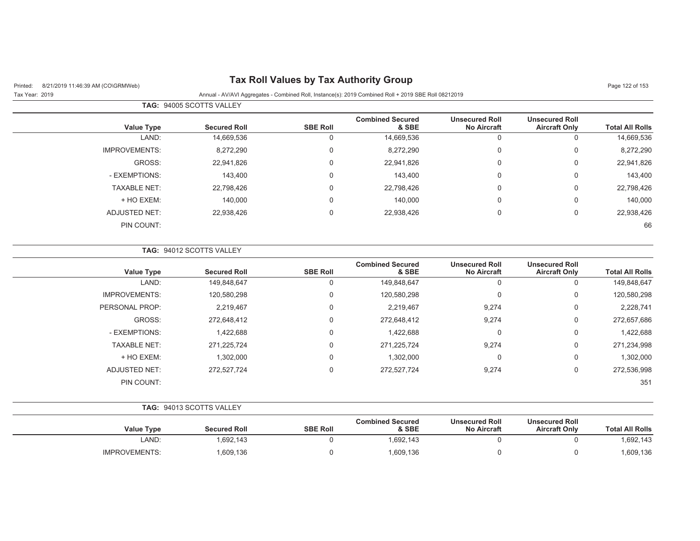## Printed: 8/21/2019 11:46:39 AM (CO\GRMWeb) **Tax Roll Values by Tax Authority Group** Page 122 of 153

Tax Year: 2019 Annual - AV/AVI Aggregates - Combined Roll, Instance(s): 2019 Combined Roll + 2019 SBE Roll 08212019

|                        |                                               |                                             | <b>TAG: 94005 SCOTTS VALLEY</b>  |                 |                     |                      |  |  |
|------------------------|-----------------------------------------------|---------------------------------------------|----------------------------------|-----------------|---------------------|----------------------|--|--|
| <b>Total All Rolls</b> | <b>Unsecured Roll</b><br><b>Aircraft Only</b> | <b>Unsecured Roll</b><br><b>No Aircraft</b> | <b>Combined Secured</b><br>& SBE | <b>SBE Roll</b> | <b>Secured Roll</b> | <b>Value Type</b>    |  |  |
| 14,669,536             | 0                                             | 0                                           | 14,669,536                       | U               | 14,669,536          | LAND:                |  |  |
| 8,272,290              | 0                                             | 0                                           | 8,272,290                        | 0               | 8,272,290           | <b>IMPROVEMENTS:</b> |  |  |
| 22,941,826             | 0                                             | 0                                           | 22,941,826                       | 0               | 22,941,826          | GROSS:               |  |  |
| 143,400                | $\Omega$                                      | $\mathbf 0$                                 | 143,400                          | 0               | 143,400             | - EXEMPTIONS:        |  |  |
| 22,798,426             | $\mathbf 0$                                   | $\mathbf 0$                                 | 22,798,426                       | 0               | 22,798,426          | <b>TAXABLE NET:</b>  |  |  |
| 140,000                | 0                                             | $\mathbf 0$                                 | 140,000                          | 0               | 140,000             | + HO EXEM:           |  |  |
| 22,938,426             | 0                                             | $\mathbf 0$                                 | 22,938,426                       | 0               | 22,938,426          | ADJUSTED NET:        |  |  |
| 66                     |                                               |                                             |                                  |                 |                     | PIN COUNT:           |  |  |
|                        |                                               |                                             |                                  |                 |                     |                      |  |  |

|                        |                                               |                                             | <b>Combined Secured</b> |                 |                     |                      |
|------------------------|-----------------------------------------------|---------------------------------------------|-------------------------|-----------------|---------------------|----------------------|
| <b>Total All Rolls</b> | <b>Unsecured Roll</b><br><b>Aircraft Only</b> | <b>Unsecured Roll</b><br><b>No Aircraft</b> | & SBE                   | <b>SBE Roll</b> | <b>Secured Roll</b> | <b>Value Type</b>    |
| 149,848,647            | 0                                             | 0                                           | 149,848,647             | 0               | 149,848,647         | LAND:                |
| 120,580,298            | 0                                             | $\Omega$                                    | 120,580,298             | 0               | 120,580,298         | <b>IMPROVEMENTS:</b> |
| 2,228,741              | 0                                             | 9,274                                       | 2,219,467               | $\Omega$        | 2,219,467           | PERSONAL PROP:       |
| 272,657,686            | 0                                             | 9,274                                       | 272,648,412             | $\Omega$        | 272,648,412         | GROSS:               |
| 1,422,688              | 0                                             | $\Omega$                                    | 1,422,688               | $\Omega$        | 1,422,688           | - EXEMPTIONS:        |
| 271,234,998            | 0                                             | 9,274                                       | 271,225,724             | $\Omega$        | 271,225,724         | <b>TAXABLE NET:</b>  |
| 1,302,000              | 0                                             | $\Omega$                                    | 1,302,000               | $\mathbf 0$     | 1,302,000           | + HO EXEM:           |
| 272,536,998            | 0                                             | 9,274                                       | 272,527,724             | $\mathbf 0$     | 272,527,724         | <b>ADJUSTED NET:</b> |
| 351                    |                                               |                                             |                         |                 |                     | PIN COUNT:           |

| <b>TAG: 94013 SCOTTS VALLEY</b> |
|---------------------------------|
|                                 |

| <b>Value Type</b>    | <b>Secured Roll</b> | <b>SBE Roll</b> | <b>Combined Secured</b><br>& SBE | <b>Unsecured Roll</b><br><b>No Aircraft</b> | <b>Unsecured Roll</b><br><b>Aircraft Only</b> | <b>Total All Rolls</b> |
|----------------------|---------------------|-----------------|----------------------------------|---------------------------------------------|-----------------------------------------------|------------------------|
| LAND:                | .692,143            |                 | .692,143                         |                                             |                                               | ,692,143               |
| <b>IMPROVEMENTS:</b> | 609,136             |                 | .609,136                         |                                             |                                               | .609,136               |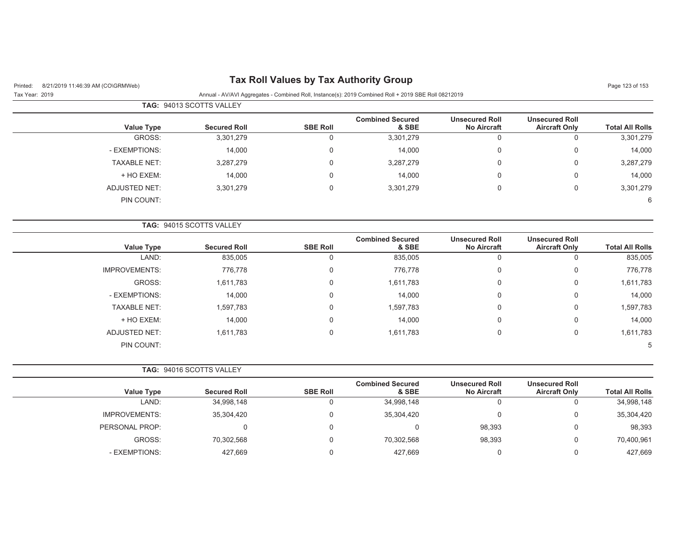| <b>Tax Roll Values by Tax Authority Group</b><br>8/21/2019 11:46:39 AM (CO\GRMWeb)<br>Printed: |                          |                     |                                                                                                      |                                             |                                               | Page 123 of 153        |
|------------------------------------------------------------------------------------------------|--------------------------|---------------------|------------------------------------------------------------------------------------------------------|---------------------------------------------|-----------------------------------------------|------------------------|
| Tax Year: 2019                                                                                 |                          |                     | Annual - AV/AVI Aggregates - Combined Roll, Instance(s): 2019 Combined Roll + 2019 SBE Roll 08212019 |                                             |                                               |                        |
|                                                                                                | TAG: 94013 SCOTTS VALLEY |                     |                                                                                                      |                                             |                                               |                        |
| <b>Value Type</b>                                                                              | <b>Secured Roll</b>      | <b>SBE Roll</b>     | <b>Combined Secured</b><br>& SBE                                                                     | <b>Unsecured Roll</b><br><b>No Aircraft</b> | <b>Unsecured Roll</b><br><b>Aircraft Only</b> | <b>Total All Rolls</b> |
| GROSS:                                                                                         | 3,301,279                | $\mathsf{O}\xspace$ | 3,301,279                                                                                            | $\mathbf 0$                                 | $\mathsf 0$                                   | 3,301,279              |
| - EXEMPTIONS:                                                                                  | 14,000                   | $\mathbf 0$         | 14,000                                                                                               | $\mathsf{0}$                                | $\mathbf 0$                                   | 14,000                 |
| <b>TAXABLE NET:</b>                                                                            | 3,287,279                | $\mathbf 0$         | 3,287,279                                                                                            | $\mathbf 0$                                 | $\mathbf 0$                                   | 3,287,279              |
| + HO EXEM:                                                                                     | 14,000                   | 0                   | 14,000                                                                                               | 0                                           | 0                                             | 14,000                 |
| ADJUSTED NET:                                                                                  | 3,301,279                | $\mathbf 0$         | 3,301,279                                                                                            | 0                                           | $\mathbf 0$                                   | 3,301,279              |
| PIN COUNT:                                                                                     |                          |                     |                                                                                                      |                                             |                                               | 6                      |
|                                                                                                | TAG: 94015 SCOTTS VALLEY |                     |                                                                                                      |                                             |                                               |                        |
| <b>Value Type</b>                                                                              | <b>Secured Roll</b>      | <b>SBE Roll</b>     | <b>Combined Secured</b><br>& SBE                                                                     | <b>Unsecured Roll</b><br>No Aircraft        | <b>Unsecured Roll</b><br><b>Aircraft Only</b> | <b>Total All Rolls</b> |
| LAND:                                                                                          | 835,005                  | $\mathbf 0$         | 835,005                                                                                              | $\mathbf 0$                                 | $\mathsf 0$                                   | 835,005                |
| <b>IMPROVEMENTS:</b>                                                                           | 776,778                  | 0                   | 776,778                                                                                              | 0                                           | $\mathbf 0$                                   | 776,778                |
| GROSS:                                                                                         | 1,611,783                | 0                   | 1,611,783                                                                                            | 0                                           | 0                                             | 1,611,783              |
| - EXEMPTIONS:                                                                                  | 14,000                   | $\mathbf 0$         | 14,000                                                                                               | 0                                           | 0                                             | 14,000                 |
| <b>TAXABLE NET:</b>                                                                            | 1,597,783                | 0                   | 1,597,783                                                                                            | 0                                           | 0                                             | 1,597,783              |
| + HO EXEM:                                                                                     | 14,000                   | $\Omega$            | 14,000                                                                                               | $\Omega$                                    | 0                                             | 14,000                 |
| <b>ADJUSTED NET:</b>                                                                           | 1,611,783                | 0                   | 1,611,783                                                                                            | 0                                           | $\mathbf 0$                                   | 1,611,783              |
| PIN COUNT:                                                                                     |                          |                     |                                                                                                      |                                             |                                               | 5                      |
|                                                                                                | TAG: 94016 SCOTTS VALLEY |                     |                                                                                                      |                                             |                                               |                        |
| <b>Value Type</b>                                                                              | <b>Secured Roll</b>      | <b>SBE Roll</b>     | <b>Combined Secured</b><br>& SBE                                                                     | <b>Unsecured Roll</b><br><b>No Aircraft</b> | <b>Unsecured Roll</b><br><b>Aircraft Only</b> | <b>Total All Rolls</b> |
| LAND:                                                                                          | 34,998,148               | $\mathbf 0$         | 34,998,148                                                                                           | $\mathbf 0$                                 | $\mathbf 0$                                   | 34,998,148             |
| <b>IMPROVEMENTS:</b>                                                                           | 35,304,420               | $\mathbf 0$         | 35,304,420                                                                                           | 0                                           | 0                                             | 35,304,420             |
| PERSONAL PROP:                                                                                 | 0                        | 0                   | $\mathbf 0$                                                                                          | 98,393                                      | 0                                             | 98,393                 |
| GROSS:                                                                                         | 70,302,568               | $\mathbf 0$         | 70,302,568                                                                                           | 98,393                                      | 0                                             | 70,400,961             |
| - EXEMPTIONS:                                                                                  | 427,669                  | $\mathbf 0$         | 427,669                                                                                              | 0                                           | $\mathbf 0$                                   | 427,669                |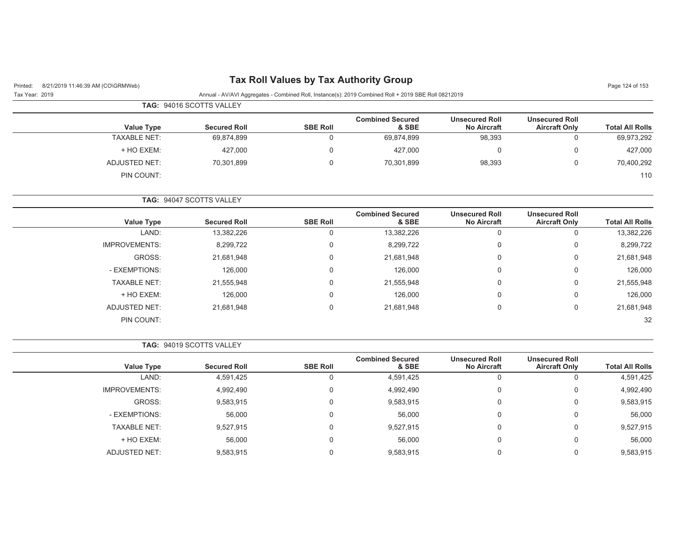## Printed: 8/21/2019 11:46:39 AM (CO\GRMWeb) **Tax Roll Values by Tax Authority Group** Page 124 of 153

#### Tax Year: 2019 Annual - AV/AVI Aggregates - Combined Roll, Instance(s): 2019 Combined Roll + 2019 SBE Roll 08212019

| <b>Total All Rolls</b> | <b>Unsecured Roll</b><br><b>Aircraft Only</b> | <b>Unsecured Roll</b><br><b>No Aircraft</b> | <b>Combined Secured</b><br>& SBE | <b>SBE Roll</b> | <b>Secured Roll</b> | Value Type          |  |
|------------------------|-----------------------------------------------|---------------------------------------------|----------------------------------|-----------------|---------------------|---------------------|--|
| 69,973,292             |                                               | 98,393                                      | 69,874,899                       |                 | 69,874,899          | <b>TAXABLE NET:</b> |  |
| 427,000                |                                               | 0                                           | 427,000                          |                 | 427,000             | + HO EXEM:          |  |
| 70,400,292             |                                               | 98,393                                      | 70,301,899                       | 0               | 70,301,899          | ADJUSTED NET:       |  |
| 110                    |                                               |                                             |                                  |                 |                     | PIN COUNT:          |  |

| <b>Total All Rolls</b> | <b>Unsecured Roll</b><br><b>Aircraft Only</b> | <b>Unsecured Roll</b><br><b>No Aircraft</b> | <b>Combined Secured</b><br>& SBE | <b>SBE Roll</b> | <b>Secured Roll</b> | <b>Value Type</b>    |
|------------------------|-----------------------------------------------|---------------------------------------------|----------------------------------|-----------------|---------------------|----------------------|
| 13,382,226             |                                               |                                             | 13,382,226                       | $\Omega$        | 13,382,226          | LAND:                |
| 8,299,722              | υ                                             |                                             | 8,299,722                        | $\Omega$        | 8,299,722           | <b>IMPROVEMENTS:</b> |
| 21,681,948             | 0                                             |                                             | 21,681,948                       | $\Omega$        | 21,681,948          | GROSS:               |
| 126,000                |                                               |                                             | 126,000                          | $\Omega$        | 126,000             | - EXEMPTIONS:        |
| 21,555,948             | 0                                             |                                             | 21,555,948                       | $\Omega$        | 21,555,948          | <b>TAXABLE NET:</b>  |
| 126,000                |                                               |                                             | 126,000                          | $\Omega$        | 126,000             | + HO EXEM:           |
| 21,681,948             | 0                                             |                                             | 21,681,948                       | $\Omega$        | 21,681,948          | ADJUSTED NET:        |
| 32                     |                                               |                                             |                                  |                 |                     | PIN COUNT:           |

**TAG:** 94047 SCOTTS VALLEY

|                        |                                               |                                             |                                  |                 | <b>TAG: 94019 SCOTTS VALLEY</b> |                      |  |
|------------------------|-----------------------------------------------|---------------------------------------------|----------------------------------|-----------------|---------------------------------|----------------------|--|
| <b>Total All Rolls</b> | <b>Unsecured Roll</b><br><b>Aircraft Only</b> | <b>Unsecured Roll</b><br><b>No Aircraft</b> | <b>Combined Secured</b><br>& SBE | <b>SBE Roll</b> | <b>Secured Roll</b>             | <b>Value Type</b>    |  |
| 4,591,425              |                                               | v                                           | 4,591,425                        | 0               | 4,591,425                       | LAND:                |  |
| 4,992,490              | 0                                             | 0                                           | 4,992,490                        | 0               | 4,992,490                       | <b>IMPROVEMENTS:</b> |  |
| 9,583,915              | 0                                             | 0                                           | 9,583,915                        | 0               | 9,583,915                       | GROSS:               |  |
| 56,000                 | $\Omega$                                      | 0                                           | 56,000                           | $\Omega$        | 56,000                          | - EXEMPTIONS:        |  |
| 9,527,915              | $\Omega$                                      | 0                                           | 9,527,915                        | $\mathbf 0$     | 9,527,915                       | <b>TAXABLE NET:</b>  |  |
| 56,000                 | $\Omega$                                      | 0                                           | 56,000                           | 0               | 56,000                          | + HO EXEM:           |  |
| 9,583,915              |                                               | 0                                           | 9,583,915                        | 0               | 9,583,915                       | <b>ADJUSTED NET:</b> |  |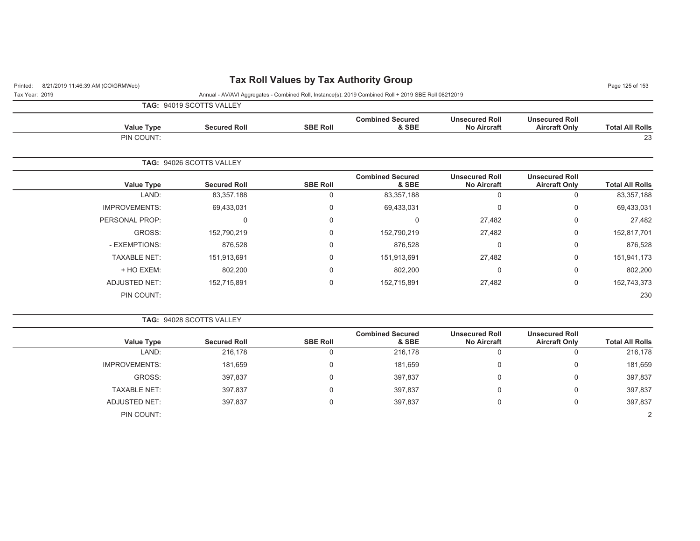## Printed: 8/21/2019 11:46:39 AM (CO\GRMWeb) **Tax Roll Values by Tax Authority Group** Page 125 of 153

Tax Year: 2019 Annual - AV/AVI Aggregates - Combined Roll, Instance(s): 2019 Combined Roll + 2019 SBE Roll 08212019

**TAG:** 94019 SCOTTS VALLEY

| <b>Total All Rolls</b> | <b>Unsecured Roll</b><br><b>Aircraft Only</b> | <b>Unsecured Roll</b><br><b>No Aircraft</b> | <b>Combined Secured</b><br>& SBE | <b>SBE Roll</b> | <b>Secured Roll</b>             | <b>Value Type</b> |
|------------------------|-----------------------------------------------|---------------------------------------------|----------------------------------|-----------------|---------------------------------|-------------------|
| 23                     |                                               |                                             |                                  |                 |                                 | PIN COUNT:        |
|                        |                                               |                                             |                                  |                 | <b>TAG: 94026 SCOTTS VALLEY</b> |                   |
| <b>Total All Rolls</b> | <b>Unsecured Roll</b><br><b>Aircraft Only</b> | <b>Unsecured Roll</b><br><b>No Aircraft</b> | <b>Combined Secured</b><br>& SBE | <b>SBE Roll</b> | <b>Secured Roll</b>             | <b>Value Type</b> |
| 83 357 188             |                                               |                                             | 83 357 188                       |                 | 83 357 188                      | I AND.            |

| 83,357,188  |          | $\overline{0}$ | 83,357,188  | 0 | 83,357,188  | LAND:                |
|-------------|----------|----------------|-------------|---|-------------|----------------------|
| 69,433,031  | U        | $\mathbf 0$    | 69,433,031  | 0 | 69,433,031  | <b>IMPROVEMENTS:</b> |
| 27,482      | 0        | 27,482         | 0           | 0 | 0           | PERSONAL PROP:       |
| 152,817,701 | 0        | 27,482         | 152,790,219 | 0 | 152,790,219 | GROSS:               |
| 876,528     | 0        | 0              | 876,528     | 0 | 876,528     | - EXEMPTIONS:        |
| 151,941,173 | 0        | 27,482         | 151,913,691 | 0 | 151,913,691 | <b>TAXABLE NET:</b>  |
| 802,200     | $\Omega$ | 0              | 802,200     | 0 | 802,200     | + HO EXEM:           |
| 152,743,373 | 0        | 27,482         | 152,715,891 | 0 | 152,715,891 | <b>ADJUSTED NET:</b> |
| 230         |          |                |             |   |             | PIN COUNT:           |
|             |          |                |             |   |             |                      |

**TAG:** 94028 SCOTTS VALLEY

|                      |                     |                 | <b>Combined Secured</b> | <b>Unsecured Roll</b> | <b>Unsecured Roll</b> |                        |
|----------------------|---------------------|-----------------|-------------------------|-----------------------|-----------------------|------------------------|
| <b>Value Type</b>    | <b>Secured Roll</b> | <b>SBE Roll</b> | & SBE                   | <b>No Aircraft</b>    | <b>Aircraft Only</b>  | <b>Total All Rolls</b> |
| LAND:                | 216,178             | 0               | 216,178                 | U                     | $\mathbf{0}$          | 216,178                |
| <b>IMPROVEMENTS:</b> | 181,659             | $\Omega$        | 181,659                 | 0                     | 0                     | 181,659                |
| GROSS:               | 397,837             | 0               | 397,837                 | 0                     | 0                     | 397,837                |
| <b>TAXABLE NET:</b>  | 397,837             | 0               | 397,837                 | 0                     | 0                     | 397,837                |
| ADJUSTED NET:        | 397,837             | 0               | 397,837                 | 0                     | 0                     | 397,837                |
| PIN COUNT:           |                     |                 |                         |                       |                       | $\Omega$               |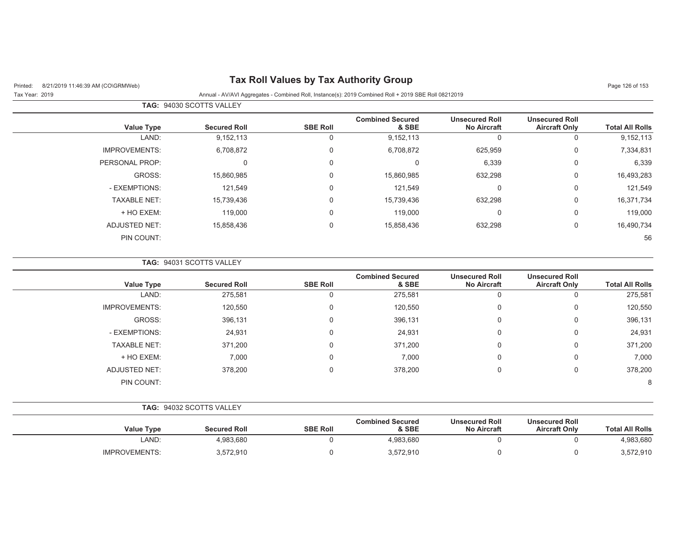| Printed: |  | 8/21/2019 11:46:39 AM (CO\GRMWeb) |  |
|----------|--|-----------------------------------|--|
|          |  |                                   |  |

## **Pax Roll Values by Tax Authority Group Page 126 of 153** Page 126 of 153

|                      | <b>TAG: 94030 SCOTTS VALLEY</b> |                 |                                  |                                             |                                               |                        |
|----------------------|---------------------------------|-----------------|----------------------------------|---------------------------------------------|-----------------------------------------------|------------------------|
| <b>Value Type</b>    | <b>Secured Roll</b>             | <b>SBE Roll</b> | <b>Combined Secured</b><br>& SBE | <b>Unsecured Roll</b><br><b>No Aircraft</b> | <b>Unsecured Roll</b><br><b>Aircraft Only</b> | <b>Total All Rolls</b> |
| LAND:                | 9,152,113                       | 0               | 9,152,113                        | 0                                           | 0                                             | 9,152,113              |
| <b>IMPROVEMENTS:</b> | 6,708,872                       | 0               | 6,708,872                        | 625,959                                     | 0                                             | 7,334,831              |
| PERSONAL PROP:       | 0                               | 0               |                                  | 6,339                                       | 0                                             | 6,339                  |
| GROSS:               | 15,860,985                      | $\mathbf 0$     | 15,860,985                       | 632,298                                     | 0                                             | 16,493,283             |
| - EXEMPTIONS:        | 121,549                         | $\Omega$        | 121,549                          | $\Omega$                                    | $\mathbf 0$                                   | 121,549                |
| <b>TAXABLE NET:</b>  | 15,739,436                      | $\mathbf 0$     | 15,739,436                       | 632,298                                     | 0                                             | 16,371,734             |
| + HO EXEM:           | 119,000                         | $\mathbf 0$     | 119,000                          | 0                                           | 0                                             | 119,000                |
| <b>ADJUSTED NET:</b> | 15,858,436                      | $\mathbf 0$     | 15,858,436                       | 632,298                                     | 0                                             | 16,490,734             |
| PIN COUNT:           |                                 |                 |                                  |                                             |                                               | 56                     |

**TAG:** 94031 SCOTTS VALLEY

|                      |                     |                 | <b>Combined Secured</b> | <b>Unsecured Roll</b> | <b>Unsecured Roll</b> |                        |
|----------------------|---------------------|-----------------|-------------------------|-----------------------|-----------------------|------------------------|
| Value Type           | <b>Secured Roll</b> | <b>SBE Roll</b> | & SBE                   | <b>No Aircraft</b>    | <b>Aircraft Only</b>  | <b>Total All Rolls</b> |
| LAND:                | 275,581             | 0               | 275,581                 | 0                     |                       | 275,581                |
| <b>IMPROVEMENTS:</b> | 120,550             | 0               | 120,550                 | 0                     | 0                     | 120,550                |
| GROSS:               | 396,131             | $\mathbf 0$     | 396,131                 | 0                     | $\Omega$              | 396,131                |
| - EXEMPTIONS:        | 24,931              | $\mathbf 0$     | 24,931                  | 0                     | $\Omega$              | 24,931                 |
| <b>TAXABLE NET:</b>  | 371,200             | $\mathbf 0$     | 371,200                 | 0                     | $\Omega$              | 371,200                |
| + HO EXEM:           | 7,000               | $\mathbf 0$     | 7,000                   | 0                     | $\Omega$              | 7,000                  |
| <b>ADJUSTED NET:</b> | 378,200             | $\mathbf 0$     | 378,200                 | 0                     | $\Omega$              | 378,200                |
| PIN COUNT:           |                     |                 |                         |                       |                       | 8                      |

| <b>TAG: 94032 SCOTTS VALLEY</b> |  |
|---------------------------------|--|
|                                 |  |

| <b>Value Type</b>    | <b>Secured Roll</b> | <b>SBE Roll</b> | <b>Combined Secured</b><br>& SBE | <b>Unsecured Roll</b><br><b>No Aircraft</b> | <b>Unsecured Roll</b><br><b>Aircraft Only</b> | <b>Total All Rolls</b> |
|----------------------|---------------------|-----------------|----------------------------------|---------------------------------------------|-----------------------------------------------|------------------------|
| LAND:                | 4.983.680           |                 | 4.983.680                        |                                             |                                               | 4,983,680              |
| <b>IMPROVEMENTS:</b> | 3,572,910           |                 | 3,572,910                        |                                             |                                               | 3,572,910              |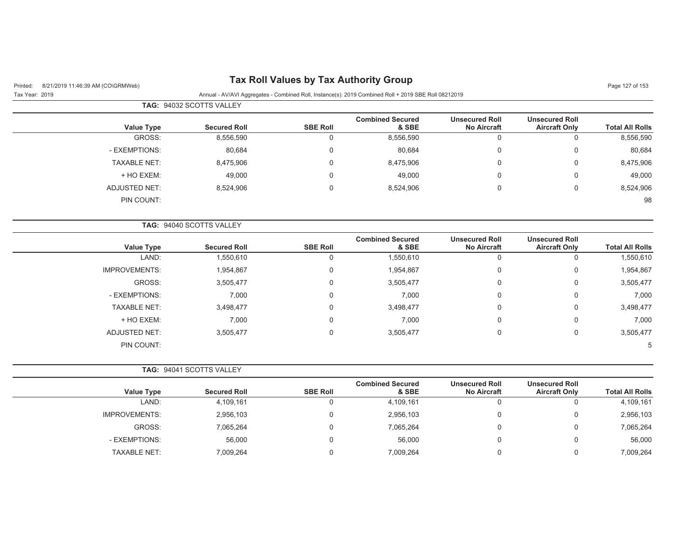| 8/21/2019 11:46:39 AM (CO\GRMWeb)<br>Printed: |                          |                 |                                                                                                      |                                             |                                               | Page 127 of 153        |  |
|-----------------------------------------------|--------------------------|-----------------|------------------------------------------------------------------------------------------------------|---------------------------------------------|-----------------------------------------------|------------------------|--|
| Tax Year: 2019                                |                          |                 | Annual - AV/AVI Aggregates - Combined Roll, Instance(s): 2019 Combined Roll + 2019 SBE Roll 08212019 |                                             |                                               |                        |  |
|                                               | TAG: 94032 SCOTTS VALLEY |                 |                                                                                                      |                                             |                                               |                        |  |
| <b>Value Type</b>                             | <b>Secured Roll</b>      | <b>SBE Roll</b> | <b>Combined Secured</b><br>& SBE                                                                     | <b>Unsecured Roll</b><br><b>No Aircraft</b> | <b>Unsecured Roll</b><br><b>Aircraft Only</b> | <b>Total All Rolls</b> |  |
| GROSS:                                        | 8,556,590                | $\mathbf 0$     | 8,556,590                                                                                            | $\mathbf 0$                                 | $\mathbf 0$                                   | 8,556,590              |  |
| - EXEMPTIONS:                                 | 80,684                   | $\Omega$        | 80,684                                                                                               | $\mathbf 0$                                 | 0                                             | 80,684                 |  |
| <b>TAXABLE NET:</b>                           | 8,475,906                | $\mathbf 0$     | 8,475,906                                                                                            | $\mathbf 0$                                 | 0                                             | 8,475,906              |  |
| + HO EXEM:                                    | 49,000                   | $\mathbf 0$     | 49,000                                                                                               | $\mathbf 0$                                 | 0                                             | 49,000                 |  |
| <b>ADJUSTED NET:</b>                          | 8,524,906                | $\mathbf 0$     | 8,524,906                                                                                            | $\mathbf 0$                                 | $\boldsymbol{0}$                              | 8,524,906              |  |
| PIN COUNT:                                    |                          |                 |                                                                                                      |                                             |                                               | 98                     |  |
|                                               | TAG: 94040 SCOTTS VALLEY |                 |                                                                                                      |                                             |                                               |                        |  |
| <b>Value Type</b>                             | <b>Secured Roll</b>      | <b>SBE Roll</b> | <b>Combined Secured</b><br>& SBE                                                                     | <b>Unsecured Roll</b><br><b>No Aircraft</b> | <b>Unsecured Roll</b><br><b>Aircraft Only</b> | <b>Total All Rolls</b> |  |
| LAND:                                         | 1,550,610                | $\mathbf 0$     | 1,550,610                                                                                            | 0                                           | 0                                             | 1,550,610              |  |
| <b>IMPROVEMENTS:</b>                          | 1,954,867                | 0               | 1,954,867                                                                                            | 0                                           | 0                                             | 1,954,867              |  |
| GROSS:                                        | 3,505,477                | $\Omega$        | 3,505,477                                                                                            | 0                                           | 0                                             | 3,505,477              |  |
| - EXEMPTIONS:                                 | 7,000                    | 0               | 7,000                                                                                                | 0                                           | 0                                             | 7,000                  |  |
| <b>TAXABLE NET:</b>                           | 3,498,477                | $\Omega$        | 3,498,477                                                                                            | 0                                           | 0                                             | 3,498,477              |  |
| + HO EXEM:                                    | 7,000                    | 0               | 7,000                                                                                                | 0                                           | 0                                             | 7,000                  |  |
| <b>ADJUSTED NET:</b>                          | 3,505,477                | $\mathbf 0$     | 3,505,477                                                                                            | 0                                           | 0                                             | 3,505,477              |  |
| PIN COUNT:                                    |                          |                 |                                                                                                      |                                             |                                               | 5                      |  |
|                                               | TAG: 94041 SCOTTS VALLEY |                 |                                                                                                      |                                             |                                               |                        |  |
| <b>Value Type</b>                             | <b>Secured Roll</b>      | <b>SBE Roll</b> | <b>Combined Secured</b><br>& SBE                                                                     | <b>Unsecured Roll</b><br><b>No Aircraft</b> | <b>Unsecured Roll</b><br><b>Aircraft Only</b> | <b>Total All Rolls</b> |  |
| LAND:                                         | 4,109,161                | $\mathbf 0$     | 4,109,161                                                                                            | 0                                           | $\mathbf 0$                                   | 4,109,161              |  |
| <b>IMPROVEMENTS:</b>                          | 2,956,103                | $\mathbf 0$     | 2,956,103                                                                                            | 0                                           | 0                                             | 2,956,103              |  |
| GROSS:                                        | 7,065,264                | $\Omega$        | 7,065,264                                                                                            | 0                                           | $\mathbf 0$                                   | 7,065,264              |  |
| - EXEMPTIONS:                                 | 56,000                   | $\Omega$        | 56,000                                                                                               | 0                                           | 0                                             | 56,000                 |  |
| <b>TAXABLE NET:</b>                           | 7,009,264                | $\mathbf 0$     | 7,009,264                                                                                            | 0                                           | $\mathbf 0$                                   | 7,009,264              |  |
|                                               |                          |                 |                                                                                                      |                                             |                                               |                        |  |

#### **Tax Roll Values by Tax Authority Group**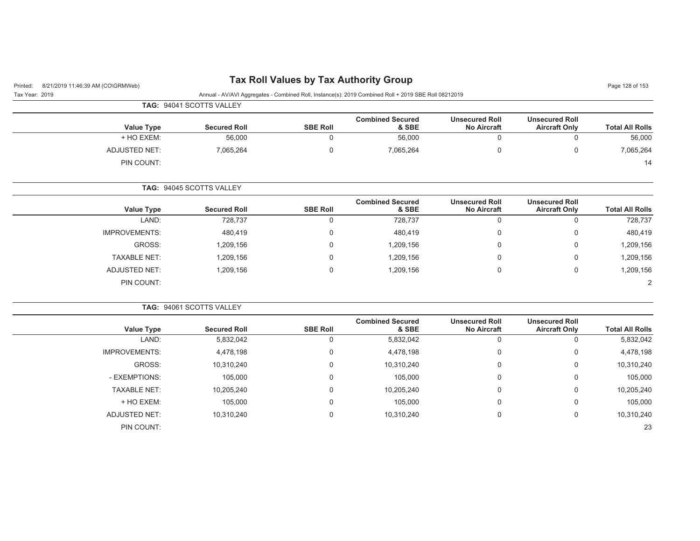| 8/21/2019 11:46:39 AM (CO\GRMWeb)<br>Printed: |                          | <b>Tax Roll Values by Tax Authority Group</b> |                                                                                                      |                                             |                                               | Page 128 of 153        |
|-----------------------------------------------|--------------------------|-----------------------------------------------|------------------------------------------------------------------------------------------------------|---------------------------------------------|-----------------------------------------------|------------------------|
| Tax Year: 2019                                | TAG: 94041 SCOTTS VALLEY |                                               | Annual - AV/AVI Aggregates - Combined Roll, Instance(s): 2019 Combined Roll + 2019 SBE Roll 08212019 |                                             |                                               |                        |
|                                               |                          |                                               |                                                                                                      |                                             |                                               |                        |
| <b>Value Type</b>                             | <b>Secured Roll</b>      | <b>SBE Roll</b>                               | <b>Combined Secured</b><br>& SBE                                                                     | <b>Unsecured Roll</b><br><b>No Aircraft</b> | <b>Unsecured Roll</b><br><b>Aircraft Only</b> | <b>Total All Rolls</b> |
| + HO EXEM:                                    | 56,000                   | $\mathbf 0$                                   | 56,000                                                                                               | $\Omega$                                    | $\mathbf 0$                                   | 56,000                 |
| <b>ADJUSTED NET:</b>                          | 7,065,264                | $\mathbf 0$                                   | 7,065,264                                                                                            | $\Omega$                                    | $\Omega$                                      | 7,065,264              |
| PIN COUNT:                                    |                          |                                               |                                                                                                      |                                             |                                               | 14                     |
|                                               | TAG: 94045 SCOTTS VALLEY |                                               |                                                                                                      |                                             |                                               |                        |
| <b>Value Type</b>                             | <b>Secured Roll</b>      | <b>SBE Roll</b>                               | <b>Combined Secured</b><br>& SBE                                                                     | <b>Unsecured Roll</b><br><b>No Aircraft</b> | <b>Unsecured Roll</b><br><b>Aircraft Only</b> | <b>Total All Rolls</b> |
| LAND:                                         | 728,737                  | $\mathsf 0$                                   | 728,737                                                                                              | 0                                           | $\boldsymbol{0}$                              | 728,737                |
| <b>IMPROVEMENTS:</b>                          | 480,419                  | $\mathbf 0$                                   | 480.419                                                                                              | $\Omega$                                    | $\Omega$                                      | 480,419                |
| GROSS:                                        | 1,209,156                | $\mathbf 0$                                   | 1,209,156                                                                                            | O                                           | $\Omega$                                      | 1,209,156              |
| <b>TAXABLE NET:</b>                           | 1,209,156                | $\mathbf 0$                                   | 1,209,156                                                                                            | $\Omega$                                    | $\Omega$                                      | 1,209,156              |
| <b>ADJUSTED NET:</b>                          | 1,209,156                | $\mathbf 0$                                   | 1,209,156                                                                                            | $\mathbf 0$                                 | $\mathbf 0$                                   | 1,209,156              |
| PIN COUNT:                                    |                          |                                               |                                                                                                      |                                             |                                               | 2                      |
|                                               | TAG: 94061 SCOTTS VALLEY |                                               |                                                                                                      |                                             |                                               |                        |
| <b>Value Type</b>                             | <b>Secured Roll</b>      | <b>SBE Roll</b>                               | <b>Combined Secured</b><br>& SBE                                                                     | <b>Unsecured Roll</b><br><b>No Aircraft</b> | <b>Unsecured Roll</b><br><b>Aircraft Only</b> | <b>Total All Rolls</b> |
| LAND:                                         | 5,832,042                | $\mathbf 0$                                   | 5,832,042                                                                                            | $\mathbf 0$                                 | $\boldsymbol{0}$                              | 5,832,042              |
| <b>IMPROVEMENTS:</b>                          | 4,478,198                | $\mathbf 0$                                   | 4,478,198                                                                                            | $\mathbf 0$                                 | $\mathbf 0$                                   | 4,478,198              |
| GROSS:                                        | 10,310,240               | $\mathbf 0$                                   | 10,310,240                                                                                           | 0                                           | $\mathbf 0$                                   | 10,310,240             |
| - EXEMPTIONS:                                 | 105,000                  | $\mathbf 0$                                   | 105,000                                                                                              | $\Omega$                                    | $\overline{0}$                                | 105,000                |
| <b>TAXABLE NET:</b>                           | 10,205,240               | $\Omega$                                      | 10,205,240                                                                                           | $\Omega$                                    | $\mathbf{0}$                                  | 10,205,240             |
| + HO EXEM:                                    | 105,000                  | $\mathbf 0$                                   | 105,000                                                                                              | $\Omega$                                    | $\mathbf{0}$                                  | 105,000                |
| <b>ADJUSTED NET:</b>                          | 10,310,240               | $\mathbf 0$                                   | 10,310,240                                                                                           | $\Omega$                                    | $\mathbf 0$                                   | 10,310,240             |
|                                               |                          |                                               |                                                                                                      |                                             |                                               |                        |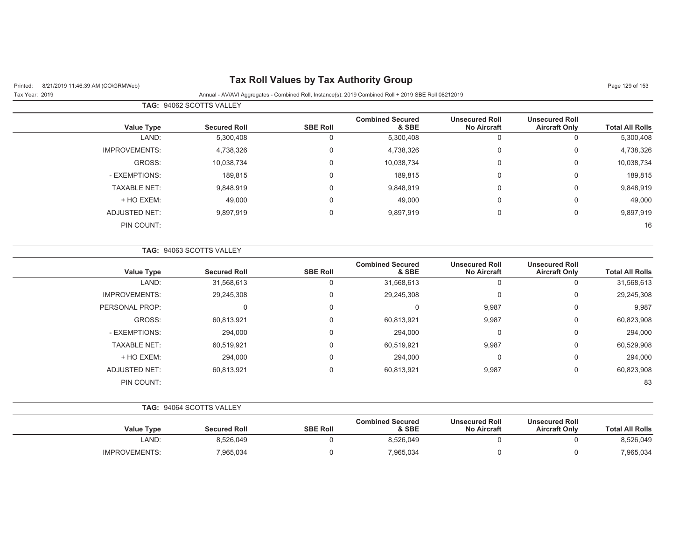## Printed: 8/21/2019 11:46:39 AM (CO\GRMWeb) **Tax Roll Values by Tax Authority Group** Page 129 of 153

|                        |                                               |                                             |                                  |                 | TAG: 94062 SCOTTS VALLEY |                      |  |
|------------------------|-----------------------------------------------|---------------------------------------------|----------------------------------|-----------------|--------------------------|----------------------|--|
| <b>Total All Rolls</b> | <b>Unsecured Roll</b><br><b>Aircraft Only</b> | <b>Unsecured Roll</b><br><b>No Aircraft</b> | <b>Combined Secured</b><br>& SBE | <b>SBE Roll</b> | <b>Secured Roll</b>      | <b>Value Type</b>    |  |
| 5,300,408              | 0                                             |                                             | 5,300,408                        | 0               | 5,300,408                | LAND:                |  |
| 4,738,326              | 0                                             | 0                                           | 4,738,326                        | 0               | 4,738,326                | <b>IMPROVEMENTS:</b> |  |
| 10,038,734             | 0                                             | 0                                           | 10,038,734                       | 0               | 10,038,734               | GROSS:               |  |
| 189,815                | 0                                             | $\Omega$                                    | 189,815                          | 0               | 189,815                  | - EXEMPTIONS:        |  |
| 9,848,919              | 0                                             | 0                                           | 9,848,919                        | 0               | 9,848,919                | <b>TAXABLE NET:</b>  |  |
| 49,000                 | 0                                             | 0                                           | 49,000                           | 0               | 49,000                   | + HO EXEM:           |  |
| 9,897,919              | 0                                             | 0                                           | 9,897,919                        | 0               | 9,897,919                | <b>ADJUSTED NET:</b> |  |
| 16                     |                                               |                                             |                                  |                 |                          | PIN COUNT:           |  |
|                        |                                               |                                             |                                  |                 |                          |                      |  |

|                        | <b>Unsecured Roll</b> | <b>Unsecured Roll</b> | <b>Combined Secured</b> |                 |                     |                      |
|------------------------|-----------------------|-----------------------|-------------------------|-----------------|---------------------|----------------------|
| <b>Total All Rolls</b> | <b>Aircraft Only</b>  | <b>No Aircraft</b>    | & SBE                   | <b>SBE Roll</b> | <b>Secured Roll</b> | <b>Value Type</b>    |
| 31,568,613             | 0                     |                       | 31,568,613              | 0               | 31,568,613          | LAND:                |
| 29,245,308             | 0                     | 0                     | 29,245,308              | 0               | 29,245,308          | <b>IMPROVEMENTS:</b> |
| 9,987                  | 0                     | 9,987                 | $\Omega$                | 0               |                     | PERSONAL PROP:       |
| 60,823,908             | 0                     | 9,987                 | 60,813,921              | $\Omega$        | 60,813,921          | GROSS:               |
| 294,000                | 0                     | 0                     | 294,000                 | 0               | 294,000             | - EXEMPTIONS:        |
| 60,529,908             | 0                     | 9,987                 | 60,519,921              | 0               | 60,519,921          | <b>TAXABLE NET:</b>  |
| 294,000                | 0                     | $\Omega$              | 294,000                 | $\Omega$        | 294,000             | + HO EXEM:           |
| 60,823,908             | 0                     | 9,987                 | 60,813,921              | $\Omega$        | 60,813,921          | ADJUSTED NET:        |
| 83                     |                       |                       |                         |                 |                     | PIN COUNT:           |

| <b>TAG: 94064 SCOTTS VALLEY</b> |
|---------------------------------|
|                                 |

| <b>Total All Rolls</b><br><b>Aircraft Only</b> | <b>Unsecured Roll</b> | <b>Unsecured Roll</b><br><b>No Aircraft</b> | <b>Combined Secured</b><br>& SBE | <b>SBE Roll</b> | <b>Secured Roll</b> | <b>Value Type</b>    |
|------------------------------------------------|-----------------------|---------------------------------------------|----------------------------------|-----------------|---------------------|----------------------|
| 8,526,049                                      |                       |                                             | 8.526.049                        |                 | 8.526.049           | LAND <sup>.</sup>    |
| 965,034                                        |                       |                                             | 7,965,034                        |                 | 965,034             | <b>IMPROVEMENTS:</b> |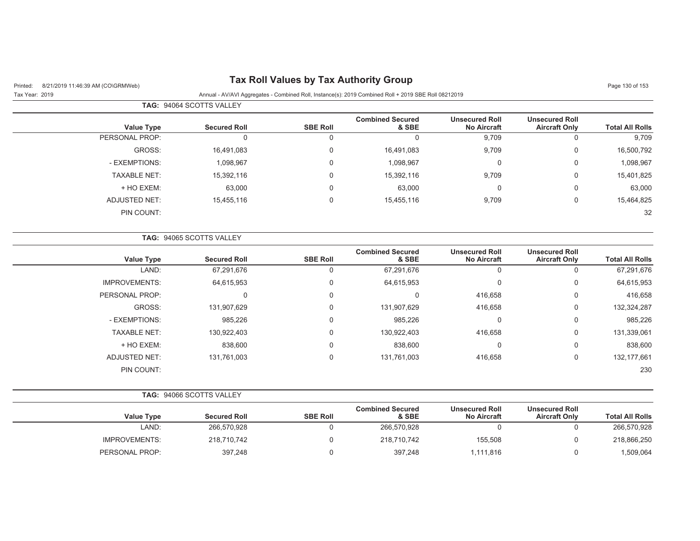## Printed: 8/21/2019 11:46:39 AM (CO\GRMWeb) **Tax Roll Values by Tax Authority Group** Page 130 of 153

 $\overline{\phantom{0}}$ 

|                        |                                               |                                             |                                  |                 | <b>TAG: 94064 SCOTTS VALLEY</b> |                     |
|------------------------|-----------------------------------------------|---------------------------------------------|----------------------------------|-----------------|---------------------------------|---------------------|
| <b>Total All Rolls</b> | <b>Unsecured Roll</b><br><b>Aircraft Only</b> | <b>Unsecured Roll</b><br><b>No Aircraft</b> | <b>Combined Secured</b><br>& SBE | <b>SBE Roll</b> | <b>Secured Roll</b>             | <b>Value Type</b>   |
| 9,709                  | 0                                             | 9,709                                       | 0                                | O               | 0                               | PERSONAL PROP:      |
| 16,500,792             | 0                                             | 9,709                                       | 16,491,083                       | $\Omega$        | 16,491,083                      | GROSS:              |
| 1,098,967              | 0                                             | υ                                           | 1,098,967                        | $\Omega$        | 1,098,967                       | - EXEMPTIONS:       |
| 15,401,825             | 0                                             | 9,709                                       | 15,392,116                       | $\Omega$        | 15,392,116                      | <b>TAXABLE NET:</b> |
| 63,000                 | 0                                             | U                                           | 63,000                           | 0               | 63,000                          | + HO EXEM:          |
| 15,464,825             | 0                                             | 9,709                                       | 15,455,116                       | 0               | 15,455,116                      | ADJUSTED NET:       |
| 32                     |                                               |                                             |                                  |                 |                                 | PIN COUNT:          |

|                      | <b>TAG: 94065 SCOTTS VALLEY</b> |                 |                                  |                                             |                                               |                        |
|----------------------|---------------------------------|-----------------|----------------------------------|---------------------------------------------|-----------------------------------------------|------------------------|
| <b>Value Type</b>    | <b>Secured Roll</b>             | <b>SBE Roll</b> | <b>Combined Secured</b><br>& SBE | <b>Unsecured Roll</b><br><b>No Aircraft</b> | <b>Unsecured Roll</b><br><b>Aircraft Only</b> | <b>Total All Rolls</b> |
| LAND:                | 67,291,676                      |                 | 67,291,676                       |                                             | 0                                             | 67,291,676             |
| <b>IMPROVEMENTS:</b> | 64,615,953                      | $\Omega$        | 64,615,953                       | $\Omega$                                    | 0                                             | 64,615,953             |
| PERSONAL PROP:       | 0                               | $\Omega$        | 0                                | 416,658                                     | 0                                             | 416,658                |
| GROSS:               | 131,907,629                     | $\Omega$        | 131,907,629                      | 416,658                                     | 0                                             | 132,324,287            |
| - EXEMPTIONS:        | 985,226                         | $\Omega$        | 985,226                          | $\Omega$                                    | 0                                             | 985,226                |
| <b>TAXABLE NET:</b>  | 130,922,403                     | $\Omega$        | 130,922,403                      | 416,658                                     | 0                                             | 131,339,061            |
| + HO EXEM:           | 838,600                         | $\Omega$        | 838,600                          | $\Omega$                                    | 0                                             | 838,600                |
| <b>ADJUSTED NET:</b> | 131,761,003                     | $\Omega$        | 131,761,003                      | 416,658                                     | 0                                             | 132, 177, 661          |
| PIN COUNT:           |                                 |                 |                                  |                                             |                                               | 230                    |

|  | <b>TAG: 94066 SCOTTS VALLEY</b> |
|--|---------------------------------|
|  |                                 |

|                   |                     |                 | <b>Combined Secured</b> | <b>Unsecured Roll</b> | <b>Unsecured Roll</b> |                        |
|-------------------|---------------------|-----------------|-------------------------|-----------------------|-----------------------|------------------------|
| <b>Value Type</b> | <b>Secured Roll</b> | <b>SBE Roll</b> | & SBE                   | <b>No Aircraft</b>    | <b>Aircraft Only</b>  | <b>Total All Rolls</b> |
| LAND:             | 266,570,928         |                 | 266,570,928             |                       |                       | 266,570,928            |
| IMPROVEMENTS:     | 218,710,742         |                 | 218,710,742             | 155.508               |                       | 218,866,250            |
| PERSONAL PROP:    | 397,248             |                 | 397,248                 | 111,816،،             |                       | 1,509,064              |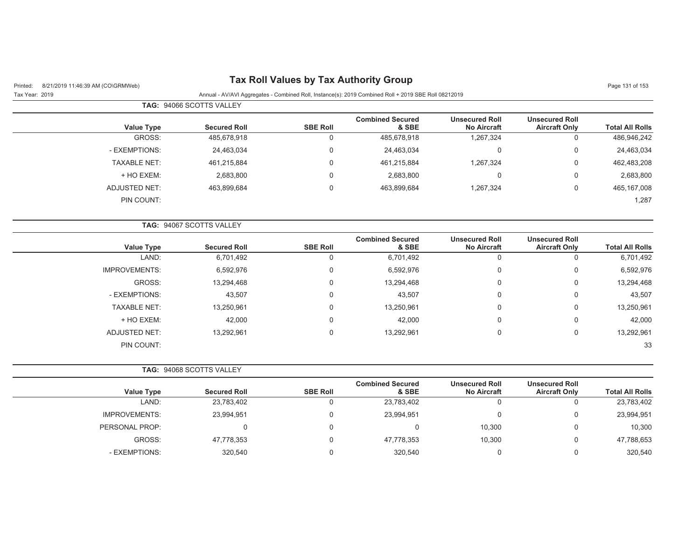| <b>Tax Roll Values by Tax Authority Group</b><br>8/21/2019 11:46:39 AM (CO\GRMWeb)<br>Printed: |                          |                 |                                                                                                      |                                             |                                               | Page 131 of 153        |
|------------------------------------------------------------------------------------------------|--------------------------|-----------------|------------------------------------------------------------------------------------------------------|---------------------------------------------|-----------------------------------------------|------------------------|
| Tax Year: 2019                                                                                 |                          |                 | Annual - AV/AVI Aggregates - Combined Roll, Instance(s): 2019 Combined Roll + 2019 SBE Roll 08212019 |                                             |                                               |                        |
|                                                                                                | TAG: 94066 SCOTTS VALLEY |                 |                                                                                                      |                                             |                                               |                        |
| <b>Value Type</b>                                                                              | <b>Secured Roll</b>      | <b>SBE Roll</b> | <b>Combined Secured</b><br>& SBE                                                                     | <b>Unsecured Roll</b><br><b>No Aircraft</b> | <b>Unsecured Roll</b><br><b>Aircraft Only</b> | <b>Total All Rolls</b> |
| GROSS:                                                                                         | 485,678,918              | 0               | 485,678,918                                                                                          | 1,267,324                                   | $\mathbf 0$                                   | 486,946,242            |
| - EXEMPTIONS:                                                                                  | 24,463,034               | 0               | 24,463,034                                                                                           | $\mathbf 0$                                 | $\pmb{0}$                                     | 24,463,034             |
| <b>TAXABLE NET:</b>                                                                            | 461,215,884              | 0               | 461,215,884                                                                                          | 1,267,324                                   | $\mathbf 0$                                   | 462,483,208            |
| + HO EXEM:                                                                                     | 2,683,800                | 0               | 2,683,800                                                                                            | $\mathbf 0$                                 | $\boldsymbol{0}$                              | 2,683,800              |
| <b>ADJUSTED NET:</b>                                                                           | 463,899,684              | 0               | 463,899,684                                                                                          | 1,267,324                                   | $\mathbf 0$                                   | 465, 167, 008          |
| PIN COUNT:                                                                                     |                          |                 |                                                                                                      |                                             |                                               | 1,287                  |
|                                                                                                | TAG: 94067 SCOTTS VALLEY |                 |                                                                                                      |                                             |                                               |                        |
| <b>Value Type</b>                                                                              | <b>Secured Roll</b>      | <b>SBE Roll</b> | <b>Combined Secured</b><br>& SBE                                                                     | <b>Unsecured Roll</b><br>No Aircraft        | <b>Unsecured Roll</b><br><b>Aircraft Only</b> | <b>Total All Rolls</b> |
| LAND:                                                                                          | 6,701,492                | 0               | 6,701,492                                                                                            | $\mathbf 0$                                 | $\mathbf 0$                                   | 6,701,492              |
| <b>IMPROVEMENTS:</b>                                                                           | 6,592,976                | 0               | 6,592,976                                                                                            | 0                                           | $\boldsymbol{0}$                              | 6,592,976              |
| GROSS:                                                                                         | 13,294,468               | 0               | 13,294,468                                                                                           | 0                                           | $\mathbf 0$                                   | 13,294,468             |
| - EXEMPTIONS:                                                                                  | 43,507                   | 0               | 43,507                                                                                               | $\mathbf 0$                                 | $\boldsymbol{0}$                              | 43,507                 |
| <b>TAXABLE NET:</b>                                                                            | 13,250,961               | $\mathbf 0$     | 13,250,961                                                                                           | $\Omega$                                    | $\mathbf 0$                                   | 13,250,961             |
| + HO EXEM:                                                                                     | 42,000                   | 0               | 42,000                                                                                               | 0                                           | $\mathbf 0$                                   | 42,000                 |
| <b>ADJUSTED NET:</b>                                                                           | 13,292,961               | 0               | 13,292,961                                                                                           | $\mathbf 0$                                 | $\mathbf 0$                                   | 13,292,961             |
| PIN COUNT:                                                                                     |                          |                 |                                                                                                      |                                             |                                               | 33                     |
|                                                                                                | TAG: 94068 SCOTTS VALLEY |                 |                                                                                                      |                                             |                                               |                        |
| <b>Value Type</b>                                                                              | <b>Secured Roll</b>      | <b>SBE Roll</b> | <b>Combined Secured</b><br>& SBE                                                                     | <b>Unsecured Roll</b><br><b>No Aircraft</b> | <b>Unsecured Roll</b><br><b>Aircraft Only</b> | <b>Total All Rolls</b> |
| LAND:                                                                                          | 23,783,402               | 0               | 23,783,402                                                                                           | $\mathbf 0$                                 | $\mathbf 0$                                   | 23,783,402             |
| <b>IMPROVEMENTS:</b>                                                                           | 23,994,951               | 0               | 23,994,951                                                                                           | $\mathbf 0$                                 | $\mathbf 0$                                   | 23,994,951             |
| PERSONAL PROP:                                                                                 | $\mathbf 0$              | 0               | 0                                                                                                    | 10,300                                      | $\boldsymbol{0}$                              | 10,300                 |
| GROSS:                                                                                         | 47,778,353               | 0               | 47,778,353                                                                                           | 10,300                                      | $\mathbf 0$                                   | 47,788,653             |
| - EXEMPTIONS:                                                                                  | 320,540                  | $\mathbf 0$     | 320,540                                                                                              | 0                                           | $\mathbf 0$                                   | 320,540                |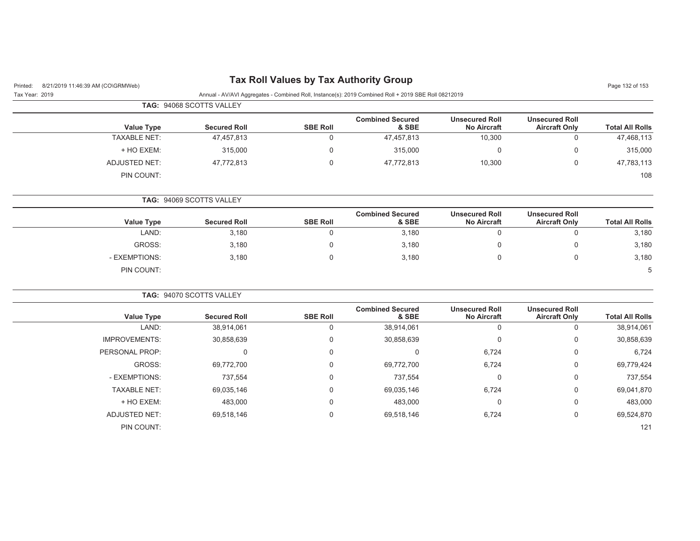| 8/21/2019 11:46:39 AM (CO\GRMWeb)<br>Printed: |                          |                 | <b>Tax Roll Values by Tax Authority Group</b>                                                        |                                             |                                               | Page 132 of 153        |
|-----------------------------------------------|--------------------------|-----------------|------------------------------------------------------------------------------------------------------|---------------------------------------------|-----------------------------------------------|------------------------|
| Tax Year: 2019                                |                          |                 | Annual - AV/AVI Aggregates - Combined Roll, Instance(s): 2019 Combined Roll + 2019 SBE Roll 08212019 |                                             |                                               |                        |
|                                               | TAG: 94068 SCOTTS VALLEY |                 |                                                                                                      |                                             |                                               |                        |
| <b>Value Type</b>                             | <b>Secured Roll</b>      | <b>SBE Roll</b> | <b>Combined Secured</b><br>& SBE                                                                     | <b>Unsecured Roll</b><br><b>No Aircraft</b> | <b>Unsecured Roll</b><br><b>Aircraft Only</b> | <b>Total All Rolls</b> |
| <b>TAXABLE NET:</b>                           | 47,457,813               | 0               | 47,457,813                                                                                           | 10,300                                      | 0                                             | 47,468,113             |
| + HO EXEM:                                    | 315,000                  | $\mathbf 0$     | 315,000                                                                                              | $\mathbf 0$                                 | $\mathbf 0$                                   | 315,000                |
| <b>ADJUSTED NET:</b>                          | 47,772,813               | 0               | 47,772,813                                                                                           | 10,300                                      | $\mathbf 0$                                   | 47,783,113             |
| PIN COUNT:                                    |                          |                 |                                                                                                      |                                             |                                               | 108                    |
|                                               | TAG: 94069 SCOTTS VALLEY |                 |                                                                                                      |                                             |                                               |                        |
| <b>Value Type</b>                             | <b>Secured Roll</b>      | <b>SBE Roll</b> | <b>Combined Secured</b><br>& SBE                                                                     | <b>Unsecured Roll</b><br><b>No Aircraft</b> | <b>Unsecured Roll</b><br><b>Aircraft Only</b> | <b>Total All Rolls</b> |
| LAND:                                         | 3,180                    | $\mathbf 0$     | 3,180                                                                                                | $\mathbf 0$                                 | $\mathbf 0$                                   | 3,180                  |
| GROSS:                                        | 3,180                    | $\Omega$        | 3,180                                                                                                | 0                                           | $\mathbf 0$                                   | 3,180                  |
| - EXEMPTIONS:                                 | 3,180                    | 0               | 3,180                                                                                                | 0                                           | $\mathbf 0$                                   | 3,180                  |
| PIN COUNT:                                    |                          |                 |                                                                                                      |                                             |                                               | 5                      |
|                                               | TAG: 94070 SCOTTS VALLEY |                 |                                                                                                      |                                             |                                               |                        |
| <b>Value Type</b>                             | <b>Secured Roll</b>      | <b>SBE Roll</b> | <b>Combined Secured</b><br>& SBE                                                                     | <b>Unsecured Roll</b><br><b>No Aircraft</b> | <b>Unsecured Roll</b><br><b>Aircraft Only</b> | <b>Total All Rolls</b> |
| LAND:                                         | 38,914,061               | 0               | 38,914,061                                                                                           | $\mathbf 0$                                 | $\mathbf 0$                                   | 38,914,061             |
| <b>IMPROVEMENTS:</b>                          | 30,858,639               | 0               | 30,858,639                                                                                           | $\mathbf 0$                                 | $\mathbf 0$                                   | 30,858,639             |
| PERSONAL PROP:                                | $\mathbf 0$              | 0               | $\mathbf 0$                                                                                          | 6,724                                       | $\mathbf 0$                                   | 6,724                  |
| GROSS:                                        | 69,772,700               | 0               | 69,772,700                                                                                           | 6,724                                       | 0                                             | 69,779,424             |
| - EXEMPTIONS:                                 | 737,554                  | 0               | 737,554                                                                                              | $\mathbf 0$                                 | $\mathbf 0$                                   | 737,554                |
| <b>TAXABLE NET:</b>                           | 69,035,146               | $\mathbf 0$     | 69,035,146                                                                                           | 6,724                                       | $\mathbf 0$                                   | 69,041,870             |
| + HO EXEM:                                    | 483,000                  | 0               | 483,000                                                                                              | $\mathbf 0$                                 | 0                                             | 483,000                |
| <b>ADJUSTED NET:</b>                          | 69,518,146               | 0               | 69,518,146                                                                                           | 6,724                                       | 0                                             | 69,524,870             |
| PIN COUNT:                                    |                          |                 |                                                                                                      |                                             |                                               | 121                    |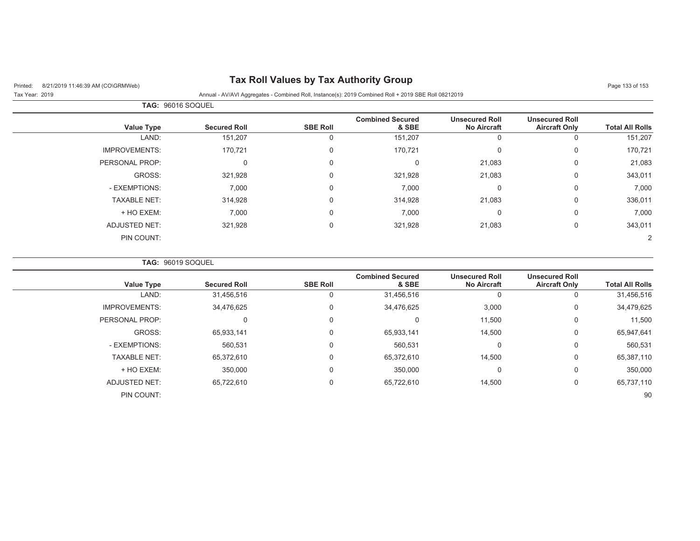## Printed: 8/21/2019 11:46:39 AM (CO\GRMWeb) **Tax Roll Values by Tax Authority Group** Page 133 of 153 of 153 of 153

Tax Year: 2019 Annual - AV/AVI Aggregates - Combined Roll, Instance(s): 2019 Combined Roll + 2019 SBE Roll 08212019

| <b>TAG: 96016 SOQUEL</b> |                     |                 |                                  |                                             |                                               |                        |
|--------------------------|---------------------|-----------------|----------------------------------|---------------------------------------------|-----------------------------------------------|------------------------|
| <b>Value Type</b>        | <b>Secured Roll</b> | <b>SBE Roll</b> | <b>Combined Secured</b><br>& SBE | <b>Unsecured Roll</b><br><b>No Aircraft</b> | <b>Unsecured Roll</b><br><b>Aircraft Only</b> | <b>Total All Rolls</b> |
| LAND:                    | 151,207             | 0               | 151,207                          | 0                                           | 0                                             | 151,207                |
| <b>IMPROVEMENTS:</b>     | 170,721             | $\mathbf 0$     | 170,721                          | 0                                           | $\mathbf 0$                                   | 170,721                |
| PERSONAL PROP:           | $\Omega$            | $\mathbf 0$     | 0                                | 21,083                                      | 0                                             | 21,083                 |
| GROSS:                   | 321,928             | 0               | 321,928                          | 21,083                                      | 0                                             | 343,011                |
| - EXEMPTIONS:            | 7,000               | $\mathbf 0$     | 7,000                            | 0                                           | $\mathbf 0$                                   | 7,000                  |
| <b>TAXABLE NET:</b>      | 314,928             | $\mathbf 0$     | 314,928                          | 21,083                                      | $\mathbf 0$                                   | 336,011                |
| + HO EXEM:               | 7,000               | $\mathbf 0$     | 7,000                            | 0                                           | $\mathbf 0$                                   | 7,000                  |
| <b>ADJUSTED NET:</b>     | 321,928             | $\mathbf 0$     | 321,928                          | 21,083                                      | 0                                             | 343,011                |
| PIN COUNT:               |                     |                 |                                  |                                             |                                               | $\overline{2}$         |

**TAG:** 96019 SOQUEL

|                      |                     |                 | <b>Combined Secured</b> | <b>Unsecured Roll</b> | <b>Unsecured Roll</b> |                        |
|----------------------|---------------------|-----------------|-------------------------|-----------------------|-----------------------|------------------------|
| <b>Value Type</b>    | <b>Secured Roll</b> | <b>SBE Roll</b> | & SBE                   | <b>No Aircraft</b>    | <b>Aircraft Only</b>  | <b>Total All Rolls</b> |
| LAND:                | 31,456,516          | 0               | 31,456,516              | 0                     | 0                     | 31,456,516             |
| <b>IMPROVEMENTS:</b> | 34,476,625          | 0               | 34,476,625              | 3,000                 | 0                     | 34,479,625             |
| PERSONAL PROP:       | 0                   | 0               | 0                       | 11,500                | 0                     | 11,500                 |
| GROSS:               | 65,933,141          | 0               | 65,933,141              | 14,500                | 0                     | 65,947,641             |
| - EXEMPTIONS:        | 560,531             | 0               | 560,531                 | $\Omega$              | 0                     | 560,531                |
| <b>TAXABLE NET:</b>  | 65,372,610          | 0               | 65,372,610              | 14,500                | 0                     | 65,387,110             |
| + HO EXEM:           | 350,000             | 0               | 350,000                 | $\Omega$              | $\mathbf 0$           | 350,000                |
| <b>ADJUSTED NET:</b> | 65,722,610          | 0               | 65,722,610              | 14,500                | 0                     | 65,737,110             |
| PIN COUNT:           |                     |                 |                         |                       |                       | 90                     |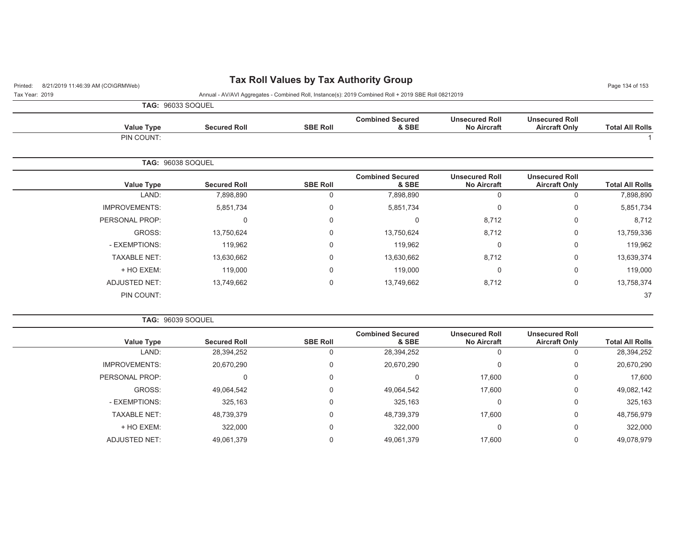## Printed: 8/21/2019 11:46:39 AM (CO\GRMWeb) **Tax Roll Values by Tax Authority Group**

Tax Year: 2019 Annual - AV/AVI Aggregates - Combined Roll, Instance(s): 2019 Combined Roll + 2019 SBE Roll 08212019

|  | <b>TAG: 96033 SOQUEL</b> |  |
|--|--------------------------|--|

|                        | <b>Unsecured Roll</b> | <b>Unsecured Roll</b> | <b>Combined Secured</b> |                 |                     |                          |
|------------------------|-----------------------|-----------------------|-------------------------|-----------------|---------------------|--------------------------|
| <b>Total All Rolls</b> | <b>Aircraft Only</b>  | <b>No Aircraft</b>    | & SBE                   | <b>SBE Roll</b> | <b>Secured Roll</b> | <b>Value Type</b>        |
|                        |                       |                       |                         |                 |                     | PIN COUNT:               |
|                        |                       |                       |                         |                 |                     | <b>TAG: 96038 SOQUEL</b> |
|                        | <b>Unsecured Roll</b> | <b>Unsecured Roll</b> | <b>Combined Secured</b> |                 |                     |                          |
| <b>Total All Rolls</b> | <b>Aircraft Only</b>  | <b>No Aircraft</b>    | & SBE                   | <b>SBE Roll</b> | <b>Secured Roll</b> | <b>Value Type</b>        |
| 7,898,890              | 0                     | 0                     | 7,898,890               | 0               | 7,898,890           | LAND:                    |
| 5,851,734              | $\mathbf 0$           | 0                     | 5,851,734               | 0               | 5,851,734           | <b>IMPROVEMENTS:</b>     |
| 8,712                  | $\mathbf 0$           | 8,712                 | $\Omega$                | 0               | $\Omega$            | PERSONAL PROP:           |
| 13,759,336             | 0                     | 8,712                 | 13,750,624              | 0               | 13,750,624          | GROSS:                   |
| 119,962                | $\mathbf 0$           | 0                     | 119,962                 | 0               | 119,962             | - EXEMPTIONS:            |
| 13,639,374             | 0                     | 8,712                 | 13,630,662              | 0               | 13,630,662          | <b>TAXABLE NET:</b>      |
| 119,000                | 0                     | 0                     | 119,000                 | 0               | 119,000             | + HO EXEM:               |
| 13,758,374             | 0                     | 8,712                 | 13,749,662              | 0               | 13,749,662          | <b>ADJUSTED NET:</b>     |
| 37                     |                       |                       |                         |                 |                     | PIN COUNT:               |
|                        |                       |                       |                         |                 |                     |                          |

**TAG:** 96039 SOQUEL

| <b>Secured Roll</b> | <b>SBE Roll</b> | <b>Combined Secured</b><br>& SBE | <b>Unsecured Roll</b><br><b>No Aircraft</b> | <b>Unsecured Roll</b><br><b>Aircraft Only</b> | <b>Total All Rolls</b> |
|---------------------|-----------------|----------------------------------|---------------------------------------------|-----------------------------------------------|------------------------|
| 28,394,252          |                 | 28,394,252                       | U                                           |                                               | 28,394,252             |
| 20,670,290          | 0               | 20,670,290                       | 0                                           | 0                                             | 20,670,290             |
| 0                   | 0               | υ                                | 17,600                                      | 0                                             | 17,600                 |
| 49,064,542          | 0               | 49,064,542                       | 17,600                                      | 0                                             | 49,082,142             |
| 325,163             | 0               | 325,163                          | $\mathbf 0$                                 | $\mathbf 0$                                   | 325,163                |
| 48,739,379          | $\Omega$        | 48,739,379                       | 17.600                                      | 0                                             | 48,756,979             |
| 322,000             | 0               | 322,000                          | $\mathbf 0$                                 | $\mathbf 0$                                   | 322,000                |
| 49,061,379          | $\Omega$        | 49,061,379                       | 17.600                                      |                                               | 49,078,979             |
|                     |                 |                                  |                                             |                                               |                        |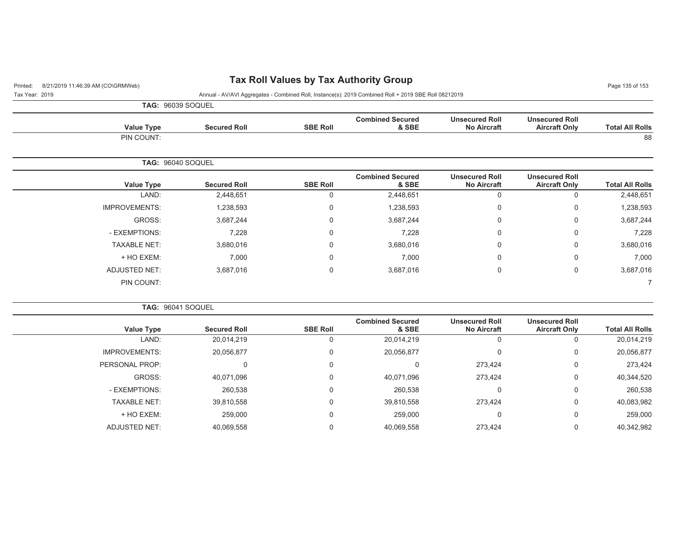## Printed: 8/21/2019 11:46:39 AM (CO\GRMWeb) **Tax Roll Values by Tax Authority Group** Page 135 of 153 of 153 of 153

Tax Year: 2019 Annual - AV/AVI Aggregates - Combined Roll, Instance(s): 2019 Combined Roll + 2019 SBE Roll 08212019

**TAG:** 96039 SOQUEL

| <b>Aircraft Only</b>                          | <b>Unsecured Roll</b><br><b>No Aircraft</b> | <b>Combined Secured</b><br>& SBE | <b>SBE Roll</b> | <b>Secured Roll</b> | Value Type           |
|-----------------------------------------------|---------------------------------------------|----------------------------------|-----------------|---------------------|----------------------|
|                                               |                                             |                                  |                 |                     | PIN COUNT:           |
|                                               |                                             |                                  |                 |                     | TAG: 96040 SOQUEL    |
| <b>Unsecured Roll</b><br><b>Aircraft Only</b> | <b>Unsecured Roll</b><br><b>No Aircraft</b> | <b>Combined Secured</b><br>& SBE | <b>SBE Roll</b> | <b>Secured Roll</b> | Value Type           |
| $\mathbf 0$                                   | 0                                           | 2,448,651                        | $\Omega$        | 2,448,651           | LAND:                |
| 0                                             | 0                                           | 1,238,593                        | 0               | 1,238,593           | <b>IMPROVEMENTS:</b> |
| 0                                             | 0                                           | 3,687,244                        | $\mathbf 0$     | 3,687,244           | GROSS:               |
| 0                                             | 0                                           | 7,228                            | $\mathbf 0$     | 7,228               | - EXEMPTIONS:        |
| $\mathbf 0$                                   | 0                                           | 3,680,016                        | 0               | 3,680,016           | <b>TAXABLE NET:</b>  |
| $\mathbf 0$                                   | 0                                           | 7,000                            | $\mathbf 0$     | 7,000               | + HO EXEM:           |
| 0                                             | 0                                           | 3,687,016                        | 0               | 3,687,016           | ADJUSTED NET:        |
|                                               |                                             |                                  |                 |                     | PIN COUNT:           |
|                                               |                                             |                                  |                 |                     |                      |

| <b>Value Type</b><br><b>Secured Roll</b> | <b>SBE Roll</b> | <b>Combined Secured</b><br>& SBE | <b>Unsecured Roll</b><br><b>No Aircraft</b> | <b>Unsecured Roll</b><br><b>Aircraft Only</b> | <b>Total All Rolls</b> |
|------------------------------------------|-----------------|----------------------------------|---------------------------------------------|-----------------------------------------------|------------------------|
| LAND:<br>20,014,219                      |                 | 20,014,219                       | -0                                          | O                                             | 20,014,219             |
| <b>IMPROVEMENTS:</b><br>20,056,877       |                 | 20,056,877                       | 0                                           | 0                                             | 20,056,877             |
| PERSONAL PROP:                           |                 |                                  | 273,424                                     | 0                                             | 273,424                |
| GROSS:<br>40.071.096                     |                 | 40.071.096                       | 273,424                                     | $\mathbf 0$                                   | 40,344,520             |
| - EXEMPTIONS:<br>260,538                 |                 | 260,538                          | $\Omega$                                    | 0                                             | 260,538                |
| <b>TAXABLE NET:</b><br>39,810,558        |                 | 39,810,558                       | 273,424                                     | $\mathbf 0$                                   | 40,083,982             |
| + HO EXEM:<br>259,000                    |                 | 259,000                          | $\Omega$                                    | 0                                             | 259,000                |
| <b>ADJUSTED NET:</b><br>40,069,558       |                 | 40,069,558                       | 273.424                                     | 0                                             | 40,342,982             |
|                                          |                 |                                  | TAG: 96041 SOQUEL                           |                                               |                        |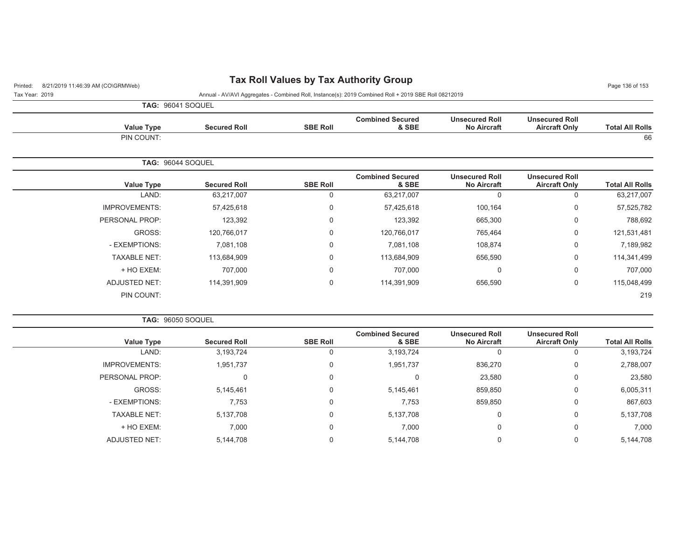## Printed: 8/21/2019 11:46:39 AM (CO\GRMWeb) **Tax Roll Values by Tax Authority Group** Page 11:46:39 AM (CO\GRMWeb)

| Tax Year: 2019 |  | Annual - AV/AVI Aggregates - Combined Roll, Instance(s): 2019 Combined Roll + 2019 SBE Roll 08212019 |  |
|----------------|--|------------------------------------------------------------------------------------------------------|--|

|  | <b>TAG: 96041 SOQUEL</b> |
|--|--------------------------|

| <b>Total All Rolls</b> | <b>Unsecured Roll</b><br><b>Aircraft Only</b> | <b>Unsecured Roll</b><br><b>No Aircraft</b> | <b>Combined Secured</b><br>& SBE | <b>SBE Roll</b> | <b>Secured Roll</b> | Value Type           |
|------------------------|-----------------------------------------------|---------------------------------------------|----------------------------------|-----------------|---------------------|----------------------|
| 66                     |                                               |                                             |                                  |                 |                     | PIN COUNT:           |
|                        |                                               |                                             |                                  |                 |                     | TAG: 96044 SOQUEL    |
| <b>Total All Rolls</b> | <b>Unsecured Roll</b><br><b>Aircraft Only</b> | <b>Unsecured Roll</b><br><b>No Aircraft</b> | <b>Combined Secured</b><br>& SBE | <b>SBE Roll</b> | <b>Secured Roll</b> | Value Type           |
| 63,217,007             | 0                                             | $\mathbf 0$                                 | 63,217,007                       | $\Omega$        | 63,217,007          | LAND:                |
| 57,525,782             | 0                                             | 100,164                                     | 57,425,618                       | 0               | 57,425,618          | <b>IMPROVEMENTS:</b> |
| 788,692                | 0                                             | 665,300                                     | 123,392                          | $\Omega$        | 123,392             | PERSONAL PROP:       |
| 121,531,481            | 0                                             | 765,464                                     | 120,766,017                      | $\Omega$        | 120,766,017         | GROSS:               |
| 7,189,982              | 0                                             | 108,874                                     | 7,081,108                        | $\mathbf 0$     | 7,081,108           | - EXEMPTIONS:        |
| 114,341,499            | 0                                             | 656,590                                     | 113,684,909                      | $\Omega$        | 113,684,909         | <b>TAXABLE NET:</b>  |
| 707,000                | 0                                             | $\mathbf 0$                                 | 707,000                          | $\mathbf 0$     | 707,000             | + HO EXEM:           |
| 115,048,499            | 0                                             | 656,590                                     | 114,391,909                      | $\mathbf 0$     | 114,391,909         | <b>ADJUSTED NET:</b> |
| 219                    |                                               |                                             |                                  |                 |                     | PIN COUNT:           |

|  |  | <b>TAG: 96050 SOQUEL</b> |
|--|--|--------------------------|
|--|--|--------------------------|

| Value Type           | <b>Secured Roll</b> | <b>SBE Roll</b> | <b>Combined Secured</b><br>& SBE | <b>Unsecured Roll</b><br><b>No Aircraft</b> | <b>Unsecured Roll</b><br><b>Aircraft Only</b> | <b>Total All Rolls</b> |
|----------------------|---------------------|-----------------|----------------------------------|---------------------------------------------|-----------------------------------------------|------------------------|
| LAND:                | 3,193,724           | 0               | 3,193,724                        |                                             | 0                                             | 3,193,724              |
| <b>IMPROVEMENTS:</b> | 1,951,737           | 0               | 1,951,737                        | 836,270                                     | 0                                             | 2,788,007              |
| PERSONAL PROP:       |                     | 0               |                                  | 23,580                                      | 0                                             | 23,580                 |
| GROSS:               | 5,145,461           | 0               | 5,145,461                        | 859,850                                     | 0                                             | 6,005,311              |
| - EXEMPTIONS:        | 7,753               | 0               | 7,753                            | 859,850                                     | 0                                             | 867,603                |
| <b>TAXABLE NET:</b>  | 5,137,708           | 0               | 5,137,708                        | 0                                           | 0                                             | 5,137,708              |
| + HO EXEM:           | 7,000               | 0               | 7,000                            | 0                                           | 0                                             | 7,000                  |
| ADJUSTED NET:        | 5,144,708           | 0               | 5,144,708                        | 0                                           | 0                                             | 5,144,708              |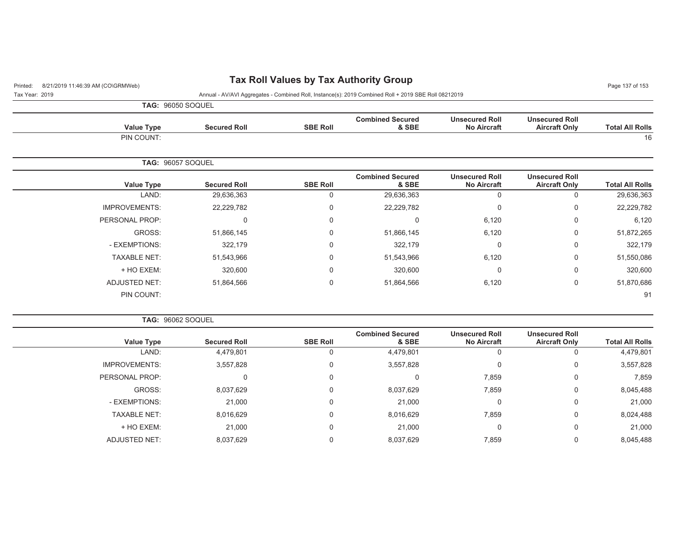## Printed: 8/21/2019 11:46:39 AM (CO\GRMWeb) **Tax Roll Values by Tax Authority Group** Page 137 of 153

Tax Year: 2019 Annual - AV/AVI Aggregates - Combined Roll, Instance(s): 2019 Combined Roll + 2019 SBE Roll 08212019

|                      | <b>TAG: 96050 SOQUEL</b> |                 |                                  |                                             |                                               |                        |
|----------------------|--------------------------|-----------------|----------------------------------|---------------------------------------------|-----------------------------------------------|------------------------|
| <b>Value Type</b>    | <b>Secured Roll</b>      | <b>SBE Roll</b> | <b>Combined Secured</b><br>& SBE | <b>Unsecured Roll</b><br><b>No Aircraft</b> | <b>Unsecured Roll</b><br><b>Aircraft Only</b> | <b>Total All Rolls</b> |
| PIN COUNT:           |                          |                 |                                  |                                             |                                               | 16                     |
|                      | TAG: 96057 SOQUEL        |                 |                                  |                                             |                                               |                        |
| <b>Value Type</b>    | <b>Secured Roll</b>      | <b>SBE Roll</b> | <b>Combined Secured</b><br>& SBE | <b>Unsecured Roll</b><br><b>No Aircraft</b> | <b>Unsecured Roll</b><br><b>Aircraft Only</b> | <b>Total All Rolls</b> |
| LAND:                | 29,636,363               | 0               | 29,636,363                       | $\mathbf 0$                                 | 0                                             | 29,636,363             |
| <b>IMPROVEMENTS:</b> | 22,229,782               | 0               | 22,229,782                       | $\mathbf 0$                                 | 0                                             | 22,229,782             |
| PERSONAL PROP:       | 0                        | 0               | 0                                | 6,120                                       | 0                                             | 6,120                  |
| GROSS:               | 51,866,145               | 0               | 51,866,145                       | 6,120                                       | 0                                             | 51,872,265             |
| - EXEMPTIONS:        | 322,179                  | 0               | 322,179                          | $\mathbf{0}$                                | 0                                             | 322,179                |
| <b>TAXABLE NET:</b>  | 51,543,966               | 0               | 51,543,966                       | 6,120                                       | 0                                             | 51,550,086             |
| + HO EXEM:           | 320,600                  | $\Omega$        | 320,600                          | $\mathbf 0$                                 | 0                                             | 320,600                |
| <b>ADJUSTED NET:</b> | 51,864,566               | 0               | 51,864,566                       | 6,120                                       | 0                                             | 51,870,686             |
| PIN COUNT:           |                          |                 |                                  |                                             |                                               | 91                     |

**TAG:** 96062 SOQUEL

| Value Type           | <b>Secured Roll</b> | <b>SBE Roll</b> | <b>Combined Secured</b><br>& SBE | <b>Unsecured Roll</b><br><b>No Aircraft</b> | <b>Unsecured Roll</b><br><b>Aircraft Only</b> | <b>Total All Rolls</b> |
|----------------------|---------------------|-----------------|----------------------------------|---------------------------------------------|-----------------------------------------------|------------------------|
| LAND:                | 4,479,801           | 0               | 4,479,801                        | 0                                           |                                               | 4,479,801              |
| <b>IMPROVEMENTS:</b> | 3,557,828           | 0               | 3,557,828                        | 0                                           | 0                                             | 3,557,828              |
| PERSONAL PROP:       | $\Omega$            | 0               |                                  | 7,859                                       | 0                                             | 7,859                  |
| GROSS:               | 8,037,629           | 0               | 8,037,629                        | 7,859                                       | 0                                             | 8,045,488              |
| - EXEMPTIONS:        | 21,000              | 0               | 21,000                           | 0                                           | 0                                             | 21,000                 |
| <b>TAXABLE NET:</b>  | 8,016,629           | 0               | 8,016,629                        | 7,859                                       | 0                                             | 8,024,488              |
| + HO EXEM:           | 21,000              | 0               | 21,000                           | 0                                           | 0                                             | 21,000                 |
| <b>ADJUSTED NET:</b> | 8,037,629           | 0               | 8,037,629                        | 7,859                                       |                                               | 8,045,488              |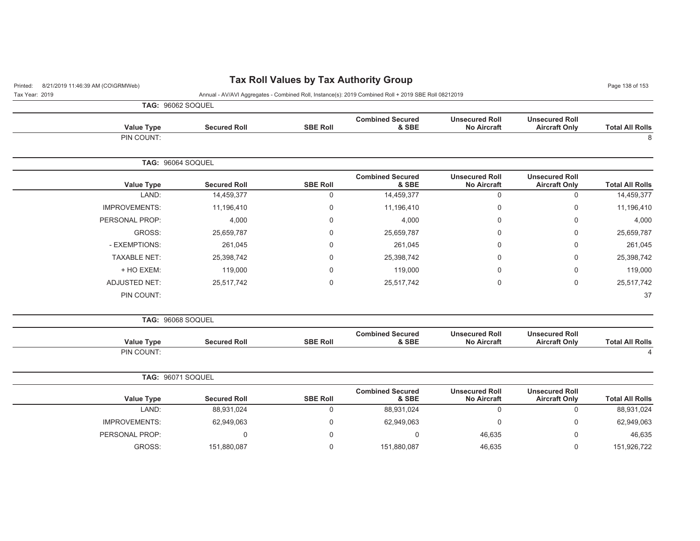| 8/21/2019 11:46:39 AM (CO\GRMWeb)<br>Printed: |                     | <b>Tax Roll Values by Tax Authority Group</b> |                                                                                                      |                                             |                                               | Page 138 of 153        |
|-----------------------------------------------|---------------------|-----------------------------------------------|------------------------------------------------------------------------------------------------------|---------------------------------------------|-----------------------------------------------|------------------------|
| Tax Year: 2019                                |                     |                                               | Annual - AV/AVI Aggregates - Combined Roll, Instance(s): 2019 Combined Roll + 2019 SBE Roll 08212019 |                                             |                                               |                        |
| <b>TAG: 96062 SOQUEL</b>                      |                     |                                               |                                                                                                      |                                             |                                               |                        |
| <b>Value Type</b>                             | <b>Secured Roll</b> | <b>SBE Roll</b>                               | <b>Combined Secured</b><br>& SBE                                                                     | <b>Unsecured Roll</b><br><b>No Aircraft</b> | <b>Unsecured Roll</b><br><b>Aircraft Only</b> | <b>Total All Rolls</b> |
| PIN COUNT:                                    |                     |                                               |                                                                                                      |                                             |                                               | 8                      |
| TAG: 96064 SOQUEL                             |                     |                                               |                                                                                                      |                                             |                                               |                        |
| <b>Value Type</b>                             | <b>Secured Roll</b> | <b>SBE Roll</b>                               | <b>Combined Secured</b><br>& SBE                                                                     | <b>Unsecured Roll</b><br><b>No Aircraft</b> | <b>Unsecured Roll</b><br><b>Aircraft Only</b> | <b>Total All Rolls</b> |
| LAND:                                         | 14,459,377          | 0                                             | 14,459,377                                                                                           | $\mathbf 0$                                 | $\mathbf 0$                                   | 14,459,377             |
| <b>IMPROVEMENTS:</b>                          | 11,196,410          | 0                                             | 11,196,410                                                                                           | 0                                           | 0                                             | 11,196,410             |
| PERSONAL PROP:                                | 4,000               | 0                                             | 4,000                                                                                                | 0                                           | 0                                             | 4,000                  |
| GROSS:                                        | 25,659,787          | 0                                             | 25,659,787                                                                                           | 0                                           | 0                                             | 25,659,787             |
| - EXEMPTIONS:                                 | 261,045             | $\Omega$                                      | 261,045                                                                                              | <sup>0</sup>                                | 0                                             | 261,045                |
| <b>TAXABLE NET:</b>                           | 25,398,742          | 0                                             | 25,398,742                                                                                           | 0                                           | 0                                             | 25,398,742             |
| + HO EXEM:                                    | 119,000             | 0                                             | 119,000                                                                                              | 0                                           | 0                                             | 119,000                |
| <b>ADJUSTED NET:</b>                          | 25,517,742          | 0                                             | 25,517,742                                                                                           | $\mathbf 0$                                 | $\mathbf 0$                                   | 25,517,742             |
| PIN COUNT:                                    |                     |                                               |                                                                                                      |                                             |                                               | 37                     |
| TAG: 96068 SOQUEL                             |                     |                                               |                                                                                                      |                                             |                                               |                        |
| <b>Value Type</b>                             | <b>Secured Roll</b> | <b>SBE Roll</b>                               | <b>Combined Secured</b><br>& SBE                                                                     | <b>Unsecured Roll</b><br><b>No Aircraft</b> | <b>Unsecured Roll</b><br><b>Aircraft Only</b> | <b>Total All Rolls</b> |
| PIN COUNT:                                    |                     |                                               |                                                                                                      |                                             |                                               | $\overline{4}$         |
| TAG: 96071 SOQUEL                             |                     |                                               |                                                                                                      |                                             |                                               |                        |
| <b>Value Type</b>                             | <b>Secured Roll</b> | <b>SBE Roll</b>                               | <b>Combined Secured</b><br>& SBE                                                                     | <b>Unsecured Roll</b><br><b>No Aircraft</b> | <b>Unsecured Roll</b><br><b>Aircraft Only</b> | <b>Total All Rolls</b> |
| LAND:                                         | 88,931,024          | 0                                             | 88,931,024                                                                                           | $\mathbf 0$                                 | $\mathbf 0$                                   | 88,931,024             |
| <b>IMPROVEMENTS:</b>                          | 62,949,063          | 0                                             | 62,949,063                                                                                           | 0                                           | 0                                             | 62,949,063             |
| PERSONAL PROP:                                | 0                   | 0                                             | 0                                                                                                    | 46,635                                      | 0                                             | 46,635                 |
| GROSS:                                        | 151,880,087         | $\Omega$                                      | 151,880,087                                                                                          | 46,635                                      | $\mathbf 0$                                   | 151,926,722            |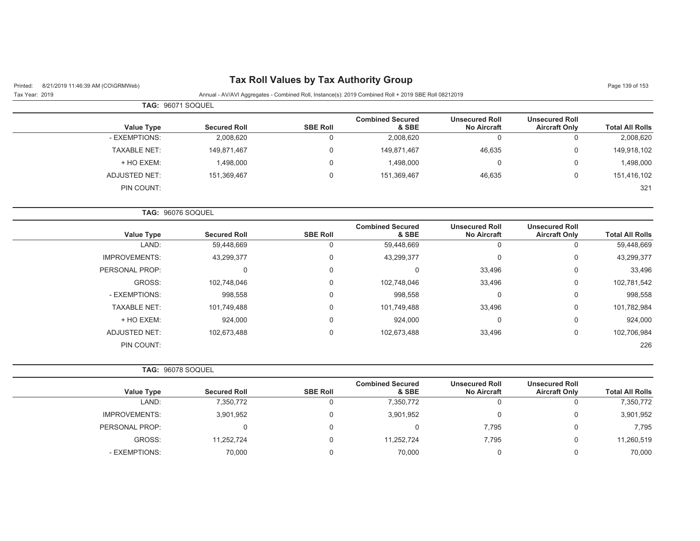| 8/21/2019 11:46:39 AM (CO\GRMWeb)<br>Printed: |                                                                                                      |                  |                                  |                                             |                                               | Page 139 of 153        |
|-----------------------------------------------|------------------------------------------------------------------------------------------------------|------------------|----------------------------------|---------------------------------------------|-----------------------------------------------|------------------------|
| Tax Year: 2019                                | Annual - AV/AVI Aggregates - Combined Roll, Instance(s): 2019 Combined Roll + 2019 SBE Roll 08212019 |                  |                                  |                                             |                                               |                        |
| TAG: 96071 SOQUEL                             |                                                                                                      |                  |                                  |                                             |                                               |                        |
| <b>Value Type</b>                             | <b>Secured Roll</b>                                                                                  | <b>SBE Roll</b>  | <b>Combined Secured</b><br>& SBE | <b>Unsecured Roll</b><br><b>No Aircraft</b> | <b>Unsecured Roll</b><br><b>Aircraft Only</b> | <b>Total All Rolls</b> |
| - EXEMPTIONS:                                 | 2,008,620                                                                                            | 0                | 2,008,620                        | 0                                           | $\pmb{0}$                                     | 2,008,620              |
| <b>TAXABLE NET:</b>                           | 149,871,467                                                                                          | 0                | 149,871,467                      | 46,635                                      | 0                                             | 149,918,102            |
| + HO EXEM:                                    | 1,498,000                                                                                            | $\Omega$         | 1,498,000                        | $\mathbf 0$                                 | $\Omega$                                      | 1,498,000              |
| <b>ADJUSTED NET:</b>                          | 151,369,467                                                                                          | $\boldsymbol{0}$ | 151,369,467                      | 46,635                                      | $\boldsymbol{0}$                              | 151,416,102            |
| PIN COUNT:                                    |                                                                                                      |                  |                                  |                                             |                                               | 321                    |
| TAG: 96076 SOQUEL                             |                                                                                                      |                  |                                  |                                             |                                               |                        |
| <b>Value Type</b>                             | <b>Secured Roll</b>                                                                                  | <b>SBE Roll</b>  | <b>Combined Secured</b><br>& SBE | <b>Unsecured Roll</b><br><b>No Aircraft</b> | <b>Unsecured Roll</b><br><b>Aircraft Only</b> | <b>Total All Rolls</b> |
| LAND:                                         | 59,448,669                                                                                           | $\mathbf 0$      | 59,448,669                       | $\mathbf 0$                                 | 0                                             | 59,448,669             |
| <b>IMPROVEMENTS:</b>                          | 43,299,377                                                                                           | $\mathbf 0$      | 43,299,377                       | 0                                           | $\mathbf 0$                                   | 43,299,377             |
| PERSONAL PROP:                                | $\mathbf 0$                                                                                          | $\Omega$         | 0                                | 33,496                                      | $\Omega$                                      | 33,496                 |
| GROSS:                                        | 102,748,046                                                                                          | $\Omega$         | 102,748,046                      | 33,496                                      | $\mathbf 0$                                   | 102,781,542            |
| - EXEMPTIONS:                                 | 998,558                                                                                              | $\Omega$         | 998,558                          | 0                                           | $\Omega$                                      | 998,558                |
| <b>TAXABLE NET:</b>                           | 101,749,488                                                                                          | $\Omega$         | 101,749,488                      | 33,496                                      | $\mathbf 0$                                   | 101,782,984            |
| + HO EXEM:                                    | 924,000                                                                                              | 0                | 924,000                          | 0                                           | $\mathbf 0$                                   | 924,000                |
| <b>ADJUSTED NET:</b>                          | 102,673,488                                                                                          | $\mathbf 0$      | 102,673,488                      | 33,496                                      | $\mathbf 0$                                   | 102,706,984            |
| PIN COUNT:                                    |                                                                                                      |                  |                                  |                                             |                                               | 226                    |
| TAG: 96078 SOQUEL                             |                                                                                                      |                  |                                  |                                             |                                               |                        |
| <b>Value Type</b>                             | <b>Secured Roll</b>                                                                                  | <b>SBE Roll</b>  | <b>Combined Secured</b><br>& SBE | <b>Unsecured Roll</b><br><b>No Aircraft</b> | <b>Unsecured Roll</b><br><b>Aircraft Only</b> | <b>Total All Rolls</b> |
| LAND:                                         | 7,350,772                                                                                            | $\Omega$         | 7,350,772                        | $\mathbf 0$                                 | $\Omega$                                      | 7,350,772              |
| <b>IMPROVEMENTS:</b>                          | 3,901,952                                                                                            | $\Omega$         | 3,901,952                        | $\mathbf 0$                                 | $\Omega$                                      | 3,901,952              |
| PERSONAL PROP:                                | $\mathbf{0}$                                                                                         | $\mathbf 0$      | 0                                | 7,795                                       | $\mathbf 0$                                   | 7,795                  |

GROSS: 11,252,724 0 11,252,724 7,795 0 11,260,519 - EXEMPTIONS: 70,000 0 70,000 0 0 70,000

#### **Tax Roll Values by Tax Authority Group**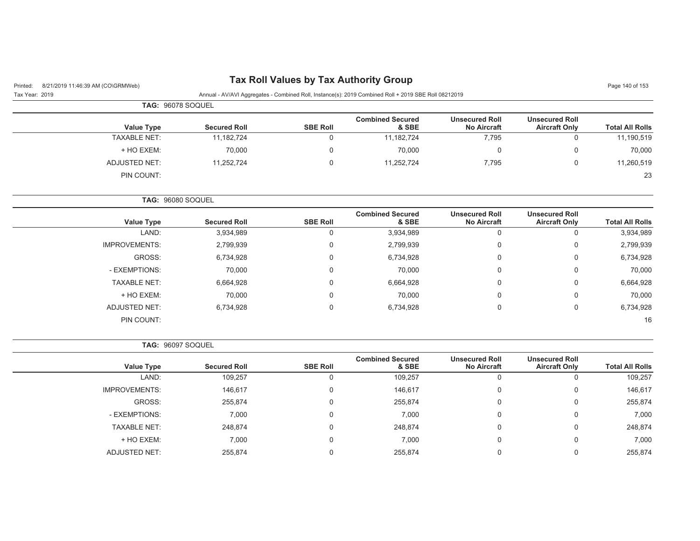## Printed: 8/21/2019 11:46:39 AM (CO\GRMWeb) **Tax Roll Values by Tax Authority Group** Page 140 of 153

Tax Year: 2019 Annual - AV/AVI Aggregates - Combined Roll, Instance(s): 2019 Combined Roll + 2019 SBE Roll 08212019

| <b>TAG: 96078 SOQUEL</b> |                     |                 |                                  |                                             |                                               |                        |
|--------------------------|---------------------|-----------------|----------------------------------|---------------------------------------------|-----------------------------------------------|------------------------|
| Value Type               | <b>Secured Roll</b> | <b>SBE Roll</b> | <b>Combined Secured</b><br>& SBE | <b>Unsecured Roll</b><br><b>No Aircraft</b> | <b>Unsecured Roll</b><br><b>Aircraft Only</b> | <b>Total All Rolls</b> |
| <b>TAXABLE NET:</b>      | 11,182,724          |                 | 11,182,724                       | 7,795                                       | υ                                             | 11,190,519             |
| + HO EXEM:               | 70,000              | 0               | 70,000                           | 0                                           |                                               | 70,000                 |
| ADJUSTED NET:            | 11,252,724          | 0               | 11,252,724                       | 7,795                                       |                                               | 11,260,519             |
| PIN COUNT:               |                     |                 |                                  |                                             |                                               | 23                     |

**TAG:** 96080 SOQUEL

| Value Type           | <b>Secured Roll</b> | <b>SBE Roll</b> | <b>Combined Secured</b><br>& SBE | <b>Unsecured Roll</b><br><b>No Aircraft</b> | <b>Unsecured Roll</b><br><b>Aircraft Only</b> | <b>Total All Rolls</b> |
|----------------------|---------------------|-----------------|----------------------------------|---------------------------------------------|-----------------------------------------------|------------------------|
| LAND:                | 3,934,989           |                 | 3,934,989                        | υ                                           |                                               | 3,934,989              |
| <b>IMPROVEMENTS:</b> | 2,799,939           |                 | 2,799,939                        | 0                                           | $\Omega$                                      | 2,799,939              |
| GROSS:               | 6,734,928           | 0               | 6,734,928                        | 0                                           | 0                                             | 6,734,928              |
| - EXEMPTIONS:        | 70,000              |                 | 70,000                           | 0                                           | $\Omega$                                      | 70,000                 |
| <b>TAXABLE NET:</b>  | 6,664,928           | 0               | 6,664,928                        | 0                                           | 0                                             | 6,664,928              |
| + HO EXEM:           | 70,000              | 0               | 70,000                           | 0                                           | 0                                             | 70,000                 |
| ADJUSTED NET:        | 6,734,928           | 0               | 6,734,928                        | 0                                           | 0                                             | 6,734,928              |
| PIN COUNT:           |                     |                 |                                  |                                             |                                               | 16                     |

**TAG:** 96097 SOQUEL

|                      |                     |                 | <b>Combined Secured</b> | <b>Unsecured Roll</b> | <b>Unsecured Roll</b> |                        |
|----------------------|---------------------|-----------------|-------------------------|-----------------------|-----------------------|------------------------|
| Value Type           | <b>Secured Roll</b> | <b>SBE Roll</b> | & SBE                   | <b>No Aircraft</b>    | <b>Aircraft Only</b>  | <b>Total All Rolls</b> |
| LAND:                | 109,257             | 0               | 109,257                 | $\mathbf{0}$          | U                     | 109,257                |
| <b>IMPROVEMENTS:</b> | 146,617             | 0               | 146,617                 | 0                     | 0                     | 146,617                |
| GROSS:               | 255,874             | 0               | 255,874                 | 0                     | 0                     | 255,874                |
| - EXEMPTIONS:        | 7,000               | 0               | 7,000                   | 0                     | 0                     | 7,000                  |
| <b>TAXABLE NET:</b>  | 248,874             | 0               | 248,874                 | 0                     | 0                     | 248,874                |
| + HO EXEM:           | 7,000               | 0               | 7,000                   | 0                     | 0                     | 7,000                  |
| <b>ADJUSTED NET:</b> | 255,874             | 0               | 255.874                 | 0                     | 0                     | 255,874                |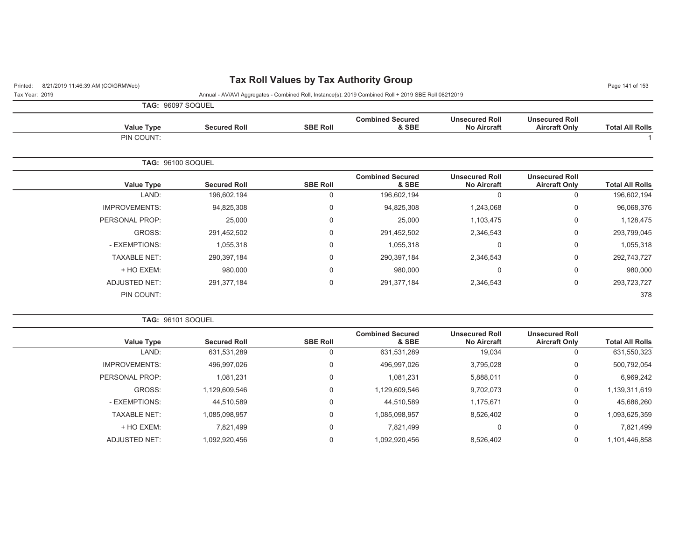# Printed: 8/21/2019 11:46:39 AM (CO\GRMWeb) **Tax Roll Values by Tax Authority Group** Page 141:46:39 AM (CO\GRMWeb)

| Tax Year: 2019 | Annual - AV/AVI Aggregates - Combined Roll, Instance(s): 2019 Combined Roll + 2019 SBE Roll 08212019 |
|----------------|------------------------------------------------------------------------------------------------------|
|                |                                                                                                      |

| <b>TAG: 96097 SOQUEL</b> |
|--------------------------|

| <b>Value Type</b>    | <b>Secured Roll</b>      | <b>SBE Roll</b> | <b>Combined Secured</b><br>& SBE | <b>Unsecured Roll</b><br><b>No Aircraft</b> | <b>Unsecured Roll</b><br><b>Aircraft Only</b> | <b>Total All Rolls</b> |
|----------------------|--------------------------|-----------------|----------------------------------|---------------------------------------------|-----------------------------------------------|------------------------|
| PIN COUNT:           |                          |                 |                                  |                                             |                                               |                        |
|                      | <b>TAG: 96100 SOQUEL</b> |                 |                                  |                                             |                                               |                        |
| <b>Value Type</b>    | <b>Secured Roll</b>      | <b>SBE Roll</b> | <b>Combined Secured</b><br>& SBE | <b>Unsecured Roll</b><br><b>No Aircraft</b> | <b>Unsecured Roll</b><br><b>Aircraft Only</b> | <b>Total All Rolls</b> |
| LAND:                | 196,602,194              | 0               | 196,602,194                      | $\mathbf 0$                                 | 0                                             | 196,602,194            |
| <b>IMPROVEMENTS:</b> | 94,825,308               | $\mathbf 0$     | 94,825,308                       | 1,243,068                                   | 0                                             | 96,068,376             |
| PERSONAL PROP:       | 25,000                   | $\Omega$        | 25,000                           | 1,103,475                                   | 0                                             | 1,128,475              |
| GROSS:               | 291,452,502              | $\mathbf 0$     | 291,452,502                      | 2,346,543                                   | 0                                             | 293,799,045            |
| - EXEMPTIONS:        | 1,055,318                | $\Omega$        | 1,055,318                        | $\mathbf 0$                                 | 0                                             | 1,055,318              |
| <b>TAXABLE NET:</b>  | 290,397,184              | $\Omega$        | 290,397,184                      | 2,346,543                                   | 0                                             | 292,743,727            |
| + HO EXEM:           | 980,000                  | $\Omega$        | 980,000                          | $\Omega$                                    | 0                                             | 980,000                |
| ADJUSTED NET:        | 291,377,184              | $\mathbf 0$     | 291,377,184                      | 2,346,543                                   | 0                                             | 293,723,727            |
| PIN COUNT:           |                          |                 |                                  |                                             |                                               | 378                    |

**TAG:** 96101 SOQUEL

| <b>Secured Roll</b> | <b>SBE Roll</b> | <b>Combined Secured</b><br>& SBE | <b>Unsecured Roll</b><br><b>No Aircraft</b> | <b>Unsecured Roll</b><br><b>Aircraft Only</b> | <b>Total All Rolls</b> |
|---------------------|-----------------|----------------------------------|---------------------------------------------|-----------------------------------------------|------------------------|
| 631,531,289         | 0               | 631,531,289                      | 19,034                                      |                                               | 631,550,323            |
| 496,997,026         | $\Omega$        | 496,997,026                      | 3,795,028                                   | 0                                             | 500,792,054            |
| 1,081,231           | 0               | 1,081,231                        | 5,888,011                                   | $\Omega$                                      | 6,969,242              |
| 1,129,609,546       | 0               | 1,129,609,546                    | 9,702,073                                   | 0                                             | 1,139,311,619          |
| 44,510,589          | $\Omega$        | 44,510,589                       | 1,175,671                                   | 0                                             | 45,686,260             |
| 1,085,098,957       | $\Omega$        | 1,085,098,957                    | 8,526,402                                   | $\Omega$                                      | 1,093,625,359          |
| 7,821,499           | 0               | 7.821.499                        |                                             | 0                                             | 7,821,499              |
| 1,092,920,456       | 0               | 1,092,920,456                    | 8,526,402                                   | 0                                             | 1,101,446,858          |
|                     |                 |                                  |                                             |                                               |                        |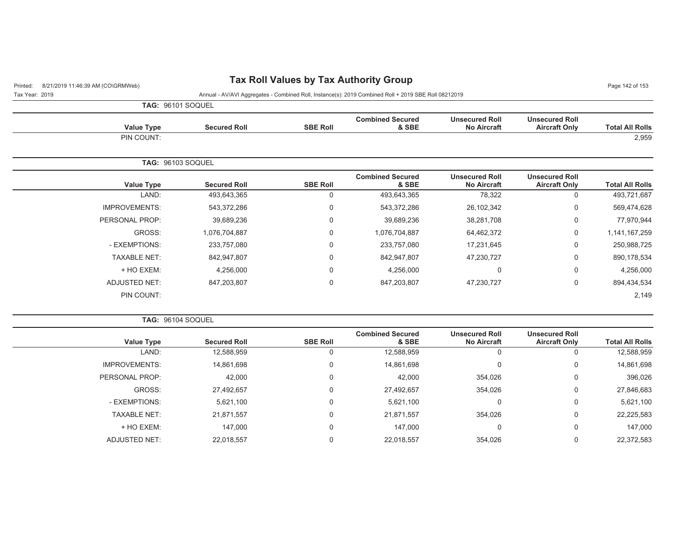## Printed: 8/21/2019 11:46:39 AM (CO\GRMWeb) **Tax Roll Values by Tax Authority Group** Page 142 of 153

Tax Year: 2019 Annual - AV/AVI Aggregates - Combined Roll, Instance(s): 2019 Combined Roll + 2019 SBE Roll 08212019

|  | <b>TAG: 96101 SOQUEL</b> |
|--|--------------------------|

| <b>Total All Rolls</b> | <b>Unsecured Roll</b><br><b>Aircraft Only</b> | <b>Unsecured Roll</b><br><b>No Aircraft</b> | <b>Combined Secured</b><br>& SBE | <b>SBE Roll</b> | <b>Secured Roll</b> | <b>Value Type</b>        |
|------------------------|-----------------------------------------------|---------------------------------------------|----------------------------------|-----------------|---------------------|--------------------------|
| 2,959                  |                                               |                                             |                                  |                 |                     | PIN COUNT:               |
|                        |                                               |                                             |                                  |                 |                     | <b>TAG: 96103 SOQUEL</b> |
| <b>Total All Rolls</b> | <b>Unsecured Roll</b><br><b>Aircraft Only</b> | <b>Unsecured Roll</b><br><b>No Aircraft</b> | <b>Combined Secured</b><br>& SBE | <b>SBE Roll</b> | <b>Secured Roll</b> | <b>Value Type</b>        |
| 493,721,687            | $\mathbf 0$                                   | 78,322                                      | 493,643,365                      | 0               | 493,643,365         | LAND:                    |
| 569,474,628            | $\mathbf 0$                                   | 26,102,342                                  | 543,372,286                      | 0               | 543,372,286         | <b>IMPROVEMENTS:</b>     |
| 77,970,944             | $\mathbf 0$                                   | 38,281,708                                  | 39,689,236                       | 0               | 39,689,236          | PERSONAL PROP:           |
| 1,141,167,259          | 0                                             | 64,462,372                                  | 1,076,704,887                    | 0               | 1,076,704,887       | GROSS:                   |
| 250,988,725            | $\mathbf 0$                                   | 17,231,645                                  | 233,757,080                      | 0               | 233,757,080         | - EXEMPTIONS:            |
| 890, 178, 534          | 0                                             | 47,230,727                                  | 842,947,807                      | 0               | 842,947,807         | <b>TAXABLE NET:</b>      |
| 4,256,000              | $\mathbf 0$                                   | $\overline{0}$                              | 4,256,000                        | 0               | 4,256,000           | + HO EXEM:               |
| 894,434,534            | $\mathbf 0$                                   | 47,230,727                                  | 847,203,807                      | 0               | 847,203,807         | ADJUSTED NET:            |
| 2,149                  |                                               |                                             |                                  |                 |                     | PIN COUNT:               |

**TAG:** 96104 SOQUEL

| <b>Value Type</b>    | <b>Secured Roll</b> | <b>SBE Roll</b> | <b>Combined Secured</b><br>& SBE | <b>Unsecured Roll</b><br><b>No Aircraft</b> | <b>Unsecured Roll</b><br><b>Aircraft Only</b> | <b>Total All Rolls</b> |
|----------------------|---------------------|-----------------|----------------------------------|---------------------------------------------|-----------------------------------------------|------------------------|
| LAND:                | 12,588,959          | 0               | 12,588,959                       | 0                                           | 0                                             | 12,588,959             |
| <b>IMPROVEMENTS:</b> | 14,861,698          | 0               | 14,861,698                       | 0                                           | 0                                             | 14,861,698             |
| PERSONAL PROP:       | 42,000              | 0               | 42,000                           | 354,026                                     | 0                                             | 396,026                |
| GROSS:               | 27,492,657          | 0               | 27,492,657                       | 354,026                                     | 0                                             | 27,846,683             |
| - EXEMPTIONS:        | 5,621,100           | 0               | 5,621,100                        | 0                                           | 0                                             | 5,621,100              |
| <b>TAXABLE NET:</b>  | 21,871,557          | 0               | 21,871,557                       | 354,026                                     | 0                                             | 22,225,583             |
| + HO EXEM:           | 147,000             | 0               | 147,000                          | 0                                           | 0                                             | 147,000                |
| ADJUSTED NET:        | 22,018,557          | 0               | 22,018,557                       | 354,026                                     | 0                                             | 22,372,583             |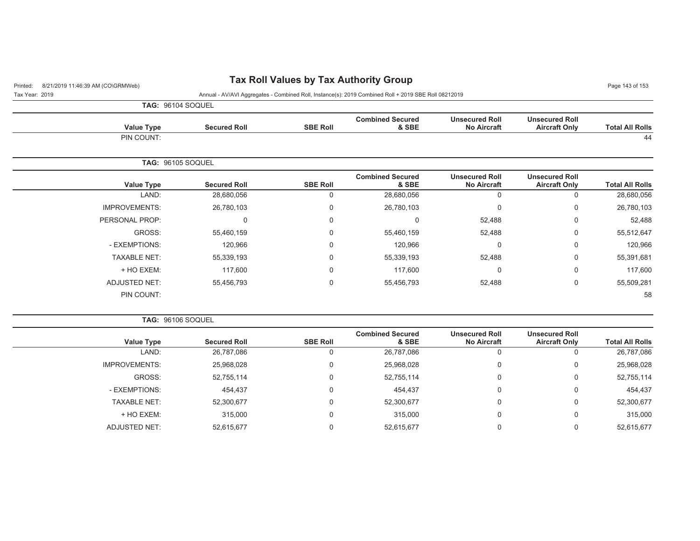## Printed: 8/21/2019 11:46:39 AM (CO\GRMWeb) **Tax Roll Values by Tax Authority Group** Page 143 of 153

Tax Year: 2019 Annual - AV/AVI Aggregates - Combined Roll, Instance(s): 2019 Combined Roll + 2019 SBE Roll 08212019

|                      | TAG: 96104 SOQUEL        |                 |                                  |                                             |                                               |                        |
|----------------------|--------------------------|-----------------|----------------------------------|---------------------------------------------|-----------------------------------------------|------------------------|
| Value Type           | <b>Secured Roll</b>      | <b>SBE Roll</b> | <b>Combined Secured</b><br>& SBE | <b>Unsecured Roll</b><br><b>No Aircraft</b> | <b>Unsecured Roll</b><br><b>Aircraft Only</b> | <b>Total All Rolls</b> |
| PIN COUNT:           |                          |                 |                                  |                                             |                                               | 44                     |
|                      | <b>TAG: 96105 SOQUEL</b> |                 |                                  |                                             |                                               |                        |
| Value Type           | <b>Secured Roll</b>      | <b>SBE Roll</b> | <b>Combined Secured</b><br>& SBE | <b>Unsecured Roll</b><br><b>No Aircraft</b> | <b>Unsecured Roll</b><br><b>Aircraft Only</b> | <b>Total All Rolls</b> |
| LAND:                | 28,680,056               | $\Omega$        | 28,680,056                       | 0                                           | 0                                             | 28,680,056             |
| <b>IMPROVEMENTS:</b> | 26,780,103               | $\mathbf 0$     | 26,780,103                       | 0                                           | $\mathbf 0$                                   | 26,780,103             |
| PERSONAL PROP:       | $\mathbf 0$              | $\mathbf 0$     | $\mathbf 0$                      | 52,488                                      | 0                                             | 52,488                 |
| GROSS:               | 55,460,159               | $\Omega$        | 55,460,159                       | 52,488                                      | $\mathbf 0$                                   | 55,512,647             |
| - EXEMPTIONS:        | 120,966                  | $\Omega$        | 120,966                          | 0                                           | $\mathbf 0$                                   | 120,966                |
| <b>TAXABLE NET:</b>  | 55,339,193               | $\mathbf 0$     | 55,339,193                       | 52,488                                      | 0                                             | 55,391,681             |
| + HO EXEM:           | 117,600                  | $\mathbf 0$     | 117,600                          | 0                                           | $\mathbf 0$                                   | 117,600                |
| <b>ADJUSTED NET:</b> | 55,456,793               | $\Omega$        | 55,456,793                       | 52,488                                      | 0                                             | 55,509,281             |
| PIN COUNT:           |                          |                 |                                  |                                             |                                               | 58                     |

**TAG:** 96106 SOQUEL

| <b>Value Type</b>    | <b>Secured Roll</b> | <b>SBE Roll</b> | <b>Combined Secured</b><br>& SBE | <b>Unsecured Roll</b><br><b>No Aircraft</b> | <b>Unsecured Roll</b><br><b>Aircraft Only</b> | <b>Total All Rolls</b> |
|----------------------|---------------------|-----------------|----------------------------------|---------------------------------------------|-----------------------------------------------|------------------------|
| LAND:                | 26,787,086          | 0               | 26,787,086                       |                                             | 0                                             | 26,787,086             |
| <b>IMPROVEMENTS:</b> | 25,968,028          | 0               | 25,968,028                       | 0                                           | 0                                             | 25,968,028             |
| GROSS:               | 52,755,114          | 0               | 52,755,114                       | 0                                           | 0                                             | 52,755,114             |
| - EXEMPTIONS:        | 454.437             | 0               | 454.437                          | 0                                           | 0                                             | 454,437                |
| <b>TAXABLE NET:</b>  | 52,300,677          | 0               | 52,300,677                       | 0                                           | 0                                             | 52,300,677             |
| + HO EXEM:           | 315,000             | 0               | 315.000                          | 0                                           | 0                                             | 315,000                |
| ADJUSTED NET:        | 52,615,677          | 0               | 52,615,677                       | 0                                           | 0                                             | 52,615,677             |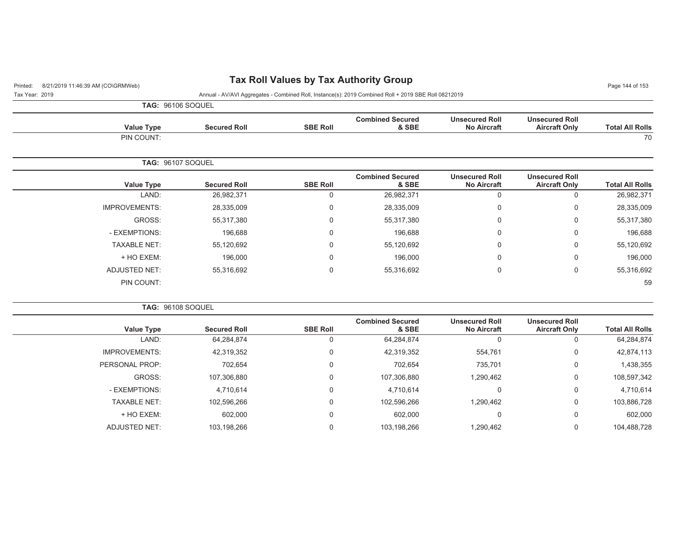# Printed: 8/21/2019 11:46:39 AM (CO\GRMWeb) **Tax Roll Values by Tax Authority Group** Page 114:46:39 AM (CO\GRMWeb)

Tax Year: 2019 Annual - AV/AVI Aggregates - Combined Roll, Instance(s): 2019 Combined Roll + 2019 SBE Roll 08212019

**TAG:** 96106 SOQUEL

PIN COUNT:

| <b>Total All Rolls</b> | <b>Unsecured Roll</b><br><b>Aircraft Only</b>                                                                                                                   | <b>Unsecured Roll</b><br><b>No Aircraft</b> | <b>Combined Secured</b><br>& SBE | <b>SBE Roll</b> | <b>Secured Roll</b> | Value Type               |  |
|------------------------|-----------------------------------------------------------------------------------------------------------------------------------------------------------------|---------------------------------------------|----------------------------------|-----------------|---------------------|--------------------------|--|
| 70                     | <b>Combined Secured</b><br><b>Unsecured Roll</b><br><b>Unsecured Roll</b><br><b>No Aircraft</b><br>& SBE<br><b>Aircraft Only</b><br>26,982,371<br>$\Omega$<br>0 |                                             |                                  | PIN COUNT:      |                     |                          |  |
|                        |                                                                                                                                                                 |                                             |                                  |                 |                     |                          |  |
|                        |                                                                                                                                                                 |                                             |                                  |                 |                     | <b>TAG: 96107 SOQUEL</b> |  |
| <b>Total All Rolls</b> |                                                                                                                                                                 |                                             |                                  | <b>SBE Roll</b> | <b>Secured Roll</b> | <b>Value Type</b>        |  |
| 26,982,371             |                                                                                                                                                                 |                                             |                                  | 0               | 26,982,371          | LAND:                    |  |
| 28,335,009             | 0                                                                                                                                                               | 0                                           | 28,335,009                       | 0               | 28,335,009          | <b>IMPROVEMENTS:</b>     |  |
| 55,317,380             | 0                                                                                                                                                               | 0                                           | 55,317,380                       | $\Omega$        | 55,317,380          | GROSS:                   |  |

- EXEMPTIONS: 196,688 0 196,688 0 0 196,688 TAXABLE NET: 55,120,692 0 55,120,692 0 0 55,120,692 + HO EXEM: 196,000 0 196,000 0 0 196,000 ADJUSTED NET: 55,316,692 0 55,316,692 55,316,692

.<br>В 1992 — после после после после после после после после после после после после после после после после после

|                        |                                               |                                             |                                  |                 | <b>TAG: 96108 SOQUEL</b> |                      |  |
|------------------------|-----------------------------------------------|---------------------------------------------|----------------------------------|-----------------|--------------------------|----------------------|--|
| <b>Total All Rolls</b> | <b>Unsecured Roll</b><br><b>Aircraft Only</b> | <b>Unsecured Roll</b><br><b>No Aircraft</b> | <b>Combined Secured</b><br>& SBE | <b>SBE Roll</b> | <b>Secured Roll</b>      | <b>Value Type</b>    |  |
| 64,284,874             | 0                                             |                                             | 64,284,874                       | 0               | 64,284,874               | LAND:                |  |
| 42,874,113             | 0                                             | 554,761                                     | 42,319,352                       | 0               | 42,319,352               | <b>IMPROVEMENTS:</b> |  |
| 1,438,355              | 0                                             | 735,701                                     | 702,654                          | 0               | 702,654                  | PERSONAL PROP:       |  |
| 108,597,342            | 0                                             | 1,290,462                                   | 107,306,880                      | 0               | 107,306,880              | GROSS:               |  |
| 4,710,614              | 0                                             | 0                                           | 4,710,614                        | 0               | 4,710,614                | - EXEMPTIONS:        |  |
| 103,886,728            | 0                                             | 1,290,462                                   | 102,596,266                      | 0               | 102,596,266              | <b>TAXABLE NET:</b>  |  |
| 602,000                | 0                                             | 0                                           | 602,000                          | 0               | 602,000                  | + HO EXEM:           |  |
| 104,488,728            | 0                                             | 1,290,462                                   | 103,198,266                      | 0               | 103,198,266              | <b>ADJUSTED NET:</b> |  |
|                        |                                               |                                             |                                  |                 |                          |                      |  |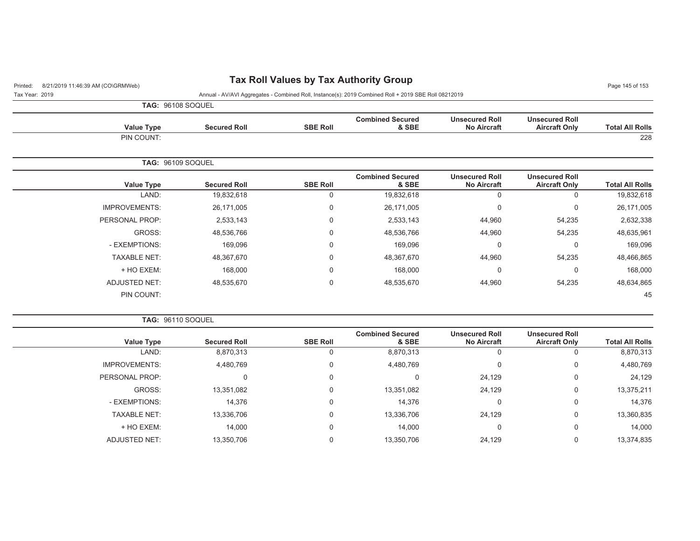## Printed: 8/21/2019 11:46:39 AM (CO\GRMWeb) **Tax Roll Values by Tax Authority Group** Page 145 of 153

Tax Year: 2019 Annual - AV/AVI Aggregates - Combined Roll, Instance(s): 2019 Combined Roll + 2019 SBE Roll 08212019

| <b>TAG: 96108 SOQUEL</b> |
|--------------------------|
|                          |

| <b>Total All Rolls</b> | <b>Unsecured Roll</b><br><b>Aircraft Only</b> | <b>Unsecured Roll</b><br><b>No Aircraft</b> | <b>Combined Secured</b><br>& SBE | <b>SBE Roll</b> | <b>Secured Roll</b> | <b>Value Type</b>    |
|------------------------|-----------------------------------------------|---------------------------------------------|----------------------------------|-----------------|---------------------|----------------------|
| 228                    |                                               |                                             |                                  |                 |                     | PIN COUNT:           |
|                        |                                               |                                             |                                  |                 |                     | TAG: 96109 SOQUEL    |
| <b>Total All Rolls</b> | <b>Unsecured Roll</b><br><b>Aircraft Only</b> | <b>Unsecured Roll</b><br><b>No Aircraft</b> | <b>Combined Secured</b><br>& SBE | <b>SBE Roll</b> | <b>Secured Roll</b> | <b>Value Type</b>    |
| 19,832,618             | 0                                             | 0                                           | 19,832,618                       | $\mathbf 0$     | 19,832,618          | LAND:                |
| 26,171,005             | $\mathbf 0$                                   | 0                                           | 26,171,005                       | 0               | 26,171,005          | <b>IMPROVEMENTS:</b> |
| 2,632,338              | 54,235                                        | 44,960                                      | 2,533,143                        | $\mathbf 0$     | 2,533,143           | PERSONAL PROP:       |
| 48,635,961             | 54,235                                        | 44,960                                      | 48,536,766                       | 0               | 48,536,766          | GROSS:               |
| 169,096                | $\mathbf 0$                                   | 0                                           | 169,096                          | $\mathbf 0$     | 169,096             | - EXEMPTIONS:        |
| 48,466,865             | 54,235                                        | 44,960                                      | 48,367,670                       | 0               | 48,367,670          | <b>TAXABLE NET:</b>  |
| 168,000                | $\mathbf 0$                                   | 0                                           | 168,000                          | $\mathbf 0$     | 168,000             | + HO EXEM:           |
| 48,634,865             | 54,235                                        | 44,960                                      | 48,535,670                       | $\mathbf 0$     | 48,535,670          | ADJUSTED NET:        |
| 45                     |                                               |                                             |                                  |                 |                     | PIN COUNT:           |
|                        |                                               |                                             |                                  |                 |                     |                      |

**TAG:** 96110 SOQUEL

| <b>Value Type</b>    | <b>Secured Roll</b> | <b>SBE Roll</b> | <b>Combined Secured</b><br>& SBE | <b>Unsecured Roll</b><br><b>No Aircraft</b> | <b>Unsecured Roll</b><br><b>Aircraft Only</b> | <b>Total All Rolls</b> |
|----------------------|---------------------|-----------------|----------------------------------|---------------------------------------------|-----------------------------------------------|------------------------|
| LAND:                | 8,870,313           |                 | 8,870,313                        | υ                                           |                                               | 8,870,313              |
| <b>IMPROVEMENTS:</b> | 4,480,769           | $\Omega$        | 4,480,769                        | 0                                           | 0                                             | 4,480,769              |
| PERSONAL PROP:       |                     | 0               |                                  | 24,129                                      | 0                                             | 24,129                 |
| GROSS:               | 13,351,082          | 0               | 13,351,082                       | 24,129                                      | 0                                             | 13,375,211             |
| - EXEMPTIONS:        | 14,376              | 0               | 14,376                           | 0                                           | 0                                             | 14,376                 |
| <b>TAXABLE NET:</b>  | 13,336,706          | $\Omega$        | 13,336,706                       | 24,129                                      | 0                                             | 13,360,835             |
| + HO EXEM:           | 14,000              | 0               | 14,000                           | 0                                           | $\Omega$                                      | 14,000                 |
| ADJUSTED NET:        | 13,350,706          |                 | 13,350,706                       | 24,129                                      |                                               | 13,374,835             |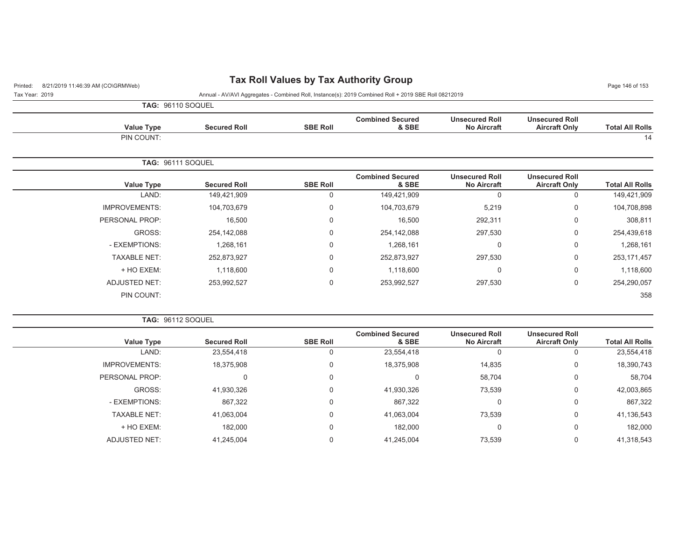# Printed: 8/21/2019 11:46:39 AM (CO\GRMWeb) **Tax Roll Values by Tax Authority Group** Page 146 of 153

| Tax Year: 2019 |  | Annual - AV/AVI Aggregates - Combined Roll, Instance(s): 2019 Combined Roll + 2019 SBE Roll 08212019 |  |  |
|----------------|--|------------------------------------------------------------------------------------------------------|--|--|

**TAG:** 96110 SOQUEL

|                        |                                               |                                             |                                  |                 | <b>IAU.</b> 90110 OUQUEL |                      |
|------------------------|-----------------------------------------------|---------------------------------------------|----------------------------------|-----------------|--------------------------|----------------------|
| <b>Total All Rolls</b> | <b>Unsecured Roll</b><br><b>Aircraft Only</b> | <b>Unsecured Roll</b><br><b>No Aircraft</b> | <b>Combined Secured</b><br>& SBE | <b>SBE Roll</b> | <b>Secured Roll</b>      | <b>Value Type</b>    |
| 14                     |                                               |                                             |                                  |                 |                          | PIN COUNT:           |
|                        |                                               |                                             |                                  |                 |                          | TAG: 96111 SOQUEL    |
| <b>Total All Rolls</b> | <b>Unsecured Roll</b><br><b>Aircraft Only</b> | <b>Unsecured Roll</b><br><b>No Aircraft</b> | <b>Combined Secured</b><br>& SBE | <b>SBE Roll</b> | <b>Secured Roll</b>      | <b>Value Type</b>    |
| 149,421,909            | 0                                             | 0                                           | 149,421,909                      | 0               | 149,421,909              | LAND:                |
| 104,708,898            | 0                                             | 5,219                                       | 104,703,679                      | 0               | 104,703,679              | <b>IMPROVEMENTS:</b> |
| 308,811                | $\mathbf 0$                                   | 292,311                                     | 16,500                           | 0               | 16,500                   | PERSONAL PROP:       |
| 254,439,618            | 0                                             | 297,530                                     | 254,142,088                      | 0               | 254,142,088              | GROSS:               |
| 1,268,161              | 0                                             | 0                                           | 1,268,161                        | $\Omega$        | 1,268,161                | - EXEMPTIONS:        |
| 253, 171, 457          | 0                                             | 297,530                                     | 252,873,927                      | $\Omega$        | 252,873,927              | <b>TAXABLE NET:</b>  |
| 1,118,600              | 0                                             | $\mathbf 0$                                 | 1,118,600                        | $\overline{0}$  | 1,118,600                | + HO EXEM:           |
| 254,290,057            | $\mathbf 0$                                   | 297,530                                     | 253,992,527                      | 0               | 253,992,527              | <b>ADJUSTED NET:</b> |
| 358                    |                                               |                                             |                                  |                 |                          | PIN COUNT:           |

**TAG:** 96112 SOQUEL

| <b>Value Type</b>    | <b>Secured Roll</b> | <b>SBE Roll</b> | <b>Combined Secured</b><br>& SBE | <b>Unsecured Roll</b><br><b>No Aircraft</b> | <b>Unsecured Roll</b><br><b>Aircraft Only</b> | <b>Total All Rolls</b> |
|----------------------|---------------------|-----------------|----------------------------------|---------------------------------------------|-----------------------------------------------|------------------------|
| LAND:                | 23,554,418          |                 | 23,554,418                       |                                             |                                               | 23,554,418             |
| <b>IMPROVEMENTS:</b> | 18,375,908          |                 | 18,375,908                       | 14,835                                      |                                               | 18,390,743             |
| PERSONAL PROP:       | 0                   | 0               | 0                                | 58,704                                      | $\Omega$                                      | 58,704                 |
| GROSS:               | 41,930,326          |                 | 41,930,326                       | 73,539                                      |                                               | 42,003,865             |
| - EXEMPTIONS:        | 867,322             |                 | 867,322                          | υ                                           | $\Omega$                                      | 867,322                |
| <b>TAXABLE NET:</b>  | 41,063,004          |                 | 41,063,004                       | 73,539                                      | $\Omega$                                      | 41,136,543             |
| + HO EXEM:           | 182,000             |                 | 182,000                          |                                             | $\Omega$                                      | 182,000                |
| ADJUSTED NET:        | 41,245,004          |                 | 41,245,004                       | 73,539                                      |                                               | 41,318,543             |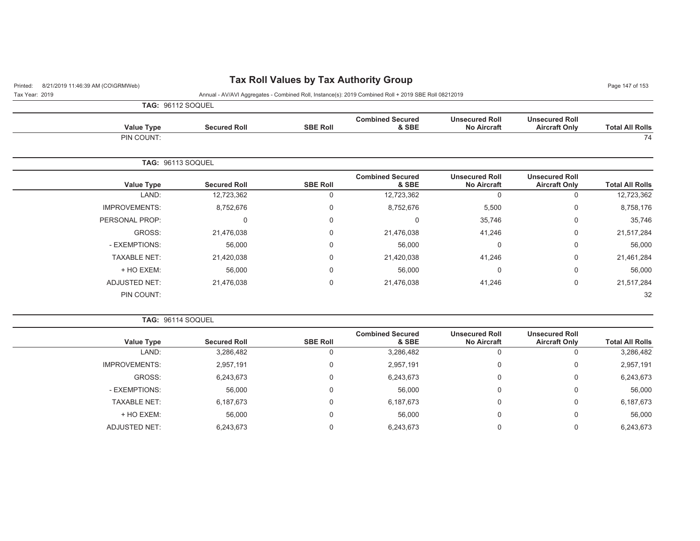## Printed: 8/21/2019 11:46:39 AM (CO\GRMWeb) **Tax Roll Values by Tax Authority Group** Page 147 of 153

Tax Year: 2019 Annual - AV/AVI Aggregates - Combined Roll, Instance(s): 2019 Combined Roll + 2019 SBE Roll 08212019

| nnual - AV/AVI Aggr |  |  |  |  |  |  |  |
|---------------------|--|--|--|--|--|--|--|
|---------------------|--|--|--|--|--|--|--|

| <b>TAG: 96112 SOQUEL</b> |                     |                 |                                  |                                             |                                               |                        |
|--------------------------|---------------------|-----------------|----------------------------------|---------------------------------------------|-----------------------------------------------|------------------------|
| <b>Value Type</b>        | <b>Secured Roll</b> | <b>SBE Roll</b> | <b>Combined Secured</b><br>& SBE | <b>Unsecured Roll</b><br><b>No Aircraft</b> | <b>Unsecured Roll</b><br><b>Aircraft Only</b> | <b>Total All Rolls</b> |
| PIN COUNT:               |                     |                 |                                  |                                             |                                               | 74                     |

|                        |                                               |                                             |                                  |                 |                     | <b>TAG: 96113 SOQUEL</b> |
|------------------------|-----------------------------------------------|---------------------------------------------|----------------------------------|-----------------|---------------------|--------------------------|
| <b>Total All Rolls</b> | <b>Unsecured Roll</b><br><b>Aircraft Only</b> | <b>Unsecured Roll</b><br><b>No Aircraft</b> | <b>Combined Secured</b><br>& SBE | <b>SBE Roll</b> | <b>Secured Roll</b> | <b>Value Type</b>        |
| 12,723,362             | 0                                             | 0                                           | 12,723,362                       | $\Omega$        | 12,723,362          | LAND:                    |
| 8,758,176              | 0                                             | 5,500                                       | 8,752,676                        | 0               | 8,752,676           | <b>IMPROVEMENTS:</b>     |
| 35,746                 | 0                                             | 35,746                                      |                                  | $\mathbf 0$     | 0                   | PERSONAL PROP:           |
| 21,517,284             | 0                                             | 41,246                                      | 21,476,038                       | $\Omega$        | 21,476,038          | GROSS:                   |
| 56,000                 | 0                                             | 0                                           | 56,000                           | $\mathbf 0$     | 56,000              | - EXEMPTIONS:            |
| 21,461,284             | 0                                             | 41,246                                      | 21,420,038                       | $\mathbf 0$     | 21,420,038          | <b>TAXABLE NET:</b>      |
| 56,000                 | 0                                             | 0                                           | 56,000                           | $\mathbf 0$     | 56,000              | + HO EXEM:               |
| 21,517,284             | 0                                             | 41,246                                      | 21,476,038                       | $\mathbf 0$     | 21,476,038          | ADJUSTED NET:            |
| 32                     |                                               |                                             |                                  |                 |                     | PIN COUNT:               |

**TAG:** 96114 SOQUEL

| <b>Value Type</b>    | <b>Secured Roll</b> | <b>SBE Roll</b> | <b>Combined Secured</b><br>& SBE | <b>Unsecured Roll</b><br><b>No Aircraft</b> | <b>Unsecured Roll</b><br><b>Aircraft Only</b> | <b>Total All Rolls</b> |
|----------------------|---------------------|-----------------|----------------------------------|---------------------------------------------|-----------------------------------------------|------------------------|
| LAND:                | 3,286,482           | U               | 3,286,482                        | 0                                           |                                               | 3,286,482              |
| <b>IMPROVEMENTS:</b> | 2,957,191           | 0               | 2,957,191                        | 0                                           |                                               | 2,957,191              |
| GROSS:               | 6,243,673           | 0               | 6,243,673                        | 0                                           |                                               | 6,243,673              |
| - EXEMPTIONS:        | 56,000              | 0               | 56.000                           | 0                                           |                                               | 56,000                 |
| <b>TAXABLE NET:</b>  | 6,187,673           | 0               | 6,187,673                        | 0                                           | 0                                             | 6,187,673              |
| + HO EXEM:           | 56,000              | 0               | 56.000                           | 0                                           | $\Omega$                                      | 56,000                 |
| <b>ADJUSTED NET:</b> | 6,243,673           | 0               | 6,243,673                        | 0                                           |                                               | 6,243,673              |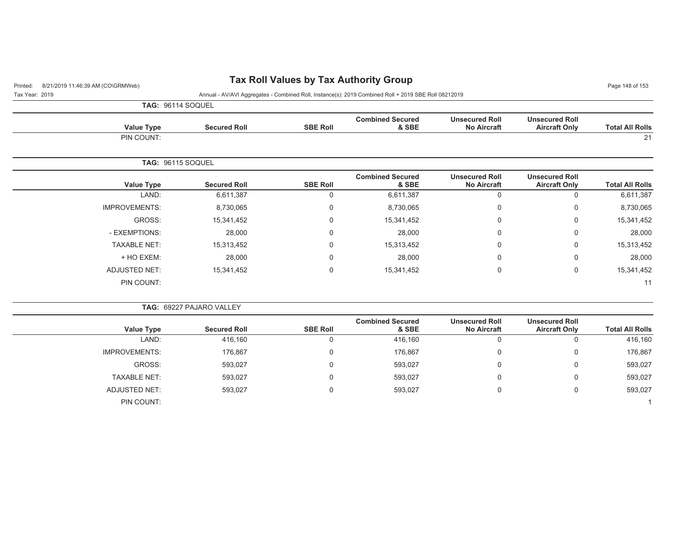## Printed: 8/21/2019 11:46:39 AM (CO\GRMWeb) **Tax Roll Values by Tax Authority Group** Page 11:46:39 AM (CO\GRMWeb)

Tax Year: 2019 Annual - AV/AVI Aggregates - Combined Roll, Instance(s): 2019 Combined Roll + 2019 SBE Roll 08212019

**TAG:** 96114 SOQUEL

PIN COUNT:

| <b>Total All Rolls</b>                           | <b>Unsecured Roll</b><br><b>Aircraft Only</b> | <b>Unsecured Roll</b><br><b>No Aircraft</b> | <b>Combined Secured</b><br>& SBE | <b>SBE Roll</b> | <b>Secured Roll</b> | Value Type               |
|--------------------------------------------------|-----------------------------------------------|---------------------------------------------|----------------------------------|-----------------|---------------------|--------------------------|
| 21                                               |                                               |                                             |                                  |                 |                     | PIN COUNT:               |
|                                                  |                                               |                                             |                                  |                 |                     |                          |
|                                                  |                                               |                                             |                                  |                 |                     | <b>TAG: 96115 SOQUEL</b> |
|                                                  | <b>Unsecured Roll</b>                         | <b>Unsecured Roll</b>                       | <b>Combined Secured</b>          |                 |                     |                          |
|                                                  | <b>Aircraft Only</b>                          | <b>No Aircraft</b>                          | & SBE                            | <b>SBE Roll</b> | <b>Secured Roll</b> | Value Type               |
|                                                  | 0                                             | 0                                           | 6,611,387                        | 0               | 6,611,387           | LAND:                    |
| <b>Total All Rolls</b><br>6,611,387<br>8,730,065 | $\overline{0}$                                | 0                                           | 8,730,065                        | $\Omega$        | 8,730,065           | <b>IMPROVEMENTS:</b>     |

- EXEMPTIONS: 28,000 0 28,000 0 0 28,000 TAXABLE NET: 15,313,452 0 15,313,452 0 0 15,313,452 + HO EXEM: 28,000 0 28,000 0 0 28,000 ADJUSTED NET: 15,341,452 0 15,341,452 15,341,452

 $\sim$  11  $\sim$  11  $\sim$  11  $\sim$  11  $\sim$  11  $\sim$  11  $\sim$  11  $\sim$  11  $\sim$  11  $\sim$  11  $\sim$  11  $\sim$  11

|                        |                                               |                                             |                                  |                 | <b>TAG: 69227 PAJARO VALLEY</b> |                      |  |
|------------------------|-----------------------------------------------|---------------------------------------------|----------------------------------|-----------------|---------------------------------|----------------------|--|
| <b>Total All Rolls</b> | <b>Unsecured Roll</b><br><b>Aircraft Only</b> | <b>Unsecured Roll</b><br><b>No Aircraft</b> | <b>Combined Secured</b><br>& SBE | <b>SBE Roll</b> | <b>Secured Roll</b>             | <b>Value Type</b>    |  |
| 416,160                | υ                                             |                                             | 416.160                          | υ               | 416,160                         | LAND:                |  |
| 176,867                | 0                                             | 0                                           | 176,867                          | U               | 176,867                         | <b>IMPROVEMENTS:</b> |  |
| 593,027                | 0                                             | 0                                           | 593,027                          | υ               | 593,027                         | GROSS:               |  |
| 593.027                | 0                                             | υ                                           | 593.027                          | U               | 593,027                         | <b>TAXABLE NET:</b>  |  |
| 593,027                | 0                                             |                                             | 593,027                          | U               | 593,027                         | ADJUSTED NET:        |  |
|                        |                                               |                                             |                                  |                 |                                 | PIN COUNT:           |  |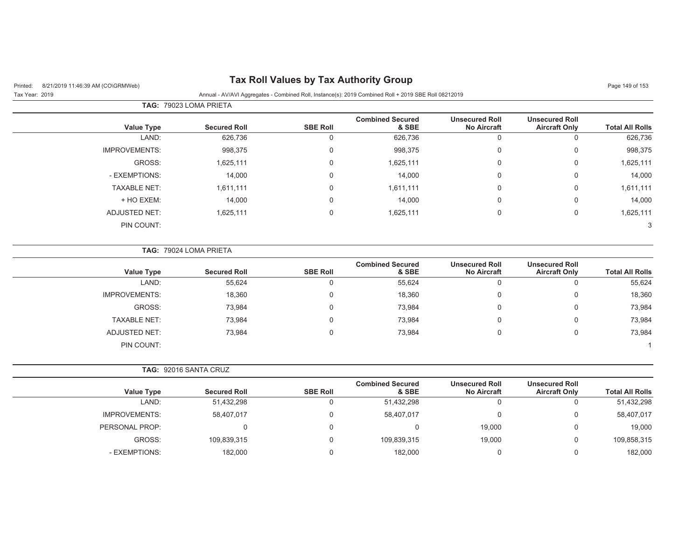## Printed: 8/21/2019 11:46:39 AM (CO\GRMWeb) **Tax Roll Values by Tax Authority Group** Page 149 of 153

### Tax Year: 2019 Annual - AV/AVI Aggregates - Combined Roll, Instance(s): 2019 Combined Roll + 2019 SBE Roll 08212019

|                        |                                               |                                             | TAG: 79023 LOMA PRIETA           |                 |                     |                      |  |  |
|------------------------|-----------------------------------------------|---------------------------------------------|----------------------------------|-----------------|---------------------|----------------------|--|--|
| <b>Total All Rolls</b> | <b>Unsecured Roll</b><br><b>Aircraft Only</b> | <b>Unsecured Roll</b><br><b>No Aircraft</b> | <b>Combined Secured</b><br>& SBE | <b>SBE Roll</b> | <b>Secured Roll</b> | Value Type           |  |  |
| 626,736                |                                               |                                             | 626,736                          | 0               | 626,736             | LAND:                |  |  |
| 998,375                | 0                                             |                                             | 998,375                          | $\mathbf 0$     | 998,375             | <b>IMPROVEMENTS:</b> |  |  |
| 1,625,111              | 0                                             |                                             | 1,625,111                        | $\mathbf 0$     | 1,625,111           | GROSS:               |  |  |
| 14,000                 | 0                                             |                                             | 14,000                           | $\mathbf 0$     | 14,000              | - EXEMPTIONS:        |  |  |
| 1,611,111              | 0                                             |                                             | 1,611,111                        | $\mathbf 0$     | 1,611,111           | <b>TAXABLE NET:</b>  |  |  |
| 14,000                 | 0                                             |                                             | 14,000                           | $\mathbf 0$     | 14,000              | + HO EXEM:           |  |  |
| 1,625,111              | 0                                             |                                             | 1,625,111                        | $\mathbf 0$     | 1,625,111           | ADJUSTED NET:        |  |  |
| 3                      |                                               |                                             |                                  |                 |                     | PIN COUNT:           |  |  |
|                        |                                               |                                             |                                  |                 |                     |                      |  |  |

| <b>TAG: 79024 LOMA PRIETA</b> |
|-------------------------------|
|                               |

| <b>Value Type</b>    | <b>Secured Roll</b> | <b>SBE Roll</b> | <b>Combined Secured</b><br>& SBE | <b>Unsecured Roll</b><br><b>No Aircraft</b> | <b>Unsecured Roll</b><br><b>Aircraft Only</b> | <b>Total All Rolls</b> |
|----------------------|---------------------|-----------------|----------------------------------|---------------------------------------------|-----------------------------------------------|------------------------|
| LAND:                | 55,624              |                 | 55,624                           |                                             | 0                                             | 55,624                 |
| <b>IMPROVEMENTS:</b> | 18,360              |                 | 18,360                           |                                             | 0                                             | 18,360                 |
| GROSS:               | 73,984              |                 | 73,984                           |                                             | 0                                             | 73,984                 |
| <b>TAXABLE NET:</b>  | 73,984              |                 | 73,984                           |                                             | 0                                             | 73,984                 |
| ADJUSTED NET:        | 73.984              |                 | 73,984                           |                                             | 0                                             | 73,984                 |
| PIN COUNT:           |                     |                 |                                  |                                             |                                               |                        |

| <b>Value Type</b>    | <b>Secured Roll</b> | <b>SBE Roll</b> | <b>Combined Secured</b><br>& SBE | <b>Unsecured Roll</b><br><b>No Aircraft</b> | <b>Unsecured Roll</b><br><b>Aircraft Only</b> | <b>Total All Rolls</b> |
|----------------------|---------------------|-----------------|----------------------------------|---------------------------------------------|-----------------------------------------------|------------------------|
| LAND:                | 51,432,298          |                 | 51,432,298                       |                                             | υ                                             | 51,432,298             |
| <b>IMPROVEMENTS:</b> | 58,407,017          |                 | 58,407,017                       |                                             | 0                                             | 58,407,017             |
| PERSONAL PROP:       |                     |                 |                                  | 19.000                                      | 0                                             | 19,000                 |
| GROSS:               | 109,839,315         |                 | 109,839,315                      | 19,000                                      | 0                                             | 109,858,315            |
| - EXEMPTIONS:        | 182.000             |                 | 182.000                          |                                             | 0                                             | 182,000                |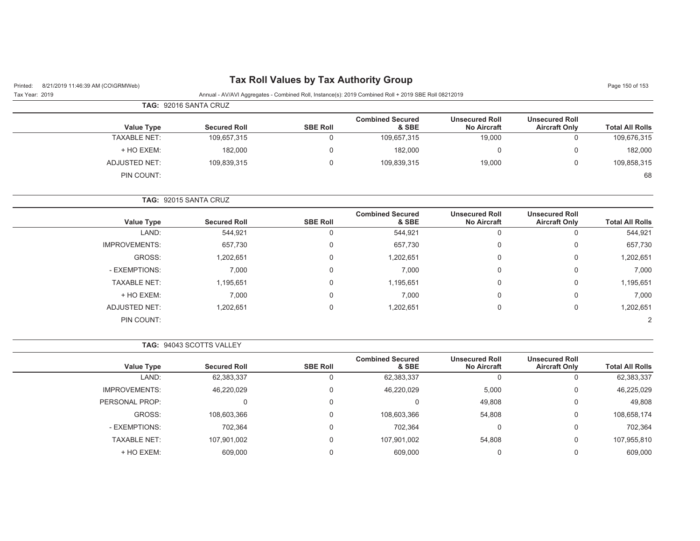## Printed: 8/21/2019 11:46:39 AM (CO\GRMWeb) **Tax Roll Values by Tax Authority Group** Page 150 of 153

 $\sim$ 

### Tax Year: 2019 Annual - AV/AVI Aggregates - Combined Roll, Instance(s): 2019 Combined Roll + 2019 SBE Roll 08212019

|                     | TAG: 92016 SANTA CRUZ |                     |                 |                                  |                                             |                                               |                        |
|---------------------|-----------------------|---------------------|-----------------|----------------------------------|---------------------------------------------|-----------------------------------------------|------------------------|
| <b>Value Type</b>   |                       | <b>Secured Roll</b> | <b>SBE Roll</b> | <b>Combined Secured</b><br>& SBE | <b>Unsecured Roll</b><br><b>No Aircraft</b> | <b>Unsecured Roll</b><br><b>Aircraft Only</b> | <b>Total All Rolls</b> |
| <b>TAXABLE NET:</b> |                       | 109,657,315         |                 | 109,657,315                      | 19,000                                      |                                               | 109,676,315            |
| + HO EXEM:          |                       | 182,000             |                 | 182,000                          |                                             |                                               | 182,000                |
| ADJUSTED NET:       |                       | 109,839,315         |                 | 109,839,315                      | 19,000                                      |                                               | 109,858,315            |
| PIN COUNT:          |                       |                     |                 |                                  |                                             |                                               | 68                     |

### **TAG:** 92015 SANTA CRUZ

| <b>Value Type</b>    | <b>Secured Roll</b> | <b>SBE Roll</b> | <b>Combined Secured</b><br>& SBE | <b>Unsecured Roll</b><br><b>No Aircraft</b> | <b>Unsecured Roll</b><br><b>Aircraft Only</b> | <b>Total All Rolls</b> |
|----------------------|---------------------|-----------------|----------------------------------|---------------------------------------------|-----------------------------------------------|------------------------|
| LAND:                | 544,921             | 0               | 544,921                          | 0                                           | U                                             | 544,921                |
| <b>IMPROVEMENTS:</b> | 657,730             | $\Omega$        | 657,730                          | 0                                           | 0                                             | 657,730                |
| GROSS:               | 1,202,651           | $\Omega$        | 1,202,651                        | 0                                           | 0                                             | 1,202,651              |
| - EXEMPTIONS:        | 7,000               | $\Omega$        | 7,000                            | 0                                           | 0                                             | 7,000                  |
| <b>TAXABLE NET:</b>  | 1,195,651           | $\Omega$        | 1,195,651                        | 0                                           | 0                                             | 1,195,651              |
| + HO EXEM:           | 7,000               | $\Omega$        | 7,000                            | 0                                           | 0                                             | 7,000                  |
| <b>ADJUSTED NET:</b> | 1,202,651           | $\Omega$        | 1,202,651                        | 0                                           | 0                                             | 1,202,651              |
| PIN COUNT:           |                     |                 |                                  |                                             |                                               | 2                      |

#### **TAG:** 94043 SCOTTS VALLEY

| Value Type           | <b>Secured Roll</b> | <b>SBE Roll</b> | <b>Combined Secured</b><br>& SBE | <b>Unsecured Roll</b><br><b>No Aircraft</b> | <b>Unsecured Roll</b><br><b>Aircraft Only</b> | <b>Total All Rolls</b> |
|----------------------|---------------------|-----------------|----------------------------------|---------------------------------------------|-----------------------------------------------|------------------------|
| LAND:                | 62,383,337          |                 | 62,383,337                       | 0                                           | U                                             | 62,383,337             |
| <b>IMPROVEMENTS:</b> | 46,220,029          |                 | 46,220,029                       | 5,000                                       | 0                                             | 46,225,029             |
| PERSONAL PROP:       |                     |                 |                                  | 49,808                                      | 0                                             | 49,808                 |
| GROSS:               | 108,603,366         |                 | 108,603,366                      | 54,808                                      | 0                                             | 108,658,174            |
| - EXEMPTIONS:        | 702,364             |                 | 702,364                          | 0                                           | 0                                             | 702,364                |
| <b>TAXABLE NET:</b>  | 107,901,002         |                 | 107,901,002                      | 54,808                                      | 0                                             | 107,955,810            |
| + HO EXEM:           | 609,000             |                 | 609.000                          | 0                                           | 0                                             | 609,000                |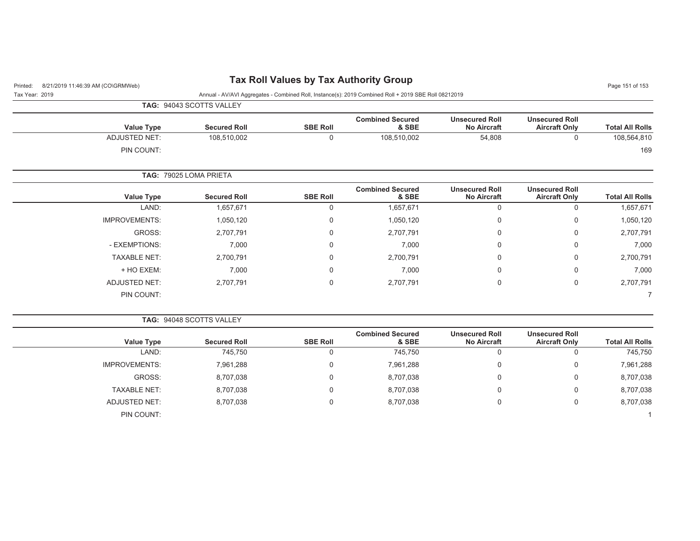| Tax Roll Values by Tax Authority Group |  |  |  |  |  |  |
|----------------------------------------|--|--|--|--|--|--|
|----------------------------------------|--|--|--|--|--|--|

| Page 151 of 153 |  |  |  |
|-----------------|--|--|--|
|-----------------|--|--|--|

| r: 2019<br>$\sim$ |  |  |  |
|-------------------|--|--|--|

| Printed: 8/21/2019 11:46:39 AM (CO\GRMWeb) | <b>I A NOT VAILES BY TAX AUDITITY STOUP</b>                                                          |
|--------------------------------------------|------------------------------------------------------------------------------------------------------|
| Tax Year: 2019                             | Annual - AV/AVI Aggregates - Combined Roll, Instance(s): 2019 Combined Roll + 2019 SBE Roll 08212019 |

|                      | <b>TAG: 94043 SCOTTS VALLEY</b> |                 |                                  |                                             |                                               |                        |
|----------------------|---------------------------------|-----------------|----------------------------------|---------------------------------------------|-----------------------------------------------|------------------------|
| <b>Value Type</b>    | <b>Secured Roll</b>             | <b>SBE Roll</b> | <b>Combined Secured</b><br>& SBE | <b>Unsecured Roll</b><br><b>No Aircraft</b> | <b>Unsecured Roll</b><br><b>Aircraft Only</b> | <b>Total All Rolls</b> |
| <b>ADJUSTED NET:</b> | 108,510,002                     | $\mathbf 0$     | 108,510,002                      | 54,808                                      | $\mathbf 0$                                   | 108,564,810            |
| PIN COUNT:           |                                 |                 |                                  |                                             |                                               | 169                    |
|                      | TAG: 79025 LOMA PRIETA          |                 |                                  |                                             |                                               |                        |
| <b>Value Type</b>    | <b>Secured Roll</b>             | <b>SBE Roll</b> | <b>Combined Secured</b><br>& SBE | <b>Unsecured Roll</b><br><b>No Aircraft</b> | <b>Unsecured Roll</b><br><b>Aircraft Only</b> | <b>Total All Rolls</b> |
| LAND:                | 1,657,671                       | $\mathbf 0$     | 1,657,671                        | $\mathbf 0$                                 | 0                                             | 1,657,671              |
| <b>IMPROVEMENTS:</b> | 1,050,120                       | $\mathbf 0$     | 1,050,120                        | 0                                           | 0                                             | 1,050,120              |
| GROSS:               | 2,707,791                       | $\Omega$        | 2,707,791                        | 0                                           | $\Omega$                                      | 2,707,791              |
| - EXEMPTIONS:        | 7,000                           | $\Omega$        | 7,000                            | 0                                           | $\Omega$                                      | 7,000                  |
| <b>TAXABLE NET:</b>  | 2,700,791                       | $\mathbf 0$     | 2,700,791                        | 0                                           | 0                                             | 2,700,791              |
| + HO EXEM:           | 7,000                           | $\mathbf 0$     | 7,000                            | $\mathbf 0$                                 | $\Omega$                                      | 7,000                  |
| <b>ADJUSTED NET:</b> | 2,707,791                       | $\Omega$        | 2,707,791                        | $\mathbf 0$                                 | $\mathbf 0$                                   | 2,707,791              |
| PIN COUNT:           |                                 |                 |                                  |                                             |                                               |                        |

|  | <b>TAG: 94048 SCOTTS VALLEY</b> |  |
|--|---------------------------------|--|
|  |                                 |  |

|                        | <b>Unsecured Roll</b> | <b>Unsecured Roll</b> | <b>Combined Secured</b> |                 |                     |                      |
|------------------------|-----------------------|-----------------------|-------------------------|-----------------|---------------------|----------------------|
| <b>Total All Rolls</b> | <b>Aircraft Only</b>  | <b>No Aircraft</b>    | & SBE                   | <b>SBE Roll</b> | <b>Secured Roll</b> | <b>Value Type</b>    |
| 745,750                |                       |                       | 745,750                 | $\Omega$        | 745,750             | LAND:                |
| 7,961,288              |                       |                       | 7,961,288               | $\Omega$        | 7,961,288           | <b>IMPROVEMENTS:</b> |
| 8,707,038              | 0                     |                       | 8,707,038               | $\Omega$        | 8,707,038           | GROSS:               |
| 8,707,038              | 0                     |                       | 8,707,038               | $\Omega$        | 8,707,038           | <b>TAXABLE NET:</b>  |
| 8,707,038              | 0                     |                       | 8,707,038               | $\Omega$        | 8,707,038           | ADJUSTED NET:        |
|                        |                       |                       |                         |                 |                     | PIN COUNT:           |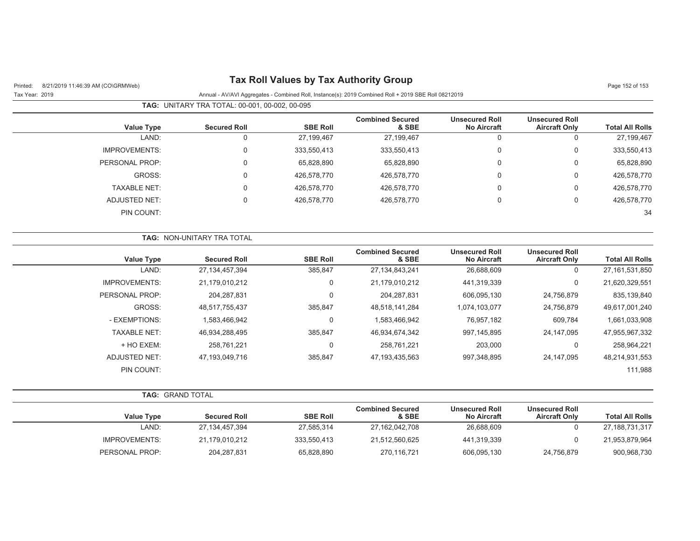| Page 152 of 153        | <b>Tax Roll Values by Tax Authority Group</b><br>8/21/2019 11:46:39 AM (CO\GRMWeb)<br>Printed: |                                             |                                                                                                      |                  |                                                |                      |
|------------------------|------------------------------------------------------------------------------------------------|---------------------------------------------|------------------------------------------------------------------------------------------------------|------------------|------------------------------------------------|----------------------|
|                        |                                                                                                |                                             | Annual - AV/AVI Aggregates - Combined Roll, Instance(s): 2019 Combined Roll + 2019 SBE Roll 08212019 |                  |                                                | Tax Year: 2019       |
|                        |                                                                                                |                                             |                                                                                                      |                  | TAG: UNITARY TRA TOTAL: 00-001, 00-002, 00-095 |                      |
| <b>Total All Rolls</b> | <b>Unsecured Roll</b><br><b>Aircraft Only</b>                                                  | <b>Unsecured Roll</b><br><b>No Aircraft</b> | <b>Combined Secured</b><br>& SBE                                                                     | <b>SBE Roll</b>  | <b>Secured Roll</b>                            | <b>Value Type</b>    |
| 27,199,467             | $\mathbf 0$                                                                                    | $\mathbf 0$                                 | 27,199,467                                                                                           | 27,199,467       | $\mathbf 0$                                    | LAND:                |
| 333,550,413            | 0                                                                                              | $\pmb{0}$                                   | 333,550,413                                                                                          | 333,550,413      | $\pmb{0}$                                      | <b>IMPROVEMENTS:</b> |
| 65,828,890             | $\boldsymbol{0}$                                                                               | $\mathbf 0$                                 | 65,828,890                                                                                           | 65,828,890       | 0                                              | PERSONAL PROP:       |
| 426,578,770            | $\mathsf 0$                                                                                    | $\mathbf 0$                                 | 426,578,770                                                                                          | 426,578,770      | 0                                              | GROSS:               |
| 426,578,770            | 0                                                                                              | $\mathbf 0$                                 | 426,578,770                                                                                          | 426,578,770      | 0                                              | <b>TAXABLE NET:</b>  |
| 426,578,770            | $\mathbf 0$                                                                                    | $\mathbf 0$                                 | 426,578,770                                                                                          | 426,578,770      | $\Omega$                                       | <b>ADJUSTED NET:</b> |
| 34                     |                                                                                                |                                             |                                                                                                      |                  |                                                | PIN COUNT:           |
|                        |                                                                                                |                                             |                                                                                                      |                  | TAG: NON-UNITARY TRA TOTAL                     |                      |
| <b>Total All Rolls</b> | <b>Unsecured Roll</b><br><b>Aircraft Only</b>                                                  | <b>Unsecured Roll</b><br><b>No Aircraft</b> | <b>Combined Secured</b><br>& SBE                                                                     | <b>SBE Roll</b>  | <b>Secured Roll</b>                            | <b>Value Type</b>    |
| 27, 161, 531, 850      | $\mathbf 0$                                                                                    | 26,688,609                                  | 27, 134, 843, 241                                                                                    | 385,847          | 27, 134, 457, 394                              | LAND:                |
| 21,620,329,551         | $\mathbf 0$                                                                                    | 441,319,339                                 | 21,179,010,212                                                                                       | $\boldsymbol{0}$ | 21,179,010,212                                 | <b>IMPROVEMENTS:</b> |
| 835,139,840            | 24,756,879                                                                                     | 606,095,130                                 | 204, 287, 831                                                                                        | $\overline{0}$   | 204, 287, 831                                  | PERSONAL PROP:       |
| 49,617,001,240         | 24,756,879                                                                                     | 1,074,103,077                               | 48,518,141,284                                                                                       | 385,847          | 48,517,755,437                                 | GROSS:               |
| 1,661,033,908          | 609,784                                                                                        | 76,957,182                                  | 1,583,466,942                                                                                        | $\mathbf 0$      | 1,583,466,942                                  | - EXEMPTIONS:        |
| 47,955,967,332         | 24, 147, 095                                                                                   | 997, 145, 895                               | 46,934,674,342                                                                                       | 385,847          | 46,934,288,495                                 | <b>TAXABLE NET:</b>  |
| 258,964,221            | $\mathbf 0$                                                                                    | 203,000                                     | 258,761,221                                                                                          | $\pmb{0}$        | 258,761,221                                    | + HO EXEM:           |
| 48,214,931,553         | 24,147,095                                                                                     | 997,348,895                                 | 47, 193, 435, 563                                                                                    | 385,847          | 47,193,049,716                                 | <b>ADJUSTED NET:</b> |
| 111,988                |                                                                                                |                                             |                                                                                                      |                  |                                                | <b>PIN COUNT:</b>    |
|                        |                                                                                                |                                             |                                                                                                      |                  |                                                | TAG: GRAND TOTAL     |
| <b>Total All Rolls</b> | <b>Unsecured Roll</b><br><b>Aircraft Only</b>                                                  | <b>Unsecured Roll</b><br><b>No Aircraft</b> | <b>Combined Secured</b><br>& SBE                                                                     | <b>SBE Roll</b>  | <b>Secured Roll</b>                            | <b>Value Type</b>    |
| 27, 188, 731, 317      | $\mathbf 0$                                                                                    | 26,688,609                                  | 27, 162, 042, 708                                                                                    | 27,585,314       | 27, 134, 457, 394                              | LAND:                |
| 21,953,879,964         | $\mathbf 0$                                                                                    | 441,319,339                                 | 21,512,560,625                                                                                       | 333,550,413      | 21,179,010,212                                 | <b>IMPROVEMENTS:</b> |
| 900,968,730            | 24,756,879                                                                                     | 606,095,130                                 | 270,116,721                                                                                          | 65,828,890       | 204,287,831                                    | PERSONAL PROP:       |